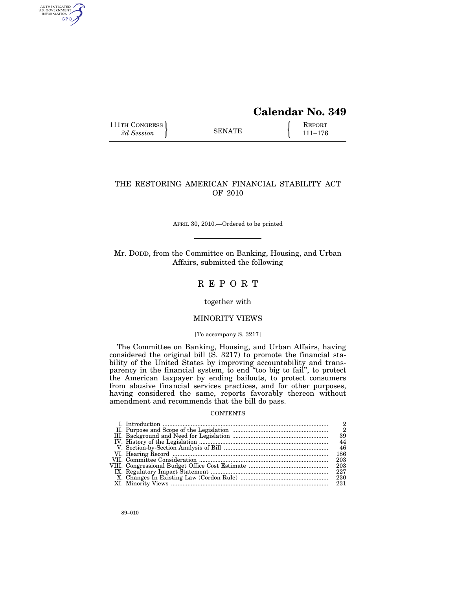# **Calendar No. 349**

111TH CONGRESS **REPORT** 2d Session **111–176** 

AUTHENTICATED<br>U.S. GOVERNMENT<br>INFORMATION GPO

# THE RESTORING AMERICAN FINANCIAL STABILITY ACT OF 2010

APRIL 30, 2010.—Ordered to be printed

Mr. DODD, from the Committee on Banking, Housing, and Urban Affairs, submitted the following

# R E P O R T

together with

# MINORITY VIEWS

#### [To accompany S. 3217]

The Committee on Banking, Housing, and Urban Affairs, having considered the original bill (S. 3217) to promote the financial stability of the United States by improving accountability and transparency in the financial system, to end ''too big to fail'', to protect the American taxpayer by ending bailouts, to protect consumers from abusive financial services practices, and for other purposes, having considered the same, reports favorably thereon without amendment and recommends that the bill do pass.

# **CONTENTS**

| 2   |
|-----|
|     |
| 39  |
| 44  |
| 46  |
| 186 |
| 203 |
|     |
|     |
|     |
|     |
|     |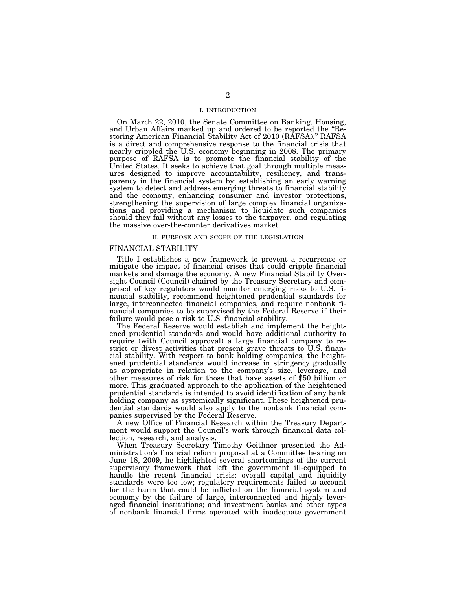### I. INTRODUCTION

On March 22, 2010, the Senate Committee on Banking, Housing, and Urban Affairs marked up and ordered to be reported the ''Restoring American Financial Stability Act of 2010 (RAFSA).'' RAFSA is a direct and comprehensive response to the financial crisis that nearly crippled the U.S. economy beginning in 2008. The primary purpose of RAFSA is to promote the financial stability of the United States. It seeks to achieve that goal through multiple measures designed to improve accountability, resiliency, and transparency in the financial system by: establishing an early warning system to detect and address emerging threats to financial stability and the economy, enhancing consumer and investor protections, strengthening the supervision of large complex financial organizations and providing a mechanism to liquidate such companies should they fail without any losses to the taxpayer, and regulating the massive over-the-counter derivatives market.

#### II. PURPOSE AND SCOPE OF THE LEGISLATION

#### FINANCIAL STABILITY

Title I establishes a new framework to prevent a recurrence or mitigate the impact of financial crises that could cripple financial markets and damage the economy. A new Financial Stability Oversight Council (Council) chaired by the Treasury Secretary and comprised of key regulators would monitor emerging risks to U.S. financial stability, recommend heightened prudential standards for large, interconnected financial companies, and require nonbank financial companies to be supervised by the Federal Reserve if their failure would pose a risk to U.S. financial stability.

The Federal Reserve would establish and implement the heightened prudential standards and would have additional authority to require (with Council approval) a large financial company to restrict or divest activities that present grave threats to  $U.S.$  financial stability. With respect to bank holding companies, the heightened prudential standards would increase in stringency gradually as appropriate in relation to the company's size, leverage, and other measures of risk for those that have assets of \$50 billion or more. This graduated approach to the application of the heightened prudential standards is intended to avoid identification of any bank holding company as systemically significant. These heightened prudential standards would also apply to the nonbank financial companies supervised by the Federal Reserve.

A new Office of Financial Research within the Treasury Department would support the Council's work through financial data collection, research, and analysis.

When Treasury Secretary Timothy Geithner presented the Administration's financial reform proposal at a Committee hearing on June 18, 2009, he highlighted several shortcomings of the current supervisory framework that left the government ill-equipped to handle the recent financial crisis: overall capital and liquidity standards were too low; regulatory requirements failed to account for the harm that could be inflicted on the financial system and economy by the failure of large, interconnected and highly leveraged financial institutions; and investment banks and other types of nonbank financial firms operated with inadequate government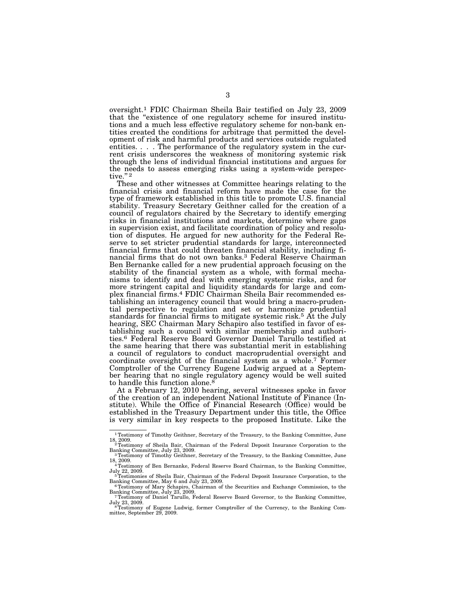oversight.1 FDIC Chairman Sheila Bair testified on July 23, 2009 that the "existence of one regulatory scheme for insured institutions and a much less effective regulatory scheme for non-bank entities created the conditions for arbitrage that permitted the development of risk and harmful products and services outside regulated entities. . . . The performance of the regulatory system in the current crisis underscores the weakness of monitoring systemic risk through the lens of individual financial institutions and argues for the needs to assess emerging risks using a system-wide perspective."<sup>2</sup>

These and other witnesses at Committee hearings relating to the financial crisis and financial reform have made the case for the type of framework established in this title to promote U.S. financial stability. Treasury Secretary Geithner called for the creation of a council of regulators chaired by the Secretary to identify emerging risks in financial institutions and markets, determine where gaps in supervision exist, and facilitate coordination of policy and resolution of disputes. He argued for new authority for the Federal Reserve to set stricter prudential standards for large, interconnected financial firms that could threaten financial stability, including financial firms that do not own banks.3 Federal Reserve Chairman Ben Bernanke called for a new prudential approach focusing on the stability of the financial system as a whole, with formal mechanisms to identify and deal with emerging systemic risks, and for more stringent capital and liquidity standards for large and complex financial firms.4 FDIC Chairman Sheila Bair recommended establishing an interagency council that would bring a macro-prudential perspective to regulation and set or harmonize prudential standards for financial firms to mitigate systemic risk.5 At the July hearing, SEC Chairman Mary Schapiro also testified in favor of establishing such a council with similar membership and authorities.6 Federal Reserve Board Governor Daniel Tarullo testified at the same hearing that there was substantial merit in establishing a council of regulators to conduct macroprudential oversight and coordinate oversight of the financial system as a whole.7 Former Comptroller of the Currency Eugene Ludwig argued at a September hearing that no single regulatory agency would be well suited to handle this function alone.<sup>8</sup>

At a February 12, 2010 hearing, several witnesses spoke in favor of the creation of an independent National Institute of Finance (Institute). While the Office of Financial Research (Office) would be established in the Treasury Department under this title, the Office is very similar in key respects to the proposed Institute. Like the

<sup>1</sup>Testimony of Timothy Geithner, Secretary of the Treasury, to the Banking Committee, June 18, 2009.<br><sup>2</sup>Testimony of Sheila Bair, Chairman of the Federal Deposit Insurance Corporation to the

Banking Committee, July 23, 2009.<br><sup>3</sup>Testimony of Timothy Geithner, Secretary of the Treasury, to the Banking Committee, June

<sup>&</sup>lt;sup>3</sup> Testimony of Timothy Geithner, Secretary of the Treasury, to the Banking Committee, June 18, 2009.<br><sup>4</sup> Testimony of Ben Bernanke, Federal Reserve Board Chairman, to the Banking Committee,

July 22, 2009. 5Testimonies of Sheila Bair, Chairman of the Federal Deposit Insurance Corporation, to the Banking Committee, May 6 and July 23, 2009.

Banking Committee, May 6 and July 23, 2009.<br><sup>6</sup>Testimony of Mary Schapiro, Chairman of the Securities and Exchange Commission, to the

Banking Committee, July 23, 2009.<br><sup>7</sup>Testimony of Daniel Tarullo, Federal Reserve Board Governor, to the Banking Committee, July 23, 2009.<br><sup>8</sup>Testimony of Eugene Ludwig, former Comptroller of the Currency, to the Banking Com-

mittee, September 29, 2009.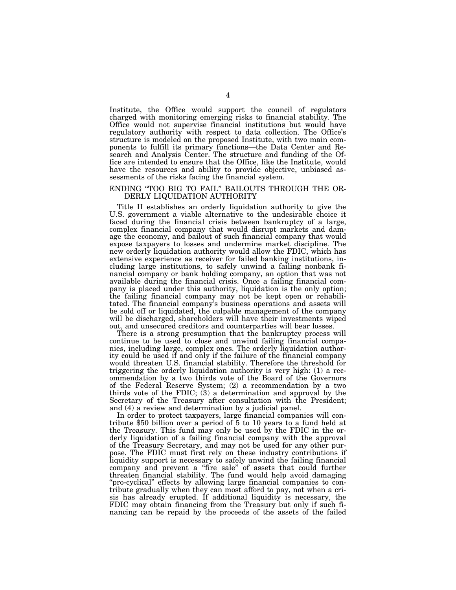Institute, the Office would support the council of regulators charged with monitoring emerging risks to financial stability. The Office would not supervise financial institutions but would have regulatory authority with respect to data collection. The Office's structure is modeled on the proposed Institute, with two main components to fulfill its primary functions—the Data Center and Research and Analysis Center. The structure and funding of the Office are intended to ensure that the Office, like the Institute, would have the resources and ability to provide objective, unbiased assessments of the risks facing the financial system.

### ENDING ''TOO BIG TO FAIL'' BAILOUTS THROUGH THE OR-DERLY LIQUIDATION AUTHORITY

Title II establishes an orderly liquidation authority to give the U.S. government a viable alternative to the undesirable choice it faced during the financial crisis between bankruptcy of a large, complex financial company that would disrupt markets and damage the economy, and bailout of such financial company that would expose taxpayers to losses and undermine market discipline. The new orderly liquidation authority would allow the FDIC, which has extensive experience as receiver for failed banking institutions, including large institutions, to safely unwind a failing nonbank financial company or bank holding company, an option that was not available during the financial crisis. Once a failing financial company is placed under this authority, liquidation is the only option; the failing financial company may not be kept open or rehabilitated. The financial company's business operations and assets will be sold off or liquidated, the culpable management of the company will be discharged, shareholders will have their investments wiped out, and unsecured creditors and counterparties will bear losses.

There is a strong presumption that the bankruptcy process will continue to be used to close and unwind failing financial companies, including large, complex ones. The orderly liquidation authority could be used if and only if the failure of the financial company would threaten U.S. financial stability. Therefore the threshold for triggering the orderly liquidation authority is very high: (1) a recommendation by a two thirds vote of the Board of the Governors of the Federal Reserve System; (2) a recommendation by a two thirds vote of the FDIC; (3) a determination and approval by the Secretary of the Treasury after consultation with the President; and (4) a review and determination by a judicial panel.

In order to protect taxpayers, large financial companies will contribute \$50 billion over a period of 5 to 10 years to a fund held at the Treasury. This fund may only be used by the FDIC in the orderly liquidation of a failing financial company with the approval of the Treasury Secretary, and may not be used for any other purpose. The FDIC must first rely on these industry contributions if liquidity support is necessary to safely unwind the failing financial company and prevent a ''fire sale'' of assets that could further threaten financial stability. The fund would help avoid damaging ''pro-cyclical'' effects by allowing large financial companies to contribute gradually when they can most afford to pay, not when a crisis has already erupted. If additional liquidity is necessary, the FDIC may obtain financing from the Treasury but only if such financing can be repaid by the proceeds of the assets of the failed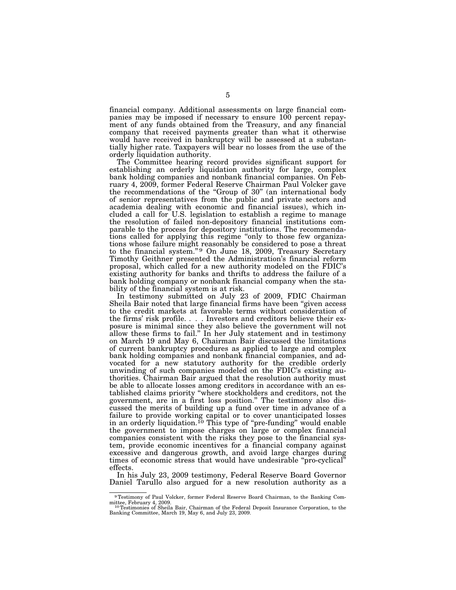financial company. Additional assessments on large financial companies may be imposed if necessary to ensure 100 percent repayment of any funds obtained from the Treasury, and any financial company that received payments greater than what it otherwise would have received in bankruptcy will be assessed at a substantially higher rate. Taxpayers will bear no losses from the use of the orderly liquidation authority.

The Committee hearing record provides significant support for establishing an orderly liquidation authority for large, complex bank holding companies and nonbank financial companies. On February 4, 2009, former Federal Reserve Chairman Paul Volcker gave the recommendations of the "Group of 30" (an international body of senior representatives from the public and private sectors and academia dealing with economic and financial issues), which included a call for U.S. legislation to establish a regime to manage the resolution of failed non-depository financial institutions comparable to the process for depository institutions. The recommendations called for applying this regime ''only to those few organizations whose failure might reasonably be considered to pose a threat to the financial system."<sup>9</sup> On June 18, 2009, Treasury Secretary Timothy Geithner presented the Administration's financial reform proposal, which called for a new authority modeled on the FDIC's existing authority for banks and thrifts to address the failure of a bank holding company or nonbank financial company when the stability of the financial system is at risk.

In testimony submitted on July 23 of 2009, FDIC Chairman Sheila Bair noted that large financial firms have been ''given access to the credit markets at favorable terms without consideration of the firms' risk profile. . . . Investors and creditors believe their exposure is minimal since they also believe the government will not allow these firms to fail.'' In her July statement and in testimony on March 19 and May 6, Chairman Bair discussed the limitations of current bankruptcy procedures as applied to large and complex bank holding companies and nonbank financial companies, and advocated for a new statutory authority for the credible orderly unwinding of such companies modeled on the FDIC's existing authorities. Chairman Bair argued that the resolution authority must be able to allocate losses among creditors in accordance with an established claims priority ''where stockholders and creditors, not the government, are in a first loss position.'' The testimony also discussed the merits of building up a fund over time in advance of a failure to provide working capital or to cover unanticipated losses in an orderly liquidation.<sup>10</sup> This type of "pre-funding" would enable the government to impose charges on large or complex financial companies consistent with the risks they pose to the financial system, provide economic incentives for a financial company against excessive and dangerous growth, and avoid large charges during times of economic stress that would have undesirable "pro-cyclical" effects.

In his July 23, 2009 testimony, Federal Reserve Board Governor Daniel Tarullo also argued for a new resolution authority as a

<sup>9</sup>Testimony of Paul Volcker, former Federal Reserve Board Chairman, to the Banking Com-

mittee, February 4, 2009.<br><sup>10</sup>Testimonies of Sheila Bair, Chairman of the Federal Deposit Insurance Corporation, to the<br>Banking Committee, March 19, May 6, and July 23, 2009.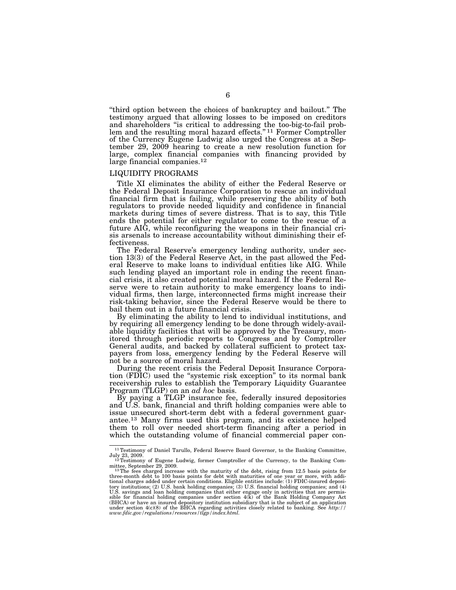''third option between the choices of bankruptcy and bailout.'' The testimony argued that allowing losses to be imposed on creditors and shareholders ''is critical to addressing the too-big-to-fail problem and the resulting moral hazard effects."<sup>11</sup> Former Comptroller of the Currency Eugene Ludwig also urged the Congress at a September 29, 2009 hearing to create a new resolution function for large, complex financial companies with financing provided by large financial companies.12

#### LIQUIDITY PROGRAMS

Title XI eliminates the ability of either the Federal Reserve or the Federal Deposit Insurance Corporation to rescue an individual financial firm that is failing, while preserving the ability of both regulators to provide needed liquidity and confidence in financial markets during times of severe distress. That is to say, this Title ends the potential for either regulator to come to the rescue of a future AIG, while reconfiguring the weapons in their financial crisis arsenals to increase accountability without diminishing their effectiveness.

The Federal Reserve's emergency lending authority, under section 13(3) of the Federal Reserve Act, in the past allowed the Federal Reserve to make loans to individual entities like AIG. While such lending played an important role in ending the recent financial crisis, it also created potential moral hazard. If the Federal Reserve were to retain authority to make emergency loans to individual firms, then large, interconnected firms might increase their risk-taking behavior, since the Federal Reserve would be there to bail them out in a future financial crisis.

By eliminating the ability to lend to individual institutions, and by requiring all emergency lending to be done through widely-available liquidity facilities that will be approved by the Treasury, monitored through periodic reports to Congress and by Comptroller General audits, and backed by collateral sufficient to protect taxpayers from loss, emergency lending by the Federal Reserve will not be a source of moral hazard.

During the recent crisis the Federal Deposit Insurance Corporation (FDIC) used the ''systemic risk exception'' to its normal bank receivership rules to establish the Temporary Liquidity Guarantee Program (TLGP) on an *ad hoc* basis.

By paying a TLGP insurance fee, federally insured depositories and U.S. bank, financial and thrift holding companies were able to issue unsecured short-term debt with a federal government guarantee.13 Many firms used this program, and its existence helped them to roll over needed short-term financing after a period in which the outstanding volume of financial commercial paper con-

<sup>&</sup>lt;sup>11</sup>Testimony of Daniel Tarullo, Federal Reserve Board Governor, to the Banking Committee,

July 23, 2009.<br>
<sup>12</sup>Testimony of Eugene Ludwig, former Comptroller of the Currency, to the Banking Com-<br>
mittee, September 29, 2009.

mittee, September 29, 2009.<br><sup>13</sup> The fees charged increase with the maturity of the debt, rising from 12.5 basis points for<br>three-month debt to 100 basis points for debt with maturities of one year or more, with addi-<br>tion tory institutions; (2) U.S. bank holding companies; (3) U.S. financial holding companies; and (4)<br>U.S. savings and loan holding companies that either engage only in activities that are permis-<br>sible for financial holding c (BHCA) or have an insured depository institution subsidiary that is the subject of an application (text) of the BHCA regarding activities closely related to banking. See *http:*//<br>under section 4(c)(8) of the BHCA regardi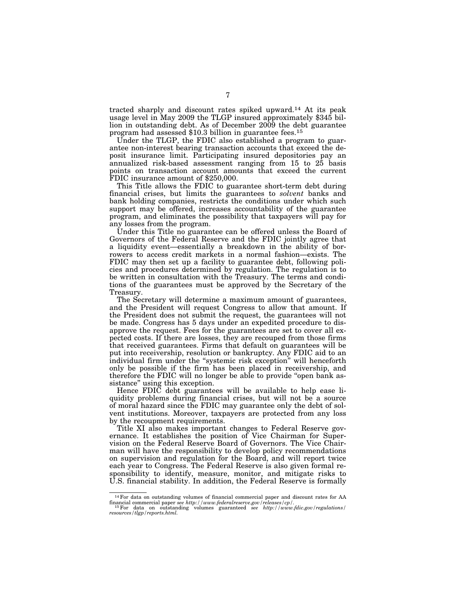tracted sharply and discount rates spiked upward.14 At its peak usage level in May 2009 the TLGP insured approximately \$345 billion in outstanding debt. As of December 2009 the debt guarantee program had assessed \$10.3 billion in guarantee fees.15

Under the TLGP, the FDIC also established a program to guarantee non-interest bearing transaction accounts that exceed the deposit insurance limit. Participating insured depositories pay an annualized risk-based assessment ranging from 15 to 25 basis points on transaction account amounts that exceed the current FDIC insurance amount of \$250,000.

This Title allows the FDIC to guarantee short-term debt during financial crises, but limits the guarantees to *solvent* banks and bank holding companies, restricts the conditions under which such support may be offered, increases accountability of the guarantee program, and eliminates the possibility that taxpayers will pay for any losses from the program.

Under this Title no guarantee can be offered unless the Board of Governors of the Federal Reserve and the FDIC jointly agree that a liquidity event—essentially a breakdown in the ability of borrowers to access credit markets in a normal fashion—exists. The FDIC may then set up a facility to guarantee debt, following policies and procedures determined by regulation. The regulation is to be written in consultation with the Treasury. The terms and conditions of the guarantees must be approved by the Secretary of the Treasury.

The Secretary will determine a maximum amount of guarantees, and the President will request Congress to allow that amount. If the President does not submit the request, the guarantees will not be made. Congress has 5 days under an expedited procedure to disapprove the request. Fees for the guarantees are set to cover all expected costs. If there are losses, they are recouped from those firms that received guarantees. Firms that default on guarantees will be put into receivership, resolution or bankruptcy. Any FDIC aid to an individual firm under the "systemic risk exception" will henceforth only be possible if the firm has been placed in receivership, and therefore the FDIC will no longer be able to provide ''open bank assistance'' using this exception.

Hence FDIC debt guarantees will be available to help ease liquidity problems during financial crises, but will not be a source of moral hazard since the FDIC may guarantee only the debt of solvent institutions. Moreover, taxpayers are protected from any loss by the recoupment requirements.

Title XI also makes important changes to Federal Reserve governance. It establishes the position of Vice Chairman for Supervision on the Federal Reserve Board of Governors. The Vice Chairman will have the responsibility to develop policy recommendations on supervision and regulation for the Board, and will report twice each year to Congress. The Federal Reserve is also given formal responsibility to identify, measure, monitor, and mitigate risks to U.S. financial stability. In addition, the Federal Reserve is formally

<sup>14</sup>For data on outstanding volumes of financial commercial paper and discount rates for AA

financial commercial paper *see http://www.federalreserve.gov/releases/cp/.* 15For data on outstanding volumes guaranteed *see http://www.fdic.gov/regulations/ resources/tlgp/reports.html.*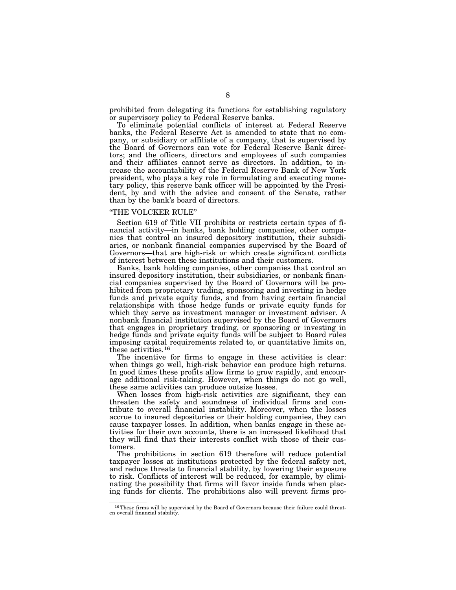prohibited from delegating its functions for establishing regulatory or supervisory policy to Federal Reserve banks.

To eliminate potential conflicts of interest at Federal Reserve banks, the Federal Reserve Act is amended to state that no company, or subsidiary or affiliate of a company, that is supervised by the Board of Governors can vote for Federal Reserve Bank directors; and the officers, directors and employees of such companies and their affiliates cannot serve as directors. In addition, to increase the accountability of the Federal Reserve Bank of New York president, who plays a key role in formulating and executing monetary policy, this reserve bank officer will be appointed by the President, by and with the advice and consent of the Senate, rather than by the bank's board of directors.

# ''THE VOLCKER RULE''

Section 619 of Title VII prohibits or restricts certain types of financial activity—in banks, bank holding companies, other companies that control an insured depository institution, their subsidiaries, or nonbank financial companies supervised by the Board of Governors—that are high-risk or which create significant conflicts of interest between these institutions and their customers.

Banks, bank holding companies, other companies that control an insured depository institution, their subsidiaries, or nonbank financial companies supervised by the Board of Governors will be prohibited from proprietary trading, sponsoring and investing in hedge funds and private equity funds, and from having certain financial relationships with those hedge funds or private equity funds for which they serve as investment manager or investment adviser. A nonbank financial institution supervised by the Board of Governors that engages in proprietary trading, or sponsoring or investing in hedge funds and private equity funds will be subject to Board rules imposing capital requirements related to, or quantitative limits on, these activities.16

The incentive for firms to engage in these activities is clear: when things go well, high-risk behavior can produce high returns. In good times these profits allow firms to grow rapidly, and encourage additional risk-taking. However, when things do not go well, these same activities can produce outsize losses.

When losses from high-risk activities are significant, they can threaten the safety and soundness of individual firms and contribute to overall financial instability. Moreover, when the losses accrue to insured depositories or their holding companies, they can cause taxpayer losses. In addition, when banks engage in these activities for their own accounts, there is an increased likelihood that they will find that their interests conflict with those of their customers.

The prohibitions in section 619 therefore will reduce potential taxpayer losses at institutions protected by the federal safety net, and reduce threats to financial stability, by lowering their exposure to risk. Conflicts of interest will be reduced, for example, by eliminating the possibility that firms will favor inside funds when placing funds for clients. The prohibitions also will prevent firms pro-

<sup>16</sup>These firms will be supervised by the Board of Governors because their failure could threat-en overall financial stability.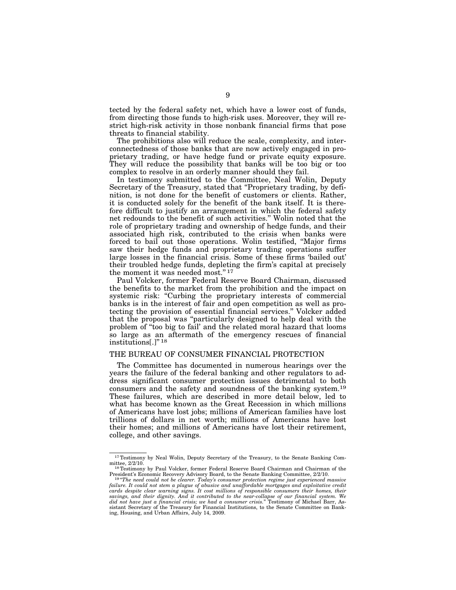tected by the federal safety net, which have a lower cost of funds, from directing those funds to high-risk uses. Moreover, they will restrict high-risk activity in those nonbank financial firms that pose threats to financial stability.

The prohibitions also will reduce the scale, complexity, and interconnectedness of those banks that are now actively engaged in proprietary trading, or have hedge fund or private equity exposure. They will reduce the possibility that banks will be too big or too complex to resolve in an orderly manner should they fail.

In testimony submitted to the Committee, Neal Wolin, Deputy Secretary of the Treasury, stated that "Proprietary trading, by definition, is not done for the benefit of customers or clients. Rather, it is conducted solely for the benefit of the bank itself. It is therefore difficult to justify an arrangement in which the federal safety net redounds to the benefit of such activities.'' Wolin noted that the role of proprietary trading and ownership of hedge funds, and their associated high risk, contributed to the crisis when banks were forced to bail out those operations. Wolin testified, ''Major firms saw their hedge funds and proprietary trading operations suffer large losses in the financial crisis. Some of these firms 'bailed out' their troubled hedge funds, depleting the firm's capital at precisely the moment it was needed most.'' 17

Paul Volcker, former Federal Reserve Board Chairman, discussed the benefits to the market from the prohibition and the impact on systemic risk: "Curbing the proprietary interests of commercial banks is in the interest of fair and open competition as well as protecting the provision of essential financial services.'' Volcker added that the proposal was ''particularly designed to help deal with the problem of "too big to fail' and the related moral hazard that looms so large as an aftermath of the emergency rescues of financial institutions[.]'' 18

## THE BUREAU OF CONSUMER FINANCIAL PROTECTION

The Committee has documented in numerous hearings over the years the failure of the federal banking and other regulators to address significant consumer protection issues detrimental to both consumers and the safety and soundness of the banking system.19 These failures, which are described in more detail below, led to what has become known as the Great Recession in which millions of Americans have lost jobs; millions of American families have lost trillions of dollars in net worth; millions of Americans have lost their homes; and millions of Americans have lost their retirement, college, and other savings.

 $17$ Testimony by Neal Wolin, Deputy Secretary of the Treasury, to the Senate Banking Com-<br>mittee.  $2/2/10$ .

<sup>&</sup>lt;sup>18</sup>Testimony by Paul Volcker, former Federal Reserve Board Chairman and Chairman of the President's Economic Recovery Advisory Board, to the Senate Banking Committee, 2/2/10.

<sup>&</sup>lt;sup>19</sup> "The need could not be clearer. Today's consumer protection regime just experienced massive failure. It could not stem a plague of abusive and unaffordable mortgages and exploitative credit *cards despite clear warning signs. It cost millions of responsible consumers their homes, their savings, and their dignity. And it contributed to the near-collapse of our financial system. We did not have just a financial crisis; we had a consumer crisis.*'' Testimony of Michael Barr, Assistant Secretary of the Treasury for Financial Institutions, to the Senate Committee on Banking, Housing, and Urban Affairs, July 14, 2009.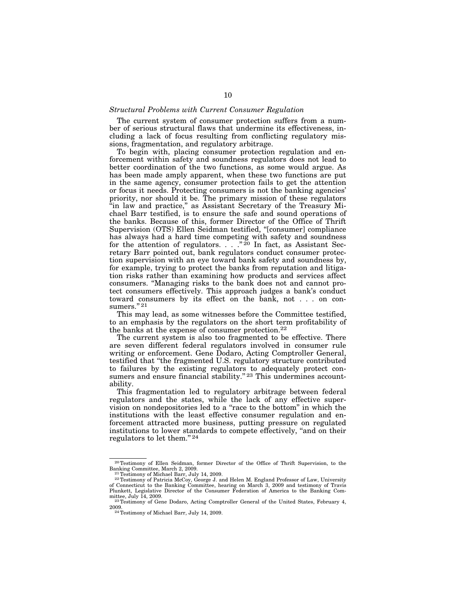#### *Structural Problems with Current Consumer Regulation*

The current system of consumer protection suffers from a number of serious structural flaws that undermine its effectiveness, including a lack of focus resulting from conflicting regulatory missions, fragmentation, and regulatory arbitrage.

To begin with, placing consumer protection regulation and enforcement within safety and soundness regulators does not lead to better coordination of the two functions, as some would argue. As has been made amply apparent, when these two functions are put in the same agency, consumer protection fails to get the attention or focus it needs. Protecting consumers is not the banking agencies' priority, nor should it be. The primary mission of these regulators ''in law and practice,'' as Assistant Secretary of the Treasury Michael Barr testified, is to ensure the safe and sound operations of the banks. Because of this, former Director of the Office of Thrift Supervision (OTS) Ellen Seidman testified, ''[consumer] compliance has always had a hard time competing with safety and soundness for the attention of regulators.  $\therefore$  ."<sup>20</sup> In fact, as Assistant Secretary Barr pointed out, bank regulators conduct consumer protection supervision with an eye toward bank safety and soundness by, for example, trying to protect the banks from reputation and litigation risks rather than examining how products and services affect consumers. ''Managing risks to the bank does not and cannot protect consumers effectively. This approach judges a bank's conduct toward consumers by its effect on the bank, not . . . on consumers."<sup>21</sup>

This may lead, as some witnesses before the Committee testified, to an emphasis by the regulators on the short term profitability of the banks at the expense of consumer protection.22

The current system is also too fragmented to be effective. There are seven different federal regulators involved in consumer rule writing or enforcement. Gene Dodaro, Acting Comptroller General, testified that ''the fragmented U.S. regulatory structure contributed to failures by the existing regulators to adequately protect consumers and ensure financial stability."<sup>23</sup> This undermines accountability.

This fragmentation led to regulatory arbitrage between federal regulators and the states, while the lack of any effective supervision on nondepositories led to a ''race to the bottom'' in which the institutions with the least effective consumer regulation and enforcement attracted more business, putting pressure on regulated institutions to lower standards to compete effectively, ''and on their regulators to let them.'' 24

<sup>&</sup>lt;sup>20</sup>Testimony of Ellen Seidman, former Director of the Office of Thrift Supervision, to the Banking Committee, March 2, 2009.

 $\frac{21 \text{ Testimony of Michael Barr, July 14, 2009}}{22 \text{Testimony of Michael Barr, July 14, 2009}}$ . of Connecticut to the Banking Committee, hearing on March 3, 2009 and testimony of Travis Plunkett, Legislative Director of the Consumer Federation of America to the Banking Com-

mittee, July 14, 2009.<br><sup>23</sup>Testimony of Gene Dodaro, Acting Comptroller General of the United States, February 4, 2009.

<sup>&</sup>lt;sup>24</sup> Testimony of Michael Barr, July 14, 2009.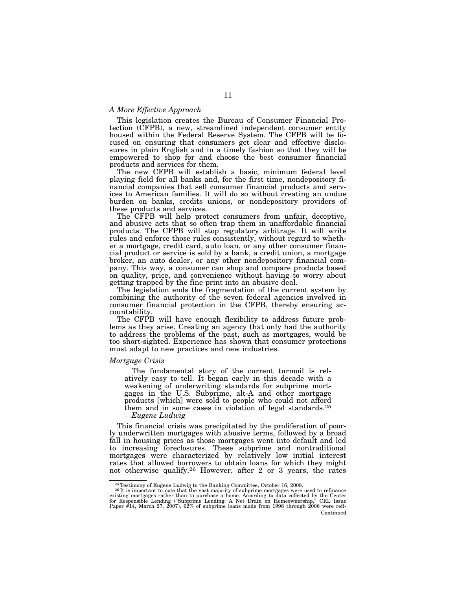## *A More Effective Approach*

This legislation creates the Bureau of Consumer Financial Protection (CFPB), a new, streamlined independent consumer entity housed within the Federal Reserve System. The CFPB will be focused on ensuring that consumers get clear and effective disclosures in plain English and in a timely fashion so that they will be empowered to shop for and choose the best consumer financial products and services for them.

The new CFPB will establish a basic, minimum federal level playing field for all banks and, for the first time, nondepository financial companies that sell consumer financial products and services to American families. It will do so without creating an undue burden on banks, credits unions, or nondepository providers of these products and services.

The CFPB will help protect consumers from unfair, deceptive, and abusive acts that so often trap them in unaffordable financial products. The CFPB will stop regulatory arbitrage. It will write rules and enforce those rules consistently, without regard to whether a mortgage, credit card, auto loan, or any other consumer financial product or service is sold by a bank, a credit union, a mortgage broker, an auto dealer, or any other nondepository financial company. This way, a consumer can shop and compare products based on quality, price, and convenience without having to worry about getting trapped by the fine print into an abusive deal.

The legislation ends the fragmentation of the current system by combining the authority of the seven federal agencies involved in consumer financial protection in the CFPB, thereby ensuring accountability.

The CFPB will have enough flexibility to address future problems as they arise. Creating an agency that only had the authority to address the problems of the past, such as mortgages, would be too short-sighted. Experience has shown that consumer protections must adapt to new practices and new industries.

### *Mortgage Crisis*

The fundamental story of the current turmoil is relatively easy to tell. It began early in this decade with a weakening of underwriting standards for subprime mortgages in the U.S. Subprime, alt-A and other mortgage products [which] were sold to people who could not afford them and in some cases in violation of legal standards.25 *—Eugene Ludwig* 

This financial crisis was precipitated by the proliferation of poorly underwritten mortgages with abusive terms, followed by a broad fall in housing prices as those mortgages went into default and led to increasing foreclosures. These subprime and nontraditional mortgages were characterized by relatively low initial interest rates that allowed borrowers to obtain loans for which they might not otherwise qualify.26 However, after 2 or 3 years, the rates

 $^{25}\rm{Test}$  mony of Eugene Ludwig to the Banking Committee, October 16, 2008.  $^{26}\rm{It}$  is important to note that the vast majority of subprime mortgages were used to refinance existing mortgages rather than to purchase a home. According to data collected by the Center<br>for Responsible Lending ("Subprime Lending: A Net Drain on Homeownership," CRL Issue<br>Paper #14, March 27, 2007), 62% of subprime Continued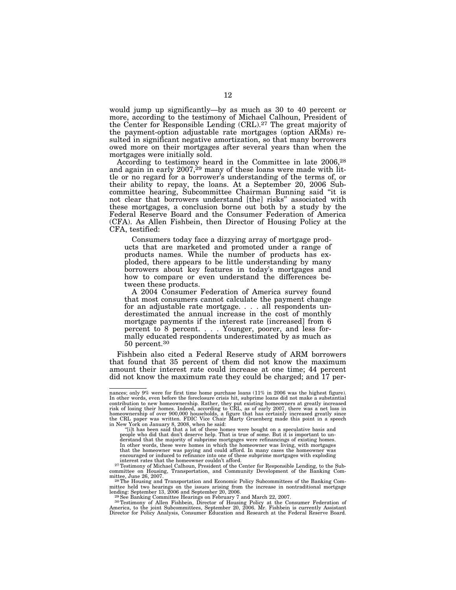would jump up significantly—by as much as 30 to 40 percent or more, according to the testimony of Michael Calhoun, President of the Center for Responsible Lending (CRL).27 The great majority of the payment-option adjustable rate mortgages (option ARMs) resulted in significant negative amortization, so that many borrowers owed more on their mortgages after several years than when the mortgages were initially sold.

According to testimony heard in the Committee in late 2006,28 and again in early  $2007<sup>29</sup>$  many of these loans were made with little or no regard for a borrower's understanding of the terms of, or their ability to repay, the loans. At a September 20, 2006 Subcommittee hearing, Subcommittee Chairman Bunning said ''it is not clear that borrowers understand [the] risks'' associated with these mortgages, a conclusion borne out both by a study by the Federal Reserve Board and the Consumer Federation of America (CFA). As Allen Fishbein, then Director of Housing Policy at the CFA, testified:

Consumers today face a dizzying array of mortgage products that are marketed and promoted under a range of products names. While the number of products has exploded, there appears to be little understanding by many borrowers about key features in today's mortgages and how to compare or even understand the differences between these products.

A 2004 Consumer Federation of America survey found that most consumers cannot calculate the payment change for an adjustable rate mortgage. . . . all respondents underestimated the annual increase in the cost of monthly mortgage payments if the interest rate [increased] from 6 percent to 8 percent. . . . Younger, poorer, and less formally educated respondents underestimated by as much as 50 percent.30

Fishbein also cited a Federal Reserve study of ARM borrowers that found that 35 percent of them did not know the maximum amount their interest rate could increase at one time; 44 percent did not know the maximum rate they could be charged; and 17 per-

nances; only 9% were for first time home purchase loans (11% in 2006 was the highest figure). In other words, even before the foreclosure crisis hit, subprime loans did not make a substantial contribution to new homeownership. Rather, they put existing homeowners at greatly increased risk of losing their homes. Indeed, according to CRL, as of early 2007, there was a net loss in<br>homeownership of over 900,000 households, a figure that has certainly increased greatly since<br>the CRL paper was written. FDIC

in New York on January 8, 2008, when he said: "[i]t has been said that a lot of these homes were bought on a speculative basis and<br>"[i]t has been said that don't deserve help. That is true of some. But it is important to u derstand that the majority of subprime mortgages were refinancings of existing homes.<br>In other words, these were homes in which the homeowner was living, with mortgages<br>that the homeowner was paying and could afford. In ma encouraged or induced to refinance into one of these subprime mortgages with exploding interest rates that the homeowner couldn't afford. 27Testimony of Michael Calhoun, President of the Center for Responsible Lending, to the Sub-

committee on Housing, Transportation, and Community Development of the Banking Com-

<sup>28</sup> The Housing and Transportation and Economic Policy Subcommittees of the Banking Committee held two hearings on the issues arising from the increase in nontraditional mortgage lending: September 13, 2006 and September 20, 2006.<br>
<sup>29</sup> See Banking Committee Hearings on February 7 and March 22, 2007.<br>
<sup>29</sup> S

America, to the joint Subcommittees, September 20, 2006. Mr. Fishbein is currently Assistant Director for Policy Analysis, Consumer Education and Research at the Federal Reserve Board.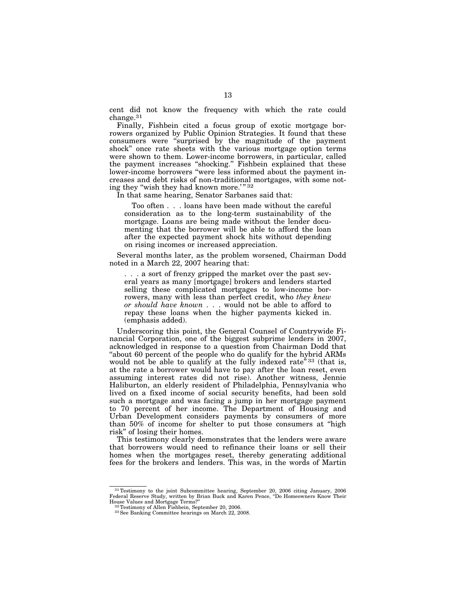cent did not know the frequency with which the rate could change.31

Finally, Fishbein cited a focus group of exotic mortgage borrowers organized by Public Opinion Strategies. It found that these consumers were ''surprised by the magnitude of the payment shock'' once rate sheets with the various mortgage option terms were shown to them. Lower-income borrowers, in particular, called the payment increases ''shocking.'' Fishbein explained that these lower-income borrowers ''were less informed about the payment increases and debt risks of non-traditional mortgages, with some noting they "wish they had known more.'" 32

In that same hearing, Senator Sarbanes said that:

Too often . . . loans have been made without the careful consideration as to the long-term sustainability of the mortgage. Loans are being made without the lender documenting that the borrower will be able to afford the loan after the expected payment shock hits without depending on rising incomes or increased appreciation.

Several months later, as the problem worsened, Chairman Dodd noted in a March 22, 2007 hearing that:

. . . a sort of frenzy gripped the market over the past several years as many [mortgage] brokers and lenders started selling these complicated mortgages to low-income borrowers, many with less than perfect credit, who *they knew or should have known* . . . would not be able to afford to repay these loans when the higher payments kicked in. (emphasis added).

Underscoring this point, the General Counsel of Countrywide Financial Corporation, one of the biggest subprime lenders in 2007, acknowledged in response to a question from Chairman Dodd that "about 60 percent of the people who do qualify for the hybrid ARMs would not be able to qualify at the fully indexed rate"<sup>33</sup> (that is, at the rate a borrower would have to pay after the loan reset, even assuming interest rates did not rise). Another witness, Jennie Haliburton, an elderly resident of Philadelphia, Pennsylvania who lived on a fixed income of social security benefits, had been sold such a mortgage and was facing a jump in her mortgage payment to 70 percent of her income. The Department of Housing and Urban Development considers payments by consumers of more than 50% of income for shelter to put those consumers at ''high risk'' of losing their homes.

This testimony clearly demonstrates that the lenders were aware that borrowers would need to refinance their loans or sell their homes when the mortgages reset, thereby generating additional fees for the brokers and lenders. This was, in the words of Martin

<sup>&</sup>lt;sup>31</sup> Testimony to the joint Subcommittee hearing, September 20, 2006 citing January, 2006 Federal Reserve Study, written by Brian Buck and Karen Pence, "Do Homeowners Know Their

<sup>&</sup>lt;sup>32</sup>Testimony of Allen Fishbein, September 20, 2006.<br><sup>33</sup>See Banking Committee hearings on March 22, 2008.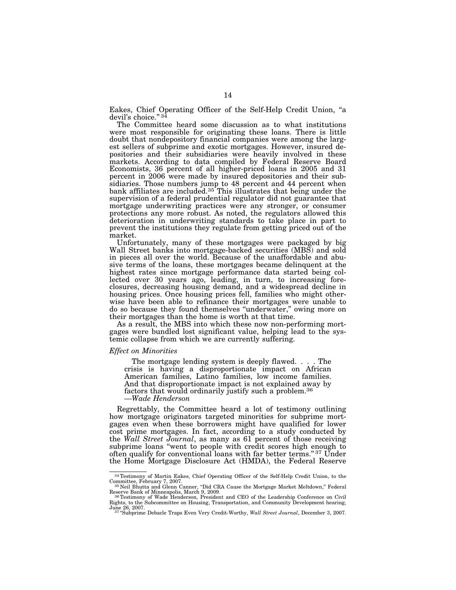Eakes, Chief Operating Officer of the Self-Help Credit Union, ''a devil's choice." 34

The Committee heard some discussion as to what institutions were most responsible for originating these loans. There is little doubt that nondepository financial companies were among the largest sellers of subprime and exotic mortgages. However, insured depositories and their subsidiaries were heavily involved in these markets. According to data compiled by Federal Reserve Board Economists, 36 percent of all higher-priced loans in 2005 and 31 percent in 2006 were made by insured depositories and their subsidiaries. Those numbers jump to 48 percent and 44 percent when bank affiliates are included.<sup>35</sup> This illustrates that being under the supervision of a federal prudential regulator did not guarantee that mortgage underwriting practices were any stronger, or consumer protections any more robust. As noted, the regulators allowed this deterioration in underwriting standards to take place in part to prevent the institutions they regulate from getting priced out of the market.

Unfortunately, many of these mortgages were packaged by big Wall Street banks into mortgage-backed securities (MBS) and sold in pieces all over the world. Because of the unaffordable and abusive terms of the loans, these mortgages became delinquent at the highest rates since mortgage performance data started being collected over 30 years ago, leading, in turn, to increasing foreclosures, decreasing housing demand, and a widespread decline in housing prices. Once housing prices fell, families who might otherwise have been able to refinance their mortgages were unable to do so because they found themselves ''underwater,'' owing more on their mortgages than the home is worth at that time.

As a result, the MBS into which these now non-performing mortgages were bundled lost significant value, helping lead to the systemic collapse from which we are currently suffering.

#### *Effect on Minorities*

The mortgage lending system is deeply flawed. . . . The crisis is having a disproportionate impact on African American families, Latino families, low income families. And that disproportionate impact is not explained away by factors that would ordinarily justify such a problem.36 —*Wade Henderson* 

Regrettably, the Committee heard a lot of testimony outlining how mortgage originators targeted minorities for subprime mortgages even when these borrowers might have qualified for lower cost prime mortgages. In fact, according to a study conducted by the *Wall Street Journal*, as many as 61 percent of those receiving subprime loans ''went to people with credit scores high enough to often qualify for conventional loans with far better terms."<sup>37</sup> Under the Home Mortgage Disclosure Act (HMDA), the Federal Reserve

 $^{34}$ Testimony of Martin Eakes, Chief Operating Officer of the Self-Help Credit Union, to the Committee, February 7, 2007.<br> $^{35}$ Neil Bhutta and Glenn Canner, "Did CRA Cause the Mortgage Market Meltdown," Federal

Reserve Bank of Minneapolis, March 9, 2009.<br><sup>36</sup>Testimony of Wade Henderson, President and CEO of the Leadership Conference on Civil

Rights, to the Subcommittee on Housing, Transportation, and Community Development hearing,<br>June 26, 2007.<br><sup>37"</sup>Subprime Debacle Traps Even Very Credit-Worthy, *Wall Street Journal*, December 3, 2007.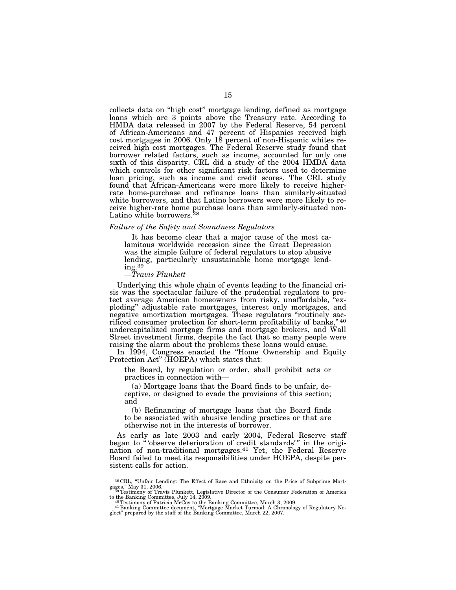collects data on ''high cost'' mortgage lending, defined as mortgage loans which are 3 points above the Treasury rate. According to HMDA data released in 2007 by the Federal Reserve, 54 percent of African-Americans and 47 percent of Hispanics received high cost mortgages in 2006. Only 18 percent of non-Hispanic whites received high cost mortgages. The Federal Reserve study found that borrower related factors, such as income, accounted for only one sixth of this disparity. CRL did a study of the 2004 HMDA data which controls for other significant risk factors used to determine loan pricing, such as income and credit scores. The CRL study found that African-Americans were more likely to receive higherrate home-purchase and refinance loans than similarly-situated white borrowers, and that Latino borrowers were more likely to receive higher-rate home purchase loans than similarly-situated non-Latino white borrowers.<sup>38</sup>

#### *Failure of the Safety and Soundness Regulators*

It has become clear that a major cause of the most calamitous worldwide recession since the Great Depression was the simple failure of federal regulators to stop abusive lending, particularly unsustainable home mortgage lending.39

## —*Travis Plunkett*

Underlying this whole chain of events leading to the financial crisis was the spectacular failure of the prudential regulators to protect average American homeowners from risky, unaffordable, ''exploding'' adjustable rate mortgages, interest only mortgages, and negative amortization mortgages. These regulators ''routinely sacrificed consumer protection for short-term profitability of banks,'' 40 undercapitalized mortgage firms and mortgage brokers, and Wall Street investment firms, despite the fact that so many people were raising the alarm about the problems these loans would cause.

In 1994, Congress enacted the "Home Ownership and Equity Protection Act" (HOEPA) which states that:

the Board, by regulation or order, shall prohibit acts or practices in connection with—

(a) Mortgage loans that the Board finds to be unfair, deceptive, or designed to evade the provisions of this section; and

(b) Refinancing of mortgage loans that the Board finds to be associated with abusive lending practices or that are otherwise not in the interests of borrower.

As early as late 2003 and early 2004, Federal Reserve staff began to "'observe deterioration of credit standards'" in the origination of non-traditional mortgages.41 Yet, the Federal Reserve Board failed to meet its responsibilities under HOEPA, despite persistent calls for action.

<sup>38</sup> CRL, ''Unfair Lending: The Effect of Race and Ethnicity on the Price of Subprime Mortgages," May 31, 2006.<br><sup>39</sup>Testimony of Travis Plunkett, Legislative Director of the Consumer Federation of America

to the Banking Committee, July 14, 2009.<br><sup>40</sup> Testimony of Patricia McCoy to the Banking Committee, March 3, 2009.<br><sup>41</sup> Banking Committee document, "Mortgage Market Turmoil: A Chronology of Regulatory Ne-<br>glect" prepared b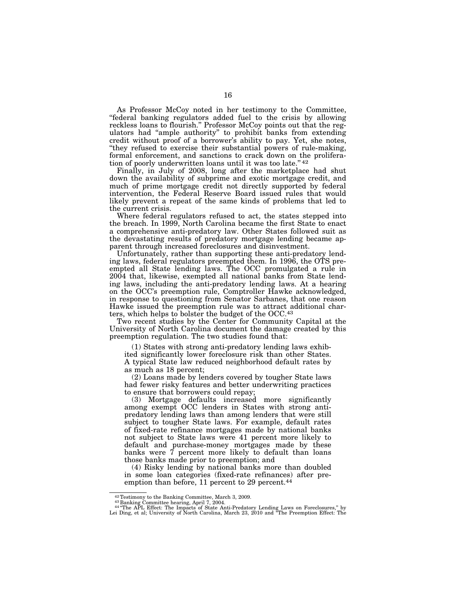As Professor McCoy noted in her testimony to the Committee, ''federal banking regulators added fuel to the crisis by allowing reckless loans to flourish.'' Professor McCoy points out that the regulators had ''ample authority'' to prohibit banks from extending credit without proof of a borrower's ability to pay. Yet, she notes, ''they refused to exercise their substantial powers of rule-making, formal enforcement, and sanctions to crack down on the proliferation of poorly underwritten loans until it was too late."<sup>42</sup>

Finally, in July of 2008, long after the marketplace had shut down the availability of subprime and exotic mortgage credit, and much of prime mortgage credit not directly supported by federal intervention, the Federal Reserve Board issued rules that would likely prevent a repeat of the same kinds of problems that led to the current crisis.

Where federal regulators refused to act, the states stepped into the breach. In 1999, North Carolina became the first State to enact a comprehensive anti-predatory law. Other States followed suit as the devastating results of predatory mortgage lending became apparent through increased foreclosures and disinvestment.

Unfortunately, rather than supporting these anti-predatory lending laws, federal regulators preempted them. In 1996, the OTS preempted all State lending laws. The OCC promulgated a rule in 2004 that, likewise, exempted all national banks from State lending laws, including the anti-predatory lending laws. At a hearing on the OCC's preemption rule, Comptroller Hawke acknowledged, in response to questioning from Senator Sarbanes, that one reason Hawke issued the preemption rule was to attract additional charters, which helps to bolster the budget of the OCC.43

Two recent studies by the Center for Community Capital at the University of North Carolina document the damage created by this preemption regulation. The two studies found that:

(1) States with strong anti-predatory lending laws exhibited significantly lower foreclosure risk than other States. A typical State law reduced neighborhood default rates by as much as 18 percent;

(2) Loans made by lenders covered by tougher State laws had fewer risky features and better underwriting practices to ensure that borrowers could repay;

(3) Mortgage defaults increased more significantly among exempt OCC lenders in States with strong antipredatory lending laws than among lenders that were still subject to tougher State laws. For example, default rates of fixed-rate refinance mortgages made by national banks not subject to State laws were 41 percent more likely to default and purchase-money mortgages made by these banks were 7 percent more likely to default than loans those banks made prior to preemption; and

(4) Risky lending by national banks more than doubled in some loan categories (fixed-rate refinances) after preemption than before, 11 percent to 29 percent.<sup>44</sup>

<sup>&</sup>lt;sup>42</sup> Testimony to the Banking Committee, March 3, 2009.<br><sup>43</sup> Banking Committee hearing, April 7, 2004.<br><sup>44</sup> The APL Effect: The Impacts of State Anti-Predatory Lending Laws on Foreclosures," by<br>Lei Ding, et al; University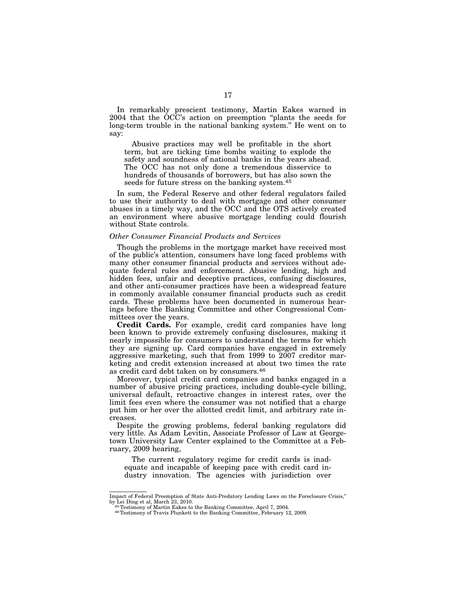In remarkably prescient testimony, Martin Eakes warned in 2004 that the OCC's action on preemption ''plants the seeds for long-term trouble in the national banking system.'' He went on to say:

Abusive practices may well be profitable in the short term, but are ticking time bombs waiting to explode the safety and soundness of national banks in the years ahead. The OCC has not only done a tremendous disservice to hundreds of thousands of borrowers, but has also sown the seeds for future stress on the banking system.45

In sum, the Federal Reserve and other federal regulators failed to use their authority to deal with mortgage and other consumer abuses in a timely way, and the OCC and the OTS actively created an environment where abusive mortgage lending could flourish without State controls.

#### *Other Consumer Financial Products and Services*

Though the problems in the mortgage market have received most of the public's attention, consumers have long faced problems with many other consumer financial products and services without adequate federal rules and enforcement. Abusive lending, high and hidden fees, unfair and deceptive practices, confusing disclosures, and other anti-consumer practices have been a widespread feature in commonly available consumer financial products such as credit cards. These problems have been documented in numerous hearings before the Banking Committee and other Congressional Committees over the years.

**Credit Cards.** For example, credit card companies have long been known to provide extremely confusing disclosures, making it nearly impossible for consumers to understand the terms for which they are signing up. Card companies have engaged in extremely aggressive marketing, such that from 1999 to 2007 creditor marketing and credit extension increased at about two times the rate as credit card debt taken on by consumers.46

Moreover, typical credit card companies and banks engaged in a number of abusive pricing practices, including double-cycle billing, universal default, retroactive changes in interest rates, over the limit fees even where the consumer was not notified that a charge put him or her over the allotted credit limit, and arbitrary rate increases.

Despite the growing problems, federal banking regulators did very little. As Adam Levitin, Associate Professor of Law at Georgetown University Law Center explained to the Committee at a February, 2009 hearing,

The current regulatory regime for credit cards is inadequate and incapable of keeping pace with credit card industry innovation. The agencies with jurisdiction over

Impact of Federal Preemption of State Anti-Predatory Lending Laws on the Foreclosure Crisis,''

<sup>&</sup>lt;sup>45</sup>Testimony of Martin Eakes to the Banking Committee, April 7, 2004. <sup>46</sup>Testimony of Travis Plunkett to the Banking Committee, February 12, 2009.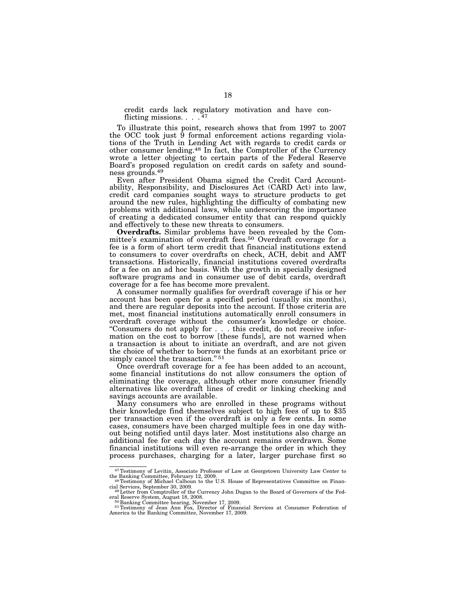credit cards lack regulatory motivation and have conflicting missions. . . .  $47$ 

To illustrate this point, research shows that from 1997 to 2007 the OCC took just  $\overline{9}$  formal enforcement actions regarding violations of the Truth in Lending Act with regards to credit cards or other consumer lending.48 In fact, the Comptroller of the Currency wrote a letter objecting to certain parts of the Federal Reserve Board's proposed regulation on credit cards on safety and soundness grounds.49

Even after President Obama signed the Credit Card Accountability, Responsibility, and Disclosures Act (CARD Act) into law, credit card companies sought ways to structure products to get around the new rules, highlighting the difficulty of combating new problems with additional laws, while underscoring the importance of creating a dedicated consumer entity that can respond quickly and effectively to these new threats to consumers.

**Overdrafts.** Similar problems have been revealed by the Committee's examination of overdraft fees.50 Overdraft coverage for a fee is a form of short term credit that financial institutions extend to consumers to cover overdrafts on check, ACH, debit and AMT transactions. Historically, financial institutions covered overdrafts for a fee on an ad hoc basis. With the growth in specially designed software programs and in consumer use of debit cards, overdraft coverage for a fee has become more prevalent.

A consumer normally qualifies for overdraft coverage if his or her account has been open for a specified period (usually six months), and there are regular deposits into the account. If those criteria are met, most financial institutions automatically enroll consumers in overdraft coverage without the consumer's knowledge or choice. ''Consumers do not apply for . . . this credit, do not receive information on the cost to borrow [these funds], are not warned when a transaction is about to initiate an overdraft, and are not given the choice of whether to borrow the funds at an exorbitant price or simply cancel the transaction."<sup>51</sup>

Once overdraft coverage for a fee has been added to an account, some financial institutions do not allow consumers the option of eliminating the coverage, although other more consumer friendly alternatives like overdraft lines of credit or linking checking and savings accounts are available.

Many consumers who are enrolled in these programs without their knowledge find themselves subject to high fees of up to \$35 per transaction even if the overdraft is only a few cents. In some cases, consumers have been charged multiple fees in one day without being notified until days later. Most institutions also charge an additional fee for each day the account remains overdrawn. Some financial institutions will even re-arrange the order in which they process purchases, charging for a later, larger purchase first so

<sup>&</sup>lt;sup>47</sup>Testimony of Levitin, Associate Professor of Law at Georgetown University Law Center to the Banking Committee, February 12, 2009.<br><sup>48</sup>Testimony of Michael Calhoun to the U.S. House of Representatives Committee on Finan

cial Services, September 30, 2009.<br>
<sup>49</sup>Letter from Comptroller of the Currency John Dugan to the Board of Governors of the Fed-<br>
real Reserve System, August 18, 2008.

eral Reserve System, August 18, 2008.<br><sup>50</sup> Banking Committee hearing, November 17, 2009.<br><sup>51</sup> Testimony of Jean Ann Fox, Director of Financial Services at Consumer Federation of<br>America to the Banking Committee, November 1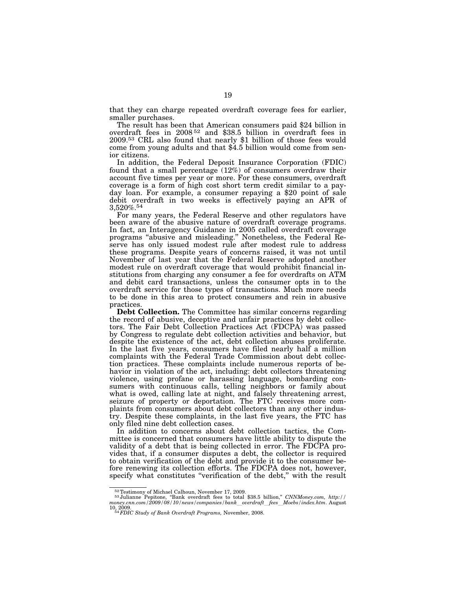that they can charge repeated overdraft coverage fees for earlier, smaller purchases.

The result has been that American consumers paid \$24 billion in overdraft fees in 2008 52 and \$38.5 billion in overdraft fees in 2009.53 CRL also found that nearly \$1 billion of those fees would come from young adults and that \$4.5 billion would come from senior citizens.

In addition, the Federal Deposit Insurance Corporation (FDIC) found that a small percentage (12%) of consumers overdraw their account five times per year or more. For these consumers, overdraft coverage is a form of high cost short term credit similar to a payday loan. For example, a consumer repaying a \$20 point of sale debit overdraft in two weeks is effectively paying an APR of 3,520%.54

For many years, the Federal Reserve and other regulators have been aware of the abusive nature of overdraft coverage programs. In fact, an Interagency Guidance in 2005 called overdraft coverage programs ''abusive and misleading.'' Nonetheless, the Federal Reserve has only issued modest rule after modest rule to address these programs. Despite years of concerns raised, it was not until November of last year that the Federal Reserve adopted another modest rule on overdraft coverage that would prohibit financial institutions from charging any consumer a fee for overdrafts on ATM and debit card transactions, unless the consumer opts in to the overdraft service for those types of transactions. Much more needs to be done in this area to protect consumers and rein in abusive practices.

**Debt Collection.** The Committee has similar concerns regarding the record of abusive, deceptive and unfair practices by debt collectors. The Fair Debt Collection Practices Act (FDCPA) was passed by Congress to regulate debt collection activities and behavior, but despite the existence of the act, debt collection abuses proliferate. In the last five years, consumers have filed nearly half a million complaints with the Federal Trade Commission about debt collection practices. These complaints include numerous reports of behavior in violation of the act, including: debt collectors threatening violence, using profane or harassing language, bombarding consumers with continuous calls, telling neighbors or family about what is owed, calling late at night, and falsely threatening arrest, seizure of property or deportation. The FTC receives more complaints from consumers about debt collectors than any other industry. Despite these complaints, in the last five years, the FTC has only filed nine debt collection cases.

In addition to concerns about debt collection tactics, the Committee is concerned that consumers have little ability to dispute the validity of a debt that is being collected in error. The FDCPA provides that, if a consumer disputes a debt, the collector is required to obtain verification of the debt and provide it to the consumer before renewing its collection efforts. The FDCPA does not, however, specify what constitutes ''verification of the debt,'' with the result

<sup>52</sup>Testimony of Michael Calhoun, November 17, 2009. 53 Julianne Pepitone, ''Bank overdraft fees to total \$38.5 billion,'' *CNNMoney.com, http:// money.cnn.com/2009/08/10/news/companies/bank*l*overdraft*l*fees*l*Moebs/index.htm*. August 10, 2009. 54*FDIC Study of Bank Overdraft Programs,* November, 2008.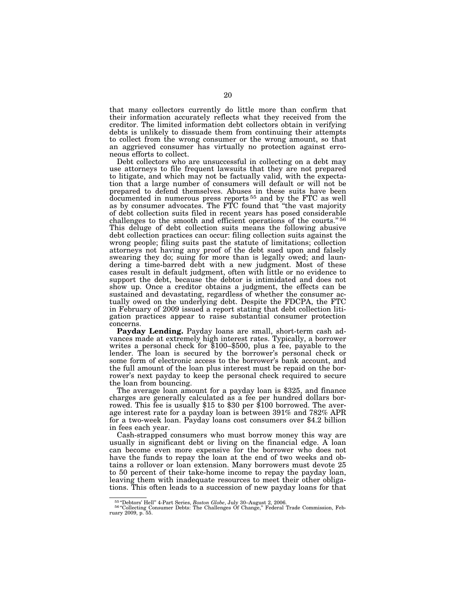that many collectors currently do little more than confirm that their information accurately reflects what they received from the creditor. The limited information debt collectors obtain in verifying debts is unlikely to dissuade them from continuing their attempts to collect from the wrong consumer or the wrong amount, so that an aggrieved consumer has virtually no protection against erroneous efforts to collect.

Debt collectors who are unsuccessful in collecting on a debt may use attorneys to file frequent lawsuits that they are not prepared to litigate, and which may not be factually valid, with the expectation that a large number of consumers will default or will not be prepared to defend themselves. Abuses in these suits have been documented in numerous press reports 55 and by the FTC as well as by consumer advocates. The FTC found that ''the vast majority of debt collection suits filed in recent years has posed considerable challenges to the smooth and efficient operations of the courts."<sup>56</sup> This deluge of debt collection suits means the following abusive debt collection practices can occur: filing collection suits against the wrong people; filing suits past the statute of limitations; collection attorneys not having any proof of the debt sued upon and falsely swearing they do; suing for more than is legally owed; and laundering a time-barred debt with a new judgment. Most of these cases result in default judgment, often with little or no evidence to support the debt, because the debtor is intimidated and does not show up. Once a creditor obtains a judgment, the effects can be sustained and devastating, regardless of whether the consumer actually owed on the underlying debt. Despite the FDCPA, the FTC in February of 2009 issued a report stating that debt collection litigation practices appear to raise substantial consumer protection concerns.

**Payday Lending.** Payday loans are small, short-term cash advances made at extremely high interest rates. Typically, a borrower writes a personal check for \$100–\$500, plus a fee, payable to the lender. The loan is secured by the borrower's personal check or some form of electronic access to the borrower's bank account, and the full amount of the loan plus interest must be repaid on the borrower's next payday to keep the personal check required to secure the loan from bouncing.

The average loan amount for a payday loan is \$325, and finance charges are generally calculated as a fee per hundred dollars borrowed. This fee is usually \$15 to \$30 per \$100 borrowed. The average interest rate for a payday loan is between 391% and 782% APR for a two-week loan. Payday loans cost consumers over \$4.2 billion in fees each year.

Cash-strapped consumers who must borrow money this way are usually in significant debt or living on the financial edge. A loan can become even more expensive for the borrower who does not have the funds to repay the loan at the end of two weeks and obtains a rollover or loan extension. Many borrowers must devote 25 to 50 percent of their take-home income to repay the payday loan, leaving them with inadequate resources to meet their other obligations. This often leads to a succession of new payday loans for that

<sup>55</sup> ''Debtors' Hell'' 4-Part Series, *Boston Globe*, July 30–August 2, 2006. 56 ''Collecting Consumer Debts: The Challenges Of Change,'' Federal Trade Commission, Feb-ruary 2009, p. 55.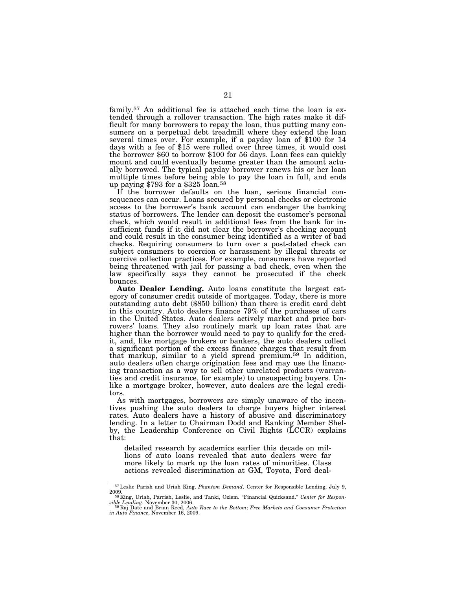family.57 An additional fee is attached each time the loan is extended through a rollover transaction. The high rates make it difficult for many borrowers to repay the loan, thus putting many consumers on a perpetual debt treadmill where they extend the loan several times over. For example, if a payday loan of \$100 for 14 days with a fee of \$15 were rolled over three times, it would cost the borrower \$60 to borrow \$100 for 56 days. Loan fees can quickly mount and could eventually become greater than the amount actually borrowed. The typical payday borrower renews his or her loan multiple times before being able to pay the loan in full, and ends up paying \$793 for a \$325 loan.58

If the borrower defaults on the loan, serious financial consequences can occur. Loans secured by personal checks or electronic access to the borrower's bank account can endanger the banking status of borrowers. The lender can deposit the customer's personal check, which would result in additional fees from the bank for insufficient funds if it did not clear the borrower's checking account and could result in the consumer being identified as a writer of bad checks. Requiring consumers to turn over a post-dated check can subject consumers to coercion or harassment by illegal threats or coercive collection practices. For example, consumers have reported being threatened with jail for passing a bad check, even when the law specifically says they cannot be prosecuted if the check bounces.

**Auto Dealer Lending.** Auto loans constitute the largest category of consumer credit outside of mortgages. Today, there is more outstanding auto debt (\$850 billion) than there is credit card debt in this country. Auto dealers finance 79% of the purchases of cars in the United States. Auto dealers actively market and price borrowers' loans. They also routinely mark up loan rates that are higher than the borrower would need to pay to qualify for the credit, and, like mortgage brokers or bankers, the auto dealers collect a significant portion of the excess finance charges that result from that markup, similar to a yield spread premium.59 In addition, auto dealers often charge origination fees and may use the financing transaction as a way to sell other unrelated products (warranties and credit insurance, for example) to unsuspecting buyers. Unlike a mortgage broker, however, auto dealers are the legal creditors.

As with mortgages, borrowers are simply unaware of the incentives pushing the auto dealers to charge buyers higher interest rates. Auto dealers have a history of abusive and discriminatory lending. In a letter to Chairman Dodd and Ranking Member Shelby, the Leadership Conference on Civil Rights (LCCR) explains that:

detailed research by academics earlier this decade on millions of auto loans revealed that auto dealers were far more likely to mark up the loan rates of minorities. Class actions revealed discrimination at GM, Toyota, Ford deal-

<sup>57</sup>Leslie Parish and Uriah King, *Phantom Demand,* Center for Responsible Lending, July 9,

<sup>&</sup>lt;sup>58</sup> King, Uriah, Parrish, Leslie, and Tanki, Ozlem. "Financial Quicksand." Center for Respon-

*sible Lending*. November 30, 2006. 59 Raj Date and Brian Reed, *Auto Race to the Bottom; Free Markets and Consumer Protection in Auto Finance*, November 16, 2009.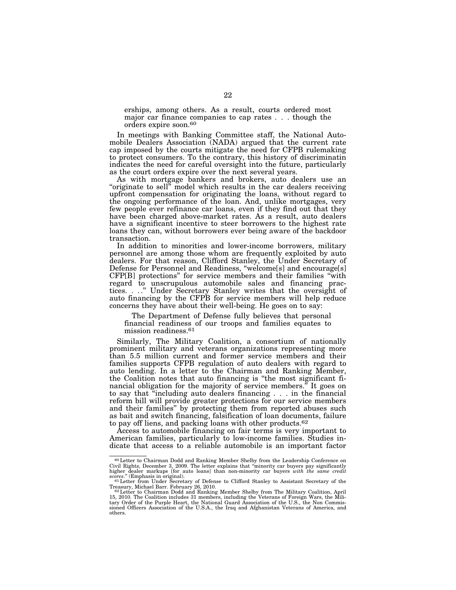erships, among others. As a result, courts ordered most major car finance companies to cap rates . . . though the orders expire soon.60

In meetings with Banking Committee staff, the National Automobile Dealers Association (NADA) argued that the current rate cap imposed by the courts mitigate the need for CFPB rulemaking to protect consumers. To the contrary, this history of discriminatin indicates the need for careful oversight into the future, particularly as the court orders expire over the next several years.

As with mortgage bankers and brokers, auto dealers use an "originate to sell" model which results in the car dealers receiving upfront compensation for originating the loans, without regard to the ongoing performance of the loan. And, unlike mortgages, very few people ever refinance car loans, even if they find out that they have been charged above-market rates. As a result, auto dealers have a significant incentive to steer borrowers to the highest rate loans they can, without borrowers ever being aware of the backdoor transaction.

In addition to minorities and lower-income borrowers, military personnel are among those whom are frequently exploited by auto dealers. For that reason, Clifford Stanley, the Under Secretary of Defense for Personnel and Readiness, ''welcome[s] and encourage[s] CFP[B] protections'' for service members and their families ''with regard to unscrupulous automobile sales and financing practices. . . .'' Under Secretary Stanley writes that the oversight of auto financing by the CFPB for service members will help reduce concerns they have about their well-being. He goes on to say:

The Department of Defense fully believes that personal financial readiness of our troops and families equates to mission readiness.61

Similarly, The Military Coalition, a consortium of nationally prominent military and veterans organizations representing more than 5.5 million current and former service members and their families supports CFPB regulation of auto dealers with regard to auto lending. In a letter to the Chairman and Ranking Member, the Coalition notes that auto financing is ''the most significant financial obligation for the majority of service members.<sup>"</sup> It goes on to say that ''including auto dealers financing . . . in the financial reform bill will provide greater protections for our service members and their families'' by protecting them from reported abuses such as bait and switch financing, falsification of loan documents, failure to pay off liens, and packing loans with other products.62

Access to automobile financing on fair terms is very important to American families, particularly to low-income families. Studies indicate that access to a reliable automobile is an important factor

<sup>60</sup>Letter to Chairman Dodd and Ranking Member Shelby from the Leadership Conference on Civil Rights, December 3, 2009. The letter explains that ''minority car buyers pay significantly higher dealer markups [for auto loans] than non-minority car buyers *with the same credit* scores.'' (Emphasis in original). <sup>61</sup>Letter from Under Secretary of Defense to Clifford Stanley to Assistant Secretary of the

Treasury, Michael Barr. February 26, 2010.<br><sup>62</sup>Letter to Chairman Dodd and Ranking Member Shelby from The Military Coalition, April<br>15, 2010. The Coalition includes 31 members, including the Veterans of Foreign Wars, the M tary Order of the Purple Heart, the National Guard Association of the U.S., the Non Commis-sioned Officers Association of the U.S.A., the Iraq and Afghanistan Veterans of America, and others.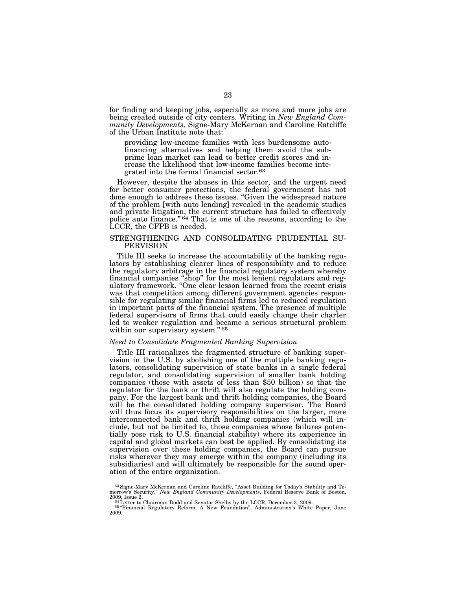for finding and keeping jobs, especially as more and more jobs are being created outside of city centers. Writing in *New England Community Developments,* Signe-Mary McKernan and Caroline Ratcliffe of the Urban Institute note that:

providing low-income families with less burdensome autofinancing alternatives and helping them avoid the subprime loan market can lead to better credit scores and increase the likelihood that low-income families become integrated into the formal financial sector.63

However, despite the abuses in this sector, and the urgent need for better consumer protections, the federal government has not done enough to address these issues. ''Given the widespread nature of the problem [with auto lending] revealed in the academic studies and private litigation, the current structure has failed to effectively police auto finance."<sup>64</sup> That is one of the reasons, according to the LCCR, the CFPB is needed.

# STRENGTHENING AND CONSOLIDATING PRUDENTIAL SU-PERVISION

Title III seeks to increase the accountability of the banking regulators by establishing clearer lines of responsibility and to reduce the regulatory arbitrage in the financial regulatory system whereby financial companies ''shop'' for the most lenient regulators and regulatory framework. ''One clear lesson learned from the recent crisis was that competition among different government agencies responsible for regulating similar financial firms led to reduced regulation in important parts of the financial system. The presence of multiple federal supervisors of firms that could easily change their charter led to weaker regulation and became a serious structural problem within our supervisory system." 65

# *Need to Consolidate Fragmented Banking Supervision*

Title III rationalizes the fragmented structure of banking supervision in the U.S. by abolishing one of the multiple banking regulators, consolidating supervision of state banks in a single federal regulator, and consolidating supervision of smaller bank holding companies (those with assets of less than \$50 billion) so that the regulator for the bank or thrift will also regulate the holding company. For the largest bank and thrift holding companies, the Board will be the consolidated holding company supervisor. The Board will thus focus its supervisory responsibilities on the larger, more interconnected bank and thrift holding companies (which will include, but not be limited to, those companies whose failures potentially pose risk to U.S. financial stability) where its experience in capital and global markets can best be applied. By consolidating its supervision over these holding companies, the Board can pursue risks wherever they may emerge within the company (including its subsidiaries) and will ultimately be responsible for the sound operation of the entire organization.

<sup>63</sup>Signe-Mary McKernan and Caroline Ratcliffe, ''Asset Building for Today's Stability and To-morrow's Security,'' *New England Community Developments*, Federal Reserve Bank of Boston,

<sup>2009,</sup> Issue 2. 64 Letter to Chairman Dodd and Senator Shelby by the LCCR, December 3, 2009.<br>
<sup>65</sup> 'Financial Regulatory Reform: A New Foundation'', Administration's White Paper, June 2009.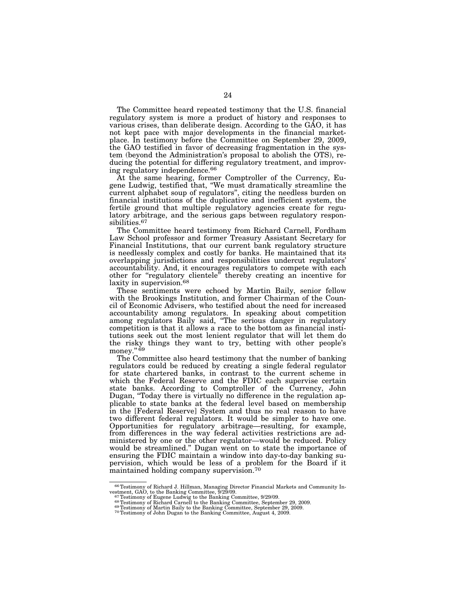The Committee heard repeated testimony that the U.S. financial regulatory system is more a product of history and responses to various crises, than deliberate design. According to the GAO, it has not kept pace with major developments in the financial marketplace. In testimony before the Committee on September 29, 2009, the GAO testified in favor of decreasing fragmentation in the system (beyond the Administration's proposal to abolish the OTS), reducing the potential for differing regulatory treatment, and improving regulatory independence.66

At the same hearing, former Comptroller of the Currency, Eugene Ludwig, testified that, ''We must dramatically streamline the current alphabet soup of regulators'', citing the needless burden on financial institutions of the duplicative and inefficient system, the fertile ground that multiple regulatory agencies create for regulatory arbitrage, and the serious gaps between regulatory responsibilities.<sup>67</sup>

The Committee heard testimony from Richard Carnell, Fordham Law School professor and former Treasury Assistant Secretary for Financial Institutions, that our current bank regulatory structure is needlessly complex and costly for banks. He maintained that its overlapping jurisdictions and responsibilities undercut regulators' accountability. And, it encourages regulators to compete with each other for ''regulatory clientele'' thereby creating an incentive for laxity in supervision.<sup>68</sup>

These sentiments were echoed by Martin Baily, senior fellow with the Brookings Institution, and former Chairman of the Council of Economic Advisers, who testified about the need for increased accountability among regulators. In speaking about competition among regulators Baily said, ''The serious danger in regulatory competition is that it allows a race to the bottom as financial institutions seek out the most lenient regulator that will let them do the risky things they want to try, betting with other people's money."<sup>69</sup>

The Committee also heard testimony that the number of banking regulators could be reduced by creating a single federal regulator for state chartered banks, in contrast to the current scheme in which the Federal Reserve and the FDIC each supervise certain state banks. According to Comptroller of the Currency, John Dugan, ''Today there is virtually no difference in the regulation applicable to state banks at the federal level based on membership in the [Federal Reserve] System and thus no real reason to have two different federal regulators. It would be simpler to have one. Opportunities for regulatory arbitrage—resulting, for example, from differences in the way federal activities restrictions are administered by one or the other regulator—would be reduced. Policy would be streamlined.'' Dugan went on to state the importance of ensuring the FDIC maintain a window into day-to-day banking supervision, which would be less of a problem for the Board if it maintained holding company supervision.70

<sup>&</sup>lt;sup>66</sup>Testimony of Richard J. Hillman, Managing Director Financial Markets and Community Investment, GAO, to the Banking Committee, 9/29/09.<br><sup>67</sup>Testimony of Eugene Ludwig to the Banking Committee, 9/29/09.<br><sup>67</sup>Testimony of

<sup>&</sup>lt;sup>63</sup> Testimony of Richard Carnell to the Banking Committee, September 29, 2009.<br><sup>69</sup> Testimony of Nichard Carnell to the Banking Committee, September 29, 2009.<br><sup>69</sup> Testimony of John Dugan to the Banking Committee, August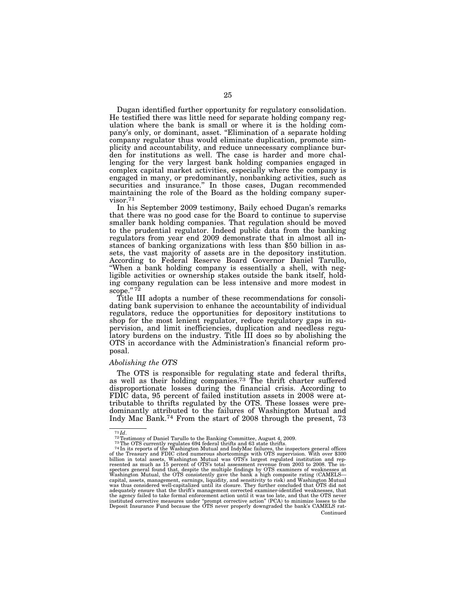Dugan identified further opportunity for regulatory consolidation. He testified there was little need for separate holding company regulation where the bank is small or where it is the holding company's only, or dominant, asset. "Elimination of a separate holding company regulator thus would eliminate duplication, promote simplicity and accountability, and reduce unnecessary compliance burden for institutions as well. The case is harder and more challenging for the very largest bank holding companies engaged in complex capital market activities, especially where the company is engaged in many, or predominantly, nonbanking activities, such as securities and insurance.'' In those cases, Dugan recommended maintaining the role of the Board as the holding company supervisor.71

In his September 2009 testimony, Baily echoed Dugan's remarks that there was no good case for the Board to continue to supervise smaller bank holding companies. That regulation should be moved to the prudential regulator. Indeed public data from the banking regulators from year end 2009 demonstrate that in almost all instances of banking organizations with less than \$50 billion in assets, the vast majority of assets are in the depository institution. According to Federal Reserve Board Governor Daniel Tarullo, "When a bank holding company is essentially a shell, with negligible activities or ownership stakes outside the bank itself, holding company regulation can be less intensive and more modest in  $\frac{1}{\text{scope}}$ ." 72

Title III adopts a number of these recommendations for consolidating bank supervision to enhance the accountability of individual regulators, reduce the opportunities for depository institutions to shop for the most lenient regulator, reduce regulatory gaps in supervision, and limit inefficiencies, duplication and needless regulatory burdens on the industry. Title III does so by abolishing the OTS in accordance with the Administration's financial reform proposal.

#### *Abolishing the OTS*

The OTS is responsible for regulating state and federal thrifts, as well as their holding companies.<sup>73</sup> The thrift charter suffered disproportionate losses during the financial crisis. According to FDIC data, 95 percent of failed institution assets in 2008 were attributable to thrifts regulated by the OTS. These losses were predominantly attributed to the failures of Washington Mutual and Indy Mac Bank.74 From the start of 2008 through the present, 73

 $^{71}Id.$  Factimony of Daniel Tarullo to the Banking Committee, August 4, 2009.<br> $^{72}T$ estimony of Daniel Tarullo to the Banking Committee, August 4, 2009.<br> $^{73}The$  OTS currently regulates 694 federal thrifts and 63 state the agency failed to take formal enforcement action until it was too late, and that the OTS never<br>instituted corrective measures under "prompt corrective action" (PCA) to minimize losses to the<br>Deposit Insurance Fund becau Continued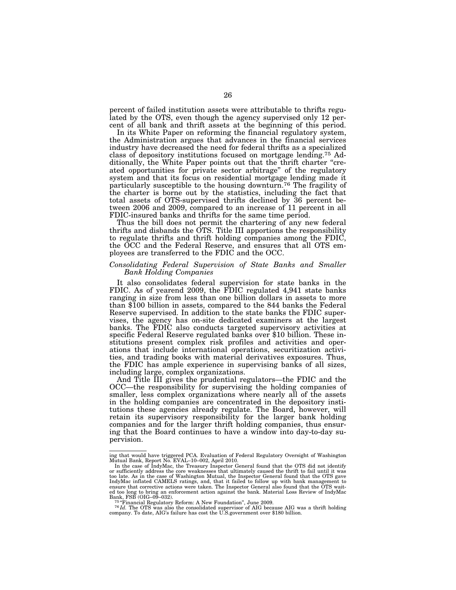percent of failed institution assets were attributable to thrifts regulated by the OTS, even though the agency supervised only 12 percent of all bank and thrift assets at the beginning of this period.

In its White Paper on reforming the financial regulatory system, the Administration argues that advances in the financial services industry have decreased the need for federal thrifts as a specialized class of depository institutions focused on mortgage lending.75 Additionally, the White Paper points out that the thrift charter "created opportunities for private sector arbitrage'' of the regulatory system and that its focus on residential mortgage lending made it particularly susceptible to the housing downturn.76 The fragility of the charter is borne out by the statistics, including the fact that total assets of OTS-supervised thrifts declined by 36 percent between 2006 and 2009, compared to an increase of 11 percent in all FDIC-insured banks and thrifts for the same time period.

Thus the bill does not permit the chartering of any new federal thrifts and disbands the OTS. Title III apportions the responsibility to regulate thrifts and thrift holding companies among the FDIC, the OCC and the Federal Reserve, and ensures that all OTS employees are transferred to the FDIC and the OCC.

# *Consolidating Federal Supervision of State Banks and Smaller Bank Holding Companies*

It also consolidates federal supervision for state banks in the FDIC. As of yearend 2009, the FDIC regulated 4,941 state banks ranging in size from less than one billion dollars in assets to more than \$100 billion in assets, compared to the 844 banks the Federal Reserve supervised. In addition to the state banks the FDIC supervises, the agency has on-site dedicated examiners at the largest banks. The FDIC also conducts targeted supervisory activities at specific Federal Reserve regulated banks over \$10 billion. These institutions present complex risk profiles and activities and operations that include international operations, securitization activities, and trading books with material derivatives exposures. Thus, the FDIC has ample experience in supervising banks of all sizes, including large, complex organizations.

And Title III gives the prudential regulators—the FDIC and the OCC—the responsibility for supervising the holding companies of smaller, less complex organizations where nearly all of the assets in the holding companies are concentrated in the depository institutions these agencies already regulate. The Board, however, will retain its supervisory responsibility for the larger bank holding companies and for the larger thrift holding companies, thus ensuring that the Board continues to have a window into day-to-day supervision.

ing that would have triggered PCA. Evaluation of Federal Regulatory Oversight of Washington<br>Mutual Bank, Report No. EVAL–10–002, April 2010.<br>In the case of IndyMac, the Treasury Inspector General found that the OTS did not

or sufficiently address the core weaknesses that ultimately caused the thrift to fail until it was<br>too late. As in the case of Washington Mutual, the Inspector General found that the OTS gave<br>IndyMac inflated CAMELS rating ensure that corrective actions were taken. The Inspector General also found that the OTS wait-ed too long to bring an enforcement action against the bank. Material Loss Review of IndyMac

Bank, FSB (OIG–09–032).<br><sup>76</sup> Financial Regulatory Reform: A New Foundation", June 2009.<br><sup>76</sup> In OTS was also the consolidated supervisor of AIG because AIG was a thrift holding<br>company. To date, AIG's failure has cost the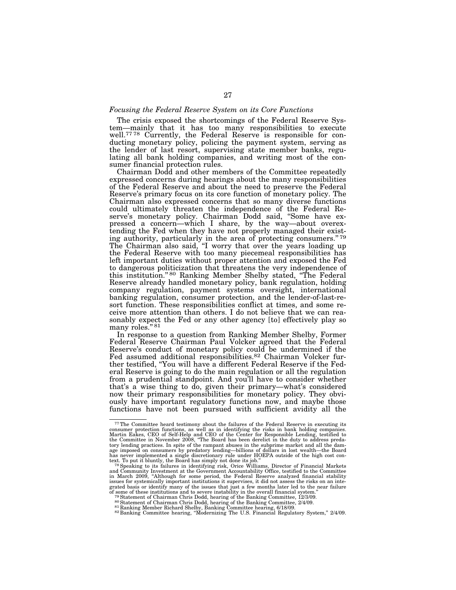#### *Focusing the Federal Reserve System on its Core Functions*

The crisis exposed the shortcomings of the Federal Reserve System—mainly that it has too many responsibilities to execute well.<sup>77 78</sup> Currently, the Federal Reserve is responsible for conducting monetary policy, policing the payment system, serving as the lender of last resort, supervising state member banks, regulating all bank holding companies, and writing most of the consumer financial protection rules.

Chairman Dodd and other members of the Committee repeatedly expressed concerns during hearings about the many responsibilities of the Federal Reserve and about the need to preserve the Federal Reserve's primary focus on its core function of monetary policy. The Chairman also expressed concerns that so many diverse functions could ultimately threaten the independence of the Federal Reserve's monetary policy. Chairman Dodd said, ''Some have expressed a concern—which I share, by the way—about overextending the Fed when they have not properly managed their existing authority, particularly in the area of protecting consumers."<sup>79</sup> The Chairman also said, "I worry that over the years loading up the Federal Reserve with too many piecemeal responsibilities has left important duties without proper attention and exposed the Fed to dangerous politicization that threatens the very independence of this institution.'' 80 Ranking Member Shelby stated, ''The Federal Reserve already handled monetary policy, bank regulation, holding company regulation, payment systems oversight, international banking regulation, consumer protection, and the lender-of-last-resort function. These responsibilities conflict at times, and some receive more attention than others. I do not believe that we can reasonably expect the Fed or any other agency [to] effectively play so many roles." 81

In response to a question from Ranking Member Shelby, Former Federal Reserve Chairman Paul Volcker agreed that the Federal Reserve's conduct of monetary policy could be undermined if the Fed assumed additional responsibilities.<sup>82</sup> Chairman Volcker further testified, ''You will have a different Federal Reserve if the Federal Reserve is going to do the main regulation or all the regulation from a prudential standpoint. And you'll have to consider whether that's a wise thing to do, given their primary—what's considered now their primary responsibilities for monetary policy. They obviously have important regulatory functions now, and maybe those functions have not been pursued with sufficient avidity all the

<sup>77</sup>The Committee heard testimony about the failures of the Federal Reserve in executing its consumer protection functions, as well as in identifying the risks in bank holding companies.<br>Martin Eakes, CEO of Self-Help and CEO of the Center for Responsible Lending, testified to<br>the Committee in November 2008, "The has never implemented a single discretionary rule under HOEPA outside of the high cost con-<br>text. To put it bluntly, the Board has simply not done its job."<br><sup>78</sup> Speaking to its failures in identifying risk, Orice Williams

and Community Investment at the Government Accountability Office, testified to the Committee<br>in March 2009, "Although for some period, the Federal Reserve analyzed financial stability<br>issues for systemically important inst grated basis or identify many of the issues that just a few months later led to the near failure of some of these institutions and to severe instability in the overall financial system."<br><sup>79</sup> Statement of Chairman Chris D

<sup>&</sup>lt;sup>26</sup> Statement of Chairman Chris Dodd, hearing of the Banking Committee, 2/4/09.<br><sup>80</sup> Statement of Chairman Chris Dodd, hearing of the Banking Committee, 2/4/09.<br><sup>81</sup> Ranking Member Richard Shelby, Banking Committee hearin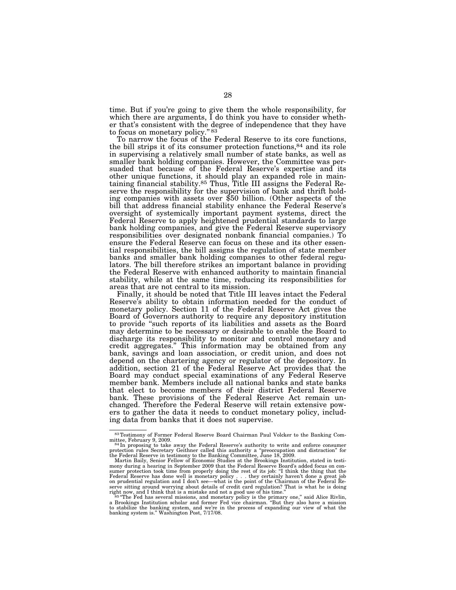time. But if you're going to give them the whole responsibility, for which there are arguments, I do think you have to consider whether that's consistent with the degree of independence that they have to focus on monetary policy." 83

To narrow the focus of the Federal Reserve to its core functions, the bill strips it of its consumer protection functions,84 and its role in supervising a relatively small number of state banks, as well as smaller bank holding companies. However, the Committee was persuaded that because of the Federal Reserve's expertise and its other unique functions, it should play an expanded role in maintaining financial stability.<sup>85</sup> Thus, Title III assigns the Federal Reserve the responsibility for the supervision of bank and thrift holding companies with assets over \$50 billion. (Other aspects of the bill that address financial stability enhance the Federal Reserve's oversight of systemically important payment systems, direct the Federal Reserve to apply heightened prudential standards to large bank holding companies, and give the Federal Reserve supervisory responsibilities over designated nonbank financial companies.) To ensure the Federal Reserve can focus on these and its other essential responsibilities, the bill assigns the regulation of state member banks and smaller bank holding companies to other federal regulators. The bill therefore strikes an important balance in providing the Federal Reserve with enhanced authority to maintain financial stability, while at the same time, reducing its responsibilities for areas that are not central to its mission.

Finally, it should be noted that Title III leaves intact the Federal Reserve's ability to obtain information needed for the conduct of monetary policy. Section 11 of the Federal Reserve Act gives the Board of Governors authority to require any depository institution to provide ''such reports of its liabilities and assets as the Board may determine to be necessary or desirable to enable the Board to discharge its responsibility to monitor and control monetary and credit aggregates.'' This information may be obtained from any bank, savings and loan association, or credit union, and does not depend on the chartering agency or regulator of the depository. In addition, section 21 of the Federal Reserve Act provides that the Board may conduct special examinations of any Federal Reserve member bank. Members include all national banks and state banks that elect to become members of their district Federal Reserve bank. These provisions of the Federal Reserve Act remain unchanged. Therefore the Federal Reserve will retain extensive powers to gather the data it needs to conduct monetary policy, including data from banks that it does not supervise.

<sup>83</sup>Testimony of Former Federal Reserve Board Chairman Paul Volcker to the Banking Com-

mittee, February 9, 2009.<br><sup>84</sup> In proposing to take away the Federal Reserve's authority to write and enforce consumer<br>protection rules Secretary Geithner called this authority a "preoccupation and distraction" for

the Federal Reserve in testimony to the Banking Committee, June 18, 2009.<br>Martin Baily, Senior Fellow of Economic Studies at the Brookings Institution, stated in testi-<br>mony during a hearing in September 2009 that the Fede sumer protection took time from properly doing the rest of its job: "I think the thing that the<br>Federal Reserve has done well is monetary policy . . . they certainly haven't done a great job<br>on prudential regulation and I

serve sitting around worrying about details of credit card regulation? That is what he is doing right now, and I think that is a mistake and not a good use of his time." The Fed has several missions, and monetary policy is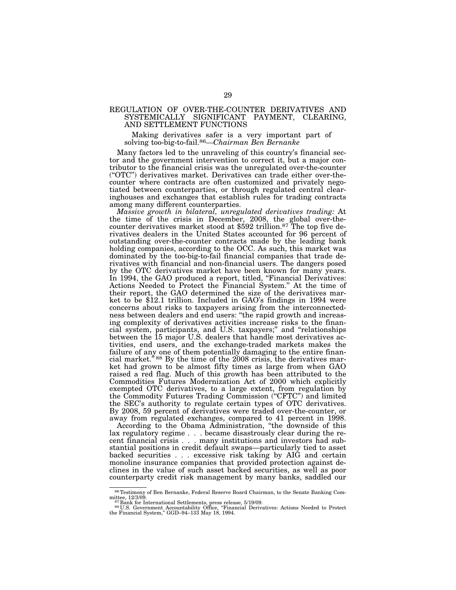# REGULATION OF OVER-THE-COUNTER DERIVATIVES AND SYSTEMICALLY SIGNIFICANT PAYMENT, CLEARING, AND SETTLEMENT FUNCTIONS

Making derivatives safer is a very important part of solving too-big-to-fail.86*—Chairman Ben Bernanke* 

Many factors led to the unraveling of this country's financial sector and the government intervention to correct it, but a major contributor to the financial crisis was the unregulated over-the-counter (''OTC'') derivatives market. Derivatives can trade either over-thecounter where contracts are often customized and privately negotiated between counterparties, or through regulated central clearinghouses and exchanges that establish rules for trading contracts among many different counterparties.

*Massive growth in bilateral, unregulated derivatives trading:* At the time of the crisis in December, 2008, the global over-thecounter derivatives market stood at \$592 trillion.<sup>87</sup> The top five derivatives dealers in the United States accounted for 96 percent of outstanding over-the-counter contracts made by the leading bank holding companies, according to the OCC. As such, this market was dominated by the too-big-to-fail financial companies that trade derivatives with financial and non-financial users. The dangers posed by the OTC derivatives market have been known for many years. In 1994, the GAO produced a report, titled, "Financial Derivatives: Actions Needed to Protect the Financial System.'' At the time of their report, the GAO determined the size of the derivatives market to be \$12.1 trillion. Included in GAO's findings in 1994 were concerns about risks to taxpayers arising from the interconnectedness between dealers and end users: ''the rapid growth and increasing complexity of derivatives activities increase risks to the financial system, participants, and U.S. taxpayers;'' and ''relationships between the 15 major U.S. dealers that handle most derivatives activities, end users, and the exchange-traded markets makes the failure of any one of them potentially damaging to the entire financial market."<sup>88</sup> By the time of the  $2008$  crisis, the derivatives market had grown to be almost fifty times as large from when GAO raised a red flag. Much of this growth has been attributed to the Commodities Futures Modernization Act of 2000 which explicitly exempted OTC derivatives, to a large extent, from regulation by the Commodity Futures Trading Commission (''CFTC'') and limited the SEC's authority to regulate certain types of OTC derivatives. By 2008, 59 percent of derivatives were traded over-the-counter, or away from regulated exchanges, compared to 41 percent in 1998.

According to the Obama Administration, ''the downside of this lax regulatory regime . . . became disastrously clear during the recent financial crisis . . . many institutions and investors had substantial positions in credit default swaps—particularly tied to asset backed securities . . . excessive risk taking by AIG and certain monoline insurance companies that provided protection against declines in the value of such asset backed securities, as well as poor counterparty credit risk management by many banks, saddled our

<sup>86</sup>Testimony of Ben Bernanke, Federal Reserve Board Chairman, to the Senate Banking Com-

mittee, 12/3/09.<br><sup>87</sup> Bank for International Settlements, press release, 5/19/09.<br>88 U.S. Government Accountability Office, "Financial Derivatives: Actions Needed to Protect<br>the Financial System," GGD–94–133 May 18, 1994.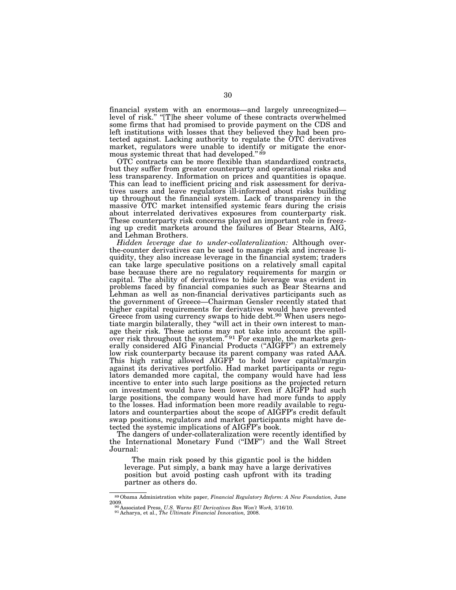financial system with an enormous—and largely unrecognized level of risk." "[T]he sheer volume of these contracts overwhelmed some firms that had promised to provide payment on the CDS and left institutions with losses that they believed they had been protected against. Lacking authority to regulate the OTC derivatives market, regulators were unable to identify or mitigate the enormous systemic threat that had developed."<sup>89</sup>

OTC contracts can be more flexible than standardized contracts, but they suffer from greater counterparty and operational risks and less transparency. Information on prices and quantities is opaque. This can lead to inefficient pricing and risk assessment for derivatives users and leave regulators ill-informed about risks building up throughout the financial system. Lack of transparency in the massive OTC market intensified systemic fears during the crisis about interrelated derivatives exposures from counterparty risk. These counterparty risk concerns played an important role in freezing up credit markets around the failures of Bear Stearns, AIG, and Lehman Brothers.

*Hidden leverage due to under-collateralization:* Although overthe-counter derivatives can be used to manage risk and increase liquidity, they also increase leverage in the financial system; traders can take large speculative positions on a relatively small capital base because there are no regulatory requirements for margin or capital. The ability of derivatives to hide leverage was evident in problems faced by financial companies such as Bear Stearns and Lehman as well as non-financial derivatives participants such as the government of Greece—Chairman Gensler recently stated that higher capital requirements for derivatives would have prevented Greece from using currency swaps to hide debt.<sup>90</sup> When users negotiate margin bilaterally, they ''will act in their own interest to manage their risk. These actions may not take into account the spillover risk throughout the system."<sup>91</sup> For example, the markets generally considered AIG Financial Products (''AIGFP'') an extremely low risk counterparty because its parent company was rated AAA. This high rating allowed AIGFP to hold lower capital/margin against its derivatives portfolio. Had market participants or regulators demanded more capital, the company would have had less incentive to enter into such large positions as the projected return on investment would have been lower. Even if AIGFP had such large positions, the company would have had more funds to apply to the losses. Had information been more readily available to regulators and counterparties about the scope of AIGFP's credit default swap positions, regulators and market participants might have detected the systemic implications of AIGFP's book.

The dangers of under-collateralization were recently identified by the International Monetary Fund (''IMF'') and the Wall Street Journal:

The main risk posed by this gigantic pool is the hidden leverage. Put simply, a bank may have a large derivatives position but avoid posting cash upfront with its trading partner as others do.

<sup>89</sup>Obama Administration white paper, *Financial Regulatory Reform: A New Foundation,* June 2009. 90 Associated Press, *U.S. Warns EU Derivatives Ban Won't Work,* 3/16/10. 91 Acharya, et al., *The Ultimate Financial Innovation,* 2008.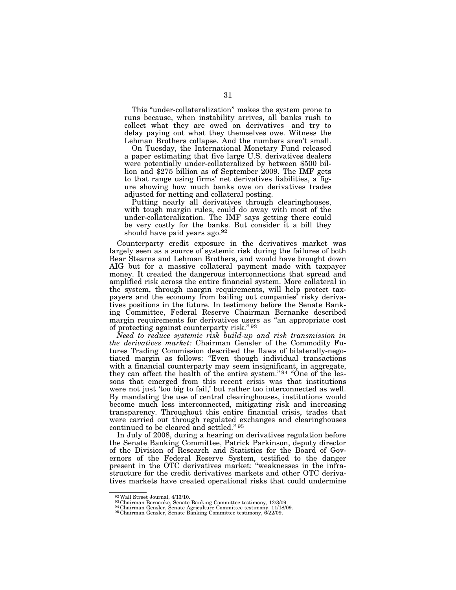This ''under-collateralization'' makes the system prone to runs because, when instability arrives, all banks rush to collect what they are owed on derivatives—and try to delay paying out what they themselves owe. Witness the Lehman Brothers collapse. And the numbers aren't small.

On Tuesday, the International Monetary Fund released a paper estimating that five large U.S. derivatives dealers were potentially under-collateralized by between \$500 billion and \$275 billion as of September 2009. The IMF gets to that range using firms' net derivatives liabilities, a figure showing how much banks owe on derivatives trades adjusted for netting and collateral posting.

Putting nearly all derivatives through clearinghouses, with tough margin rules, could do away with most of the under-collateralization. The IMF says getting there could be very costly for the banks. But consider it a bill they should have paid years ago.92

Counterparty credit exposure in the derivatives market was largely seen as a source of systemic risk during the failures of both Bear Stearns and Lehman Brothers, and would have brought down AIG but for a massive collateral payment made with taxpayer money. It created the dangerous interconnections that spread and amplified risk across the entire financial system. More collateral in the system, through margin requirements, will help protect taxpayers and the economy from bailing out companies' risky derivatives positions in the future. In testimony before the Senate Banking Committee, Federal Reserve Chairman Bernanke described margin requirements for derivatives users as ''an appropriate cost of protecting against counterparty risk."<sup>93</sup>

*Need to reduce systemic risk build-up and risk transmission in the derivatives market:* Chairman Gensler of the Commodity Futures Trading Commission described the flaws of bilaterally-negotiated margin as follows: ''Even though individual transactions with a financial counterparty may seem insignificant, in aggregate, they can affect the health of the entire system."<sup>94</sup> "One of the lessons that emerged from this recent crisis was that institutions were not just 'too big to fail,' but rather too interconnected as well. By mandating the use of central clearinghouses, institutions would become much less interconnected, mitigating risk and increasing transparency. Throughout this entire financial crisis, trades that were carried out through regulated exchanges and clearinghouses continued to be cleared and settled." 95

In July of 2008, during a hearing on derivatives regulation before the Senate Banking Committee, Patrick Parkinson, deputy director of the Division of Research and Statistics for the Board of Governors of the Federal Reserve System, testified to the danger present in the OTC derivatives market: ''weaknesses in the infrastructure for the credit derivatives markets and other OTC derivatives markets have created operational risks that could undermine

 $^{92}$  Wall Street Journal, 4/13/10. <br>  $^{93}$  Chairman Bernanke, Senate Banking Committee testimony, 12/3/09.<br>  $^{94}$  Chairman Gensler, Senate Agriculture Committee testimony, 11/18/09.<br>  $^{95}$  Chairman Gensler, Senate Ba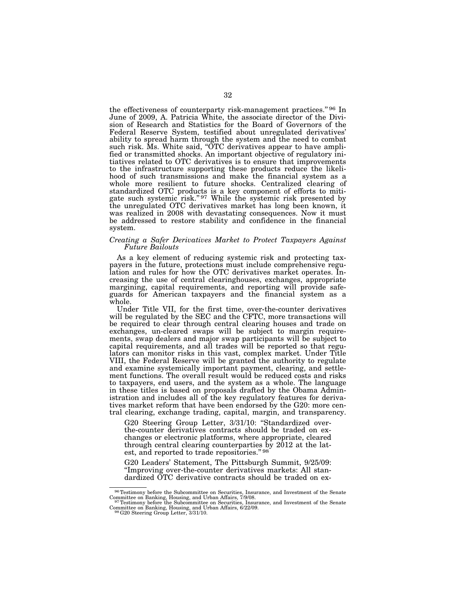the effectiveness of counterparty risk-management practices." 96 In June of 2009, A. Patricia White, the associate director of the Division of Research and Statistics for the Board of Governors of the Federal Reserve System, testified about unregulated derivatives' ability to spread harm through the system and the need to combat such risk. Ms. White said, "OTC derivatives appear to have amplified or transmitted shocks. An important objective of regulatory initiatives related to OTC derivatives is to ensure that improvements to the infrastructure supporting these products reduce the likelihood of such transmissions and make the financial system as a whole more resilient to future shocks. Centralized clearing of standardized OTC products is a key component of efforts to mitigate such systemic risk."<sup>97</sup> While the systemic risk presented by the unregulated OTC derivatives market has long been known, it was realized in 2008 with devastating consequences. Now it must be addressed to restore stability and confidence in the financial system.

### *Creating a Safer Derivatives Market to Protect Taxpayers Against Future Bailouts*

As a key element of reducing systemic risk and protecting taxpayers in the future, protections must include comprehensive regulation and rules for how the OTC derivatives market operates. Increasing the use of central clearinghouses, exchanges, appropriate margining, capital requirements, and reporting will provide safeguards for American taxpayers and the financial system as a whole.

Under Title VII, for the first time, over-the-counter derivatives will be regulated by the SEC and the CFTC, more transactions will be required to clear through central clearing houses and trade on exchanges, un-cleared swaps will be subject to margin requirements, swap dealers and major swap participants will be subject to capital requirements, and all trades will be reported so that regulators can monitor risks in this vast, complex market. Under Title VIII, the Federal Reserve will be granted the authority to regulate and examine systemically important payment, clearing, and settlement functions. The overall result would be reduced costs and risks to taxpayers, end users, and the system as a whole. The language in these titles is based on proposals drafted by the Obama Administration and includes all of the key regulatory features for derivatives market reform that have been endorsed by the G20: more central clearing, exchange trading, capital, margin, and transparency.

G20 Steering Group Letter, 3/31/10: ''Standardized overthe-counter derivatives contracts should be traded on exchanges or electronic platforms, where appropriate, cleared through central clearing counterparties by 2012 at the latest, and reported to trade repositories." 98

G20 Leaders' Statement, The Pittsburgh Summit, 9/25/09: ''Improving over-the-counter derivatives markets: All standardized OTC derivative contracts should be traded on ex-

<sup>96</sup>Testimony before the Subcommittee on Securities, Insurance, and Investment of the Senate Committee on Banking, Housing, and Urban Affairs, 7/9/08.<br><sup>97</sup>Testimony before the Subcommittee on Securities, Insurance, and Investment of the Senate

Committee on Banking, Housing, and Urban Affairs, 6/22/09.<br><sup>98</sup>G20 Steering Group Letter, 3/31/10.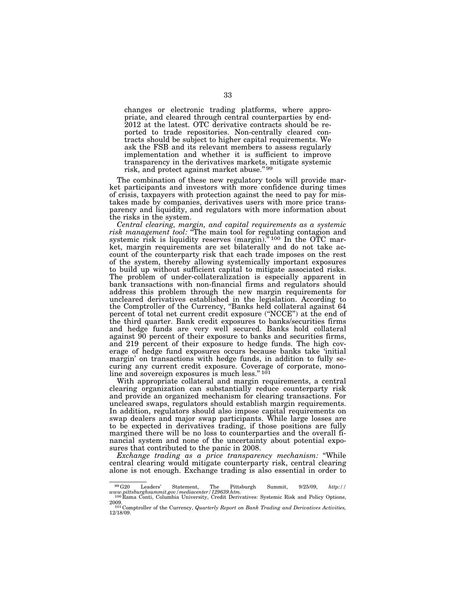changes or electronic trading platforms, where appropriate, and cleared through central counterparties by end-2012 at the latest. OTC derivative contracts should be reported to trade repositories. Non-centrally cleared contracts should be subject to higher capital requirements. We ask the FSB and its relevant members to assess regularly implementation and whether it is sufficient to improve transparency in the derivatives markets, mitigate systemic risk, and protect against market abuse."<sup>99</sup>

The combination of these new regulatory tools will provide market participants and investors with more confidence during times of crisis, taxpayers with protection against the need to pay for mistakes made by companies, derivatives users with more price transparency and liquidity, and regulators with more information about the risks in the system.

*Central clearing, margin, and capital requirements as a systemic risk management tool:* ''The main tool for regulating contagion and systemic risk is liquidity reserves (margin).<sup> $\frac{3}{100}$ </sup> In the OTC market, margin requirements are set bilaterally and do not take account of the counterparty risk that each trade imposes on the rest of the system, thereby allowing systemically important exposures to build up without sufficient capital to mitigate associated risks. The problem of under-collateralization is especially apparent in bank transactions with non-financial firms and regulators should address this problem through the new margin requirements for uncleared derivatives established in the legislation. According to the Comptroller of the Currency, ''Banks held collateral against 64 percent of total net current credit exposure (''NCCE'') at the end of the third quarter. Bank credit exposures to banks/securities firms and hedge funds are very well secured. Banks hold collateral against 90 percent of their exposure to banks and securities firms, and 219 percent of their exposure to hedge funds. The high coverage of hedge fund exposures occurs because banks take 'initial margin' on transactions with hedge funds, in addition to fully securing any current credit exposure. Coverage of corporate, monoline and sovereign exposures is much less."<sup>101</sup>

With appropriate collateral and margin requirements, a central clearing organization can substantially reduce counterparty risk and provide an organized mechanism for clearing transactions. For uncleared swaps, regulators should establish margin requirements. In addition, regulators should also impose capital requirements on swap dealers and major swap participants. While large losses are to be expected in derivatives trading, if those positions are fully margined there will be no loss to counterparties and the overall financial system and none of the uncertainty about potential exposures that contributed to the panic in 2008.

*Exchange trading as a price transparency mechanism:* ''While central clearing would mitigate counterparty risk, central clearing alone is not enough. Exchange trading is also essential in order to

<sup>99</sup>G20 Leaders' Statement, The Pittsburgh Summit, 9/25/09, *http:// www.pittsburghsummit.gov/mediacenter/129639.htm.* <sup>100</sup> Rama Conti, Columbia University, Credit Derivatives: Systemic Risk and Policy Options,

<sup>2009. 101</sup> Comptroller of the Currency, *Quarterly Report on Bank Trading and Derivatives Activities,*  12/18/09.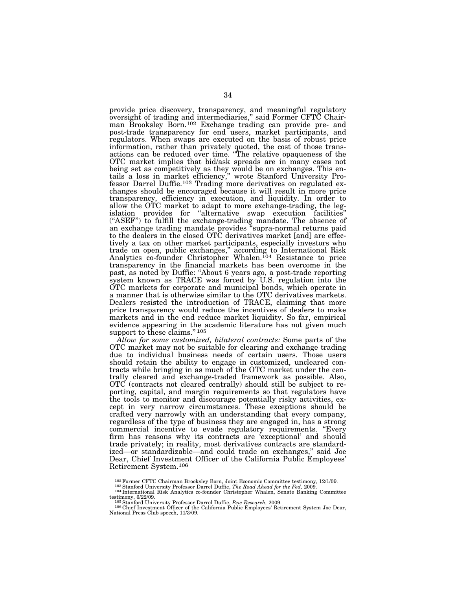provide price discovery, transparency, and meaningful regulatory oversight of trading and intermediaries,'' said Former CFTC Chairman Brooksley Born.102 Exchange trading can provide pre- and post-trade transparency for end users, market participants, and regulators. When swaps are executed on the basis of robust price information, rather than privately quoted, the cost of those transactions can be reduced over time. ''The relative opaqueness of the OTC market implies that bid/ask spreads are in many cases not being set as competitively as they would be on exchanges. This entails a loss in market efficiency,'' wrote Stanford University Professor Darrel Duffie.<sup>103</sup> Trading more derivatives on regulated exchanges should be encouraged because it will result in more price transparency, efficiency in execution, and liquidity. In order to allow the OTC market to adapt to more exchange-trading, the legislation provides for ''alternative swap execution facilities'' (''ASEF'') to fulfill the exchange-trading mandate. The absence of an exchange trading mandate provides ''supra-normal returns paid to the dealers in the closed OTC derivatives market [and] are effectively a tax on other market participants, especially investors who trade on open, public exchanges,'' according to International Risk Analytics co-founder Christopher Whalen.<sup>104</sup> Resistance to price transparency in the financial markets has been overcome in the past, as noted by Duffie: ''About 6 years ago, a post-trade reporting system known as TRACE was forced by U.S. regulation into the OTC markets for corporate and municipal bonds, which operate in a manner that is otherwise similar to the OTC derivatives markets. Dealers resisted the introduction of TRACE, claiming that more price transparency would reduce the incentives of dealers to make markets and in the end reduce market liquidity. So far, empirical evidence appearing in the academic literature has not given much support to these claims."<sup>105</sup>

*Allow for some customized, bilateral contracts:* Some parts of the OTC market may not be suitable for clearing and exchange trading due to individual business needs of certain users. Those users should retain the ability to engage in customized, uncleared contracts while bringing in as much of the OTC market under the centrally cleared and exchange-traded framework as possible. Also, OTC (contracts not cleared centrally) should still be subject to reporting, capital, and margin requirements so that regulators have the tools to monitor and discourage potentially risky activities, except in very narrow circumstances. These exceptions should be crafted very narrowly with an understanding that every company, regardless of the type of business they are engaged in, has a strong commercial incentive to evade regulatory requirements. ''Every firm has reasons why its contracts are 'exceptional' and should trade privately; in reality, most derivatives contracts are standardized—or standardizable—and could trade on exchanges,'' said Joe Dear, Chief Investment Officer of the California Public Employees' Retirement System.106

 $^{102}$  Former CFTC Chairman Brooksley Born, Joint Economic Committee testimony, 12/1/09.<br> $^{103}$ Stanford University Professor Darrel Duffie, *The Road Ahead for the Fed*, 2009.<br> $^{104}$  International Risk Analytics co-fou

testimony, 6/22/09.<br><sup>106</sup> Stanford University Professor Darrel Duffie, *Pew Research*, 2009.<br><sup>106</sup> Chief Investment Officer of the California Public Employees' Retirement System Joe Dear,<br>National Press Club speech, 11/3/0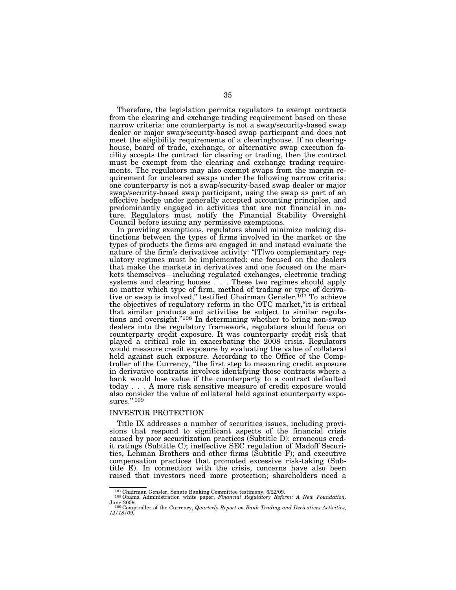Therefore, the legislation permits regulators to exempt contracts from the clearing and exchange trading requirement based on these narrow criteria: one counterparty is not a swap/security-based swap dealer or major swap/security-based swap participant and does not meet the eligibility requirements of a clearinghouse. If no clearinghouse, board of trade, exchange, or alternative swap execution facility accepts the contract for clearing or trading, then the contract must be exempt from the clearing and exchange trading requirements. The regulators may also exempt swaps from the margin requirement for uncleared swaps under the following narrow criteria: one counterparty is not a swap/security-based swap dealer or major swap/security-based swap participant, using the swap as part of an effective hedge under generally accepted accounting principles, and predominantly engaged in activities that are not financial in nature. Regulators must notify the Financial Stability Oversight Council before issuing any permissive exemptions.

In providing exemptions, regulators should minimize making distinctions between the types of firms involved in the market or the types of products the firms are engaged in and instead evaluate the nature of the firm's derivatives activity: ''[T]wo complementary regulatory regimes must be implemented: one focused on the dealers that make the markets in derivatives and one focused on the markets themselves—including regulated exchanges, electronic trading systems and clearing houses . . . These two regimes should apply no matter which type of firm, method of trading or type of derivative or swap is involved," testified Chairman Gensler.<sup>107</sup> To achieve the objectives of regulatory reform in the OTC market,''it is critical that similar products and activities be subject to similar regulations and oversight.''108 In determining whether to bring non-swap dealers into the regulatory framework, regulators should focus on counterparty credit exposure. It was counterparty credit risk that played a critical role in exacerbating the 2008 crisis. Regulators would measure credit exposure by evaluating the value of collateral held against such exposure. According to the Office of the Comptroller of the Currency, ''the first step to measuring credit exposure in derivative contracts involves identifying those contracts where a bank would lose value if the counterparty to a contract defaulted today . . . A more risk sensitive measure of credit exposure would also consider the value of collateral held against counterparty exposures." 109

# INVESTOR PROTECTION

Title IX addresses a number of securities issues, including provisions that respond to significant aspects of the financial crisis caused by poor securitization practices (Subtitle D); erroneous credit ratings (Subtitle C); ineffective SEC regulation of Madoff Securities, Lehman Brothers and other firms (Subtitle F); and executive compensation practices that promoted excessive risk-taking (Subtitle E). In connection with the crisis, concerns have also been raised that investors need more protection; shareholders need a

<sup>&</sup>lt;sup>107</sup> Chairman Gensler, Senate Banking Committee testimony, 6/22/09.<br><sup>108</sup> Obama Administration white paper, *Financial Regulatory Reform: A New Foundation*,

June 2009. 109 Comptroller of the Currency, *Quarterly Report on Bank Trading and Derivatives Activities,* 

*<sup>12/18/09.</sup>*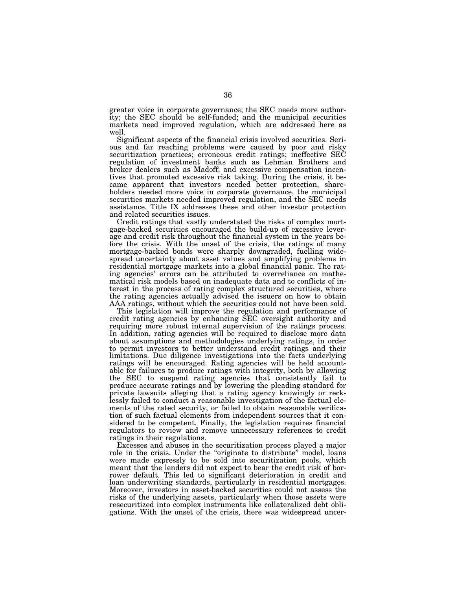greater voice in corporate governance; the SEC needs more authority; the SEC should be self-funded; and the municipal securities markets need improved regulation, which are addressed here as well.

Significant aspects of the financial crisis involved securities. Serious and far reaching problems were caused by poor and risky securitization practices; erroneous credit ratings; ineffective SEC regulation of investment banks such as Lehman Brothers and broker dealers such as Madoff; and excessive compensation incentives that promoted excessive risk taking. During the crisis, it became apparent that investors needed better protection, shareholders needed more voice in corporate governance, the municipal securities markets needed improved regulation, and the SEC needs assistance. Title IX addresses these and other investor protection and related securities issues.

Credit ratings that vastly understated the risks of complex mortgage-backed securities encouraged the build-up of excessive leverage and credit risk throughout the financial system in the years before the crisis. With the onset of the crisis, the ratings of many mortgage-backed bonds were sharply downgraded, fuelling widespread uncertainty about asset values and amplifying problems in residential mortgage markets into a global financial panic. The rating agencies' errors can be attributed to overreliance on mathematical risk models based on inadequate data and to conflicts of interest in the process of rating complex structured securities, where the rating agencies actually advised the issuers on how to obtain AAA ratings, without which the securities could not have been sold.

This legislation will improve the regulation and performance of credit rating agencies by enhancing SEC oversight authority and requiring more robust internal supervision of the ratings process. In addition, rating agencies will be required to disclose more data about assumptions and methodologies underlying ratings, in order to permit investors to better understand credit ratings and their limitations. Due diligence investigations into the facts underlying ratings will be encouraged. Rating agencies will be held accountable for failures to produce ratings with integrity, both by allowing the SEC to suspend rating agencies that consistently fail to produce accurate ratings and by lowering the pleading standard for private lawsuits alleging that a rating agency knowingly or recklessly failed to conduct a reasonable investigation of the factual elements of the rated security, or failed to obtain reasonable verification of such factual elements from independent sources that it considered to be competent. Finally, the legislation requires financial regulators to review and remove unnecessary references to credit ratings in their regulations.

Excesses and abuses in the securitization process played a major role in the crisis. Under the "originate to distribute" model, loans were made expressly to be sold into securitization pools, which meant that the lenders did not expect to bear the credit risk of borrower default. This led to significant deterioration in credit and loan underwriting standards, particularly in residential mortgages. Moreover, investors in asset-backed securities could not assess the risks of the underlying assets, particularly when those assets were resecuritized into complex instruments like collateralized debt obligations. With the onset of the crisis, there was widespread uncer-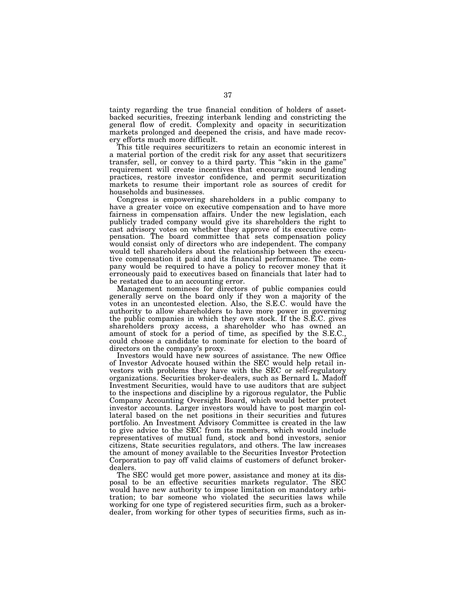tainty regarding the true financial condition of holders of assetbacked securities, freezing interbank lending and constricting the general flow of credit. Complexity and opacity in securitization markets prolonged and deepened the crisis, and have made recovery efforts much more difficult.

This title requires securitizers to retain an economic interest in a material portion of the credit risk for any asset that securitizers transfer, sell, or convey to a third party. This ''skin in the game'' requirement will create incentives that encourage sound lending practices, restore investor confidence, and permit securitization markets to resume their important role as sources of credit for households and businesses.

Congress is empowering shareholders in a public company to have a greater voice on executive compensation and to have more fairness in compensation affairs. Under the new legislation, each publicly traded company would give its shareholders the right to cast advisory votes on whether they approve of its executive compensation. The board committee that sets compensation policy would consist only of directors who are independent. The company would tell shareholders about the relationship between the executive compensation it paid and its financial performance. The company would be required to have a policy to recover money that it erroneously paid to executives based on financials that later had to be restated due to an accounting error.

Management nominees for directors of public companies could generally serve on the board only if they won a majority of the votes in an uncontested election. Also, the S.E.C. would have the authority to allow shareholders to have more power in governing the public companies in which they own stock. If the S.E.C. gives shareholders proxy access, a shareholder who has owned an amount of stock for a period of time, as specified by the S.E.C., could choose a candidate to nominate for election to the board of directors on the company's proxy.

Investors would have new sources of assistance. The new Office of Investor Advocate housed within the SEC would help retail investors with problems they have with the SEC or self-regulatory organizations. Securities broker-dealers, such as Bernard L. Madoff Investment Securities, would have to use auditors that are subject to the inspections and discipline by a rigorous regulator, the Public Company Accounting Oversight Board, which would better protect investor accounts. Larger investors would have to post margin collateral based on the net positions in their securities and futures portfolio. An Investment Advisory Committee is created in the law to give advice to the SEC from its members, which would include representatives of mutual fund, stock and bond investors, senior citizens, State securities regulators, and others. The law increases the amount of money available to the Securities Investor Protection Corporation to pay off valid claims of customers of defunct brokerdealers.

The SEC would get more power, assistance and money at its disposal to be an effective securities markets regulator. The SEC would have new authority to impose limitation on mandatory arbitration; to bar someone who violated the securities laws while working for one type of registered securities firm, such as a brokerdealer, from working for other types of securities firms, such as in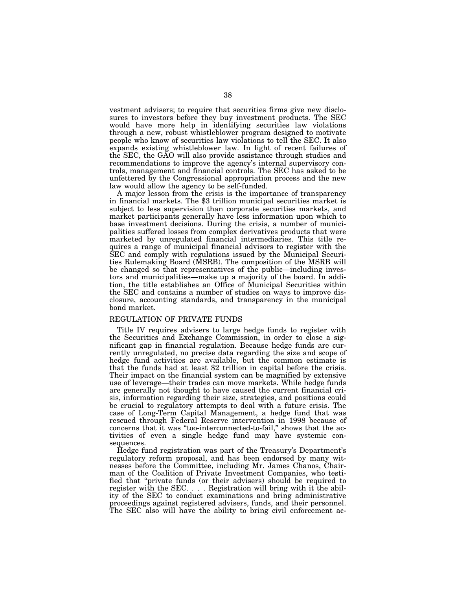vestment advisers; to require that securities firms give new disclosures to investors before they buy investment products. The SEC would have more help in identifying securities law violations through a new, robust whistleblower program designed to motivate people who know of securities law violations to tell the SEC. It also expands existing whistleblower law. In light of recent failures of the SEC, the GAO will also provide assistance through studies and recommendations to improve the agency's internal supervisory controls, management and financial controls. The SEC has asked to be unfettered by the Congressional appropriation process and the new law would allow the agency to be self-funded.

A major lesson from the crisis is the importance of transparency in financial markets. The \$3 trillion municipal securities market is subject to less supervision than corporate securities markets, and market participants generally have less information upon which to base investment decisions. During the crisis, a number of municipalities suffered losses from complex derivatives products that were marketed by unregulated financial intermediaries. This title requires a range of municipal financial advisors to register with the SEC and comply with regulations issued by the Municipal Securities Rulemaking Board (MSRB). The composition of the MSRB will be changed so that representatives of the public—including investors and municipalities—make up a majority of the board. In addition, the title establishes an Office of Municipal Securities within the SEC and contains a number of studies on ways to improve disclosure, accounting standards, and transparency in the municipal bond market.

#### REGULATION OF PRIVATE FUNDS

Title IV requires advisers to large hedge funds to register with the Securities and Exchange Commission, in order to close a significant gap in financial regulation. Because hedge funds are currently unregulated, no precise data regarding the size and scope of hedge fund activities are available, but the common estimate is that the funds had at least \$2 trillion in capital before the crisis. Their impact on the financial system can be magnified by extensive use of leverage—their trades can move markets. While hedge funds are generally not thought to have caused the current financial crisis, information regarding their size, strategies, and positions could be crucial to regulatory attempts to deal with a future crisis. The case of Long-Term Capital Management, a hedge fund that was rescued through Federal Reserve intervention in 1998 because of concerns that it was ''too-interconnected-to-fail,'' shows that the activities of even a single hedge fund may have systemic consequences.

Hedge fund registration was part of the Treasury's Department's regulatory reform proposal, and has been endorsed by many witnesses before the Committee, including Mr. James Chanos, Chairman of the Coalition of Private Investment Companies, who testified that ''private funds (or their advisers) should be required to register with the SEC. . . . Registration will bring with it the ability of the SEC to conduct examinations and bring administrative proceedings against registered advisers, funds, and their personnel. The SEC also will have the ability to bring civil enforcement ac-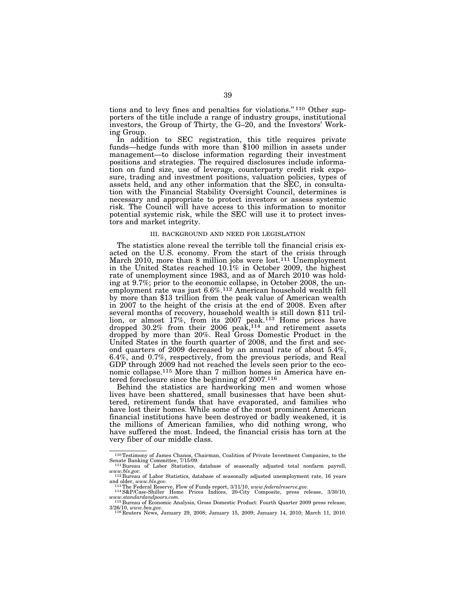tions and to levy fines and penalties for violations.'' 110 Other supporters of the title include a range of industry groups, institutional investors, the Group of Thirty, the G–20, and the Investors' Working Group.

In addition to SEC registration, this title requires private funds—hedge funds with more than \$100 million in assets under management—to disclose information regarding their investment positions and strategies. The required disclosures include information on fund size, use of leverage, counterparty credit risk exposure, trading and investment positions, valuation policies, types of assets held, and any other information that the SEC, in consultation with the Financial Stability Oversight Council, determines is necessary and appropriate to protect investors or assess systemic risk. The Council will have access to this information to monitor potential systemic risk, while the SEC will use it to protect investors and market integrity.

## III. BACKGROUND AND NEED FOR LEGISLATION

The statistics alone reveal the terrible toll the financial crisis exacted on the U.S. economy. From the start of the crisis through March 2010, more than 8 million jobs were lost.111 Unemployment in the United States reached 10.1% in October 2009, the highest rate of unemployment since 1983, and as of March 2010 was holding at 9.7%; prior to the economic collapse, in October 2008, the unemployment rate was just 6.6%.<sup>112</sup> American household wealth fell by more than \$13 trillion from the peak value of American wealth in 2007 to the height of the crisis at the end of 2008. Even after several months of recovery, household wealth is still down \$11 trillion, or almost 17%, from its 2007 peak.113 Home prices have dropped  $30.2\%$  from their 2006 peak,<sup>114</sup> and retirement assets dropped by more than 20%. Real Gross Domestic Product in the United States in the fourth quarter of 2008, and the first and second quarters of 2009 decreased by an annual rate of about 5.4%, 6.4%, and 0.7%, respectively, from the previous periods, and Real GDP through 2009 had not reached the levels seen prior to the economic collapse.115 More than 7 million homes in America have entered foreclosure since the beginning of 2007.116

Behind the statistics are hardworking men and women whose lives have been shattered, small businesses that have been shuttered, retirement funds that have evaporated, and families who have lost their homes. While some of the most prominent American financial institutions have been destroyed or badly weakened, it is the millions of American families, who did nothing wrong, who have suffered the most. Indeed, the financial crisis has torn at the very fiber of our middle class.

<sup>110</sup>Testimony of James Chanos, Chairman, Coalition of Private Investment Companies, to the Senate Banking Committee, 7/15/09. 111 Bureau of Labor Statistics, database of seasonally adjusted total nonfarm payroll,

*www.bls.gov.* <sup>112</sup> Bureau of Labor Statistics, database of seasonally adjusted unemployment rate, 16 years and older, *www.bls.gov.* 

and older, *www.bls.gov.*<br><sup>113</sup>The Federal Reserve, Flow of Funds report, 3/11/10, *www.federalreserve.gov.*<br><sup>114</sup> S&P/Case-Shiller Home Prices Indices, 20-City Composite, press release, 3/30/10,

*www.standardandpoors.com.* <sup>115</sup> Bureau of Economic Analysis, Gross Domestic Product: Fourth Quarter 2009 press release,

<sup>3/26/10,</sup> *www.bea.gov.* <sup>116</sup> Reuters News, January 29, 2008; January 15, 2009; January 14, 2010; March 11, 2010.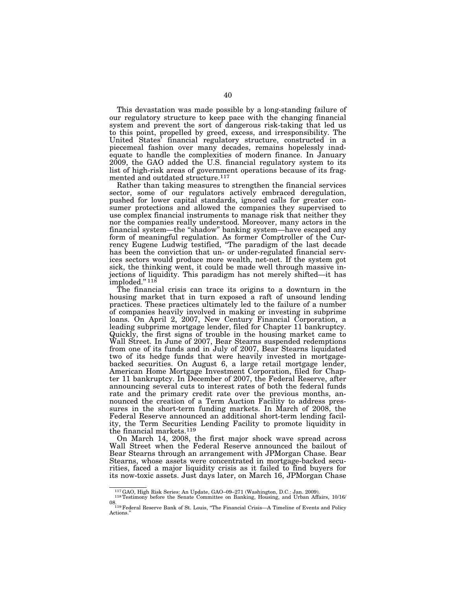This devastation was made possible by a long-standing failure of our regulatory structure to keep pace with the changing financial system and prevent the sort of dangerous risk-taking that led us to this point, propelled by greed, excess, and irresponsibility. The United States' financial regulatory structure, constructed in a piecemeal fashion over many decades, remains hopelessly inadequate to handle the complexities of modern finance. In January 2009, the GAO added the U.S. financial regulatory system to its list of high-risk areas of government operations because of its fragmented and outdated structure.117

Rather than taking measures to strengthen the financial services sector, some of our regulators actively embraced deregulation, pushed for lower capital standards, ignored calls for greater consumer protections and allowed the companies they supervised to use complex financial instruments to manage risk that neither they nor the companies really understood. Moreover, many actors in the financial system—the ''shadow'' banking system—have escaped any form of meaningful regulation. As former Comptroller of the Currency Eugene Ludwig testified, ''The paradigm of the last decade has been the conviction that un- or under-regulated financial services sectors would produce more wealth, net-net. If the system got sick, the thinking went, it could be made well through massive injections of liquidity. This paradigm has not merely shifted—it has imploded."<sup>118</sup>

The financial crisis can trace its origins to a downturn in the housing market that in turn exposed a raft of unsound lending practices. These practices ultimately led to the failure of a number of companies heavily involved in making or investing in subprime loans. On April 2, 2007, New Century Financial Corporation, a leading subprime mortgage lender, filed for Chapter 11 bankruptcy. Quickly, the first signs of trouble in the housing market came to Wall Street. In June of 2007, Bear Stearns suspended redemptions from one of its funds and in July of 2007, Bear Stearns liquidated two of its hedge funds that were heavily invested in mortgagebacked securities. On August 6, a large retail mortgage lender, American Home Mortgage Investment Corporation, filed for Chapter 11 bankruptcy. In December of 2007, the Federal Reserve, after announcing several cuts to interest rates of both the federal funds rate and the primary credit rate over the previous months, announced the creation of a Term Auction Facility to address pressures in the short-term funding markets. In March of 2008, the Federal Reserve announced an additional short-term lending facility, the Term Securities Lending Facility to promote liquidity in the financial markets.119

On March 14, 2008, the first major shock wave spread across Wall Street when the Federal Reserve announced the bailout of Bear Stearns through an arrangement with JPMorgan Chase. Bear Stearns, whose assets were concentrated in mortgage-backed securities, faced a major liquidity crisis as it failed to find buyers for its now-toxic assets. Just days later, on March 16, JPMorgan Chase

<sup>117</sup>GAO, High Risk Series: An Update, GAO–09–271 (Washington, D.C.: Jan. 2009). 118Testimony before the Senate Committee on Banking, Housing, and Urban Affairs, 10/16/

<sup>08. 119</sup>Federal Reserve Bank of St. Louis, ''The Financial Crisis—A Timeline of Events and Policy Actions.''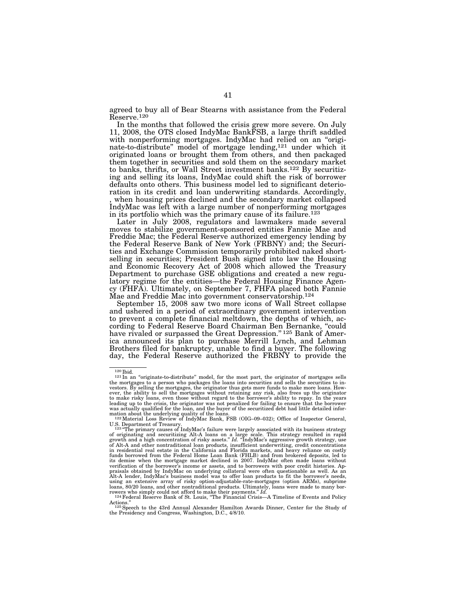agreed to buy all of Bear Stearns with assistance from the Federal Reserve.120

In the months that followed the crisis grew more severe. On July 11, 2008, the OTS closed IndyMac BankFSB, a large thrift saddled with nonperforming mortgages. IndyMac had relied on an ''originate-to-distribute'' model of mortgage lending,121 under which it originated loans or brought them from others, and then packaged them together in securities and sold them on the secondary market to banks, thrifts, or Wall Street investment banks.122 By securitizing and selling its loans, IndyMac could shift the risk of borrower defaults onto others. This business model led to significant deterioration in its credit and loan underwriting standards. Accordingly, when housing prices declined and the secondary market collapsed IndyMac was left with a large number of nonperforming mortgages in its portfolio which was the primary cause of its failure.123

Later in July 2008, regulators and lawmakers made several moves to stabilize government-sponsored entities Fannie Mae and Freddie Mac; the Federal Reserve authorized emergency lending by the Federal Reserve Bank of New York (FRBNY) and; the Securities and Exchange Commission temporarily prohibited naked shortselling in securities; President Bush signed into law the Housing and Economic Recovery Act of 2008 which allowed the Treasury Department to purchase GSE obligations and created a new regulatory regime for the entities—the Federal Housing Finance Agency (FHFA). Ultimately, on September 7, FHFA placed both Fannie Mae and Freddie Mac into government conservatorship.124

September 15, 2008 saw two more icons of Wall Street collapse and ushered in a period of extraordinary government intervention to prevent a complete financial meltdown, the depths of which, according to Federal Reserve Board Chairman Ben Bernanke, ''could have rivaled or surpassed the Great Depression."<sup>125</sup> Bank of America announced its plan to purchase Merrill Lynch, and Lehman Brothers filed for bankruptcy, unable to find a buyer. The following day, the Federal Reserve authorized the FRBNY to provide the

 $120$  Ibid.<br> $121$  In an "originate-to-distribute" model, for the most part, the originator of mortgages sells the mortgages to a person who packages the loans into securities and sells the securities to in-vestors. By selling the mortgages, the originator thus gets more funds to make more loans. However, the ability to sell the mortgages without retaining any risk, also frees up the originator<br>to make risky loans, even those without regard to the borrower's ability to repay. In the years<br>leading up to the crisis, the was actually qualified for the loan, and the buyer of the securitized debt had little detailed information about the underlying quality of the loans.<br><sup>122</sup>Material Loss Review of IndyMac Bank, FSB (OIG–09–032); Office of Inspector General,

U.S. Department of Treasury.<br><sup>123</sup> "The primary causes of IndyMac's failure were largely associated with its business strategy<br>of originating and securitizing Alt-A loans on a large scale. This strategy resulted in rapid<br> of Alt-A and other nontraditional loan products, insufficient underwriting, credit concentrations in residential real estate in the California and Florida markets, and heavy reliance on costly funds borrowed from the Federal Home Loan Bank (FHLB) and from brokered deposits, led to<br>its demise when the mortgage market declined in 2007. IndyMac often made loans without<br>verification of the borrower's income or asset praisals obtained by IndyMac on underlying collateral were often questionable as well. As an<br>Alt-A lender, IndyMac's business model was to offer loan products to fit the borrower's needs,<br>using an extensive array of risky loans, 80/20 loans, and other nontraditional products. Ultimately, loans were made to many bor-<br>rowers who simply could not afford to make their payments." Id.<br>124 Federal Reserve Bank of St. Louis, "The Financial Crisis—A

Actions."<br><sup>125</sup> Speech to the 43rd Annual Alexander Hamilton Awards Dinner, Center for the Study of<br><sup>125</sup> Presidency and Congress, Washington, D.C., 4/8/10.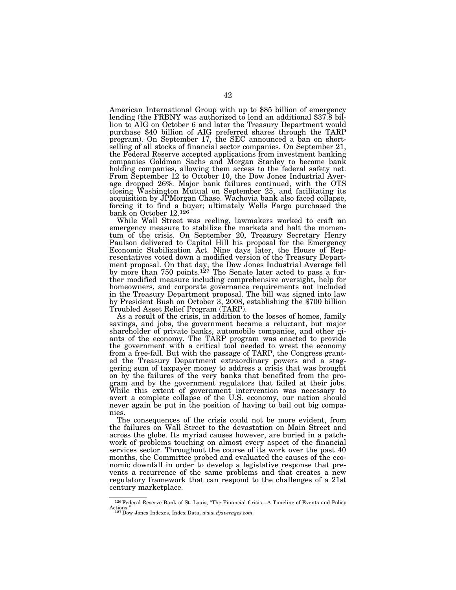American International Group with up to \$85 billion of emergency lending (the FRBNY was authorized to lend an additional \$37.8 billion to AIG on October 6 and later the Treasury Department would purchase \$40 billion of AIG preferred shares through the TARP program). On September 17, the SEC announced a ban on shortselling of all stocks of financial sector companies. On September 21, the Federal Reserve accepted applications from investment banking companies Goldman Sachs and Morgan Stanley to become bank holding companies, allowing them access to the federal safety net. From September 12 to October 10, the Dow Jones Industrial Average dropped 26%. Major bank failures continued, with the OTS closing Washington Mutual on September 25, and facilitating its acquisition by JPMorgan Chase. Wachovia bank also faced collapse, forcing it to find a buyer; ultimately Wells Fargo purchased the bank on October 12.126

While Wall Street was reeling, lawmakers worked to craft an emergency measure to stabilize the markets and halt the momentum of the crisis. On September 20, Treasury Secretary Henry Paulson delivered to Capitol Hill his proposal for the Emergency Economic Stabilization Act. Nine days later, the House of Representatives voted down a modified version of the Treasury Department proposal. On that day, the Dow Jones Industrial Average fell by more than 750 points.<sup>127</sup> The Senate later acted to pass a further modified measure including comprehensive oversight, help for homeowners, and corporate governance requirements not included in the Treasury Department proposal. The bill was signed into law by President Bush on October 3, 2008, establishing the \$700 billion Troubled Asset Relief Program (TARP).

As a result of the crisis, in addition to the losses of homes, family savings, and jobs, the government became a reluctant, but major shareholder of private banks, automobile companies, and other giants of the economy. The TARP program was enacted to provide the government with a critical tool needed to wrest the economy from a free-fall. But with the passage of TARP, the Congress granted the Treasury Department extraordinary powers and a staggering sum of taxpayer money to address a crisis that was brought on by the failures of the very banks that benefited from the program and by the government regulators that failed at their jobs. While this extent of government intervention was necessary to avert a complete collapse of the U.S. economy, our nation should never again be put in the position of having to bail out big companies.

The consequences of the crisis could not be more evident, from the failures on Wall Street to the devastation on Main Street and across the globe. Its myriad causes however, are buried in a patchwork of problems touching on almost every aspect of the financial services sector. Throughout the course of its work over the past 40 months, the Committee probed and evaluated the causes of the economic downfall in order to develop a legislative response that prevents a recurrence of the same problems and that creates a new regulatory framework that can respond to the challenges of a 21st century marketplace.

<sup>&</sup>lt;sup>126</sup> Federal Reserve Bank of St. Louis, "The Financial Crisis--A Timeline of Events and Policy Actions.'' 127Dow Jones Indexes, Index Data, *www.djaverages.com.*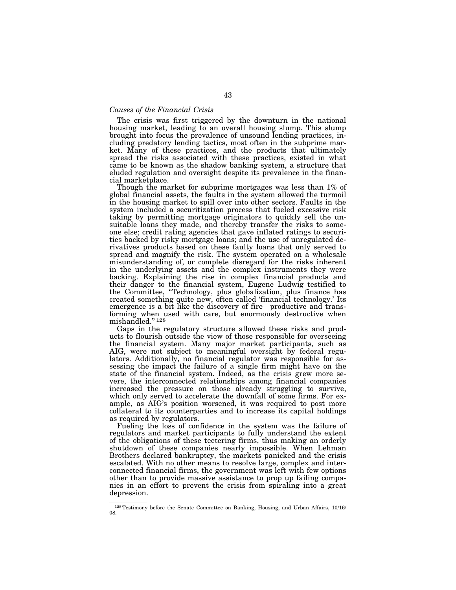## *Causes of the Financial Crisis*

The crisis was first triggered by the downturn in the national housing market, leading to an overall housing slump. This slump brought into focus the prevalence of unsound lending practices, including predatory lending tactics, most often in the subprime market. Many of these practices, and the products that ultimately spread the risks associated with these practices, existed in what came to be known as the shadow banking system, a structure that eluded regulation and oversight despite its prevalence in the financial marketplace.

Though the market for subprime mortgages was less than 1% of global financial assets, the faults in the system allowed the turmoil in the housing market to spill over into other sectors. Faults in the system included a securitization process that fueled excessive risk taking by permitting mortgage originators to quickly sell the unsuitable loans they made, and thereby transfer the risks to someone else; credit rating agencies that gave inflated ratings to securities backed by risky mortgage loans; and the use of unregulated derivatives products based on these faulty loans that only served to spread and magnify the risk. The system operated on a wholesale misunderstanding of, or complete disregard for the risks inherent in the underlying assets and the complex instruments they were backing. Explaining the rise in complex financial products and their danger to the financial system, Eugene Ludwig testified to the Committee, ''Technology, plus globalization, plus finance has created something quite new, often called 'financial technology.' Its emergence is a bit like the discovery of fire—productive and transforming when used with care, but enormously destructive when mishandled."<sup>128</sup>

Gaps in the regulatory structure allowed these risks and products to flourish outside the view of those responsible for overseeing the financial system. Many major market participants, such as AIG, were not subject to meaningful oversight by federal regulators. Additionally, no financial regulator was responsible for assessing the impact the failure of a single firm might have on the state of the financial system. Indeed, as the crisis grew more severe, the interconnected relationships among financial companies increased the pressure on those already struggling to survive, which only served to accelerate the downfall of some firms. For example, as AIG's position worsened, it was required to post more collateral to its counterparties and to increase its capital holdings as required by regulators.

Fueling the loss of confidence in the system was the failure of regulators and market participants to fully understand the extent of the obligations of these teetering firms, thus making an orderly shutdown of these companies nearly impossible. When Lehman Brothers declared bankruptcy, the markets panicked and the crisis escalated. With no other means to resolve large, complex and interconnected financial firms, the government was left with few options other than to provide massive assistance to prop up failing companies in an effort to prevent the crisis from spiraling into a great depression.

<sup>128</sup>Testimony before the Senate Committee on Banking, Housing, and Urban Affairs, 10/16/ 08.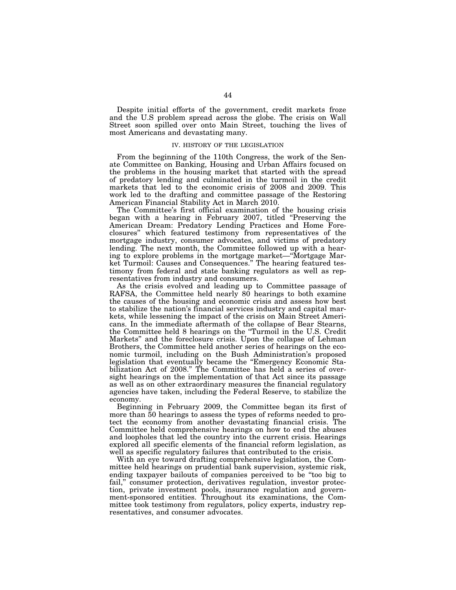Despite initial efforts of the government, credit markets froze and the U.S problem spread across the globe. The crisis on Wall Street soon spilled over onto Main Street, touching the lives of most Americans and devastating many.

#### IV. HISTORY OF THE LEGISLATION

From the beginning of the 110th Congress, the work of the Senate Committee on Banking, Housing and Urban Affairs focused on the problems in the housing market that started with the spread of predatory lending and culminated in the turmoil in the credit markets that led to the economic crisis of 2008 and 2009. This work led to the drafting and committee passage of the Restoring American Financial Stability Act in March 2010.

The Committee's first official examination of the housing crisis began with a hearing in February 2007, titled ''Preserving the American Dream: Predatory Lending Practices and Home Foreclosures'' which featured testimony from representatives of the mortgage industry, consumer advocates, and victims of predatory lending. The next month, the Committee followed up with a hearing to explore problems in the mortgage market—''Mortgage Market Turmoil: Causes and Consequences.'' The hearing featured testimony from federal and state banking regulators as well as representatives from industry and consumers.

As the crisis evolved and leading up to Committee passage of RAFSA, the Committee held nearly 80 hearings to both examine the causes of the housing and economic crisis and assess how best to stabilize the nation's financial services industry and capital markets, while lessening the impact of the crisis on Main Street Americans. In the immediate aftermath of the collapse of Bear Stearns, the Committee held 8 hearings on the ''Turmoil in the U.S. Credit Markets'' and the foreclosure crisis. Upon the collapse of Lehman Brothers, the Committee held another series of hearings on the economic turmoil, including on the Bush Administration's proposed legislation that eventually became the ''Emergency Economic Stabilization Act of 2008.'' The Committee has held a series of oversight hearings on the implementation of that Act since its passage as well as on other extraordinary measures the financial regulatory agencies have taken, including the Federal Reserve, to stabilize the economy.

Beginning in February 2009, the Committee began its first of more than 50 hearings to assess the types of reforms needed to protect the economy from another devastating financial crisis. The Committee held comprehensive hearings on how to end the abuses and loopholes that led the country into the current crisis. Hearings explored all specific elements of the financial reform legislation, as well as specific regulatory failures that contributed to the crisis.

With an eye toward drafting comprehensive legislation, the Committee held hearings on prudential bank supervision, systemic risk, ending taxpayer bailouts of companies perceived to be ''too big to fail," consumer protection, derivatives regulation, investor protection, private investment pools, insurance regulation and government-sponsored entities. Throughout its examinations, the Committee took testimony from regulators, policy experts, industry representatives, and consumer advocates.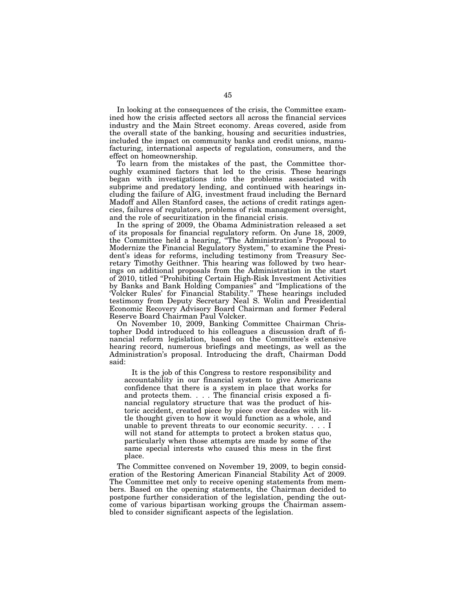In looking at the consequences of the crisis, the Committee examined how the crisis affected sectors all across the financial services industry and the Main Street economy. Areas covered, aside from the overall state of the banking, housing and securities industries, included the impact on community banks and credit unions, manufacturing, international aspects of regulation, consumers, and the effect on homeownership.

To learn from the mistakes of the past, the Committee thoroughly examined factors that led to the crisis. These hearings began with investigations into the problems associated with subprime and predatory lending, and continued with hearings including the failure of AIG, investment fraud including the Bernard Madoff and Allen Stanford cases, the actions of credit ratings agencies, failures of regulators, problems of risk management oversight, and the role of securitization in the financial crisis.

In the spring of 2009, the Obama Administration released a set of its proposals for financial regulatory reform. On June 18, 2009, the Committee held a hearing, ''The Administration's Proposal to Modernize the Financial Regulatory System,'' to examine the President's ideas for reforms, including testimony from Treasury Secretary Timothy Geithner. This hearing was followed by two hearings on additional proposals from the Administration in the start of 2010, titled ''Prohibiting Certain High-Risk Investment Activities by Banks and Bank Holding Companies'' and ''Implications of the 'Volcker Rules' for Financial Stability.'' These hearings included testimony from Deputy Secretary Neal S. Wolin and Presidential Economic Recovery Advisory Board Chairman and former Federal Reserve Board Chairman Paul Volcker.

On November 10, 2009, Banking Committee Chairman Christopher Dodd introduced to his colleagues a discussion draft of financial reform legislation, based on the Committee's extensive hearing record, numerous briefings and meetings, as well as the Administration's proposal. Introducing the draft, Chairman Dodd said:

It is the job of this Congress to restore responsibility and accountability in our financial system to give Americans confidence that there is a system in place that works for and protects them. . . . The financial crisis exposed a financial regulatory structure that was the product of historic accident, created piece by piece over decades with little thought given to how it would function as a whole, and unable to prevent threats to our economic security. . . . I will not stand for attempts to protect a broken status quo, particularly when those attempts are made by some of the same special interests who caused this mess in the first place.

The Committee convened on November 19, 2009, to begin consideration of the Restoring American Financial Stability Act of 2009. The Committee met only to receive opening statements from members. Based on the opening statements, the Chairman decided to postpone further consideration of the legislation, pending the outcome of various bipartisan working groups the Chairman assembled to consider significant aspects of the legislation.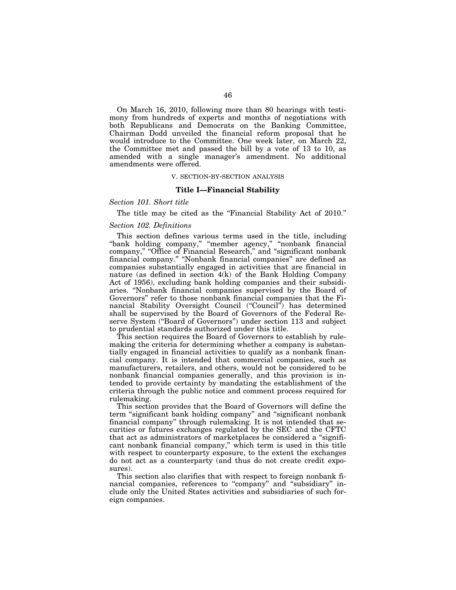On March 16, 2010, following more than 80 hearings with testimony from hundreds of experts and months of negotiations with both Republicans and Democrats on the Banking Committee, Chairman Dodd unveiled the financial reform proposal that he would introduce to the Committee. One week later, on March 22, the Committee met and passed the bill by a vote of 13 to 10, as amended with a single manager's amendment. No additional amendments were offered.

#### V. SECTION-BY-SECTION ANALYSIS

#### **Title I—Financial Stability**

# *Section 101. Short title*

The title may be cited as the "Financial Stability Act of 2010."

#### *Section 102. Definitions*

This section defines various terms used in the title, including ''bank holding company,'' ''member agency,'' ''nonbank financial company," "Office of Financial Research," and "significant nonbank financial company.'' ''Nonbank financial companies'' are defined as companies substantially engaged in activities that are financial in nature (as defined in section 4(k) of the Bank Holding Company Act of 1956), excluding bank holding companies and their subsidiaries. ''Nonbank financial companies supervised by the Board of Governors'' refer to those nonbank financial companies that the Financial Stability Oversight Council ("Council") has determined shall be supervised by the Board of Governors of the Federal Reserve System (''Board of Governors'') under section 113 and subject to prudential standards authorized under this title.

This section requires the Board of Governors to establish by rulemaking the criteria for determining whether a company is substantially engaged in financial activities to qualify as a nonbank financial company. It is intended that commercial companies, such as manufacturers, retailers, and others, would not be considered to be nonbank financial companies generally, and this provision is intended to provide certainty by mandating the establishment of the criteria through the public notice and comment process required for rulemaking.

This section provides that the Board of Governors will define the term ''significant bank holding company'' and ''significant nonbank financial company'' through rulemaking. It is not intended that securities or futures exchanges regulated by the SEC and the CFTC that act as administrators of marketplaces be considered a ''significant nonbank financial company,'' which term is used in this title with respect to counterparty exposure, to the extent the exchanges do not act as a counterparty (and thus do not create credit exposures).

This section also clarifies that with respect to foreign nonbank financial companies, references to "company" and "subsidiary" include only the United States activities and subsidiaries of such foreign companies.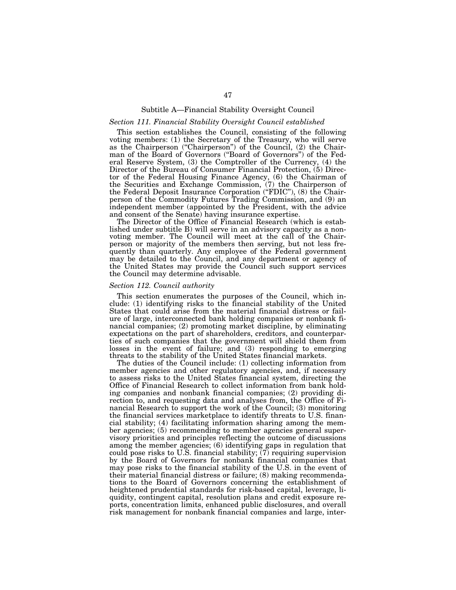# Subtitle A—Financial Stability Oversight Council

# *Section 111. Financial Stability Oversight Council established*

This section establishes the Council, consisting of the following voting members: (1) the Secretary of the Treasury, who will serve as the Chairperson (''Chairperson'') of the Council, (2) the Chairman of the Board of Governors (''Board of Governors'') of the Federal Reserve System, (3) the Comptroller of the Currency, (4) the Director of the Bureau of Consumer Financial Protection, (5) Director of the Federal Housing Finance Agency, (6) the Chairman of the Securities and Exchange Commission, (7) the Chairperson of the Federal Deposit Insurance Corporation (''FDIC''), (8) the Chairperson of the Commodity Futures Trading Commission, and (9) an independent member (appointed by the President, with the advice and consent of the Senate) having insurance expertise.

The Director of the Office of Financial Research (which is established under subtitle B) will serve in an advisory capacity as a nonvoting member. The Council will meet at the call of the Chairperson or majority of the members then serving, but not less frequently than quarterly. Any employee of the Federal government may be detailed to the Council, and any department or agency of the United States may provide the Council such support services the Council may determine advisable.

## *Section 112. Council authority*

This section enumerates the purposes of the Council, which include: (1) identifying risks to the financial stability of the United States that could arise from the material financial distress or failure of large, interconnected bank holding companies or nonbank financial companies; (2) promoting market discipline, by eliminating expectations on the part of shareholders, creditors, and counterparties of such companies that the government will shield them from losses in the event of failure; and (3) responding to emerging threats to the stability of the United States financial markets.

The duties of the Council include: (1) collecting information from member agencies and other regulatory agencies, and, if necessary to assess risks to the United States financial system, directing the Office of Financial Research to collect information from bank holding companies and nonbank financial companies; (2) providing direction to, and requesting data and analyses from, the Office of Financial Research to support the work of the Council; (3) monitoring the financial services marketplace to identify threats to U.S. financial stability; (4) facilitating information sharing among the member agencies; (5) recommending to member agencies general supervisory priorities and principles reflecting the outcome of discussions among the member agencies; (6) identifying gaps in regulation that could pose risks to U.S. financial stability; (7) requiring supervision by the Board of Governors for nonbank financial companies that may pose risks to the financial stability of the U.S. in the event of their material financial distress or failure; (8) making recommendations to the Board of Governors concerning the establishment of heightened prudential standards for risk-based capital, leverage, liquidity, contingent capital, resolution plans and credit exposure reports, concentration limits, enhanced public disclosures, and overall risk management for nonbank financial companies and large, inter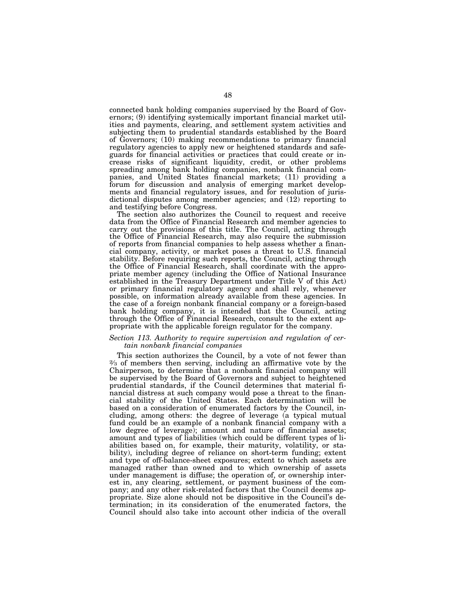connected bank holding companies supervised by the Board of Governors; (9) identifying systemically important financial market utilities and payments, clearing, and settlement system activities and subjecting them to prudential standards established by the Board of Governors; (10) making recommendations to primary financial regulatory agencies to apply new or heightened standards and safeguards for financial activities or practices that could create or increase risks of significant liquidity, credit, or other problems spreading among bank holding companies, nonbank financial companies, and United States financial markets; (11) providing a forum for discussion and analysis of emerging market developments and financial regulatory issues, and for resolution of jurisdictional disputes among member agencies; and (12) reporting to and testifying before Congress.

The section also authorizes the Council to request and receive data from the Office of Financial Research and member agencies to carry out the provisions of this title. The Council, acting through the Office of Financial Research, may also require the submission of reports from financial companies to help assess whether a financial company, activity, or market poses a threat to U.S. financial stability. Before requiring such reports, the Council, acting through the Office of Financial Research, shall coordinate with the appropriate member agency (including the Office of National Insurance established in the Treasury Department under Title V of this Act) or primary financial regulatory agency and shall rely, whenever possible, on information already available from these agencies. In the case of a foreign nonbank financial company or a foreign-based bank holding company, it is intended that the Council, acting through the Office of Financial Research, consult to the extent appropriate with the applicable foreign regulator for the company.

## *Section 113. Authority to require supervision and regulation of certain nonbank financial companies*

This section authorizes the Council, by a vote of not fewer than 2⁄3 of members then serving, including an affirmative vote by the Chairperson, to determine that a nonbank financial company will be supervised by the Board of Governors and subject to heightened prudential standards, if the Council determines that material financial distress at such company would pose a threat to the financial stability of the United States. Each determination will be based on a consideration of enumerated factors by the Council, including, among others: the degree of leverage (a typical mutual fund could be an example of a nonbank financial company with a low degree of leverage); amount and nature of financial assets; amount and types of liabilities (which could be different types of liabilities based on, for example, their maturity, volatility, or stability), including degree of reliance on short-term funding; extent and type of off-balance-sheet exposures; extent to which assets are managed rather than owned and to which ownership of assets under management is diffuse; the operation of, or ownership interest in, any clearing, settlement, or payment business of the company; and any other risk-related factors that the Council deems appropriate. Size alone should not be dispositive in the Council's determination; in its consideration of the enumerated factors, the Council should also take into account other indicia of the overall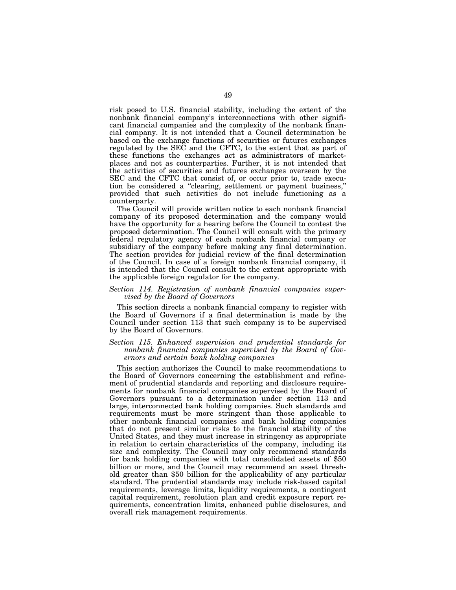risk posed to U.S. financial stability, including the extent of the nonbank financial company's interconnections with other significant financial companies and the complexity of the nonbank financial company. It is not intended that a Council determination be based on the exchange functions of securities or futures exchanges regulated by the  $SE\bar{C}$  and the CFTC, to the extent that as part of these functions the exchanges act as administrators of marketplaces and not as counterparties. Further, it is not intended that the activities of securities and futures exchanges overseen by the SEC and the CFTC that consist of, or occur prior to, trade execution be considered a ''clearing, settlement or payment business,'' provided that such activities do not include functioning as a counterparty.

The Council will provide written notice to each nonbank financial company of its proposed determination and the company would have the opportunity for a hearing before the Council to contest the proposed determination. The Council will consult with the primary federal regulatory agency of each nonbank financial company or subsidiary of the company before making any final determination. The section provides for judicial review of the final determination of the Council. In case of a foreign nonbank financial company, it is intended that the Council consult to the extent appropriate with the applicable foreign regulator for the company.

# *Section 114. Registration of nonbank financial companies supervised by the Board of Governors*

This section directs a nonbank financial company to register with the Board of Governors if a final determination is made by the Council under section 113 that such company is to be supervised by the Board of Governors.

# *Section 115. Enhanced supervision and prudential standards for nonbank financial companies supervised by the Board of Governors and certain bank holding companies*

This section authorizes the Council to make recommendations to the Board of Governors concerning the establishment and refinement of prudential standards and reporting and disclosure requirements for nonbank financial companies supervised by the Board of Governors pursuant to a determination under section 113 and large, interconnected bank holding companies. Such standards and requirements must be more stringent than those applicable to other nonbank financial companies and bank holding companies that do not present similar risks to the financial stability of the United States, and they must increase in stringency as appropriate in relation to certain characteristics of the company, including its size and complexity. The Council may only recommend standards for bank holding companies with total consolidated assets of \$50 billion or more, and the Council may recommend an asset threshold greater than \$50 billion for the applicability of any particular standard. The prudential standards may include risk-based capital requirements, leverage limits, liquidity requirements, a contingent capital requirement, resolution plan and credit exposure report requirements, concentration limits, enhanced public disclosures, and overall risk management requirements.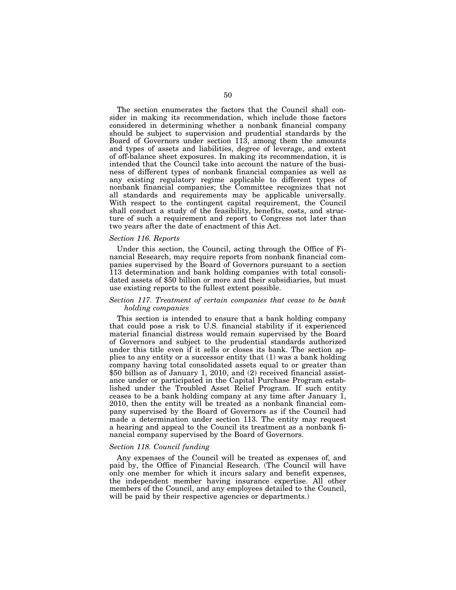The section enumerates the factors that the Council shall consider in making its recommendation, which include those factors considered in determining whether a nonbank financial company should be subject to supervision and prudential standards by the Board of Governors under section 113, among them the amounts and types of assets and liabilities, degree of leverage, and extent of off-balance sheet exposures. In making its recommendation, it is intended that the Council take into account the nature of the business of different types of nonbank financial companies as well as any existing regulatory regime applicable to different types of nonbank financial companies; the Committee recognizes that not all standards and requirements may be applicable universally. With respect to the contingent capital requirement, the Council shall conduct a study of the feasibility, benefits, costs, and structure of such a requirement and report to Congress not later than two years after the date of enactment of this Act.

## *Section 116. Reports*

Under this section, the Council, acting through the Office of Financial Research, may require reports from nonbank financial companies supervised by the Board of Governors pursuant to a section 113 determination and bank holding companies with total consolidated assets of \$50 billion or more and their subsidiaries, but must use existing reports to the fullest extent possible.

## *Section 117. Treatment of certain companies that cease to be bank holding companies*

This section is intended to ensure that a bank holding company that could pose a risk to U.S. financial stability if it experienced material financial distress would remain supervised by the Board of Governors and subject to the prudential standards authorized under this title even if it sells or closes its bank. The section applies to any entity or a successor entity that (1) was a bank holding company having total consolidated assets equal to or greater than \$50 billion as of January 1, 2010, and (2) received financial assistance under or participated in the Capital Purchase Program established under the Troubled Asset Relief Program. If such entity ceases to be a bank holding company at any time after January 1, 2010, then the entity will be treated as a nonbank financial company supervised by the Board of Governors as if the Council had made a determination under section 113. The entity may request a hearing and appeal to the Council its treatment as a nonbank financial company supervised by the Board of Governors.

#### *Section 118. Council funding*

Any expenses of the Council will be treated as expenses of, and paid by, the Office of Financial Research. (The Council will have only one member for which it incurs salary and benefit expenses, the independent member having insurance expertise. All other members of the Council, and any employees detailed to the Council, will be paid by their respective agencies or departments.)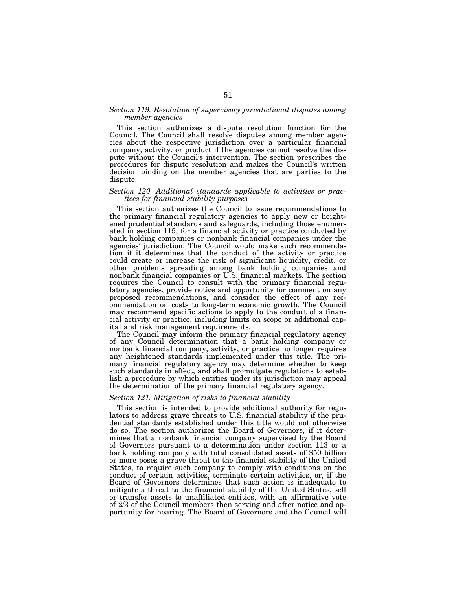# *Section 119. Resolution of supervisory jurisdictional disputes among member agencies*

This section authorizes a dispute resolution function for the Council. The Council shall resolve disputes among member agencies about the respective jurisdiction over a particular financial company, activity, or product if the agencies cannot resolve the dispute without the Council's intervention. The section prescribes the procedures for dispute resolution and makes the Council's written decision binding on the member agencies that are parties to the dispute.

## *Section 120. Additional standards applicable to activities or practices for financial stability purposes*

This section authorizes the Council to issue recommendations to the primary financial regulatory agencies to apply new or heightened prudential standards and safeguards, including those enumerated in section 115, for a financial activity or practice conducted by bank holding companies or nonbank financial companies under the agencies' jurisdiction. The Council would make such recommendation if it determines that the conduct of the activity or practice could create or increase the risk of significant liquidity, credit, or other problems spreading among bank holding companies and nonbank financial companies or U.S. financial markets. The section requires the Council to consult with the primary financial regulatory agencies, provide notice and opportunity for comment on any proposed recommendations, and consider the effect of any recommendation on costs to long-term economic growth. The Council may recommend specific actions to apply to the conduct of a financial activity or practice, including limits on scope or additional capital and risk management requirements.

The Council may inform the primary financial regulatory agency of any Council determination that a bank holding company or nonbank financial company, activity, or practice no longer requires any heightened standards implemented under this title. The primary financial regulatory agency may determine whether to keep such standards in effect, and shall promulgate regulations to establish a procedure by which entities under its jurisdiction may appeal the determination of the primary financial regulatory agency.

# *Section 121. Mitigation of risks to financial stability*

This section is intended to provide additional authority for regulators to address grave threats to U.S. financial stability if the prudential standards established under this title would not otherwise do so. The section authorizes the Board of Governors, if it determines that a nonbank financial company supervised by the Board of Governors pursuant to a determination under section 113 or a bank holding company with total consolidated assets of \$50 billion or more poses a grave threat to the financial stability of the United States, to require such company to comply with conditions on the conduct of certain activities, terminate certain activities, or, if the Board of Governors determines that such action is inadequate to mitigate a threat to the financial stability of the United States, sell or transfer assets to unaffiliated entities, with an affirmative vote of 2/3 of the Council members then serving and after notice and opportunity for hearing. The Board of Governors and the Council will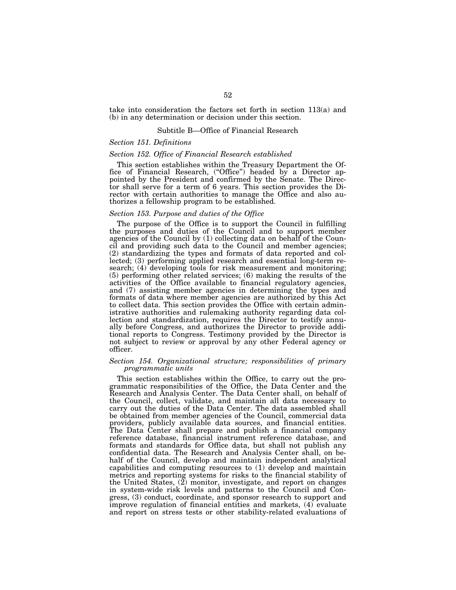take into consideration the factors set forth in section 113(a) and (b) in any determination or decision under this section.

#### Subtitle B—Office of Financial Research

# *Section 151. Definitions*

## *Section 152. Office of Financial Research established*

This section establishes within the Treasury Department the Office of Financial Research, (''Office'') headed by a Director appointed by the President and confirmed by the Senate. The Director shall serve for a term of 6 years. This section provides the Director with certain authorities to manage the Office and also authorizes a fellowship program to be established.

#### *Section 153. Purpose and duties of the Office*

The purpose of the Office is to support the Council in fulfilling the purposes and duties of the Council and to support member agencies of the Council by (1) collecting data on behalf of the Council and providing such data to the Council and member agencies; (2) standardizing the types and formats of data reported and collected; (3) performing applied research and essential long-term research; (4) developing tools for risk measurement and monitoring; (5) performing other related services; (6) making the results of the activities of the Office available to financial regulatory agencies, and (7) assisting member agencies in determining the types and formats of data where member agencies are authorized by this Act to collect data. This section provides the Office with certain administrative authorities and rulemaking authority regarding data collection and standardization, requires the Director to testify annually before Congress, and authorizes the Director to provide additional reports to Congress. Testimony provided by the Director is not subject to review or approval by any other Federal agency or officer.

# *Section 154. Organizational structure; responsibilities of primary programmatic units*

This section establishes within the Office, to carry out the programmatic responsibilities of the Office, the Data Center and the Research and Analysis Center. The Data Center shall, on behalf of the Council, collect, validate, and maintain all data necessary to carry out the duties of the Data Center. The data assembled shall be obtained from member agencies of the Council, commercial data providers, publicly available data sources, and financial entities. The Data Center shall prepare and publish a financial company reference database, financial instrument reference database, and formats and standards for Office data, but shall not publish any confidential data. The Research and Analysis Center shall, on behalf of the Council, develop and maintain independent analytical capabilities and computing resources to (1) develop and maintain metrics and reporting systems for risks to the financial stability of the United States, (2) monitor, investigate, and report on changes in system-wide risk levels and patterns to the Council and Congress, (3) conduct, coordinate, and sponsor research to support and improve regulation of financial entities and markets, (4) evaluate and report on stress tests or other stability-related evaluations of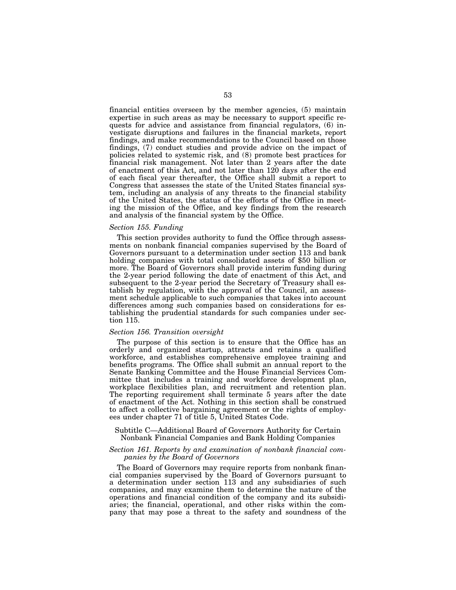financial entities overseen by the member agencies, (5) maintain expertise in such areas as may be necessary to support specific requests for advice and assistance from financial regulators, (6) investigate disruptions and failures in the financial markets, report findings, and make recommendations to the Council based on those findings, (7) conduct studies and provide advice on the impact of policies related to systemic risk, and (8) promote best practices for financial risk management. Not later than 2 years after the date of enactment of this Act, and not later than 120 days after the end of each fiscal year thereafter, the Office shall submit a report to Congress that assesses the state of the United States financial system, including an analysis of any threats to the financial stability of the United States, the status of the efforts of the Office in meeting the mission of the Office, and key findings from the research and analysis of the financial system by the Office.

#### *Section 155. Funding*

This section provides authority to fund the Office through assessments on nonbank financial companies supervised by the Board of Governors pursuant to a determination under section 113 and bank holding companies with total consolidated assets of \$50 billion or more. The Board of Governors shall provide interim funding during the 2-year period following the date of enactment of this Act, and subsequent to the 2-year period the Secretary of Treasury shall establish by regulation, with the approval of the Council, an assessment schedule applicable to such companies that takes into account differences among such companies based on considerations for establishing the prudential standards for such companies under section 115.

# *Section 156. Transition oversight*

The purpose of this section is to ensure that the Office has an orderly and organized startup, attracts and retains a qualified workforce, and establishes comprehensive employee training and benefits programs. The Office shall submit an annual report to the Senate Banking Committee and the House Financial Services Committee that includes a training and workforce development plan, workplace flexibilities plan, and recruitment and retention plan. The reporting requirement shall terminate 5 years after the date of enactment of the Act. Nothing in this section shall be construed to affect a collective bargaining agreement or the rights of employees under chapter 71 of title 5, United States Code.

## Subtitle C—Additional Board of Governors Authority for Certain Nonbank Financial Companies and Bank Holding Companies

# *Section 161. Reports by and examination of nonbank financial companies by the Board of Governors*

The Board of Governors may require reports from nonbank financial companies supervised by the Board of Governors pursuant to a determination under section 113 and any subsidiaries of such companies, and may examine them to determine the nature of the operations and financial condition of the company and its subsidiaries; the financial, operational, and other risks within the company that may pose a threat to the safety and soundness of the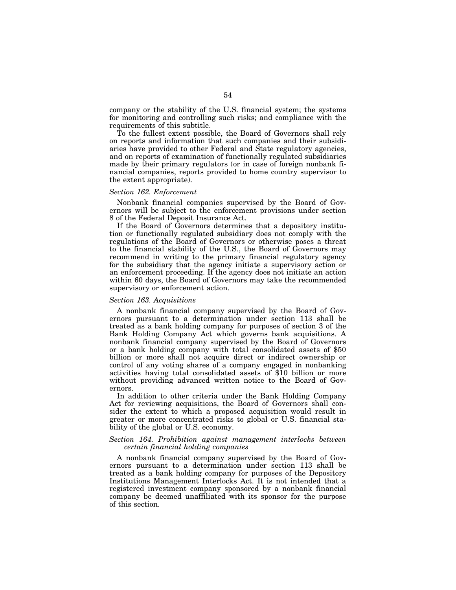company or the stability of the U.S. financial system; the systems for monitoring and controlling such risks; and compliance with the requirements of this subtitle.

To the fullest extent possible, the Board of Governors shall rely on reports and information that such companies and their subsidiaries have provided to other Federal and State regulatory agencies, and on reports of examination of functionally regulated subsidiaries made by their primary regulators (or in case of foreign nonbank financial companies, reports provided to home country supervisor to the extent appropriate).

# *Section 162. Enforcement*

Nonbank financial companies supervised by the Board of Governors will be subject to the enforcement provisions under section 8 of the Federal Deposit Insurance Act.

If the Board of Governors determines that a depository institution or functionally regulated subsidiary does not comply with the regulations of the Board of Governors or otherwise poses a threat to the financial stability of the U.S., the Board of Governors may recommend in writing to the primary financial regulatory agency for the subsidiary that the agency initiate a supervisory action or an enforcement proceeding. If the agency does not initiate an action within 60 days, the Board of Governors may take the recommended supervisory or enforcement action.

#### *Section 163. Acquisitions*

A nonbank financial company supervised by the Board of Governors pursuant to a determination under section 113 shall be treated as a bank holding company for purposes of section 3 of the Bank Holding Company Act which governs bank acquisitions. A nonbank financial company supervised by the Board of Governors or a bank holding company with total consolidated assets of \$50 billion or more shall not acquire direct or indirect ownership or control of any voting shares of a company engaged in nonbanking activities having total consolidated assets of \$10 billion or more without providing advanced written notice to the Board of Governors.

In addition to other criteria under the Bank Holding Company Act for reviewing acquisitions, the Board of Governors shall consider the extent to which a proposed acquisition would result in greater or more concentrated risks to global or U.S. financial stability of the global or U.S. economy.

# *Section 164. Prohibition against management interlocks between certain financial holding companies*

A nonbank financial company supervised by the Board of Governors pursuant to a determination under section 113 shall be treated as a bank holding company for purposes of the Depository Institutions Management Interlocks Act. It is not intended that a registered investment company sponsored by a nonbank financial company be deemed unaffiliated with its sponsor for the purpose of this section.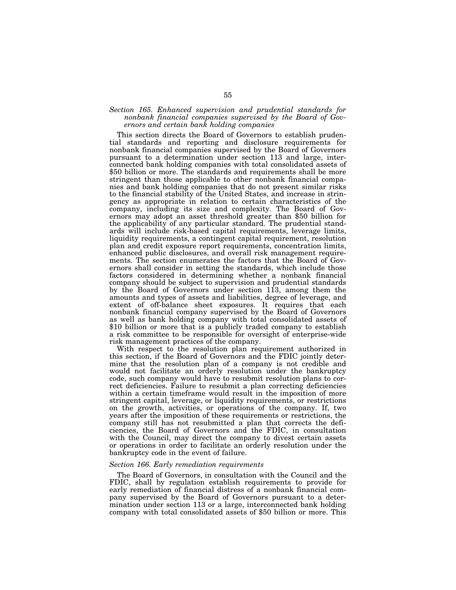# *Section 165. Enhanced supervision and prudential standards for nonbank financial companies supervised by the Board of Governors and certain bank holding companies*

This section directs the Board of Governors to establish prudential standards and reporting and disclosure requirements for nonbank financial companies supervised by the Board of Governors pursuant to a determination under section 113 and large, interconnected bank holding companies with total consolidated assets of \$50 billion or more. The standards and requirements shall be more stringent than those applicable to other nonbank financial companies and bank holding companies that do not present similar risks to the financial stability of the United States, and increase in stringency as appropriate in relation to certain characteristics of the company, including its size and complexity. The Board of Governors may adopt an asset threshold greater than \$50 billion for the applicability of any particular standard. The prudential standards will include risk-based capital requirements, leverage limits, liquidity requirements, a contingent capital requirement, resolution plan and credit exposure report requirements, concentration limits, enhanced public disclosures, and overall risk management requirements. The section enumerates the factors that the Board of Governors shall consider in setting the standards, which include those factors considered in determining whether a nonbank financial company should be subject to supervision and prudential standards by the Board of Governors under section 113, among them the amounts and types of assets and liabilities, degree of leverage, and extent of off-balance sheet exposures. It requires that each nonbank financial company supervised by the Board of Governors as well as bank holding company with total consolidated assets of \$10 billion or more that is a publicly traded company to establish a risk committee to be responsible for oversight of enterprise-wide risk management practices of the company.

With respect to the resolution plan requirement authorized in this section, if the Board of Governors and the FDIC jointly determine that the resolution plan of a company is not credible and would not facilitate an orderly resolution under the bankruptcy code, such company would have to resubmit resolution plans to correct deficiencies. Failure to resubmit a plan correcting deficiencies within a certain timeframe would result in the imposition of more stringent capital, leverage, or liquidity requirements, or restrictions on the growth, activities, or operations of the company. If, two years after the imposition of these requirements or restrictions, the company still has not resubmitted a plan that corrects the deficiencies, the Board of Governors and the FDIC, in consultation with the Council, may direct the company to divest certain assets or operations in order to facilitate an orderly resolution under the bankruptcy code in the event of failure.

#### *Section 166. Early remediation requirements*

The Board of Governors, in consultation with the Council and the FDIC, shall by regulation establish requirements to provide for early remediation of financial distress of a nonbank financial company supervised by the Board of Governors pursuant to a determination under section 113 or a large, interconnected bank holding company with total consolidated assets of \$50 billion or more. This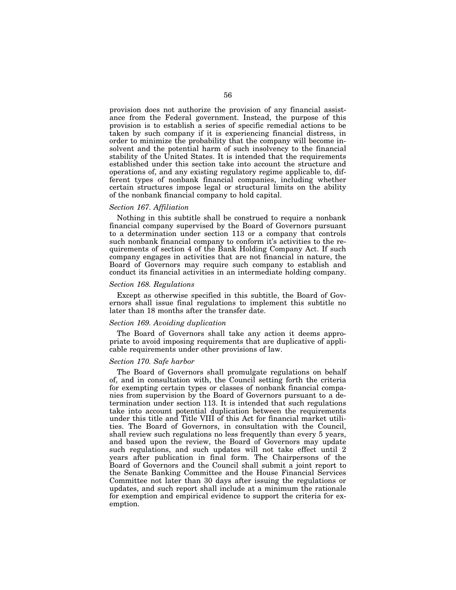provision does not authorize the provision of any financial assistance from the Federal government. Instead, the purpose of this provision is to establish a series of specific remedial actions to be taken by such company if it is experiencing financial distress, in order to minimize the probability that the company will become insolvent and the potential harm of such insolvency to the financial stability of the United States. It is intended that the requirements established under this section take into account the structure and operations of, and any existing regulatory regime applicable to, different types of nonbank financial companies, including whether certain structures impose legal or structural limits on the ability of the nonbank financial company to hold capital.

## *Section 167. Affiliation*

Nothing in this subtitle shall be construed to require a nonbank financial company supervised by the Board of Governors pursuant to a determination under section 113 or a company that controls such nonbank financial company to conform it's activities to the requirements of section 4 of the Bank Holding Company Act. If such company engages in activities that are not financial in nature, the Board of Governors may require such company to establish and conduct its financial activities in an intermediate holding company.

#### *Section 168. Regulations*

Except as otherwise specified in this subtitle, the Board of Governors shall issue final regulations to implement this subtitle no later than 18 months after the transfer date.

# *Section 169. Avoiding duplication*

The Board of Governors shall take any action it deems appropriate to avoid imposing requirements that are duplicative of applicable requirements under other provisions of law.

### *Section 170. Safe harbor*

The Board of Governors shall promulgate regulations on behalf of, and in consultation with, the Council setting forth the criteria for exempting certain types or classes of nonbank financial companies from supervision by the Board of Governors pursuant to a determination under section 113. It is intended that such regulations take into account potential duplication between the requirements under this title and Title VIII of this Act for financial market utilities. The Board of Governors, in consultation with the Council, shall review such regulations no less frequently than every 5 years, and based upon the review, the Board of Governors may update such regulations, and such updates will not take effect until 2 years after publication in final form. The Chairpersons of the Board of Governors and the Council shall submit a joint report to the Senate Banking Committee and the House Financial Services Committee not later than 30 days after issuing the regulations or updates, and such report shall include at a minimum the rationale for exemption and empirical evidence to support the criteria for exemption.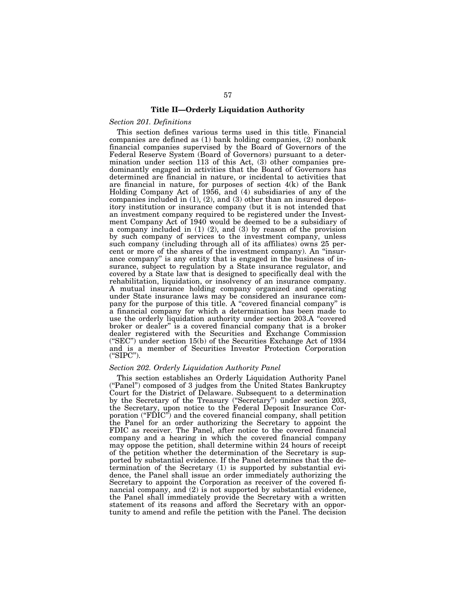# **Title II—Orderly Liquidation Authority**

## *Section 201. Definitions*

This section defines various terms used in this title. Financial companies are defined as (1) bank holding companies, (2) nonbank financial companies supervised by the Board of Governors of the Federal Reserve System (Board of Governors) pursuant to a determination under section 113 of this Act, (3) other companies predominantly engaged in activities that the Board of Governors has determined are financial in nature, or incidental to activities that are financial in nature, for purposes of section 4(k) of the Bank Holding Company Act of 1956, and (4) subsidiaries of any of the companies included in  $(1)$ ,  $(2)$ , and  $(3)$  other than an insured depository institution or insurance company (but it is not intended that an investment company required to be registered under the Investment Company Act of 1940 would be deemed to be a subsidiary of a company included in (1) (2), and (3) by reason of the provision by such company of services to the investment company, unless such company (including through all of its affiliates) owns 25 percent or more of the shares of the investment company). An ''insurance company'' is any entity that is engaged in the business of insurance, subject to regulation by a State insurance regulator, and covered by a State law that is designed to specifically deal with the rehabilitation, liquidation, or insolvency of an insurance company. A mutual insurance holding company organized and operating under State insurance laws may be considered an insurance company for the purpose of this title. A "covered financial company" is a financial company for which a determination has been made to use the orderly liquidation authority under section 203.A ''covered broker or dealer'' is a covered financial company that is a broker dealer registered with the Securities and Exchange Commission (''SEC'') under section 15(b) of the Securities Exchange Act of 1934 and is a member of Securities Investor Protection Corporation (''SIPC'').

## *Section 202. Orderly Liquidation Authority Panel*

This section establishes an Orderly Liquidation Authority Panel (''Panel'') composed of 3 judges from the United States Bankruptcy Court for the District of Delaware. Subsequent to a determination by the Secretary of the Treasury (''Secretary'') under section 203, the Secretary, upon notice to the Federal Deposit Insurance Corporation (" $\vec{FDIC}$ ") and the covered financial company, shall petition the Panel for an order authorizing the Secretary to appoint the FDIC as receiver. The Panel, after notice to the covered financial company and a hearing in which the covered financial company may oppose the petition, shall determine within 24 hours of receipt of the petition whether the determination of the Secretary is supported by substantial evidence. If the Panel determines that the determination of the Secretary (1) is supported by substantial evidence, the Panel shall issue an order immediately authorizing the Secretary to appoint the Corporation as receiver of the covered financial company, and (2) is not supported by substantial evidence, the Panel shall immediately provide the Secretary with a written statement of its reasons and afford the Secretary with an opportunity to amend and refile the petition with the Panel. The decision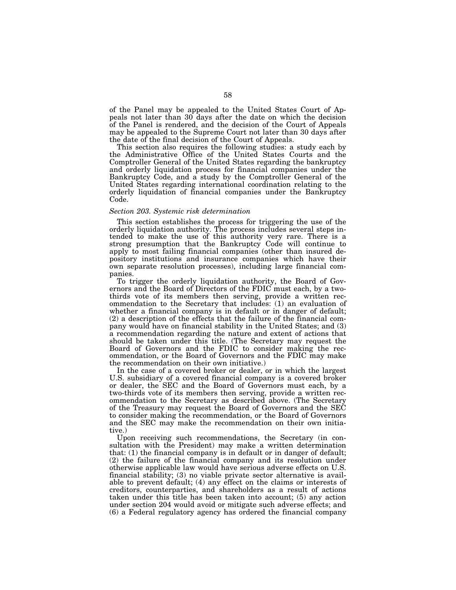of the Panel may be appealed to the United States Court of Appeals not later than 30 days after the date on which the decision of the Panel is rendered, and the decision of the Court of Appeals may be appealed to the Supreme Court not later than 30 days after the date of the final decision of the Court of Appeals.

This section also requires the following studies: a study each by the Administrative Office of the United States Courts and the Comptroller General of the United States regarding the bankruptcy and orderly liquidation process for financial companies under the Bankruptcy Code, and a study by the Comptroller General of the United States regarding international coordination relating to the orderly liquidation of financial companies under the Bankruptcy Code.

#### *Section 203. Systemic risk determination*

This section establishes the process for triggering the use of the orderly liquidation authority. The process includes several steps intended to make the use of this authority very rare. There is a strong presumption that the Bankruptcy Code will continue to apply to most failing financial companies (other than insured depository institutions and insurance companies which have their own separate resolution processes), including large financial companies.

To trigger the orderly liquidation authority, the Board of Governors and the Board of Directors of the FDIC must each, by a twothirds vote of its members then serving, provide a written recommendation to the Secretary that includes: (1) an evaluation of whether a financial company is in default or in danger of default; (2) a description of the effects that the failure of the financial company would have on financial stability in the United States; and (3) a recommendation regarding the nature and extent of actions that should be taken under this title. (The Secretary may request the Board of Governors and the FDIC to consider making the recommendation, or the Board of Governors and the FDIC may make the recommendation on their own initiative.)

In the case of a covered broker or dealer, or in which the largest U.S. subsidiary of a covered financial company is a covered broker or dealer, the SEC and the Board of Governors must each, by a two-thirds vote of its members then serving, provide a written recommendation to the Secretary as described above. (The Secretary of the Treasury may request the Board of Governors and the SEC to consider making the recommendation, or the Board of Governors and the SEC may make the recommendation on their own initiative.)

Upon receiving such recommendations, the Secretary (in consultation with the President) may make a written determination that: (1) the financial company is in default or in danger of default; (2) the failure of the financial company and its resolution under otherwise applicable law would have serious adverse effects on U.S. financial stability; (3) no viable private sector alternative is available to prevent default; (4) any effect on the claims or interests of creditors, counterparties, and shareholders as a result of actions taken under this title has been taken into account; (5) any action under section 204 would avoid or mitigate such adverse effects; and (6) a Federal regulatory agency has ordered the financial company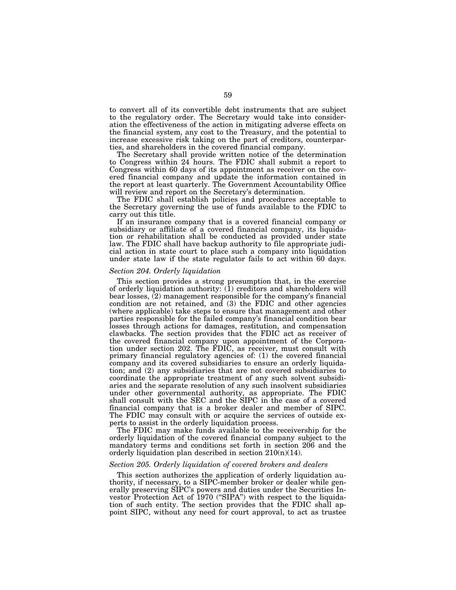to convert all of its convertible debt instruments that are subject to the regulatory order. The Secretary would take into consideration the effectiveness of the action in mitigating adverse effects on the financial system, any cost to the Treasury, and the potential to increase excessive risk taking on the part of creditors, counterparties, and shareholders in the covered financial company.

The Secretary shall provide written notice of the determination to Congress within 24 hours. The FDIC shall submit a report to Congress within 60 days of its appointment as receiver on the covered financial company and update the information contained in the report at least quarterly. The Government Accountability Office will review and report on the Secretary's determination.

The FDIC shall establish policies and procedures acceptable to the Secretary governing the use of funds available to the FDIC to carry out this title.

If an insurance company that is a covered financial company or subsidiary or affiliate of a covered financial company, its liquidation or rehabilitation shall be conducted as provided under state law. The FDIC shall have backup authority to file appropriate judicial action in state court to place such a company into liquidation under state law if the state regulator fails to act within 60 days.

## *Section 204. Orderly liquidation*

This section provides a strong presumption that, in the exercise of orderly liquidation authority: (1) creditors and shareholders will bear losses, (2) management responsible for the company's financial condition are not retained, and (3) the FDIC and other agencies (where applicable) take steps to ensure that management and other parties responsible for the failed company's financial condition bear losses through actions for damages, restitution, and compensation clawbacks. The section provides that the FDIC act as receiver of the covered financial company upon appointment of the Corporation under section 202. The FDIC, as receiver, must consult with primary financial regulatory agencies of: (1) the covered financial company and its covered subsidiaries to ensure an orderly liquidation; and (2) any subsidiaries that are not covered subsidiaries to coordinate the appropriate treatment of any such solvent subsidiaries and the separate resolution of any such insolvent subsidiaries under other governmental authority, as appropriate. The FDIC shall consult with the SEC and the SIPC in the case of a covered financial company that is a broker dealer and member of SIPC. The FDIC may consult with or acquire the services of outside experts to assist in the orderly liquidation process.

The FDIC may make funds available to the receivership for the orderly liquidation of the covered financial company subject to the mandatory terms and conditions set forth in section 206 and the orderly liquidation plan described in section 210(n)(14).

## *Section 205. Orderly liquidation of covered brokers and dealers*

This section authorizes the application of orderly liquidation authority, if necessary, to a SIPC-member broker or dealer while generally preserving SIPC's powers and duties under the Securities Investor Protection Act of 1970 ("SIPA") with respect to the liquidation of such entity. The section provides that the FDIC shall appoint SIPC, without any need for court approval, to act as trustee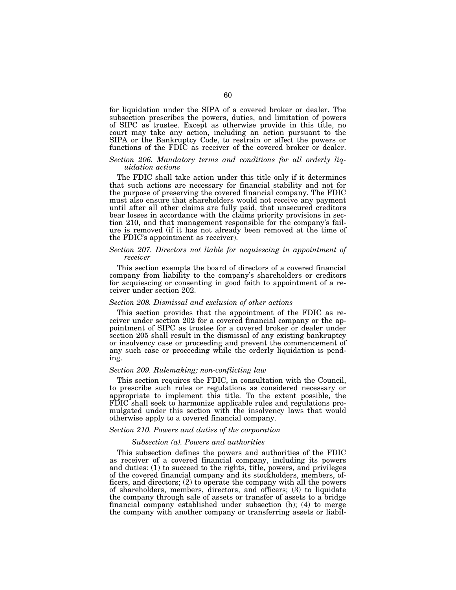for liquidation under the SIPA of a covered broker or dealer. The subsection prescribes the powers, duties, and limitation of powers of SIPC as trustee. Except as otherwise provide in this title, no court may take any action, including an action pursuant to the SIPA or the Bankruptcy Code, to restrain or affect the powers or functions of the FDIC as receiver of the covered broker or dealer.

# *Section 206. Mandatory terms and conditions for all orderly liquidation actions*

The FDIC shall take action under this title only if it determines that such actions are necessary for financial stability and not for the purpose of preserving the covered financial company. The FDIC must also ensure that shareholders would not receive any payment until after all other claims are fully paid, that unsecured creditors bear losses in accordance with the claims priority provisions in section 210, and that management responsible for the company's failure is removed (if it has not already been removed at the time of the FDIC's appointment as receiver).

# *Section 207. Directors not liable for acquiescing in appointment of receiver*

This section exempts the board of directors of a covered financial company from liability to the company's shareholders or creditors for acquiescing or consenting in good faith to appointment of a receiver under section 202.

# *Section 208. Dismissal and exclusion of other actions*

This section provides that the appointment of the FDIC as receiver under section 202 for a covered financial company or the appointment of SIPC as trustee for a covered broker or dealer under section 205 shall result in the dismissal of any existing bankruptcy or insolvency case or proceeding and prevent the commencement of any such case or proceeding while the orderly liquidation is pending.

## *Section 209. Rulemaking; non-conflicting law*

This section requires the FDIC, in consultation with the Council, to prescribe such rules or regulations as considered necessary or appropriate to implement this title. To the extent possible, the FDIC shall seek to harmonize applicable rules and regulations promulgated under this section with the insolvency laws that would otherwise apply to a covered financial company.

# *Section 210. Powers and duties of the corporation*

#### *Subsection (a). Powers and authorities*

This subsection defines the powers and authorities of the FDIC as receiver of a covered financial company, including its powers and duties: (1) to succeed to the rights, title, powers, and privileges of the covered financial company and its stockholders, members, officers, and directors; (2) to operate the company with all the powers of shareholders, members, directors, and officers; (3) to liquidate the company through sale of assets or transfer of assets to a bridge financial company established under subsection (h); (4) to merge the company with another company or transferring assets or liabil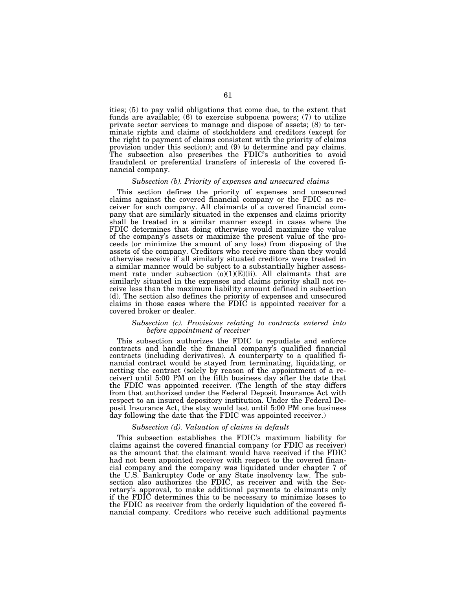ities; (5) to pay valid obligations that come due, to the extent that funds are available; (6) to exercise subpoena powers; (7) to utilize private sector services to manage and dispose of assets; (8) to terminate rights and claims of stockholders and creditors (except for the right to payment of claims consistent with the priority of claims provision under this section); and (9) to determine and pay claims. The subsection also prescribes the FDIC's authorities to avoid fraudulent or preferential transfers of interests of the covered financial company.

# *Subsection (b). Priority of expenses and unsecured claims*

This section defines the priority of expenses and unsecured claims against the covered financial company or the FDIC as receiver for such company. All claimants of a covered financial company that are similarly situated in the expenses and claims priority shall be treated in a similar manner except in cases where the FDIC determines that doing otherwise would maximize the value of the company's assets or maximize the present value of the proceeds (or minimize the amount of any loss) from disposing of the assets of the company. Creditors who receive more than they would otherwise receive if all similarly situated creditors were treated in a similar manner would be subject to a substantially higher assessment rate under subsection  $(0)(1)(E)(ii)$ . All claimants that are similarly situated in the expenses and claims priority shall not receive less than the maximum liability amount defined in subsection (d). The section also defines the priority of expenses and unsecured claims in those cases where the FDIC is appointed receiver for a covered broker or dealer.

## *Subsection (c). Provisions relating to contracts entered into before appointment of receiver*

This subsection authorizes the FDIC to repudiate and enforce contracts and handle the financial company's qualified financial contracts (including derivatives). A counterparty to a qualified financial contract would be stayed from terminating, liquidating, or netting the contract (solely by reason of the appointment of a receiver) until 5:00 PM on the fifth business day after the date that the FDIC was appointed receiver. (The length of the stay differs from that authorized under the Federal Deposit Insurance Act with respect to an insured depository institution. Under the Federal Deposit Insurance Act, the stay would last until 5:00 PM one business day following the date that the FDIC was appointed receiver.)

## *Subsection (d). Valuation of claims in default*

This subsection establishes the FDIC's maximum liability for claims against the covered financial company (or FDIC as receiver) as the amount that the claimant would have received if the FDIC had not been appointed receiver with respect to the covered financial company and the company was liquidated under chapter 7 of the U.S. Bankruptcy Code or any State insolvency law. The subsection also authorizes the FDIC, as receiver and with the Secretary's approval, to make additional payments to claimants only if the FDIC determines this to be necessary to minimize losses to the FDIC as receiver from the orderly liquidation of the covered financial company. Creditors who receive such additional payments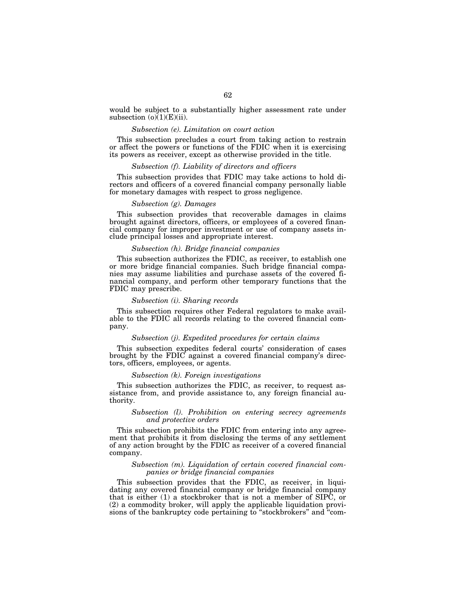would be subject to a substantially higher assessment rate under subsection  $(o)(1)(E)(ii)$ .

#### *Subsection (e). Limitation on court action*

This subsection precludes a court from taking action to restrain or affect the powers or functions of the FDIC when it is exercising its powers as receiver, except as otherwise provided in the title.

# *Subsection (f). Liability of directors and officers*

This subsection provides that FDIC may take actions to hold directors and officers of a covered financial company personally liable for monetary damages with respect to gross negligence.

# *Subsection (g). Damages*

This subsection provides that recoverable damages in claims brought against directors, officers, or employees of a covered financial company for improper investment or use of company assets include principal losses and appropriate interest.

#### *Subsection (h). Bridge financial companies*

This subsection authorizes the FDIC, as receiver, to establish one or more bridge financial companies. Such bridge financial companies may assume liabilities and purchase assets of the covered financial company, and perform other temporary functions that the FDIC may prescribe.

#### *Subsection (i). Sharing records*

This subsection requires other Federal regulators to make available to the FDIC all records relating to the covered financial company.

# *Subsection (j). Expedited procedures for certain claims*

This subsection expedites federal courts' consideration of cases brought by the FDIC against a covered financial company's directors, officers, employees, or agents.

#### *Subsection (k). Foreign investigations*

This subsection authorizes the FDIC, as receiver, to request assistance from, and provide assistance to, any foreign financial authority.

# *Subsection (l). Prohibition on entering secrecy agreements and protective orders*

This subsection prohibits the FDIC from entering into any agreement that prohibits it from disclosing the terms of any settlement of any action brought by the FDIC as receiver of a covered financial company.

#### *Subsection (m). Liquidation of certain covered financial companies or bridge financial companies*

This subsection provides that the FDIC, as receiver, in liquidating any covered financial company or bridge financial company that is either (1) a stockbroker that is not a member of SIPC, or (2) a commodity broker, will apply the applicable liquidation provisions of the bankruptcy code pertaining to ''stockbrokers'' and ''com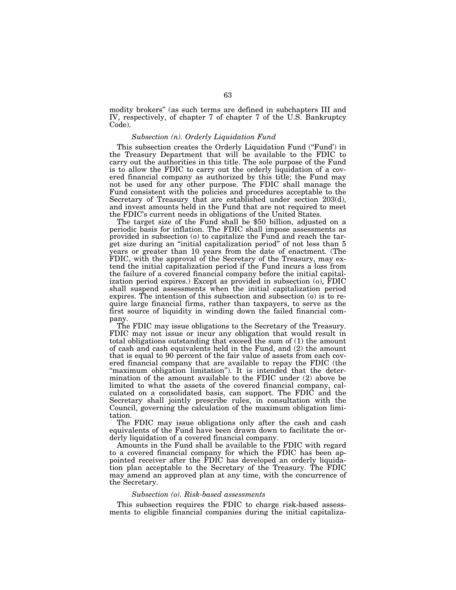modity brokers'' (as such terms are defined in subchapters III and IV, respectively, of chapter 7 of chapter 7 of the U.S. Bankruptcy Code).

# *Subsection (n). Orderly Liquidation Fund*

This subsection creates the Orderly Liquidation Fund ("Fund") in the Treasury Department that will be available to the FDIC to carry out the authorities in this title. The sole purpose of the Fund is to allow the FDIC to carry out the orderly liquidation of a covered financial company as authorized by this title; the Fund may not be used for any other purpose. The FDIC shall manage the Fund consistent with the policies and procedures acceptable to the Secretary of Treasury that are established under section 203(d), and invest amounts held in the Fund that are not required to meet the FDIC's current needs in obligations of the United States.

The target size of the Fund shall be \$50 billion, adjusted on a periodic basis for inflation. The FDIC shall impose assessments as provided in subsection (o) to capitalize the Fund and reach the target size during an ''initial capitalization period'' of not less than 5 years or greater than 10 years from the date of enactment. (The FDIC, with the approval of the Secretary of the Treasury, may extend the initial capitalization period if the Fund incurs a loss from the failure of a covered financial company before the initial capitalization period expires.) Except as provided in subsection (o), FDIC shall suspend assessments when the initial capitalization period expires. The intention of this subsection and subsection (o) is to require large financial firms, rather than taxpayers, to serve as the first source of liquidity in winding down the failed financial company.

The FDIC may issue obligations to the Secretary of the Treasury. FDIC may not issue or incur any obligation that would result in total obligations outstanding that exceed the sum of (1) the amount of cash and cash equivalents held in the Fund, and (2) the amount that is equal to 90 percent of the fair value of assets from each covered financial company that are available to repay the FDIC (the "maximum obligation limitation"). It is intended that the determination of the amount available to the FDIC under (2) above be limited to what the assets of the covered financial company, calculated on a consolidated basis, can support. The FDIC and the Secretary shall jointly prescribe rules, in consultation with the Council, governing the calculation of the maximum obligation limitation.

The FDIC may issue obligations only after the cash and cash equivalents of the Fund have been drawn down to facilitate the orderly liquidation of a covered financial company.

Amounts in the Fund shall be available to the FDIC with regard to a covered financial company for which the FDIC has been appointed receiver after the FDIC has developed an orderly liquidation plan acceptable to the Secretary of the Treasury. The FDIC may amend an approved plan at any time, with the concurrence of the Secretary.

## *Subsection (o). Risk-based assessments*

This subsection requires the FDIC to charge risk-based assessments to eligible financial companies during the initial capitaliza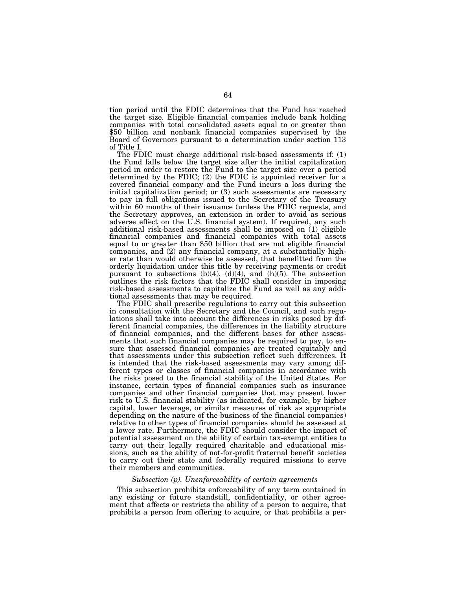tion period until the FDIC determines that the Fund has reached the target size. Eligible financial companies include bank holding companies with total consolidated assets equal to or greater than \$50 billion and nonbank financial companies supervised by the Board of Governors pursuant to a determination under section 113 of Title I.

The FDIC must charge additional risk-based assessments if: (1) the Fund falls below the target size after the initial capitalization period in order to restore the Fund to the target size over a period determined by the FDIC; (2) the FDIC is appointed receiver for a covered financial company and the Fund incurs a loss during the initial capitalization period; or (3) such assessments are necessary to pay in full obligations issued to the Secretary of the Treasury within 60 months of their issuance (unless the FDIC requests, and the Secretary approves, an extension in order to avoid as serious adverse effect on the U.S. financial system). If required, any such additional risk-based assessments shall be imposed on (1) eligible financial companies and financial companies with total assets equal to or greater than \$50 billion that are not eligible financial companies, and (2) any financial company, at a substantially higher rate than would otherwise be assessed, that benefitted from the orderly liquidation under this title by receiving payments or credit pursuant to subsections  $(b)(4)$ ,  $(d)(4)$ , and  $(h)(5)$ . The subsection outlines the risk factors that the FDIC shall consider in imposing risk-based assessments to capitalize the Fund as well as any additional assessments that may be required.

The FDIC shall prescribe regulations to carry out this subsection in consultation with the Secretary and the Council, and such regulations shall take into account the differences in risks posed by different financial companies, the differences in the liability structure of financial companies, and the different bases for other assessments that such financial companies may be required to pay, to ensure that assessed financial companies are treated equitably and that assessments under this subsection reflect such differences. It is intended that the risk-based assessments may vary among different types or classes of financial companies in accordance with the risks posed to the financial stability of the United States. For instance, certain types of financial companies such as insurance companies and other financial companies that may present lower risk to U.S. financial stability (as indicated, for example, by higher capital, lower leverage, or similar measures of risk as appropriate depending on the nature of the business of the financial companies) relative to other types of financial companies should be assessed at a lower rate. Furthermore, the FDIC should consider the impact of potential assessment on the ability of certain tax-exempt entities to carry out their legally required charitable and educational missions, such as the ability of not-for-profit fraternal benefit societies to carry out their state and federally required missions to serve their members and communities.

# *Subsection (p). Unenforceability of certain agreements*

This subsection prohibits enforceability of any term contained in any existing or future standstill, confidentiality, or other agreement that affects or restricts the ability of a person to acquire, that prohibits a person from offering to acquire, or that prohibits a per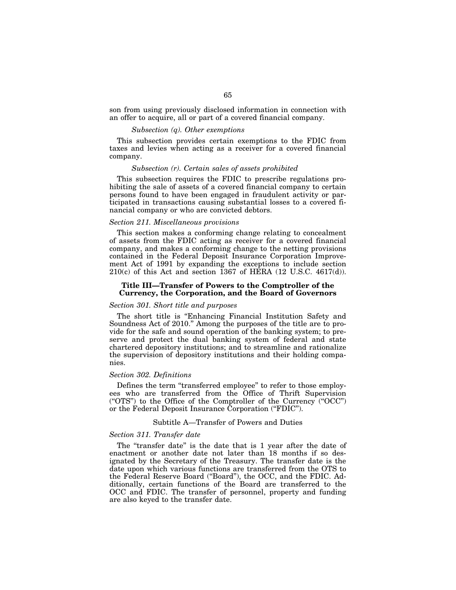son from using previously disclosed information in connection with an offer to acquire, all or part of a covered financial company.

# *Subsection (q). Other exemptions*

This subsection provides certain exemptions to the FDIC from taxes and levies when acting as a receiver for a covered financial company.

# *Subsection (r). Certain sales of assets prohibited*

This subsection requires the FDIC to prescribe regulations prohibiting the sale of assets of a covered financial company to certain persons found to have been engaged in fraudulent activity or participated in transactions causing substantial losses to a covered financial company or who are convicted debtors.

# *Section 211. Miscellaneous provisions*

This section makes a conforming change relating to concealment of assets from the FDIC acting as receiver for a covered financial company, and makes a conforming change to the netting provisions contained in the Federal Deposit Insurance Corporation Improvement Act of 1991 by expanding the exceptions to include section  $210(c)$  of this Act and section 1367 of HERA (12 U.S.C. 4617(d)).

## **Title III—Transfer of Powers to the Comptroller of the Currency, the Corporation, and the Board of Governors**

# *Section 301. Short title and purposes*

The short title is ''Enhancing Financial Institution Safety and Soundness Act of 2010.'' Among the purposes of the title are to provide for the safe and sound operation of the banking system; to preserve and protect the dual banking system of federal and state chartered depository institutions; and to streamline and rationalize the supervision of depository institutions and their holding companies.

#### *Section 302. Definitions*

Defines the term ''transferred employee'' to refer to those employees who are transferred from the Office of Thrift Supervision (''OTS'') to the Office of the Comptroller of the Currency (''OCC'') or the Federal Deposit Insurance Corporation (''FDIC'').

# Subtitle A—Transfer of Powers and Duties

### *Section 311. Transfer date*

The "transfer date" is the date that is 1 year after the date of enactment or another date not later than 18 months if so designated by the Secretary of the Treasury. The transfer date is the date upon which various functions are transferred from the OTS to the Federal Reserve Board (''Board''), the OCC, and the FDIC. Additionally, certain functions of the Board are transferred to the OCC and FDIC. The transfer of personnel, property and funding are also keyed to the transfer date.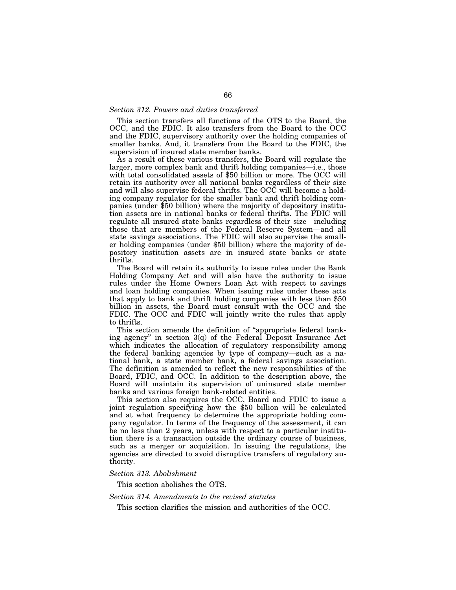## *Section 312. Powers and duties transferred*

This section transfers all functions of the OTS to the Board, the OCC, and the FDIC. It also transfers from the Board to the OCC and the FDIC, supervisory authority over the holding companies of smaller banks. And, it transfers from the Board to the FDIC, the supervision of insured state member banks.

As a result of these various transfers, the Board will regulate the larger, more complex bank and thrift holding companies—i.e., those with total consolidated assets of \$50 billion or more. The OCC will retain its authority over all national banks regardless of their size and will also supervise federal thrifts. The OCC will become a holding company regulator for the smaller bank and thrift holding companies (under \$50 billion) where the majority of depository institution assets are in national banks or federal thrifts. The FDIC will regulate all insured state banks regardless of their size—including those that are members of the Federal Reserve System—and all state savings associations. The FDIC will also supervise the smaller holding companies (under \$50 billion) where the majority of depository institution assets are in insured state banks or state thrifts.

The Board will retain its authority to issue rules under the Bank Holding Company Act and will also have the authority to issue rules under the Home Owners Loan Act with respect to savings and loan holding companies. When issuing rules under these acts that apply to bank and thrift holding companies with less than \$50 billion in assets, the Board must consult with the OCC and the FDIC. The OCC and FDIC will jointly write the rules that apply to thrifts.

This section amends the definition of ''appropriate federal banking agency'' in section 3(q) of the Federal Deposit Insurance Act which indicates the allocation of regulatory responsibility among the federal banking agencies by type of company—such as a national bank, a state member bank, a federal savings association. The definition is amended to reflect the new responsibilities of the Board, FDIC, and OCC. In addition to the description above, the Board will maintain its supervision of uninsured state member banks and various foreign bank-related entities.

This section also requires the OCC, Board and FDIC to issue a joint regulation specifying how the \$50 billion will be calculated and at what frequency to determine the appropriate holding company regulator. In terms of the frequency of the assessment, it can be no less than 2 years, unless with respect to a particular institution there is a transaction outside the ordinary course of business, such as a merger or acquisition. In issuing the regulations, the agencies are directed to avoid disruptive transfers of regulatory authority.

# *Section 313. Abolishment*

This section abolishes the OTS.

# *Section 314. Amendments to the revised statutes*

This section clarifies the mission and authorities of the OCC.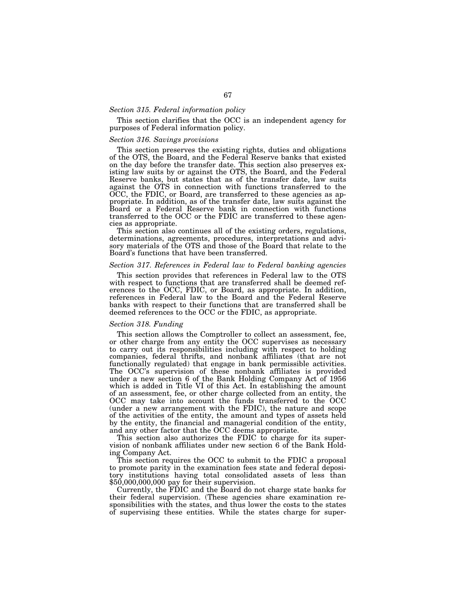# *Section 315. Federal information policy*

This section clarifies that the OCC is an independent agency for purposes of Federal information policy.

# *Section 316. Savings provisions*

This section preserves the existing rights, duties and obligations of the OTS, the Board, and the Federal Reserve banks that existed on the day before the transfer date. This section also preserves existing law suits by or against the OTS, the Board, and the Federal Reserve banks, but states that as of the transfer date, law suits against the OTS in connection with functions transferred to the OCC, the FDIC, or Board, are transferred to these agencies as appropriate. In addition, as of the transfer date, law suits against the Board or a Federal Reserve bank in connection with functions transferred to the OCC or the FDIC are transferred to these agencies as appropriate.

This section also continues all of the existing orders, regulations, determinations, agreements, procedures, interpretations and advisory materials of the OTS and those of the Board that relate to the Board's functions that have been transferred.

# *Section 317. References in Federal law to Federal banking agencies*

This section provides that references in Federal law to the OTS with respect to functions that are transferred shall be deemed references to the OCC, FDIC, or Board, as appropriate. In addition, references in Federal law to the Board and the Federal Reserve banks with respect to their functions that are transferred shall be deemed references to the OCC or the FDIC, as appropriate.

#### *Section 318. Funding*

This section allows the Comptroller to collect an assessment, fee, or other charge from any entity the OCC supervises as necessary to carry out its responsibilities including with respect to holding companies, federal thrifts, and nonbank affiliates (that are not functionally regulated) that engage in bank permissible activities. The OCC's supervision of these nonbank affiliates is provided under a new section 6 of the Bank Holding Company Act of 1956 which is added in Title VI of this Act. In establishing the amount of an assessment, fee, or other charge collected from an entity, the OCC may take into account the funds transferred to the OCC (under a new arrangement with the FDIC), the nature and scope of the activities of the entity, the amount and types of assets held by the entity, the financial and managerial condition of the entity, and any other factor that the OCC deems appropriate.

This section also authorizes the FDIC to charge for its supervision of nonbank affiliates under new section 6 of the Bank Holding Company Act.

This section requires the OCC to submit to the FDIC a proposal to promote parity in the examination fees state and federal depository institutions having total consolidated assets of less than  $$50,000,000,000$  pay for their supervision.

Currently, the FDIC and the Board do not charge state banks for their federal supervision. (These agencies share examination responsibilities with the states, and thus lower the costs to the states of supervising these entities. While the states charge for super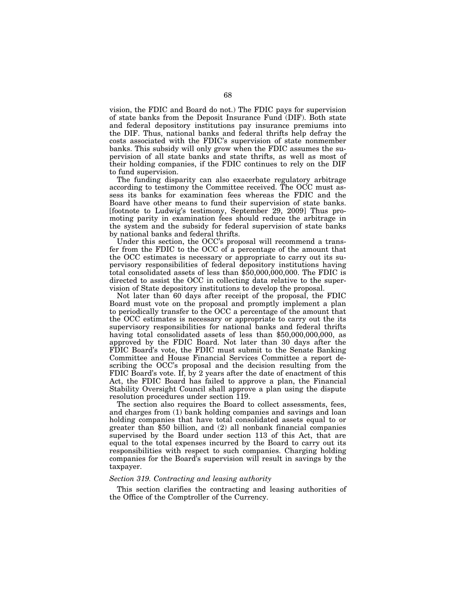vision, the FDIC and Board do not.) The FDIC pays for supervision of state banks from the Deposit Insurance Fund (DIF). Both state and federal depository institutions pay insurance premiums into the DIF. Thus, national banks and federal thrifts help defray the costs associated with the FDIC's supervision of state nonmember banks. This subsidy will only grow when the FDIC assumes the supervision of all state banks and state thrifts, as well as most of their holding companies, if the FDIC continues to rely on the DIF to fund supervision.

The funding disparity can also exacerbate regulatory arbitrage according to testimony the Committee received. The OCC must assess its banks for examination fees whereas the FDIC and the Board have other means to fund their supervision of state banks. [footnote to Ludwig's testimony, September 29, 2009] Thus promoting parity in examination fees should reduce the arbitrage in the system and the subsidy for federal supervision of state banks by national banks and federal thrifts.

Under this section, the OCC's proposal will recommend a transfer from the FDIC to the OCC of a percentage of the amount that the OCC estimates is necessary or appropriate to carry out its supervisory responsibilities of federal depository institutions having total consolidated assets of less than \$50,000,000,000. The FDIC is directed to assist the OCC in collecting data relative to the supervision of State depository institutions to develop the proposal.

Not later than 60 days after receipt of the proposal, the FDIC Board must vote on the proposal and promptly implement a plan to periodically transfer to the OCC a percentage of the amount that the OCC estimates is necessary or appropriate to carry out the its supervisory responsibilities for national banks and federal thrifts having total consolidated assets of less than \$50,000,000,000, as approved by the FDIC Board. Not later than 30 days after the FDIC Board's vote, the FDIC must submit to the Senate Banking Committee and House Financial Services Committee a report describing the OCC's proposal and the decision resulting from the FDIC Board's vote. If, by 2 years after the date of enactment of this Act, the FDIC Board has failed to approve a plan, the Financial Stability Oversight Council shall approve a plan using the dispute resolution procedures under section 119.

The section also requires the Board to collect assessments, fees, and charges from (1) bank holding companies and savings and loan holding companies that have total consolidated assets equal to or greater than \$50 billion, and (2) all nonbank financial companies supervised by the Board under section 113 of this Act, that are equal to the total expenses incurred by the Board to carry out its responsibilities with respect to such companies. Charging holding companies for the Board's supervision will result in savings by the taxpayer.

# *Section 319. Contracting and leasing authority*

This section clarifies the contracting and leasing authorities of the Office of the Comptroller of the Currency.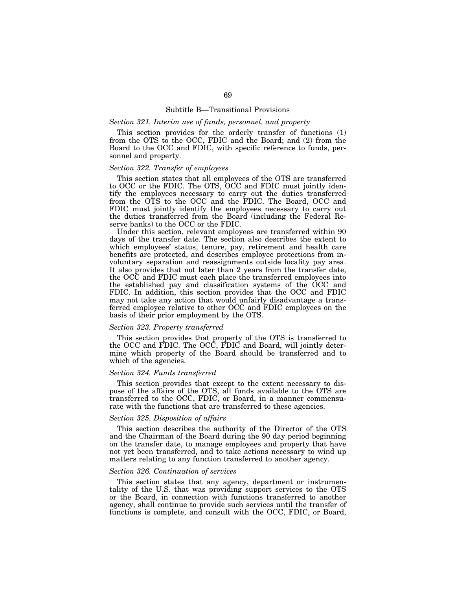#### Subtitle B—Transitional Provisions

# *Section 321. Interim use of funds, personnel, and property*

This section provides for the orderly transfer of functions (1) from the OTS to the OCC, FDIC and the Board; and (2) from the Board to the OCC and FDIC, with specific reference to funds, personnel and property.

# *Section 322. Transfer of employees*

This section states that all employees of the OTS are transferred to OCC or the FDIC. The OTS, OCC and FDIC must jointly identify the employees necessary to carry out the duties transferred from the OTS to the OCC and the FDIC. The Board, OCC and FDIC must jointly identify the employees necessary to carry out the duties transferred from the Board (including the Federal Reserve banks) to the OCC or the FDIC.

Under this section, relevant employees are transferred within 90 days of the transfer date. The section also describes the extent to which employees' status, tenure, pay, retirement and health care benefits are protected, and describes employee protections from involuntary separation and reassignments outside locality pay area. It also provides that not later than 2 years from the transfer date, the OCC and FDIC must each place the transferred employees into the established pay and classification systems of the OCC and FDIC. In addition, this section provides that the OCC and FDIC may not take any action that would unfairly disadvantage a transferred employee relative to other OCC and FDIC employees on the basis of their prior employment by the OTS.

## *Section 323. Property transferred*

This section provides that property of the OTS is transferred to the OCC and FDIC. The OCC, FDIC and Board, will jointly determine which property of the Board should be transferred and to which of the agencies.

## *Section 324. Funds transferred*

This section provides that except to the extent necessary to dispose of the affairs of the OTS, all funds available to the OTS are transferred to the OCC, FDIC, or Board, in a manner commensurate with the functions that are transferred to these agencies.

#### *Section 325. Disposition of affairs*

This section describes the authority of the Director of the OTS and the Chairman of the Board during the 90 day period beginning on the transfer date, to manage employees and property that have not yet been transferred, and to take actions necessary to wind up matters relating to any function transferred to another agency.

#### *Section 326. Continuation of services*

This section states that any agency, department or instrumentality of the U.S. that was providing support services to the OTS or the Board, in connection with functions transferred to another agency, shall continue to provide such services until the transfer of functions is complete, and consult with the OCC, FDIC, or Board,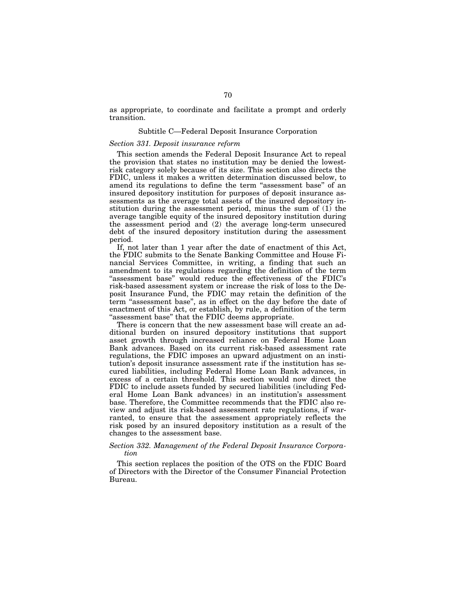as appropriate, to coordinate and facilitate a prompt and orderly transition.

# Subtitle C—Federal Deposit Insurance Corporation

# *Section 331. Deposit insurance reform*

This section amends the Federal Deposit Insurance Act to repeal the provision that states no institution may be denied the lowestrisk category solely because of its size. This section also directs the FDIC, unless it makes a written determination discussed below, to amend its regulations to define the term "assessment base" of an insured depository institution for purposes of deposit insurance assessments as the average total assets of the insured depository institution during the assessment period, minus the sum of (1) the average tangible equity of the insured depository institution during the assessment period and (2) the average long-term unsecured debt of the insured depository institution during the assessment period.

If, not later than 1 year after the date of enactment of this Act, the FDIC submits to the Senate Banking Committee and House Financial Services Committee, in writing, a finding that such an amendment to its regulations regarding the definition of the term "assessment base" would reduce the effectiveness of the FDIC's risk-based assessment system or increase the risk of loss to the Deposit Insurance Fund, the FDIC may retain the definition of the term "assessment base", as in effect on the day before the date of enactment of this Act, or establish, by rule, a definition of the term "assessment base" that the FDIC deems appropriate.

There is concern that the new assessment base will create an additional burden on insured depository institutions that support asset growth through increased reliance on Federal Home Loan Bank advances. Based on its current risk-based assessment rate regulations, the FDIC imposes an upward adjustment on an institution's deposit insurance assessment rate if the institution has secured liabilities, including Federal Home Loan Bank advances, in excess of a certain threshold. This section would now direct the FDIC to include assets funded by secured liabilities (including Federal Home Loan Bank advances) in an institution's assessment base. Therefore, the Committee recommends that the FDIC also review and adjust its risk-based assessment rate regulations, if warranted, to ensure that the assessment appropriately reflects the risk posed by an insured depository institution as a result of the changes to the assessment base.

# *Section 332. Management of the Federal Deposit Insurance Corporation*

This section replaces the position of the OTS on the FDIC Board of Directors with the Director of the Consumer Financial Protection Bureau.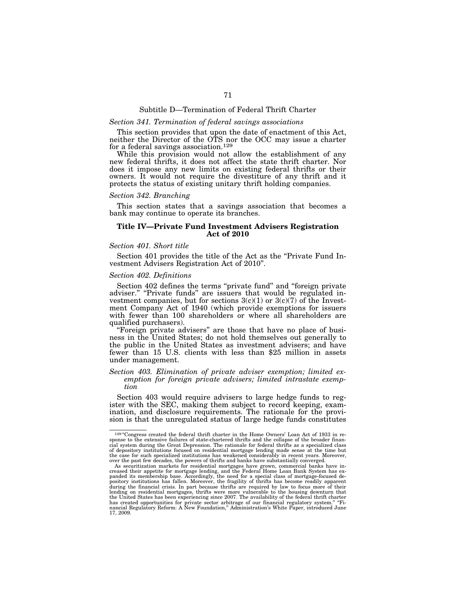#### Subtitle D—Termination of Federal Thrift Charter

# *Section 341. Termination of federal savings associations*

This section provides that upon the date of enactment of this Act, neither the Director of the OTS nor the OCC may issue a charter for a federal savings association.129

While this provision would not allow the establishment of any new federal thrifts, it does not affect the state thrift charter. Nor does it impose any new limits on existing federal thrifts or their owners. It would not require the divestiture of any thrift and it protects the status of existing unitary thrift holding companies.

#### *Section 342. Branching*

This section states that a savings association that becomes a bank may continue to operate its branches.

# **Title IV—Private Fund Investment Advisers Registration Act of 2010**

# *Section 401. Short title*

Section 401 provides the title of the Act as the "Private Fund Investment Advisers Registration Act of 2010''.

# *Section 402. Definitions*

Section 402 defines the terms "private fund" and "foreign private adviser." "Private funds" are issuers that would be regulated investment companies, but for sections  $3(c)(1)$  or  $3(c)(7)$  of the Investment Company Act of 1940 (which provide exemptions for issuers with fewer than 100 shareholders or where all shareholders are qualified purchasers).

''Foreign private advisers'' are those that have no place of business in the United States; do not hold themselves out generally to the public in the United States as investment advisers; and have fewer than 15 U.S. clients with less than \$25 million in assets under management.

# *Section 403. Elimination of private adviser exemption; limited exemption for foreign private advisers; limited intrastate exemption*

Section 403 would require advisers to large hedge funds to register with the SEC, making them subject to record keeping, examination, and disclosure requirements. The rationale for the provision is that the unregulated status of large hedge funds constitutes

<sup>&</sup>lt;sup>129</sup> "Congress created the federal thrift charter in the Home Owners' Loan Act of 1933 in response to the extensive failures of state-chartered thrifts and the collapse of the broader finan-<br>cial system during the Great Depression. The rationale for federal thrifts as a specialized class<br>of depository institution the case for such specialized institutions has weakened considerably in recent years. Moreover, the past few decades, the powers of thrifts and banks have substantially converted.<br>As securitization markets for residential

creased their appetite for mortgage lending, and the Federal Home Loan Bank System has ex-<br>panded its membership base. Accordingly, the need for a special class of mortgage-focused de-<br>pository institutions has fallen. Mor during the financial crisis. In part because thrifts are required by law to focus more of their<br>lending on residential mortgages, thrifts were more vulnerable to the housing downturn that<br>the United States has been experie has created opportunities for private sector arbitrage of our financial regulatory system.'' ''Fi-nancial Regulatory Reform: A New Foundation,'' Administration's White Paper, introduced June 17, 2009.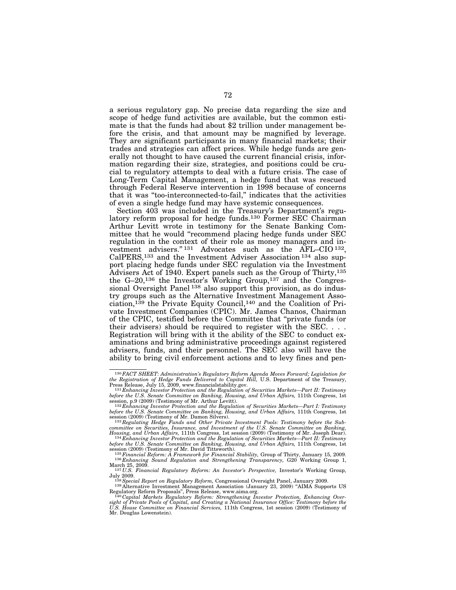a serious regulatory gap. No precise data regarding the size and scope of hedge fund activities are available, but the common estimate is that the funds had about \$2 trillion under management before the crisis, and that amount may be magnified by leverage. They are significant participants in many financial markets; their trades and strategies can affect prices. While hedge funds are generally not thought to have caused the current financial crisis, information regarding their size, strategies, and positions could be crucial to regulatory attempts to deal with a future crisis. The case of Long-Term Capital Management, a hedge fund that was rescued through Federal Reserve intervention in 1998 because of concerns that it was ''too-interconnected-to-fail,'' indicates that the activities of even a single hedge fund may have systemic consequences.

Section 403 was included in the Treasury's Department's regulatory reform proposal for hedge funds.130 Former SEC Chairman Arthur Levitt wrote in testimony for the Senate Banking Committee that he would "recommend placing hedge funds under SEC regulation in the context of their role as money managers and investment advisers."<sup>131</sup> Advocates such as the AFL–CIO<sup>132</sup>, CalPERS,133 and the Investment Adviser Association 134 also support placing hedge funds under SEC regulation via the Investment Advisers Act of 1940. Expert panels such as the Group of Thirty,<sup>135</sup> the G–20,136 the Investor's Working Group,137 and the Congressional Oversight Panel<sup>138</sup> also support this provision, as do industry groups such as the Alternative Investment Management Association,139 the Private Equity Council,140 and the Coalition of Private Investment Companies (CPIC). Mr. James Chanos, Chairman of the CPIC, testified before the Committee that ''private funds (or their advisers) should be required to register with the SEC. . . . Registration will bring with it the ability of the SEC to conduct examinations and bring administrative proceedings against registered advisers, funds, and their personnel. The SEC also will have the ability to bring civil enforcement actions and to levy fines and pen-

<sup>&</sup>lt;sup>130</sup> FACT SHEET: Administration's Regulatory Reform Agenda Moves Forward; Legislation for the Registration of Hedge Funds Delivered to Capitol Hill, U.S. Department of the Treasury, Press Release, July 15, 2009, www.fina

session, p.9 (2009) (Testimony of Mr. Arthur Levitt).<br><sup>132</sup> Enhancing Investor Protection and the Regulation of Securities Markets—Part I: Testimony<br>before the U.S. Senate Committee on Banking, Housing, and Urban Affairs,

session (2009) (Testimony of Mr. Damon Silvers). 133*Regulating Hedge Funds and Other Private Investment Pools: Testimony before the Sub-*

committee on Securities, Insurance, and Investment of the U.S. Senate Committee on Banking,<br>Housing, and Urban Affairs, 111th Congress, 1st session (2009) (Testimony of Mr. Joseph Dear).<br><sup>134</sup> Enhancing Investor Protection before the U.S. Senate Committee on Banking, Housing, and Urban Affairs, 111th Congress, 1st<br>session (2009) (Testimony of Mr. David Tittsworth).<br><sup>135</sup> Financial Reform: A Framework for Financial Stability, Group of Thirty,

<sup>137</sup> *U.S. Financial Regulation and Strengthening Transparency*, G20 Working Group 1,<br>March 25, 2009.<br>
March 25, 2009.<br>
137 U.S. Financial Regulatory Reform: An Investor's Perspective, Investor's Working Group,<br>
137 U.S. Pi

<sup>&</sup>lt;sup>138</sup> Special Report on Regulatory Reform, Congressional Oversight Panel, January 2009.<br><sup>139</sup> Alternative Investment Management Association (January 23, 2009) "AIMA Supports US<br>Regulatory Reform Proposals", Press Release,

Regulatory Reform Proposals", Press Release, www.aima.org.<br><sup>140</sup> Capital *Markets Regulatory Reform: Strengthening Investor Protection, Enhancing Over-*<br>sight of Private Pools of Capital, and Creating a National Insurance

*U.S. House Committee on Financial Services,* 111th Congress, 1st session (2009) (Testimony of Mr. Douglas Lowenstein).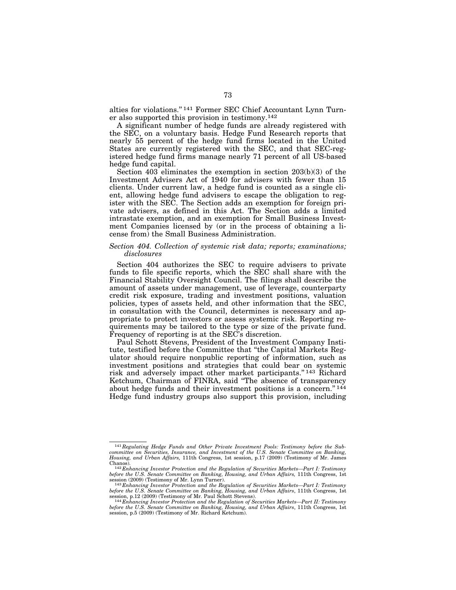alties for violations.'' 141 Former SEC Chief Accountant Lynn Turner also supported this provision in testimony.142

A significant number of hedge funds are already registered with the SEC, on a voluntary basis. Hedge Fund Research reports that nearly 55 percent of the hedge fund firms located in the United States are currently registered with the SEC, and that SEC-registered hedge fund firms manage nearly 71 percent of all US-based hedge fund capital.

Section 403 eliminates the exemption in section 203(b)(3) of the Investment Advisers Act of 1940 for advisers with fewer than 15 clients. Under current law, a hedge fund is counted as a single client, allowing hedge fund advisers to escape the obligation to register with the SEC. The Section adds an exemption for foreign private advisers, as defined in this Act. The Section adds a limited intrastate exemption, and an exemption for Small Business Investment Companies licensed by (or in the process of obtaining a license from) the Small Business Administration.

### *Section 404. Collection of systemic risk data; reports; examinations; disclosures*

Section 404 authorizes the SEC to require advisers to private funds to file specific reports, which the SEC shall share with the Financial Stability Oversight Council. The filings shall describe the amount of assets under management, use of leverage, counterparty credit risk exposure, trading and investment positions, valuation policies, types of assets held, and other information that the SEC, in consultation with the Council, determines is necessary and appropriate to protect investors or assess systemic risk. Reporting requirements may be tailored to the type or size of the private fund. Frequency of reporting is at the SEC's discretion.

Paul Schott Stevens, President of the Investment Company Institute, testified before the Committee that ''the Capital Markets Regulator should require nonpublic reporting of information, such as investment positions and strategies that could bear on systemic risk and adversely impact other market participants.'' 143 Richard Ketchum, Chairman of FINRA, said ''The absence of transparency about hedge funds and their investment positions is a concern."<sup>144</sup> Hedge fund industry groups also support this provision, including

<sup>141</sup>*Regulating Hedge Funds and Other Private Investment Pools: Testimony before the Subcommittee on Securities, Insurance, and Investment of the U.S. Senate Committee on Banking, Housing, and Urban Affairs,* 111th Congress, 1st session, p.17 (2009) (Testimony of Mr. James Chanos). 142 *Enhancing Investor Protection and the Regulation of Securities Markets—Part I: Testimony* 

*before the U.S. Senate Committee on Banking, Housing, and Urban Affairs, 111th Congress, 1st* session (2009) (Testimony of Mr. Lynn Turner). 143 *Enhancing Investor Protection and the Regulation of Securities Markets—Part I: Testimony* 

*before the U.S. Senate Committee on Banking, Housing, and Urban Affairs*, 111th Congress, 1st

session, p.12 (2009) (Testimony of Mr. Paul Schott Stevens). 144 *Enhancing Investor Protection and the Regulation of Securities Markets—Part II: Testimony before the U.S. Senate Committee on Banking, Housing, and Urban Affairs*, 111th Congress, 1st session, p.5 (2009) (Testimony of Mr. Richard Ketchum).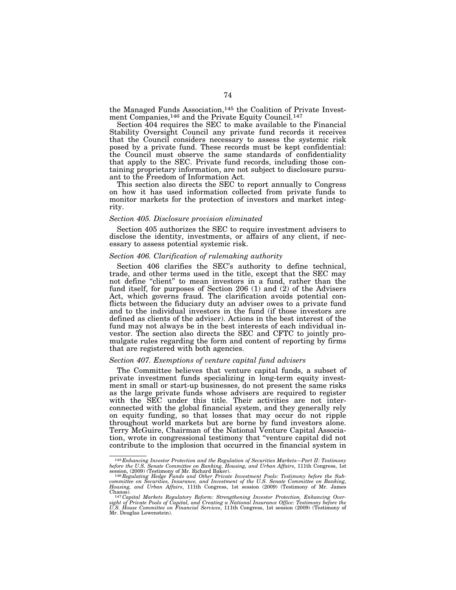the Managed Funds Association,145 the Coalition of Private Investment Companies,<sup>146</sup> and the Private Equity Council.<sup>147</sup>

Section 404 requires the SEC to make available to the Financial Stability Oversight Council any private fund records it receives that the Council considers necessary to assess the systemic risk posed by a private fund. These records must be kept confidential: the Council must observe the same standards of confidentiality that apply to the SEC. Private fund records, including those containing proprietary information, are not subject to disclosure pursuant to the Freedom of Information Act.

This section also directs the SEC to report annually to Congress on how it has used information collected from private funds to monitor markets for the protection of investors and market integrity.

#### *Section 405. Disclosure provision eliminated*

Section 405 authorizes the SEC to require investment advisers to disclose the identity, investments, or affairs of any client, if necessary to assess potential systemic risk.

#### *Section 406. Clarification of rulemaking authority*

Section 406 clarifies the SEC's authority to define technical, trade, and other terms used in the title, except that the SEC may not define "client" to mean investors in a fund, rather than the fund itself, for purposes of Section 206 (1) and (2) of the Advisers Act, which governs fraud. The clarification avoids potential conflicts between the fiduciary duty an adviser owes to a private fund and to the individual investors in the fund (if those investors are defined as clients of the adviser). Actions in the best interest of the fund may not always be in the best interests of each individual investor. The section also directs the SEC and CFTC to jointly promulgate rules regarding the form and content of reporting by firms that are registered with both agencies.

#### *Section 407. Exemptions of venture capital fund advisers*

The Committee believes that venture capital funds, a subset of private investment funds specializing in long-term equity investment in small or start-up businesses, do not present the same risks as the large private funds whose advisers are required to register with the SEC under this title. Their activities are not interconnected with the global financial system, and they generally rely on equity funding, so that losses that may occur do not ripple throughout world markets but are borne by fund investors alone. Terry McGuire, Chairman of the National Venture Capital Association, wrote in congressional testimony that ''venture capital did not contribute to the implosion that occurred in the financial system in

<sup>145</sup> *Enhancing Investor Protection and the Regulation of Securities Markets—Part II: Testimony before the U.S. Senate Committee on Banking, Housing, and Urban Affairs*, 111th Congress, 1st

session, (2009) (Testimony of Mr. Richard Baker).<br><sup>146</sup> Regulating Hedge Funds and Other Private Investment Pools: Testimony before the Sub-<br>committee on Securities, Insurance, and Investment of the U.S. Senate Committee o *Housing, and Urban Affairs*, 111th Congress, 1st session (2009) (Testimony of Mr. James

<sup>&</sup>lt;sup>147</sup> Capital Markets Regulatory Reform: Strengthening Investor Protection, Enhancing Over*sight of Private Pools of Capital, and Creating a National Insurance Office: Testimony before the U.S. House Committee on Financial Services*, 111th Congress, 1st session (2009) (Testimony of Mr. Douglas Lowenstein).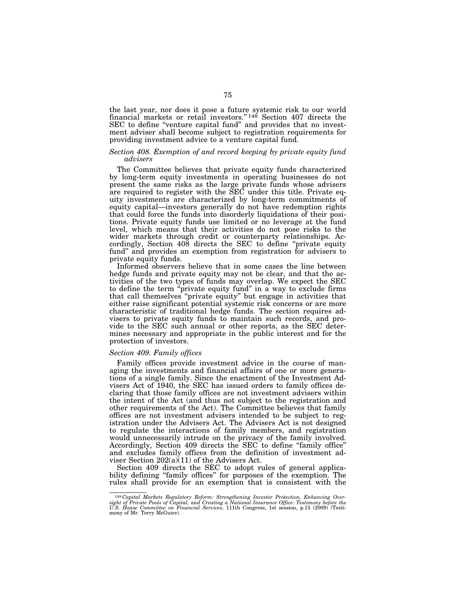the last year, nor does it pose a future systemic risk to our world financial markets or retail investors."<sup>148</sup> Section 407 directs the SEC to define "venture capital fund" and provides that no investment adviser shall become subject to registration requirements for providing investment advice to a venture capital fund.

## *Section 408. Exemption of and record keeping by private equity fund advisers*

The Committee believes that private equity funds characterized by long-term equity investments in operating businesses do not present the same risks as the large private funds whose advisers are required to register with the SEC under this title. Private equity investments are characterized by long-term commitments of equity capital—investors generally do not have redemption rights that could force the funds into disorderly liquidations of their positions. Private equity funds use limited or no leverage at the fund level, which means that their activities do not pose risks to the wider markets through credit or counterparty relationships. Accordingly, Section 408 directs the SEC to define ''private equity fund" and provides an exemption from registration for advisers to private equity funds.

Informed observers believe that in some cases the line between hedge funds and private equity may not be clear, and that the activities of the two types of funds may overlap. We expect the SEC to define the term ''private equity fund'' in a way to exclude firms that call themselves ''private equity'' but engage in activities that either raise significant potential systemic risk concerns or are more characteristic of traditional hedge funds. The section requires advisers to private equity funds to maintain such records, and provide to the SEC such annual or other reports, as the SEC determines necessary and appropriate in the public interest and for the protection of investors.

## *Section 409. Family offices*

Family offices provide investment advice in the course of managing the investments and financial affairs of one or more generations of a single family. Since the enactment of the Investment Advisers Act of 1940, the SEC has issued orders to family offices declaring that those family offices are not investment advisers within the intent of the Act (and thus not subject to the registration and other requirements of the Act). The Committee believes that family offices are not investment advisers intended to be subject to registration under the Advisers Act. The Advisers Act is not designed to regulate the interactions of family members, and registration would unnecessarily intrude on the privacy of the family involved. Accordingly, Section 409 directs the SEC to define ''family office'' and excludes family offices from the definition of investment adviser Section 202(a)(11) of the Advisers Act.

Section 409 directs the SEC to adopt rules of general applicability defining ''family offices'' for purposes of the exemption. The rules shall provide for an exemption that is consistent with the

<sup>148</sup> *Capital Markets Regulatory Reform: Strengthening Investor Protection, Enhancing Over*sight of Private Pools of Capital, and Creating a National Insurance Office: Testimony before the<br>U.S. House Committee on Financial Services, 111th Congress, 1st session, p.15 (2009) (Testi-<br>mony of Mr. Terry McGuire).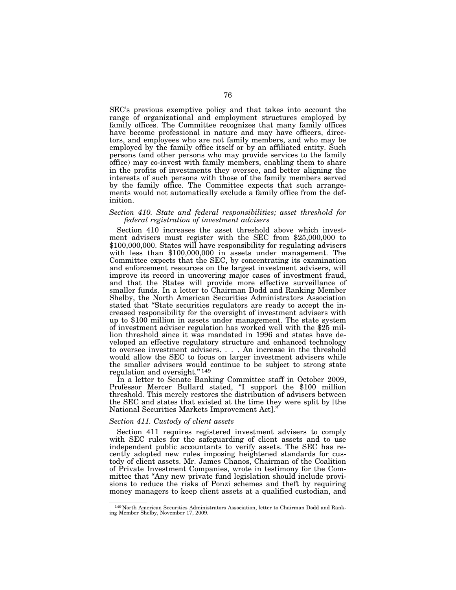SEC's previous exemptive policy and that takes into account the range of organizational and employment structures employed by family offices. The Committee recognizes that many family offices have become professional in nature and may have officers, directors, and employees who are not family members, and who may be employed by the family office itself or by an affiliated entity. Such persons (and other persons who may provide services to the family office) may co-invest with family members, enabling them to share in the profits of investments they oversee, and better aligning the interests of such persons with those of the family members served by the family office. The Committee expects that such arrangements would not automatically exclude a family office from the definition.

#### *Section 410. State and federal responsibilities; asset threshold for federal registration of investment advisers*

Section 410 increases the asset threshold above which investment advisers must register with the SEC from \$25,000,000 to \$100,000,000. States will have responsibility for regulating advisers with less than \$100,000,000 in assets under management. The Committee expects that the SEC, by concentrating its examination and enforcement resources on the largest investment advisers, will improve its record in uncovering major cases of investment fraud, and that the States will provide more effective surveillance of smaller funds. In a letter to Chairman Dodd and Ranking Member Shelby, the North American Securities Administrators Association stated that ''State securities regulators are ready to accept the increased responsibility for the oversight of investment advisers with up to \$100 million in assets under management. The state system of investment adviser regulation has worked well with the \$25 million threshold since it was mandated in 1996 and states have developed an effective regulatory structure and enhanced technology to oversee investment advisers. . . . An increase in the threshold would allow the SEC to focus on larger investment advisers while the smaller advisers would continue to be subject to strong state regulation and oversight.'' 149

In a letter to Senate Banking Committee staff in October 2009, Professor Mercer Bullard stated, "I support the \$100 million threshold. This merely restores the distribution of advisers between the SEC and states that existed at the time they were split by [the National Securities Markets Improvement Act].''

#### *Section 411. Custody of client assets*

Section 411 requires registered investment advisers to comply with SEC rules for the safeguarding of client assets and to use independent public accountants to verify assets. The SEC has recently adopted new rules imposing heightened standards for custody of client assets. Mr. James Chanos, Chairman of the Coalition of Private Investment Companies, wrote in testimony for the Committee that ''Any new private fund legislation should include provisions to reduce the risks of Ponzi schemes and theft by requiring money managers to keep client assets at a qualified custodian, and

<sup>149</sup> North American Securities Administrators Association, letter to Chairman Dodd and Ranking Member Shelby, November 17, 2009.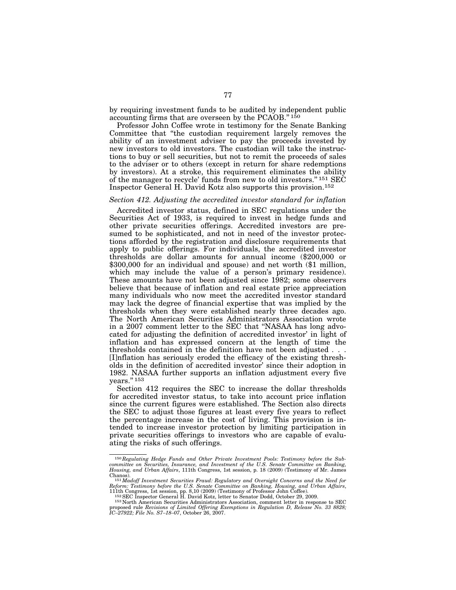by requiring investment funds to be audited by independent public accounting firms that are overseen by the PCAOB.'' 150

Professor John Coffee wrote in testimony for the Senate Banking Committee that ''the custodian requirement largely removes the ability of an investment adviser to pay the proceeds invested by new investors to old investors. The custodian will take the instructions to buy or sell securities, but not to remit the proceeds of sales to the adviser or to others (except in return for share redemptions by investors). At a stroke, this requirement eliminates the ability of the manager to recycle' funds from new to old investors."<sup>151</sup> SEC Inspector General H. David Kotz also supports this provision.152

#### *Section 412. Adjusting the accredited investor standard for inflation*

Accredited investor status, defined in SEC regulations under the Securities Act of 1933, is required to invest in hedge funds and other private securities offerings. Accredited investors are presumed to be sophisticated, and not in need of the investor protections afforded by the registration and disclosure requirements that apply to public offerings. For individuals, the accredited investor thresholds are dollar amounts for annual income (\$200,000 or \$300,000 for an individual and spouse) and net worth (\$1 million, which may include the value of a person's primary residence). These amounts have not been adjusted since 1982; some observers believe that because of inflation and real estate price appreciation many individuals who now meet the accredited investor standard may lack the degree of financial expertise that was implied by the thresholds when they were established nearly three decades ago. The North American Securities Administrators Association wrote in a 2007 comment letter to the SEC that ''NASAA has long advocated for adjusting the definition of accredited investor' in light of inflation and has expressed concern at the length of time the thresholds contained in the definition have not been adjusted . . . [I]nflation has seriously eroded the efficacy of the existing thresholds in the definition of accredited investor' since their adoption in 1982. NASAA further supports an inflation adjustment every five years."<sup>153</sup>

Section 412 requires the SEC to increase the dollar thresholds for accredited investor status, to take into account price inflation since the current figures were established. The Section also directs the SEC to adjust those figures at least every five years to reflect the percentage increase in the cost of living. This provision is intended to increase investor protection by limiting participation in private securities offerings to investors who are capable of evaluating the risks of such offerings.

<sup>150</sup>*Regulating Hedge Funds and Other Private Investment Pools: Testimony before the Subcommittee on Securities, Insurance, and Investment of the U.S. Senate Committee on Banking, Housing, and Urban Affairs*, 111th Congress, 1st session, p. 18 (2009) (Testimony of Mr. James

Chanos).<br>  $^{151}$ *Madoff Investment Securities Fraud: Regulatory and Oversight Concerns and the Need for Reform: Testimony before the U.S. Senate Committee on Banking, Housing, and Urban Affairs, 111th Congress, 1st sessi* 

proposed rule *Revisions of Limited Offering Exemptions in Regulation D, Release No. 33 8828; IC–27922; File No. S7–18–07*, October 26, 2007.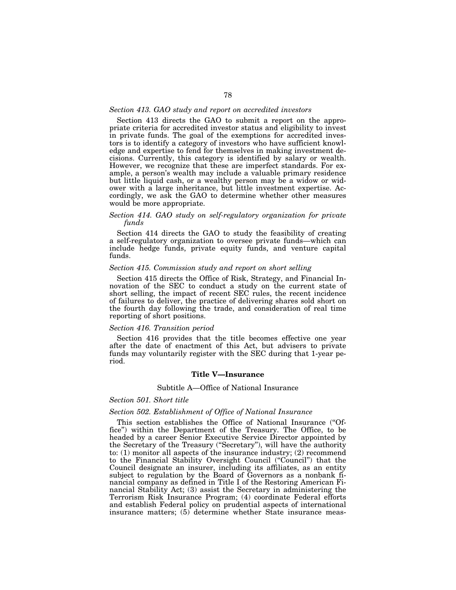#### *Section 413. GAO study and report on accredited investors*

Section 413 directs the GAO to submit a report on the appropriate criteria for accredited investor status and eligibility to invest in private funds. The goal of the exemptions for accredited investors is to identify a category of investors who have sufficient knowledge and expertise to fend for themselves in making investment decisions. Currently, this category is identified by salary or wealth. However, we recognize that these are imperfect standards. For example, a person's wealth may include a valuable primary residence but little liquid cash, or a wealthy person may be a widow or widower with a large inheritance, but little investment expertise. Accordingly, we ask the GAO to determine whether other measures would be more appropriate.

# *Section 414. GAO study on self-regulatory organization for private funds*

Section 414 directs the GAO to study the feasibility of creating a self-regulatory organization to oversee private funds—which can include hedge funds, private equity funds, and venture capital funds.

# *Section 415. Commission study and report on short selling*

Section 415 directs the Office of Risk, Strategy, and Financial Innovation of the SEC to conduct a study on the current state of short selling, the impact of recent SEC rules, the recent incidence of failures to deliver, the practice of delivering shares sold short on the fourth day following the trade, and consideration of real time reporting of short positions.

#### *Section 416. Transition period*

Section 416 provides that the title becomes effective one year after the date of enactment of this Act, but advisers to private funds may voluntarily register with the SEC during that 1-year period.

# **Title V—Insurance**

#### Subtitle A—Office of National Insurance

#### *Section 501. Short title*

#### *Section 502. Establishment of Office of National Insurance*

This section establishes the Office of National Insurance (''Office'') within the Department of the Treasury. The Office, to be headed by a career Senior Executive Service Director appointed by the Secretary of the Treasury (''Secretary''), will have the authority to: (1) monitor all aspects of the insurance industry; (2) recommend to the Financial Stability Oversight Council (''Council'') that the Council designate an insurer, including its affiliates, as an entity subject to regulation by the Board of Governors as a nonbank financial company as defined in Title I of the Restoring American Financial Stability Act; (3) assist the Secretary in administering the Terrorism Risk Insurance Program; (4) coordinate Federal efforts and establish Federal policy on prudential aspects of international insurance matters; (5) determine whether State insurance meas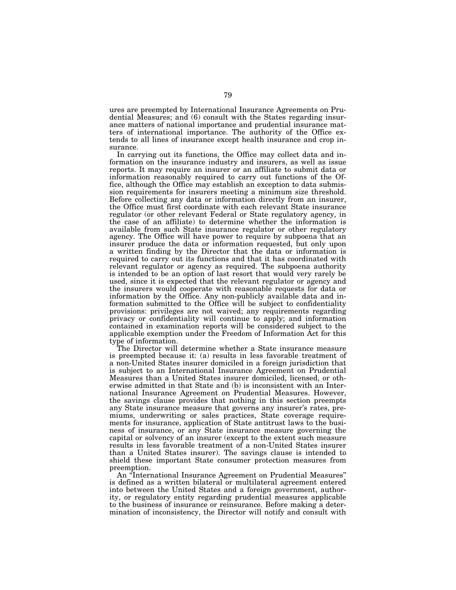ures are preempted by International Insurance Agreements on Prudential Measures; and (6) consult with the States regarding insurance matters of national importance and prudential insurance matters of international importance. The authority of the Office extends to all lines of insurance except health insurance and crop insurance.

In carrying out its functions, the Office may collect data and information on the insurance industry and insurers, as well as issue reports. It may require an insurer or an affiliate to submit data or information reasonably required to carry out functions of the Office, although the Office may establish an exception to data submission requirements for insurers meeting a minimum size threshold. Before collecting any data or information directly from an insurer, the Office must first coordinate with each relevant State insurance regulator (or other relevant Federal or State regulatory agency, in the case of an affiliate) to determine whether the information is available from such State insurance regulator or other regulatory agency. The Office will have power to require by subpoena that an insurer produce the data or information requested, but only upon a written finding by the Director that the data or information is required to carry out its functions and that it has coordinated with relevant regulator or agency as required. The subpoena authority is intended to be an option of last resort that would very rarely be used, since it is expected that the relevant regulator or agency and the insurers would cooperate with reasonable requests for data or information by the Office. Any non-publicly available data and information submitted to the Office will be subject to confidentiality provisions: privileges are not waived; any requirements regarding privacy or confidentiality will continue to apply; and information contained in examination reports will be considered subject to the applicable exemption under the Freedom of Information Act for this type of information.

The Director will determine whether a State insurance measure is preempted because it: (a) results in less favorable treatment of a non-United States insurer domiciled in a foreign jurisdiction that is subject to an International Insurance Agreement on Prudential Measures than a United States insurer domiciled, licensed, or otherwise admitted in that State and (b) is inconsistent with an International Insurance Agreement on Prudential Measures. However, the savings clause provides that nothing in this section preempts any State insurance measure that governs any insurer's rates, premiums, underwriting or sales practices, State coverage requirements for insurance, application of State antitrust laws to the business of insurance, or any State insurance measure governing the capital or solvency of an insurer (except to the extent such measure results in less favorable treatment of a non-United States insurer than a United States insurer). The savings clause is intended to shield these important State consumer protection measures from preemption.

An ''International Insurance Agreement on Prudential Measures'' is defined as a written bilateral or multilateral agreement entered into between the United States and a foreign government, authority, or regulatory entity regarding prudential measures applicable to the business of insurance or reinsurance. Before making a determination of inconsistency, the Director will notify and consult with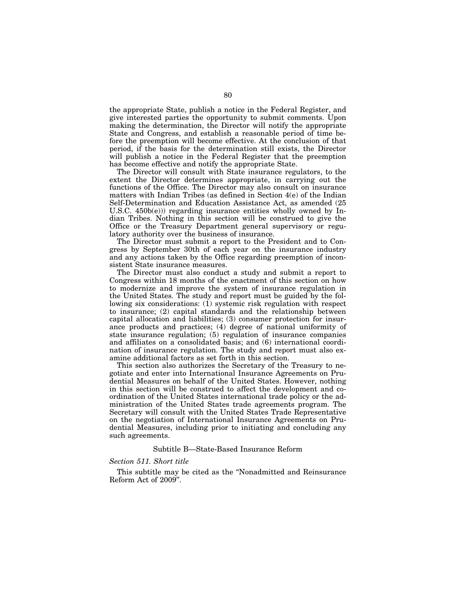the appropriate State, publish a notice in the Federal Register, and give interested parties the opportunity to submit comments. Upon making the determination, the Director will notify the appropriate State and Congress, and establish a reasonable period of time before the preemption will become effective. At the conclusion of that period, if the basis for the determination still exists, the Director will publish a notice in the Federal Register that the preemption has become effective and notify the appropriate State.

The Director will consult with State insurance regulators, to the extent the Director determines appropriate, in carrying out the functions of the Office. The Director may also consult on insurance matters with Indian Tribes (as defined in Section 4(e) of the Indian Self-Determination and Education Assistance Act, as amended (25 U.S.C. 450b(e))) regarding insurance entities wholly owned by Indian Tribes. Nothing in this section will be construed to give the Office or the Treasury Department general supervisory or regulatory authority over the business of insurance.

The Director must submit a report to the President and to Congress by September 30th of each year on the insurance industry and any actions taken by the Office regarding preemption of inconsistent State insurance measures.

The Director must also conduct a study and submit a report to Congress within 18 months of the enactment of this section on how to modernize and improve the system of insurance regulation in the United States. The study and report must be guided by the following six considerations: (1) systemic risk regulation with respect to insurance; (2) capital standards and the relationship between capital allocation and liabilities; (3) consumer protection for insurance products and practices; (4) degree of national uniformity of state insurance regulation; (5) regulation of insurance companies and affiliates on a consolidated basis; and (6) international coordination of insurance regulation. The study and report must also examine additional factors as set forth in this section.

This section also authorizes the Secretary of the Treasury to negotiate and enter into International Insurance Agreements on Prudential Measures on behalf of the United States. However, nothing in this section will be construed to affect the development and coordination of the United States international trade policy or the administration of the United States trade agreements program. The Secretary will consult with the United States Trade Representative on the negotiation of International Insurance Agreements on Prudential Measures, including prior to initiating and concluding any such agreements.

#### Subtitle B—State-Based Insurance Reform

#### *Section 511. Short title*

This subtitle may be cited as the ''Nonadmitted and Reinsurance Reform Act of 2009''.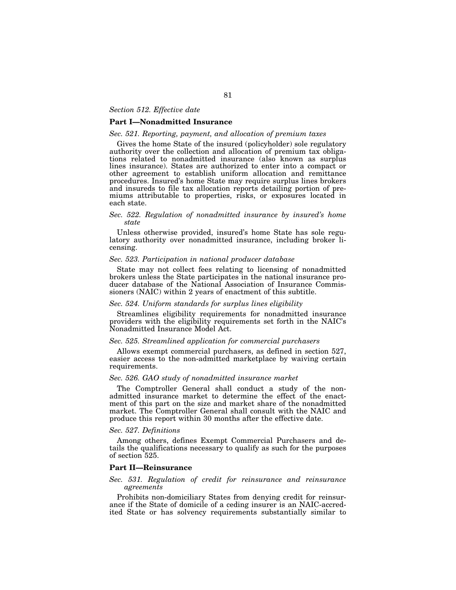#### *Section 512. Effective date*

# **Part I—Nonadmitted Insurance**

# *Sec. 521. Reporting, payment, and allocation of premium taxes*

Gives the home State of the insured (policyholder) sole regulatory authority over the collection and allocation of premium tax obligations related to nonadmitted insurance (also known as surplus lines insurance). States are authorized to enter into a compact or other agreement to establish uniform allocation and remittance procedures. Insured's home State may require surplus lines brokers and insureds to file tax allocation reports detailing portion of premiums attributable to properties, risks, or exposures located in each state.

# *Sec. 522. Regulation of nonadmitted insurance by insured's home state*

Unless otherwise provided, insured's home State has sole regulatory authority over nonadmitted insurance, including broker licensing.

### *Sec. 523. Participation in national producer database*

State may not collect fees relating to licensing of nonadmitted brokers unless the State participates in the national insurance producer database of the National Association of Insurance Commissioners (NAIC) within 2 years of enactment of this subtitle.

### *Sec. 524. Uniform standards for surplus lines eligibility*

Streamlines eligibility requirements for nonadmitted insurance providers with the eligibility requirements set forth in the NAIC's Nonadmitted Insurance Model Act.

#### *Sec. 525. Streamlined application for commercial purchasers*

Allows exempt commercial purchasers, as defined in section 527, easier access to the non-admitted marketplace by waiving certain requirements.

### *Sec. 526. GAO study of nonadmitted insurance market*

The Comptroller General shall conduct a study of the nonadmitted insurance market to determine the effect of the enactment of this part on the size and market share of the nonadmitted market. The Comptroller General shall consult with the NAIC and produce this report within 30 months after the effective date.

#### *Sec. 527. Definitions*

Among others, defines Exempt Commercial Purchasers and details the qualifications necessary to qualify as such for the purposes of section 525.

# **Part II—Reinsurance**

#### *Sec. 531. Regulation of credit for reinsurance and reinsurance agreements*

Prohibits non-domiciliary States from denying credit for reinsurance if the State of domicile of a ceding insurer is an NAIC-accredited State or has solvency requirements substantially similar to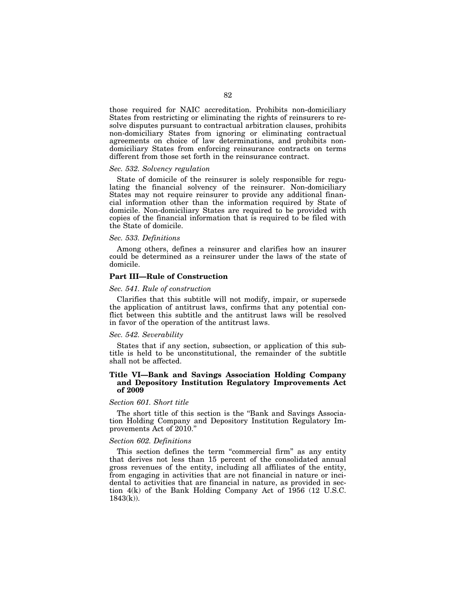those required for NAIC accreditation. Prohibits non-domiciliary States from restricting or eliminating the rights of reinsurers to resolve disputes pursuant to contractual arbitration clauses, prohibits non-domiciliary States from ignoring or eliminating contractual agreements on choice of law determinations, and prohibits nondomiciliary States from enforcing reinsurance contracts on terms different from those set forth in the reinsurance contract.

#### *Sec. 532. Solvency regulation*

State of domicile of the reinsurer is solely responsible for regulating the financial solvency of the reinsurer. Non-domiciliary States may not require reinsurer to provide any additional financial information other than the information required by State of domicile. Non-domiciliary States are required to be provided with copies of the financial information that is required to be filed with the State of domicile.

#### *Sec. 533. Definitions*

Among others, defines a reinsurer and clarifies how an insurer could be determined as a reinsurer under the laws of the state of domicile.

# **Part III—Rule of Construction**

### *Sec. 541. Rule of construction*

Clarifies that this subtitle will not modify, impair, or supersede the application of antitrust laws, confirms that any potential conflict between this subtitle and the antitrust laws will be resolved in favor of the operation of the antitrust laws.

#### *Sec. 542. Severability*

States that if any section, subsection, or application of this subtitle is held to be unconstitutional, the remainder of the subtitle shall not be affected.

# **Title VI—Bank and Savings Association Holding Company and Depository Institution Regulatory Improvements Act of 2009**

#### *Section 601. Short title*

The short title of this section is the ''Bank and Savings Association Holding Company and Depository Institution Regulatory Improvements Act of 2010.''

### *Section 602. Definitions*

This section defines the term "commercial firm" as any entity that derives not less than 15 percent of the consolidated annual gross revenues of the entity, including all affiliates of the entity, from engaging in activities that are not financial in nature or incidental to activities that are financial in nature, as provided in section 4(k) of the Bank Holding Company Act of 1956 (12 U.S.C.  $1843(k)$ ).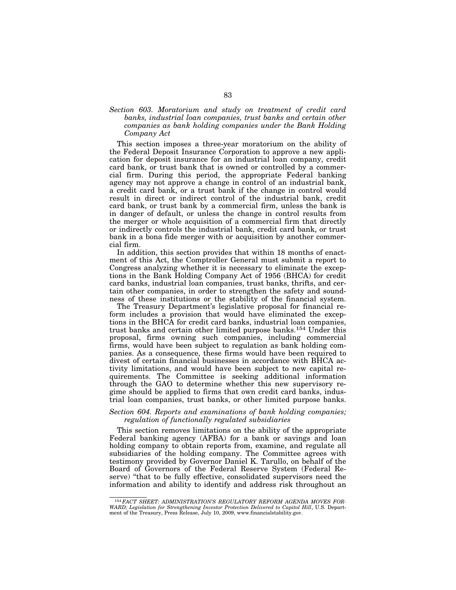# *Section 603. Moratorium and study on treatment of credit card banks, industrial loan companies, trust banks and certain other companies as bank holding companies under the Bank Holding Company Act*

This section imposes a three-year moratorium on the ability of the Federal Deposit Insurance Corporation to approve a new application for deposit insurance for an industrial loan company, credit card bank, or trust bank that is owned or controlled by a commercial firm. During this period, the appropriate Federal banking agency may not approve a change in control of an industrial bank, a credit card bank, or a trust bank if the change in control would result in direct or indirect control of the industrial bank, credit card bank, or trust bank by a commercial firm, unless the bank is in danger of default, or unless the change in control results from the merger or whole acquisition of a commercial firm that directly or indirectly controls the industrial bank, credit card bank, or trust bank in a bona fide merger with or acquisition by another commercial firm.

In addition, this section provides that within 18 months of enactment of this Act, the Comptroller General must submit a report to Congress analyzing whether it is necessary to eliminate the exceptions in the Bank Holding Company Act of 1956 (BHCA) for credit card banks, industrial loan companies, trust banks, thrifts, and certain other companies, in order to strengthen the safety and soundness of these institutions or the stability of the financial system.

The Treasury Department's legislative proposal for financial reform includes a provision that would have eliminated the exceptions in the BHCA for credit card banks, industrial loan companies, trust banks and certain other limited purpose banks.154 Under this proposal, firms owning such companies, including commercial firms, would have been subject to regulation as bank holding companies. As a consequence, these firms would have been required to divest of certain financial businesses in accordance with BHCA activity limitations, and would have been subject to new capital requirements. The Committee is seeking additional information through the GAO to determine whether this new supervisory regime should be applied to firms that own credit card banks, industrial loan companies, trust banks, or other limited purpose banks.

# *Section 604. Reports and examinations of bank holding companies; regulation of functionally regulated subsidiaries*

This section removes limitations on the ability of the appropriate Federal banking agency (AFBA) for a bank or savings and loan holding company to obtain reports from, examine, and regulate all subsidiaries of the holding company. The Committee agrees with testimony provided by Governor Daniel K. Tarullo, on behalf of the Board of Governors of the Federal Reserve System (Federal Reserve) "that to be fully effective, consolidated supervisors need the information and ability to identify and address risk throughout an

<sup>154</sup>*FACT SHEET: ADMINISTRATION'S REGULATORY REFORM AGENDA MOVES FOR-WARD; Legislation for Strengthening Investor Protection Delivered to Capitol Hill*, U.S. Department of the Treasury, Press Release, July 10, 2009, www.financialstability.gov.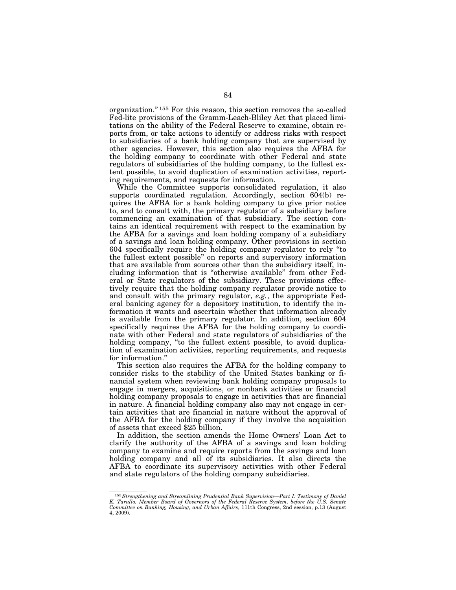organization.'' 155 For this reason, this section removes the so-called Fed-lite provisions of the Gramm-Leach-Bliley Act that placed limitations on the ability of the Federal Reserve to examine, obtain reports from, or take actions to identify or address risks with respect to subsidiaries of a bank holding company that are supervised by other agencies. However, this section also requires the AFBA for the holding company to coordinate with other Federal and state regulators of subsidiaries of the holding company, to the fullest extent possible, to avoid duplication of examination activities, reporting requirements, and requests for information.

While the Committee supports consolidated regulation, it also supports coordinated regulation. Accordingly, section 604(b) requires the AFBA for a bank holding company to give prior notice to, and to consult with, the primary regulator of a subsidiary before commencing an examination of that subsidiary. The section contains an identical requirement with respect to the examination by the AFBA for a savings and loan holding company of a subsidiary of a savings and loan holding company. Other provisions in section 604 specifically require the holding company regulator to rely ''to the fullest extent possible'' on reports and supervisory information that are available from sources other than the subsidiary itself, including information that is ''otherwise available'' from other Federal or State regulators of the subsidiary. These provisions effectively require that the holding company regulator provide notice to and consult with the primary regulator, *e.g.*, the appropriate Federal banking agency for a depository institution, to identify the information it wants and ascertain whether that information already is available from the primary regulator. In addition, section 604 specifically requires the AFBA for the holding company to coordinate with other Federal and state regulators of subsidiaries of the holding company, "to the fullest extent possible, to avoid duplication of examination activities, reporting requirements, and requests for information.''

This section also requires the AFBA for the holding company to consider risks to the stability of the United States banking or financial system when reviewing bank holding company proposals to engage in mergers, acquisitions, or nonbank activities or financial holding company proposals to engage in activities that are financial in nature. A financial holding company also may not engage in certain activities that are financial in nature without the approval of the AFBA for the holding company if they involve the acquisition of assets that exceed \$25 billion.

In addition, the section amends the Home Owners' Loan Act to clarify the authority of the AFBA of a savings and loan holding company to examine and require reports from the savings and loan holding company and all of its subsidiaries. It also directs the AFBA to coordinate its supervisory activities with other Federal and state regulators of the holding company subsidiaries.

<sup>155</sup>*Strengthening and Streamlining Prudential Bank Supervision—Part I: Testimony of Daniel K. Tarullo, Member Board of Governors of the Federal Reserve System, before the U.S. Senate Committee on Banking, Housing, and Urban Affairs*, 111th Congress, 2nd session, p.13 (August 4, 2009).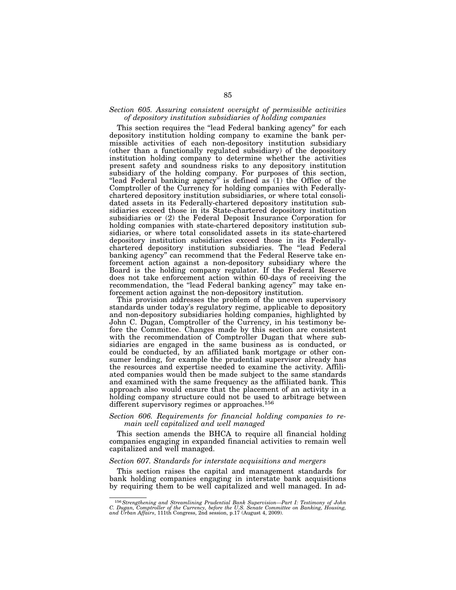# *Section 605. Assuring consistent oversight of permissible activities of depository institution subsidiaries of holding companies*

This section requires the "lead Federal banking agency" for each depository institution holding company to examine the bank permissible activities of each non-depository institution subsidiary (other than a functionally regulated subsidiary) of the depository institution holding company to determine whether the activities present safety and soundness risks to any depository institution subsidiary of the holding company. For purposes of this section, "lead Federal banking agency" is defined as (1) the Office of the Comptroller of the Currency for holding companies with Federallychartered depository institution subsidiaries, or where total consolidated assets in its Federally-chartered depository institution subsidiaries exceed those in its State-chartered depository institution subsidiaries or (2) the Federal Deposit Insurance Corporation for holding companies with state-chartered depository institution subsidiaries, or where total consolidated assets in its state-chartered depository institution subsidiaries exceed those in its Federallychartered depository institution subsidiaries. The ''lead Federal banking agency'' can recommend that the Federal Reserve take enforcement action against a non-depository subsidiary where the Board is the holding company regulator. If the Federal Reserve does not take enforcement action within 60-days of receiving the recommendation, the ''lead Federal banking agency'' may take enforcement action against the non-depository institution.

This provision addresses the problem of the uneven supervisory standards under today's regulatory regime, applicable to depository and non-depository subsidiaries holding companies, highlighted by John C. Dugan, Comptroller of the Currency, in his testimony before the Committee. Changes made by this section are consistent with the recommendation of Comptroller Dugan that where subsidiaries are engaged in the same business as is conducted, or could be conducted, by an affiliated bank mortgage or other consumer lending, for example the prudential supervisor already has the resources and expertise needed to examine the activity. Affiliated companies would then be made subject to the same standards and examined with the same frequency as the affiliated bank. This approach also would ensure that the placement of an activity in a holding company structure could not be used to arbitrage between different supervisory regimes or approaches.156

## *Section 606. Requirements for financial holding companies to remain well capitalized and well managed*

This section amends the BHCA to require all financial holding companies engaging in expanded financial activities to remain well capitalized and well managed.

# *Section 607. Standards for interstate acquisitions and mergers*

This section raises the capital and management standards for bank holding companies engaging in interstate bank acquisitions by requiring them to be well capitalized and well managed. In ad-

 $^{156}$  Strengthening and Streamlining Prudential Bank Supervision—Part I: Testimony of John C. Dugan, Comptroller of the Currency, before the U.S. Senate Committee on Banking, Housing, and Urban Affairs, 111th Congress,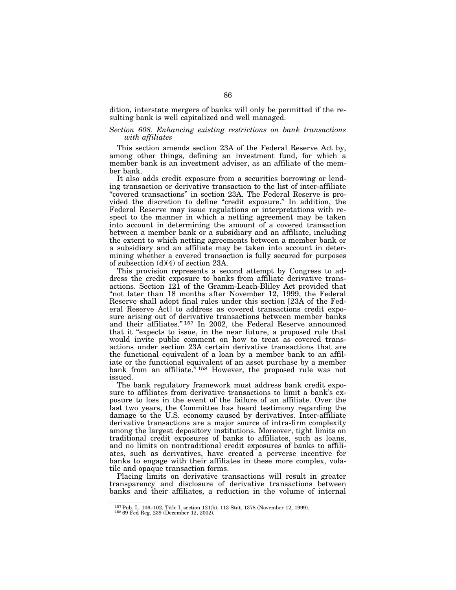dition, interstate mergers of banks will only be permitted if the resulting bank is well capitalized and well managed.

# *Section 608. Enhancing existing restrictions on bank transactions with affiliates*

This section amends section 23A of the Federal Reserve Act by, among other things, defining an investment fund, for which a member bank is an investment adviser, as an affiliate of the member bank.

It also adds credit exposure from a securities borrowing or lending transaction or derivative transaction to the list of inter-affiliate "covered transactions" in section 23A. The Federal Reserve is provided the discretion to define "credit exposure." In addition, the Federal Reserve may issue regulations or interpretations with respect to the manner in which a netting agreement may be taken into account in determining the amount of a covered transaction between a member bank or a subsidiary and an affiliate, including the extent to which netting agreements between a member bank or a subsidiary and an affiliate may be taken into account in determining whether a covered transaction is fully secured for purposes of subsection (d)(4) of section 23A.

This provision represents a second attempt by Congress to address the credit exposure to banks from affiliate derivative transactions. Section 121 of the Gramm-Leach-Bliley Act provided that "not later than 18 months after November 12, 1999, the Federal Reserve shall adopt final rules under this section [23A of the Federal Reserve Act] to address as covered transactions credit exposure arising out of derivative transactions between member banks and their affiliates.'' 157 In 2002, the Federal Reserve announced that it ''expects to issue, in the near future, a proposed rule that would invite public comment on how to treat as covered transactions under section 23A certain derivative transactions that are the functional equivalent of a loan by a member bank to an affiliate or the functional equivalent of an asset purchase by a member bank from an affiliate.<sup>"158</sup> However, the proposed rule was not issued.

The bank regulatory framework must address bank credit exposure to affiliates from derivative transactions to limit a bank's exposure to loss in the event of the failure of an affiliate. Over the last two years, the Committee has heard testimony regarding the damage to the U.S. economy caused by derivatives. Inter-affiliate derivative transactions are a major source of intra-firm complexity among the largest depository institutions. Moreover, tight limits on traditional credit exposures of banks to affiliates, such as loans, and no limits on nontraditional credit exposures of banks to affiliates, such as derivatives, have created a perverse incentive for banks to engage with their affiliates in these more complex, volatile and opaque transaction forms.

Placing limits on derivative transactions will result in greater transparency and disclosure of derivative transactions between banks and their affiliates, a reduction in the volume of internal

 $^{157}\rm{Pub.}$  L. 106–102, Title I, section 121(b), 113 Stat. 1378 (November 12, 1999).  $^{158}\rm{69}$  Fed Reg. 239 (December 12, 2002).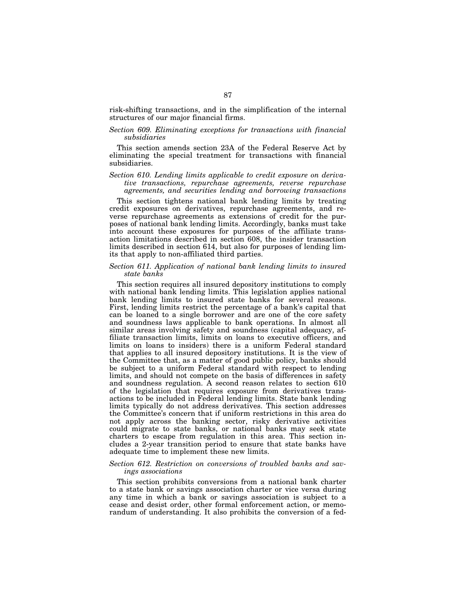risk-shifting transactions, and in the simplification of the internal structures of our major financial firms.

### *Section 609. Eliminating exceptions for transactions with financial subsidiaries*

This section amends section 23A of the Federal Reserve Act by eliminating the special treatment for transactions with financial subsidiaries.

# *Section 610. Lending limits applicable to credit exposure on derivative transactions, repurchase agreements, reverse repurchase agreements, and securities lending and borrowing transactions*

This section tightens national bank lending limits by treating credit exposures on derivatives, repurchase agreements, and reverse repurchase agreements as extensions of credit for the purposes of national bank lending limits. Accordingly, banks must take into account these exposures for purposes of the affiliate transaction limitations described in section 608, the insider transaction limits described in section 614, but also for purposes of lending limits that apply to non-affiliated third parties.

# *Section 611. Application of national bank lending limits to insured state banks*

This section requires all insured depository institutions to comply with national bank lending limits. This legislation applies national bank lending limits to insured state banks for several reasons. First, lending limits restrict the percentage of a bank's capital that can be loaned to a single borrower and are one of the core safety and soundness laws applicable to bank operations. In almost all similar areas involving safety and soundness (capital adequacy, affiliate transaction limits, limits on loans to executive officers, and limits on loans to insiders) there is a uniform Federal standard that applies to all insured depository institutions. It is the view of the Committee that, as a matter of good public policy, banks should be subject to a uniform Federal standard with respect to lending limits, and should not compete on the basis of differences in safety and soundness regulation. A second reason relates to section 610 of the legislation that requires exposure from derivatives transactions to be included in Federal lending limits. State bank lending limits typically do not address derivatives. This section addresses the Committee's concern that if uniform restrictions in this area do not apply across the banking sector, risky derivative activities could migrate to state banks, or national banks may seek state charters to escape from regulation in this area. This section includes a 2-year transition period to ensure that state banks have adequate time to implement these new limits.

# *Section 612. Restriction on conversions of troubled banks and savings associations*

This section prohibits conversions from a national bank charter to a state bank or savings association charter or vice versa during any time in which a bank or savings association is subject to a cease and desist order, other formal enforcement action, or memorandum of understanding. It also prohibits the conversion of a fed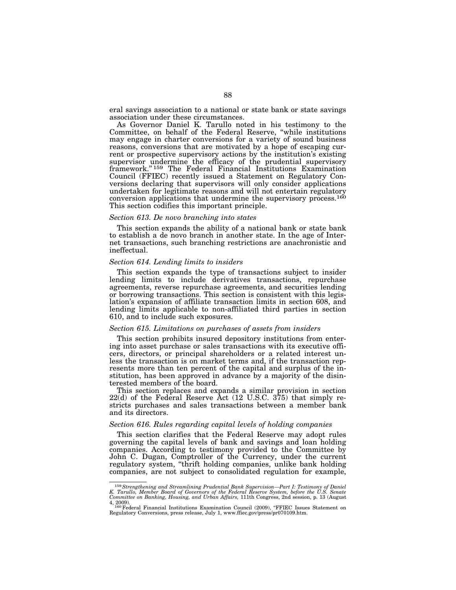eral savings association to a national or state bank or state savings association under these circumstances.

As Governor Daniel K. Tarullo noted in his testimony to the Committee, on behalf of the Federal Reserve, ''while institutions may engage in charter conversions for a variety of sound business reasons, conversions that are motivated by a hope of escaping current or prospective supervisory actions by the institution's existing supervisor undermine the efficacy of the prudential supervisory framework.'' 159 The Federal Financial Institutions Examination Council (FFIEC) recently issued a Statement on Regulatory Conversions declaring that supervisors will only consider applications undertaken for legitimate reasons and will not entertain regulatory conversion applications that undermine the supervisory process.160 This section codifies this important principle.

#### *Section 613. De novo branching into states*

This section expands the ability of a national bank or state bank to establish a de novo branch in another state. In the age of Internet transactions, such branching restrictions are anachronistic and ineffectual.

#### *Section 614. Lending limits to insiders*

This section expands the type of transactions subject to insider lending limits to include derivatives transactions, repurchase agreements, reverse repurchase agreements, and securities lending or borrowing transactions. This section is consistent with this legislation's expansion of affiliate transaction limits in section 608, and lending limits applicable to non-affiliated third parties in section 610, and to include such exposures.

#### *Section 615. Limitations on purchases of assets from insiders*

This section prohibits insured depository institutions from entering into asset purchase or sales transactions with its executive officers, directors, or principal shareholders or a related interest unless the transaction is on market terms and, if the transaction represents more than ten percent of the capital and surplus of the institution, has been approved in advance by a majority of the disinterested members of the board.

This section replaces and expands a similar provision in section 22(d) of the Federal Reserve Act (12 U.S.C. 375) that simply restricts purchases and sales transactions between a member bank and its directors.

#### *Section 616. Rules regarding capital levels of holding companies*

This section clarifies that the Federal Reserve may adopt rules governing the capital levels of bank and savings and loan holding companies. According to testimony provided to the Committee by John C. Dugan, Comptroller of the Currency, under the current regulatory system, ''thrift holding companies, unlike bank holding companies, are not subject to consolidated regulation for example,

 $^{159}$  Strengthening and Streamlining Prudential Bank Supervision—Part I: Testimony of Daniel K. Tarullo, Member Board of Governors of the Federal Reserve System, before the U.S. Senate Committee on Banking, Housing, and

<sup>4, 2009).&</sup>lt;br>1<sup>100</sup> Federal Financial Institutions Examination Council (2009), "FFIEC Issues Statement on<br>Regulatory Conversions, press release, July 1, www.ffiec.gov/press/pr070109.htm.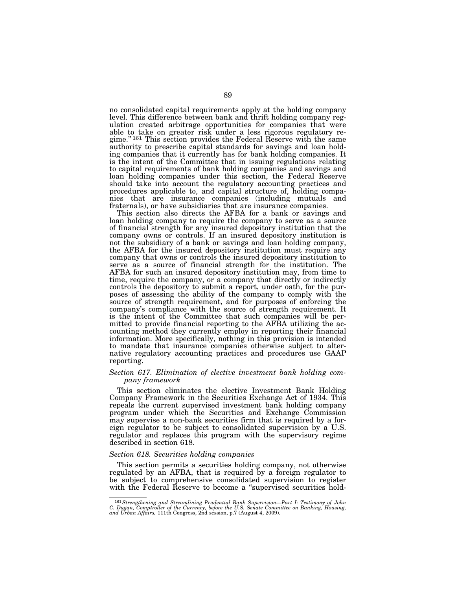no consolidated capital requirements apply at the holding company level. This difference between bank and thrift holding company regulation created arbitrage opportunities for companies that were able to take on greater risk under a less rigorous regulatory regime.'' 161 This section provides the Federal Reserve with the same authority to prescribe capital standards for savings and loan holding companies that it currently has for bank holding companies. It is the intent of the Committee that in issuing regulations relating to capital requirements of bank holding companies and savings and loan holding companies under this section, the Federal Reserve should take into account the regulatory accounting practices and procedures applicable to, and capital structure of, holding companies that are insurance companies (including mutuals and fraternals), or have subsidiaries that are insurance companies.

This section also directs the AFBA for a bank or savings and loan holding company to require the company to serve as a source of financial strength for any insured depository institution that the company owns or controls. If an insured depository institution is not the subsidiary of a bank or savings and loan holding company, the AFBA for the insured depository institution must require any company that owns or controls the insured depository institution to serve as a source of financial strength for the institution. The AFBA for such an insured depository institution may, from time to time, require the company, or a company that directly or indirectly controls the depository to submit a report, under oath, for the purposes of assessing the ability of the company to comply with the source of strength requirement, and for purposes of enforcing the company's compliance with the source of strength requirement. It is the intent of the Committee that such companies will be permitted to provide financial reporting to the AFBA utilizing the accounting method they currently employ in reporting their financial information. More specifically, nothing in this provision is intended to mandate that insurance companies otherwise subject to alternative regulatory accounting practices and procedures use GAAP reporting.

# *Section 617. Elimination of elective investment bank holding company framework*

This section eliminates the elective Investment Bank Holding Company Framework in the Securities Exchange Act of 1934. This repeals the current supervised investment bank holding company program under which the Securities and Exchange Commission may supervise a non-bank securities firm that is required by a foreign regulator to be subject to consolidated supervision by a U.S. regulator and replaces this program with the supervisory regime described in section 618.

## *Section 618. Securities holding companies*

This section permits a securities holding company, not otherwise regulated by an AFBA, that is required by a foreign regulator to be subject to comprehensive consolidated supervision to register with the Federal Reserve to become a "supervised securities hold-

<sup>&</sup>lt;sup>161</sup> Strengthening and Streamlining Prudential Bank Supervision—Part I: Testimony of John C. Dugan, Comptroller of the Currency, before the U.S. Senate Committee on Banking, Housing, and Urban Affairs, 111th Congress, 2n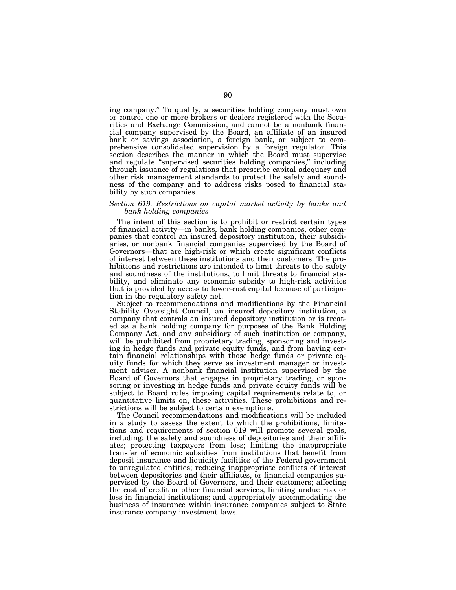ing company.'' To qualify, a securities holding company must own or control one or more brokers or dealers registered with the Securities and Exchange Commission, and cannot be a nonbank financial company supervised by the Board, an affiliate of an insured bank or savings association, a foreign bank, or subject to comprehensive consolidated supervision by a foreign regulator. This section describes the manner in which the Board must supervise and regulate ''supervised securities holding companies,'' including through issuance of regulations that prescribe capital adequacy and other risk management standards to protect the safety and soundness of the company and to address risks posed to financial stability by such companies.

# *Section 619. Restrictions on capital market activity by banks and bank holding companies*

The intent of this section is to prohibit or restrict certain types of financial activity—in banks, bank holding companies, other companies that control an insured depository institution, their subsidiaries, or nonbank financial companies supervised by the Board of Governors—that are high-risk or which create significant conflicts of interest between these institutions and their customers. The prohibitions and restrictions are intended to limit threats to the safety and soundness of the institutions, to limit threats to financial stability, and eliminate any economic subsidy to high-risk activities that is provided by access to lower-cost capital because of participation in the regulatory safety net.

Subject to recommendations and modifications by the Financial Stability Oversight Council, an insured depository institution, a company that controls an insured depository institution or is treated as a bank holding company for purposes of the Bank Holding Company Act, and any subsidiary of such institution or company, will be prohibited from proprietary trading, sponsoring and investing in hedge funds and private equity funds, and from having certain financial relationships with those hedge funds or private equity funds for which they serve as investment manager or investment adviser. A nonbank financial institution supervised by the Board of Governors that engages in proprietary trading, or sponsoring or investing in hedge funds and private equity funds will be subject to Board rules imposing capital requirements relate to, or quantitative limits on, these activities. These prohibitions and restrictions will be subject to certain exemptions.

The Council recommendations and modifications will be included in a study to assess the extent to which the prohibitions, limitations and requirements of section 619 will promote several goals, including: the safety and soundness of depositories and their affiliates; protecting taxpayers from loss; limiting the inappropriate transfer of economic subsidies from institutions that benefit from deposit insurance and liquidity facilities of the Federal government to unregulated entities; reducing inappropriate conflicts of interest between depositories and their affiliates, or financial companies supervised by the Board of Governors, and their customers; affecting the cost of credit or other financial services, limiting undue risk or loss in financial institutions; and appropriately accommodating the business of insurance within insurance companies subject to State insurance company investment laws.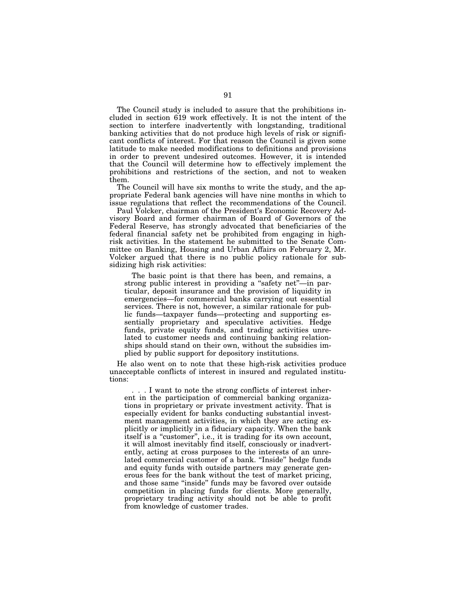The Council study is included to assure that the prohibitions included in section 619 work effectively. It is not the intent of the section to interfere inadvertently with longstanding, traditional banking activities that do not produce high levels of risk or significant conflicts of interest. For that reason the Council is given some latitude to make needed modifications to definitions and provisions in order to prevent undesired outcomes. However, it is intended that the Council will determine how to effectively implement the prohibitions and restrictions of the section, and not to weaken them.

The Council will have six months to write the study, and the appropriate Federal bank agencies will have nine months in which to issue regulations that reflect the recommendations of the Council.

Paul Volcker, chairman of the President's Economic Recovery Advisory Board and former chairman of Board of Governors of the Federal Reserve, has strongly advocated that beneficiaries of the federal financial safety net be prohibited from engaging in highrisk activities. In the statement he submitted to the Senate Committee on Banking, Housing and Urban Affairs on February 2, Mr. Volcker argued that there is no public policy rationale for subsidizing high risk activities:

The basic point is that there has been, and remains, a strong public interest in providing a ''safety net''—in particular, deposit insurance and the provision of liquidity in emergencies—for commercial banks carrying out essential services. There is not, however, a similar rationale for public funds—taxpayer funds—protecting and supporting essentially proprietary and speculative activities. Hedge funds, private equity funds, and trading activities unrelated to customer needs and continuing banking relationships should stand on their own, without the subsidies implied by public support for depository institutions.

He also went on to note that these high-risk activities produce unacceptable conflicts of interest in insured and regulated institutions:

. . . I want to note the strong conflicts of interest inherent in the participation of commercial banking organizations in proprietary or private investment activity. That is especially evident for banks conducting substantial investment management activities, in which they are acting explicitly or implicitly in a fiduciary capacity. When the bank itself is a "customer", i.e., it is trading for its own account, it will almost inevitably find itself, consciously or inadvertently, acting at cross purposes to the interests of an unrelated commercial customer of a bank. ''Inside'' hedge funds and equity funds with outside partners may generate generous fees for the bank without the test of market pricing, and those same ''inside'' funds may be favored over outside competition in placing funds for clients. More generally, proprietary trading activity should not be able to profit from knowledge of customer trades.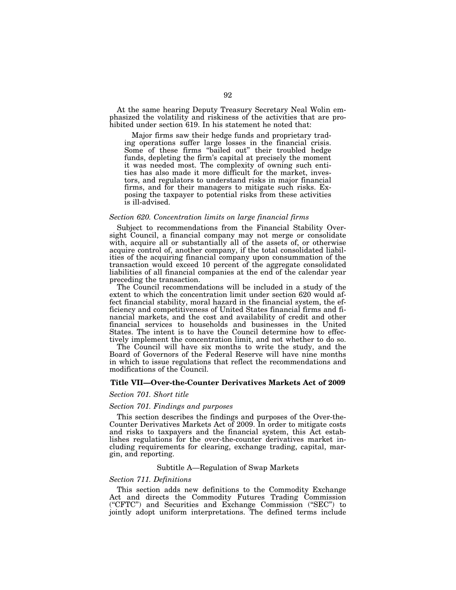At the same hearing Deputy Treasury Secretary Neal Wolin emphasized the volatility and riskiness of the activities that are prohibited under section 619. In his statement he noted that:

Major firms saw their hedge funds and proprietary trading operations suffer large losses in the financial crisis. Some of these firms ''bailed out'' their troubled hedge funds, depleting the firm's capital at precisely the moment it was needed most. The complexity of owning such entities has also made it more difficult for the market, investors, and regulators to understand risks in major financial firms, and for their managers to mitigate such risks. Exposing the taxpayer to potential risks from these activities is ill-advised.

#### *Section 620. Concentration limits on large financial firms*

Subject to recommendations from the Financial Stability Oversight Council, a financial company may not merge or consolidate with, acquire all or substantially all of the assets of, or otherwise acquire control of, another company, if the total consolidated liabilities of the acquiring financial company upon consummation of the transaction would exceed 10 percent of the aggregate consolidated liabilities of all financial companies at the end of the calendar year preceding the transaction.

The Council recommendations will be included in a study of the extent to which the concentration limit under section 620 would affect financial stability, moral hazard in the financial system, the efficiency and competitiveness of United States financial firms and financial markets, and the cost and availability of credit and other financial services to households and businesses in the United States. The intent is to have the Council determine how to effectively implement the concentration limit, and not whether to do so.

The Council will have six months to write the study, and the Board of Governors of the Federal Reserve will have nine months in which to issue regulations that reflect the recommendations and modifications of the Council.

# **Title VII—Over-the-Counter Derivatives Markets Act of 2009**

#### *Section 701. Short title*

### *Section 701. Findings and purposes*

This section describes the findings and purposes of the Over-the-Counter Derivatives Markets Act of 2009. In order to mitigate costs and risks to taxpayers and the financial system, this Act establishes regulations for the over-the-counter derivatives market including requirements for clearing, exchange trading, capital, margin, and reporting.

#### Subtitle A—Regulation of Swap Markets

### *Section 711. Definitions*

This section adds new definitions to the Commodity Exchange Act and directs the Commodity Futures Trading Commission (''CFTC'') and Securities and Exchange Commission (''SEC'') to jointly adopt uniform interpretations. The defined terms include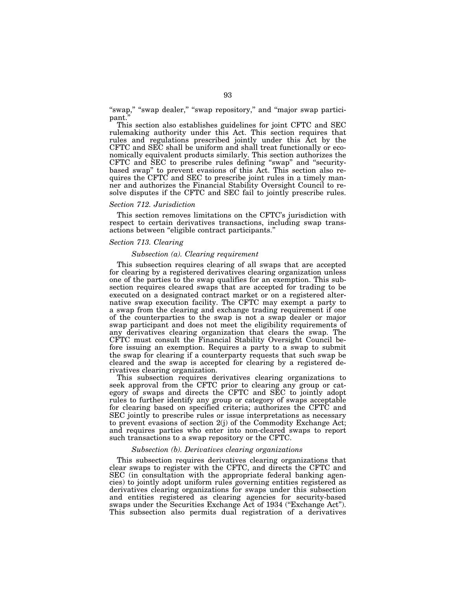"swap," "swap dealer," "swap repository," and "major swap participant.

This section also establishes guidelines for joint CFTC and SEC rulemaking authority under this Act. This section requires that rules and regulations prescribed jointly under this Act by the CFTC and SEC shall be uniform and shall treat functionally or economically equivalent products similarly. This section authorizes the CFTC and SEC to prescribe rules defining ''swap'' and ''securitybased swap'' to prevent evasions of this Act. This section also requires the CFTC and SEC to prescribe joint rules in a timely manner and authorizes the Financial Stability Oversight Council to resolve disputes if the CFTC and SEC fail to jointly prescribe rules.

#### *Section 712. Jurisdiction*

This section removes limitations on the CFTC's jurisdiction with respect to certain derivatives transactions, including swap transactions between ''eligible contract participants.''

### *Section 713. Clearing*

#### *Subsection (a). Clearing requirement*

This subsection requires clearing of all swaps that are accepted for clearing by a registered derivatives clearing organization unless one of the parties to the swap qualifies for an exemption. This subsection requires cleared swaps that are accepted for trading to be executed on a designated contract market or on a registered alternative swap execution facility. The CFTC may exempt a party to a swap from the clearing and exchange trading requirement if one of the counterparties to the swap is not a swap dealer or major swap participant and does not meet the eligibility requirements of any derivatives clearing organization that clears the swap. The CFTC must consult the Financial Stability Oversight Council before issuing an exemption. Requires a party to a swap to submit the swap for clearing if a counterparty requests that such swap be cleared and the swap is accepted for clearing by a registered derivatives clearing organization.

This subsection requires derivatives clearing organizations to seek approval from the CFTC prior to clearing any group or category of swaps and directs the CFTC and SEC to jointly adopt rules to further identify any group or category of swaps acceptable for clearing based on specified criteria; authorizes the CFTC and SEC jointly to prescribe rules or issue interpretations as necessary to prevent evasions of section 2(j) of the Commodity Exchange Act; and requires parties who enter into non-cleared swaps to report such transactions to a swap repository or the CFTC.

#### *Subsection (b). Derivatives clearing organizations*

This subsection requires derivatives clearing organizations that clear swaps to register with the CFTC, and directs the CFTC and SEC (in consultation with the appropriate federal banking agencies) to jointly adopt uniform rules governing entities registered as derivatives clearing organizations for swaps under this subsection and entities registered as clearing agencies for security-based swaps under the Securities Exchange Act of 1934 (''Exchange Act''). This subsection also permits dual registration of a derivatives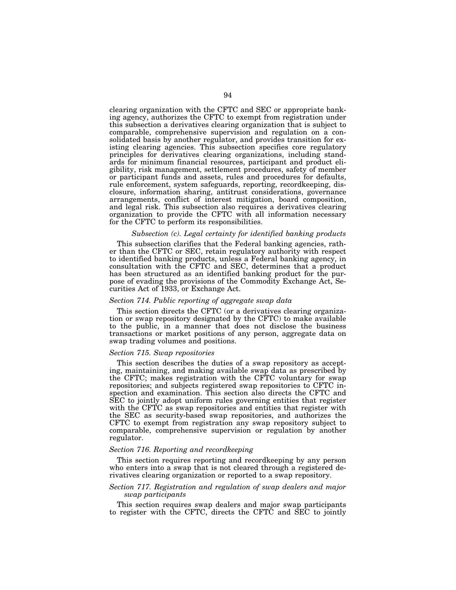clearing organization with the CFTC and SEC or appropriate banking agency, authorizes the CFTC to exempt from registration under this subsection a derivatives clearing organization that is subject to comparable, comprehensive supervision and regulation on a consolidated basis by another regulator, and provides transition for existing clearing agencies. This subsection specifies core regulatory principles for derivatives clearing organizations, including standards for minimum financial resources, participant and product eligibility, risk management, settlement procedures, safety of member or participant funds and assets, rules and procedures for defaults, rule enforcement, system safeguards, reporting, recordkeeping, disclosure, information sharing, antitrust considerations, governance arrangements, conflict of interest mitigation, board composition, and legal risk. This subsection also requires a derivatives clearing organization to provide the CFTC with all information necessary for the CFTC to perform its responsibilities.

### *Subsection (c). Legal certainty for identified banking products*

This subsection clarifies that the Federal banking agencies, rather than the CFTC or SEC, retain regulatory authority with respect to identified banking products, unless a Federal banking agency, in consultation with the CFTC and SEC, determines that a product has been structured as an identified banking product for the purpose of evading the provisions of the Commodity Exchange Act, Securities Act of 1933, or Exchange Act.

#### *Section 714. Public reporting of aggregate swap data*

This section directs the CFTC (or a derivatives clearing organization or swap repository designated by the CFTC) to make available to the public, in a manner that does not disclose the business transactions or market positions of any person, aggregate data on swap trading volumes and positions.

#### *Section 715. Swap repositories*

This section describes the duties of a swap repository as accepting, maintaining, and making available swap data as prescribed by the CFTC; makes registration with the CFTC voluntary for swap repositories; and subjects registered swap repositories to CFTC inspection and examination. This section also directs the CFTC and SEC to jointly adopt uniform rules governing entities that register with the CFTC as swap repositories and entities that register with the SEC as security-based swap repositories, and authorizes the CFTC to exempt from registration any swap repository subject to comparable, comprehensive supervision or regulation by another regulator.

#### *Section 716. Reporting and recordkeeping*

This section requires reporting and recordkeeping by any person who enters into a swap that is not cleared through a registered derivatives clearing organization or reported to a swap repository.

### *Section 717. Registration and regulation of swap dealers and major swap participants*

This section requires swap dealers and major swap participants to register with the CFTC, directs the CFTC and SEC to jointly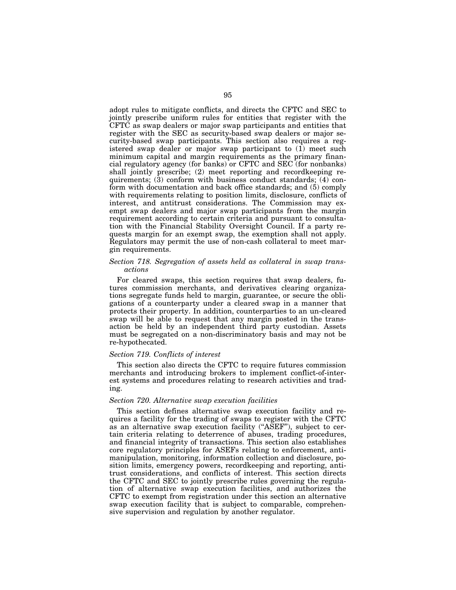adopt rules to mitigate conflicts, and directs the CFTC and SEC to jointly prescribe uniform rules for entities that register with the CFTC as swap dealers or major swap participants and entities that register with the SEC as security-based swap dealers or major security-based swap participants. This section also requires a registered swap dealer or major swap participant to (1) meet such minimum capital and margin requirements as the primary financial regulatory agency (for banks) or CFTC and SEC (for nonbanks) shall jointly prescribe; (2) meet reporting and recordkeeping requirements; (3) conform with business conduct standards; (4) conform with documentation and back office standards; and (5) comply with requirements relating to position limits, disclosure, conflicts of interest, and antitrust considerations. The Commission may exempt swap dealers and major swap participants from the margin requirement according to certain criteria and pursuant to consultation with the Financial Stability Oversight Council. If a party requests margin for an exempt swap, the exemption shall not apply. Regulators may permit the use of non-cash collateral to meet margin requirements.

# *Section 718. Segregation of assets held as collateral in swap transactions*

For cleared swaps, this section requires that swap dealers, futures commission merchants, and derivatives clearing organizations segregate funds held to margin, guarantee, or secure the obligations of a counterparty under a cleared swap in a manner that protects their property. In addition, counterparties to an un-cleared swap will be able to request that any margin posted in the transaction be held by an independent third party custodian. Assets must be segregated on a non-discriminatory basis and may not be re-hypothecated.

# *Section 719. Conflicts of interest*

This section also directs the CFTC to require futures commission merchants and introducing brokers to implement conflict-of-interest systems and procedures relating to research activities and trading.

# *Section 720. Alternative swap execution facilities*

This section defines alternative swap execution facility and requires a facility for the trading of swaps to register with the CFTC as an alternative swap execution facility (''ASEF''), subject to certain criteria relating to deterrence of abuses, trading procedures, and financial integrity of transactions. This section also establishes core regulatory principles for ASEFs relating to enforcement, antimanipulation, monitoring, information collection and disclosure, position limits, emergency powers, recordkeeping and reporting, antitrust considerations, and conflicts of interest. This section directs the CFTC and SEC to jointly prescribe rules governing the regulation of alternative swap execution facilities, and authorizes the CFTC to exempt from registration under this section an alternative swap execution facility that is subject to comparable, comprehensive supervision and regulation by another regulator.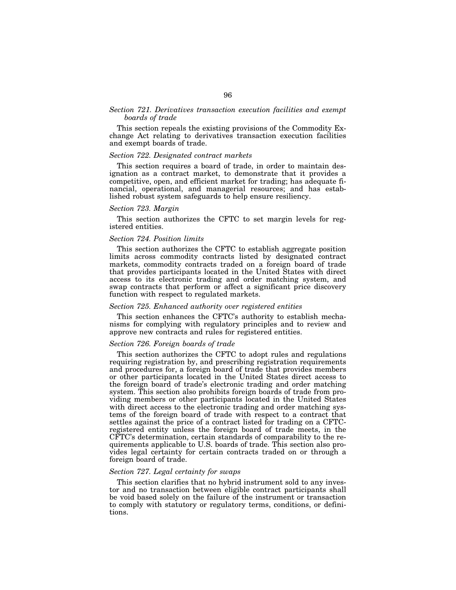# *Section 721. Derivatives transaction execution facilities and exempt boards of trade*

This section repeals the existing provisions of the Commodity Exchange Act relating to derivatives transaction execution facilities and exempt boards of trade.

### *Section 722. Designated contract markets*

This section requires a board of trade, in order to maintain designation as a contract market, to demonstrate that it provides a competitive, open, and efficient market for trading; has adequate financial, operational, and managerial resources; and has established robust system safeguards to help ensure resiliency.

#### *Section 723. Margin*

This section authorizes the CFTC to set margin levels for registered entities.

#### *Section 724. Position limits*

This section authorizes the CFTC to establish aggregate position limits across commodity contracts listed by designated contract markets, commodity contracts traded on a foreign board of trade that provides participants located in the United States with direct access to its electronic trading and order matching system, and swap contracts that perform or affect a significant price discovery function with respect to regulated markets.

#### *Section 725. Enhanced authority over registered entities*

This section enhances the CFTC's authority to establish mechanisms for complying with regulatory principles and to review and approve new contracts and rules for registered entities.

## *Section 726. Foreign boards of trade*

This section authorizes the CFTC to adopt rules and regulations requiring registration by, and prescribing registration requirements and procedures for, a foreign board of trade that provides members or other participants located in the United States direct access to the foreign board of trade's electronic trading and order matching system. This section also prohibits foreign boards of trade from providing members or other participants located in the United States with direct access to the electronic trading and order matching systems of the foreign board of trade with respect to a contract that settles against the price of a contract listed for trading on a CFTCregistered entity unless the foreign board of trade meets, in the CFTC's determination, certain standards of comparability to the requirements applicable to U.S. boards of trade. This section also provides legal certainty for certain contracts traded on or through a foreign board of trade.

## *Section 727. Legal certainty for swaps*

This section clarifies that no hybrid instrument sold to any investor and no transaction between eligible contract participants shall be void based solely on the failure of the instrument or transaction to comply with statutory or regulatory terms, conditions, or definitions.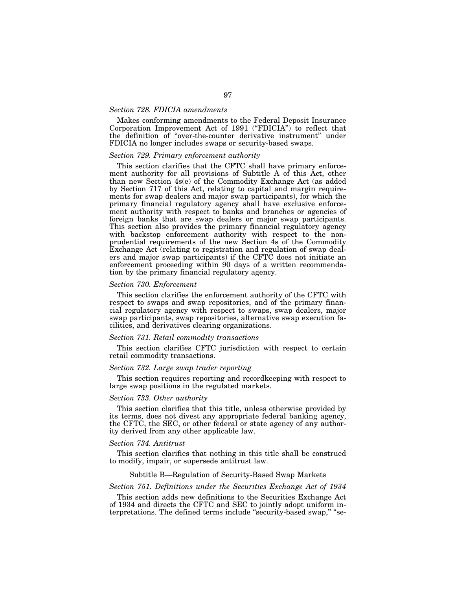# *Section 728. FDICIA amendments*

Makes conforming amendments to the Federal Deposit Insurance Corporation Improvement Act of 1991 ("FDICIA") to reflect that the definition of ''over-the-counter derivative instrument'' under FDICIA no longer includes swaps or security-based swaps.

### *Section 729. Primary enforcement authority*

This section clarifies that the CFTC shall have primary enforcement authority for all provisions of Subtitle A of this Act, other than new Section 4s(e) of the Commodity Exchange Act (as added by Section 717 of this Act, relating to capital and margin requirements for swap dealers and major swap participants), for which the primary financial regulatory agency shall have exclusive enforcement authority with respect to banks and branches or agencies of foreign banks that are swap dealers or major swap participants. This section also provides the primary financial regulatory agency with backstop enforcement authority with respect to the nonprudential requirements of the new Section 4s of the Commodity Exchange Act (relating to registration and regulation of swap dealers and major swap participants) if the CFTC does not initiate an enforcement proceeding within 90 days of a written recommendation by the primary financial regulatory agency.

#### *Section 730. Enforcement*

This section clarifies the enforcement authority of the CFTC with respect to swaps and swap repositories, and of the primary financial regulatory agency with respect to swaps, swap dealers, major swap participants, swap repositories, alternative swap execution facilities, and derivatives clearing organizations.

#### *Section 731. Retail commodity transactions*

This section clarifies CFTC jurisdiction with respect to certain retail commodity transactions.

### *Section 732. Large swap trader reporting*

This section requires reporting and recordkeeping with respect to large swap positions in the regulated markets.

#### *Section 733. Other authority*

This section clarifies that this title, unless otherwise provided by its terms, does not divest any appropriate federal banking agency, the CFTC, the SEC, or other federal or state agency of any authority derived from any other applicable law.

#### *Section 734. Antitrust*

This section clarifies that nothing in this title shall be construed to modify, impair, or supersede antitrust law.

# Subtitle B—Regulation of Security-Based Swap Markets

#### *Section 751. Definitions under the Securities Exchange Act of 1934*

This section adds new definitions to the Securities Exchange Act of 1934 and directs the CFTC and SEC to jointly adopt uniform interpretations. The defined terms include "security-based swap," "se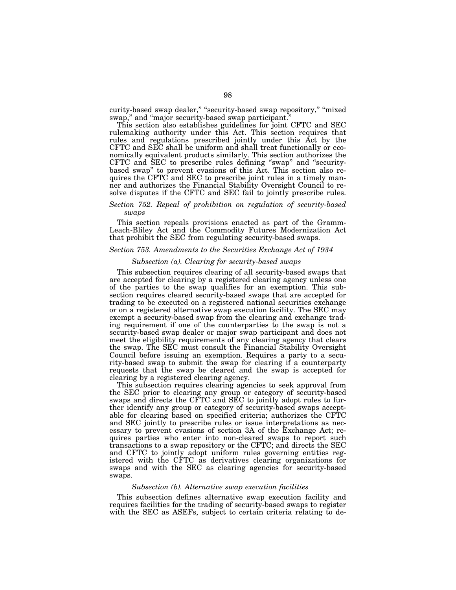curity-based swap dealer," "security-based swap repository," "mixed swap,'' and ''major security-based swap participant.''

This section also establishes guidelines for joint CFTC and SEC rulemaking authority under this Act. This section requires that rules and regulations prescribed jointly under this Act by the CFTC and SEC shall be uniform and shall treat functionally or economically equivalent products similarly. This section authorizes the CFTC and SEC to prescribe rules defining ''swap'' and ''securitybased swap'' to prevent evasions of this Act. This section also requires the CFTC and SEC to prescribe joint rules in a timely manner and authorizes the Financial Stability Oversight Council to resolve disputes if the CFTC and SEC fail to jointly prescribe rules.

### *Section 752. Repeal of prohibition on regulation of security-based swaps*

This section repeals provisions enacted as part of the Gramm-Leach-Bliley Act and the Commodity Futures Modernization Act that prohibit the SEC from regulating security-based swaps.

### *Section 753. Amendments to the Securities Exchange Act of 1934*

#### *Subsection (a). Clearing for security-based swaps*

This subsection requires clearing of all security-based swaps that are accepted for clearing by a registered clearing agency unless one of the parties to the swap qualifies for an exemption. This subsection requires cleared security-based swaps that are accepted for trading to be executed on a registered national securities exchange or on a registered alternative swap execution facility. The SEC may exempt a security-based swap from the clearing and exchange trading requirement if one of the counterparties to the swap is not a security-based swap dealer or major swap participant and does not meet the eligibility requirements of any clearing agency that clears the swap. The SEC must consult the Financial Stability Oversight Council before issuing an exemption. Requires a party to a security-based swap to submit the swap for clearing if a counterparty requests that the swap be cleared and the swap is accepted for clearing by a registered clearing agency.

This subsection requires clearing agencies to seek approval from the SEC prior to clearing any group or category of security-based swaps and directs the CFTC and SEC to jointly adopt rules to further identify any group or category of security-based swaps acceptable for clearing based on specified criteria; authorizes the CFTC and SEC jointly to prescribe rules or issue interpretations as necessary to prevent evasions of section 3A of the Exchange Act; requires parties who enter into non-cleared swaps to report such transactions to a swap repository or the CFTC; and directs the SEC and CFTC to jointly adopt uniform rules governing entities registered with the CFTC as derivatives clearing organizations for swaps and with the SEC as clearing agencies for security-based swaps.

#### *Subsection (b). Alternative swap execution facilities*

This subsection defines alternative swap execution facility and requires facilities for the trading of security-based swaps to register with the SEC as ASEFs, subject to certain criteria relating to de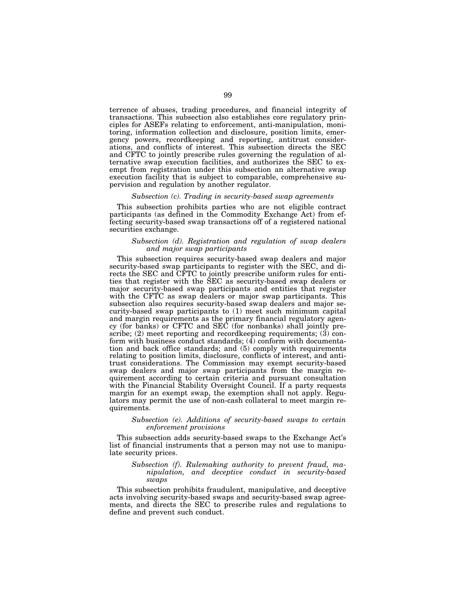terrence of abuses, trading procedures, and financial integrity of transactions. This subsection also establishes core regulatory principles for ASEFs relating to enforcement, anti-manipulation, monitoring, information collection and disclosure, position limits, emergency powers, recordkeeping and reporting, antitrust considerations, and conflicts of interest. This subsection directs the SEC and CFTC to jointly prescribe rules governing the regulation of alternative swap execution facilities, and authorizes the SEC to exempt from registration under this subsection an alternative swap execution facility that is subject to comparable, comprehensive supervision and regulation by another regulator.

#### *Subsection (c). Trading in security-based swap agreements*

This subsection prohibits parties who are not eligible contract participants (as defined in the Commodity Exchange Act) from effecting security-based swap transactions off of a registered national securities exchange.

### *Subsection (d). Registration and regulation of swap dealers and major swap participants*

This subsection requires security-based swap dealers and major security-based swap participants to register with the SEC, and directs the SEC and CFTC to jointly prescribe uniform rules for entities that register with the SEC as security-based swap dealers or major security-based swap participants and entities that register with the CFTC as swap dealers or major swap participants. This subsection also requires security-based swap dealers and major security-based swap participants to (1) meet such minimum capital and margin requirements as the primary financial regulatory agency (for banks) or CFTC and SEC (for nonbanks) shall jointly prescribe; (2) meet reporting and recordkeeping requirements; (3) conform with business conduct standards;  $(4)$  conform with documentation and back office standards; and (5) comply with requirements relating to position limits, disclosure, conflicts of interest, and antitrust considerations. The Commission may exempt security-based swap dealers and major swap participants from the margin requirement according to certain criteria and pursuant consultation with the Financial Stability Oversight Council. If a party requests margin for an exempt swap, the exemption shall not apply. Regulators may permit the use of non-cash collateral to meet margin requirements.

#### *Subsection (e). Additions of security-based swaps to certain enforcement provisions*

This subsection adds security-based swaps to the Exchange Act's list of financial instruments that a person may not use to manipulate security prices.

### *Subsection (f). Rulemaking authority to prevent fraud, manipulation, and deceptive conduct in security-based swaps*

This subsection prohibits fraudulent, manipulative, and deceptive acts involving security-based swaps and security-based swap agreements, and directs the SEC to prescribe rules and regulations to define and prevent such conduct.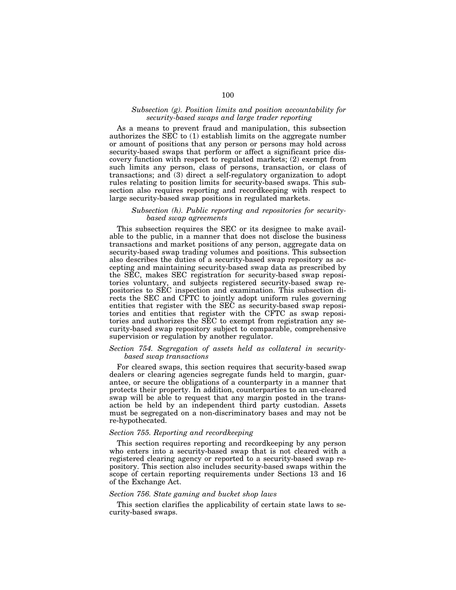#### *Subsection (g). Position limits and position accountability for security-based swaps and large trader reporting*

As a means to prevent fraud and manipulation, this subsection authorizes the SEC to (1) establish limits on the aggregate number or amount of positions that any person or persons may hold across security-based swaps that perform or affect a significant price discovery function with respect to regulated markets; (2) exempt from such limits any person, class of persons, transaction, or class of transactions; and (3) direct a self-regulatory organization to adopt rules relating to position limits for security-based swaps. This subsection also requires reporting and recordkeeping with respect to large security-based swap positions in regulated markets.

### *Subsection (h). Public reporting and repositories for securitybased swap agreements*

This subsection requires the SEC or its designee to make available to the public, in a manner that does not disclose the business transactions and market positions of any person, aggregate data on security-based swap trading volumes and positions. This subsection also describes the duties of a security-based swap repository as accepting and maintaining security-based swap data as prescribed by the SEC, makes SEC registration for security-based swap repositories voluntary, and subjects registered security-based swap repositories to SEC inspection and examination. This subsection directs the SEC and CFTC to jointly adopt uniform rules governing entities that register with the SEC as security-based swap repositories and entities that register with the CFTC as swap repositories and authorizes the SEC to exempt from registration any security-based swap repository subject to comparable, comprehensive supervision or regulation by another regulator.

# *Section 754. Segregation of assets held as collateral in securitybased swap transactions*

For cleared swaps, this section requires that security-based swap dealers or clearing agencies segregate funds held to margin, guarantee, or secure the obligations of a counterparty in a manner that protects their property. In addition, counterparties to an un-cleared swap will be able to request that any margin posted in the transaction be held by an independent third party custodian. Assets must be segregated on a non-discriminatory bases and may not be re-hypothecated.

#### *Section 755. Reporting and recordkeeping*

This section requires reporting and recordkeeping by any person who enters into a security-based swap that is not cleared with a registered clearing agency or reported to a security-based swap repository. This section also includes security-based swaps within the scope of certain reporting requirements under Sections 13 and 16 of the Exchange Act.

# *Section 756. State gaming and bucket shop laws*

This section clarifies the applicability of certain state laws to security-based swaps.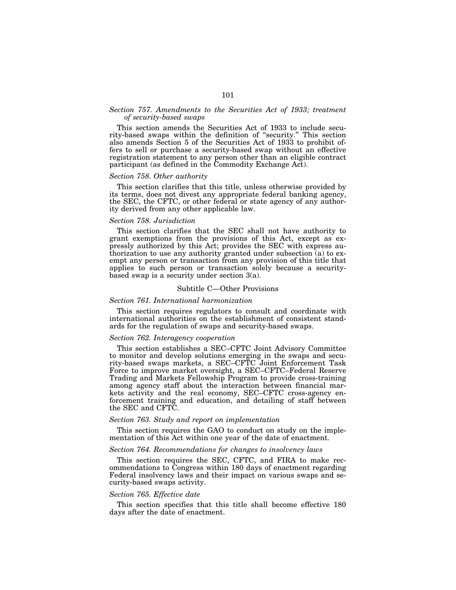# *Section 757. Amendments to the Securities Act of 1933; treatment of security-based swaps*

This section amends the Securities Act of 1933 to include security-based swaps within the definition of ''security.'' This section also amends Section 5 of the Securities Act of 1933 to prohibit offers to sell or purchase a security-based swap without an effective registration statement to any person other than an eligible contract participant (as defined in the Commodity Exchange Act).

#### *Section 758. Other authority*

This section clarifies that this title, unless otherwise provided by its terms, does not divest any appropriate federal banking agency, the SEC, the CFTC, or other federal or state agency of any authority derived from any other applicable law.

# *Section 758. Jurisdiction*

This section clarifies that the SEC shall not have authority to grant exemptions from the provisions of this Act, except as expressly authorized by this Act; provides the SEC with express authorization to use any authority granted under subsection (a) to exempt any person or transaction from any provision of this title that applies to such person or transaction solely because a securitybased swap is a security under section 3(a).

#### Subtitle C—Other Provisions

#### *Section 761. International harmonization*

This section requires regulators to consult and coordinate with international authorities on the establishment of consistent standards for the regulation of swaps and security-based swaps.

#### *Section 762. Interagency cooperation*

This section establishes a SEC–CFTC Joint Advisory Committee to monitor and develop solutions emerging in the swaps and security-based swaps markets, a SEC–CFTC Joint Enforcement Task Force to improve market oversight, a SEC–CFTC–Federal Reserve Trading and Markets Fellowship Program to provide cross-training among agency staff about the interaction between financial markets activity and the real economy, SEC–CFTC cross-agency enforcement training and education, and detailing of staff between the SEC and CFTC.

#### *Section 763. Study and report on implementation*

This section requires the GAO to conduct on study on the implementation of this Act within one year of the date of enactment.

#### *Section 764. Recommendations for changes to insolvency laws*

This section requires the SEC, CFTC, and FIRA to make recommendations to Congress within 180 days of enactment regarding Federal insolvency laws and their impact on various swaps and security-based swaps activity.

#### *Section 765. Effective date*

This section specifies that this title shall become effective 180 days after the date of enactment.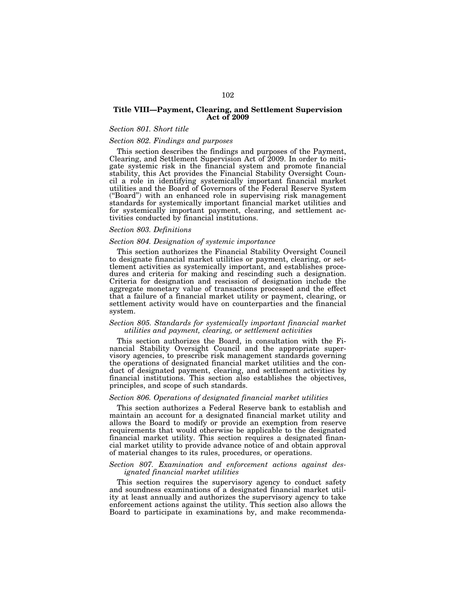# **Title VIII—Payment, Clearing, and Settlement Supervision Act of 2009**

#### *Section 801. Short title*

#### *Section 802. Findings and purposes*

This section describes the findings and purposes of the Payment, Clearing, and Settlement Supervision Act of 2009. In order to mitigate systemic risk in the financial system and promote financial stability, this Act provides the Financial Stability Oversight Council a role in identifying systemically important financial market utilities and the Board of Governors of the Federal Reserve System (''Board'') with an enhanced role in supervising risk management standards for systemically important financial market utilities and for systemically important payment, clearing, and settlement activities conducted by financial institutions.

#### *Section 803. Definitions*

#### *Section 804. Designation of systemic importance*

This section authorizes the Financial Stability Oversight Council to designate financial market utilities or payment, clearing, or settlement activities as systemically important, and establishes procedures and criteria for making and rescinding such a designation. Criteria for designation and rescission of designation include the aggregate monetary value of transactions processed and the effect that a failure of a financial market utility or payment, clearing, or settlement activity would have on counterparties and the financial system.

#### *Section 805. Standards for systemically important financial market utilities and payment, clearing, or settlement activities*

This section authorizes the Board, in consultation with the Financial Stability Oversight Council and the appropriate supervisory agencies, to prescribe risk management standards governing the operations of designated financial market utilities and the conduct of designated payment, clearing, and settlement activities by financial institutions. This section also establishes the objectives, principles, and scope of such standards.

#### *Section 806. Operations of designated financial market utilities*

This section authorizes a Federal Reserve bank to establish and maintain an account for a designated financial market utility and allows the Board to modify or provide an exemption from reserve requirements that would otherwise be applicable to the designated financial market utility. This section requires a designated financial market utility to provide advance notice of and obtain approval of material changes to its rules, procedures, or operations.

#### *Section 807. Examination and enforcement actions against designated financial market utilities*

This section requires the supervisory agency to conduct safety and soundness examinations of a designated financial market utility at least annually and authorizes the supervisory agency to take enforcement actions against the utility. This section also allows the Board to participate in examinations by, and make recommenda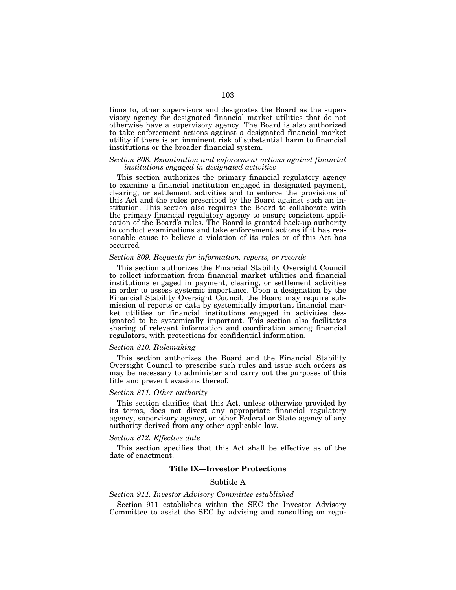tions to, other supervisors and designates the Board as the supervisory agency for designated financial market utilities that do not otherwise have a supervisory agency. The Board is also authorized to take enforcement actions against a designated financial market utility if there is an imminent risk of substantial harm to financial institutions or the broader financial system.

# *Section 808. Examination and enforcement actions against financial institutions engaged in designated activities*

This section authorizes the primary financial regulatory agency to examine a financial institution engaged in designated payment, clearing, or settlement activities and to enforce the provisions of this Act and the rules prescribed by the Board against such an institution. This section also requires the Board to collaborate with the primary financial regulatory agency to ensure consistent application of the Board's rules. The Board is granted back-up authority to conduct examinations and take enforcement actions if it has reasonable cause to believe a violation of its rules or of this Act has occurred.

#### *Section 809. Requests for information, reports, or records*

This section authorizes the Financial Stability Oversight Council to collect information from financial market utilities and financial institutions engaged in payment, clearing, or settlement activities in order to assess systemic importance. Upon a designation by the Financial Stability Oversight Council, the Board may require submission of reports or data by systemically important financial market utilities or financial institutions engaged in activities designated to be systemically important. This section also facilitates sharing of relevant information and coordination among financial regulators, with protections for confidential information.

#### *Section 810. Rulemaking*

This section authorizes the Board and the Financial Stability Oversight Council to prescribe such rules and issue such orders as may be necessary to administer and carry out the purposes of this title and prevent evasions thereof.

#### *Section 811. Other authority*

This section clarifies that this Act, unless otherwise provided by its terms, does not divest any appropriate financial regulatory agency, supervisory agency, or other Federal or State agency of any authority derived from any other applicable law.

#### *Section 812. Effective date*

This section specifies that this Act shall be effective as of the date of enactment.

### **Title IX—Investor Protections**

# Subtitle A

#### *Section 911. Investor Advisory Committee established*

Section 911 establishes within the SEC the Investor Advisory Committee to assist the SEC by advising and consulting on regu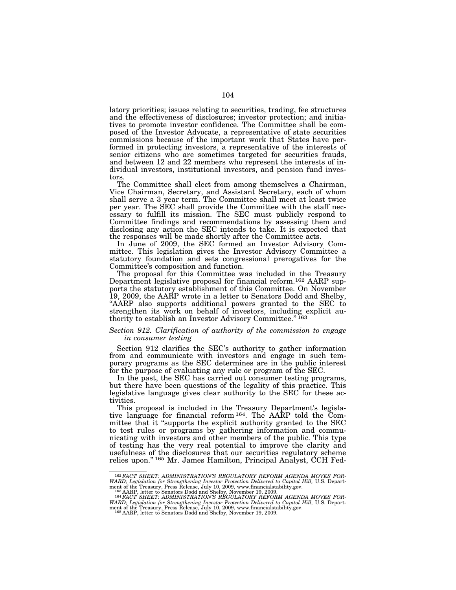latory priorities; issues relating to securities, trading, fee structures and the effectiveness of disclosures; investor protection; and initiatives to promote investor confidence. The Committee shall be composed of the Investor Advocate, a representative of state securities commissions because of the important work that States have performed in protecting investors, a representative of the interests of senior citizens who are sometimes targeted for securities frauds, and between 12 and 22 members who represent the interests of individual investors, institutional investors, and pension fund investors.

The Committee shall elect from among themselves a Chairman, Vice Chairman, Secretary, and Assistant Secretary, each of whom shall serve a 3 year term. The Committee shall meet at least twice per year. The SEC shall provide the Committee with the staff necessary to fulfill its mission. The SEC must publicly respond to Committee findings and recommendations by assessing them and disclosing any action the SEC intends to take. It is expected that the responses will be made shortly after the Committee acts.

In June of 2009, the SEC formed an Investor Advisory Committee. This legislation gives the Investor Advisory Committee a statutory foundation and sets congressional prerogatives for the Committee's composition and function.

The proposal for this Committee was included in the Treasury Department legislative proposal for financial reform.162 AARP supports the statutory establishment of this Committee. On November 19, 2009, the AARP wrote in a letter to Senators Dodd and Shelby, ''AARP also supports additional powers granted to the SEC to strengthen its work on behalf of investors, including explicit authority to establish an Investor Advisory Committee."<sup>163</sup>

#### *Section 912. Clarification of authority of the commission to engage in consumer testing*

Section 912 clarifies the SEC's authority to gather information from and communicate with investors and engage in such temporary programs as the SEC determines are in the public interest for the purpose of evaluating any rule or program of the SEC.

In the past, the SEC has carried out consumer testing programs, but there have been questions of the legality of this practice. This legislative language gives clear authority to the SEC for these activities.

This proposal is included in the Treasury Department's legislative language for financial reform 164. The AARP told the Committee that it "supports the explicit authority granted to the SEC to test rules or programs by gathering information and communicating with investors and other members of the public. This type of testing has the very real potential to improve the clarity and usefulness of the disclosures that our securities regulatory scheme relies upon.'' 165 Mr. James Hamilton, Principal Analyst, CCH Fed-

<sup>162</sup>*FACT SHEET: ADMINISTRATION'S REGULATORY REFORM AGENDA MOVES FOR-WARD; Legislation for Strengthening Investor Protection Delivered to Capitol Hill,* U.S. Department of the Treasury, Press Release, July 10, 2009, www.financialstability.gov.<br>
<sup>163</sup> AARP, letter to Senators Dodd and Shelby, November 19, 2009.<br>
<sup>164</sup>*FACT SHEET: ADMINISTRATION'S REGULATORY REFORM AGENDA MOVES FOR-*

WARD; Legislation for Strengthening Investor Protection Delivered to Capitol Hill, U.S. Department of the Treasury, Press Release, July 10, 2009, www.financialstability.gov.<br>165 AARP, letter to Senators Dodd and Shelby, No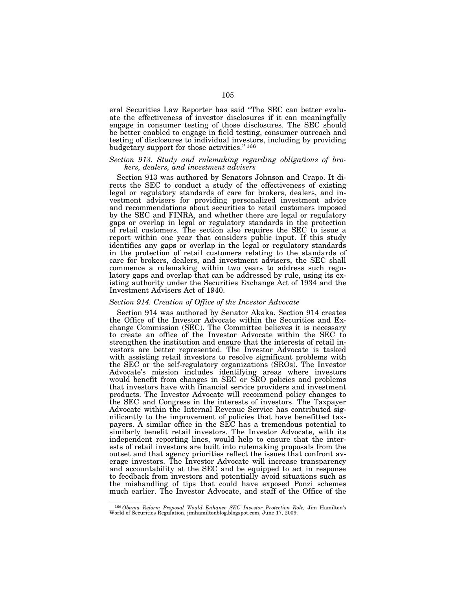eral Securities Law Reporter has said ''The SEC can better evaluate the effectiveness of investor disclosures if it can meaningfully engage in consumer testing of those disclosures. The SEC should be better enabled to engage in field testing, consumer outreach and testing of disclosures to individual investors, including by providing budgetary support for those activities.'' 166

# *Section 913. Study and rulemaking regarding obligations of brokers, dealers, and investment advisers*

Section 913 was authored by Senators Johnson and Crapo. It directs the SEC to conduct a study of the effectiveness of existing legal or regulatory standards of care for brokers, dealers, and investment advisers for providing personalized investment advice and recommendations about securities to retail customers imposed by the SEC and FINRA, and whether there are legal or regulatory gaps or overlap in legal or regulatory standards in the protection of retail customers. The section also requires the SEC to issue a report within one year that considers public input. If this study identifies any gaps or overlap in the legal or regulatory standards in the protection of retail customers relating to the standards of care for brokers, dealers, and investment advisers, the SEC shall commence a rulemaking within two years to address such regulatory gaps and overlap that can be addressed by rule, using its existing authority under the Securities Exchange Act of 1934 and the Investment Advisers Act of 1940.

#### *Section 914. Creation of Office of the Investor Advocate*

Section 914 was authored by Senator Akaka. Section 914 creates the Office of the Investor Advocate within the Securities and Exchange Commission (SEC). The Committee believes it is necessary to create an office of the Investor Advocate within the SEC to strengthen the institution and ensure that the interests of retail investors are better represented. The Investor Advocate is tasked with assisting retail investors to resolve significant problems with the SEC or the self-regulatory organizations (SROs). The Investor Advocate's mission includes identifying areas where investors would benefit from changes in SEC or SRO policies and problems that investors have with financial service providers and investment products. The Investor Advocate will recommend policy changes to the SEC and Congress in the interests of investors. The Taxpayer Advocate within the Internal Revenue Service has contributed significantly to the improvement of policies that have benefitted taxpayers. A similar office in the SEC has a tremendous potential to similarly benefit retail investors. The Investor Advocate, with its independent reporting lines, would help to ensure that the interests of retail investors are built into rulemaking proposals from the outset and that agency priorities reflect the issues that confront average investors. The Investor Advocate will increase transparency and accountability at the SEC and be equipped to act in response to feedback from investors and potentially avoid situations such as the mishandling of tips that could have exposed Ponzi schemes much earlier. The Investor Advocate, and staff of the Office of the

<sup>166</sup>*Obama Reform Proposal Would Enhance SEC Investor Protection Role,* Jim Hamilton's World of Securities Regulation, jimhamiltonblog.blogspot.com, June 17, 2009.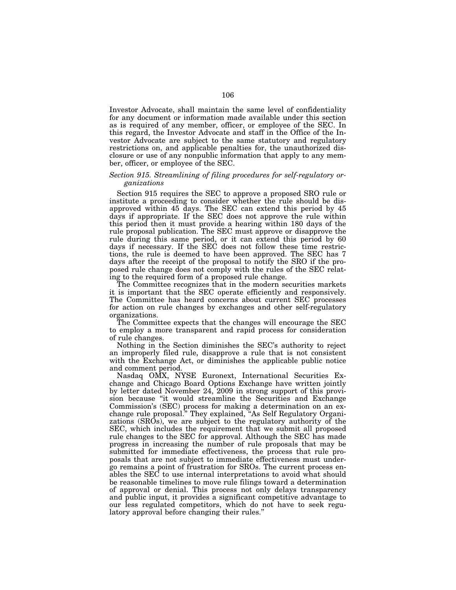Investor Advocate, shall maintain the same level of confidentiality for any document or information made available under this section as is required of any member, officer, or employee of the SEC. In this regard, the Investor Advocate and staff in the Office of the Investor Advocate are subject to the same statutory and regulatory restrictions on, and applicable penalties for, the unauthorized disclosure or use of any nonpublic information that apply to any member, officer, or employee of the SEC.

## *Section 915. Streamlining of filing procedures for self-regulatory organizations*

Section 915 requires the SEC to approve a proposed SRO rule or institute a proceeding to consider whether the rule should be disapproved within 45 days. The SEC can extend this period by 45 days if appropriate. If the SEC does not approve the rule within this period then it must provide a hearing within 180 days of the rule proposal publication. The SEC must approve or disapprove the rule during this same period, or it can extend this period by 60 days if necessary. If the SEC does not follow these time restrictions, the rule is deemed to have been approved. The SEC has 7 days after the receipt of the proposal to notify the SRO if the proposed rule change does not comply with the rules of the SEC relating to the required form of a proposed rule change.

The Committee recognizes that in the modern securities markets it is important that the SEC operate efficiently and responsively. The Committee has heard concerns about current SEC processes for action on rule changes by exchanges and other self-regulatory organizations.

The Committee expects that the changes will encourage the SEC to employ a more transparent and rapid process for consideration of rule changes.

Nothing in the Section diminishes the SEC's authority to reject an improperly filed rule, disapprove a rule that is not consistent with the Exchange Act, or diminishes the applicable public notice and comment period.

Nasdaq OMX, NYSE Euronext, International Securities Exchange and Chicago Board Options Exchange have written jointly by letter dated November 24, 2009 in strong support of this provision because ''it would streamline the Securities and Exchange Commission's (SEC) process for making a determination on an exchange rule proposal.'' They explained, ''As Self Regulatory Organizations (SROs), we are subject to the regulatory authority of the SEC, which includes the requirement that we submit all proposed rule changes to the SEC for approval. Although the SEC has made progress in increasing the number of rule proposals that may be submitted for immediate effectiveness, the process that rule proposals that are not subject to immediate effectiveness must undergo remains a point of frustration for SROs. The current process enables the SEC to use internal interpretations to avoid what should be reasonable timelines to move rule filings toward a determination of approval or denial. This process not only delays transparency and public input, it provides a significant competitive advantage to our less regulated competitors, which do not have to seek regulatory approval before changing their rules.''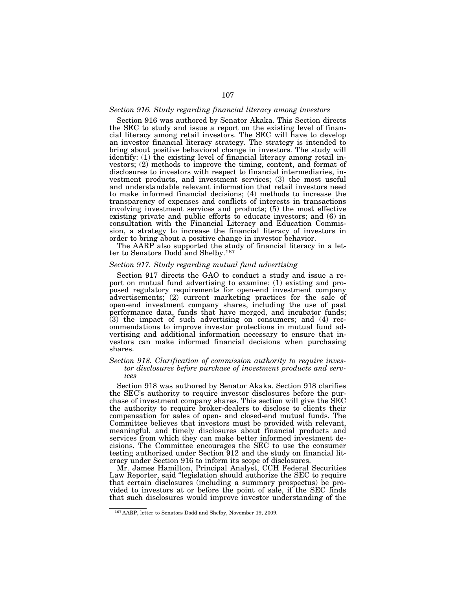#### *Section 916. Study regarding financial literacy among investors*

Section 916 was authored by Senator Akaka. This Section directs the SEC to study and issue a report on the existing level of financial literacy among retail investors. The SEC will have to develop an investor financial literacy strategy. The strategy is intended to bring about positive behavioral change in investors. The study will identify: (1) the existing level of financial literacy among retail investors; (2) methods to improve the timing, content, and format of disclosures to investors with respect to financial intermediaries, investment products, and investment services; (3) the most useful and understandable relevant information that retail investors need to make informed financial decisions; (4) methods to increase the transparency of expenses and conflicts of interests in transactions involving investment services and products; (5) the most effective existing private and public efforts to educate investors; and (6) in consultation with the Financial Literacy and Education Commission, a strategy to increase the financial literacy of investors in order to bring about a positive change in investor behavior.

The AARP also supported the study of financial literacy in a letter to Senators Dodd and Shelby.167

## *Section 917. Study regarding mutual fund advertising*

Section 917 directs the GAO to conduct a study and issue a report on mutual fund advertising to examine: (1) existing and proposed regulatory requirements for open-end investment company advertisements; (2) current marketing practices for the sale of open-end investment company shares, including the use of past performance data, funds that have merged, and incubator funds; (3) the impact of such advertising on consumers; and (4) recommendations to improve investor protections in mutual fund advertising and additional information necessary to ensure that investors can make informed financial decisions when purchasing shares.

# *Section 918. Clarification of commission authority to require investor disclosures before purchase of investment products and services*

Section 918 was authored by Senator Akaka. Section 918 clarifies the SEC's authority to require investor disclosures before the purchase of investment company shares. This section will give the SEC the authority to require broker-dealers to disclose to clients their compensation for sales of open- and closed-end mutual funds. The Committee believes that investors must be provided with relevant, meaningful, and timely disclosures about financial products and services from which they can make better informed investment decisions. The Committee encourages the SEC to use the consumer testing authorized under Section 912 and the study on financial literacy under Section 916 to inform its scope of disclosures.

Mr. James Hamilton, Principal Analyst, CCH Federal Securities Law Reporter, said ''legislation should authorize the SEC to require that certain disclosures (including a summary prospectus) be provided to investors at or before the point of sale, if the SEC finds that such disclosures would improve investor understanding of the

<sup>167</sup> AARP, letter to Senators Dodd and Shelby, November 19, 2009.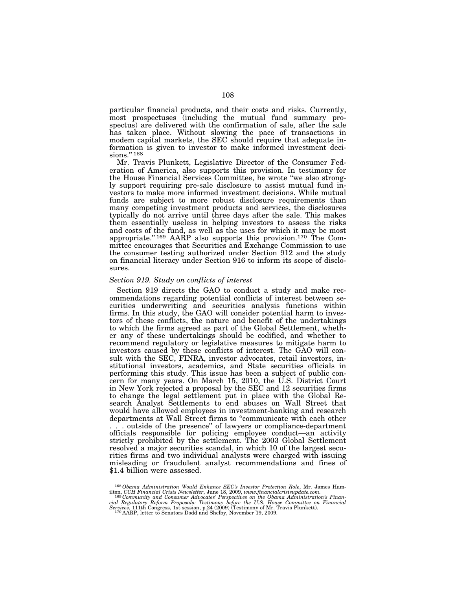particular financial products, and their costs and risks. Currently, most prospectuses (including the mutual fund summary prospectus) are delivered with the confirmation of sale, after the sale has taken place. Without slowing the pace of transactions in modem capital markets, the SEC should require that adequate information is given to investor to make informed investment decisions."<sup>168</sup>

Mr. Travis Plunkett, Legislative Director of the Consumer Federation of America, also supports this provision. In testimony for the House Financial Services Committee, he wrote ''we also strongly support requiring pre-sale disclosure to assist mutual fund investors to make more informed investment decisions. While mutual funds are subject to more robust disclosure requirements than many competing investment products and services, the disclosures typically do not arrive until three days after the sale. This makes them essentially useless in helping investors to assess the risks and costs of the fund, as well as the uses for which it may be most appropriate.'' 169 AARP also supports this provision.170 The Committee encourages that Securities and Exchange Commission to use the consumer testing authorized under Section 912 and the study on financial literacy under Section 916 to inform its scope of disclosures.

#### *Section 919. Study on conflicts of interest*

Section 919 directs the GAO to conduct a study and make recommendations regarding potential conflicts of interest between securities underwriting and securities analysis functions within firms. In this study, the GAO will consider potential harm to investors of these conflicts, the nature and benefit of the undertakings to which the firms agreed as part of the Global Settlement, whether any of these undertakings should be codified, and whether to recommend regulatory or legislative measures to mitigate harm to investors caused by these conflicts of interest. The GAO will consult with the SEC, FINRA, investor advocates, retail investors, institutional investors, academics, and State securities officials in performing this study. This issue has been a subject of public concern for many years. On March 15, 2010, the U.S. District Court in New York rejected a proposal by the SEC and 12 securities firms to change the legal settlement put in place with the Global Research Analyst Settlements to end abuses on Wall Street that would have allowed employees in investment-banking and research departments at Wall Street firms to ''communicate with each other . . . outside of the presence'' of lawyers or compliance-department officials responsible for policing employee conduct—an activity strictly prohibited by the settlement. The 2003 Global Settlement resolved a major securities scandal, in which 10 of the largest securities firms and two individual analysts were charged with issuing misleading or fraudulent analyst recommendations and fines of \$1.4 billion were assessed.

<sup>&</sup>lt;sup>168</sup> Obama Administration Would Enhance SEC's Investor Protection Role, Mr. James Hamilton, CCH Financial Crisis Newsletter, June 18, 2009, www.financialcrisisupdate.com.<br><sup>169</sup> Community and Consumer Advocates' Perspecti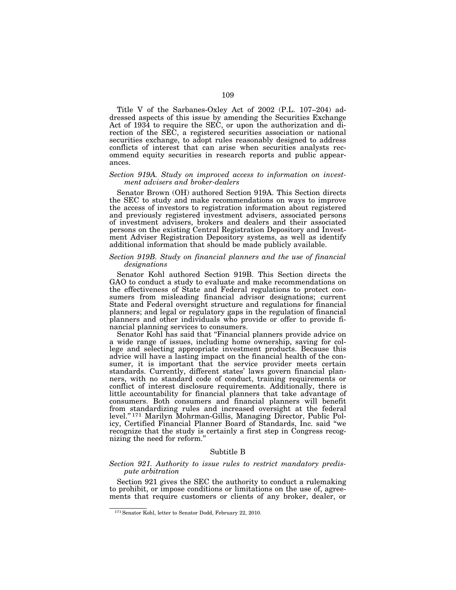Title V of the Sarbanes-Oxley Act of 2002 (P.L. 107–204) addressed aspects of this issue by amending the Securities Exchange Act of 1934 to require the SEC, or upon the authorization and direction of the SEC, a registered securities association or national securities exchange, to adopt rules reasonably designed to address conflicts of interest that can arise when securities analysts recommend equity securities in research reports and public appearances.

### *Section 919A. Study on improved access to information on investment advisers and broker-dealers*

Senator Brown (OH) authored Section 919A. This Section directs the SEC to study and make recommendations on ways to improve the access of investors to registration information about registered and previously registered investment advisers, associated persons of investment advisers, brokers and dealers and their associated persons on the existing Central Registration Depository and Investment Adviser Registration Depository systems, as well as identify additional information that should be made publicly available.

# *Section 919B. Study on financial planners and the use of financial designations*

Senator Kohl authored Section 919B. This Section directs the GAO to conduct a study to evaluate and make recommendations on the effectiveness of State and Federal regulations to protect consumers from misleading financial advisor designations; current State and Federal oversight structure and regulations for financial planners; and legal or regulatory gaps in the regulation of financial planners and other individuals who provide or offer to provide financial planning services to consumers.

Senator Kohl has said that ''Financial planners provide advice on a wide range of issues, including home ownership, saving for college and selecting appropriate investment products. Because this advice will have a lasting impact on the financial health of the consumer, it is important that the service provider meets certain standards. Currently, different states' laws govern financial planners, with no standard code of conduct, training requirements or conflict of interest disclosure requirements. Additionally, there is little accountability for financial planners that take advantage of consumers. Both consumers and financial planners will benefit from standardizing rules and increased oversight at the federal level.'' 171 Marilyn Mohrman-Gillis, Managing Director, Public Policy, Certified Financial Planner Board of Standards, Inc. said ''we recognize that the study is certainly a first step in Congress recognizing the need for reform.''

#### Subtitle B

## *Section 921. Authority to issue rules to restrict mandatory predispute arbitration*

Section 921 gives the SEC the authority to conduct a rulemaking to prohibit, or impose conditions or limitations on the use of, agreements that require customers or clients of any broker, dealer, or

<sup>171</sup>Senator Kohl, letter to Senator Dodd, February 22, 2010.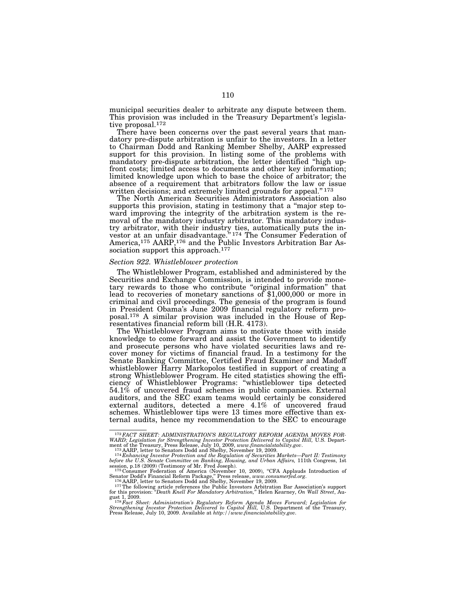municipal securities dealer to arbitrate any dispute between them. This provision was included in the Treasury Department's legislative proposal.172

There have been concerns over the past several years that mandatory pre-dispute arbitration is unfair to the investors. In a letter to Chairman Dodd and Ranking Member Shelby, AARP expressed support for this provision. In listing some of the problems with mandatory pre-dispute arbitration, the letter identified ''high upfront costs; limited access to documents and other key information; limited knowledge upon which to base the choice of arbitrator; the absence of a requirement that arbitrators follow the law or issue written decisions; and extremely limited grounds for appeal."<sup>173</sup>

The North American Securities Administrators Association also supports this provision, stating in testimony that a ''major step toward improving the integrity of the arbitration system is the removal of the mandatory industry arbitrator. This mandatory industry arbitrator, with their industry ties, automatically puts the investor at an unfair disadvantage.'' 174 The Consumer Federation of America,<sup>175</sup> AARP,<sup>176</sup> and the Public Investors Arbitration Bar Association support this approach.<sup>177</sup>

### *Section 922. Whistleblower protection*

The Whistleblower Program, established and administered by the Securities and Exchange Commission, is intended to provide monetary rewards to those who contribute ''original information'' that lead to recoveries of monetary sanctions of \$1,000,000 or more in criminal and civil proceedings. The genesis of the program is found in President Obama's June 2009 financial regulatory reform proposal.178 A similar provision was included in the House of Representatives financial reform bill (H.R. 4173).

The Whistleblower Program aims to motivate those with inside knowledge to come forward and assist the Government to identify and prosecute persons who have violated securities laws and recover money for victims of financial fraud. In a testimony for the Senate Banking Committee, Certified Fraud Examiner and Madoff whistleblower Harry Markopolos testified in support of creating a strong Whistleblower Program. He cited statistics showing the efficiency of Whistleblower Programs: ''whistleblower tips detected  $54.1\%$  of uncovered fraud schemes in public companies. External auditors, and the SEC exam teams would certainly be considered external auditors, detected a mere 4.1% of uncovered fraud schemes. Whistleblower tips were 13 times more effective than external audits, hence my recommendation to the SEC to encourage

<sup>172</sup>*FACT SHEET: ADMINISTRATION'S REGULATORY REFORM AGENDA MOVES FOR-*WARD; Legislation for Strengthening Investor Protection Delivered to Capitol Hill, U.S. Department of the Treasury, Press Release, July 10, 2009, www.financialstability.gov.<br>  $173$  AARP, letter to Senators Dodd and Shelby

before the U.S. Senate Committee on Banking, Housing, and Urban Affairs, 111th Congress, 1st<br>session, p.18 (2009) (Testimony of Mr. Fred Joseph).<br><sup>175</sup> Consumer Federation of America (November 10, 2009), "CFA Applauds Intr

Senator Dodd's Financial Reform Package," Press release, www.consumerfed.org.<br><sup>176</sup> AARP, letter to Senators Dodd and Shelby, November 19, 2009.<br><sup>177</sup>The following article references the Public Investors Arbitration Bar As

for this provision: "Death Knell For Mandatory Arbitration," Helen Kearney, On Wall Street, August 1, 2009.<br><sup>1178</sup> Fact Sheet: Administration's Regulatory Reform Agenda Moves Forward; Legislation for<br>*Strengthening Investo*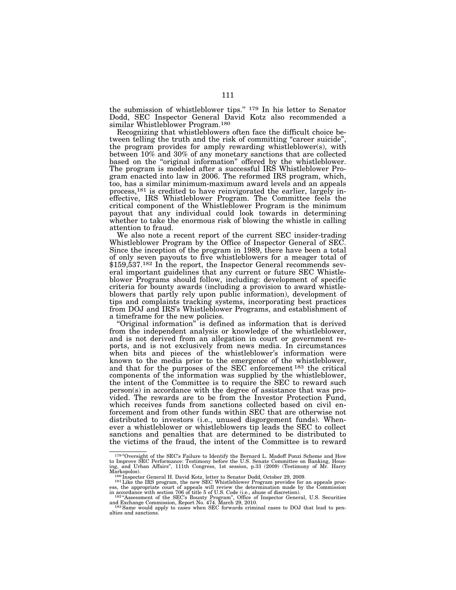the submission of whistleblower tips.'' 179 In his letter to Senator Dodd, SEC Inspector General David Kotz also recommended a similar Whistleblower Program.180

Recognizing that whistleblowers often face the difficult choice between telling the truth and the risk of committing "career suicide", the program provides for amply rewarding whistleblower(s), with between 10% and 30% of any monetary sanctions that are collected based on the "original information" offered by the whistleblower. The program is modeled after a successful IRS Whistleblower Program enacted into law in 2006. The reformed IRS program, which, too, has a similar minimum-maximum award levels and an appeals process,181 is credited to have reinvigorated the earlier, largely ineffective, IRS Whistleblower Program. The Committee feels the critical component of the Whistleblower Program is the minimum payout that any individual could look towards in determining whether to take the enormous risk of blowing the whistle in calling attention to fraud.

We also note a recent report of the current SEC insider-trading Whistleblower Program by the Office of Inspector General of SEC. Since the inception of the program in 1989, there have been a total of only seven payouts to five whistleblowers for a meager total of \$159,537.182 In the report, the Inspector General recommends several important guidelines that any current or future SEC Whistleblower Programs should follow, including: development of specific criteria for bounty awards (including a provision to award whistleblowers that partly rely upon public information), development of tips and complaints tracking systems, incorporating best practices from DOJ and IRS's Whistleblower Programs, and establishment of a timeframe for the new policies.

"Original information" is defined as information that is derived from the independent analysis or knowledge of the whistleblower, and is not derived from an allegation in court or government reports, and is not exclusively from news media. In circumstances when bits and pieces of the whistleblower's information were known to the media prior to the emergence of the whistleblower, and that for the purposes of the SEC enforcement 183 the critical components of the information was supplied by the whistleblower, the intent of the Committee is to require the SEC to reward such person(s) in accordance with the degree of assistance that was provided. The rewards are to be from the Investor Protection Fund, which receives funds from sanctions collected based on civil enforcement and from other funds within SEC that are otherwise not distributed to investors (i.e., unused disgorgement funds). Whenever a whistleblower or whistleblowers tip leads the SEC to collect sanctions and penalties that are determined to be distributed to the victims of the fraud, the intent of the Committee is to reward

<sup>179 &</sup>quot;Oversight of the SEC's Failure to Identify the Bernard L. Madoff Ponzi Scheme and How to Improve SEC Performance: Testimony before the U.S. Senate Committee on Banking, Hous-ing, and Urban Affairs'', 111th Congress, 1st session, p.33 (2009) (Testimony of Mr. Harry

Markopolos).<br><sup>180</sup> Inspector General H. David Kotz, letter to Senator Dodd, October 29, 2009.<br><sup>181</sup> Like the IRS program, the new SEC Whistleblower Program provides for an appeals proc-<br><sup>181</sup> Like the IRS program, the new

and Exchange Commission, Report No. 474. March 29, 2010.<br><sup>183</sup> Same would apply to cases when SEC forwards criminal cases to DOJ that lead to pen-

<sup>&</sup>lt;sup>183</sup> Same would apply to cases when SEC forwards criminal cases to DOJ that lead to penalties and sanctions.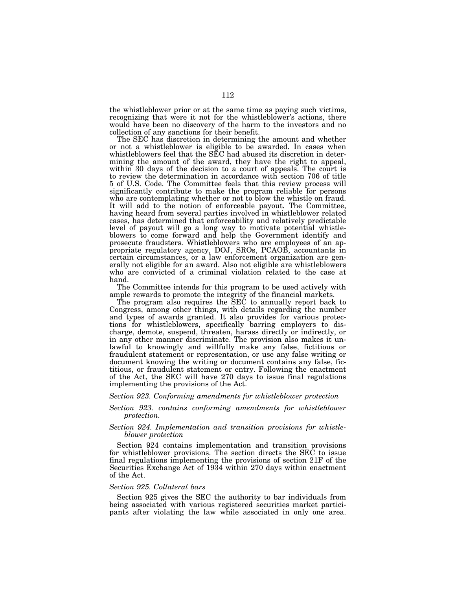the whistleblower prior or at the same time as paying such victims, recognizing that were it not for the whistleblower's actions, there would have been no discovery of the harm to the investors and no collection of any sanctions for their benefit.

The SEC has discretion in determining the amount and whether or not a whistleblower is eligible to be awarded. In cases when whistleblowers feel that the SEC had abused its discretion in determining the amount of the award, they have the right to appeal, within 30 days of the decision to a court of appeals. The court is to review the determination in accordance with section 706 of title 5 of U.S. Code. The Committee feels that this review process will significantly contribute to make the program reliable for persons who are contemplating whether or not to blow the whistle on fraud. It will add to the notion of enforceable payout. The Committee, having heard from several parties involved in whistleblower related cases, has determined that enforceability and relatively predictable level of payout will go a long way to motivate potential whistleblowers to come forward and help the Government identify and prosecute fraudsters. Whistleblowers who are employees of an appropriate regulatory agency, DOJ, SROs, PCAOB, accountants in certain circumstances, or a law enforcement organization are generally not eligible for an award. Also not eligible are whistleblowers who are convicted of a criminal violation related to the case at hand.

The Committee intends for this program to be used actively with ample rewards to promote the integrity of the financial markets.

The program also requires the SEC to annually report back to Congress, among other things, with details regarding the number and types of awards granted. It also provides for various protections for whistleblowers, specifically barring employers to discharge, demote, suspend, threaten, harass directly or indirectly, or in any other manner discriminate. The provision also makes it unlawful to knowingly and willfully make any false, fictitious or fraudulent statement or representation, or use any false writing or document knowing the writing or document contains any false, fictitious, or fraudulent statement or entry. Following the enactment of the Act, the SEC will have 270 days to issue final regulations implementing the provisions of the Act.

#### *Section 923. Conforming amendments for whistleblower protection*

*Section 923. contains conforming amendments for whistleblower protection.* 

### *Section 924. Implementation and transition provisions for whistleblower protection*

Section 924 contains implementation and transition provisions for whistleblower provisions. The section directs the SEC to issue final regulations implementing the provisions of section 21F of the Securities Exchange Act of 1934 within 270 days within enactment of the Act.

### *Section 925. Collateral bars*

Section 925 gives the SEC the authority to bar individuals from being associated with various registered securities market participants after violating the law while associated in only one area.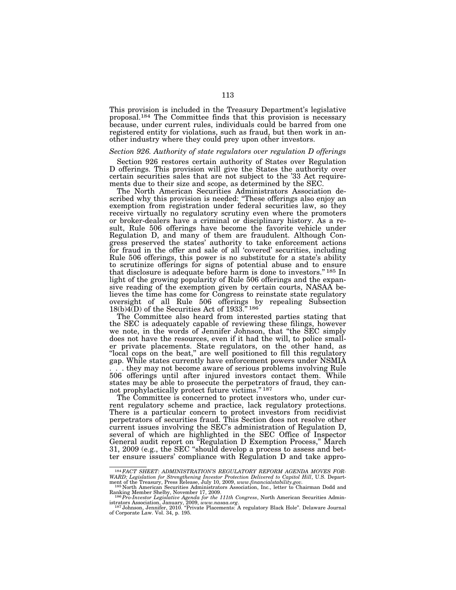This provision is included in the Treasury Department's legislative proposal.184 The Committee finds that this provision is necessary because, under current rules, individuals could be barred from one registered entity for violations, such as fraud, but then work in another industry where they could prey upon other investors.

#### *Section 926. Authority of state regulators over regulation D offerings*

Section 926 restores certain authority of States over Regulation D offerings. This provision will give the States the authority over certain securities sales that are not subject to the '33 Act requirements due to their size and scope, as determined by the SEC.

The North American Securities Administrators Association described why this provision is needed: ''These offerings also enjoy an exemption from registration under federal securities law, so they receive virtually no regulatory scrutiny even where the promoters or broker-dealers have a criminal or disciplinary history. As a result, Rule 506 offerings have become the favorite vehicle under Regulation D, and many of them are fraudulent. Although Congress preserved the states' authority to take enforcement actions for fraud in the offer and sale of all 'covered' securities, including Rule 506 offerings, this power is no substitute for a state's ability to scrutinize offerings for signs of potential abuse and to ensure that disclosure is adequate before harm is done to investors.'' 185 In light of the growing popularity of Rule 506 offerings and the expansive reading of the exemption given by certain courts, NASAA believes the time has come for Congress to reinstate state regulatory oversight of all Rule 506 offerings by repealing Subsection  $18(b)4(D)$  of the Securities Act of 1933." 186

The Committee also heard from interested parties stating that the SEC is adequately capable of reviewing these filings, however we note, in the words of Jennifer Johnson, that ''the SEC simply does not have the resources, even if it had the will, to police smaller private placements. State regulators, on the other hand, as ''local cops on the beat,'' are well positioned to fill this regulatory gap. While states currently have enforcement powers under NSMIA . . . they may not become aware of serious problems involving Rule 506 offerings until after injured investors contact them. While states may be able to prosecute the perpetrators of fraud, they cannot prophylactically protect future victims.'' 187

The Committee is concerned to protect investors who, under current regulatory scheme and practice, lack regulatory protections. There is a particular concern to protect investors from recidivist perpetrators of securities fraud. This Section does not resolve other current issues involving the SEC's administration of Regulation D, several of which are highlighted in the SEC Office of Inspector General audit report on ''Regulation D Exemption Process,'' March 31, 2009 (e.g., the SEC ''should develop a process to assess and better ensure issuers' compliance with Regulation D and take appro-

<sup>184</sup>*FACT SHEET: ADMINISTRATION'S REGULATORY REFORM AGENDA MOVES FOR-*WARD; Legislation for Strengthening Investor Protection Delivered to Capitol Hill, U.S. Department of the Treasury, Press Release, July 10, 2009, www.financialstability.gov.<br>185 North American Securities Administrators Ass

Ranking Member Shelby, November 17, 2009.<br><sup>186</sup>*Pro-Investor Legislative Agenda for the 111th Congress*, North American Securities Admin-

istrators Association, January, 2009, *www.nasaa.org.*<br>1<sup>87</sup> Johnson, Jennifer, 2010. ''Private Placements: A regulatory Black Hole''. Delaware Journal<br>of Corporate Law. Vol. 34, p. 195.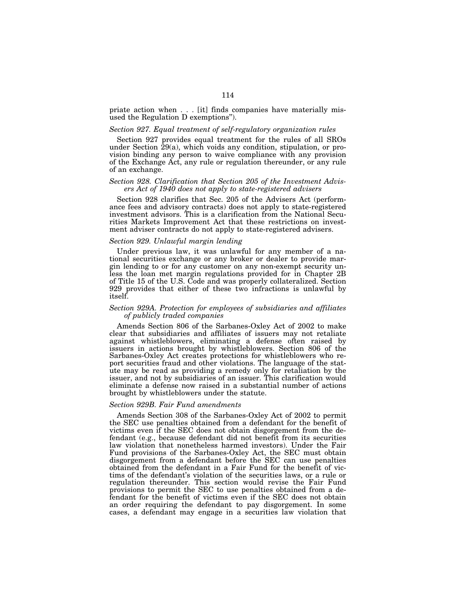priate action when . . . [it] finds companies have materially misused the Regulation D exemptions'').

#### *Section 927. Equal treatment of self-regulatory organization rules*

Section 927 provides equal treatment for the rules of all SROs under Section 29(a), which voids any condition, stipulation, or provision binding any person to waive compliance with any provision of the Exchange Act, any rule or regulation thereunder, or any rule of an exchange.

## *Section 928. Clarification that Section 205 of the Investment Advisers Act of 1940 does not apply to state-registered advisers*

Section 928 clarifies that Sec. 205 of the Advisers Act (performance fees and advisory contracts) does not apply to state-registered investment advisors. This is a clarification from the National Securities Markets Improvement Act that these restrictions on investment adviser contracts do not apply to state-registered advisers.

### *Section 929. Unlawful margin lending*

Under previous law, it was unlawful for any member of a national securities exchange or any broker or dealer to provide margin lending to or for any customer on any non-exempt security unless the loan met margin regulations provided for in Chapter 2B of Title 15 of the U.S. Code and was properly collateralized. Section 929 provides that either of these two infractions is unlawful by itself.

#### *Section 929A. Protection for employees of subsidiaries and affiliates of publicly traded companies*

Amends Section 806 of the Sarbanes-Oxley Act of 2002 to make clear that subsidiaries and affiliates of issuers may not retaliate against whistleblowers, eliminating a defense often raised by issuers in actions brought by whistleblowers. Section 806 of the Sarbanes-Oxley Act creates protections for whistleblowers who report securities fraud and other violations. The language of the statute may be read as providing a remedy only for retaliation by the issuer, and not by subsidiaries of an issuer. This clarification would eliminate a defense now raised in a substantial number of actions brought by whistleblowers under the statute.

#### *Section 929B. Fair Fund amendments*

Amends Section 308 of the Sarbanes-Oxley Act of 2002 to permit the SEC use penalties obtained from a defendant for the benefit of victims even if the SEC does not obtain disgorgement from the defendant (e.g., because defendant did not benefit from its securities law violation that nonetheless harmed investors). Under the Fair Fund provisions of the Sarbanes-Oxley Act, the SEC must obtain disgorgement from a defendant before the SEC can use penalties obtained from the defendant in a Fair Fund for the benefit of victims of the defendant's violation of the securities laws, or a rule or regulation thereunder. This section would revise the Fair Fund provisions to permit the SEC to use penalties obtained from a defendant for the benefit of victims even if the SEC does not obtain an order requiring the defendant to pay disgorgement. In some cases, a defendant may engage in a securities law violation that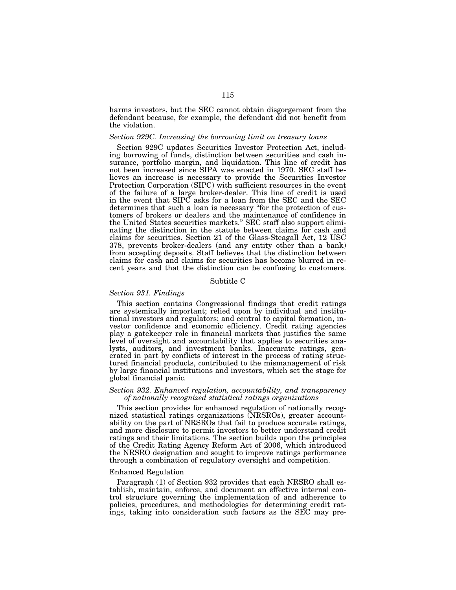harms investors, but the SEC cannot obtain disgorgement from the defendant because, for example, the defendant did not benefit from the violation.

#### *Section 929C. Increasing the borrowing limit on treasury loans*

Section 929C updates Securities Investor Protection Act, including borrowing of funds, distinction between securities and cash insurance, portfolio margin, and liquidation. This line of credit has not been increased since SIPA was enacted in 1970. SEC staff believes an increase is necessary to provide the Securities Investor Protection Corporation (SIPC) with sufficient resources in the event of the failure of a large broker-dealer. This line of credit is used in the event that SIPC asks for a loan from the SEC and the SEC determines that such a loan is necessary ''for the protection of customers of brokers or dealers and the maintenance of confidence in the United States securities markets.'' SEC staff also support eliminating the distinction in the statute between claims for cash and claims for securities. Section 21 of the Glass-Steagall Act, 12 USC 378, prevents broker-dealers (and any entity other than a bank) from accepting deposits. Staff believes that the distinction between claims for cash and claims for securities has become blurred in recent years and that the distinction can be confusing to customers.

## Subtitle C

### *Section 931. Findings*

This section contains Congressional findings that credit ratings are systemically important; relied upon by individual and institutional investors and regulators; and central to capital formation, investor confidence and economic efficiency. Credit rating agencies play a gatekeeper role in financial markets that justifies the same level of oversight and accountability that applies to securities analysts, auditors, and investment banks. Inaccurate ratings, generated in part by conflicts of interest in the process of rating structured financial products, contributed to the mismanagement of risk by large financial institutions and investors, which set the stage for global financial panic.

# *Section 932. Enhanced regulation, accountability, and transparency of nationally recognized statistical ratings organizations*

This section provides for enhanced regulation of nationally recognized statistical ratings organizations (NRSROs), greater accountability on the part of NRSROs that fail to produce accurate ratings, and more disclosure to permit investors to better understand credit ratings and their limitations. The section builds upon the principles of the Credit Rating Agency Reform Act of 2006, which introduced the NRSRO designation and sought to improve ratings performance through a combination of regulatory oversight and competition.

#### Enhanced Regulation

Paragraph (1) of Section 932 provides that each NRSRO shall establish, maintain, enforce, and document an effective internal control structure governing the implementation of and adherence to policies, procedures, and methodologies for determining credit ratings, taking into consideration such factors as the SEC may pre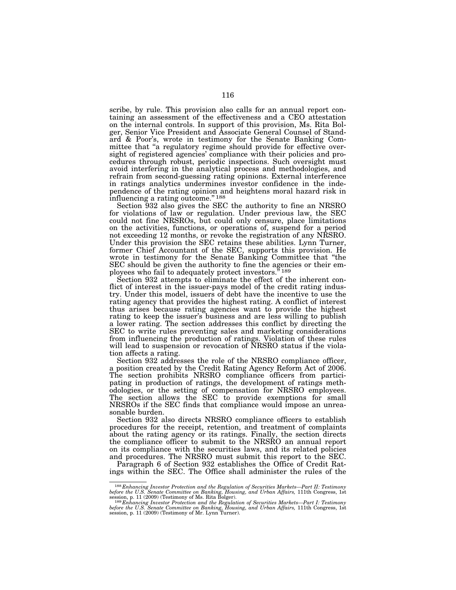scribe, by rule. This provision also calls for an annual report containing an assessment of the effectiveness and a CEO attestation on the internal controls. In support of this provision, Ms. Rita Bolger, Senior Vice President and Associate General Counsel of Standard & Poor's, wrote in testimony for the Senate Banking Committee that ''a regulatory regime should provide for effective oversight of registered agencies' compliance with their policies and procedures through robust, periodic inspections. Such oversight must avoid interfering in the analytical process and methodologies, and refrain from second-guessing rating opinions. External interference in ratings analytics undermines investor confidence in the independence of the rating opinion and heightens moral hazard risk in influencing a rating outcome."<sup>188</sup>

Section 932 also gives the SEC the authority to fine an NRSRO for violations of law or regulation. Under previous law, the SEC could not fine NRSROs, but could only censure, place limitations on the activities, functions, or operations of, suspend for a period not exceeding 12 months, or revoke the registration of any NRSRO. Under this provision the SEC retains these abilities. Lynn Turner, former Chief Accountant of the SEC, supports this provision. He wrote in testimony for the Senate Banking Committee that ''the SEC should be given the authority to fine the agencies or their employees who fail to adequately protect investors."<sup>189</sup>

Section 932 attempts to eliminate the effect of the inherent conflict of interest in the issuer-pays model of the credit rating industry. Under this model, issuers of debt have the incentive to use the rating agency that provides the highest rating. A conflict of interest thus arises because rating agencies want to provide the highest rating to keep the issuer's business and are less willing to publish a lower rating. The section addresses this conflict by directing the SEC to write rules preventing sales and marketing considerations from influencing the production of ratings. Violation of these rules will lead to suspension or revocation of NRSRO status if the violation affects a rating.

Section 932 addresses the role of the NRSRO compliance officer, a position created by the Credit Rating Agency Reform Act of 2006. The section prohibits NRSRO compliance officers from participating in production of ratings, the development of ratings methodologies, or the setting of compensation for NRSRO employees. The section allows the SEC to provide exemptions for small NRSROs if the SEC finds that compliance would impose an unreasonable burden.

Section 932 also directs NRSRO compliance officers to establish procedures for the receipt, retention, and treatment of complaints about the rating agency or its ratings. Finally, the section directs the compliance officer to submit to the NRSRO an annual report on its compliance with the securities laws, and its related policies and procedures. The NRSRO must submit this report to the SEC.

Paragraph 6 of Section 932 establishes the Office of Credit Ratings within the SEC. The Office shall administer the rules of the

<sup>&</sup>lt;sup>188</sup> Enhancing Investor Protection and the Regulation of Securities Markets—Part II: Testimony before the U.S. Senate Committee on Banking, Housing, and Urban Affairs, 111th Congress, 1st session, p. 11 (2009) (Testimony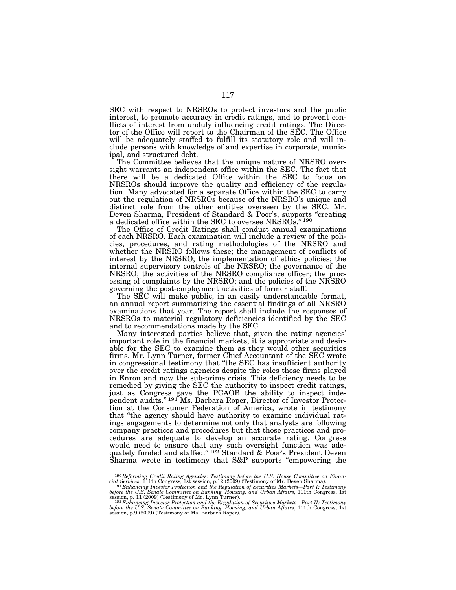SEC with respect to NRSROs to protect investors and the public interest, to promote accuracy in credit ratings, and to prevent conflicts of interest from unduly influencing credit ratings. The Director of the Office will report to the Chairman of the SEC. The Office will be adequately staffed to fulfill its statutory role and will include persons with knowledge of and expertise in corporate, municipal, and structured debt.

The Committee believes that the unique nature of NRSRO oversight warrants an independent office within the SEC. The fact that there will be a dedicated Office within the SEC to focus on NRSROs should improve the quality and efficiency of the regulation. Many advocated for a separate Office within the SEC to carry out the regulation of NRSROs because of the NRSRO's unique and distinct role from the other entities overseen by the SEC. Mr. Deven Sharma, President of Standard & Poor's, supports "creating a dedicated office within the SEC to oversee NRSROs."<sup>190</sup>

The Office of Credit Ratings shall conduct annual examinations of each NRSRO. Each examination will include a review of the policies, procedures, and rating methodologies of the NRSRO and whether the NRSRO follows these; the management of conflicts of interest by the NRSRO; the implementation of ethics policies; the internal supervisory controls of the NRSRO; the governance of the NRSRO; the activities of the NRSRO compliance officer; the processing of complaints by the NRSRO; and the policies of the NRSRO governing the post-employment activities of former staff.

The SEC will make public, in an easily understandable format, an annual report summarizing the essential findings of all NRSRO examinations that year. The report shall include the responses of NRSROs to material regulatory deficiencies identified by the SEC and to recommendations made by the SEC.

Many interested parties believe that, given the rating agencies' important role in the financial markets, it is appropriate and desirable for the SEC to examine them as they would other securities firms. Mr. Lynn Turner, former Chief Accountant of the SEC wrote in congressional testimony that ''the SEC has insufficient authority over the credit ratings agencies despite the roles those firms played in Enron and now the sub-prime crisis. This deficiency needs to be remedied by giving the SEC the authority to inspect credit ratings, just as Congress gave the PCAOB the ability to inspect independent audits."<sup>191</sup>Ms. Barbara Roper, Director of Investor Protection at the Consumer Federation of America, wrote in testimony that ''the agency should have authority to examine individual ratings engagements to determine not only that analysts are following company practices and procedures but that those practices and procedures are adequate to develop an accurate rating. Congress would need to ensure that any such oversight function was adequately funded and staffed."<sup>192</sup> Standard & Poor's President Deven Sharma wrote in testimony that S&P supports ''empowering the

<sup>&</sup>lt;sup>190</sup> Reforming Credit Rating Agencies: Testimony before the U.S. House Committee on Financial Services, 111th Congress, 1st session, p.12 (2009) (Testimony of Mr. Deven Sharma).<br><sup>191</sup> Enhancing Investor Protection and th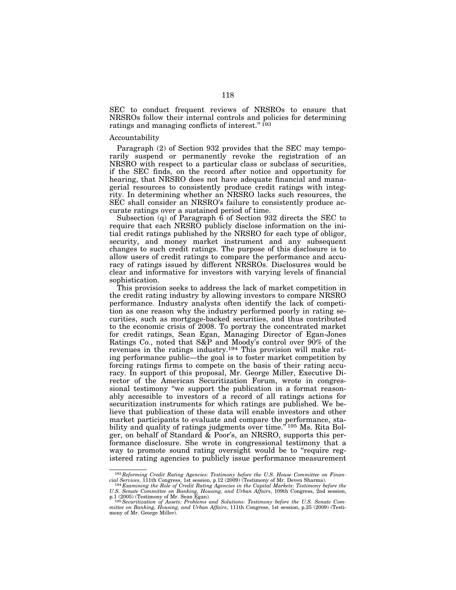SEC to conduct frequent reviews of NRSROs to ensure that NRSROs follow their internal controls and policies for determining ratings and managing conflicts of interest."<sup>193</sup>

#### Accountability

Paragraph (2) of Section 932 provides that the SEC may temporarily suspend or permanently revoke the registration of an NRSRO with respect to a particular class or subclass of securities, if the SEC finds, on the record after notice and opportunity for hearing, that NRSRO does not have adequate financial and managerial resources to consistently produce credit ratings with integrity. In determining whether an NRSRO lacks such resources, the SEC shall consider an NRSRO's failure to consistently produce accurate ratings over a sustained period of time.

Subsection (q) of Paragraph 6 of Section 932 directs the SEC to require that each NRSRO publicly disclose information on the initial credit ratings published by the NRSRO for each type of obligor, security, and money market instrument and any subsequent changes to such credit ratings. The purpose of this disclosure is to allow users of credit ratings to compare the performance and accuracy of ratings issued by different NRSROs. Disclosures would be clear and informative for investors with varying levels of financial sophistication.

This provision seeks to address the lack of market competition in the credit rating industry by allowing investors to compare NRSRO performance. Industry analysts often identify the lack of competition as one reason why the industry performed poorly in rating securities, such as mortgage-backed securities, and thus contributed to the economic crisis of 2008. To portray the concentrated market for credit ratings, Sean Egan, Managing Director of Egan-Jones Ratings Co., noted that S&P and Moody's control over 90% of the revenues in the ratings industry.<sup>194</sup> This provision will make rating performance public—the goal is to foster market competition by forcing ratings firms to compete on the basis of their rating accuracy. In support of this proposal, Mr. George Miller, Executive Director of the American Securitization Forum, wrote in congressional testimony ''we support the publication in a format reasonably accessible to investors of a record of all ratings actions for securitization instruments for which ratings are published. We believe that publication of these data will enable investors and other market participants to evaluate and compare the performance, stability and quality of ratings judgments over time."<sup>195</sup> Ms. Rita Bolger, on behalf of Standard & Poor's, an NRSRO, supports this performance disclosure. She wrote in congressional testimony that a way to promote sound rating oversight would be to "require registered rating agencies to publicly issue performance measurement

<sup>193</sup>*Reforming Credit Rating Agencies: Testimony before the U.S. House Committee on Financial Services*, 111th Congress, 1st session, p.12 (2009) (Testimony of Mr. Deven Sharma). 194 *Examining the Role of Credit Rating Agencies in the Capital Markets: Testimony before the* 

*U.S. Senate Committee on Banking, Housing, and Urban Affairs*, 109th Congress, 2nd session,

p.1 (2005) (Testimony of Mr. Sean Egan).<br><sup>195</sup> Securitization of Assets: Problems and Solutions: Testimony before the U.S. Senate Com-<br>mittee on Banking, Housing, and Urban Affairs, 111th Congress, 1st session, p.25 (2009) mony of Mr. George Miller).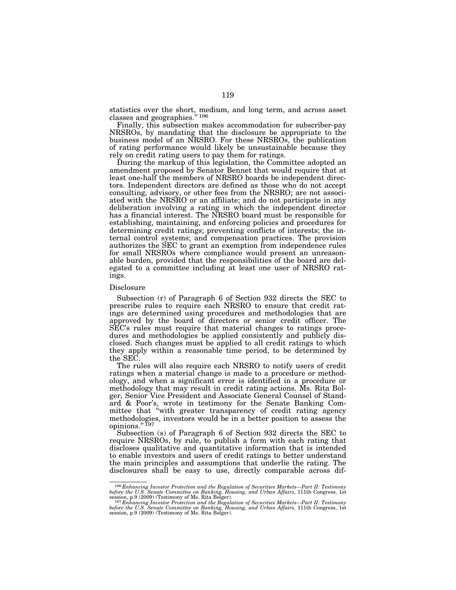statistics over the short, medium, and long term, and across asset classes and geographies.'' 196

Finally, this subsection makes accommodation for subscriber-pay NRSROs, by mandating that the disclosure be appropriate to the business model of an NRSRO. For these NRSROs, the publication of rating performance would likely be unsustainable because they rely on credit rating users to pay them for ratings.

During the markup of this legislation, the Committee adopted an amendment proposed by Senator Bennet that would require that at least one-half the members of NRSRO boards be independent directors. Independent directors are defined as those who do not accept consulting, advisory, or other fees from the NRSRO; are not associated with the NRSRO or an affiliate; and do not participate in any deliberation involving a rating in which the independent director has a financial interest. The NRSRO board must be responsible for establishing, maintaining, and enforcing policies and procedures for determining credit ratings; preventing conflicts of interests; the internal control systems; and compensation practices. The provision authorizes the SEC to grant an exemption from independence rules for small NRSROs where compliance would present an unreasonable burden, provided that the responsibilities of the board are delegated to a committee including at least one user of NRSRO ratings.

#### Disclosure

Subsection (r) of Paragraph 6 of Section 932 directs the SEC to prescribe rules to require each NRSRO to ensure that credit ratings are determined using procedures and methodologies that are approved by the board of directors or senior credit officer. The SEC's rules must require that material changes to ratings procedures and methodologies be applied consistently and publicly disclosed. Such changes must be applied to all credit ratings to which they apply within a reasonable time period, to be determined by the SEC.

The rules will also require each NRSRO to notify users of credit ratings when a material change is made to a procedure or methodology, and when a significant error is identified in a procedure or methodology that may result in credit rating actions. Ms. Rita Bolger, Senior Vice President and Associate General Counsel of Standard & Poor's, wrote in testimony for the Senate Banking Committee that "with greater transparency of credit rating agency methodologies, investors would be in a better position to assess the opinions." 197

Subsection (s) of Paragraph 6 of Section 932 directs the SEC to require NRSROs, by rule, to publish a form with each rating that discloses qualitative and quantitative information that is intended to enable investors and users of credit ratings to better understand the main principles and assumptions that underlie the rating. The disclosures shall be easy to use, directly comparable across dif-

<sup>&</sup>lt;sup>196</sup> Enhancing Investor Protection and the Regulation of Securities Markets—Part II: Testimony<br>before the U.S. Senate Committee on Banking, Housing, and Urban Affairs, 111th Congress, 1st<br>session, p.9 (2009) (Testimony o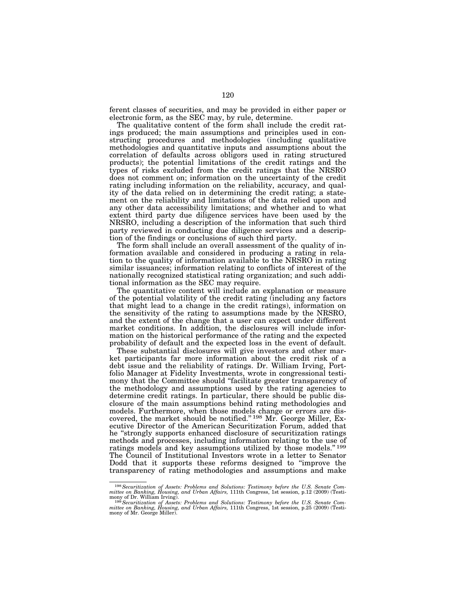ferent classes of securities, and may be provided in either paper or electronic form, as the SEC may, by rule, determine.

The qualitative content of the form shall include the credit ratings produced; the main assumptions and principles used in constructing procedures and methodologies (including qualitative methodologies and quantitative inputs and assumptions about the correlation of defaults across obligors used in rating structured products); the potential limitations of the credit ratings and the types of risks excluded from the credit ratings that the NRSRO does not comment on; information on the uncertainty of the credit rating including information on the reliability, accuracy, and quality of the data relied on in determining the credit rating; a statement on the reliability and limitations of the data relied upon and any other data accessibility limitations; and whether and to what extent third party due diligence services have been used by the NRSRO, including a description of the information that such third party reviewed in conducting due diligence services and a description of the findings or conclusions of such third party.

The form shall include an overall assessment of the quality of information available and considered in producing a rating in relation to the quality of information available to the NRSRO in rating similar issuances; information relating to conflicts of interest of the nationally recognized statistical rating organization; and such additional information as the SEC may require.

The quantitative content will include an explanation or measure of the potential volatility of the credit rating (including any factors that might lead to a change in the credit ratings), information on the sensitivity of the rating to assumptions made by the NRSRO, and the extent of the change that a user can expect under different market conditions. In addition, the disclosures will include information on the historical performance of the rating and the expected probability of default and the expected loss in the event of default.

These substantial disclosures will give investors and other market participants far more information about the credit risk of a debt issue and the reliability of ratings. Dr. William Irving, Portfolio Manager at Fidelity Investments, wrote in congressional testimony that the Committee should ''facilitate greater transparency of the methodology and assumptions used by the rating agencies to determine credit ratings. In particular, there should be public disclosure of the main assumptions behind rating methodologies and models. Furthermore, when those models change or errors are discovered, the market should be notified.'' 198 Mr. George Miller, Executive Director of the American Securitization Forum, added that he ''strongly supports enhanced disclosure of securitization ratings methods and processes, including information relating to the use of ratings models and key assumptions utilized by those models."<sup>199</sup> The Council of Institutional Investors wrote in a letter to Senator Dodd that it supports these reforms designed to ''improve the transparency of rating methodologies and assumptions and make

<sup>&</sup>lt;sup>198</sup> Securitization of Assets: Problems and Solutions: Testimony before the U.S. Senate Committee on Banking, Housing, and Urban Affairs, 111th Congress, 1st session, p.12 (2009) (Testimony of Dr. William Irving).<br>
mony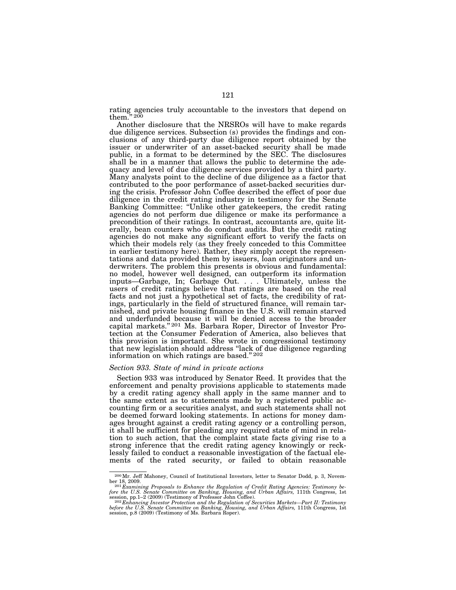rating agencies truly accountable to the investors that depend on them."  $^{200}$ 

Another disclosure that the NRSROs will have to make regards due diligence services. Subsection (s) provides the findings and conclusions of any third-party due diligence report obtained by the issuer or underwriter of an asset-backed security shall be made public, in a format to be determined by the SEC. The disclosures shall be in a manner that allows the public to determine the adequacy and level of due diligence services provided by a third party. Many analysts point to the decline of due diligence as a factor that contributed to the poor performance of asset-backed securities during the crisis. Professor John Coffee described the effect of poor due diligence in the credit rating industry in testimony for the Senate Banking Committee: ''Unlike other gatekeepers, the credit rating agencies do not perform due diligence or make its performance a precondition of their ratings. In contrast, accountants are, quite literally, bean counters who do conduct audits. But the credit rating agencies do not make any significant effort to verify the facts on which their models rely (as they freely conceded to this Committee in earlier testimony here). Rather, they simply accept the representations and data provided them by issuers, loan originators and underwriters. The problem this presents is obvious and fundamental: no model, however well designed, can outperform its information inputs—Garbage, In; Garbage Out. . . . Ultimately, unless the users of credit ratings believe that ratings are based on the real facts and not just a hypothetical set of facts, the credibility of ratings, particularly in the field of structured finance, will remain tarnished, and private housing finance in the U.S. will remain starved and underfunded because it will be denied access to the broader capital markets."<sup>201</sup> Ms. Barbara Roper, Director of Investor Protection at the Consumer Federation of America, also believes that this provision is important. She wrote in congressional testimony that new legislation should address ''lack of due diligence regarding information on which ratings are based.'' 202

### *Section 933. State of mind in private actions*

Section 933 was introduced by Senator Reed. It provides that the enforcement and penalty provisions applicable to statements made by a credit rating agency shall apply in the same manner and to the same extent as to statements made by a registered public accounting firm or a securities analyst, and such statements shall not be deemed forward looking statements. In actions for money damages brought against a credit rating agency or a controlling person, it shall be sufficient for pleading any required state of mind in relation to such action, that the complaint state facts giving rise to a strong inference that the credit rating agency knowingly or recklessly failed to conduct a reasonable investigation of the factual elements of the rated security, or failed to obtain reasonable

<sup>200</sup>Mr. Jeff Mahoney, Council of Institutional Investors, letter to Senator Dodd, p. 3, Novem-

ber 18, 2009.<br><sup>201</sup> Examining Proposals to Enhance the Regulation of Credit Rating Agencies: Testimony be-<br><sup>201</sup> Examining Froposals to Enhance the Regulation of Credit Rating Agencies: Testimony be-<br>fore the U.S. Senate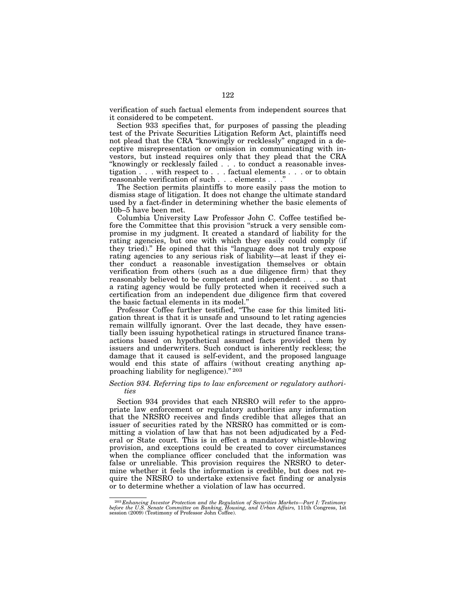verification of such factual elements from independent sources that it considered to be competent.

Section 933 specifies that, for purposes of passing the pleading test of the Private Securities Litigation Reform Act, plaintiffs need not plead that the CRA ''knowingly or recklessly'' engaged in a deceptive misrepresentation or omission in communicating with investors, but instead requires only that they plead that the CRA ''knowingly or recklessly failed . . . to conduct a reasonable investigation . . . with respect to . . . factual elements . . . or to obtain reasonable verification of such . . . elements . . .''

The Section permits plaintiffs to more easily pass the motion to dismiss stage of litigation. It does not change the ultimate standard used by a fact-finder in determining whether the basic elements of 10b–5 have been met.

Columbia University Law Professor John C. Coffee testified before the Committee that this provision ''struck a very sensible compromise in my judgment. It created a standard of liability for the rating agencies, but one with which they easily could comply (if they tried).'' He opined that this ''language does not truly expose rating agencies to any serious risk of liability—at least if they either conduct a reasonable investigation themselves or obtain verification from others (such as a due diligence firm) that they reasonably believed to be competent and independent . . . so that a rating agency would be fully protected when it received such a certification from an independent due diligence firm that covered the basic factual elements in its model.''

Professor Coffee further testified, ''The case for this limited litigation threat is that it is unsafe and unsound to let rating agencies remain willfully ignorant. Over the last decade, they have essentially been issuing hypothetical ratings in structured finance transactions based on hypothetical assumed facts provided them by issuers and underwriters. Such conduct is inherently reckless; the damage that it caused is self-evident, and the proposed language would end this state of affairs (without creating anything approaching liability for negligence)." 203

#### *Section 934. Referring tips to law enforcement or regulatory authorities*

Section 934 provides that each NRSRO will refer to the appropriate law enforcement or regulatory authorities any information that the NRSRO receives and finds credible that alleges that an issuer of securities rated by the NRSRO has committed or is committing a violation of law that has not been adjudicated by a Federal or State court. This is in effect a mandatory whistle-blowing provision, and exceptions could be created to cover circumstances when the compliance officer concluded that the information was false or unreliable. This provision requires the NRSRO to determine whether it feels the information is credible, but does not require the NRSRO to undertake extensive fact finding or analysis or to determine whether a violation of law has occurred.

 $^{203}$ Enhancing Investor Protection and the Regulation of Securities Markets—Part I: Testimony before the U.S. Senate Committee on Banking, Housing, and Urban Affairs, 111th Congress, 1st session (2009) (Testimony of Pro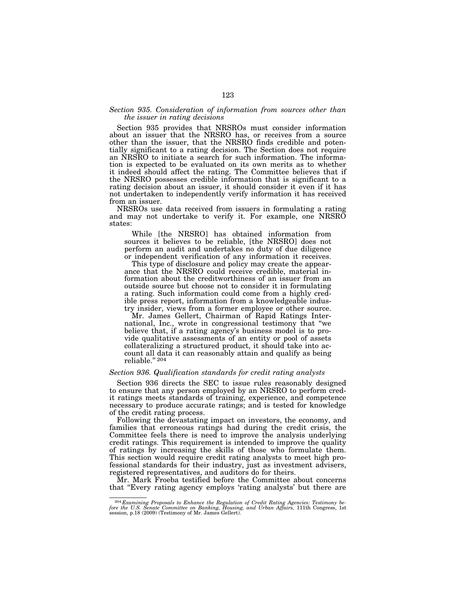### *Section 935. Consideration of information from sources other than the issuer in rating decisions*

Section 935 provides that NRSROs must consider information about an issuer that the NRSRO has, or receives from a source other than the issuer, that the NRSRO finds credible and potentially significant to a rating decision. The Section does not require an NRSRO to initiate a search for such information. The information is expected to be evaluated on its own merits as to whether it indeed should affect the rating. The Committee believes that if the NRSRO possesses credible information that is significant to a rating decision about an issuer, it should consider it even if it has not undertaken to independently verify information it has received from an issuer.

NRSROs use data received from issuers in formulating a rating and may not undertake to verify it. For example, one NRSRO states:

While [the NRSRO] has obtained information from sources it believes to be reliable, [the NRSRO] does not perform an audit and undertakes no duty of due diligence or independent verification of any information it receives.

This type of disclosure and policy may create the appearance that the NRSRO could receive credible, material information about the creditworthiness of an issuer from an outside source but choose not to consider it in formulating a rating. Such information could come from a highly credible press report, information from a knowledgeable industry insider, views from a former employee or other source.

Mr. James Gellert, Chairman of Rapid Ratings International, Inc., wrote in congressional testimony that ''we believe that, if a rating agency's business model is to provide qualitative assessments of an entity or pool of assets collateralizing a structured product, it should take into account all data it can reasonably attain and qualify as being reliable.'' 204

### *Section 936. Qualification standards for credit rating analysts*

Section 936 directs the SEC to issue rules reasonably designed to ensure that any person employed by an NRSRO to perform credit ratings meets standards of training, experience, and competence necessary to produce accurate ratings; and is tested for knowledge of the credit rating process.

Following the devastating impact on investors, the economy, and families that erroneous ratings had during the credit crisis, the Committee feels there is need to improve the analysis underlying credit ratings. This requirement is intended to improve the quality of ratings by increasing the skills of those who formulate them. This section would require credit rating analysts to meet high professional standards for their industry, just as investment advisers, registered representatives, and auditors do for theirs.

Mr. Mark Froeba testified before the Committee about concerns that ''Every rating agency employs 'rating analysts' but there are

 $^{204}$ Examining Proposals to Enhance the Regulation of Credit Rating Agencies: Testimony before the U.S. Senate Committee on Banking, Housing, and Urban Affairs, 111th Congress, 1st session, p.18 (2009) (Testimony of Mr.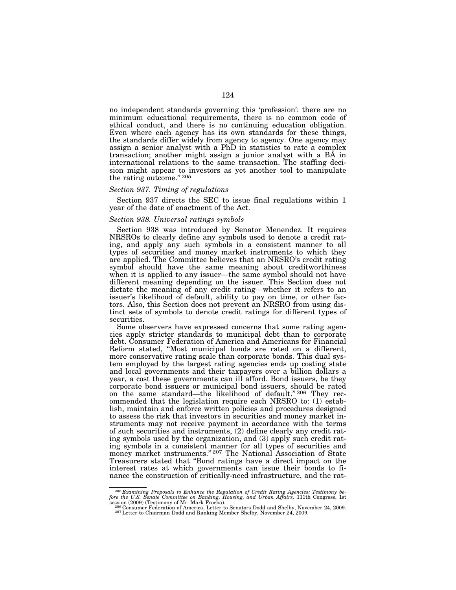no independent standards governing this 'profession': there are no minimum educational requirements, there is no common code of ethical conduct, and there is no continuing education obligation. Even where each agency has its own standards for these things, the standards differ widely from agency to agency. One agency may assign a senior analyst with a PhD in statistics to rate a complex transaction; another might assign a junior analyst with a BA in international relations to the same transaction. The staffing decision might appear to investors as yet another tool to manipulate the rating outcome." 205

#### *Section 937. Timing of regulations*

Section 937 directs the SEC to issue final regulations within 1 year of the date of enactment of the Act.

#### *Section 938. Universal ratings symbols*

Section 938 was introduced by Senator Menendez. It requires NRSROs to clearly define any symbols used to denote a credit rating, and apply any such symbols in a consistent manner to all types of securities and money market instruments to which they are applied. The Committee believes that an NRSRO's credit rating symbol should have the same meaning about creditworthiness when it is applied to any issuer—the same symbol should not have different meaning depending on the issuer. This Section does not dictate the meaning of any credit rating—whether it refers to an issuer's likelihood of default, ability to pay on time, or other factors. Also, this Section does not prevent an NRSRO from using distinct sets of symbols to denote credit ratings for different types of securities.

Some observers have expressed concerns that some rating agencies apply stricter standards to municipal debt than to corporate debt. Consumer Federation of America and Americans for Financial Reform stated, ''Most municipal bonds are rated on a different, more conservative rating scale than corporate bonds. This dual system employed by the largest rating agencies ends up costing state and local governments and their taxpayers over a billion dollars a year, a cost these governments can ill afford. Bond issuers, be they corporate bond issuers or municipal bond issuers, should be rated on the same standard—the likelihood of default."<sup>206</sup> They recommended that the legislation require each NRSRO to: (1) establish, maintain and enforce written policies and procedures designed to assess the risk that investors in securities and money market instruments may not receive payment in accordance with the terms of such securities and instruments, (2) define clearly any credit rating symbols used by the organization, and (3) apply such credit rating symbols in a consistent manner for all types of securities and money market instruments.'' 207 The National Association of State Treasurers stated that ''Bond ratings have a direct impact on the interest rates at which governments can issue their bonds to finance the construction of critically-need infrastructure, and the rat-

<sup>205</sup> *Examining Proposals to Enhance the Regulation of Credit Rating Agencies: Testimony be-fore the U.S. Senate Committee on Banking, Housing, and Urban Affairs,* 111th Congress, 1st

session (2009) (Testimony of Mr. Mark Froeba). 206 Consumer Federation of America, Letter to Senators Dodd and Shelby, November 24, 2009.<br><sup>206</sup> Consumer Federation of America, Letter to Senators Dodd and Shelby, November 2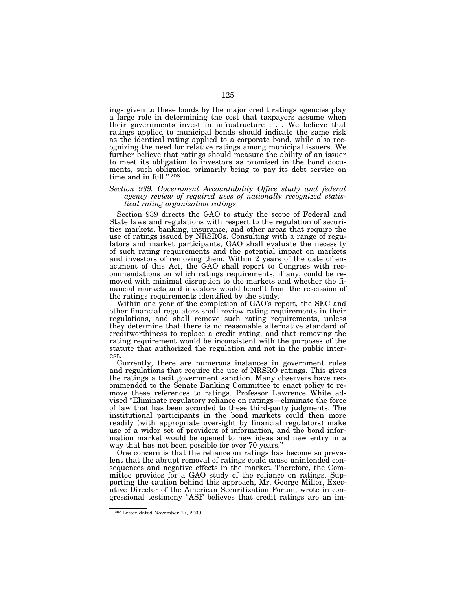ings given to these bonds by the major credit ratings agencies play a large role in determining the cost that taxpayers assume when their governments invest in infrastructure . . . We believe that ratings applied to municipal bonds should indicate the same risk as the identical rating applied to a corporate bond, while also recognizing the need for relative ratings among municipal issuers. We further believe that ratings should measure the ability of an issuer to meet its obligation to investors as promised in the bond documents, such obligation primarily being to pay its debt service on time and in full."<sup>208</sup>

## *Section 939. Government Accountability Office study and federal agency review of required uses of nationally recognized statistical rating organization ratings*

Section 939 directs the GAO to study the scope of Federal and State laws and regulations with respect to the regulation of securities markets, banking, insurance, and other areas that require the use of ratings issued by NRSROs. Consulting with a range of regulators and market participants, GAO shall evaluate the necessity of such rating requirements and the potential impact on markets and investors of removing them. Within 2 years of the date of enactment of this Act, the GAO shall report to Congress with recommendations on which ratings requirements, if any, could be removed with minimal disruption to the markets and whether the financial markets and investors would benefit from the rescission of the ratings requirements identified by the study.

Within one year of the completion of GAO's report, the SEC and other financial regulators shall review rating requirements in their regulations, and shall remove such rating requirements, unless they determine that there is no reasonable alternative standard of creditworthiness to replace a credit rating, and that removing the rating requirement would be inconsistent with the purposes of the statute that authorized the regulation and not in the public interest.

Currently, there are numerous instances in government rules and regulations that require the use of NRSRO ratings. This gives the ratings a tacit government sanction. Many observers have recommended to the Senate Banking Committee to enact policy to remove these references to ratings. Professor Lawrence White advised ''Eliminate regulatory reliance on ratings—eliminate the force of law that has been accorded to these third-party judgments. The institutional participants in the bond markets could then more readily (with appropriate oversight by financial regulators) make use of a wider set of providers of information, and the bond information market would be opened to new ideas and new entry in a way that has not been possible for over 70 years.''

One concern is that the reliance on ratings has become so prevalent that the abrupt removal of ratings could cause unintended consequences and negative effects in the market. Therefore, the Committee provides for a GAO study of the reliance on ratings. Supporting the caution behind this approach, Mr. George Miller, Executive Director of the American Securitization Forum, wrote in congressional testimony ''ASF believes that credit ratings are an im-

<sup>208</sup>Letter dated November 17, 2009.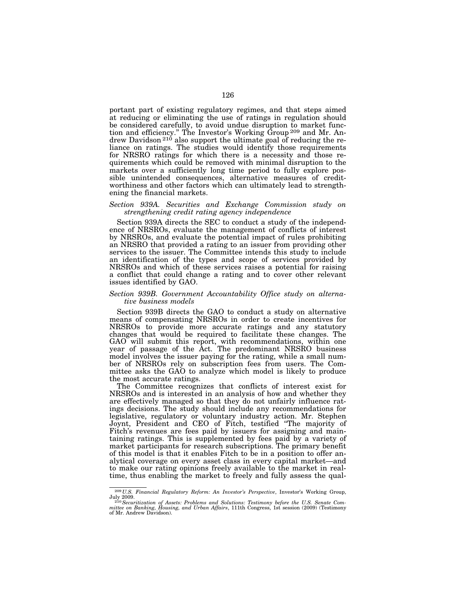portant part of existing regulatory regimes, and that steps aimed at reducing or eliminating the use of ratings in regulation should be considered carefully, to avoid undue disruption to market function and efficiency." The Investor's Working Group <sup>209</sup> and Mr. Andrew Davidson<sup>210</sup> also support the ultimate goal of reducing the reliance on ratings. The studies would identify those requirements for NRSRO ratings for which there is a necessity and those requirements which could be removed with minimal disruption to the markets over a sufficiently long time period to fully explore possible unintended consequences, alternative measures of creditworthiness and other factors which can ultimately lead to strengthening the financial markets.

### *Section 939A. Securities and Exchange Commission study on strengthening credit rating agency independence*

Section 939A directs the SEC to conduct a study of the independence of NRSROs, evaluate the management of conflicts of interest by NRSROs, and evaluate the potential impact of rules prohibiting an NRSRO that provided a rating to an issuer from providing other services to the issuer. The Committee intends this study to include an identification of the types and scope of services provided by NRSROs and which of these services raises a potential for raising a conflict that could change a rating and to cover other relevant issues identified by GAO.

## *Section 939B. Government Accountability Office study on alternative business models*

Section 939B directs the GAO to conduct a study on alternative means of compensating NRSROs in order to create incentives for NRSROs to provide more accurate ratings and any statutory changes that would be required to facilitate these changes. The GAO will submit this report, with recommendations, within one year of passage of the Act. The predominant NRSRO business model involves the issuer paying for the rating, while a small number of NRSROs rely on subscription fees from users. The Committee asks the GAO to analyze which model is likely to produce the most accurate ratings.

The Committee recognizes that conflicts of interest exist for NRSROs and is interested in an analysis of how and whether they are effectively managed so that they do not unfairly influence ratings decisions. The study should include any recommendations for legislative, regulatory or voluntary industry action. Mr. Stephen Joynt, President and CEO of Fitch, testified ''The majority of Fitch's revenues are fees paid by issuers for assigning and maintaining ratings. This is supplemented by fees paid by a variety of market participants for research subscriptions. The primary benefit of this model is that it enables Fitch to be in a position to offer analytical coverage on every asset class in every capital market—and to make our rating opinions freely available to the market in realtime, thus enabling the market to freely and fully assess the qual-

<sup>209</sup> *U.S. Financial Regulatory Reform: An Investor's Perspective*, Investor's Working Group,

July 2009.<br><sup>210</sup> Securitization of Assets: Problems and Solutions: Testimony before the U.S. Senate Committee on Banking, Housing, and Urban Affairs, 111th Congress, 1st session (2009) (Testimony of Mr. Andrew Davidson).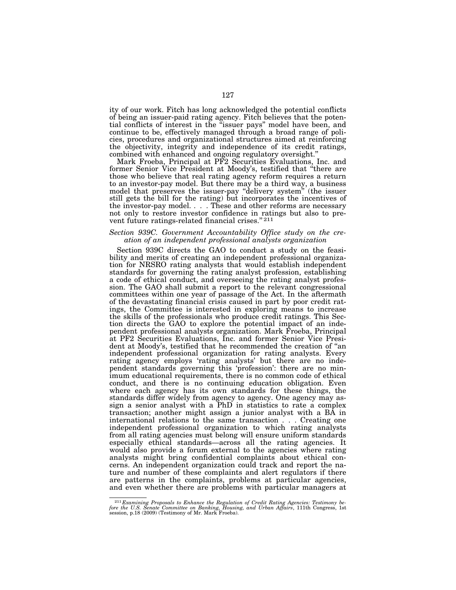ity of our work. Fitch has long acknowledged the potential conflicts of being an issuer-paid rating agency. Fitch believes that the potential conflicts of interest in the ''issuer pays'' model have been, and continue to be, effectively managed through a broad range of policies, procedures and organizational structures aimed at reinforcing the objectivity, integrity and independence of its credit ratings, combined with enhanced and ongoing regulatory oversight.''

Mark Froeba, Principal at PF2 Securities Evaluations, Inc. and former Senior Vice President at Moody's, testified that ''there are those who believe that real rating agency reform requires a return to an investor-pay model. But there may be a third way, a business model that preserves the issuer-pay "delivery system" (the issuer still gets the bill for the rating) but incorporates the incentives of the investor-pay model. . . . These and other reforms are necessary not only to restore investor confidence in ratings but also to prevent future ratings-related financial crises." 211

### *Section 939C. Government Accountability Office study on the creation of an independent professional analysts organization*

Section 939C directs the GAO to conduct a study on the feasibility and merits of creating an independent professional organization for NRSRO rating analysts that would establish independent standards for governing the rating analyst profession, establishing a code of ethical conduct, and overseeing the rating analyst profession. The GAO shall submit a report to the relevant congressional committees within one year of passage of the Act. In the aftermath of the devastating financial crisis caused in part by poor credit ratings, the Committee is interested in exploring means to increase the skills of the professionals who produce credit ratings. This Section directs the GAO to explore the potential impact of an independent professional analysts organization. Mark Froeba, Principal at PF2 Securities Evaluations, Inc. and former Senior Vice President at Moody's, testified that he recommended the creation of ''an independent professional organization for rating analysts. Every rating agency employs 'rating analysts' but there are no independent standards governing this 'profession': there are no minimum educational requirements, there is no common code of ethical conduct, and there is no continuing education obligation. Even where each agency has its own standards for these things, the standards differ widely from agency to agency. One agency may assign a senior analyst with a PhD in statistics to rate a complex transaction; another might assign a junior analyst with a BA in international relations to the same transaction . . . Creating one independent professional organization to which rating analysts from all rating agencies must belong will ensure uniform standards especially ethical standards—across all the rating agencies. It would also provide a forum external to the agencies where rating analysts might bring confidential complaints about ethical concerns. An independent organization could track and report the nature and number of these complaints and alert regulators if there are patterns in the complaints, problems at particular agencies, and even whether there are problems with particular managers at

 $^{211}$  Examining Proposals to Enhance the Regulation of Credit Rating Agencies: Testimony before the U.S. Senate Committee on Banking, Housing, and Urban Affairs, 111th Congress, 1st session, p.18 (2009) (Testimony of Mr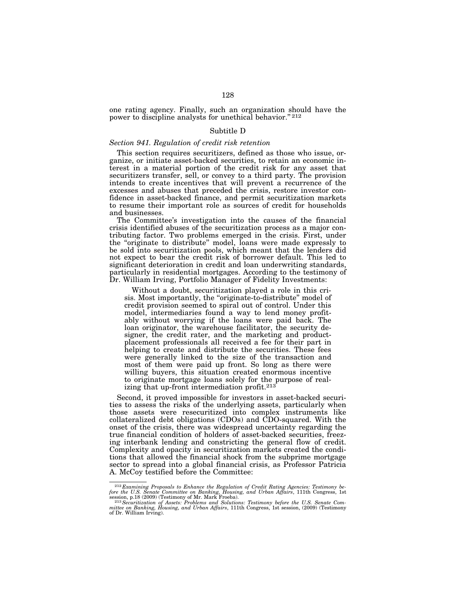one rating agency. Finally, such an organization should have the power to discipline analysts for unethical behavior." 212

### Subtitle D

### *Section 941. Regulation of credit risk retention*

This section requires securitizers, defined as those who issue, organize, or initiate asset-backed securities, to retain an economic interest in a material portion of the credit risk for any asset that securitizers transfer, sell, or convey to a third party. The provision intends to create incentives that will prevent a recurrence of the excesses and abuses that preceded the crisis, restore investor confidence in asset-backed finance, and permit securitization markets to resume their important role as sources of credit for households and businesses.

The Committee's investigation into the causes of the financial crisis identified abuses of the securitization process as a major contributing factor. Two problems emerged in the crisis. First, under the ''originate to distribute'' model, loans were made expressly to be sold into securitization pools, which meant that the lenders did not expect to bear the credit risk of borrower default. This led to significant deterioration in credit and loan underwriting standards, particularly in residential mortgages. According to the testimony of Dr. William Irving, Portfolio Manager of Fidelity Investments:

Without a doubt, securitization played a role in this crisis. Most importantly, the "originate-to-distribute" model of credit provision seemed to spiral out of control. Under this model, intermediaries found a way to lend money profitably without worrying if the loans were paid back. The loan originator, the warehouse facilitator, the security designer, the credit rater, and the marketing and productplacement professionals all received a fee for their part in helping to create and distribute the securities. These fees were generally linked to the size of the transaction and most of them were paid up front. So long as there were willing buyers, this situation created enormous incentive to originate mortgage loans solely for the purpose of realizing that up-front intermediation profit.<sup>213</sup>

Second, it proved impossible for investors in asset-backed securities to assess the risks of the underlying assets, particularly when those assets were resecuritized into complex instruments like collateralized debt obligations (CDOs) and CDO-squared. With the onset of the crisis, there was widespread uncertainty regarding the true financial condition of holders of asset-backed securities, freezing interbank lending and constricting the general flow of credit. Complexity and opacity in securitization markets created the conditions that allowed the financial shock from the subprime mortgage sector to spread into a global financial crisis, as Professor Patricia A. McCoy testified before the Committee:

<sup>&</sup>lt;sup>212</sup> Examining Proposals to Enhance the Regulation of Credit Rating Agencies: Testimony be-<br>fore the U.S. Senate Committee on Banking, Housing, and Urban Affairs, 111th Congress, 1st<br>session, p.18 (2009) (Testimony of Mr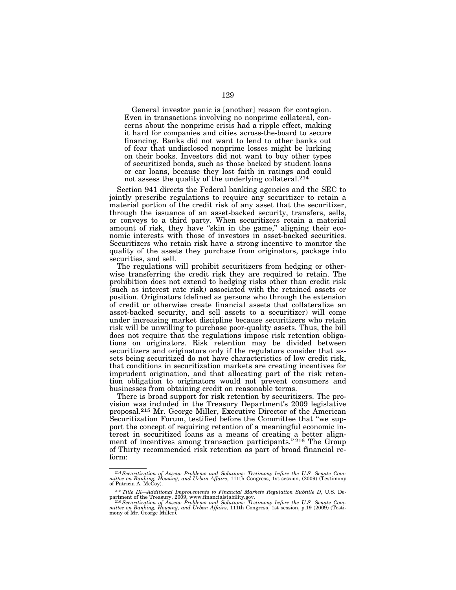General investor panic is [another] reason for contagion. Even in transactions involving no nonprime collateral, concerns about the nonprime crisis had a ripple effect, making it hard for companies and cities across-the-board to secure financing. Banks did not want to lend to other banks out of fear that undisclosed nonprime losses might be lurking on their books. Investors did not want to buy other types of securitized bonds, such as those backed by student loans or car loans, because they lost faith in ratings and could not assess the quality of the underlying collateral.214

Section 941 directs the Federal banking agencies and the SEC to jointly prescribe regulations to require any securitizer to retain a material portion of the credit risk of any asset that the securitizer, through the issuance of an asset-backed security, transfers, sells, or conveys to a third party. When securitizers retain a material amount of risk, they have "skin in the game," aligning their economic interests with those of investors in asset-backed securities. Securitizers who retain risk have a strong incentive to monitor the quality of the assets they purchase from originators, package into securities, and sell.

The regulations will prohibit securitizers from hedging or otherwise transferring the credit risk they are required to retain. The prohibition does not extend to hedging risks other than credit risk (such as interest rate risk) associated with the retained assets or position. Originators (defined as persons who through the extension of credit or otherwise create financial assets that collateralize an asset-backed security, and sell assets to a securitizer) will come under increasing market discipline because securitizers who retain risk will be unwilling to purchase poor-quality assets. Thus, the bill does not require that the regulations impose risk retention obligations on originators. Risk retention may be divided between securitizers and originators only if the regulators consider that assets being securitized do not have characteristics of low credit risk, that conditions in securitization markets are creating incentives for imprudent origination, and that allocating part of the risk retention obligation to originators would not prevent consumers and businesses from obtaining credit on reasonable terms.

There is broad support for risk retention by securitizers. The provision was included in the Treasury Department's 2009 legislative proposal.215 Mr. George Miller, Executive Director of the American Securitization Forum, testified before the Committee that "we support the concept of requiring retention of a meaningful economic interest in securitized loans as a means of creating a better alignment of incentives among transaction participants."<sup>216</sup> The Group of Thirty recommended risk retention as part of broad financial reform:

<sup>214</sup>*Securitization of Assets: Problems and Solutions: Testimony before the U.S. Senate Com-mittee on Banking, Housing, and Urban Affairs*, 111th Congress, 1st session, (2009) (Testimony of Patricia A. McCoy).

<sup>&</sup>lt;sup>215</sup>Title IX—Additional Improvements to Financial Markets Regulation Subtitle D, U.S. Department of the Treasury, 2009, www.financialstability.gov.<br><sup>216</sup> Securitization of Assets: Problems and Solutions: Testimony before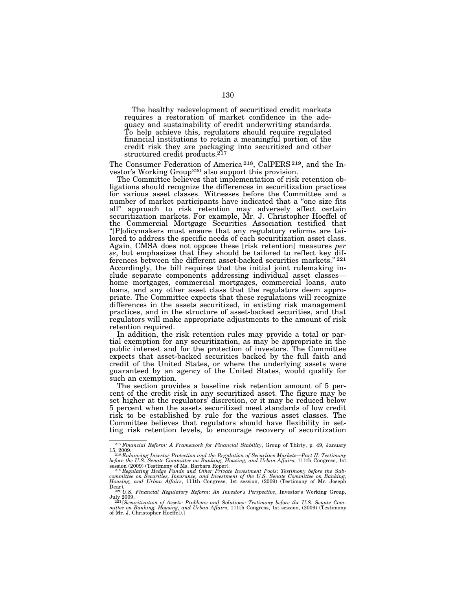The healthy redevelopment of securitized credit markets requires a restoration of market confidence in the adequacy and sustainability of credit underwriting standards. To help achieve this, regulators should require regulated financial institutions to retain a meaningful portion of the credit risk they are packaging into securitized and other structured credit products.<sup>217</sup>

The Consumer Federation of America 218, CalPERS 219, and the Investor's Working Group<sup>220</sup> also support this provision.

The Committee believes that implementation of risk retention obligations should recognize the differences in securitization practices for various asset classes. Witnesses before the Committee and a number of market participants have indicated that a ''one size fits all'' approach to risk retention may adversely affect certain securitization markets. For example, Mr. J. Christopher Hoeffel of the Commercial Mortgage Securities Association testified that ''[P]olicymakers must ensure that any regulatory reforms are tailored to address the specific needs of each securitization asset class. Again, CMSA does not oppose these [risk retention] measures *per se*, but emphasizes that they should be tailored to reflect key differences between the different asset-backed securities markets.'' 221 Accordingly, the bill requires that the initial joint rulemaking include separate components addressing individual asset classes home mortgages, commercial mortgages, commercial loans, auto loans, and any other asset class that the regulators deem appropriate. The Committee expects that these regulations will recognize differences in the assets securitized, in existing risk management practices, and in the structure of asset-backed securities, and that regulators will make appropriate adjustments to the amount of risk retention required.

In addition, the risk retention rules may provide a total or partial exemption for any securitization, as may be appropriate in the public interest and for the protection of investors. The Committee expects that asset-backed securities backed by the full faith and credit of the United States, or where the underlying assets were guaranteed by an agency of the United States, would qualify for such an exemption.

The section provides a baseline risk retention amount of 5 percent of the credit risk in any securitized asset. The figure may be set higher at the regulators' discretion, or it may be reduced below 5 percent when the assets securitized meet standards of low credit risk to be established by rule for the various asset classes. The Committee believes that regulators should have flexibility in setting risk retention levels, to encourage recovery of securitization

<sup>217</sup>*Financial Reform: A Framework for Financial Stability*, Group of Thirty, p. 49, January

<sup>15, 2009.&</sup>lt;br><sup>218</sup> Enhancing Investor Protection and the Regulation of Securities Markets—Part II: Testimony<br>before the U.S. Senate Committee on Banking, Housing, and Urban Affairs, 111th Congress, 1st<br>session (2009) (Testim

Dear). 220 *U.S. Financial Regulatory Reform: An Investor's Perspective*, Investor's Working Group,

July 2009.<br><sup>221</sup>[Securitization of Assets: Problems and Solutions: Testimony before the U.S. Senate Committee on Banking, Housing, and Urban Affairs, 111th Congress, 1st session, (2009) (Testimony<br>mittee on Banking, Housin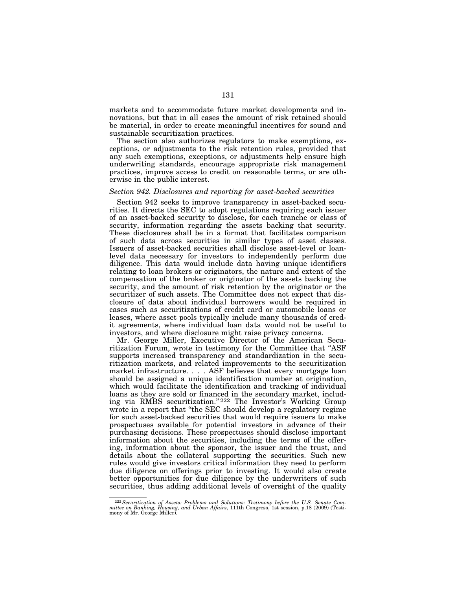markets and to accommodate future market developments and innovations, but that in all cases the amount of risk retained should be material, in order to create meaningful incentives for sound and sustainable securitization practices.

The section also authorizes regulators to make exemptions, exceptions, or adjustments to the risk retention rules, provided that any such exemptions, exceptions, or adjustments help ensure high underwriting standards, encourage appropriate risk management practices, improve access to credit on reasonable terms, or are otherwise in the public interest.

### *Section 942. Disclosures and reporting for asset-backed securities*

Section 942 seeks to improve transparency in asset-backed securities. It directs the SEC to adopt regulations requiring each issuer of an asset-backed security to disclose, for each tranche or class of security, information regarding the assets backing that security. These disclosures shall be in a format that facilitates comparison of such data across securities in similar types of asset classes. Issuers of asset-backed securities shall disclose asset-level or loanlevel data necessary for investors to independently perform due diligence. This data would include data having unique identifiers relating to loan brokers or originators, the nature and extent of the compensation of the broker or originator of the assets backing the security, and the amount of risk retention by the originator or the securitizer of such assets. The Committee does not expect that disclosure of data about individual borrowers would be required in cases such as securitizations of credit card or automobile loans or leases, where asset pools typically include many thousands of credit agreements, where individual loan data would not be useful to investors, and where disclosure might raise privacy concerns.

Mr. George Miller, Executive Director of the American Securitization Forum, wrote in testimony for the Committee that ''ASF supports increased transparency and standardization in the securitization markets, and related improvements to the securitization market infrastructure. . . . ASF believes that every mortgage loan should be assigned a unique identification number at origination, which would facilitate the identification and tracking of individual loans as they are sold or financed in the secondary market, including via RMBS securitization."<sup>222</sup> The Investor's Working Group wrote in a report that ''the SEC should develop a regulatory regime for such asset-backed securities that would require issuers to make prospectuses available for potential investors in advance of their purchasing decisions. These prospectuses should disclose important information about the securities, including the terms of the offering, information about the sponsor, the issuer and the trust, and details about the collateral supporting the securities. Such new rules would give investors critical information they need to perform due diligence on offerings prior to investing. It would also create better opportunities for due diligence by the underwriters of such securities, thus adding additional levels of oversight of the quality

 $^{222}$  Securitization of Assets: Problems and Solutions: Testimony before the U.S. Senate Committee on Banking, Housing, and Urban Affairs, 111th Congress, 1st session, p.18 (2009) (Testimony of Mr. George Miller).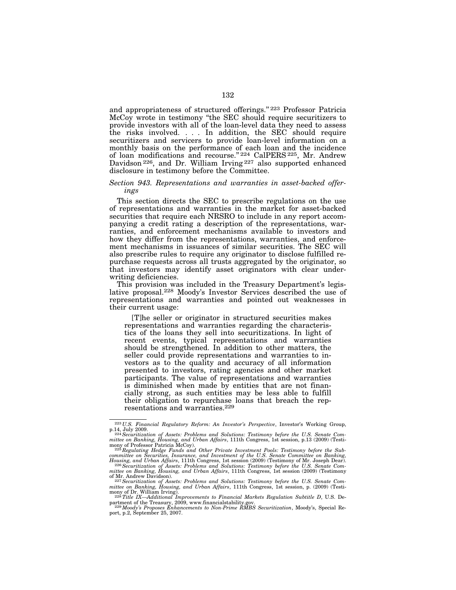and appropriateness of structured offerings.'' 223 Professor Patricia McCoy wrote in testimony ''the SEC should require securitizers to provide investors with all of the loan-level data they need to assess the risks involved. . . . In addition, the SEC should require securitizers and servicers to provide loan-level information on a monthly basis on the performance of each loan and the incidence of loan modifications and recourse." 224 CalPERS 225, Mr. Andrew Davidson 226, and Dr. William Irving 227 also supported enhanced disclosure in testimony before the Committee.

### *Section 943. Representations and warranties in asset-backed offerings*

This section directs the SEC to prescribe regulations on the use of representations and warranties in the market for asset-backed securities that require each NRSRO to include in any report accompanying a credit rating a description of the representations, warranties, and enforcement mechanisms available to investors and how they differ from the representations, warranties, and enforcement mechanisms in issuances of similar securities. The SEC will also prescribe rules to require any originator to disclose fulfilled repurchase requests across all trusts aggregated by the originator, so that investors may identify asset originators with clear underwriting deficiencies.

This provision was included in the Treasury Department's legislative proposal.<sup>228</sup> Moody's Investor Services described the use of representations and warranties and pointed out weaknesses in their current usage:

[T]he seller or originator in structured securities makes representations and warranties regarding the characteristics of the loans they sell into securitizations. In light of recent events, typical representations and warranties should be strengthened. In addition to other matters, the seller could provide representations and warranties to investors as to the quality and accuracy of all information presented to investors, rating agencies and other market participants. The value of representations and warranties is diminished when made by entities that are not financially strong, as such entities may be less able to fulfill their obligation to repurchase loans that breach the representations and warranties.229

<sup>223</sup> *U.S. Financial Regulatory Reform: An Investor's Perspective*, Investor's Working Group, p.14, July 2009.<br><sup>224</sup> Securitization of Assets: Problems and Solutions: Testimony before the U.S. Senate Com-

mittee on Banking, Housing, and Urban Affairs, 111th Congress, 1st session, p.13 (2009) (Testi-<br>mony of Professor Patricia McCoy).<br><sup>225</sup> Regulating Hedge Funds and Other Private Investment Pools: Testimony before the Sub-

committee on Securities, Insurance, and Investment of the U.S. Senate Committee on Banking,<br>Housing, and Urban Affairs, 111th Congress, 1st session (2009) (Testimony of Mr. Joseph Dear).<br>226 Securitization of Assets: Probl

*mittee on Banking, Housing, and Urban Affairs*, 111th Congress, 1st session (2009) (Testimony of Mr. Andrew Davidson). 227*Securitization of Assets: Problems and Solutions: Testimony before the U.S. Senate Com-*

mittee on Banking, Housing, and Urban Affairs, 111th Congress, 1st session, p. (2009) (Testi-<br>mony of Dr. William Irving).<br><sup>228</sup> Title IX—Additional Improvements to Financial Markets Regulation Subtitle D, U.S. De-

partment of the Treasury, 2009, www.financialstability.gov.<br><sup>229</sup> Moody's *Proposes Enhancements to Non-Prime RMBS Securitization*, Moody's, Special Re-<br>port, p.2, September 25, 2007.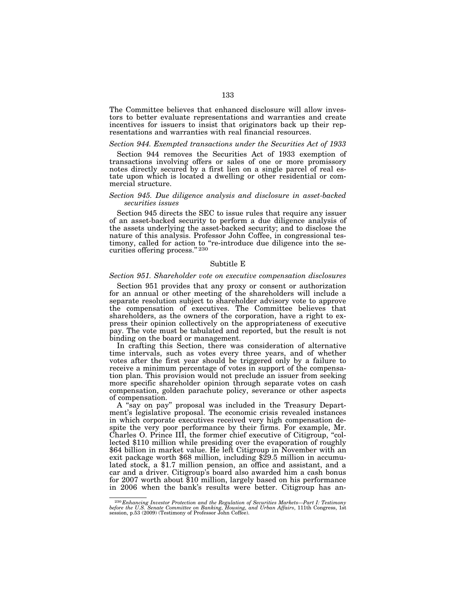The Committee believes that enhanced disclosure will allow investors to better evaluate representations and warranties and create incentives for issuers to insist that originators back up their representations and warranties with real financial resources.

#### *Section 944. Exempted transactions under the Securities Act of 1933*

Section 944 removes the Securities Act of 1933 exemption of transactions involving offers or sales of one or more promissory notes directly secured by a first lien on a single parcel of real estate upon which is located a dwelling or other residential or commercial structure.

#### *Section 945. Due diligence analysis and disclosure in asset-backed securities issues*

Section 945 directs the SEC to issue rules that require any issuer of an asset-backed security to perform a due diligence analysis of the assets underlying the asset-backed security; and to disclose the nature of this analysis. Professor John Coffee, in congressional testimony, called for action to "re-introduce due diligence into the securities offering process." 230

# Subtitle E

#### *Section 951. Shareholder vote on executive compensation disclosures*

Section 951 provides that any proxy or consent or authorization for an annual or other meeting of the shareholders will include a separate resolution subject to shareholder advisory vote to approve the compensation of executives. The Committee believes that shareholders, as the owners of the corporation, have a right to express their opinion collectively on the appropriateness of executive pay. The vote must be tabulated and reported, but the result is not binding on the board or management.

In crafting this Section, there was consideration of alternative time intervals, such as votes every three years, and of whether votes after the first year should be triggered only by a failure to receive a minimum percentage of votes in support of the compensation plan. This provision would not preclude an issuer from seeking more specific shareholder opinion through separate votes on cash compensation, golden parachute policy, severance or other aspects of compensation.

A ''say on pay'' proposal was included in the Treasury Department's legislative proposal. The economic crisis revealed instances in which corporate executives received very high compensation despite the very poor performance by their firms. For example, Mr. Charles O. Prince III, the former chief executive of Citigroup, ''collected \$110 million while presiding over the evaporation of roughly \$64 billion in market value. He left Citigroup in November with an exit package worth \$68 million, including \$29.5 million in accumulated stock, a \$1.7 million pension, an office and assistant, and a car and a driver. Citigroup's board also awarded him a cash bonus for 2007 worth about \$10 million, largely based on his performance in 2006 when the bank's results were better. Citigroup has an-

 $^{230}$ Enhancing Investor Protection and the Regulation of Securities Markets—Part I: Testimony before the U.S. Senate Committee on Banking, Housing, and Urban Affairs, 111th Congress, 1st session, p.53 (2009) (Testimony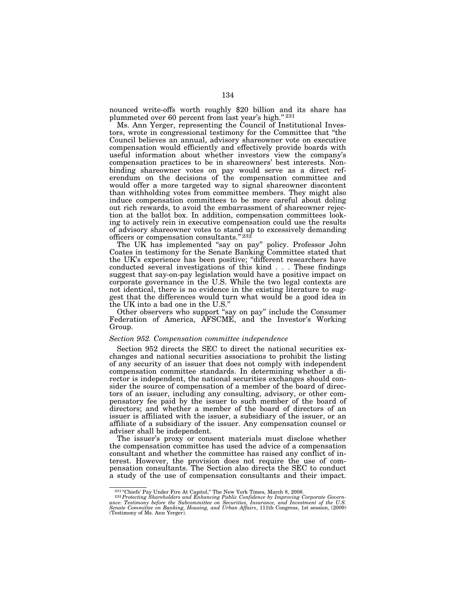nounced write-offs worth roughly \$20 billion and its share has plummeted over 60 percent from last year's high.'' 231

Ms. Ann Yerger, representing the Council of Institutional Investors, wrote in congressional testimony for the Committee that ''the Council believes an annual, advisory shareowner vote on executive compensation would efficiently and effectively provide boards with useful information about whether investors view the company's compensation practices to be in shareowners' best interests. Nonbinding shareowner votes on pay would serve as a direct referendum on the decisions of the compensation committee and would offer a more targeted way to signal shareowner discontent than withholding votes from committee members. They might also induce compensation committees to be more careful about doling out rich rewards, to avoid the embarrassment of shareowner rejection at the ballot box. In addition, compensation committees looking to actively rein in executive compensation could use the results of advisory shareowner votes to stand up to excessively demanding officers or compensation consultants." 232

The UK has implemented ''say on pay'' policy. Professor John Coates in testimony for the Senate Banking Committee stated that the UK's experience has been positive; ''different researchers have conducted several investigations of this kind . . . These findings suggest that say-on-pay legislation would have a positive impact on corporate governance in the U.S. While the two legal contexts are not identical, there is no evidence in the existing literature to suggest that the differences would turn what would be a good idea in the UK into a bad one in the U.S.''

Other observers who support ''say on pay'' include the Consumer Federation of America, AFSCME, and the Investor's Working Group.

### *Section 952. Compensation committee independence*

Section 952 directs the SEC to direct the national securities exchanges and national securities associations to prohibit the listing of any security of an issuer that does not comply with independent compensation committee standards. In determining whether a director is independent, the national securities exchanges should consider the source of compensation of a member of the board of directors of an issuer, including any consulting, advisory, or other compensatory fee paid by the issuer to such member of the board of directors; and whether a member of the board of directors of an issuer is affiliated with the issuer, a subsidiary of the issuer, or an affiliate of a subsidiary of the issuer. Any compensation counsel or adviser shall be independent.

The issuer's proxy or consent materials must disclose whether the compensation committee has used the advice of a compensation consultant and whether the committee has raised any conflict of interest. However, the provision does not require the use of compensation consultants. The Section also directs the SEC to conduct a study of the use of compensation consultants and their impact.

<sup>&</sup>lt;sup>231</sup> "Chiefs' Pay Under Fire At Capitol," The New York Times, March 8, 2008.<br><sup>232</sup> Protecting Shareholders and Enhancing Public Confidence by Improving Corporate Governance: Testimony before the Subcommittee on Securities, Insurance, and Investment of the U.S.<br>Senate Committee on Banking, Housing, and Urban Affairs, 111th Congress, 1st session, (2009)<br>(Testimony of Ms. Ann Yerger).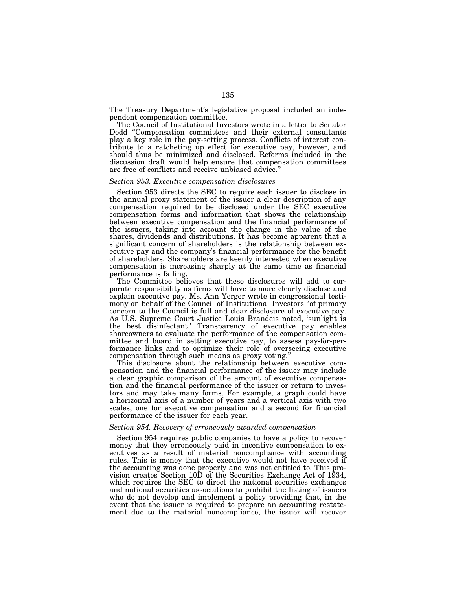The Treasury Department's legislative proposal included an independent compensation committee.

The Council of Institutional Investors wrote in a letter to Senator Dodd ''Compensation committees and their external consultants play a key role in the pay-setting process. Conflicts of interest contribute to a ratcheting up effect for executive pay, however, and should thus be minimized and disclosed. Reforms included in the discussion draft would help ensure that compensation committees are free of conflicts and receive unbiased advice.''

#### *Section 953. Executive compensation disclosures*

Section 953 directs the SEC to require each issuer to disclose in the annual proxy statement of the issuer a clear description of any compensation required to be disclosed under the SEC executive compensation forms and information that shows the relationship between executive compensation and the financial performance of the issuers, taking into account the change in the value of the shares, dividends and distributions. It has become apparent that a significant concern of shareholders is the relationship between executive pay and the company's financial performance for the benefit of shareholders. Shareholders are keenly interested when executive compensation is increasing sharply at the same time as financial performance is falling.

The Committee believes that these disclosures will add to corporate responsibility as firms will have to more clearly disclose and explain executive pay. Ms. Ann Yerger wrote in congressional testimony on behalf of the Council of Institutional Investors "of primary concern to the Council is full and clear disclosure of executive pay. As U.S. Supreme Court Justice Louis Brandeis noted, 'sunlight is the best disinfectant.' Transparency of executive pay enables shareowners to evaluate the performance of the compensation committee and board in setting executive pay, to assess pay-for-performance links and to optimize their role of overseeing executive compensation through such means as proxy voting.''

This disclosure about the relationship between executive compensation and the financial performance of the issuer may include a clear graphic comparison of the amount of executive compensation and the financial performance of the issuer or return to investors and may take many forms. For example, a graph could have a horizontal axis of a number of years and a vertical axis with two scales, one for executive compensation and a second for financial performance of the issuer for each year.

### *Section 954. Recovery of erroneously awarded compensation*

Section 954 requires public companies to have a policy to recover money that they erroneously paid in incentive compensation to executives as a result of material noncompliance with accounting rules. This is money that the executive would not have received if the accounting was done properly and was not entitled to. This provision creates Section 10D of the Securities Exchange Act of 1934, which requires the SEC to direct the national securities exchanges and national securities associations to prohibit the listing of issuers who do not develop and implement a policy providing that, in the event that the issuer is required to prepare an accounting restatement due to the material noncompliance, the issuer will recover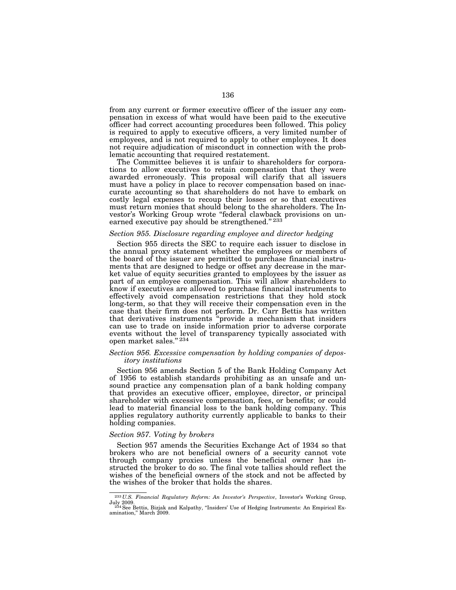from any current or former executive officer of the issuer any compensation in excess of what would have been paid to the executive officer had correct accounting procedures been followed. This policy is required to apply to executive officers, a very limited number of employees, and is not required to apply to other employees. It does not require adjudication of misconduct in connection with the problematic accounting that required restatement.

The Committee believes it is unfair to shareholders for corporations to allow executives to retain compensation that they were awarded erroneously. This proposal will clarify that all issuers must have a policy in place to recover compensation based on inaccurate accounting so that shareholders do not have to embark on costly legal expenses to recoup their losses or so that executives must return monies that should belong to the shareholders. The Investor's Working Group wrote ''federal clawback provisions on unearned executive pay should be strengthened."<sup>233</sup>

### *Section 955. Disclosure regarding employee and director hedging*

Section 955 directs the SEC to require each issuer to disclose in the annual proxy statement whether the employees or members of the board of the issuer are permitted to purchase financial instruments that are designed to hedge or offset any decrease in the market value of equity securities granted to employees by the issuer as part of an employee compensation. This will allow shareholders to know if executives are allowed to purchase financial instruments to effectively avoid compensation restrictions that they hold stock long-term, so that they will receive their compensation even in the case that their firm does not perform. Dr. Carr Bettis has written that derivatives instruments ''provide a mechanism that insiders can use to trade on inside information prior to adverse corporate events without the level of transparency typically associated with open market sales." $^{\rm 234}$ 

### *Section 956. Excessive compensation by holding companies of depository institutions*

Section 956 amends Section 5 of the Bank Holding Company Act of 1956 to establish standards prohibiting as an unsafe and unsound practice any compensation plan of a bank holding company that provides an executive officer, employee, director, or principal shareholder with excessive compensation, fees, or benefits; or could lead to material financial loss to the bank holding company. This applies regulatory authority currently applicable to banks to their holding companies.

## *Section 957. Voting by brokers*

Section 957 amends the Securities Exchange Act of 1934 so that brokers who are not beneficial owners of a security cannot vote through company proxies unless the beneficial owner has instructed the broker to do so. The final vote tallies should reflect the wishes of the beneficial owners of the stock and not be affected by the wishes of the broker that holds the shares.

<sup>233</sup> *U.S. Financial Regulatory Reform: An Investor's Perspective*, Investor's Working Group, July 2009. 234See Bettis, Bizjak and Kalpathy, ''Insiders' Use of Hedging Instruments: An Empirical Ex-

amination,'' March 2009.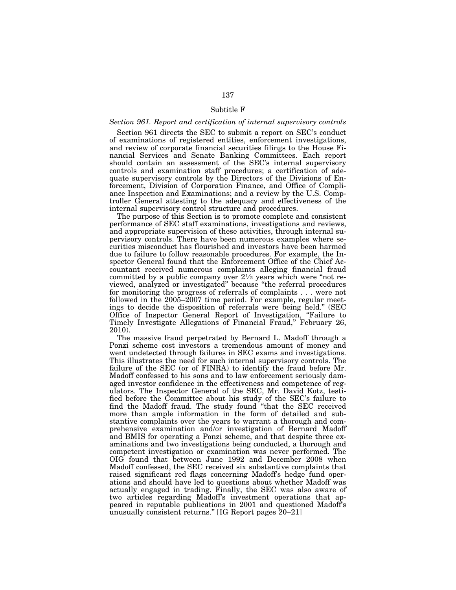# Subtitle F

# *Section 961. Report and certification of internal supervisory controls*

Section 961 directs the SEC to submit a report on SEC's conduct of examinations of registered entities, enforcement investigations, and review of corporate financial securities filings to the House Financial Services and Senate Banking Committees. Each report should contain an assessment of the SEC's internal supervisory controls and examination staff procedures; a certification of adequate supervisory controls by the Directors of the Divisions of Enforcement, Division of Corporation Finance, and Office of Compliance Inspection and Examinations; and a review by the U.S. Comptroller General attesting to the adequacy and effectiveness of the internal supervisory control structure and procedures.

The purpose of this Section is to promote complete and consistent performance of SEC staff examinations, investigations and reviews, and appropriate supervision of these activities, through internal supervisory controls. There have been numerous examples where securities misconduct has flourished and investors have been harmed due to failure to follow reasonable procedures. For example, the Inspector General found that the Enforcement Office of the Chief Accountant received numerous complaints alleging financial fraud committed by a public company over  $2\frac{1}{2}$  years which were "not reviewed, analyzed or investigated'' because ''the referral procedures for monitoring the progress of referrals of complaints . . . were not followed in the 2005–2007 time period. For example, regular meetings to decide the disposition of referrals were being held.'' (SEC Office of Inspector General Report of Investigation, "Failure to Timely Investigate Allegations of Financial Fraud,'' February 26, 2010).

The massive fraud perpetrated by Bernard L. Madoff through a Ponzi scheme cost investors a tremendous amount of money and went undetected through failures in SEC exams and investigations. This illustrates the need for such internal supervisory controls. The failure of the SEC (or of FINRA) to identify the fraud before Mr. Madoff confessed to his sons and to law enforcement seriously damaged investor confidence in the effectiveness and competence of regulators. The Inspector General of the SEC, Mr. David Kotz, testified before the Committee about his study of the SEC's failure to find the Madoff fraud. The study found ''that the SEC received more than ample information in the form of detailed and substantive complaints over the years to warrant a thorough and comprehensive examination and/or investigation of Bernard Madoff and BMIS for operating a Ponzi scheme, and that despite three examinations and two investigations being conducted, a thorough and competent investigation or examination was never performed. The OIG found that between June 1992 and December 2008 when Madoff confessed, the SEC received six substantive complaints that raised significant red flags concerning Madoff's hedge fund operations and should have led to questions about whether Madoff was actually engaged in trading. Finally, the SEC was also aware of two articles regarding Madoff's investment operations that appeared in reputable publications in 2001 and questioned Madoff's unusually consistent returns.'' [IG Report pages 20–21]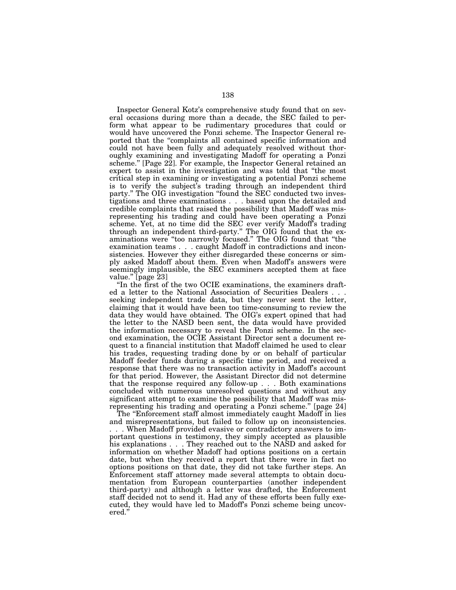Inspector General Kotz's comprehensive study found that on several occasions during more than a decade, the SEC failed to perform what appear to be rudimentary procedures that could or would have uncovered the Ponzi scheme. The Inspector General reported that the "complaints all contained specific information and could not have been fully and adequately resolved without thoroughly examining and investigating Madoff for operating a Ponzi scheme.'' [Page 22]. For example, the Inspector General retained an expert to assist in the investigation and was told that ''the most critical step in examining or investigating a potential Ponzi scheme is to verify the subject's trading through an independent third party.'' The OIG investigation ''found the SEC conducted two investigations and three examinations . . . based upon the detailed and credible complaints that raised the possibility that Madoff was misrepresenting his trading and could have been operating a Ponzi scheme. Yet, at no time did the SEC ever verify Madoff's trading through an independent third-party.'' The OIG found that the examinations were ''too narrowly focused.'' The OIG found that ''the examination teams . . . caught Madoff in contradictions and inconsistencies. However they either disregarded these concerns or simply asked Madoff about them. Even when Madoff's answers were seemingly implausible, the SEC examiners accepted them at face value.'' [page 23]

''In the first of the two OCIE examinations, the examiners drafted a letter to the National Association of Securities Dealers . . . seeking independent trade data, but they never sent the letter, claiming that it would have been too time-consuming to review the data they would have obtained. The OIG's expert opined that had the letter to the NASD been sent, the data would have provided the information necessary to reveal the Ponzi scheme. In the second examination, the OCIE Assistant Director sent a document request to a financial institution that Madoff claimed he used to clear his trades, requesting trading done by or on behalf of particular Madoff feeder funds during a specific time period, and received a response that there was no transaction activity in Madoff's account for that period. However, the Assistant Director did not determine that the response required any follow-up . . . Both examinations concluded with numerous unresolved questions and without any significant attempt to examine the possibility that Madoff was misrepresenting his trading and operating a Ponzi scheme.'' [page 24]

The "Enforcement staff almost immediately caught Madoff in lies and misrepresentations, but failed to follow up on inconsistencies.

. . . When Madoff provided evasive or contradictory answers to important questions in testimony, they simply accepted as plausible his explanations . . . They reached out to the NASD and asked for information on whether Madoff had options positions on a certain date, but when they received a report that there were in fact no options positions on that date, they did not take further steps. An Enforcement staff attorney made several attempts to obtain documentation from European counterparties (another independent third-party) and although a letter was drafted, the Enforcement staff decided not to send it. Had any of these efforts been fully executed, they would have led to Madoff's Ponzi scheme being uncovered.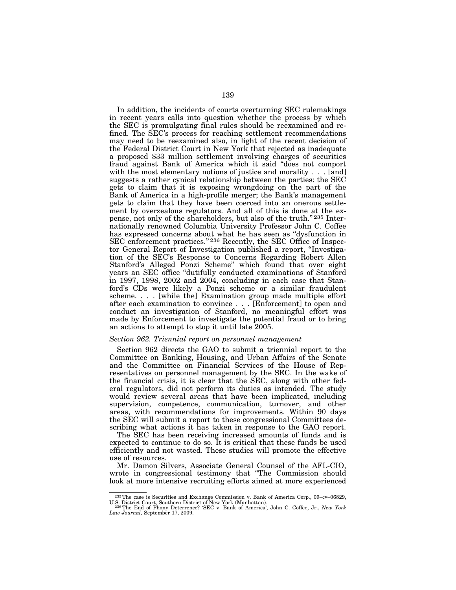In addition, the incidents of courts overturning SEC rulemakings in recent years calls into question whether the process by which the SEC is promulgating final rules should be reexamined and refined. The SEC's process for reaching settlement recommendations may need to be reexamined also, in light of the recent decision of the Federal District Court in New York that rejected as inadequate a proposed \$33 million settlement involving charges of securities fraud against Bank of America which it said ''does not comport with the most elementary notions of justice and morality . . . [and] suggests a rather cynical relationship between the parties: the SEC gets to claim that it is exposing wrongdoing on the part of the Bank of America in a high-profile merger; the Bank's management gets to claim that they have been coerced into an onerous settlement by overzealous regulators. And all of this is done at the expense, not only of the shareholders, but also of the truth.'' 235 Internationally renowned Columbia University Professor John C. Coffee has expressed concerns about what he has seen as ''dysfunction in SEC enforcement practices." 236 Recently, the SEC Office of Inspector General Report of Investigation published a report, ''Investigation of the SEC's Response to Concerns Regarding Robert Allen Stanford's Alleged Ponzi Scheme'' which found that over eight years an SEC office ''dutifully conducted examinations of Stanford in 1997, 1998, 2002 and 2004, concluding in each case that Stanford's CDs were likely a Ponzi scheme or a similar fraudulent scheme. . . . [while the] Examination group made multiple effort after each examination to convince . . . [Enforcement] to open and conduct an investigation of Stanford, no meaningful effort was made by Enforcement to investigate the potential fraud or to bring an actions to attempt to stop it until late 2005.

### *Section 962. Triennial report on personnel management*

Section 962 directs the GAO to submit a triennial report to the Committee on Banking, Housing, and Urban Affairs of the Senate and the Committee on Financial Services of the House of Representatives on personnel management by the SEC. In the wake of the financial crisis, it is clear that the SEC, along with other federal regulators, did not perform its duties as intended. The study would review several areas that have been implicated, including supervision, competence, communication, turnover, and other areas, with recommendations for improvements. Within 90 days the SEC will submit a report to these congressional Committees describing what actions it has taken in response to the GAO report.

The SEC has been receiving increased amounts of funds and is expected to continue to do so. It is critical that these funds be used efficiently and not wasted. These studies will promote the effective use of resources.

Mr. Damon Silvers, Associate General Counsel of the AFL-CIO, wrote in congressional testimony that ''The Commission should look at more intensive recruiting efforts aimed at more experienced

<sup>235</sup>The case is Securities and Exchange Commission v. Bank of America Corp., 09–cv–06829,

U.S. District Court, Southern District of New York (Manhattan). 236The End of Phony Deterrence? 'SEC v. Bank of America', John C. Coffee, Jr., *New York Law Journal,* September 17, 2009.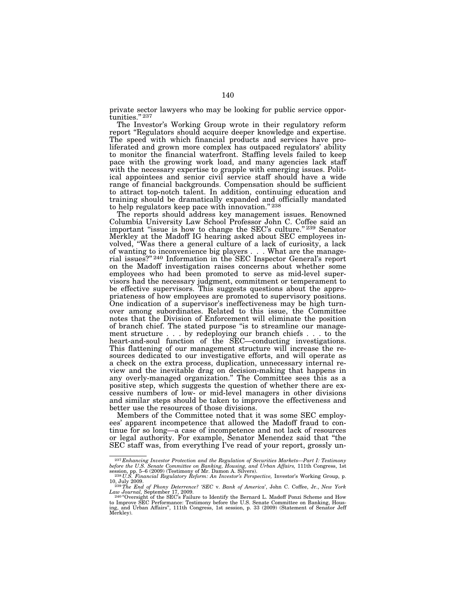private sector lawyers who may be looking for public service opportunities." 237

The Investor's Working Group wrote in their regulatory reform report ''Regulators should acquire deeper knowledge and expertise. The speed with which financial products and services have proliferated and grown more complex has outpaced regulators' ability to monitor the financial waterfront. Staffing levels failed to keep pace with the growing work load, and many agencies lack staff with the necessary expertise to grapple with emerging issues. Political appointees and senior civil service staff should have a wide range of financial backgrounds. Compensation should be sufficient to attract top-notch talent. In addition, continuing education and training should be dramatically expanded and officially mandated to help regulators keep pace with innovation." 238

The reports should address key management issues. Renowned Columbia University Law School Professor John C. Coffee said an important "issue is how to change the SEC's culture." <sup>239</sup> Senator Merkley at the Madoff IG hearing asked about SEC employees involved, ''Was there a general culture of a lack of curiosity, a lack of wanting to inconvenience big players . . . What are the managerial issues?'' 240 Information in the SEC Inspector General's report on the Madoff investigation raises concerns about whether some employees who had been promoted to serve as mid-level supervisors had the necessary judgment, commitment or temperament to be effective supervisors. This suggests questions about the appropriateness of how employees are promoted to supervisory positions. One indication of a supervisor's ineffectiveness may be high turnover among subordinates. Related to this issue, the Committee notes that the Division of Enforcement will eliminate the position of branch chief. The stated purpose ''is to streamline our management structure . . . by redeploying our branch chiefs . . . to the heart-and-soul function of the SEC—conducting investigations. This flattening of our management structure will increase the resources dedicated to our investigative efforts, and will operate as a check on the extra process, duplication, unnecessary internal review and the inevitable drag on decision-making that happens in any overly-managed organization.'' The Committee sees this as a positive step, which suggests the question of whether there are excessive numbers of low- or mid-level managers in other divisions and similar steps should be taken to improve the effectiveness and better use the resources of those divisions.

Members of the Committee noted that it was some SEC employees' apparent incompetence that allowed the Madoff fraud to continue for so long—a case of incompetence and not lack of resources or legal authority. For example, Senator Menendez said that ''the SEC staff was, from everything I've read of your report, grossly un-

<sup>&</sup>lt;sup>237</sup> Enhancing Investor Protection and the Regulation of Securities Markets—Part I: Testimony *before the U.S. Senate Committee on Banking, Housing, and Urban Affairs, 111th Congress, 1st* 

session, pp. 5–6 (2009) (Testimony of Mr. Damon A. Silvers). <br><sup>238</sup> *U.S. Financial Regulatory Reform: An Investor's Perspective, Investor's Working Group, p.*<br>10, July 2009.

<sup>10,</sup> July 2009. 239*The End of Phony Deterrence? 'SEC* v. *Bank of America*', John C. Coffee, Jr., *New York Law Journal,* September 17, 2009.<br><sup>240</sup> 'Oversight of the SEC's Failure to Identify the Bernard L. Madoff Ponzi Scheme and How

to Improve SEC Performance: Testimony before the U.S. Senate Committee on Banking, Hous-ing, and Urban Affairs'', 111th Congress, 1st session, p. 33 (2009) (Statement of Senator Jeff Merkley).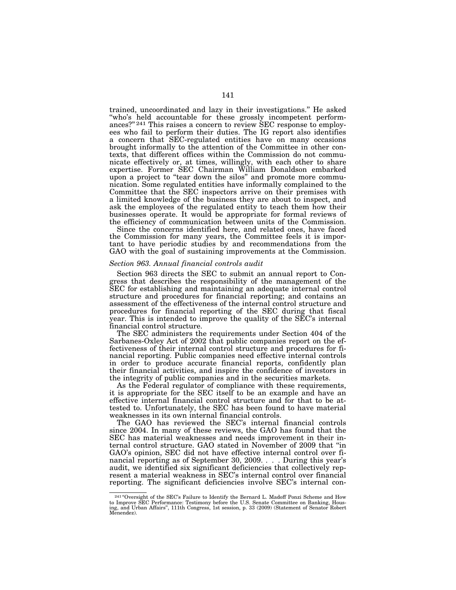trained, uncoordinated and lazy in their investigations.'' He asked ''who's held accountable for these grossly incompetent performances?"<sup>241</sup> This raises a concern to review SEC response to employees who fail to perform their duties. The IG report also identifies a concern that SEC-regulated entities have on many occasions brought informally to the attention of the Committee in other contexts, that different offices within the Commission do not communicate effectively or, at times, willingly, with each other to share expertise. Former SEC Chairman William Donaldson embarked upon a project to ''tear down the silos'' and promote more communication. Some regulated entities have informally complained to the Committee that the SEC inspectors arrive on their premises with a limited knowledge of the business they are about to inspect, and ask the employees of the regulated entity to teach them how their businesses operate. It would be appropriate for formal reviews of the efficiency of communication between units of the Commission.

Since the concerns identified here, and related ones, have faced the Commission for many years, the Committee feels it is important to have periodic studies by and recommendations from the GAO with the goal of sustaining improvements at the Commission.

#### *Section 963. Annual financial controls audit*

Section 963 directs the SEC to submit an annual report to Congress that describes the responsibility of the management of the SEC for establishing and maintaining an adequate internal control structure and procedures for financial reporting; and contains an assessment of the effectiveness of the internal control structure and procedures for financial reporting of the SEC during that fiscal year. This is intended to improve the quality of the SEC's internal financial control structure.

The SEC administers the requirements under Section 404 of the Sarbanes-Oxley Act of 2002 that public companies report on the effectiveness of their internal control structure and procedures for financial reporting. Public companies need effective internal controls in order to produce accurate financial reports, confidently plan their financial activities, and inspire the confidence of investors in the integrity of public companies and in the securities markets.

As the Federal regulator of compliance with these requirements, it is appropriate for the SEC itself to be an example and have an effective internal financial control structure and for that to be attested to. Unfortunately, the SEC has been found to have material weaknesses in its own internal financial controls.

The GAO has reviewed the SEC's internal financial controls since 2004. In many of these reviews, the GAO has found that the SEC has material weaknesses and needs improvement in their internal control structure. GAO stated in November of 2009 that ''in GAO's opinion, SEC did not have effective internal control over financial reporting as of September 30, 2009. . . . During this year's audit, we identified six significant deficiencies that collectively represent a material weakness in SEC's internal control over financial reporting. The significant deficiencies involve SEC's internal con-

<sup>&</sup>lt;sup>241</sup> "Oversight of the SEC's Failure to Identify the Bernard L. Madoff Ponzi Scheme and How to Improve SEC Performance: Testimony before the U.S. Senate Committee on Banking, Hous-ing, and Urban Affairs'', 111th Congress, 1st session, p. 33 (2009) (Statement of Senator Robert Menendez).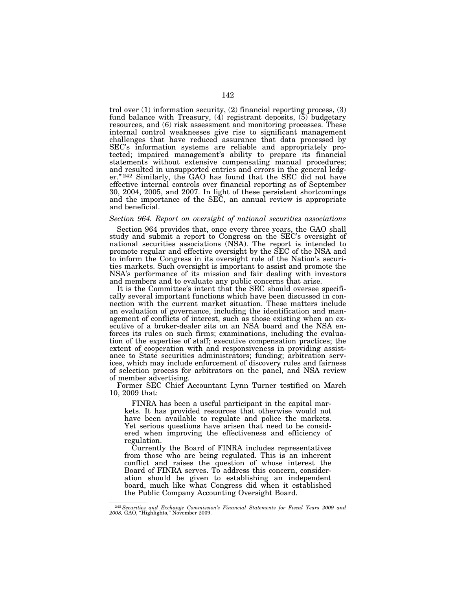trol over (1) information security, (2) financial reporting process, (3) fund balance with Treasury, (4) registrant deposits, (5) budgetary resources, and (6) risk assessment and monitoring processes. These internal control weaknesses give rise to significant management challenges that have reduced assurance that data processed by SEC's information systems are reliable and appropriately protected; impaired management's ability to prepare its financial statements without extensive compensating manual procedures; and resulted in unsupported entries and errors in the general ledger."<sup>242</sup> Similarly, the GAO has found that the SEC did not have effective internal controls over financial reporting as of September 30, 2004, 2005, and 2007. In light of these persistent shortcomings and the importance of the SEC, an annual review is appropriate and beneficial.

# *Section 964. Report on oversight of national securities associations*

Section 964 provides that, once every three years, the GAO shall study and submit a report to Congress on the SEC's oversight of national securities associations (NSA). The report is intended to promote regular and effective oversight by the SEC of the NSA and to inform the Congress in its oversight role of the Nation's securities markets. Such oversight is important to assist and promote the NSA's performance of its mission and fair dealing with investors and members and to evaluate any public concerns that arise.

It is the Committee's intent that the SEC should oversee specifically several important functions which have been discussed in connection with the current market situation. These matters include an evaluation of governance, including the identification and management of conflicts of interest, such as those existing when an executive of a broker-dealer sits on an NSA board and the NSA enforces its rules on such firms; examinations, including the evaluation of the expertise of staff; executive compensation practices; the extent of cooperation with and responsiveness in providing assistance to State securities administrators; funding; arbitration services, which may include enforcement of discovery rules and fairness of selection process for arbitrators on the panel, and NSA review of member advertising.

Former SEC Chief Accountant Lynn Turner testified on March 10, 2009 that:

FINRA has been a useful participant in the capital markets. It has provided resources that otherwise would not have been available to regulate and police the markets. Yet serious questions have arisen that need to be considered when improving the effectiveness and efficiency of regulation.

Currently the Board of FINRA includes representatives from those who are being regulated. This is an inherent conflict and raises the question of whose interest the Board of FINRA serves. To address this concern, consideration should be given to establishing an independent board, much like what Congress did when it established the Public Company Accounting Oversight Board.

<sup>242</sup>*Securities and Exchange Commission's Financial Statements for Fiscal Years 2009 and 2008,* GAO, ''Highlights,'' November 2009.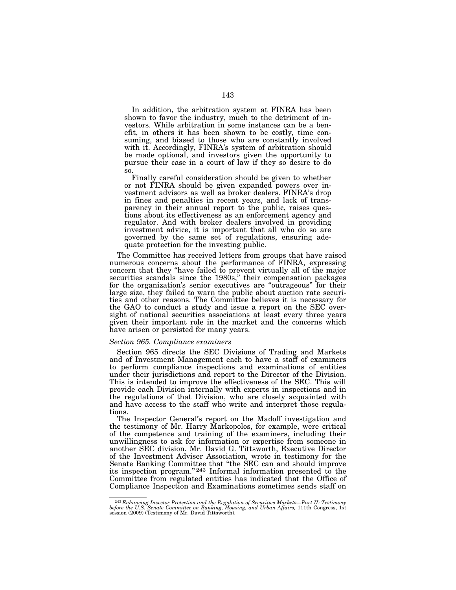In addition, the arbitration system at FINRA has been shown to favor the industry, much to the detriment of investors. While arbitration in some instances can be a benefit, in others it has been shown to be costly, time consuming, and biased to those who are constantly involved with it. Accordingly, FINRA's system of arbitration should be made optional, and investors given the opportunity to pursue their case in a court of law if they so desire to do so.

Finally careful consideration should be given to whether or not FINRA should be given expanded powers over investment advisors as well as broker dealers. FINRA's drop in fines and penalties in recent years, and lack of transparency in their annual report to the public, raises questions about its effectiveness as an enforcement agency and regulator. And with broker dealers involved in providing investment advice, it is important that all who do so are governed by the same set of regulations, ensuring adequate protection for the investing public.

The Committee has received letters from groups that have raised numerous concerns about the performance of FINRA, expressing concern that they ''have failed to prevent virtually all of the major securities scandals since the 1980s," their compensation packages for the organization's senior executives are ''outrageous'' for their large size, they failed to warn the public about auction rate securities and other reasons. The Committee believes it is necessary for the GAO to conduct a study and issue a report on the SEC oversight of national securities associations at least every three years given their important role in the market and the concerns which have arisen or persisted for many years.

#### *Section 965. Compliance examiners*

Section 965 directs the SEC Divisions of Trading and Markets and of Investment Management each to have a staff of examiners to perform compliance inspections and examinations of entities under their jurisdictions and report to the Director of the Division. This is intended to improve the effectiveness of the SEC. This will provide each Division internally with experts in inspections and in the regulations of that Division, who are closely acquainted with and have access to the staff who write and interpret those regulations.

The Inspector General's report on the Madoff investigation and the testimony of Mr. Harry Markopolos, for example, were critical of the competence and training of the examiners, including their unwillingness to ask for information or expertise from someone in another SEC division. Mr. David G. Tittsworth, Executive Director of the Investment Adviser Association, wrote in testimony for the Senate Banking Committee that ''the SEC can and should improve its inspection program.'' 243 Informal information presented to the Committee from regulated entities has indicated that the Office of Compliance Inspection and Examinations sometimes sends staff on

 $^{243}Enhancing Investor Protection and the Regulation of Securities Markets—Part II: Testingony before the U.S. Senate Committee on Banking, Housing, and Urban Affairs, 111th Congress, 1st session (2009) (Testimony of Mr. David Tittsworth).$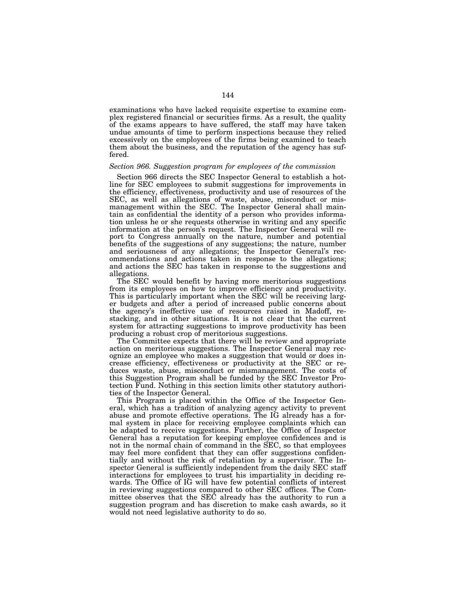examinations who have lacked requisite expertise to examine complex registered financial or securities firms. As a result, the quality of the exams appears to have suffered, the staff may have taken undue amounts of time to perform inspections because they relied excessively on the employees of the firms being examined to teach them about the business, and the reputation of the agency has suffered.

### *Section 966. Suggestion program for employees of the commission*

Section 966 directs the SEC Inspector General to establish a hotline for SEC employees to submit suggestions for improvements in the efficiency, effectiveness, productivity and use of resources of the SEC, as well as allegations of waste, abuse, misconduct or mismanagement within the SEC. The Inspector General shall maintain as confidential the identity of a person who provides information unless he or she requests otherwise in writing and any specific information at the person's request. The Inspector General will report to Congress annually on the nature, number and potential benefits of the suggestions of any suggestions; the nature, number and seriousness of any allegations; the Inspector General's recommendations and actions taken in response to the allegations; and actions the SEC has taken in response to the suggestions and allegations.

The SEC would benefit by having more meritorious suggestions from its employees on how to improve efficiency and productivity. This is particularly important when the SEC will be receiving larger budgets and after a period of increased public concerns about the agency's ineffective use of resources raised in Madoff, restacking, and in other situations. It is not clear that the current system for attracting suggestions to improve productivity has been producing a robust crop of meritorious suggestions.

The Committee expects that there will be review and appropriate action on meritorious suggestions. The Inspector General may recognize an employee who makes a suggestion that would or does increase efficiency, effectiveness or productivity at the SEC or reduces waste, abuse, misconduct or mismanagement. The costs of this Suggestion Program shall be funded by the SEC Investor Protection Fund. Nothing in this section limits other statutory authorities of the Inspector General.

This Program is placed within the Office of the Inspector General, which has a tradition of analyzing agency activity to prevent abuse and promote effective operations. The IG already has a formal system in place for receiving employee complaints which can be adapted to receive suggestions. Further, the Office of Inspector General has a reputation for keeping employee confidences and is not in the normal chain of command in the SEC, so that employees may feel more confident that they can offer suggestions confidentially and without the risk of retaliation by a supervisor. The Inspector General is sufficiently independent from the daily SEC staff interactions for employees to trust his impartiality in deciding rewards. The Office of IG will have few potential conflicts of interest in reviewing suggestions compared to other SEC offices. The Committee observes that the SEC already has the authority to run a suggestion program and has discretion to make cash awards, so it would not need legislative authority to do so.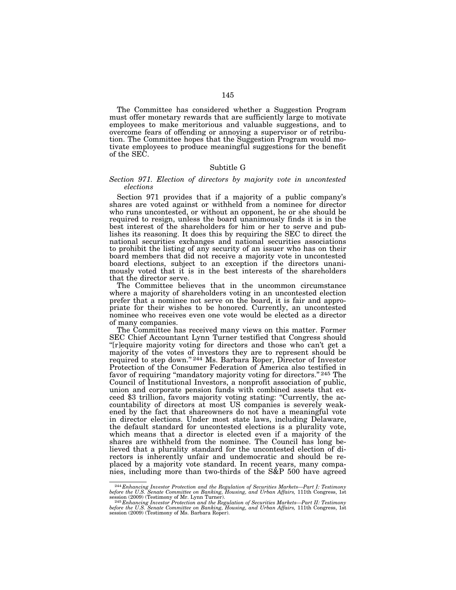The Committee has considered whether a Suggestion Program must offer monetary rewards that are sufficiently large to motivate employees to make meritorious and valuable suggestions, and to overcome fears of offending or annoying a supervisor or of retribution. The Committee hopes that the Suggestion Program would motivate employees to produce meaningful suggestions for the benefit of the SEC.

# Subtitle G

# *Section 971. Election of directors by majority vote in uncontested elections*

Section 971 provides that if a majority of a public company's shares are voted against or withheld from a nominee for director who runs uncontested, or without an opponent, he or she should be required to resign, unless the board unanimously finds it is in the best interest of the shareholders for him or her to serve and publishes its reasoning. It does this by requiring the SEC to direct the national securities exchanges and national securities associations to prohibit the listing of any security of an issuer who has on their board members that did not receive a majority vote in uncontested board elections, subject to an exception if the directors unanimously voted that it is in the best interests of the shareholders that the director serve.

The Committee believes that in the uncommon circumstance where a majority of shareholders voting in an uncontested election prefer that a nominee not serve on the board, it is fair and appropriate for their wishes to be honored. Currently, an uncontested nominee who receives even one vote would be elected as a director of many companies.

The Committee has received many views on this matter. Former SEC Chief Accountant Lynn Turner testified that Congress should "[r]equire majority voting for directors and those who can't get a majority of the votes of investors they are to represent should be required to step down."<sup>244</sup> Ms. Barbara Roper, Director of Investor Protection of the Consumer Federation of America also testified in favor of requiring "mandatory majority voting for directors." 245 The Council of Institutional Investors, a nonprofit association of public, union and corporate pension funds with combined assets that exceed \$3 trillion, favors majority voting stating: ''Currently, the accountability of directors at most US companies is severely weakened by the fact that shareowners do not have a meaningful vote in director elections. Under most state laws, including Delaware, the default standard for uncontested elections is a plurality vote, which means that a director is elected even if a majority of the shares are withheld from the nominee. The Council has long believed that a plurality standard for the uncontested election of directors is inherently unfair and undemocratic and should be replaced by a majority vote standard. In recent years, many companies, including more than two-thirds of the S&P 500 have agreed

<sup>&</sup>lt;sup>244</sup> Enhancing Investor Protection and the Regulation of Securities Markets—Part I: Testimony<br>before the U.S. Senate Committee on Banking, Housing, and Urban Affairs, 111th Congress, 1st<br>session (2009) (Testimony of Mr.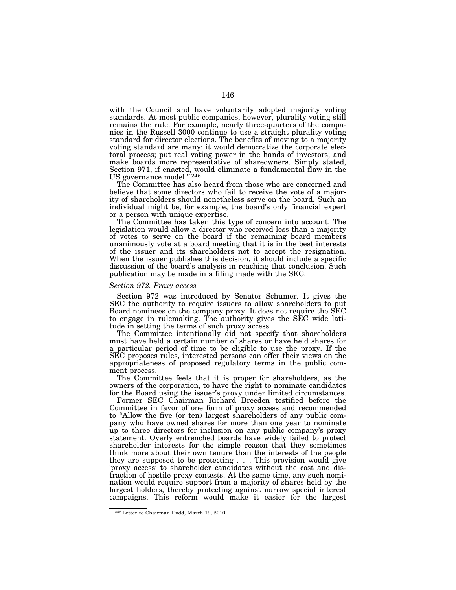with the Council and have voluntarily adopted majority voting standards. At most public companies, however, plurality voting still remains the rule. For example, nearly three-quarters of the companies in the Russell 3000 continue to use a straight plurality voting standard for director elections. The benefits of moving to a majority voting standard are many: it would democratize the corporate electoral process; put real voting power in the hands of investors; and make boards more representative of shareowners. Simply stated, Section 971, if enacted, would eliminate a fundamental flaw in the US governance model."<sup>246</sup>

The Committee has also heard from those who are concerned and believe that some directors who fail to receive the vote of a majority of shareholders should nonetheless serve on the board. Such an individual might be, for example, the board's only financial expert or a person with unique expertise.

The Committee has taken this type of concern into account. The legislation would allow a director who received less than a majority of votes to serve on the board if the remaining board members unanimously vote at a board meeting that it is in the best interests of the issuer and its shareholders not to accept the resignation. When the issuer publishes this decision, it should include a specific discussion of the board's analysis in reaching that conclusion. Such publication may be made in a filing made with the SEC.

# *Section 972. Proxy access*

Section 972 was introduced by Senator Schumer. It gives the SEC the authority to require issuers to allow shareholders to put Board nominees on the company proxy. It does not require the SEC to engage in rulemaking. The authority gives the SEC wide latitude in setting the terms of such proxy access.

The Committee intentionally did not specify that shareholders must have held a certain number of shares or have held shares for a particular period of time to be eligible to use the proxy. If the SEC proposes rules, interested persons can offer their views on the appropriateness of proposed regulatory terms in the public comment process.

The Committee feels that it is proper for shareholders, as the owners of the corporation, to have the right to nominate candidates for the Board using the issuer's proxy under limited circumstances.

Former SEC Chairman Richard Breeden testified before the Committee in favor of one form of proxy access and recommended to ''Allow the five (or ten) largest shareholders of any public company who have owned shares for more than one year to nominate up to three directors for inclusion on any public company's proxy statement. Overly entrenched boards have widely failed to protect shareholder interests for the simple reason that they sometimes think more about their own tenure than the interests of the people they are supposed to be protecting . . . This provision would give 'proxy access' to shareholder candidates without the cost and distraction of hostile proxy contests. At the same time, any such nomination would require support from a majority of shares held by the largest holders, thereby protecting against narrow special interest campaigns. This reform would make it easier for the largest

<sup>246</sup>Letter to Chairman Dodd, March 19, 2010.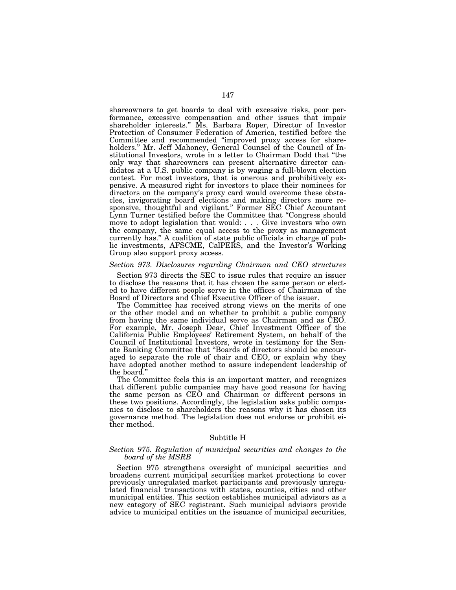shareowners to get boards to deal with excessive risks, poor performance, excessive compensation and other issues that impair shareholder interests.'' Ms. Barbara Roper, Director of Investor Protection of Consumer Federation of America, testified before the Committee and recommended ''improved proxy access for shareholders.'' Mr. Jeff Mahoney, General Counsel of the Council of Institutional Investors, wrote in a letter to Chairman Dodd that ''the only way that shareowners can present alternative director candidates at a U.S. public company is by waging a full-blown election contest. For most investors, that is onerous and prohibitively expensive. A measured right for investors to place their nominees for directors on the company's proxy card would overcome these obstacles, invigorating board elections and making directors more responsive, thoughtful and vigilant.'' Former SEC Chief Accountant Lynn Turner testified before the Committee that ''Congress should move to adopt legislation that would: . . . Give investors who own the company, the same equal access to the proxy as management currently has.'' A coalition of state public officials in charge of public investments, AFSCME, CalPERS, and the Investor's Working Group also support proxy access.

# *Section 973. Disclosures regarding Chairman and CEO structures*

Section 973 directs the SEC to issue rules that require an issuer to disclose the reasons that it has chosen the same person or elected to have different people serve in the offices of Chairman of the Board of Directors and Chief Executive Officer of the issuer.

The Committee has received strong views on the merits of one or the other model and on whether to prohibit a public company from having the same individual serve as Chairman and as CEO. For example, Mr. Joseph Dear, Chief Investment Officer of the California Public Employees' Retirement System, on behalf of the Council of Institutional Investors, wrote in testimony for the Senate Banking Committee that ''Boards of directors should be encouraged to separate the role of chair and CEO, or explain why they have adopted another method to assure independent leadership of the board.''

The Committee feels this is an important matter, and recognizes that different public companies may have good reasons for having the same person as CEO and Chairman or different persons in these two positions. Accordingly, the legislation asks public companies to disclose to shareholders the reasons why it has chosen its governance method. The legislation does not endorse or prohibit either method.

#### Subtitle H

# *Section 975. Regulation of municipal securities and changes to the board of the MSRB*

Section 975 strengthens oversight of municipal securities and broadens current municipal securities market protections to cover previously unregulated market participants and previously unregulated financial transactions with states, counties, cities and other municipal entities. This section establishes municipal advisors as a new category of SEC registrant. Such municipal advisors provide advice to municipal entities on the issuance of municipal securities,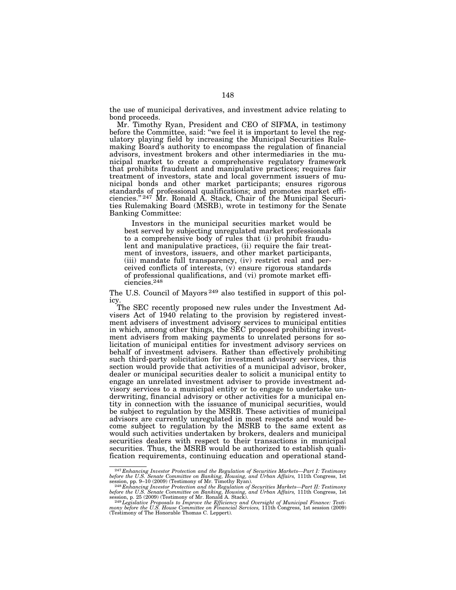the use of municipal derivatives, and investment advice relating to bond proceeds.

Mr. Timothy Ryan, President and CEO of SIFMA, in testimony before the Committee, said: ''we feel it is important to level the regulatory playing field by increasing the Municipal Securities Rulemaking Board's authority to encompass the regulation of financial advisors, investment brokers and other intermediaries in the municipal market to create a comprehensive regulatory framework that prohibits fraudulent and manipulative practices; requires fair treatment of investors, state and local government issuers of municipal bonds and other market participants; ensures rigorous standards of professional qualifications; and promotes market efficiencies.'' 247 Mr. Ronald A. Stack, Chair of the Municipal Securities Rulemaking Board (MSRB), wrote in testimony for the Senate Banking Committee:

Investors in the municipal securities market would be best served by subjecting unregulated market professionals to a comprehensive body of rules that (i) prohibit fraudulent and manipulative practices, (ii) require the fair treatment of investors, issuers, and other market participants, (iii) mandate full transparency, (iv) restrict real and perceived conflicts of interests, (v) ensure rigorous standards of professional qualifications, and (vi) promote market efficiencies.248

The U.S. Council of Mayors<sup>249</sup> also testified in support of this policy.

The SEC recently proposed new rules under the Investment Advisers Act of 1940 relating to the provision by registered investment advisers of investment advisory services to municipal entities in which, among other things, the SEC proposed prohibiting investment advisers from making payments to unrelated persons for solicitation of municipal entities for investment advisory services on behalf of investment advisers. Rather than effectively prohibiting such third-party solicitation for investment advisory services, this section would provide that activities of a municipal advisor, broker, dealer or municipal securities dealer to solicit a municipal entity to engage an unrelated investment adviser to provide investment advisory services to a municipal entity or to engage to undertake underwriting, financial advisory or other activities for a municipal entity in connection with the issuance of municipal securities, would be subject to regulation by the MSRB. These activities of municipal advisors are currently unregulated in most respects and would become subject to regulation by the MSRB to the same extent as would such activities undertaken by brokers, dealers and municipal securities dealers with respect to their transactions in municipal securities. Thus, the MSRB would be authorized to establish qualification requirements, continuing education and operational stand-

<sup>&</sup>lt;sup>247</sup> Enhancing Investor Protection and the Regulation of Securities Markets—Part I: Testimony<br>before the U.S. Senate Committee on Banking, Housing, and Urban Affairs, 111th Congress, 1st<br>session, pp. 9–10 (2009) (Testimo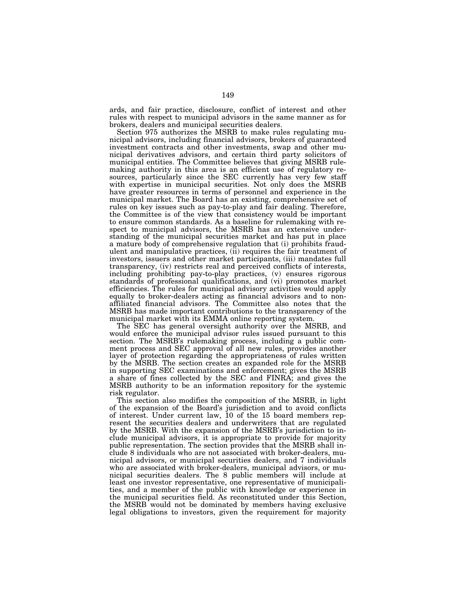ards, and fair practice, disclosure, conflict of interest and other rules with respect to municipal advisors in the same manner as for brokers, dealers and municipal securities dealers.

Section 975 authorizes the MSRB to make rules regulating municipal advisors, including financial advisors, brokers of guaranteed investment contracts and other investments, swap and other municipal derivatives advisors, and certain third party solicitors of municipal entities. The Committee believes that giving MSRB rulemaking authority in this area is an efficient use of regulatory resources, particularly since the SEC currently has very few staff with expertise in municipal securities. Not only does the MSRB have greater resources in terms of personnel and experience in the municipal market. The Board has an existing, comprehensive set of rules on key issues such as pay-to-play and fair dealing. Therefore, the Committee is of the view that consistency would be important to ensure common standards. As a baseline for rulemaking with respect to municipal advisors, the MSRB has an extensive understanding of the municipal securities market and has put in place a mature body of comprehensive regulation that (i) prohibits fraudulent and manipulative practices, (ii) requires the fair treatment of investors, issuers and other market participants, (iii) mandates full transparency, (iv) restricts real and perceived conflicts of interests, including prohibiting pay-to-play practices, (v) ensures rigorous standards of professional qualifications, and (vi) promotes market efficiencies. The rules for municipal advisory activities would apply equally to broker-dealers acting as financial advisors and to nonaffiliated financial advisors. The Committee also notes that the MSRB has made important contributions to the transparency of the municipal market with its EMMA online reporting system.

The SEC has general oversight authority over the MSRB, and would enforce the municipal advisor rules issued pursuant to this section. The MSRB's rulemaking process, including a public comment process and SEC approval of all new rules, provides another layer of protection regarding the appropriateness of rules written by the MSRB. The section creates an expanded role for the MSRB in supporting SEC examinations and enforcement; gives the MSRB a share of fines collected by the SEC and FINRA; and gives the MSRB authority to be an information repository for the systemic risk regulator.

This section also modifies the composition of the MSRB, in light of the expansion of the Board's jurisdiction and to avoid conflicts of interest. Under current law, 10 of the 15 board members represent the securities dealers and underwriters that are regulated by the MSRB. With the expansion of the MSRB's jurisdiction to include municipal advisors, it is appropriate to provide for majority public representation. The section provides that the MSRB shall include 8 individuals who are not associated with broker-dealers, municipal advisors, or municipal securities dealers, and 7 individuals who are associated with broker-dealers, municipal advisors, or municipal securities dealers. The 8 public members will include at least one investor representative, one representative of municipalities, and a member of the public with knowledge or experience in the municipal securities field. As reconstituted under this Section, the MSRB would not be dominated by members having exclusive legal obligations to investors, given the requirement for majority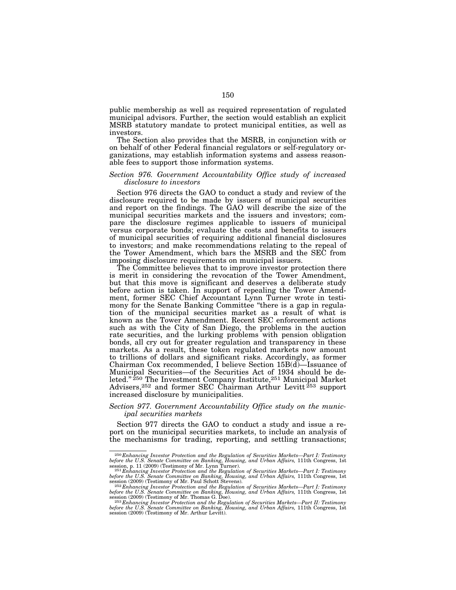public membership as well as required representation of regulated municipal advisors. Further, the section would establish an explicit MSRB statutory mandate to protect municipal entities, as well as investors.

The Section also provides that the MSRB, in conjunction with or on behalf of other Federal financial regulators or self-regulatory organizations, may establish information systems and assess reasonable fees to support those information systems.

# *Section 976. Government Accountability Office study of increased disclosure to investors*

Section 976 directs the GAO to conduct a study and review of the disclosure required to be made by issuers of municipal securities and report on the findings. The GAO will describe the size of the municipal securities markets and the issuers and investors; compare the disclosure regimes applicable to issuers of municipal versus corporate bonds; evaluate the costs and benefits to issuers of municipal securities of requiring additional financial disclosures to investors; and make recommendations relating to the repeal of the Tower Amendment, which bars the MSRB and the SEC from imposing disclosure requirements on municipal issuers.

The Committee believes that to improve investor protection there is merit in considering the revocation of the Tower Amendment, but that this move is significant and deserves a deliberate study before action is taken. In support of repealing the Tower Amendment, former SEC Chief Accountant Lynn Turner wrote in testimony for the Senate Banking Committee "there is a gap in regulation of the municipal securities market as a result of what is known as the Tower Amendment. Recent SEC enforcement actions such as with the City of San Diego, the problems in the auction rate securities, and the lurking problems with pension obligation bonds, all cry out for greater regulation and transparency in these markets. As a result, these token regulated markets now amount to trillions of dollars and significant risks. Accordingly, as former Chairman Cox recommended, I believe Section 15B(d)—Issuance of Municipal Securities—of the Securities Act of 1934 should be deleted."<sup>250</sup> The Investment Company Institute,<sup>251</sup> Municipal Market Advisers,<sup>252</sup> and former SEC Chairman Arthur Levitt<sup>253</sup> support increased disclosure by municipalities.

# *Section 977. Government Accountability Office study on the municipal securities markets*

Section 977 directs the GAO to conduct a study and issue a report on the municipal securities markets, to include an analysis of the mechanisms for trading, reporting, and settling transactions;

<sup>&</sup>lt;sup>250</sup>Enhancing Investor Protection and the Regulation of Securities Markets—Part I: Testimony<br>before the U.S. Senate Committee on Banking, Housing, and Urban Affairs, 111th Congress, 1st<br>session, p. 11 (2009) (Testimony o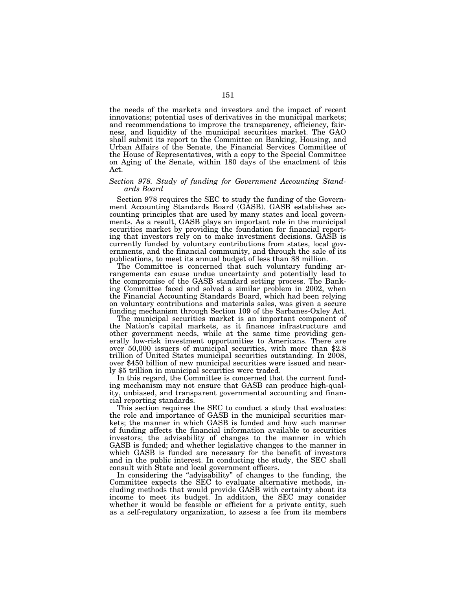the needs of the markets and investors and the impact of recent innovations; potential uses of derivatives in the municipal markets; and recommendations to improve the transparency, efficiency, fairness, and liquidity of the municipal securities market. The GAO shall submit its report to the Committee on Banking, Housing, and Urban Affairs of the Senate, the Financial Services Committee of the House of Representatives, with a copy to the Special Committee on Aging of the Senate, within 180 days of the enactment of this Act.

# *Section 978. Study of funding for Government Accounting Standards Board*

Section 978 requires the SEC to study the funding of the Government Accounting Standards Board (GASB). GASB establishes accounting principles that are used by many states and local governments. As a result, GASB plays an important role in the municipal securities market by providing the foundation for financial reporting that investors rely on to make investment decisions. GASB is currently funded by voluntary contributions from states, local governments, and the financial community, and through the sale of its publications, to meet its annual budget of less than \$8 million.

The Committee is concerned that such voluntary funding arrangements can cause undue uncertainty and potentially lead to the compromise of the GASB standard setting process. The Banking Committee faced and solved a similar problem in 2002, when the Financial Accounting Standards Board, which had been relying on voluntary contributions and materials sales, was given a secure funding mechanism through Section 109 of the Sarbanes-Oxley Act.

The municipal securities market is an important component of the Nation's capital markets, as it finances infrastructure and other government needs, while at the same time providing generally low-risk investment opportunities to Americans. There are over 50,000 issuers of municipal securities, with more than \$2.8 trillion of United States municipal securities outstanding. In 2008, over \$450 billion of new municipal securities were issued and nearly \$5 trillion in municipal securities were traded.

In this regard, the Committee is concerned that the current funding mechanism may not ensure that GASB can produce high-quality, unbiased, and transparent governmental accounting and financial reporting standards.

This section requires the SEC to conduct a study that evaluates: the role and importance of GASB in the municipal securities markets; the manner in which GASB is funded and how such manner of funding affects the financial information available to securities investors; the advisability of changes to the manner in which GASB is funded; and whether legislative changes to the manner in which GASB is funded are necessary for the benefit of investors and in the public interest. In conducting the study, the SEC shall consult with State and local government officers.

In considering the ''advisability'' of changes to the funding, the Committee expects the SEC to evaluate alternative methods, including methods that would provide GASB with certainty about its income to meet its budget. In addition, the SEC may consider whether it would be feasible or efficient for a private entity, such as a self-regulatory organization, to assess a fee from its members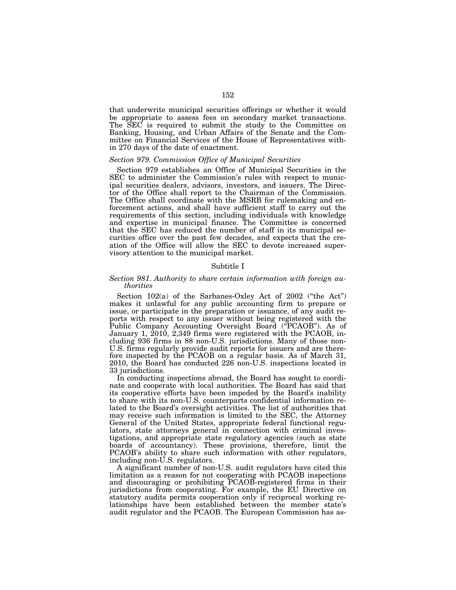that underwrite municipal securities offerings or whether it would be appropriate to assess fees on secondary market transactions. The SEC is required to submit the study to the Committee on Banking, Housing, and Urban Affairs of the Senate and the Committee on Financial Services of the House of Representatives within 270 days of the date of enactment.

# *Section 979. Commission Office of Municipal Securities*

Section 979 establishes an Office of Municipal Securities in the SEC to administer the Commission's rules with respect to municipal securities dealers, advisors, investors, and issuers. The Director of the Office shall report to the Chairman of the Commission. The Office shall coordinate with the MSRB for rulemaking and enforcement actions, and shall have sufficient staff to carry out the requirements of this section, including individuals with knowledge and expertise in municipal finance. The Committee is concerned that the SEC has reduced the number of staff in its municipal securities office over the past few decades, and expects that the creation of the Office will allow the SEC to devote increased supervisory attention to the municipal market.

# Subtitle I

# *Section 981. Authority to share certain information with foreign authorities*

Section 102(a) of the Sarbanes-Oxley Act of 2002 ("the Act") makes it unlawful for any public accounting firm to prepare or issue, or participate in the preparation or issuance, of any audit reports with respect to any issuer without being registered with the Public Company Accounting Oversight Board (''PCAOB''). As of January 1, 2010, 2,349 firms were registered with the PCAOB, including 936 firms in 88 non-U.S. jurisdictions. Many of those non-U.S. firms regularly provide audit reports for issuers and are therefore inspected by the PCAOB on a regular basis. As of March 31, 2010, the Board has conducted 226 non-U.S. inspections located in 33 jurisdictions.

In conducting inspections abroad, the Board has sought to coordinate and cooperate with local authorities. The Board has said that its cooperative efforts have been impeded by the Board's inability to share with its non-U.S. counterparts confidential information related to the Board's oversight activities. The list of authorities that may receive such information is limited to the SEC, the Attorney General of the United States, appropriate federal functional regulators, state attorneys general in connection with criminal investigations, and appropriate state regulatory agencies (such as state boards of accountancy). These provisions, therefore, limit the PCAOB's ability to share such information with other regulators, including non-U.S. regulators.

A significant number of non-U.S. audit regulators have cited this limitation as a reason for not cooperating with PCAOB inspections and discouraging or prohibiting PCAOB-registered firms in their jurisdictions from cooperating. For example, the EU Directive on statutory audits permits cooperation only if reciprocal working relationships have been established between the member state's audit regulator and the PCAOB. The European Commission has as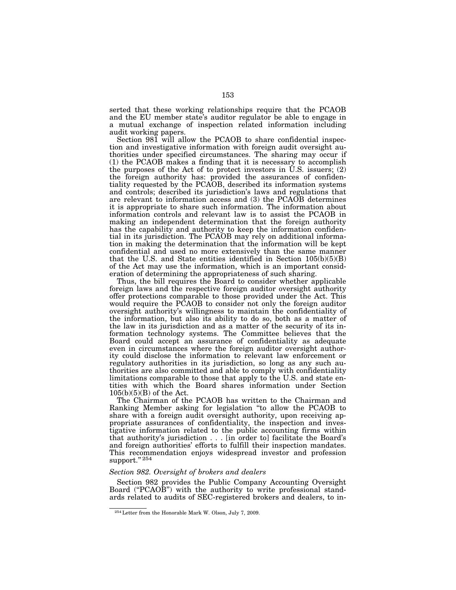serted that these working relationships require that the PCAOB and the EU member state's auditor regulator be able to engage in a mutual exchange of inspection related information including audit working papers.

Section 981 will allow the PCAOB to share confidential inspection and investigative information with foreign audit oversight authorities under specified circumstances. The sharing may occur if (1) the PCAOB makes a finding that it is necessary to accomplish the purposes of the Act of to protect investors in U.S. issuers; (2) the foreign authority has: provided the assurances of confidentiality requested by the PCAOB, described its information systems and controls; described its jurisdiction's laws and regulations that are relevant to information access and (3) the PCAOB determines it is appropriate to share such information. The information about information controls and relevant law is to assist the PCAOB in making an independent determination that the foreign authority has the capability and authority to keep the information confidential in its jurisdiction. The PCAOB may rely on additional information in making the determination that the information will be kept confidential and used no more extensively than the same manner that the U.S. and State entities identified in Section  $105(b)(5)(B)$ of the Act may use the information, which is an important consideration of determining the appropriateness of such sharing.

Thus, the bill requires the Board to consider whether applicable foreign laws and the respective foreign auditor oversight authority offer protections comparable to those provided under the Act. This would require the PCAOB to consider not only the foreign auditor oversight authority's willingness to maintain the confidentiality of the information, but also its ability to do so, both as a matter of the law in its jurisdiction and as a matter of the security of its information technology systems. The Committee believes that the Board could accept an assurance of confidentiality as adequate even in circumstances where the foreign auditor oversight authority could disclose the information to relevant law enforcement or regulatory authorities in its jurisdiction, so long as any such authorities are also committed and able to comply with confidentiality limitations comparable to those that apply to the U.S. and state entities with which the Board shares information under Section  $105(b)(5)(B)$  of the Act.

The Chairman of the PCAOB has written to the Chairman and Ranking Member asking for legislation ''to allow the PCAOB to share with a foreign audit oversight authority, upon receiving appropriate assurances of confidentiality, the inspection and investigative information related to the public accounting firms within that authority's jurisdiction . . . [in order to] facilitate the Board's and foreign authorities' efforts to fulfill their inspection mandates. This recommendation enjoys widespread investor and profession support."<sup>254</sup>

### *Section 982. Oversight of brokers and dealers*

Section 982 provides the Public Company Accounting Oversight Board ("PCAOB") with the authority to write professional standards related to audits of SEC-registered brokers and dealers, to in-

<sup>254</sup>Letter from the Honorable Mark W. Olson, July 7, 2009.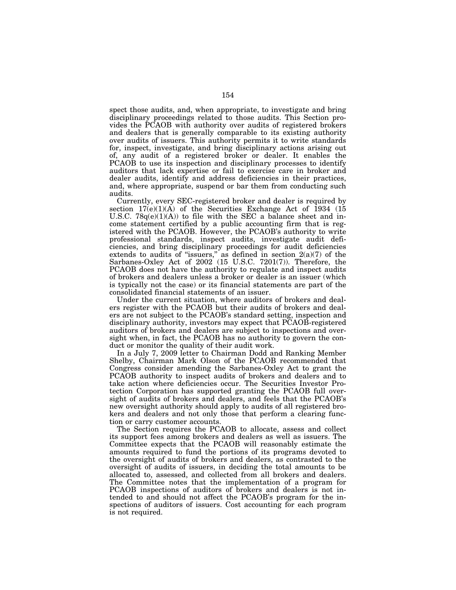spect those audits, and, when appropriate, to investigate and bring disciplinary proceedings related to those audits. This Section provides the PCAOB with authority over audits of registered brokers and dealers that is generally comparable to its existing authority over audits of issuers. This authority permits it to write standards for, inspect, investigate, and bring disciplinary actions arising out of, any audit of a registered broker or dealer. It enables the PCAOB to use its inspection and disciplinary processes to identify auditors that lack expertise or fail to exercise care in broker and dealer audits, identify and address deficiencies in their practices, and, where appropriate, suspend or bar them from conducting such audits.

Currently, every SEC-registered broker and dealer is required by section  $17(e)(1)(A)$  of the Securities Exchange Act of 1934 (15 U.S.C. 78q(e)(1)(A)) to file with the SEC a balance sheet and income statement certified by a public accounting firm that is registered with the PCAOB. However, the PCAOB's authority to write professional standards, inspect audits, investigate audit deficiencies, and bring disciplinary proceedings for audit deficiencies extends to audits of "issuers," as defined in section  $2(a)(7)$  of the Sarbanes-Oxley Act of 2002 (15 U.S.C. 7201(7)). Therefore, the PCAOB does not have the authority to regulate and inspect audits of brokers and dealers unless a broker or dealer is an issuer (which is typically not the case) or its financial statements are part of the consolidated financial statements of an issuer.

Under the current situation, where auditors of brokers and dealers register with the PCAOB but their audits of brokers and dealers are not subject to the PCAOB's standard setting, inspection and disciplinary authority, investors may expect that PCAOB-registered auditors of brokers and dealers are subject to inspections and oversight when, in fact, the PCAOB has no authority to govern the conduct or monitor the quality of their audit work.

In a July 7, 2009 letter to Chairman Dodd and Ranking Member Shelby, Chairman Mark Olson of the PCAOB recommended that Congress consider amending the Sarbanes-Oxley Act to grant the PCAOB authority to inspect audits of brokers and dealers and to take action where deficiencies occur. The Securities Investor Protection Corporation has supported granting the PCAOB full oversight of audits of brokers and dealers, and feels that the PCAOB's new oversight authority should apply to audits of all registered brokers and dealers and not only those that perform a clearing function or carry customer accounts.

The Section requires the PCAOB to allocate, assess and collect its support fees among brokers and dealers as well as issuers. The Committee expects that the PCAOB will reasonably estimate the amounts required to fund the portions of its programs devoted to the oversight of audits of brokers and dealers, as contrasted to the oversight of audits of issuers, in deciding the total amounts to be allocated to, assessed, and collected from all brokers and dealers. The Committee notes that the implementation of a program for PCAOB inspections of auditors of brokers and dealers is not intended to and should not affect the PCAOB's program for the inspections of auditors of issuers. Cost accounting for each program is not required.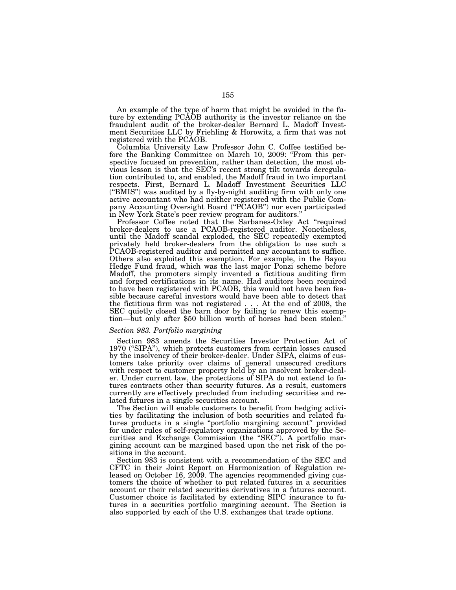An example of the type of harm that might be avoided in the future by extending PCAOB authority is the investor reliance on the fraudulent audit of the broker-dealer Bernard L. Madoff Investment Securities LLC by Friehling & Horowitz, a firm that was not registered with the PCAOB.

Columbia University Law Professor John C. Coffee testified before the Banking Committee on March 10, 2009: "From this perspective focused on prevention, rather than detection, the most obvious lesson is that the SEC's recent strong tilt towards deregulation contributed to, and enabled, the Madoff fraud in two important respects. First, Bernard L. Madoff Investment Securities LLC (''BMIS'') was audited by a fly-by-night auditing firm with only one active accountant who had neither registered with the Public Company Accounting Oversight Board (''PCAOB'') nor even participated in New York State's peer review program for auditors.''

Professor Coffee noted that the Sarbanes-Oxley Act ''required broker-dealers to use a PCAOB-registered auditor. Nonetheless, until the Madoff scandal exploded, the SEC repeatedly exempted privately held broker-dealers from the obligation to use such a PCAOB-registered auditor and permitted any accountant to suffice. Others also exploited this exemption. For example, in the Bayou Hedge Fund fraud, which was the last major Ponzi scheme before Madoff, the promoters simply invented a fictitious auditing firm and forged certifications in its name. Had auditors been required to have been registered with PCAOB, this would not have been feasible because careful investors would have been able to detect that the fictitious firm was not registered . . . At the end of 2008, the SEC quietly closed the barn door by failing to renew this exemption—but only after \$50 billion worth of horses had been stolen.''

# *Section 983. Portfolio margining*

Section 983 amends the Securities Investor Protection Act of 1970 (''SIPA''), which protects customers from certain losses caused by the insolvency of their broker-dealer. Under SIPA, claims of customers take priority over claims of general unsecured creditors with respect to customer property held by an insolvent broker-dealer. Under current law, the protections of SIPA do not extend to futures contracts other than security futures. As a result, customers currently are effectively precluded from including securities and related futures in a single securities account.

The Section will enable customers to benefit from hedging activities by facilitating the inclusion of both securities and related futures products in a single ''portfolio margining account'' provided for under rules of self-regulatory organizations approved by the Securities and Exchange Commission (the "SEC"). A portfolio margining account can be margined based upon the net risk of the positions in the account.

Section 983 is consistent with a recommendation of the SEC and CFTC in their Joint Report on Harmonization of Regulation released on October 16, 2009. The agencies recommended giving customers the choice of whether to put related futures in a securities account or their related securities derivatives in a futures account. Customer choice is facilitated by extending SIPC insurance to futures in a securities portfolio margining account. The Section is also supported by each of the U.S. exchanges that trade options.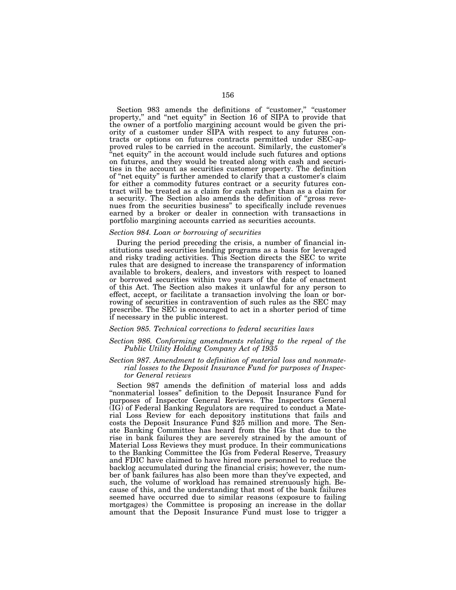Section 983 amends the definitions of ''customer,'' ''customer property,'' and ''net equity'' in Section 16 of SIPA to provide that the owner of a portfolio margining account would be given the priority of a customer under SIPA with respect to any futures contracts or options on futures contracts permitted under SEC-approved rules to be carried in the account. Similarly, the customer's "net equity" in the account would include such futures and options on futures, and they would be treated along with cash and securities in the account as securities customer property. The definition of ''net equity'' is further amended to clarify that a customer's claim for either a commodity futures contract or a security futures contract will be treated as a claim for cash rather than as a claim for a security. The Section also amends the definition of ''gross revenues from the securities business'' to specifically include revenues earned by a broker or dealer in connection with transactions in portfolio margining accounts carried as securities accounts.

# *Section 984. Loan or borrowing of securities*

During the period preceding the crisis, a number of financial institutions used securities lending programs as a basis for leveraged and risky trading activities. This Section directs the SEC to write rules that are designed to increase the transparency of information available to brokers, dealers, and investors with respect to loaned or borrowed securities within two years of the date of enactment of this Act. The Section also makes it unlawful for any person to effect, accept, or facilitate a transaction involving the loan or borrowing of securities in contravention of such rules as the SEC may prescribe. The SEC is encouraged to act in a shorter period of time if necessary in the public interest.

### *Section 985. Technical corrections to federal securities laws*

# *Section 986. Conforming amendments relating to the repeal of the Public Utility Holding Company Act of 1935*

# *Section 987. Amendment to definition of material loss and nonmaterial losses to the Deposit Insurance Fund for purposes of Inspector General reviews*

Section 987 amends the definition of material loss and adds "nonmaterial losses" definition to the Deposit Insurance Fund for purposes of Inspector General Reviews. The Inspectors General (IG) of Federal Banking Regulators are required to conduct a Material Loss Review for each depository institutions that fails and costs the Deposit Insurance Fund \$25 million and more. The Senate Banking Committee has heard from the IGs that due to the rise in bank failures they are severely strained by the amount of Material Loss Reviews they must produce. In their communications to the Banking Committee the IGs from Federal Reserve, Treasury and FDIC have claimed to have hired more personnel to reduce the backlog accumulated during the financial crisis; however, the number of bank failures has also been more than they've expected, and such, the volume of workload has remained strenuously high. Because of this, and the understanding that most of the bank failures seemed have occurred due to similar reasons (exposure to failing mortgages) the Committee is proposing an increase in the dollar amount that the Deposit Insurance Fund must lose to trigger a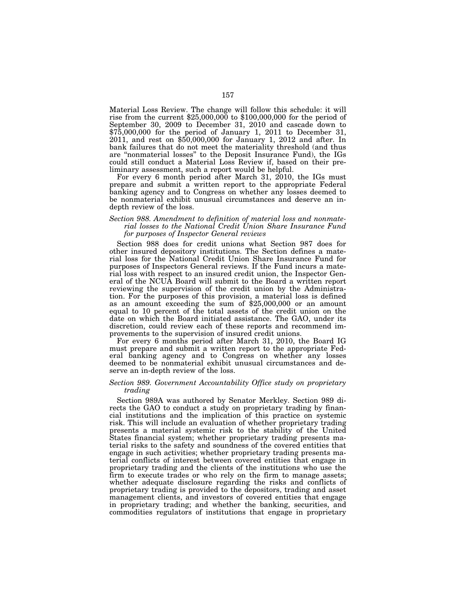Material Loss Review. The change will follow this schedule: it will rise from the current \$25,000,000 to \$100,000,000 for the period of September 30, 2009 to December 31, 2010 and cascade down to \$75,000,000 for the period of January 1, 2011 to December 31, 2011, and rest on \$50,000,000 for January 1, 2012 and after. In bank failures that do not meet the materiality threshold (and thus are ''nonmaterial losses'' to the Deposit Insurance Fund), the IGs could still conduct a Material Loss Review if, based on their preliminary assessment, such a report would be helpful.

For every 6 month period after March 31, 2010, the IGs must prepare and submit a written report to the appropriate Federal banking agency and to Congress on whether any losses deemed to be nonmaterial exhibit unusual circumstances and deserve an indepth review of the loss.

# *Section 988. Amendment to definition of material loss and nonmaterial losses to the National Credit Union Share Insurance Fund for purposes of Inspector General reviews*

Section 988 does for credit unions what Section 987 does for other insured depository institutions. The Section defines a material loss for the National Credit Union Share Insurance Fund for purposes of Inspectors General reviews. If the Fund incurs a material loss with respect to an insured credit union, the Inspector General of the NCUA Board will submit to the Board a written report reviewing the supervision of the credit union by the Administration. For the purposes of this provision, a material loss is defined as an amount exceeding the sum of \$25,000,000 or an amount equal to 10 percent of the total assets of the credit union on the date on which the Board initiated assistance. The GAO, under its discretion, could review each of these reports and recommend improvements to the supervision of insured credit unions.

For every 6 months period after March 31, 2010, the Board IG must prepare and submit a written report to the appropriate Federal banking agency and to Congress on whether any losses deemed to be nonmaterial exhibit unusual circumstances and deserve an in-depth review of the loss.

# *Section 989. Government Accountability Office study on proprietary trading*

Section 989A was authored by Senator Merkley. Section 989 directs the GAO to conduct a study on proprietary trading by financial institutions and the implication of this practice on systemic risk. This will include an evaluation of whether proprietary trading presents a material systemic risk to the stability of the United States financial system; whether proprietary trading presents material risks to the safety and soundness of the covered entities that engage in such activities; whether proprietary trading presents material conflicts of interest between covered entities that engage in proprietary trading and the clients of the institutions who use the firm to execute trades or who rely on the firm to manage assets; whether adequate disclosure regarding the risks and conflicts of proprietary trading is provided to the depositors, trading and asset management clients, and investors of covered entities that engage in proprietary trading; and whether the banking, securities, and commodities regulators of institutions that engage in proprietary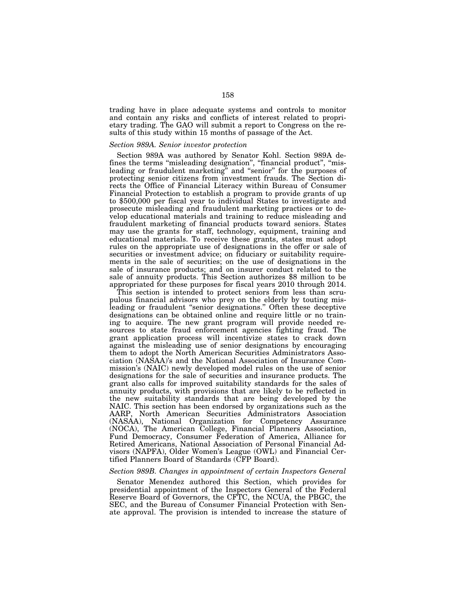trading have in place adequate systems and controls to monitor and contain any risks and conflicts of interest related to proprietary trading. The GAO will submit a report to Congress on the results of this study within 15 months of passage of the Act.

### *Section 989A. Senior investor protection*

Section 989A was authored by Senator Kohl. Section 989A defines the terms "misleading designation", "financial product", "misleading or fraudulent marketing" and "senior" for the purposes of protecting senior citizens from investment frauds. The Section directs the Office of Financial Literacy within Bureau of Consumer Financial Protection to establish a program to provide grants of up to \$500,000 per fiscal year to individual States to investigate and prosecute misleading and fraudulent marketing practices or to develop educational materials and training to reduce misleading and fraudulent marketing of financial products toward seniors. States may use the grants for staff, technology, equipment, training and educational materials. To receive these grants, states must adopt rules on the appropriate use of designations in the offer or sale of securities or investment advice; on fiduciary or suitability requirements in the sale of securities; on the use of designations in the sale of insurance products; and on insurer conduct related to the sale of annuity products. This Section authorizes \$8 million to be appropriated for these purposes for fiscal years 2010 through 2014.

This section is intended to protect seniors from less than scrupulous financial advisors who prey on the elderly by touting misleading or fraudulent ''senior designations.'' Often these deceptive designations can be obtained online and require little or no training to acquire. The new grant program will provide needed resources to state fraud enforcement agencies fighting fraud. The grant application process will incentivize states to crack down against the misleading use of senior designations by encouraging them to adopt the North American Securities Administrators Association (NASAA)'s and the National Association of Insurance Commission's (NAIC) newly developed model rules on the use of senior designations for the sale of securities and insurance products. The grant also calls for improved suitability standards for the sales of annuity products, with provisions that are likely to be reflected in the new suitability standards that are being developed by the NAIC. This section has been endorsed by organizations such as the AARP, North American Securities Administrators Association (NASAA), National Organization for Competency Assurance (NOCA), The American College, Financial Planners Association, Fund Democracy, Consumer Federation of America, Alliance for Retired Americans, National Association of Personal Financial Advisors (NAPFA), Older Women's League (OWL) and Financial Certified Planners Board of Standards (CFP Board).

### *Section 989B. Changes in appointment of certain Inspectors General*

Senator Menendez authored this Section, which provides for presidential appointment of the Inspectors General of the Federal Reserve Board of Governors, the CFTC, the NCUA, the PBGC, the SEC, and the Bureau of Consumer Financial Protection with Senate approval. The provision is intended to increase the stature of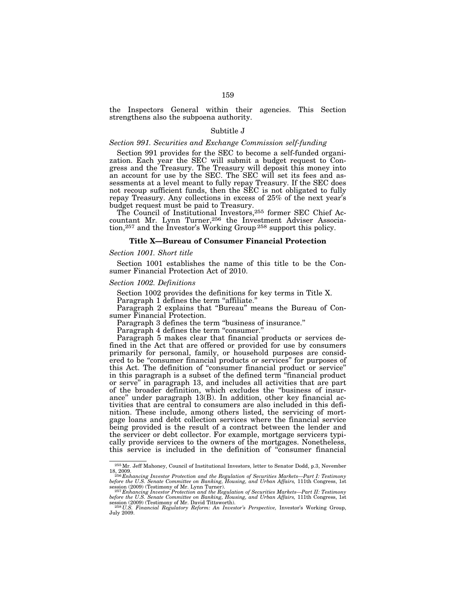the Inspectors General within their agencies. This Section strengthens also the subpoena authority.

# Subtitle J

# *Section 991. Securities and Exchange Commission self-funding*

Section 991 provides for the SEC to become a self-funded organization. Each year the SEC will submit a budget request to Congress and the Treasury. The Treasury will deposit this money into an account for use by the SEC. The SEC will set its fees and assessments at a level meant to fully repay Treasury. If the SEC does not recoup sufficient funds, then the SEC is not obligated to fully repay Treasury. Any collections in excess of 25% of the next year's budget request must be paid to Treasury.

The Council of Institutional Investors,255 former SEC Chief Accountant Mr. Lynn Turner,256 the Investment Adviser Association,<sup>257</sup> and the Investor's Working Group<sup>258</sup> support this policy.

# **Title X—Bureau of Consumer Financial Protection**

# *Section 1001. Short title*

Section 1001 establishes the name of this title to be the Consumer Financial Protection Act of 2010.

# *Section 1002. Definitions*

Section 1002 provides the definitions for key terms in Title X.

Paragraph 1 defines the term "affiliate."

Paragraph 2 explains that ''Bureau'' means the Bureau of Consumer Financial Protection.

Paragraph 3 defines the term ''business of insurance.''

Paragraph 4 defines the term "consumer."

Paragraph 5 makes clear that financial products or services defined in the Act that are offered or provided for use by consumers primarily for personal, family, or household purposes are considered to be "consumer financial products or services" for purposes of this Act. The definition of ''consumer financial product or service'' in this paragraph is a subset of the defined term ''financial product or serve'' in paragraph 13, and includes all activities that are part of the broader definition, which excludes the ''business of insurance'' under paragraph 13(B). In addition, other key financial activities that are central to consumers are also included in this definition. These include, among others listed, the servicing of mortgage loans and debt collection services where the financial service being provided is the result of a contract between the lender and the servicer or debt collector. For example, mortgage servicers typically provide services to the owners of the mortgages. Nonetheless, this service is included in the definition of ''consumer financial

<sup>255</sup>Mr. Jeff Mahoney, Council of Institutional Investors, letter to Senator Dodd, p.3, November

<sup>18, 2009. 256</sup> *Enhancing Investor Protection and the Regulation of Securities Markets—Part I: Testimony before the U.S. Senate Committee on Banking, Housing, and Urban Affairs,* 111th Congress, 1st

session (2009) (Testimony of Mr. Lynn Turner).<br><sup>257</sup> Enhancing Investor Protection and the Regulation of Securities Markets—Part II: Testimony<br>before the U.S. Senate Committee on Banking, Housing, and Urban Affairs, 111th session (2009) (Testimony of Mr. David Tittsworth). <sup>258</sup> *U.S. Financial Regulatory Reform: An Investor's Perspective, Investor's Working Group*,

July 2009.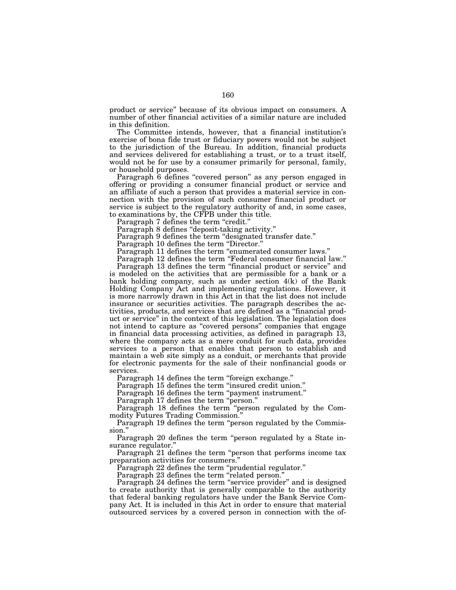product or service'' because of its obvious impact on consumers. A number of other financial activities of a similar nature are included in this definition.

The Committee intends, however, that a financial institution's exercise of bona fide trust or fiduciary powers would not be subject to the jurisdiction of the Bureau. In addition, financial products and services delivered for establishing a trust, or to a trust itself, would not be for use by a consumer primarily for personal, family, or household purposes.

Paragraph 6 defines "covered person" as any person engaged in offering or providing a consumer financial product or service and an affiliate of such a person that provides a material service in connection with the provision of such consumer financial product or service is subject to the regulatory authority of and, in some cases, to examinations by, the CFPB under this title.

Paragraph 7 defines the term "credit."

Paragraph 8 defines "deposit-taking activity."

Paragraph 9 defines the term "designated transfer date."

Paragraph 10 defines the term "Director."

Paragraph 11 defines the term "enumerated consumer laws."

Paragraph 12 defines the term "Federal consumer financial law."

Paragraph 13 defines the term ''financial product or service'' and is modeled on the activities that are permissible for a bank or a bank holding company, such as under section 4(k) of the Bank Holding Company Act and implementing regulations. However, it is more narrowly drawn in this Act in that the list does not include insurance or securities activities. The paragraph describes the activities, products, and services that are defined as a ''financial product or service'' in the context of this legislation. The legislation does not intend to capture as ''covered persons'' companies that engage in financial data processing activities, as defined in paragraph 13, where the company acts as a mere conduit for such data, provides services to a person that enables that person to establish and maintain a web site simply as a conduit, or merchants that provide for electronic payments for the sale of their nonfinancial goods or services.

Paragraph 14 defines the term "foreign exchange."

Paragraph 15 defines the term ''insured credit union.''

Paragraph 16 defines the term "payment instrument."

Paragraph 17 defines the term "person."

Paragraph 18 defines the term ''person regulated by the Commodity Futures Trading Commission.''

Paragraph 19 defines the term ''person regulated by the Commission.''

Paragraph 20 defines the term "person regulated by a State insurance regulator.''

Paragraph 21 defines the term "person that performs income tax preparation activities for consumers.''

Paragraph 22 defines the term "prudential regulator."

Paragraph 23 defines the term "related person."

Paragraph 24 defines the term "service provider" and is designed to create authority that is generally comparable to the authority that federal banking regulators have under the Bank Service Company Act. It is included in this Act in order to ensure that material outsourced services by a covered person in connection with the of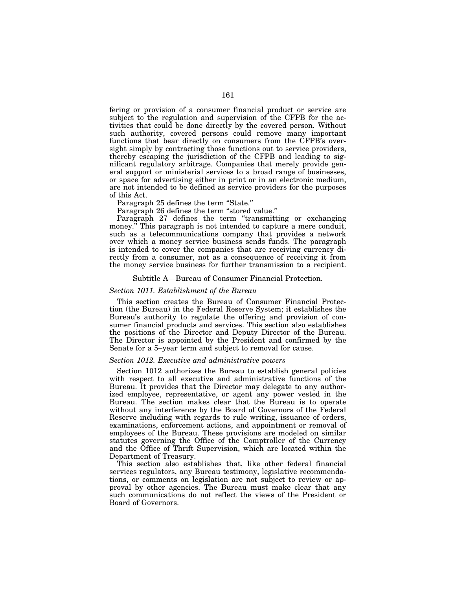fering or provision of a consumer financial product or service are subject to the regulation and supervision of the CFPB for the activities that could be done directly by the covered person. Without such authority, covered persons could remove many important functions that bear directly on consumers from the CFPB's oversight simply by contracting those functions out to service providers, thereby escaping the jurisdiction of the CFPB and leading to significant regulatory arbitrage. Companies that merely provide general support or ministerial services to a broad range of businesses, or space for advertising either in print or in an electronic medium, are not intended to be defined as service providers for the purposes of this Act.

Paragraph 25 defines the term "State."

Paragraph 26 defines the term "stored value."

Paragraph 27 defines the term "transmitting or exchanging money.<sup>"</sup> This paragraph is not intended to capture a mere conduit, such as a telecommunications company that provides a network over which a money service business sends funds. The paragraph is intended to cover the companies that are receiving currency directly from a consumer, not as a consequence of receiving it from the money service business for further transmission to a recipient.

# Subtitle A—Bureau of Consumer Financial Protection.

# *Section 1011. Establishment of the Bureau*

This section creates the Bureau of Consumer Financial Protection (the Bureau) in the Federal Reserve System; it establishes the Bureau's authority to regulate the offering and provision of consumer financial products and services. This section also establishes the positions of the Director and Deputy Director of the Bureau. The Director is appointed by the President and confirmed by the Senate for a 5–year term and subject to removal for cause.

# *Section 1012. Executive and administrative powers*

Section 1012 authorizes the Bureau to establish general policies with respect to all executive and administrative functions of the Bureau. It provides that the Director may delegate to any authorized employee, representative, or agent any power vested in the Bureau. The section makes clear that the Bureau is to operate without any interference by the Board of Governors of the Federal Reserve including with regards to rule writing, issuance of orders, examinations, enforcement actions, and appointment or removal of employees of the Bureau. These provisions are modeled on similar statutes governing the Office of the Comptroller of the Currency and the Office of Thrift Supervision, which are located within the Department of Treasury.

This section also establishes that, like other federal financial services regulators, any Bureau testimony, legislative recommendations, or comments on legislation are not subject to review or approval by other agencies. The Bureau must make clear that any such communications do not reflect the views of the President or Board of Governors.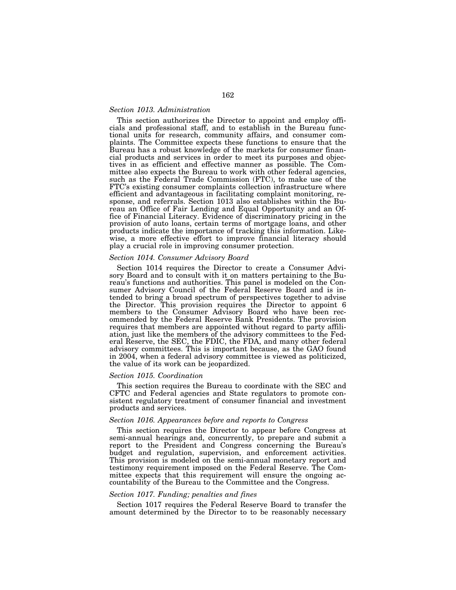# *Section 1013. Administration*

This section authorizes the Director to appoint and employ officials and professional staff, and to establish in the Bureau functional units for research, community affairs, and consumer complaints. The Committee expects these functions to ensure that the Bureau has a robust knowledge of the markets for consumer financial products and services in order to meet its purposes and objectives in as efficient and effective manner as possible. The Committee also expects the Bureau to work with other federal agencies, such as the Federal Trade Commission (FTC), to make use of the FTC's existing consumer complaints collection infrastructure where efficient and advantageous in facilitating complaint monitoring, response, and referrals. Section 1013 also establishes within the Bureau an Office of Fair Lending and Equal Opportunity and an Office of Financial Literacy. Evidence of discriminatory pricing in the provision of auto loans, certain terms of mortgage loans, and other products indicate the importance of tracking this information. Likewise, a more effective effort to improve financial literacy should play a crucial role in improving consumer protection.

### *Section 1014. Consumer Advisory Board*

Section 1014 requires the Director to create a Consumer Advisory Board and to consult with it on matters pertaining to the Bureau's functions and authorities. This panel is modeled on the Consumer Advisory Council of the Federal Reserve Board and is intended to bring a broad spectrum of perspectives together to advise the Director. This provision requires the Director to appoint 6 members to the Consumer Advisory Board who have been recommended by the Federal Reserve Bank Presidents. The provision requires that members are appointed without regard to party affiliation, just like the members of the advisory committees to the Federal Reserve, the SEC, the FDIC, the FDA, and many other federal advisory committees. This is important because, as the GAO found in 2004, when a federal advisory committee is viewed as politicized, the value of its work can be jeopardized.

### *Section 1015. Coordination*

This section requires the Bureau to coordinate with the SEC and CFTC and Federal agencies and State regulators to promote consistent regulatory treatment of consumer financial and investment products and services.

#### *Section 1016. Appearances before and reports to Congress*

This section requires the Director to appear before Congress at semi-annual hearings and, concurrently, to prepare and submit a report to the President and Congress concerning the Bureau's budget and regulation, supervision, and enforcement activities. This provision is modeled on the semi-annual monetary report and testimony requirement imposed on the Federal Reserve. The Committee expects that this requirement will ensure the ongoing accountability of the Bureau to the Committee and the Congress.

#### *Section 1017. Funding; penalties and fines*

Section 1017 requires the Federal Reserve Board to transfer the amount determined by the Director to to be reasonably necessary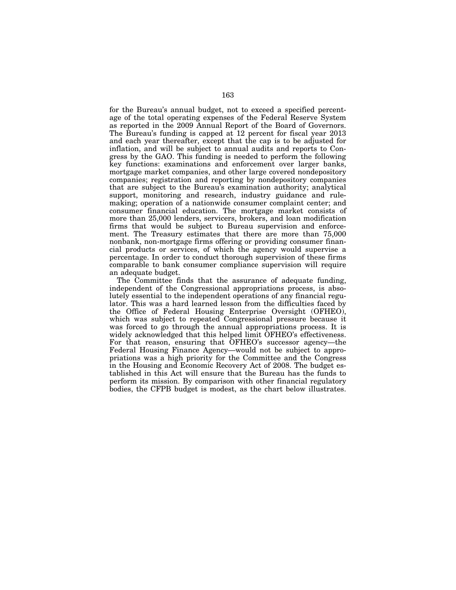for the Bureau's annual budget, not to exceed a specified percentage of the total operating expenses of the Federal Reserve System as reported in the 2009 Annual Report of the Board of Governors. The Bureau's funding is capped at 12 percent for fiscal year 2013 and each year thereafter, except that the cap is to be adjusted for inflation, and will be subject to annual audits and reports to Congress by the GAO. This funding is needed to perform the following key functions: examinations and enforcement over larger banks, mortgage market companies, and other large covered nondepository companies; registration and reporting by nondepository companies that are subject to the Bureau's examination authority; analytical support, monitoring and research, industry guidance and rulemaking; operation of a nationwide consumer complaint center; and consumer financial education. The mortgage market consists of more than 25,000 lenders, servicers, brokers, and loan modification firms that would be subject to Bureau supervision and enforcement. The Treasury estimates that there are more than 75,000 nonbank, non-mortgage firms offering or providing consumer financial products or services, of which the agency would supervise a percentage. In order to conduct thorough supervision of these firms comparable to bank consumer compliance supervision will require an adequate budget.

The Committee finds that the assurance of adequate funding, independent of the Congressional appropriations process, is absolutely essential to the independent operations of any financial regulator. This was a hard learned lesson from the difficulties faced by the Office of Federal Housing Enterprise Oversight (OFHEO), which was subject to repeated Congressional pressure because it was forced to go through the annual appropriations process. It is widely acknowledged that this helped limit OFHEO's effectiveness. For that reason, ensuring that OFHEO's successor agency—the Federal Housing Finance Agency—would not be subject to appropriations was a high priority for the Committee and the Congress in the Housing and Economic Recovery Act of 2008. The budget established in this Act will ensure that the Bureau has the funds to perform its mission. By comparison with other financial regulatory bodies, the CFPB budget is modest, as the chart below illustrates.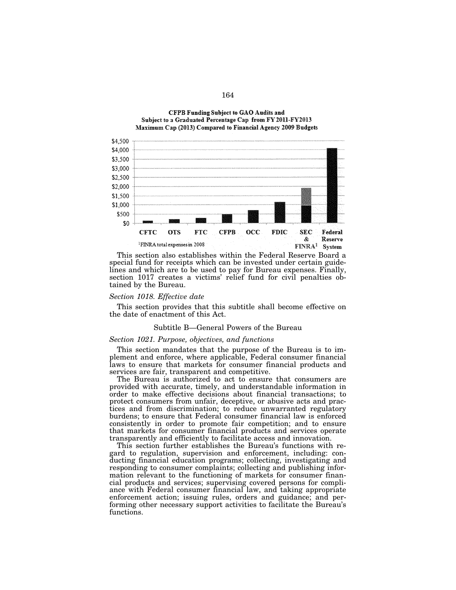



special fund for receipts which can be invested under certain guidelines and which are to be used to pay for Bureau expenses. Finally, section 1017 creates a victims' relief fund for civil penalties obtained by the Bureau.

#### *Section 1018. Effective date*

\$1,500 \$1,000

This section provides that this subtitle shall become effective on the date of enactment of this Act.

# Subtitle B—General Powers of the Bureau

# *Section 1021. Purpose, objectives, and functions*

This section mandates that the purpose of the Bureau is to implement and enforce, where applicable, Federal consumer financial laws to ensure that markets for consumer financial products and services are fair, transparent and competitive.

The Bureau is authorized to act to ensure that consumers are provided with accurate, timely, and understandable information in order to make effective decisions about financial transactions; to protect consumers from unfair, deceptive, or abusive acts and practices and from discrimination; to reduce unwarranted regulatory burdens; to ensure that Federal consumer financial law is enforced consistently in order to promote fair competition; and to ensure that markets for consumer financial products and services operate transparently and efficiently to facilitate access and innovation.

This section further establishes the Bureau's functions with regard to regulation, supervision and enforcement, including: conducting financial education programs; collecting, investigating and responding to consumer complaints; collecting and publishing information relevant to the functioning of markets for consumer financial products and services; supervising covered persons for compliance with Federal consumer financial law, and taking appropriate enforcement action; issuing rules, orders and guidance; and performing other necessary support activities to facilitate the Bureau's functions.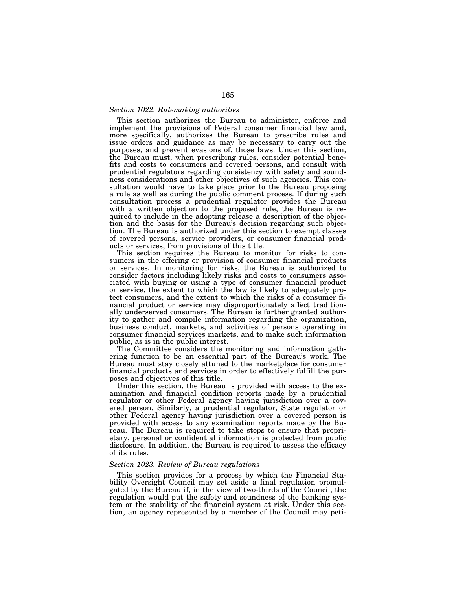# *Section 1022. Rulemaking authorities*

This section authorizes the Bureau to administer, enforce and implement the provisions of Federal consumer financial law and, more specifically, authorizes the Bureau to prescribe rules and issue orders and guidance as may be necessary to carry out the purposes, and prevent evasions of, those laws. Under this section, the Bureau must, when prescribing rules, consider potential benefits and costs to consumers and covered persons, and consult with prudential regulators regarding consistency with safety and soundness considerations and other objectives of such agencies. This consultation would have to take place prior to the Bureau proposing a rule as well as during the public comment process. If during such consultation process a prudential regulator provides the Bureau with a written objection to the proposed rule, the Bureau is required to include in the adopting release a description of the objection and the basis for the Bureau's decision regarding such objection. The Bureau is authorized under this section to exempt classes of covered persons, service providers, or consumer financial products or services, from provisions of this title.

This section requires the Bureau to monitor for risks to consumers in the offering or provision of consumer financial products or services. In monitoring for risks, the Bureau is authorized to consider factors including likely risks and costs to consumers associated with buying or using a type of consumer financial product or service, the extent to which the law is likely to adequately protect consumers, and the extent to which the risks of a consumer financial product or service may disproportionately affect traditionally underserved consumers. The Bureau is further granted authority to gather and compile information regarding the organization, business conduct, markets, and activities of persons operating in consumer financial services markets, and to make such information public, as is in the public interest.

The Committee considers the monitoring and information gathering function to be an essential part of the Bureau's work. The Bureau must stay closely attuned to the marketplace for consumer financial products and services in order to effectively fulfill the purposes and objectives of this title.

Under this section, the Bureau is provided with access to the examination and financial condition reports made by a prudential regulator or other Federal agency having jurisdiction over a covered person. Similarly, a prudential regulator, State regulator or other Federal agency having jurisdiction over a covered person is provided with access to any examination reports made by the Bureau. The Bureau is required to take steps to ensure that proprietary, personal or confidential information is protected from public disclosure. In addition, the Bureau is required to assess the efficacy of its rules.

# *Section 1023. Review of Bureau regulations*

This section provides for a process by which the Financial Stability Oversight Council may set aside a final regulation promulgated by the Bureau if, in the view of two-thirds of the Council, the regulation would put the safety and soundness of the banking system or the stability of the financial system at risk. Under this section, an agency represented by a member of the Council may peti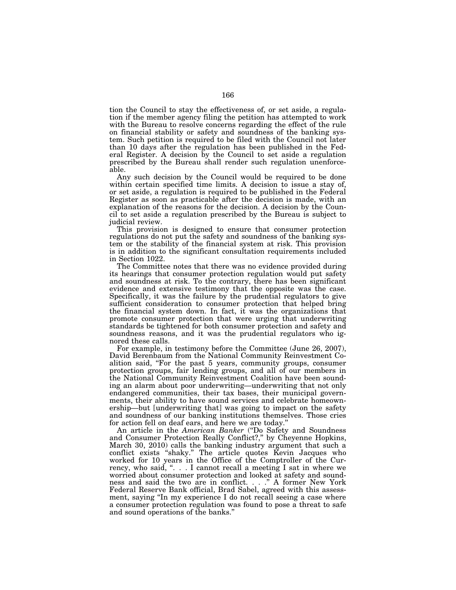tion the Council to stay the effectiveness of, or set aside, a regulation if the member agency filing the petition has attempted to work with the Bureau to resolve concerns regarding the effect of the rule on financial stability or safety and soundness of the banking system. Such petition is required to be filed with the Council not later than 10 days after the regulation has been published in the Federal Register. A decision by the Council to set aside a regulation prescribed by the Bureau shall render such regulation unenforceable.

Any such decision by the Council would be required to be done within certain specified time limits. A decision to issue a stay of, or set aside, a regulation is required to be published in the Federal Register as soon as practicable after the decision is made, with an explanation of the reasons for the decision. A decision by the Council to set aside a regulation prescribed by the Bureau is subject to judicial review.

This provision is designed to ensure that consumer protection regulations do not put the safety and soundness of the banking system or the stability of the financial system at risk. This provision is in addition to the significant consultation requirements included in Section 1022.

The Committee notes that there was no evidence provided during its hearings that consumer protection regulation would put safety and soundness at risk. To the contrary, there has been significant evidence and extensive testimony that the opposite was the case. Specifically, it was the failure by the prudential regulators to give sufficient consideration to consumer protection that helped bring the financial system down. In fact, it was the organizations that promote consumer protection that were urging that underwriting standards be tightened for both consumer protection and safety and soundness reasons, and it was the prudential regulators who ignored these calls.

For example, in testimony before the Committee (June 26, 2007), David Berenbaum from the National Community Reinvestment Coalition said, ''For the past 5 years, community groups, consumer protection groups, fair lending groups, and all of our members in the National Community Reinvestment Coalition have been sounding an alarm about poor underwriting—underwriting that not only endangered communities, their tax bases, their municipal governments, their ability to have sound services and celebrate homeownership—but [underwriting that] was going to impact on the safety and soundness of our banking institutions themselves. Those cries for action fell on deaf ears, and here we are today.''

An article in the *American Banker* (''Do Safety and Soundness and Consumer Protection Really Conflict?," by Cheyenne Hopkins, March 30, 2010) calls the banking industry argument that such a conflict exists ''shaky.'' The article quotes Kevin Jacques who worked for 10 years in the Office of the Comptroller of the Currency, who said, ''. . . I cannot recall a meeting I sat in where we worried about consumer protection and looked at safety and soundness and said the two are in conflict. . . .'' A former New York Federal Reserve Bank official, Brad Sabel, agreed with this assessment, saying ''In my experience I do not recall seeing a case where a consumer protection regulation was found to pose a threat to safe and sound operations of the banks.''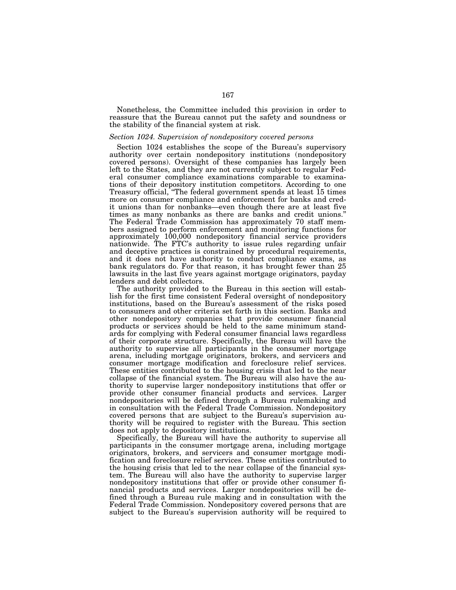Nonetheless, the Committee included this provision in order to reassure that the Bureau cannot put the safety and soundness or the stability of the financial system at risk.

### *Section 1024. Supervision of nondepository covered persons*

Section 1024 establishes the scope of the Bureau's supervisory authority over certain nondepository institutions (nondepository covered persons). Oversight of these companies has largely been left to the States, and they are not currently subject to regular Federal consumer compliance examinations comparable to examinations of their depository institution competitors. According to one Treasury official, ''The federal government spends at least 15 times more on consumer compliance and enforcement for banks and credit unions than for nonbanks—even though there are at least five times as many nonbanks as there are banks and credit unions.'' The Federal Trade Commission has approximately 70 staff members assigned to perform enforcement and monitoring functions for approximately 100,000 nondepository financial service providers nationwide. The FTC's authority to issue rules regarding unfair and deceptive practices is constrained by procedural requirements, and it does not have authority to conduct compliance exams, as bank regulators do. For that reason, it has brought fewer than 25 lawsuits in the last five years against mortgage originators, payday lenders and debt collectors.

The authority provided to the Bureau in this section will establish for the first time consistent Federal oversight of nondepository institutions, based on the Bureau's assessment of the risks posed to consumers and other criteria set forth in this section. Banks and other nondepository companies that provide consumer financial products or services should be held to the same minimum standards for complying with Federal consumer financial laws regardless of their corporate structure. Specifically, the Bureau will have the authority to supervise all participants in the consumer mortgage arena, including mortgage originators, brokers, and servicers and consumer mortgage modification and foreclosure relief services. These entities contributed to the housing crisis that led to the near collapse of the financial system. The Bureau will also have the authority to supervise larger nondepository institutions that offer or provide other consumer financial products and services. Larger nondepositories will be defined through a Bureau rulemaking and in consultation with the Federal Trade Commission. Nondepository covered persons that are subject to the Bureau's supervision authority will be required to register with the Bureau. This section does not apply to depository institutions.

Specifically, the Bureau will have the authority to supervise all participants in the consumer mortgage arena, including mortgage originators, brokers, and servicers and consumer mortgage modification and foreclosure relief services. These entities contributed to the housing crisis that led to the near collapse of the financial system. The Bureau will also have the authority to supervise larger nondepository institutions that offer or provide other consumer financial products and services. Larger nondepositories will be defined through a Bureau rule making and in consultation with the Federal Trade Commission. Nondepository covered persons that are subject to the Bureau's supervision authority will be required to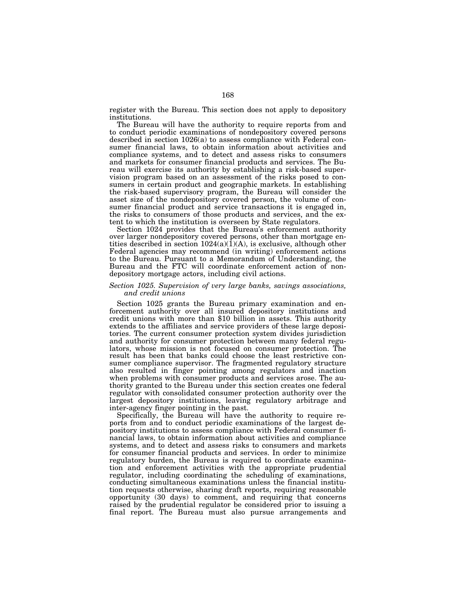register with the Bureau. This section does not apply to depository institutions.

The Bureau will have the authority to require reports from and to conduct periodic examinations of nondepository covered persons described in section 1026(a) to assess compliance with Federal consumer financial laws, to obtain information about activities and compliance systems, and to detect and assess risks to consumers and markets for consumer financial products and services. The Bureau will exercise its authority by establishing a risk-based supervision program based on an assessment of the risks posed to consumers in certain product and geographic markets. In establishing the risk-based supervisory program, the Bureau will consider the asset size of the nondepository covered person, the volume of consumer financial product and service transactions it is engaged in, the risks to consumers of those products and services, and the extent to which the institution is overseen by State regulators.

Section 1024 provides that the Bureau's enforcement authority over larger nondepository covered persons, other than mortgage entities described in section  $1024(a)(1)(A)$ , is exclusive, although other Federal agencies may recommend (in writing) enforcement actions to the Bureau. Pursuant to a Memorandum of Understanding, the Bureau and the FTC will coordinate enforcement action of nondepository mortgage actors, including civil actions.

# *Section 1025. Supervision of very large banks, savings associations, and credit unions*

Section 1025 grants the Bureau primary examination and enforcement authority over all insured depository institutions and credit unions with more than \$10 billion in assets. This authority extends to the affiliates and service providers of these large depositories. The current consumer protection system divides jurisdiction and authority for consumer protection between many federal regulators, whose mission is not focused on consumer protection. The result has been that banks could choose the least restrictive consumer compliance supervisor. The fragmented regulatory structure also resulted in finger pointing among regulators and inaction when problems with consumer products and services arose. The authority granted to the Bureau under this section creates one federal regulator with consolidated consumer protection authority over the largest depository institutions, leaving regulatory arbitrage and inter-agency finger pointing in the past.

Specifically, the Bureau will have the authority to require reports from and to conduct periodic examinations of the largest depository institutions to assess compliance with Federal consumer financial laws, to obtain information about activities and compliance systems, and to detect and assess risks to consumers and markets for consumer financial products and services. In order to minimize regulatory burden, the Bureau is required to coordinate examination and enforcement activities with the appropriate prudential regulator, including coordinating the scheduling of examinations, conducting simultaneous examinations unless the financial institution requests otherwise, sharing draft reports, requiring reasonable opportunity (30 days) to comment, and requiring that concerns raised by the prudential regulator be considered prior to issuing a final report. The Bureau must also pursue arrangements and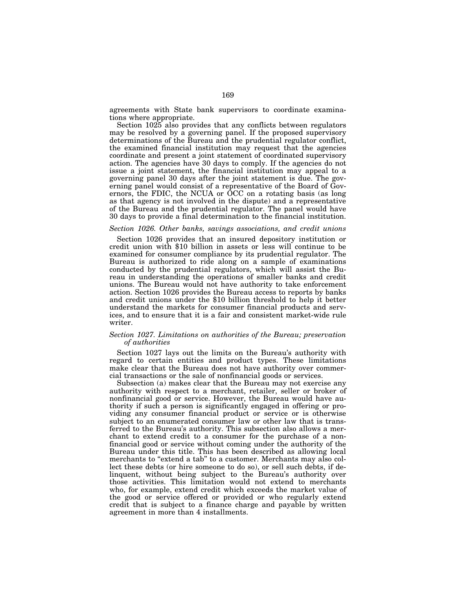agreements with State bank supervisors to coordinate examinations where appropriate.

Section 1025 also provides that any conflicts between regulators may be resolved by a governing panel. If the proposed supervisory determinations of the Bureau and the prudential regulator conflict, the examined financial institution may request that the agencies coordinate and present a joint statement of coordinated supervisory action. The agencies have 30 days to comply. If the agencies do not issue a joint statement, the financial institution may appeal to a governing panel 30 days after the joint statement is due. The governing panel would consist of a representative of the Board of Governors, the FDIC, the NCUA or OCC on a rotating basis (as long as that agency is not involved in the dispute) and a representative of the Bureau and the prudential regulator. The panel would have 30 days to provide a final determination to the financial institution.

# *Section 1026. Other banks, savings associations, and credit unions*

Section 1026 provides that an insured depository institution or credit union with \$10 billion in assets or less will continue to be examined for consumer compliance by its prudential regulator. The Bureau is authorized to ride along on a sample of examinations conducted by the prudential regulators, which will assist the Bureau in understanding the operations of smaller banks and credit unions. The Bureau would not have authority to take enforcement action. Section 1026 provides the Bureau access to reports by banks and credit unions under the \$10 billion threshold to help it better understand the markets for consumer financial products and services, and to ensure that it is a fair and consistent market-wide rule writer.

# *Section 1027. Limitations on authorities of the Bureau; preservation of authorities*

Section 1027 lays out the limits on the Bureau's authority with regard to certain entities and product types. These limitations make clear that the Bureau does not have authority over commercial transactions or the sale of nonfinancial goods or services.

Subsection (a) makes clear that the Bureau may not exercise any authority with respect to a merchant, retailer, seller or broker of nonfinancial good or service. However, the Bureau would have authority if such a person is significantly engaged in offering or providing any consumer financial product or service or is otherwise subject to an enumerated consumer law or other law that is transferred to the Bureau's authority. This subsection also allows a merchant to extend credit to a consumer for the purchase of a nonfinancial good or service without coming under the authority of the Bureau under this title. This has been described as allowing local merchants to "extend a tab" to a customer. Merchants may also collect these debts (or hire someone to do so), or sell such debts, if delinquent, without being subject to the Bureau's authority over those activities. This limitation would not extend to merchants who, for example, extend credit which exceeds the market value of the good or service offered or provided or who regularly extend credit that is subject to a finance charge and payable by written agreement in more than 4 installments.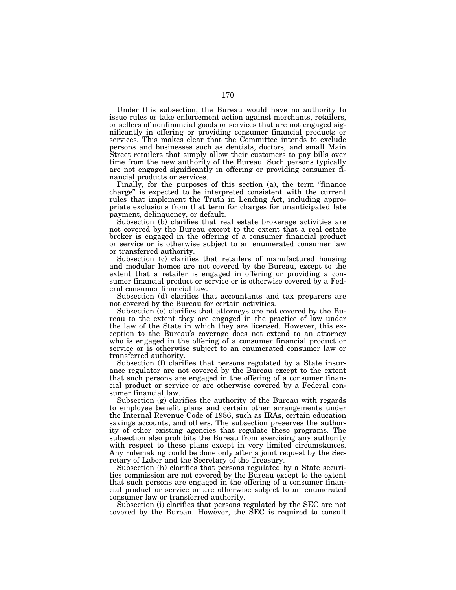Under this subsection, the Bureau would have no authority to issue rules or take enforcement action against merchants, retailers, or sellers of nonfinancial goods or services that are not engaged significantly in offering or providing consumer financial products or services. This makes clear that the Committee intends to exclude persons and businesses such as dentists, doctors, and small Main Street retailers that simply allow their customers to pay bills over time from the new authority of the Bureau. Such persons typically are not engaged significantly in offering or providing consumer financial products or services.

Finally, for the purposes of this section (a), the term ''finance charge'' is expected to be interpreted consistent with the current rules that implement the Truth in Lending Act, including appropriate exclusions from that term for charges for unanticipated late payment, delinquency, or default.

Subsection (b) clarifies that real estate brokerage activities are not covered by the Bureau except to the extent that a real estate broker is engaged in the offering of a consumer financial product or service or is otherwise subject to an enumerated consumer law or transferred authority.

Subsection (c) clarifies that retailers of manufactured housing and modular homes are not covered by the Bureau, except to the extent that a retailer is engaged in offering or providing a consumer financial product or service or is otherwise covered by a Federal consumer financial law.

Subsection (d) clarifies that accountants and tax preparers are not covered by the Bureau for certain activities.

Subsection (e) clarifies that attorneys are not covered by the Bureau to the extent they are engaged in the practice of law under the law of the State in which they are licensed. However, this exception to the Bureau's coverage does not extend to an attorney who is engaged in the offering of a consumer financial product or service or is otherwise subject to an enumerated consumer law or transferred authority.

Subsection (f) clarifies that persons regulated by a State insurance regulator are not covered by the Bureau except to the extent that such persons are engaged in the offering of a consumer financial product or service or are otherwise covered by a Federal consumer financial law.

Subsection (g) clarifies the authority of the Bureau with regards to employee benefit plans and certain other arrangements under the Internal Revenue Code of 1986, such as IRAs, certain education savings accounts, and others. The subsection preserves the authority of other existing agencies that regulate these programs. The subsection also prohibits the Bureau from exercising any authority with respect to these plans except in very limited circumstances. Any rulemaking could be done only after a joint request by the Secretary of Labor and the Secretary of the Treasury.

Subsection (h) clarifies that persons regulated by a State securities commission are not covered by the Bureau except to the extent that such persons are engaged in the offering of a consumer financial product or service or are otherwise subject to an enumerated consumer law or transferred authority.

Subsection (i) clarifies that persons regulated by the SEC are not covered by the Bureau. However, the SEC is required to consult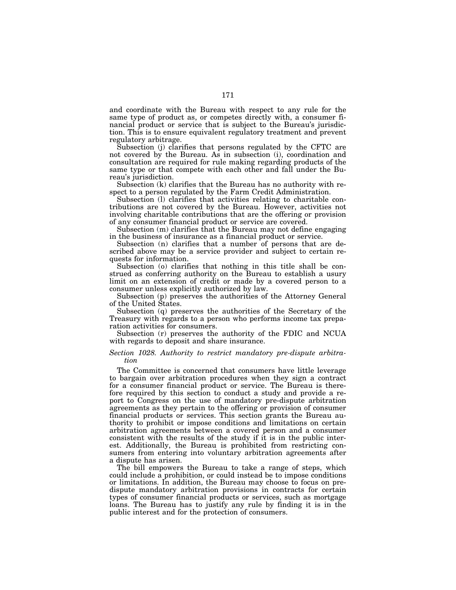and coordinate with the Bureau with respect to any rule for the same type of product as, or competes directly with, a consumer financial product or service that is subject to the Bureau's jurisdiction. This is to ensure equivalent regulatory treatment and prevent regulatory arbitrage.

Subsection (j) clarifies that persons regulated by the CFTC are not covered by the Bureau. As in subsection (i), coordination and consultation are required for rule making regarding products of the same type or that compete with each other and fall under the Bureau's jurisdiction.

Subsection (k) clarifies that the Bureau has no authority with respect to a person regulated by the Farm Credit Administration.

Subsection (l) clarifies that activities relating to charitable contributions are not covered by the Bureau. However, activities not involving charitable contributions that are the offering or provision of any consumer financial product or service are covered.

Subsection (m) clarifies that the Bureau may not define engaging in the business of insurance as a financial product or service.

Subsection (n) clarifies that a number of persons that are described above may be a service provider and subject to certain requests for information.

Subsection (o) clarifies that nothing in this title shall be construed as conferring authority on the Bureau to establish a usury limit on an extension of credit or made by a covered person to a consumer unless explicitly authorized by law.

Subsection (p) preserves the authorities of the Attorney General of the United States.

Subsection (q) preserves the authorities of the Secretary of the Treasury with regards to a person who performs income tax preparation activities for consumers.

Subsection (r) preserves the authority of the FDIC and NCUA with regards to deposit and share insurance.

## *Section 1028. Authority to restrict mandatory pre-dispute arbitration*

The Committee is concerned that consumers have little leverage to bargain over arbitration procedures when they sign a contract for a consumer financial product or service. The Bureau is therefore required by this section to conduct a study and provide a report to Congress on the use of mandatory pre-dispute arbitration agreements as they pertain to the offering or provision of consumer financial products or services. This section grants the Bureau authority to prohibit or impose conditions and limitations on certain arbitration agreements between a covered person and a consumer consistent with the results of the study if it is in the public interest. Additionally, the Bureau is prohibited from restricting consumers from entering into voluntary arbitration agreements after a dispute has arisen.

The bill empowers the Bureau to take a range of steps, which could include a prohibition, or could instead be to impose conditions or limitations. In addition, the Bureau may choose to focus on predispute mandatory arbitration provisions in contracts for certain types of consumer financial products or services, such as mortgage loans. The Bureau has to justify any rule by finding it is in the public interest and for the protection of consumers.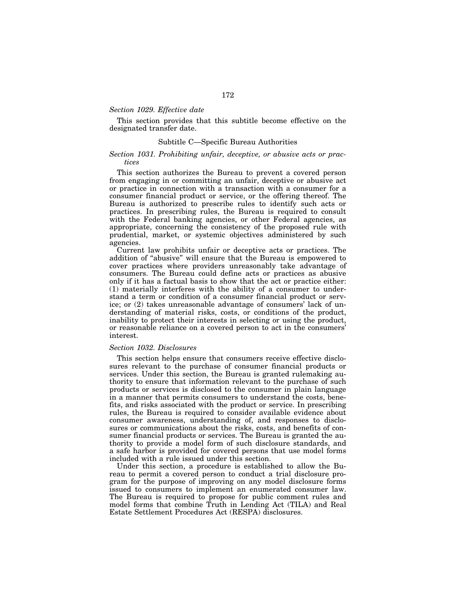# *Section 1029. Effective date*

This section provides that this subtitle become effective on the designated transfer date.

# Subtitle C—Specific Bureau Authorities

# *Section 1031. Prohibiting unfair, deceptive, or abusive acts or practices*

This section authorizes the Bureau to prevent a covered person from engaging in or committing an unfair, deceptive or abusive act or practice in connection with a transaction with a consumer for a consumer financial product or service, or the offering thereof. The Bureau is authorized to prescribe rules to identify such acts or practices. In prescribing rules, the Bureau is required to consult with the Federal banking agencies, or other Federal agencies, as appropriate, concerning the consistency of the proposed rule with prudential, market, or systemic objectives administered by such agencies.

Current law prohibits unfair or deceptive acts or practices. The addition of ''abusive'' will ensure that the Bureau is empowered to cover practices where providers unreasonably take advantage of consumers. The Bureau could define acts or practices as abusive only if it has a factual basis to show that the act or practice either: (1) materially interferes with the ability of a consumer to understand a term or condition of a consumer financial product or service; or (2) takes unreasonable advantage of consumers' lack of understanding of material risks, costs, or conditions of the product, inability to protect their interests in selecting or using the product, or reasonable reliance on a covered person to act in the consumers' interest.

# *Section 1032. Disclosures*

This section helps ensure that consumers receive effective disclosures relevant to the purchase of consumer financial products or services. Under this section, the Bureau is granted rulemaking authority to ensure that information relevant to the purchase of such products or services is disclosed to the consumer in plain language in a manner that permits consumers to understand the costs, benefits, and risks associated with the product or service. In prescribing rules, the Bureau is required to consider available evidence about consumer awareness, understanding of, and responses to disclosures or communications about the risks, costs, and benefits of consumer financial products or services. The Bureau is granted the authority to provide a model form of such disclosure standards, and a safe harbor is provided for covered persons that use model forms included with a rule issued under this section.

Under this section, a procedure is established to allow the Bureau to permit a covered person to conduct a trial disclosure program for the purpose of improving on any model disclosure forms issued to consumers to implement an enumerated consumer law. The Bureau is required to propose for public comment rules and model forms that combine Truth in Lending Act (TILA) and Real Estate Settlement Procedures Act (RESPA) disclosures.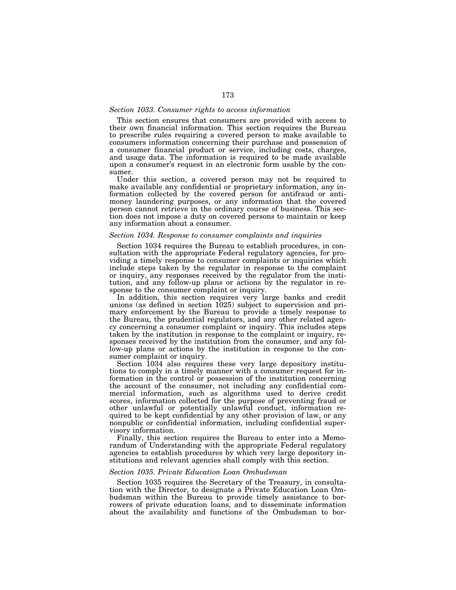# *Section 1033. Consumer rights to access information*

This section ensures that consumers are provided with access to their own financial information. This section requires the Bureau to prescribe rules requiring a covered person to make available to consumers information concerning their purchase and possession of a consumer financial product or service, including costs, charges, and usage data. The information is required to be made available upon a consumer's request in an electronic form usable by the consumer.

Under this section, a covered person may not be required to make available any confidential or proprietary information, any information collected by the covered person for antifraud or antimoney laundering purposes, or any information that the covered person cannot retrieve in the ordinary course of business. This section does not impose a duty on covered persons to maintain or keep any information about a consumer.

### *Section 1034. Response to consumer complaints and inquiries*

Section 1034 requires the Bureau to establish procedures, in consultation with the appropriate Federal regulatory agencies, for providing a timely response to consumer complaints or inquiries which include steps taken by the regulator in response to the complaint or inquiry, any responses received by the regulator from the institution, and any follow-up plans or actions by the regulator in response to the consumer complaint or inquiry.

In addition, this section requires very large banks and credit unions (as defined in section 1025) subject to supervision and primary enforcement by the Bureau to provide a timely response to the Bureau, the prudential regulators, and any other related agency concerning a consumer complaint or inquiry. This includes steps taken by the institution in response to the complaint or inquiry, responses received by the institution from the consumer, and any follow-up plans or actions by the institution in response to the consumer complaint or inquiry.

Section 1034 also requires these very large depository institutions to comply in a timely manner with a consumer request for information in the control or possession of the institution concerning the account of the consumer, not including any confidential commercial information, such as algorithms used to derive credit scores, information collected for the purpose of preventing fraud or other unlawful or potentially unlawful conduct, information required to be kept confidential by any other provision of law, or any nonpublic or confidential information, including confidential supervisory information.

Finally, this section requires the Bureau to enter into a Memorandum of Understanding with the appropriate Federal regulatory agencies to establish procedures by which very large depository institutions and relevant agencies shall comply with this section.

# *Section 1035. Private Education Loan Ombudsman*

Section 1035 requires the Secretary of the Treasury, in consultation with the Director, to designate a Private Education Loan Ombudsman within the Bureau to provide timely assistance to borrowers of private education loans, and to disseminate information about the availability and functions of the Ombudsman to bor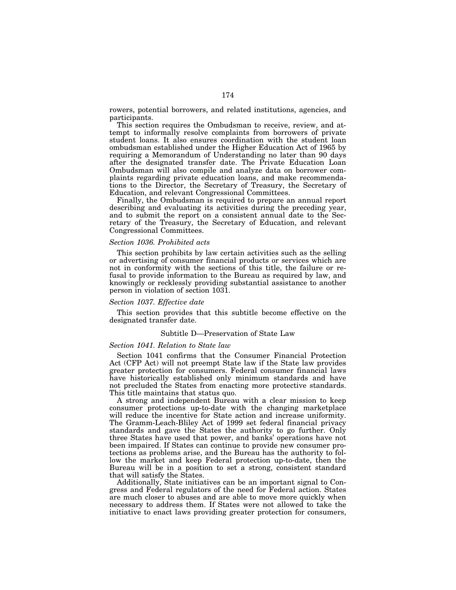rowers, potential borrowers, and related institutions, agencies, and participants.

This section requires the Ombudsman to receive, review, and attempt to informally resolve complaints from borrowers of private student loans. It also ensures coordination with the student loan ombudsman established under the Higher Education Act of 1965 by requiring a Memorandum of Understanding no later than 90 days after the designated transfer date. The Private Education Loan Ombudsman will also compile and analyze data on borrower complaints regarding private education loans, and make recommendations to the Director, the Secretary of Treasury, the Secretary of Education, and relevant Congressional Committees.

Finally, the Ombudsman is required to prepare an annual report describing and evaluating its activities during the preceding year, and to submit the report on a consistent annual date to the Secretary of the Treasury, the Secretary of Education, and relevant Congressional Committees.

### *Section 1036. Prohibited acts*

This section prohibits by law certain activities such as the selling or advertising of consumer financial products or services which are not in conformity with the sections of this title, the failure or refusal to provide information to the Bureau as required by law, and knowingly or recklessly providing substantial assistance to another person in violation of section 1031.

# *Section 1037. Effective date*

This section provides that this subtitle become effective on the designated transfer date.

### Subtitle D—Preservation of State Law

#### *Section 1041. Relation to State law*

Section 1041 confirms that the Consumer Financial Protection Act (CFP Act) will not preempt State law if the State law provides greater protection for consumers. Federal consumer financial laws have historically established only minimum standards and have not precluded the States from enacting more protective standards. This title maintains that status quo.

A strong and independent Bureau with a clear mission to keep consumer protections up-to-date with the changing marketplace will reduce the incentive for State action and increase uniformity. The Gramm-Leach-Bliley Act of 1999 set federal financial privacy standards and gave the States the authority to go further. Only three States have used that power, and banks' operations have not been impaired. If States can continue to provide new consumer protections as problems arise, and the Bureau has the authority to follow the market and keep Federal protection up-to-date, then the Bureau will be in a position to set a strong, consistent standard that will satisfy the States.

Additionally, State initiatives can be an important signal to Congress and Federal regulators of the need for Federal action. States are much closer to abuses and are able to move more quickly when necessary to address them. If States were not allowed to take the initiative to enact laws providing greater protection for consumers,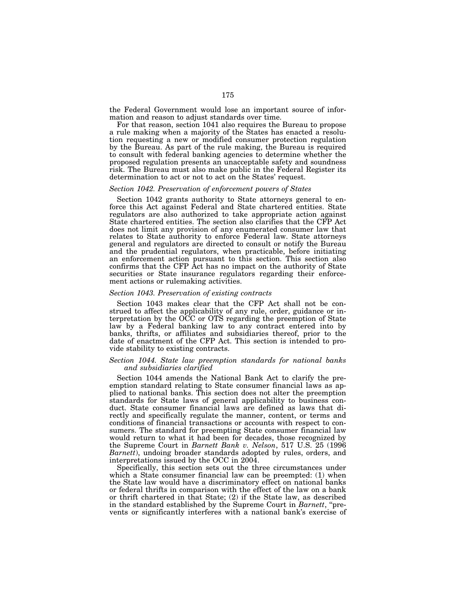the Federal Government would lose an important source of information and reason to adjust standards over time.

For that reason, section 1041 also requires the Bureau to propose a rule making when a majority of the States has enacted a resolution requesting a new or modified consumer protection regulation by the Bureau. As part of the rule making, the Bureau is required to consult with federal banking agencies to determine whether the proposed regulation presents an unacceptable safety and soundness risk. The Bureau must also make public in the Federal Register its determination to act or not to act on the States' request.

# *Section 1042. Preservation of enforcement powers of States*

Section 1042 grants authority to State attorneys general to enforce this Act against Federal and State chartered entities. State regulators are also authorized to take appropriate action against State chartered entities. The section also clarifies that the CFP Act does not limit any provision of any enumerated consumer law that relates to State authority to enforce Federal law. State attorneys general and regulators are directed to consult or notify the Bureau and the prudential regulators, when practicable, before initiating an enforcement action pursuant to this section. This section also confirms that the CFP Act has no impact on the authority of State securities or State insurance regulators regarding their enforcement actions or rulemaking activities.

#### *Section 1043. Preservation of existing contracts*

Section 1043 makes clear that the CFP Act shall not be construed to affect the applicability of any rule, order, guidance or interpretation by the OCC or OTS regarding the preemption of State law by a Federal banking law to any contract entered into by banks, thrifts, or affiliates and subsidiaries thereof, prior to the date of enactment of the CFP Act. This section is intended to provide stability to existing contracts.

# *Section 1044. State law preemption standards for national banks and subsidiaries clarified*

Section 1044 amends the National Bank Act to clarify the preemption standard relating to State consumer financial laws as applied to national banks. This section does not alter the preemption standards for State laws of general applicability to business conduct. State consumer financial laws are defined as laws that directly and specifically regulate the manner, content, or terms and conditions of financial transactions or accounts with respect to consumers. The standard for preempting State consumer financial law would return to what it had been for decades, those recognized by the Supreme Court in *Barnett Bank v. Nelson*, 517 U.S. 25 (1996 *Barnett*), undoing broader standards adopted by rules, orders, and interpretations issued by the OCC in 2004.

Specifically, this section sets out the three circumstances under which a State consumer financial law can be preempted: (1) when the State law would have a discriminatory effect on national banks or federal thrifts in comparison with the effect of the law on a bank or thrift chartered in that State; (2) if the State law, as described in the standard established by the Supreme Court in *Barnett*, ''prevents or significantly interferes with a national bank's exercise of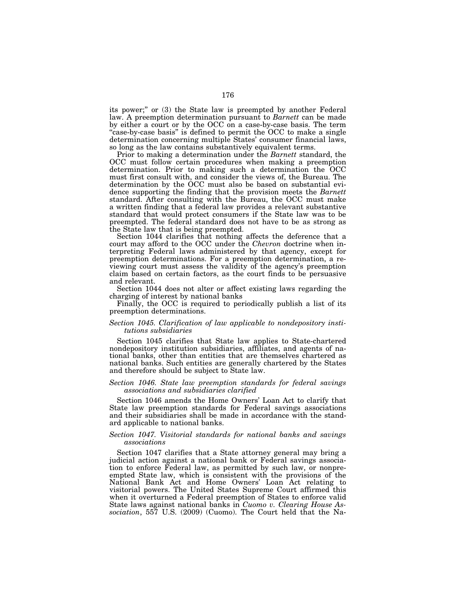its power;'' or (3) the State law is preempted by another Federal law. A preemption determination pursuant to *Barnett* can be made by either a court or by the OCC on a case-by-case basis. The term "case-by-case basis" is defined to permit the OCC to make a single determination concerning multiple States' consumer financial laws, so long as the law contains substantively equivalent terms.

Prior to making a determination under the *Barnett* standard, the OCC must follow certain procedures when making a preemption determination. Prior to making such a determination the OCC must first consult with, and consider the views of, the Bureau. The determination by the OCC must also be based on substantial evidence supporting the finding that the provision meets the *Barnett*  standard. After consulting with the Bureau, the OCC must make a written finding that a federal law provides a relevant substantive standard that would protect consumers if the State law was to be preempted. The federal standard does not have to be as strong as the State law that is being preempted.

Section 1044 clarifies that nothing affects the deference that a court may afford to the OCC under the *Chevron* doctrine when interpreting Federal laws administered by that agency, except for preemption determinations. For a preemption determination, a reviewing court must assess the validity of the agency's preemption claim based on certain factors, as the court finds to be persuasive and relevant.

Section 1044 does not alter or affect existing laws regarding the charging of interest by national banks

Finally, the OCC is required to periodically publish a list of its preemption determinations.

# *Section 1045. Clarification of law applicable to nondepository institutions subsidiaries*

Section 1045 clarifies that State law applies to State-chartered nondepository institution subsidiaries, affiliates, and agents of national banks, other than entities that are themselves chartered as national banks. Such entities are generally chartered by the States and therefore should be subject to State law.

### *Section 1046. State law preemption standards for federal savings associations and subsidiaries clarified*

Section 1046 amends the Home Owners' Loan Act to clarify that State law preemption standards for Federal savings associations and their subsidiaries shall be made in accordance with the standard applicable to national banks.

# *Section 1047. Visitorial standards for national banks and savings associations*

Section 1047 clarifies that a State attorney general may bring a judicial action against a national bank or Federal savings association to enforce Federal law, as permitted by such law, or nonpreempted State law, which is consistent with the provisions of the National Bank Act and Home Owners' Loan Act relating to visitorial powers. The United States Supreme Court affirmed this when it overturned a Federal preemption of States to enforce valid State laws against national banks in *Cuomo v. Clearing House Association*, 557 U.S. (2009) (Cuomo). The Court held that the Na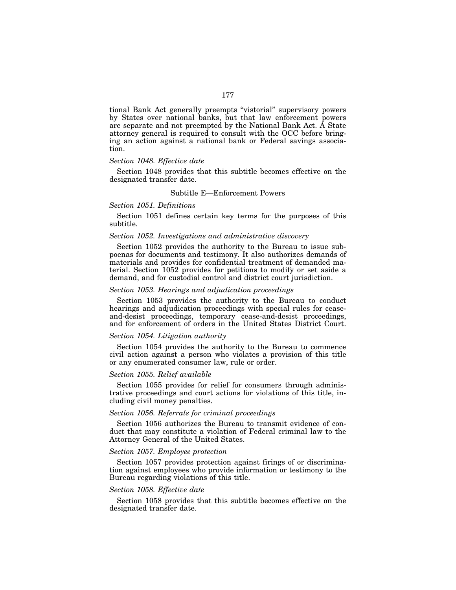tional Bank Act generally preempts ''vistorial'' supervisory powers by States over national banks, but that law enforcement powers are separate and not preempted by the National Bank Act. A State attorney general is required to consult with the OCC before bringing an action against a national bank or Federal savings association.

# *Section 1048. Effective date*

Section 1048 provides that this subtitle becomes effective on the designated transfer date.

# Subtitle E—Enforcement Powers

# *Section 1051. Definitions*

Section 1051 defines certain key terms for the purposes of this subtitle.

# *Section 1052. Investigations and administrative discovery*

Section 1052 provides the authority to the Bureau to issue subpoenas for documents and testimony. It also authorizes demands of materials and provides for confidential treatment of demanded material. Section 1052 provides for petitions to modify or set aside a demand, and for custodial control and district court jurisdiction.

# *Section 1053. Hearings and adjudication proceedings*

Section 1053 provides the authority to the Bureau to conduct hearings and adjudication proceedings with special rules for ceaseand-desist proceedings, temporary cease-and-desist proceedings, and for enforcement of orders in the United States District Court.

# *Section 1054. Litigation authority*

Section 1054 provides the authority to the Bureau to commence civil action against a person who violates a provision of this title or any enumerated consumer law, rule or order.

#### *Section 1055. Relief available*

Section 1055 provides for relief for consumers through administrative proceedings and court actions for violations of this title, including civil money penalties.

# *Section 1056. Referrals for criminal proceedings*

Section 1056 authorizes the Bureau to transmit evidence of conduct that may constitute a violation of Federal criminal law to the Attorney General of the United States.

# *Section 1057. Employee protection*

Section 1057 provides protection against firings of or discrimination against employees who provide information or testimony to the Bureau regarding violations of this title.

# *Section 1058. Effective date*

Section 1058 provides that this subtitle becomes effective on the designated transfer date.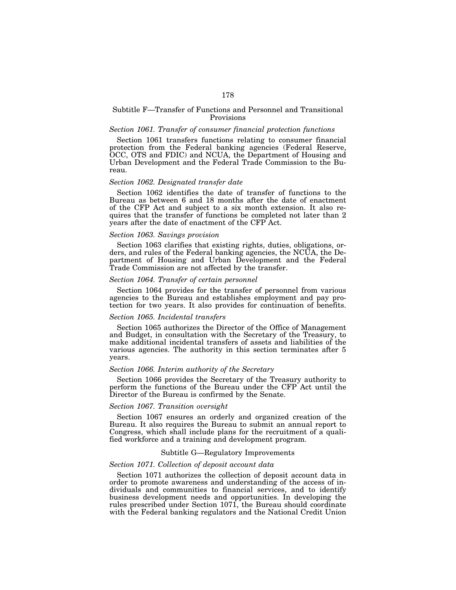# Subtitle F—Transfer of Functions and Personnel and Transitional Provisions

### *Section 1061. Transfer of consumer financial protection functions*

Section 1061 transfers functions relating to consumer financial protection from the Federal banking agencies (Federal Reserve, OCC, OTS and FDIC) and NCUA, the Department of Housing and Urban Development and the Federal Trade Commission to the Bureau.

# *Section 1062. Designated transfer date*

Section 1062 identifies the date of transfer of functions to the Bureau as between 6 and 18 months after the date of enactment of the CFP Act and subject to a six month extension. It also requires that the transfer of functions be completed not later than 2 years after the date of enactment of the CFP Act.

### *Section 1063. Savings provision*

Section 1063 clarifies that existing rights, duties, obligations, orders, and rules of the Federal banking agencies, the NCUA, the Department of Housing and Urban Development and the Federal Trade Commission are not affected by the transfer.

# *Section 1064. Transfer of certain personnel*

Section 1064 provides for the transfer of personnel from various agencies to the Bureau and establishes employment and pay protection for two years. It also provides for continuation of benefits.

# *Section 1065. Incidental transfers*

Section 1065 authorizes the Director of the Office of Management and Budget, in consultation with the Secretary of the Treasury, to make additional incidental transfers of assets and liabilities of the various agencies. The authority in this section terminates after 5 years.

# *Section 1066. Interim authority of the Secretary*

Section 1066 provides the Secretary of the Treasury authority to perform the functions of the Bureau under the CFP Act until the Director of the Bureau is confirmed by the Senate.

# *Section 1067. Transition oversight*

Section 1067 ensures an orderly and organized creation of the Bureau. It also requires the Bureau to submit an annual report to Congress, which shall include plans for the recruitment of a qualified workforce and a training and development program.

# Subtitle G—Regulatory Improvements

# *Section 1071. Collection of deposit account data*

Section 1071 authorizes the collection of deposit account data in order to promote awareness and understanding of the access of individuals and communities to financial services, and to identify business development needs and opportunities. In developing the rules prescribed under Section 1071, the Bureau should coordinate with the Federal banking regulators and the National Credit Union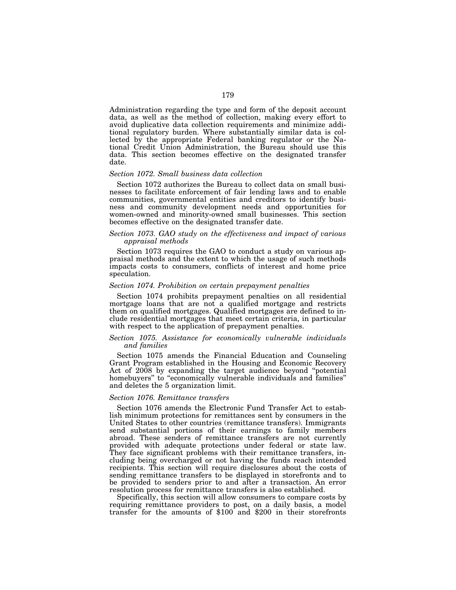Administration regarding the type and form of the deposit account data, as well as the method of collection, making every effort to avoid duplicative data collection requirements and minimize additional regulatory burden. Where substantially similar data is collected by the appropriate Federal banking regulator or the National Credit Union Administration, the Bureau should use this data. This section becomes effective on the designated transfer date.

#### *Section 1072. Small business data collection*

Section 1072 authorizes the Bureau to collect data on small businesses to facilitate enforcement of fair lending laws and to enable communities, governmental entities and creditors to identify business and community development needs and opportunities for women-owned and minority-owned small businesses. This section becomes effective on the designated transfer date.

# *Section 1073. GAO study on the effectiveness and impact of various appraisal methods*

Section 1073 requires the GAO to conduct a study on various appraisal methods and the extent to which the usage of such methods impacts costs to consumers, conflicts of interest and home price speculation.

# *Section 1074. Prohibition on certain prepayment penalties*

Section 1074 prohibits prepayment penalties on all residential mortgage loans that are not a qualified mortgage and restricts them on qualified mortgages. Qualified mortgages are defined to include residential mortgages that meet certain criteria, in particular with respect to the application of prepayment penalties.

# *Section 1075. Assistance for economically vulnerable individuals and families*

Section 1075 amends the Financial Education and Counseling Grant Program established in the Housing and Economic Recovery Act of 2008 by expanding the target audience beyond ''potential homebuyers" to "economically vulnerable individuals and families" and deletes the 5 organization limit.

# *Section 1076. Remittance transfers*

Section 1076 amends the Electronic Fund Transfer Act to establish minimum protections for remittances sent by consumers in the United States to other countries (remittance transfers). Immigrants send substantial portions of their earnings to family members abroad. These senders of remittance transfers are not currently provided with adequate protections under federal or state law. They face significant problems with their remittance transfers, including being overcharged or not having the funds reach intended recipients. This section will require disclosures about the costs of sending remittance transfers to be displayed in storefronts and to be provided to senders prior to and after a transaction. An error resolution process for remittance transfers is also established.

Specifically, this section will allow consumers to compare costs by requiring remittance providers to post, on a daily basis, a model transfer for the amounts of \$100 and \$200 in their storefronts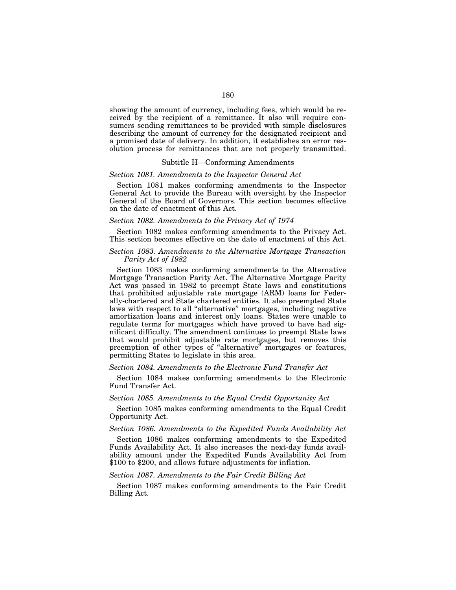showing the amount of currency, including fees, which would be received by the recipient of a remittance. It also will require consumers sending remittances to be provided with simple disclosures describing the amount of currency for the designated recipient and a promised date of delivery. In addition, it establishes an error resolution process for remittances that are not properly transmitted.

### Subtitle H—Conforming Amendments

#### *Section 1081. Amendments to the Inspector General Act*

Section 1081 makes conforming amendments to the Inspector General Act to provide the Bureau with oversight by the Inspector General of the Board of Governors. This section becomes effective on the date of enactment of this Act.

# *Section 1082. Amendments to the Privacy Act of 1974*

Section 1082 makes conforming amendments to the Privacy Act. This section becomes effective on the date of enactment of this Act.

# *Section 1083. Amendments to the Alternative Mortgage Transaction Parity Act of 1982*

Section 1083 makes conforming amendments to the Alternative Mortgage Transaction Parity Act. The Alternative Mortgage Parity Act was passed in 1982 to preempt State laws and constitutions that prohibited adjustable rate mortgage (ARM) loans for Federally-chartered and State chartered entities. It also preempted State laws with respect to all "alternative" mortgages, including negative amortization loans and interest only loans. States were unable to regulate terms for mortgages which have proved to have had significant difficulty. The amendment continues to preempt State laws that would prohibit adjustable rate mortgages, but removes this preemption of other types of ''alternative'' mortgages or features, permitting States to legislate in this area.

### *Section 1084. Amendments to the Electronic Fund Transfer Act*

Section 1084 makes conforming amendments to the Electronic Fund Transfer Act.

### *Section 1085. Amendments to the Equal Credit Opportunity Act*

Section 1085 makes conforming amendments to the Equal Credit Opportunity Act.

# *Section 1086. Amendments to the Expedited Funds Availability Act*

Section 1086 makes conforming amendments to the Expedited Funds Availability Act. It also increases the next-day funds availability amount under the Expedited Funds Availability Act from \$100 to \$200, and allows future adjustments for inflation.

# *Section 1087. Amendments to the Fair Credit Billing Act*

Section 1087 makes conforming amendments to the Fair Credit Billing Act.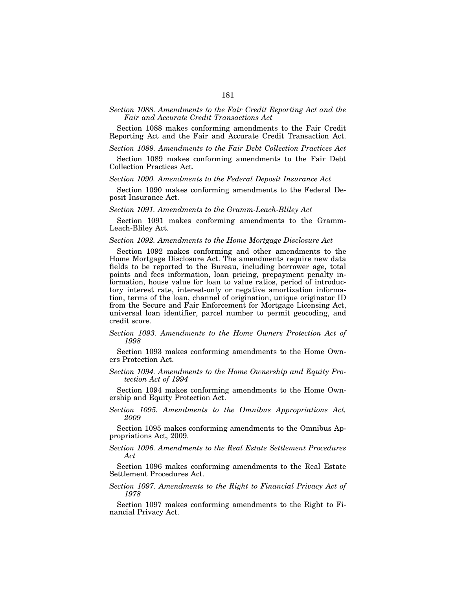# *Section 1088. Amendments to the Fair Credit Reporting Act and the Fair and Accurate Credit Transactions Act*

Section 1088 makes conforming amendments to the Fair Credit Reporting Act and the Fair and Accurate Credit Transaction Act.

*Section 1089. Amendments to the Fair Debt Collection Practices Act* 

Section 1089 makes conforming amendments to the Fair Debt Collection Practices Act.

# *Section 1090. Amendments to the Federal Deposit Insurance Act*

Section 1090 makes conforming amendments to the Federal Deposit Insurance Act.

## *Section 1091. Amendments to the Gramm-Leach-Bliley Act*

Section 1091 makes conforming amendments to the Gramm-Leach-Bliley Act.

#### *Section 1092. Amendments to the Home Mortgage Disclosure Act*

Section 1092 makes conforming and other amendments to the Home Mortgage Disclosure Act. The amendments require new data fields to be reported to the Bureau, including borrower age, total points and fees information, loan pricing, prepayment penalty information, house value for loan to value ratios, period of introductory interest rate, interest-only or negative amortization information, terms of the loan, channel of origination, unique originator ID from the Secure and Fair Enforcement for Mortgage Licensing Act, universal loan identifier, parcel number to permit geocoding, and credit score.

## *Section 1093. Amendments to the Home Owners Protection Act of 1998*

Section 1093 makes conforming amendments to the Home Owners Protection Act.

*Section 1094. Amendments to the Home Ownership and Equity Protection Act of 1994* 

Section 1094 makes conforming amendments to the Home Ownership and Equity Protection Act.

*Section 1095. Amendments to the Omnibus Appropriations Act, 2009* 

Section 1095 makes conforming amendments to the Omnibus Appropriations Act, 2009.

*Section 1096. Amendments to the Real Estate Settlement Procedures Act* 

Section 1096 makes conforming amendments to the Real Estate Settlement Procedures Act.

## *Section 1097. Amendments to the Right to Financial Privacy Act of 1978*

Section 1097 makes conforming amendments to the Right to Financial Privacy Act.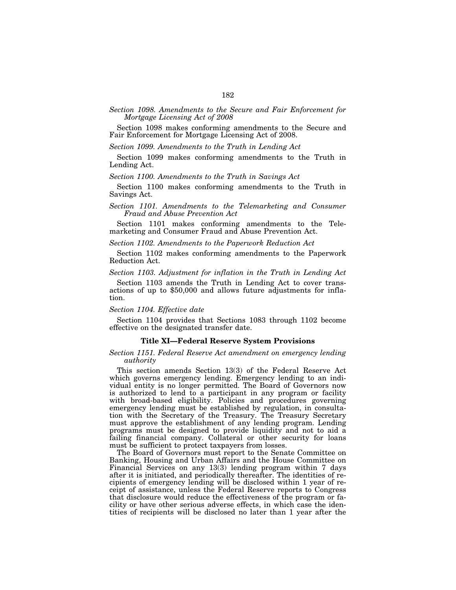# *Section 1098. Amendments to the Secure and Fair Enforcement for Mortgage Licensing Act of 2008*

Section 1098 makes conforming amendments to the Secure and Fair Enforcement for Mortgage Licensing Act of 2008.

*Section 1099. Amendments to the Truth in Lending Act* 

Section 1099 makes conforming amendments to the Truth in Lending Act.

#### *Section 1100. Amendments to the Truth in Savings Act*

Section 1100 makes conforming amendments to the Truth in Savings Act.

#### *Section 1101. Amendments to the Telemarketing and Consumer Fraud and Abuse Prevention Act*

Section 1101 makes conforming amendments to the Telemarketing and Consumer Fraud and Abuse Prevention Act.

*Section 1102. Amendments to the Paperwork Reduction Act* 

Section 1102 makes conforming amendments to the Paperwork Reduction Act.

*Section 1103. Adjustment for inflation in the Truth in Lending Act* 

Section 1103 amends the Truth in Lending Act to cover trans- actions of up to \$50,000 and allows future adjustments for inflation.

#### *Section 1104. Effective date*

Section 1104 provides that Sections 1083 through 1102 become effective on the designated transfer date.

#### **Title XI—Federal Reserve System Provisions**

#### *Section 1151. Federal Reserve Act amendment on emergency lending authority*

This section amends Section 13(3) of the Federal Reserve Act which governs emergency lending. Emergency lending to an individual entity is no longer permitted. The Board of Governors now is authorized to lend to a participant in any program or facility with broad-based eligibility. Policies and procedures governing emergency lending must be established by regulation, in consultation with the Secretary of the Treasury. The Treasury Secretary must approve the establishment of any lending program. Lending programs must be designed to provide liquidity and not to aid a failing financial company. Collateral or other security for loans must be sufficient to protect taxpayers from losses.

The Board of Governors must report to the Senate Committee on Banking, Housing and Urban Affairs and the House Committee on Financial Services on any 13(3) lending program within 7 days after it is initiated, and periodically thereafter. The identities of recipients of emergency lending will be disclosed within 1 year of receipt of assistance, unless the Federal Reserve reports to Congress that disclosure would reduce the effectiveness of the program or facility or have other serious adverse effects, in which case the identities of recipients will be disclosed no later than 1 year after the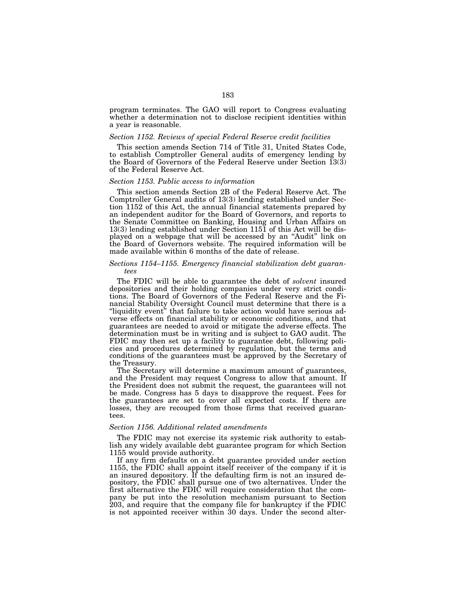program terminates. The GAO will report to Congress evaluating whether a determination not to disclose recipient identities within a year is reasonable.

## *Section 1152. Reviews of special Federal Reserve credit facilities*

This section amends Section 714 of Title 31, United States Code, to establish Comptroller General audits of emergency lending by the Board of Governors of the Federal Reserve under Section 13(3) of the Federal Reserve Act.

# *Section 1153. Public access to information*

This section amends Section 2B of the Federal Reserve Act. The Comptroller General audits of 13(3) lending established under Section 1152 of this Act, the annual financial statements prepared by an independent auditor for the Board of Governors, and reports to the Senate Committee on Banking, Housing and Urban Affairs on 13(3) lending established under Section 1151 of this Act will be displayed on a webpage that will be accessed by an ''Audit'' link on the Board of Governors website. The required information will be made available within 6 months of the date of release.

## *Sections 1154–1155. Emergency financial stabilization debt guarantees*

The FDIC will be able to guarantee the debt of *solvent* insured depositories and their holding companies under very strict conditions. The Board of Governors of the Federal Reserve and the Financial Stability Oversight Council must determine that there is a "liquidity event" that failure to take action would have serious adverse effects on financial stability or economic conditions, and that guarantees are needed to avoid or mitigate the adverse effects. The determination must be in writing and is subject to GAO audit. The FDIC may then set up a facility to guarantee debt, following policies and procedures determined by regulation, but the terms and conditions of the guarantees must be approved by the Secretary of the Treasury.

The Secretary will determine a maximum amount of guarantees, and the President may request Congress to allow that amount. If the President does not submit the request, the guarantees will not be made. Congress has 5 days to disapprove the request. Fees for the guarantees are set to cover all expected costs. If there are losses, they are recouped from those firms that received guarantees.

#### *Section 1156. Additional related amendments*

The FDIC may not exercise its systemic risk authority to establish any widely available debt guarantee program for which Section 1155 would provide authority.

If any firm defaults on a debt guarantee provided under section 1155, the FDIC shall appoint itself receiver of the company if it is an insured depository. If the defaulting firm is not an insured depository, the FDIC shall pursue one of two alternatives. Under the first alternative the FDIC will require consideration that the company be put into the resolution mechanism pursuant to Section 203, and require that the company file for bankruptcy if the FDIC is not appointed receiver within 30 days. Under the second alter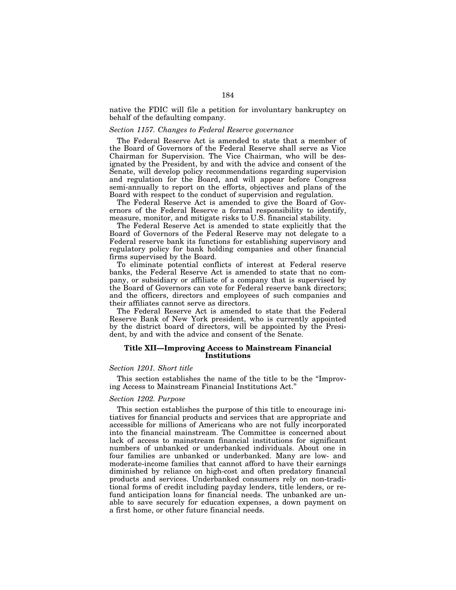native the FDIC will file a petition for involuntary bankruptcy on behalf of the defaulting company.

#### *Section 1157. Changes to Federal Reserve governance*

The Federal Reserve Act is amended to state that a member of the Board of Governors of the Federal Reserve shall serve as Vice Chairman for Supervision. The Vice Chairman, who will be designated by the President, by and with the advice and consent of the Senate, will develop policy recommendations regarding supervision and regulation for the Board, and will appear before Congress semi-annually to report on the efforts, objectives and plans of the Board with respect to the conduct of supervision and regulation.

The Federal Reserve Act is amended to give the Board of Governors of the Federal Reserve a formal responsibility to identify, measure, monitor, and mitigate risks to U.S. financial stability.

The Federal Reserve Act is amended to state explicitly that the Board of Governors of the Federal Reserve may not delegate to a Federal reserve bank its functions for establishing supervisory and regulatory policy for bank holding companies and other financial firms supervised by the Board.

To eliminate potential conflicts of interest at Federal reserve banks, the Federal Reserve Act is amended to state that no company, or subsidiary or affiliate of a company that is supervised by the Board of Governors can vote for Federal reserve bank directors; and the officers, directors and employees of such companies and their affiliates cannot serve as directors.

The Federal Reserve Act is amended to state that the Federal Reserve Bank of New York president, who is currently appointed by the district board of directors, will be appointed by the President, by and with the advice and consent of the Senate.

# **Title XII—Improving Access to Mainstream Financial Institutions**

#### *Section 1201. Short title*

This section establishes the name of the title to be the ''Improving Access to Mainstream Financial Institutions Act.''

#### *Section 1202. Purpose*

This section establishes the purpose of this title to encourage initiatives for financial products and services that are appropriate and accessible for millions of Americans who are not fully incorporated into the financial mainstream. The Committee is concerned about lack of access to mainstream financial institutions for significant numbers of unbanked or underbanked individuals. About one in four families are unbanked or underbanked. Many are low- and moderate-income families that cannot afford to have their earnings diminished by reliance on high-cost and often predatory financial products and services. Underbanked consumers rely on non-traditional forms of credit including payday lenders, title lenders, or refund anticipation loans for financial needs. The unbanked are unable to save securely for education expenses, a down payment on a first home, or other future financial needs.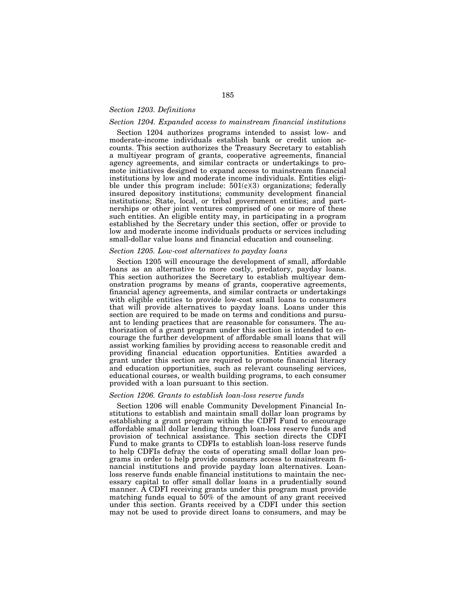# *Section 1203. Definitions*

# *Section 1204. Expanded access to mainstream financial institutions*

Section 1204 authorizes programs intended to assist low- and moderate-income individuals establish bank or credit union accounts. This section authorizes the Treasury Secretary to establish a multiyear program of grants, cooperative agreements, financial agency agreements, and similar contracts or undertakings to promote initiatives designed to expand access to mainstream financial institutions by low and moderate income individuals. Entities eligible under this program include:  $501(c)(3)$  organizations; federally insured depository institutions; community development financial institutions; State, local, or tribal government entities; and partnerships or other joint ventures comprised of one or more of these such entities. An eligible entity may, in participating in a program established by the Secretary under this section, offer or provide to low and moderate income individuals products or services including small-dollar value loans and financial education and counseling.

#### *Section 1205. Low-cost alternatives to payday loans*

Section 1205 will encourage the development of small, affordable loans as an alternative to more costly, predatory, payday loans. This section authorizes the Secretary to establish multiyear demonstration programs by means of grants, cooperative agreements, financial agency agreements, and similar contracts or undertakings with eligible entities to provide low-cost small loans to consumers that will provide alternatives to payday loans. Loans under this section are required to be made on terms and conditions and pursuant to lending practices that are reasonable for consumers. The authorization of a grant program under this section is intended to encourage the further development of affordable small loans that will assist working families by providing access to reasonable credit and providing financial education opportunities. Entities awarded a grant under this section are required to promote financial literacy and education opportunities, such as relevant counseling services, educational courses, or wealth building programs, to each consumer provided with a loan pursuant to this section.

#### *Section 1206. Grants to establish loan-loss reserve funds*

Section 1206 will enable Community Development Financial Institutions to establish and maintain small dollar loan programs by establishing a grant program within the CDFI Fund to encourage affordable small dollar lending through loan-loss reserve funds and provision of technical assistance. This section directs the CDFI Fund to make grants to CDFIs to establish loan-loss reserve funds to help CDFIs defray the costs of operating small dollar loan programs in order to help provide consumers access to mainstream financial institutions and provide payday loan alternatives. Loanloss reserve funds enable financial institutions to maintain the necessary capital to offer small dollar loans in a prudentially sound manner. A CDFI receiving grants under this program must provide matching funds equal to 50% of the amount of any grant received under this section. Grants received by a CDFI under this section may not be used to provide direct loans to consumers, and may be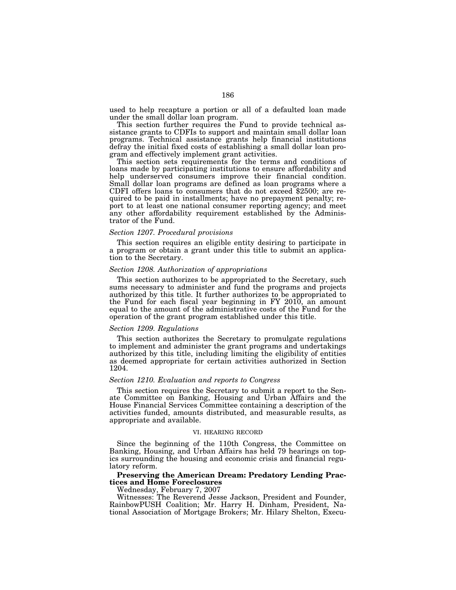used to help recapture a portion or all of a defaulted loan made under the small dollar loan program.

This section further requires the Fund to provide technical assistance grants to CDFIs to support and maintain small dollar loan programs. Technical assistance grants help financial institutions defray the initial fixed costs of establishing a small dollar loan program and effectively implement grant activities.

This section sets requirements for the terms and conditions of loans made by participating institutions to ensure affordability and help underserved consumers improve their financial condition. Small dollar loan programs are defined as loan programs where a CDFI offers loans to consumers that do not exceed \$2500; are required to be paid in installments; have no prepayment penalty; report to at least one national consumer reporting agency; and meet any other affordability requirement established by the Administrator of the Fund.

#### *Section 1207. Procedural provisions*

This section requires an eligible entity desiring to participate in a program or obtain a grant under this title to submit an application to the Secretary.

#### *Section 1208. Authorization of appropriations*

This section authorizes to be appropriated to the Secretary, such sums necessary to administer and fund the programs and projects authorized by this title. It further authorizes to be appropriated to the Fund for each fiscal year beginning in FY 2010, an amount equal to the amount of the administrative costs of the Fund for the operation of the grant program established under this title.

#### *Section 1209. Regulations*

This section authorizes the Secretary to promulgate regulations to implement and administer the grant programs and undertakings authorized by this title, including limiting the eligibility of entities as deemed appropriate for certain activities authorized in Section 1204.

#### *Section 1210. Evaluation and reports to Congress*

This section requires the Secretary to submit a report to the Senate Committee on Banking, Housing and Urban Affairs and the House Financial Services Committee containing a description of the activities funded, amounts distributed, and measurable results, as appropriate and available.

#### VI. HEARING RECORD

Since the beginning of the 110th Congress, the Committee on Banking, Housing, and Urban Affairs has held 79 hearings on topics surrounding the housing and economic crisis and financial regulatory reform.

# **Preserving the American Dream: Predatory Lending Practices and Home Foreclosures**

Wednesday, February 7, 2007

Witnesses: The Reverend Jesse Jackson, President and Founder, RainbowPUSH Coalition; Mr. Harry H. Dinham, President, National Association of Mortgage Brokers; Mr. Hilary Shelton, Execu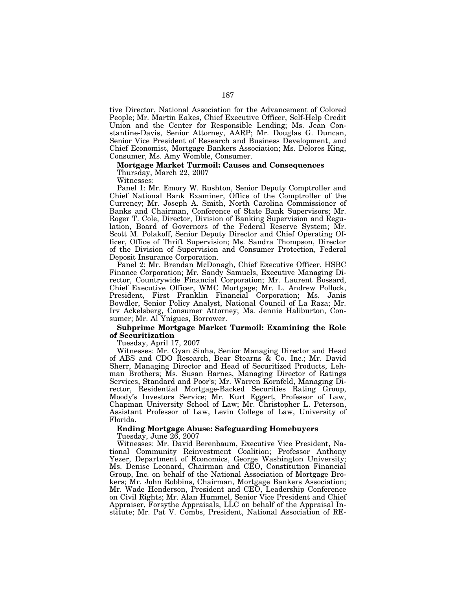tive Director, National Association for the Advancement of Colored People; Mr. Martin Eakes, Chief Executive Officer, Self-Help Credit Union and the Center for Responsible Lending; Ms. Jean Constantine-Davis, Senior Attorney, AARP; Mr. Douglas G. Duncan, Senior Vice President of Research and Business Development, and Chief Economist, Mortgage Bankers Association; Ms. Delores King, Consumer, Ms. Amy Womble, Consumer.

#### **Mortgage Market Turmoil: Causes and Consequences**

Thursday, March 22, 2007

Witnesses:

Panel 1: Mr. Emory W. Rushton, Senior Deputy Comptroller and Chief National Bank Examiner, Office of the Comptroller of the Currency; Mr. Joseph A. Smith, North Carolina Commissioner of Banks and Chairman, Conference of State Bank Supervisors; Mr. Roger T. Cole, Director, Division of Banking Supervision and Regulation, Board of Governors of the Federal Reserve System; Mr. Scott M. Polakoff, Senior Deputy Director and Chief Operating Officer, Office of Thrift Supervision; Ms. Sandra Thompson, Director of the Division of Supervision and Consumer Protection, Federal Deposit Insurance Corporation.

Panel 2: Mr. Brendan McDonagh, Chief Executive Officer, HSBC Finance Corporation; Mr. Sandy Samuels, Executive Managing Director, Countrywide Financial Corporation; Mr. Laurent Bossard, Chief Executive Officer, WMC Mortgage; Mr. L. Andrew Pollock, President, First Franklin Financial Corporation; Ms. Janis Bowdler, Senior Policy Analyst, National Council of La Raza; Mr. Irv Ackelsberg, Consumer Attorney; Ms. Jennie Haliburton, Consumer; Mr. Al Ynigues, Borrower.

# **Subprime Mortgage Market Turmoil: Examining the Role of Securitization**

Tuesday, April 17, 2007

Witnesses: Mr. Gyan Sinha, Senior Managing Director and Head of ABS and CDO Research, Bear Stearns & Co. Inc.; Mr. David Sherr, Managing Director and Head of Securitized Products, Lehman Brothers; Ms. Susan Barnes, Managing Director of Ratings Services, Standard and Poor's; Mr. Warren Kornfeld, Managing Director, Residential Mortgage-Backed Securities Rating Group, Moody's Investors Service; Mr. Kurt Eggert, Professor of Law, Chapman University School of Law; Mr. Christopher L. Peterson, Assistant Professor of Law, Levin College of Law, University of Florida.

#### **Ending Mortgage Abuse: Safeguarding Homebuyers**  Tuesday, June 26, 2007

Witnesses: Mr. David Berenbaum, Executive Vice President, National Community Reinvestment Coalition; Professor Anthony Yezer, Department of Economics, George Washington University; Ms. Denise Leonard, Chairman and CEO, Constitution Financial Group, Inc. on behalf of the National Association of Mortgage Brokers; Mr. John Robbins, Chairman, Mortgage Bankers Association; Mr. Wade Henderson, President and CEO, Leadership Conference on Civil Rights; Mr. Alan Hummel, Senior Vice President and Chief Appraiser, Forsythe Appraisals, LLC on behalf of the Appraisal Institute; Mr. Pat V. Combs, President, National Association of RE-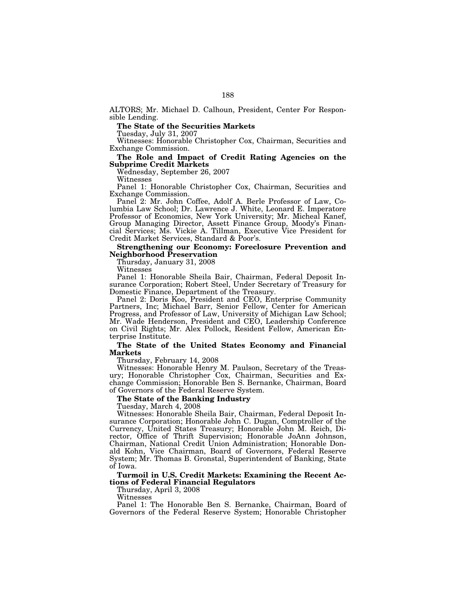ALTORS; Mr. Michael D. Calhoun, President, Center For Responsible Lending.

# **The State of the Securities Markets**

Tuesday, July 31, 2007

Witnesses: Honorable Christopher Cox, Chairman, Securities and Exchange Commission.

# **The Role and Impact of Credit Rating Agencies on the Subprime Credit Markets**

Wednesday, September 26, 2007 Witnesses

Panel 1: Honorable Christopher Cox, Chairman, Securities and Exchange Commission.

Panel 2: Mr. John Coffee, Adolf A. Berle Professor of Law, Columbia Law School; Dr. Lawrence J. White, Leonard E. Imperatore Professor of Economics, New York University; Mr. Micheal Kanef, Group Managing Director, Assett Finance Group, Moody's Financial Services; Ms. Vickie A. Tillman, Executive Vice President for Credit Market Services, Standard & Poor's.

### **Strengthening our Economy: Foreclosure Prevention and Neighborhood Preservation**

Thursday, January 31, 2008

Witnesses

Panel 1: Honorable Sheila Bair, Chairman, Federal Deposit Insurance Corporation; Robert Steel, Under Secretary of Treasury for Domestic Finance, Department of the Treasury.

Panel 2: Doris Koo, President and CEO, Enterprise Community Partners, Inc; Michael Barr, Senior Fellow, Center for American Progress, and Professor of Law, University of Michigan Law School; Mr. Wade Henderson, President and CEO, Leadership Conference on Civil Rights; Mr. Alex Pollock, Resident Fellow, American Enterprise Institute.

## **The State of the United States Economy and Financial Markets**

Thursday, February 14, 2008

Witnesses: Honorable Henry M. Paulson, Secretary of the Treasury; Honorable Christopher Cox, Chairman, Securities and Exchange Commission; Honorable Ben S. Bernanke, Chairman, Board of Governors of the Federal Reserve System.

## **The State of the Banking Industry**

Tuesday, March 4, 2008

Witnesses: Honorable Sheila Bair, Chairman, Federal Deposit Insurance Corporation; Honorable John C. Dugan, Comptroller of the Currency, United States Treasury; Honorable John M. Reich, Director, Office of Thrift Supervision; Honorable JoAnn Johnson, Chairman, National Credit Union Administration; Honorable Donald Kohn, Vice Chairman, Board of Governors, Federal Reserve System; Mr. Thomas B. Gronstal, Superintendent of Banking, State of Iowa.

**Turmoil in U.S. Credit Markets: Examining the Recent Actions of Federal Financial Regulators** 

Thursday, April 3, 2008

Witnesses

Panel 1: The Honorable Ben S. Bernanke, Chairman, Board of Governors of the Federal Reserve System; Honorable Christopher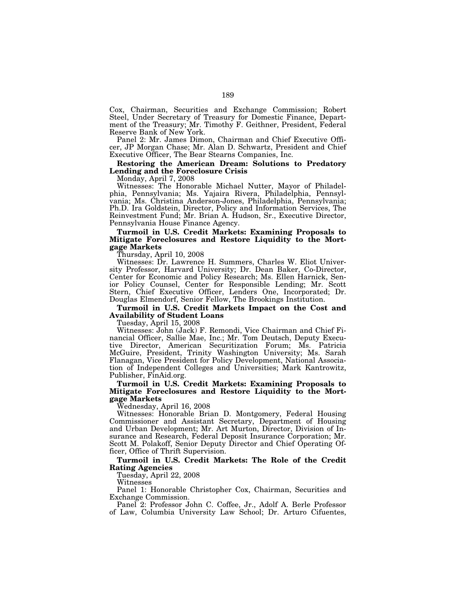Cox, Chairman, Securities and Exchange Commission; Robert Steel, Under Secretary of Treasury for Domestic Finance, Department of the Treasury; Mr. Timothy F. Geithner, President, Federal Reserve Bank of New York.

Panel 2: Mr. James Dimon, Chairman and Chief Executive Officer, JP Morgan Chase; Mr. Alan D. Schwartz, President and Chief Executive Officer, The Bear Stearns Companies, Inc.

# **Restoring the American Dream: Solutions to Predatory Lending and the Foreclosure Crisis**

Monday, April 7, 2008

Witnesses: The Honorable Michael Nutter, Mayor of Philadelphia, Pennsylvania; Ms. Yajaira Rivera, Philadelphia, Pennsylvania; Ms. Christina Anderson-Jones, Philadelphia, Pennsylvania; Ph.D. Ira Goldstein, Director, Policy and Information Services, The Reinvestment Fund; Mr. Brian A. Hudson, Sr., Executive Director, Pennsylvania House Finance Agency.

# **Turmoil in U.S. Credit Markets: Examining Proposals to Mitigate Foreclosures and Restore Liquidity to the Mortgage Markets**

Thursday, April 10, 2008

Witnesses: Dr. Lawrence H. Summers, Charles W. Eliot University Professor, Harvard University; Dr. Dean Baker, Co-Director, Center for Economic and Policy Research; Ms. Ellen Harnick, Senior Policy Counsel, Center for Responsible Lending; Mr. Scott Stern, Chief Executive Officer, Lenders One, Incorporated; Dr. Douglas Elmendorf, Senior Fellow, The Brookings Institution.

#### **Turmoil in U.S. Credit Markets Impact on the Cost and Availability of Student Loans**

Tuesday, April 15, 2008

Witnesses: John (Jack) F. Remondi, Vice Chairman and Chief Financial Officer, Sallie Mae, Inc.; Mr. Tom Deutsch, Deputy Executive Director, American Securitization Forum; Ms. Patricia McGuire, President, Trinity Washington University; Ms. Sarah Flanagan, Vice President for Policy Development, National Association of Independent Colleges and Universities; Mark Kantrowitz, Publisher, FinAid.org.

**Turmoil in U.S. Credit Markets: Examining Proposals to Mitigate Foreclosures and Restore Liquidity to the Mortgage Markets** 

Wednesday, April 16, 2008

Witnesses: Honorable Brian D. Montgomery, Federal Housing Commissioner and Assistant Secretary, Department of Housing and Urban Development; Mr. Art Murton, Director, Division of Insurance and Research, Federal Deposit Insurance Corporation; Mr. Scott M. Polakoff, Senior Deputy Director and Chief Operating Officer, Office of Thrift Supervision.

### **Turmoil in U.S. Credit Markets: The Role of the Credit Rating Agencies**

Tuesday, April 22, 2008

Witnesses

Panel 1: Honorable Christopher Cox, Chairman, Securities and Exchange Commission.

Panel 2: Professor John C. Coffee, Jr., Adolf A. Berle Professor of Law, Columbia University Law School; Dr. Arturo Cifuentes,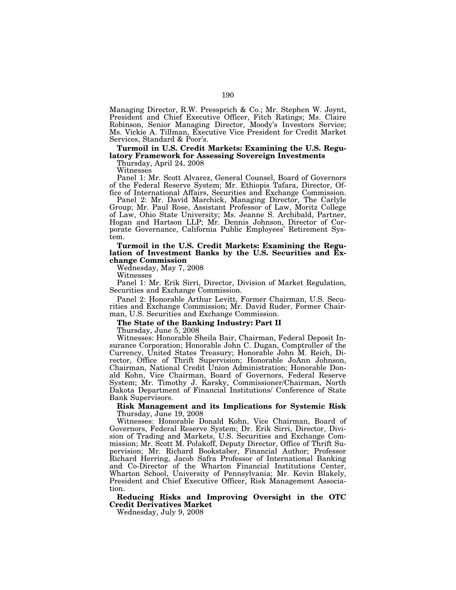Managing Director, R.W. Pressprich & Co.; Mr. Stephen W. Joynt, President and Chief Executive Officer, Fitch Ratings; Ms. Claire Robinson, Senior Managing Director, Moody's Investors Service; Ms. Vickie A. Tillman, Executive Vice President for Credit Market Services, Standard & Poor's.

## **Turmoil in U.S. Credit Markets: Examining the U.S. Regulatory Framework for Assessing Sovereign Investments**

Thursday, April 24, 2008

Witnesses

Panel 1: Mr. Scott Alvarez, General Counsel, Board of Governors of the Federal Reserve System; Mr. Ethiopis Tafara, Director, Office of International Affairs, Securities and Exchange Commission.

Panel 2: Mr. David Marchick, Managing Director, The Carlyle Group; Mr. Paul Rose, Assistant Professor of Law, Moritz College of Law, Ohio State University; Ms. Jeanne S. Archibald, Partner, Hogan and Hartson LLP; Mr. Dennis Johnson, Director of Corporate Governance, California Public Employees' Retirement System.

**Turmoil in the U.S. Credit Markets: Examining the Regu**lation of Investment Banks by the U.S. Securities and Ex**change Commission** 

Wednesday, May 7, 2008

Witnesses

Panel 1: Mr. Erik Sirri, Director, Division of Market Regulation, Securities and Exchange Commission.

Panel 2: Honorable Arthur Levitt, Former Chairman, U.S. Securities and Exchange Commission; Mr. David Ruder, Former Chairman, U.S. Securities and Exchange Commission.

# **The State of the Banking Industry: Part II**

Thursday, June 5, 2008

Witnesses: Honorable Sheila Bair, Chairman, Federal Deposit Insurance Corporation; Honorable John C. Dugan, Comptroller of the Currency, United States Treasury; Honorable John M. Reich, Director, Office of Thrift Supervision; Honorable JoAnn Johnson, Chairman, National Credit Union Administration; Honorable Donald Kohn, Vice Chairman, Board of Governors, Federal Reserve System; Mr. Timothy J. Karsky, Commissioner/Chairman, North Dakota Department of Financial Institutions/ Conference of State Bank Supervisors.

**Risk Management and its Implications for Systemic Risk**  Thursday, June 19, 2008

Witnesses: Honorable Donald Kohn, Vice Chairman, Board of Governors, Federal Reserve System; Dr. Erik Sirri, Director, Division of Trading and Markets, U.S. Securities and Exchange Commission; Mr. Scott M. Polakoff, Deputy Director, Office of Thrift Supervision; Mr. Richard Bookstaber, Financial Author; Professor Richard Herring, Jacob Safra Professor of International Banking and Co-Director of the Wharton Financial Institutions Center, Wharton School, University of Pennsylvania; Mr. Kevin Blakely, President and Chief Executive Officer, Risk Management Association.

**Reducing Risks and Improving Oversight in the OTC Credit Derivatives Market** 

Wednesday, July 9, 2008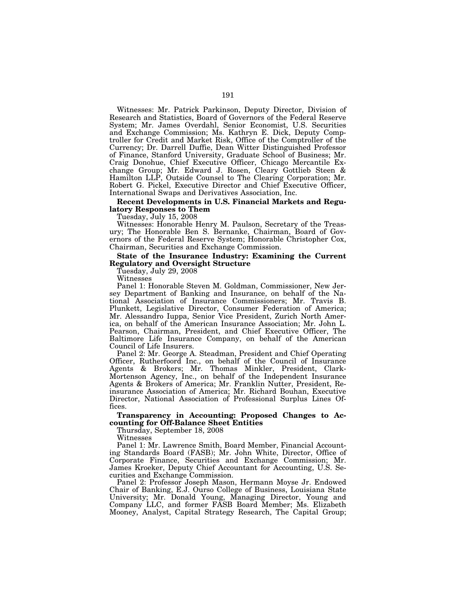Witnesses: Mr. Patrick Parkinson, Deputy Director, Division of Research and Statistics, Board of Governors of the Federal Reserve System; Mr. James Overdahl, Senior Economist, U.S. Securities and Exchange Commission; Ms. Kathryn E. Dick, Deputy Comptroller for Credit and Market Risk, Office of the Comptroller of the Currency; Dr. Darrell Duffie, Dean Witter Distinguished Professor of Finance, Stanford University, Graduate School of Business; Mr. Craig Donohue, Chief Executive Officer, Chicago Mercantile Exchange Group; Mr. Edward J. Rosen, Cleary Gottlieb Steen & Hamilton LLP, Outside Counsel to The Clearing Corporation; Mr. Robert G. Pickel, Executive Director and Chief Executive Officer, International Swaps and Derivatives Association, Inc.

## **Recent Developments in U.S. Financial Markets and Regulatory Responses to Them**

Tuesday, July 15, 2008

Witnesses: Honorable Henry M. Paulson, Secretary of the Treasury; The Honorable Ben S. Bernanke, Chairman, Board of Governors of the Federal Reserve System; Honorable Christopher Cox, Chairman, Securities and Exchange Commission.

### **State of the Insurance Industry: Examining the Current Regulatory and Oversight Structure**

Tuesday, July 29, 2008

Witnesses

Panel 1: Honorable Steven M. Goldman, Commissioner, New Jersey Department of Banking and Insurance, on behalf of the National Association of Insurance Commissioners; Mr. Travis B. Plunkett, Legislative Director, Consumer Federation of America; Mr. Alessandro Iuppa, Senior Vice President, Zurich North America, on behalf of the American Insurance Association; Mr. John L. Pearson, Chairman, President, and Chief Executive Officer, The Baltimore Life Insurance Company, on behalf of the American Council of Life Insurers.

Panel 2: Mr. George A. Steadman, President and Chief Operating Officer, Rutherfoord Inc., on behalf of the Council of Insurance Agents & Brokers; Mr. Thomas Minkler, President, Clark-Mortenson Agency, Inc., on behalf of the Independent Insurance Agents & Brokers of America; Mr. Franklin Nutter, President, Reinsurance Association of America; Mr. Richard Bouhan, Executive Director, National Association of Professional Surplus Lines Offices.

### **Transparency in Accounting: Proposed Changes to Accounting for Off-Balance Sheet Entities**

Thursday, September 18, 2008

Witnesses

Panel 1: Mr. Lawrence Smith, Board Member, Financial Accounting Standards Board (FASB); Mr. John White, Director, Office of Corporate Finance, Securities and Exchange Commission; Mr. James Kroeker, Deputy Chief Accountant for Accounting, U.S. Securities and Exchange Commission.

Panel 2: Professor Joseph Mason, Hermann Moyse Jr. Endowed Chair of Banking, E.J. Ourso College of Business, Louisiana State University; Mr. Donald Young, Managing Director, Young and Company LLC, and former FASB Board Member; Ms. Elizabeth Mooney, Analyst, Capital Strategy Research, The Capital Group;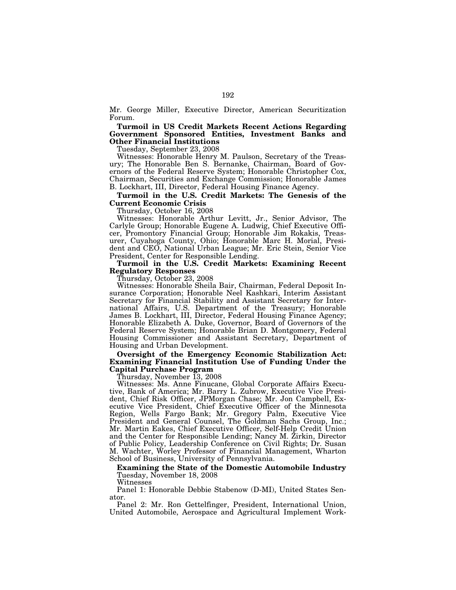Mr. George Miller, Executive Director, American Securitization Forum.

**Turmoil in US Credit Markets Recent Actions Regarding Government Sponsored Entities, Investment Banks and Other Financial Institutions** 

Tuesday, September 23, 2008

Witnesses: Honorable Henry M. Paulson, Secretary of the Treasury; The Honorable Ben S. Bernanke, Chairman, Board of Governors of the Federal Reserve System; Honorable Christopher Cox, Chairman, Securities and Exchange Commission; Honorable James B. Lockhart, III, Director, Federal Housing Finance Agency.

# **Turmoil in the U.S. Credit Markets: The Genesis of the Current Economic Crisis**

Thursday, October 16, 2008

Witnesses: Honorable Arthur Levitt, Jr., Senior Advisor, The Carlyle Group; Honorable Eugene A. Ludwig, Chief Executive Officer, Promontory Financial Group; Honorable Jim Rokakis, Treasurer, Cuyahoga County, Ohio; Honorable Marc H. Morial, President and CEO, National Urban League; Mr. Eric Stein, Senior Vice President, Center for Responsible Lending.

#### **Turmoil in the U.S. Credit Markets: Examining Recent Regulatory Responses**

Thursday, October 23, 2008

Witnesses: Honorable Sheila Bair, Chairman, Federal Deposit Insurance Corporation; Honorable Neel Kashkari, Interim Assistant Secretary for Financial Stability and Assistant Secretary for International Affairs, U.S. Department of the Treasury; Honorable James B. Lockhart, III, Director, Federal Housing Finance Agency; Honorable Elizabeth A. Duke, Governor, Board of Governors of the Federal Reserve System; Honorable Brian D. Montgomery, Federal Housing Commissioner and Assistant Secretary, Department of Housing and Urban Development.

### **Oversight of the Emergency Economic Stabilization Act: Examining Financial Institution Use of Funding Under the Capital Purchase Program**

Thursday, November 13, 2008

Witnesses: Ms. Anne Finucane, Global Corporate Affairs Executive, Bank of America; Mr. Barry L. Zubrow, Executive Vice President, Chief Risk Officer, JPMorgan Chase; Mr. Jon Campbell, Executive Vice President, Chief Executive Officer of the Minnesota Region, Wells Fargo Bank; Mr. Gregory Palm, Executive Vice President and General Counsel, The Goldman Sachs Group, Inc.; Mr. Martin Eakes, Chief Executive Officer, Self-Help Credit Union and the Center for Responsible Lending; Nancy M. Zirkin, Director of Public Policy, Leadership Conference on Civil Rights; Dr. Susan M. Wachter, Worley Professor of Financial Management, Wharton School of Business, University of Pennsylvania.

**Examining the State of the Domestic Automobile Industry**  Tuesday, November 18, 2008

Witnesses

Panel 1: Honorable Debbie Stabenow (D-MI), United States Senator.

Panel 2: Mr. Ron Gettelfinger, President, International Union, United Automobile, Aerospace and Agricultural Implement Work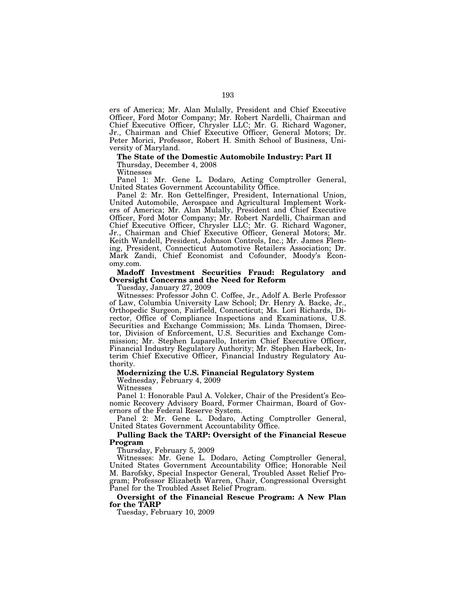ers of America; Mr. Alan Mulally, President and Chief Executive Officer, Ford Motor Company; Mr. Robert Nardelli, Chairman and Chief Executive Officer, Chrysler LLC; Mr. G. Richard Wagoner, Jr., Chairman and Chief Executive Officer, General Motors; Dr. Peter Morici, Professor, Robert H. Smith School of Business, University of Maryland.

#### **The State of the Domestic Automobile Industry: Part II**  Thursday, December 4, 2008

Witnesses

Panel 1: Mr. Gene L. Dodaro, Acting Comptroller General, United States Government Accountability Office.

Panel 2: Mr. Ron Gettelfinger, President, International Union, United Automobile, Aerospace and Agricultural Implement Workers of America; Mr. Alan Mulally, President and Chief Executive Officer, Ford Motor Company; Mr. Robert Nardelli, Chairman and Chief Executive Officer, Chrysler LLC; Mr. G. Richard Wagoner, Jr., Chairman and Chief Executive Officer, General Motors; Mr. Keith Wandell, President, Johnson Controls, Inc.; Mr. James Fleming, President, Connecticut Automotive Retailers Association; Dr. Mark Zandi, Chief Economist and Cofounder, Moody's Economy.com.

# **Madoff Investment Securities Fraud: Regulatory and Oversight Concerns and the Need for Reform**

Tuesday, January 27, 2009

Witnesses: Professor John C. Coffee, Jr., Adolf A. Berle Professor of Law, Columbia University Law School; Dr. Henry A. Backe, Jr., Orthopedic Surgeon, Fairfield, Connecticut; Ms. Lori Richards, Director, Office of Compliance Inspections and Examinations, U.S. Securities and Exchange Commission; Ms. Linda Thomsen, Director, Division of Enforcement, U.S. Securities and Exchange Commission; Mr. Stephen Luparello, Interim Chief Executive Officer, Financial Industry Regulatory Authority; Mr. Stephen Harbeck, Interim Chief Executive Officer, Financial Industry Regulatory Authority.

# **Modernizing the U.S. Financial Regulatory System**

Wednesday, February 4, 2009

Witnesses

Panel 1: Honorable Paul A. Volcker, Chair of the President's Economic Recovery Advisory Board, Former Chairman, Board of Governors of the Federal Reserve System.

Panel 2: Mr. Gene L. Dodaro, Acting Comptroller General, United States Government Accountability Office.

#### **Pulling Back the TARP: Oversight of the Financial Rescue Program**

Thursday, February 5, 2009

Witnesses: Mr. Gene L. Dodaro, Acting Comptroller General, United States Government Accountability Office; Honorable Neil M. Barofsky, Special Inspector General, Troubled Asset Relief Program; Professor Elizabeth Warren, Chair, Congressional Oversight Panel for the Troubled Asset Relief Program.

### **Oversight of the Financial Rescue Program: A New Plan for the TARP**

Tuesday, February 10, 2009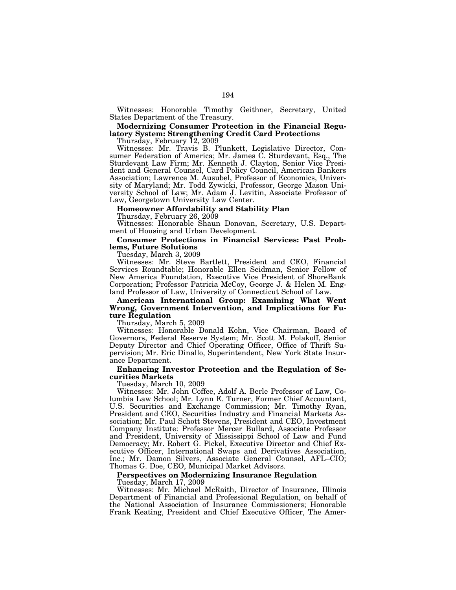Witnesses: Honorable Timothy Geithner, Secretary, United States Department of the Treasury.

**Modernizing Consumer Protection in the Financial Regulatory System: Strengthening Credit Card Protections** 

Thursday, February 12, 2009

Witnesses: Mr. Travis B. Plunkett, Legislative Director, Consumer Federation of America; Mr. James C. Sturdevant, Esq., The Sturdevant Law Firm; Mr. Kenneth J. Clayton, Senior Vice President and General Counsel, Card Policy Council, American Bankers Association; Lawrence M. Ausubel, Professor of Economics, University of Maryland; Mr. Todd Zywicki, Professor, George Mason University School of Law; Mr. Adam J. Levitin, Associate Professor of Law, Georgetown University Law Center.

#### **Homeowner Affordability and Stability Plan**

Thursday, February 26, 2009

Witnesses: Honorable Shaun Donovan, Secretary, U.S. Department of Housing and Urban Development.

### **Consumer Protections in Financial Services: Past Problems, Future Solutions**

Tuesday, March 3, 2009

Witnesses: Mr. Steve Bartlett, President and CEO, Financial Services Roundtable; Honorable Ellen Seidman, Senior Fellow of New America Foundation, Executive Vice President of ShoreBank Corporation; Professor Patricia McCoy, George J. & Helen M. England Professor of Law, University of Connecticut School of Law.

**American International Group: Examining What Went Wrong, Government Intervention, and Implications for Future Regulation** 

Thursday, March 5, 2009

Witnesses: Honorable Donald Kohn, Vice Chairman, Board of Governors, Federal Reserve System; Mr. Scott M. Polakoff, Senior Deputy Director and Chief Operating Officer, Office of Thrift Supervision; Mr. Eric Dinallo, Superintendent, New York State Insurance Department.

### **Enhancing Investor Protection and the Regulation of Securities Markets**

Tuesday, March 10, 2009

Witnesses: Mr. John Coffee, Adolf A. Berle Professor of Law, Columbia Law School; Mr. Lynn E. Turner, Former Chief Accountant, U.S. Securities and Exchange Commission; Mr. Timothy Ryan, President and CEO, Securities Industry and Financial Markets Association; Mr. Paul Schott Stevens, President and CEO, Investment Company Institute: Professor Mercer Bullard, Associate Professor and President, University of Mississippi School of Law and Fund Democracy; Mr. Robert G. Pickel, Executive Director and Chief Executive Officer, International Swaps and Derivatives Association, Inc.; Mr. Damon Silvers, Associate General Counsel, AFL–CIO; Thomas G. Doe, CEO, Municipal Market Advisors.

## **Perspectives on Modernizing Insurance Regulation**

Tuesday, March 17, 2009

Witnesses: Mr. Michael McRaith, Director of Insurance, Illinois Department of Financial and Professional Regulation, on behalf of the National Association of Insurance Commissioners; Honorable Frank Keating, President and Chief Executive Officer, The Amer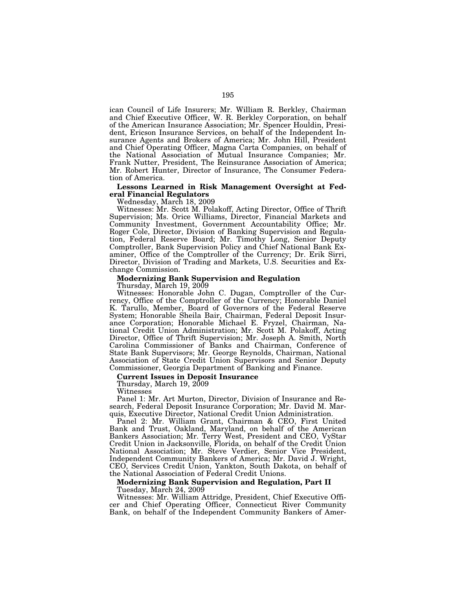ican Council of Life Insurers; Mr. William R. Berkley, Chairman and Chief Executive Officer, W. R. Berkley Corporation, on behalf of the American Insurance Association; Mr. Spencer Houldin, President, Ericson Insurance Services, on behalf of the Independent Insurance Agents and Brokers of America; Mr. John Hill, President and Chief Operating Officer, Magna Carta Companies, on behalf of the National Association of Mutual Insurance Companies; Mr. Frank Nutter, President, The Reinsurance Association of America; Mr. Robert Hunter, Director of Insurance, The Consumer Federation of America.

195

### **Lessons Learned in Risk Management Oversight at Federal Financial Regulators**

Wednesday, March 18, 2009

Witnesses: Mr. Scott M. Polakoff, Acting Director, Office of Thrift Supervision; Ms. Orice Williams, Director, Financial Markets and Community Investment, Government Accountability Office; Mr. Roger Cole, Director, Division of Banking Supervision and Regulation, Federal Reserve Board; Mr. Timothy Long, Senior Deputy Comptroller, Bank Supervision Policy and Chief National Bank Examiner, Office of the Comptroller of the Currency; Dr. Erik Sirri, Director, Division of Trading and Markets, U.S. Securities and Exchange Commission.

# **Modernizing Bank Supervision and Regulation**

Thursday, March 19, 2009

Witnesses: Honorable John C. Dugan, Comptroller of the Currency, Office of the Comptroller of the Currency; Honorable Daniel K. Tarullo, Member, Board of Governors of the Federal Reserve System; Honorable Sheila Bair, Chairman, Federal Deposit Insurance Corporation; Honorable Michael E. Fryzel, Chairman, National Credit Union Administration; Mr. Scott M. Polakoff, Acting Director, Office of Thrift Supervision; Mr. Joseph A. Smith, North Carolina Commissioner of Banks and Chairman, Conference of State Bank Supervisors; Mr. George Reynolds, Chairman, National Association of State Credit Union Supervisors and Senior Deputy Commissioner, Georgia Department of Banking and Finance.

# **Current Issues in Deposit Insurance**

Thursday, March  $19, 2009$ 

Witnesses

Panel 1: Mr. Art Murton, Director, Division of Insurance and Research, Federal Deposit Insurance Corporation; Mr. David M. Marquis, Executive Director, National Credit Union Administration.

Panel 2: Mr. William Grant, Chairman & CEO, First United Bank and Trust, Oakland, Maryland, on behalf of the American Bankers Association; Mr. Terry West, President and CEO, VyStar Credit Union in Jacksonville, Florida, on behalf of the Credit Union National Association; Mr. Steve Verdier, Senior Vice President, Independent Community Bankers of America; Mr. David J. Wright, CEO, Services Credit Union, Yankton, South Dakota, on behalf of the National Association of Federal Credit Unions.

#### **Modernizing Bank Supervision and Regulation, Part II**  Tuesday, March 24, 2009

Bank, on behalf of the Independent Community Bankers of Amer-

Witnesses: Mr. William Attridge, President, Chief Executive Officer and Chief Operating Officer, Connecticut River Community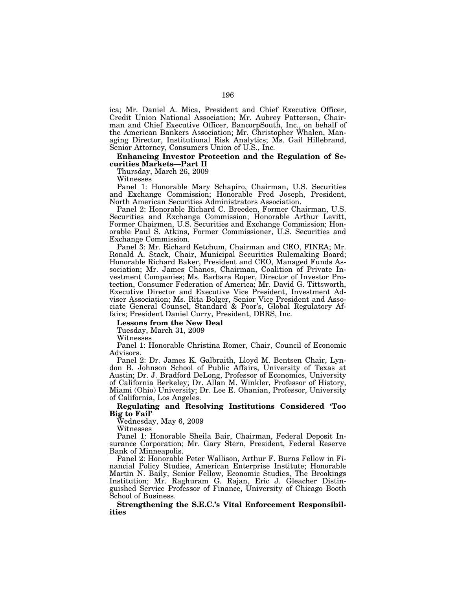ica; Mr. Daniel A. Mica, President and Chief Executive Officer, Credit Union National Association; Mr. Aubrey Patterson, Chairman and Chief Executive Officer, BancorpSouth, Inc., on behalf of the American Bankers Association; Mr. Christopher Whalen, Managing Director, Institutional Risk Analytics; Ms. Gail Hillebrand, Senior Attorney, Consumers Union of U.S., Inc.

#### **Enhancing Investor Protection and the Regulation of Securities Markets—Part II**

Thursday, March 26, 2009

Witnesses

Panel 1: Honorable Mary Schapiro, Chairman, U.S. Securities and Exchange Commission; Honorable Fred Joseph, President, North American Securities Administrators Association.

Panel 2: Honorable Richard C. Breeden, Former Chairman, U.S. Securities and Exchange Commission; Honorable Arthur Levitt, Former Chairmen, U.S. Securities and Exchange Commission; Honorable Paul S. Atkins, Former Commissioner, U.S. Securities and Exchange Commission.

Panel 3: Mr. Richard Ketchum, Chairman and CEO, FINRA; Mr. Ronald A. Stack, Chair, Municipal Securities Rulemaking Board; Honorable Richard Baker, President and CEO, Managed Funds Association; Mr. James Chanos, Chairman, Coalition of Private Investment Companies; Ms. Barbara Roper, Director of Investor Protection, Consumer Federation of America; Mr. David G. Tittsworth, Executive Director and Executive Vice President, Investment Adviser Association; Ms. Rita Bolger, Senior Vice President and Associate General Counsel, Standard & Poor's, Global Regulatory Affairs; President Daniel Curry, President, DBRS, Inc.

**Lessons from the New Deal** 

Tuesday, March 31, 2009

Witnesses

Panel 1: Honorable Christina Romer, Chair, Council of Economic Advisors.

Panel 2: Dr. James K. Galbraith, Lloyd M. Bentsen Chair, Lyndon B. Johnson School of Public Affairs, University of Texas at Austin; Dr. J. Bradford DeLong, Professor of Economics, University of California Berkeley; Dr. Allan M. Winkler, Professor of History, Miami (Ohio) University; Dr. Lee E. Ohanian, Professor, University of California, Los Angeles.

# **Regulating and Resolving Institutions Considered 'Too Big to Fail'**

Wednesday, May 6, 2009

Witnesses

Panel 1: Honorable Sheila Bair, Chairman, Federal Deposit Insurance Corporation; Mr. Gary Stern, President, Federal Reserve Bank of Minneapolis.

Panel 2: Honorable Peter Wallison, Arthur F. Burns Fellow in Financial Policy Studies, American Enterprise Institute; Honorable Martin N. Baily, Senior Fellow, Economic Studies, The Brookings Institution; Mr. Raghuram G. Rajan, Eric J. Gleacher Distinguished Service Professor of Finance, University of Chicago Booth School of Business.

**Strengthening the S.E.C.'s Vital Enforcement Responsibilities**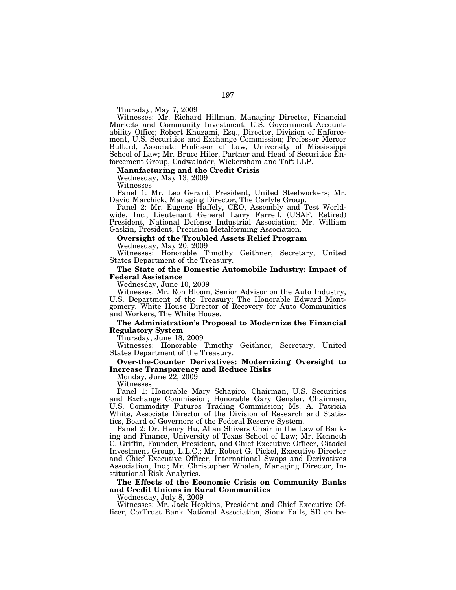Thursday, May 7, 2009

Witnesses: Mr. Richard Hillman, Managing Director, Financial Markets and Community Investment, U.S. Government Accountability Office; Robert Khuzami, Esq., Director, Division of Enforcement, U.S. Securities and Exchange Commission; Professor Mercer Bullard, Associate Professor of Law, University of Mississippi School of Law; Mr. Bruce Hiler, Partner and Head of Securities Enforcement Group, Cadwalader, Wickersham and Taft LLP.

#### **Manufacturing and the Credit Crisis**

Wednesday, May 13, 2009

Witnesses

Panel 1: Mr. Leo Gerard, President, United Steelworkers; Mr. David Marchick, Managing Director, The Carlyle Group.

Panel 2: Mr. Eugene Haffely, CEO, Assembly and Test Worldwide, Inc.; Lieutenant General Larry Farrell, (USAF, Retired) President, National Defense Industrial Association; Mr. William Gaskin, President, Precision Metalforming Association.

# **Oversight of the Troubled Assets Relief Program**

Wednesday, May 20, 2009

Witnesses: Honorable Timothy Geithner, Secretary, United States Department of the Treasury.

#### **The State of the Domestic Automobile Industry: Impact of Federal Assistance**

Wednesday, June 10, 2009

Witnesses: Mr. Ron Bloom, Senior Advisor on the Auto Industry, U.S. Department of the Treasury; The Honorable Edward Montgomery, White House Director of Recovery for Auto Communities and Workers, The White House.

# **The Administration's Proposal to Modernize the Financial Regulatory System**

Thursday, June 18, 2009

Witnesses: Honorable Timothy Geithner, Secretary, United States Department of the Treasury.

#### **Over-the-Counter Derivatives: Modernizing Oversight to Increase Transparency and Reduce Risks**

Monday, June 22, 2009

Witnesses

Panel 1: Honorable Mary Schapiro, Chairman, U.S. Securities and Exchange Commission; Honorable Gary Gensler, Chairman, U.S. Commodity Futures Trading Commission; Ms. A. Patricia White, Associate Director of the Division of Research and Statistics, Board of Governors of the Federal Reserve System.

Panel 2: Dr. Henry Hu, Allan Shivers Chair in the Law of Banking and Finance, University of Texas School of Law; Mr. Kenneth C. Griffin, Founder, President, and Chief Executive Officer, Citadel Investment Group, L.L.C.; Mr. Robert G. Pickel, Executive Director and Chief Executive Officer, International Swaps and Derivatives Association, Inc.; Mr. Christopher Whalen, Managing Director, Institutional Risk Analytics.

# **The Effects of the Economic Crisis on Community Banks and Credit Unions in Rural Communities**

Wednesday, July 8, 2009

Witnesses: Mr. Jack Hopkins, President and Chief Executive Officer, CorTrust Bank National Association, Sioux Falls, SD on be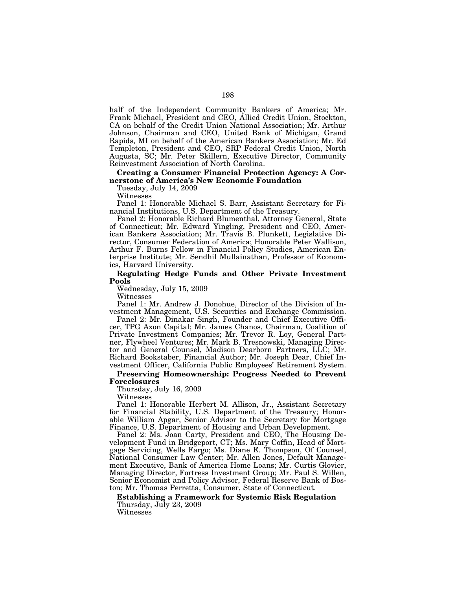half of the Independent Community Bankers of America; Mr. Frank Michael, President and CEO, Allied Credit Union, Stockton, CA on behalf of the Credit Union National Association; Mr. Arthur Johnson, Chairman and CEO, United Bank of Michigan, Grand Rapids, MI on behalf of the American Bankers Association; Mr. Ed Templeton, President and CEO, SRP Federal Credit Union, North Augusta, SC; Mr. Peter Skillern, Executive Director, Community Reinvestment Association of North Carolina.

# **Creating a Consumer Financial Protection Agency: A Cornerstone of America's New Economic Foundation**

Tuesday, July 14, 2009

Witnesses

Panel 1: Honorable Michael S. Barr, Assistant Secretary for Financial Institutions, U.S. Department of the Treasury.

Panel 2: Honorable Richard Blumenthal, Attorney General, State of Connecticut; Mr. Edward Yingling, President and CEO, American Bankers Association; Mr. Travis B. Plunkett, Legislative Director, Consumer Federation of America; Honorable Peter Wallison, Arthur F. Burns Fellow in Financial Policy Studies, American Enterprise Institute; Mr. Sendhil Mullainathan, Professor of Economics, Harvard University.

## **Regulating Hedge Funds and Other Private Investment Pools**

Wednesday, July 15, 2009

Witnesses

Panel 1: Mr. Andrew J. Donohue, Director of the Division of Investment Management, U.S. Securities and Exchange Commission.

Panel 2: Mr. Dinakar Singh, Founder and Chief Executive Officer, TPG Axon Capital; Mr. James Chanos, Chairman, Coalition of Private Investment Companies; Mr. Trevor R. Loy, General Partner, Flywheel Ventures; Mr. Mark B. Tresnowski, Managing Director and General Counsel, Madison Dearborn Partners, LLC; Mr. Richard Bookstaber, Financial Author; Mr. Joseph Dear, Chief Investment Officer, California Public Employees' Retirement System.

#### **Preserving Homeownership: Progress Needed to Prevent Foreclosures**

Thursday, July 16, 2009

Witnesses

Panel 1: Honorable Herbert M. Allison, Jr., Assistant Secretary for Financial Stability, U.S. Department of the Treasury; Honorable William Apgar, Senior Advisor to the Secretary for Mortgage Finance, U.S. Department of Housing and Urban Development.

Panel 2: Ms. Joan Carty, President and CEO, The Housing Development Fund in Bridgeport, CT; Ms. Mary Coffin, Head of Mortgage Servicing, Wells Fargo; Ms. Diane E. Thompson, Of Counsel, National Consumer Law Center; Mr. Allen Jones, Default Management Executive, Bank of America Home Loans; Mr. Curtis Glovier, Managing Director, Fortress Investment Group; Mr. Paul S. Willen, Senior Economist and Policy Advisor, Federal Reserve Bank of Boston; Mr. Thomas Perretta, Consumer, State of Connecticut.

# **Establishing a Framework for Systemic Risk Regulation**  Thursday, July 23, 2009

Witnesses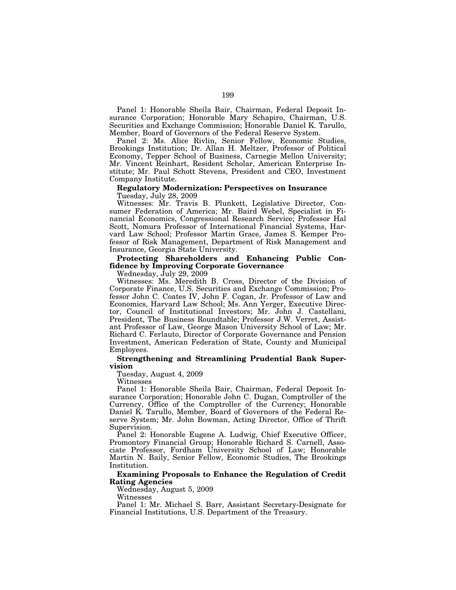Panel 1: Honorable Sheila Bair, Chairman, Federal Deposit Insurance Corporation; Honorable Mary Schapiro, Chairman, U.S. Securities and Exchange Commission; Honorable Daniel K. Tarullo, Member, Board of Governors of the Federal Reserve System.

Panel 2: Ms. Alice Rivlin, Senior Fellow, Economic Studies, Brookings Institution; Dr. Allan H. Meltzer, Professor of Political Economy, Tepper School of Business, Carnegie Mellon University; Mr. Vincent Reinhart, Resident Scholar, American Enterprise Institute; Mr. Paul Schott Stevens, President and CEO, Investment Company Institute.

# **Regulatory Modernization: Perspectives on Insurance**

Tuesday, July 28, 2009

Witnesses: Mr. Travis B. Plunkett, Legislative Director, Consumer Federation of America; Mr. Baird Webel, Specialist in Financial Economics, Congressional Research Service; Professor Hal Scott, Nomura Professor of International Financial Systems, Harvard Law School; Professor Martin Grace, James S. Kemper Professor of Risk Management, Department of Risk Management and Insurance, Georgia State University.

# **Protecting Shareholders and Enhancing Public Confidence by Improving Corporate Governance**

Wednesday, July 29, 2009

Witnesses: Ms. Meredith B. Cross, Director of the Division of Corporate Finance, U.S. Securities and Exchange Commission; Professor John C. Coates IV, John F. Cogan, Jr. Professor of Law and Economics, Harvard Law School; Ms. Ann Yerger, Executive Director, Council of Institutional Investors; Mr. John J. Castellani, President, The Business Roundtable; Professor J.W. Verret, Assistant Professor of Law, George Mason University School of Law; Mr. Richard C. Ferlauto, Director of Corporate Governance and Pension Investment, American Federation of State, County and Municipal Employees.

# **Strengthening and Streamlining Prudential Bank Supervision**

Tuesday, August 4, 2009

Witnesses

Panel 1: Honorable Sheila Bair, Chairman, Federal Deposit Insurance Corporation; Honorable John C. Dugan, Comptroller of the Currency, Office of the Comptroller of the Currency; Honorable Daniel K. Tarullo, Member, Board of Governors of the Federal Reserve System; Mr. John Bowman, Acting Director, Office of Thrift Supervision.

Panel 2: Honorable Eugene A. Ludwig, Chief Executive Officer, Promontory Financial Group; Honorable Richard S. Carnell, Associate Professor, Fordham University School of Law; Honorable Martin N. Baily, Senior Fellow, Economic Studies, The Brookings Institution.

# **Examining Proposals to Enhance the Regulation of Credit Rating Agencies**

Wednesday, August 5, 2009

Witnesses

Panel 1: Mr. Michael S. Barr, Assistant Secretary-Designate for Financial Institutions, U.S. Department of the Treasury.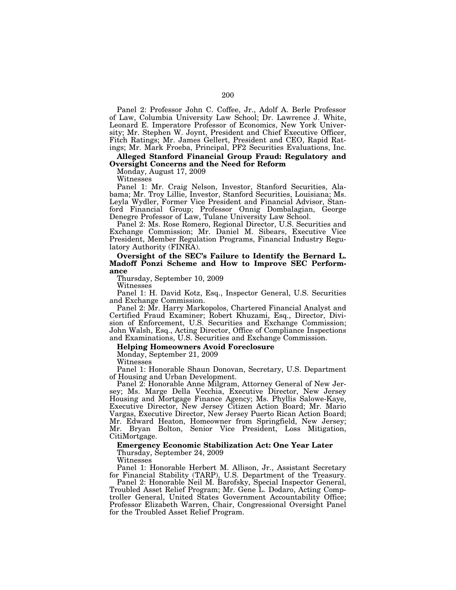Panel 2: Professor John C. Coffee, Jr., Adolf A. Berle Professor of Law, Columbia University Law School; Dr. Lawrence J. White, Leonard E. Imperatore Professor of Economics, New York University; Mr. Stephen W. Joynt, President and Chief Executive Officer, Fitch Ratings; Mr. James Gellert, President and CEO, Rapid Ratings; Mr. Mark Froeba, Principal, PF2 Securities Evaluations, Inc.

# **Alleged Stanford Financial Group Fraud: Regulatory and Oversight Concerns and the Need for Reform**

Monday, August 17, 2009

Witnesses

Panel 1: Mr. Craig Nelson, Investor, Stanford Securities, Alabama; Mr. Troy Lillie, Investor, Stanford Securities, Louisiana; Ms. Leyla Wydler, Former Vice President and Financial Advisor, Stanford Financial Group; Professor Onnig Dombalagian, George Denegre Professor of Law, Tulane University Law School.

Panel 2: Ms. Rose Romero, Regional Director, U.S. Securities and Exchange Commission; Mr. Daniel M. Sibears, Executive Vice President, Member Regulation Programs, Financial Industry Regulatory Authority (FINRA).

**Oversight of the SEC's Failure to Identify the Bernard L. Madoff Ponzi Scheme and How to Improve SEC Performance** 

Thursday, September 10, 2009

Witnesses

Panel 1: H. David Kotz, Esq., Inspector General, U.S. Securities and Exchange Commission.

Panel 2: Mr. Harry Markopolos, Chartered Financial Analyst and Certified Fraud Examiner; Robert Khuzami, Esq., Director, Division of Enforcement, U.S. Securities and Exchange Commission; John Walsh, Esq., Acting Director, Office of Compliance Inspections and Examinations, U.S. Securities and Exchange Commission.

#### **Helping Homeowners Avoid Foreclosure**

Monday, September 21, 2009

Witnesses

Panel 1: Honorable Shaun Donovan, Secretary, U.S. Department of Housing and Urban Development.

Panel 2: Honorable Anne Milgram, Attorney General of New Jersey; Ms. Marge Della Vecchia, Executive Director, New Jersey Housing and Mortgage Finance Agency; Ms. Phyllis Salowe-Kaye, Executive Director, New Jersey Citizen Action Board; Mr. Mario Vargas, Executive Director, New Jersey Puerto Rican Action Board; Mr. Edward Heaton, Homeowner from Springfield, New Jersey; Mr. Bryan Bolton, Senior Vice President, Loss Mitigation, CitiMortgage.

## **Emergency Economic Stabilization Act: One Year Later**

Thursday, September 24, 2009

Witnesses

Panel 1: Honorable Herbert M. Allison, Jr., Assistant Secretary for Financial Stability (TARP), U.S. Department of the Treasury.

Panel 2: Honorable Neil M. Barofsky, Special Inspector General, Troubled Asset Relief Program; Mr. Gene L. Dodaro, Acting Comptroller General, United States Government Accountability Office; Professor Elizabeth Warren, Chair, Congressional Oversight Panel for the Troubled Asset Relief Program.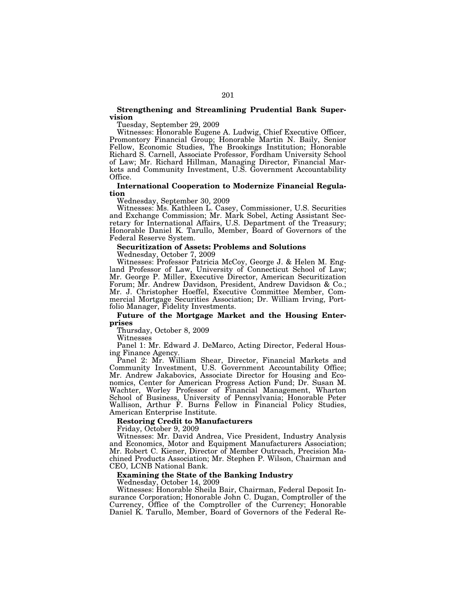# **Strengthening and Streamlining Prudential Bank Supervision**

Tuesday, September 29, 2009

Witnesses: Honorable Eugene A. Ludwig, Chief Executive Officer, Promontory Financial Group; Honorable Martin N. Baily, Senior Fellow, Economic Studies, The Brookings Institution; Honorable Richard S. Carnell, Associate Professor, Fordham University School of Law; Mr. Richard Hillman, Managing Director, Financial Markets and Community Investment, U.S. Government Accountability Office.

# **International Cooperation to Modernize Financial Regulation**

Wednesday, September 30, 2009

Witnesses: Ms. Kathleen L. Casey, Commissioner, U.S. Securities and Exchange Commission; Mr. Mark Sobel, Acting Assistant Secretary for International Affairs, U.S. Department of the Treasury; Honorable Daniel K. Tarullo, Member, Board of Governors of the Federal Reserve System.

#### **Securitization of Assets: Problems and Solutions**  Wednesday, October 7, 2009

Witnesses: Professor Patricia McCoy, George J. & Helen M. England Professor of Law, University of Connecticut School of Law; Mr. George P. Miller, Executive Director, American Securitization Forum; Mr. Andrew Davidson, President, Andrew Davidson & Co.; Mr. J. Christopher Hoeffel, Executive Committee Member, Commercial Mortgage Securities Association; Dr. William Irving, Portfolio Manager, Fidelity Investments.

# **Future of the Mortgage Market and the Housing Enterprises**

Thursday, October 8, 2009

Witnesses

Panel 1: Mr. Edward J. DeMarco, Acting Director, Federal Housing Finance Agency.

Panel 2: Mr. William Shear, Director, Financial Markets and Community Investment, U.S. Government Accountability Office; Mr. Andrew Jakabovics, Associate Director for Housing and Economics, Center for American Progress Action Fund; Dr. Susan M. Wachter, Worley Professor of Financial Management, Wharton School of Business, University of Pennsylvania; Honorable Peter Wallison, Arthur F. Burns Fellow in Financial Policy Studies, American Enterprise Institute.

#### **Restoring Credit to Manufacturers**

Friday, October 9, 2009

Witnesses: Mr. David Andrea, Vice President, Industry Analysis and Economics, Motor and Equipment Manufacturers Association; Mr. Robert C. Kiener, Director of Member Outreach, Precision Machined Products Association; Mr. Stephen P. Wilson, Chairman and CEO, LCNB National Bank.

## **Examining the State of the Banking Industry**

Wednesday, October 14, 2009

Witnesses: Honorable Sheila Bair, Chairman, Federal Deposit Insurance Corporation; Honorable John C. Dugan, Comptroller of the Currency, Office of the Comptroller of the Currency; Honorable Daniel K. Tarullo, Member, Board of Governors of the Federal Re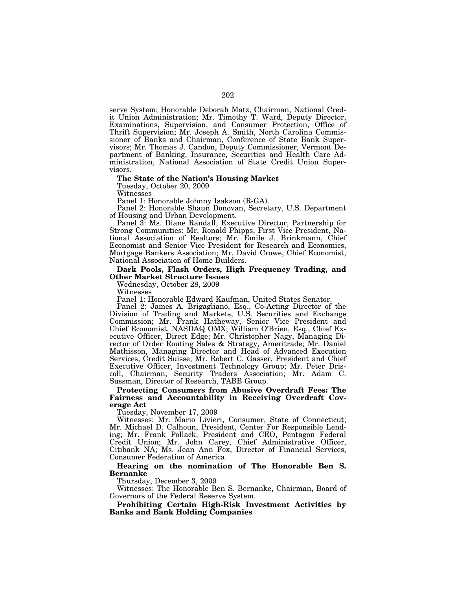serve System; Honorable Deborah Matz, Chairman, National Credit Union Administration; Mr. Timothy T. Ward, Deputy Director, Examinations, Supervision, and Consumer Protection, Office of Thrift Supervision; Mr. Joseph A. Smith, North Carolina Commissioner of Banks and Chairman, Conference of State Bank Supervisors; Mr. Thomas J. Candon, Deputy Commissioner, Vermont Department of Banking, Insurance, Securities and Health Care Administration, National Association of State Credit Union Supervisors.

#### **The State of the Nation's Housing Market**

Tuesday, October 20, 2009

Witnesses

Panel 1: Honorable Johnny Isakson (R-GA).

Panel 2: Honorable Shaun Donovan, Secretary, U.S. Department of Housing and Urban Development.

Panel 3: Ms. Diane Randall, Executive Director, Partnership for Strong Communities; Mr. Ronald Phipps, First Vice President, National Association of Realtors; Mr. Emile J. Brinkmann, Chief Economist and Senior Vice President for Research and Economics, Mortgage Bankers Association; Mr. David Crowe, Chief Economist, National Association of Home Builders.

## **Dark Pools, Flash Orders, High Frequency Trading, and Other Market Structure Issues**

Wednesday, October 28, 2009

Witnesses

Panel 1: Honorable Edward Kaufman, United States Senator.

Panel 2: James A. Brigagliano, Esq., Co-Acting Director of the Division of Trading and Markets, U.S. Securities and Exchange Commission; Mr. Frank Hatheway, Senior Vice President and Chief Economist, NASDAQ OMX; William O'Brien, Esq., Chief Executive Officer, Direct Edge; Mr. Christopher Nagy, Managing Director of Order Routing Sales & Strategy, Ameritrade; Mr. Daniel Mathisson, Managing Director and Head of Advanced Execution Services, Credit Suisse; Mr. Robert C. Gasser, President and Chief Executive Officer, Investment Technology Group; Mr. Peter Driscoll, Chairman, Security Traders Association; Mr. Adam C. Sussman, Director of Research, TABB Group.

**Protecting Consumers from Abusive Overdraft Fees: The Fairness and Accountability in Receiving Overdraft Coverage Act** 

Tuesday, November 17, 2009

Witnesses: Mr. Mario Livieri, Consumer, State of Connecticut; Mr. Michael D. Calhoun, President, Center For Responsible Lending; Mr. Frank Pollack, President and CEO, Pentagon Federal Credit Union; Mr. John Carey, Chief Administrative Officer, Citibank NA; Ms. Jean Ann Fox, Director of Financial Services, Consumer Federation of America.

# **Hearing on the nomination of The Honorable Ben S. Bernanke**

Thursday, December 3, 2009

Witnesses: The Honorable Ben S. Bernanke, Chairman, Board of Governors of the Federal Reserve System.

**Prohibiting Certain High-Risk Investment Activities by Banks and Bank Holding Companies**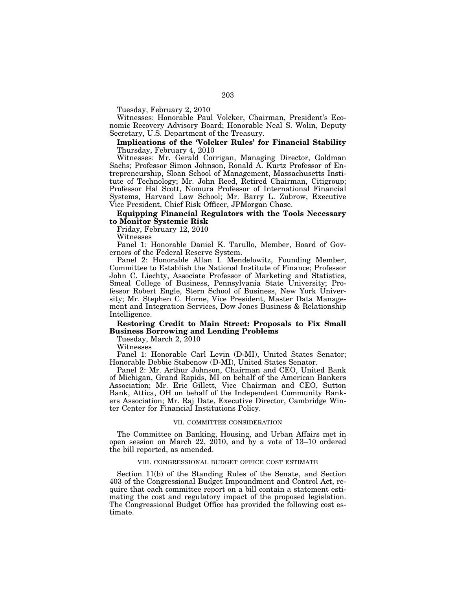Tuesday, February 2, 2010

Witnesses: Honorable Paul Volcker, Chairman, President's Economic Recovery Advisory Board; Honorable Neal S. Wolin, Deputy Secretary, U.S. Department of the Treasury.

# **Implications of the 'Volcker Rules' for Financial Stability**  Thursday, February 4, 2010

Witnesses: Mr. Gerald Corrigan, Managing Director, Goldman Sachs; Professor Simon Johnson, Ronald A. Kurtz Professor of Entrepreneurship, Sloan School of Management, Massachusetts Institute of Technology; Mr. John Reed, Retired Chairman, Citigroup; Professor Hal Scott, Nomura Professor of International Financial Systems, Harvard Law School; Mr. Barry L. Zubrow, Executive Vice President, Chief Risk Officer, JPMorgan Chase.

# **Equipping Financial Regulators with the Tools Necessary to Monitor Systemic Risk**

Friday, February 12, 2010

Witnesses

Panel 1: Honorable Daniel K. Tarullo, Member, Board of Governors of the Federal Reserve System.

Panel 2: Honorable Allan I. Mendelowitz, Founding Member, Committee to Establish the National Institute of Finance; Professor John C. Liechty, Associate Professor of Marketing and Statistics, Smeal College of Business, Pennsylvania State University; Professor Robert Engle, Stern School of Business, New York University; Mr. Stephen C. Horne, Vice President, Master Data Management and Integration Services, Dow Jones Business & Relationship Intelligence.

# **Restoring Credit to Main Street: Proposals to Fix Small Business Borrowing and Lending Problems**

Tuesday, March 2, 2010

Witnesses

Panel 1: Honorable Carl Levin (D-MI), United States Senator; Honorable Debbie Stabenow (D-MI), United States Senator.

Panel 2: Mr. Arthur Johnson, Chairman and CEO, United Bank of Michigan, Grand Rapids, MI on behalf of the American Bankers Association; Mr. Eric Gillett, Vice Chairman and CEO, Sutton Bank, Attica, OH on behalf of the Independent Community Bankers Association; Mr. Raj Date, Executive Director, Cambridge Winter Center for Financial Institutions Policy.

#### VII. COMMITTEE CONSIDERATION

The Committee on Banking, Housing, and Urban Affairs met in open session on March 22, 2010, and by a vote of 13–10 ordered the bill reported, as amended.

### VIII. CONGRESSIONAL BUDGET OFFICE COST ESTIMATE

Section 11(b) of the Standing Rules of the Senate, and Section 403 of the Congressional Budget Impoundment and Control Act, require that each committee report on a bill contain a statement estimating the cost and regulatory impact of the proposed legislation. The Congressional Budget Office has provided the following cost estimate.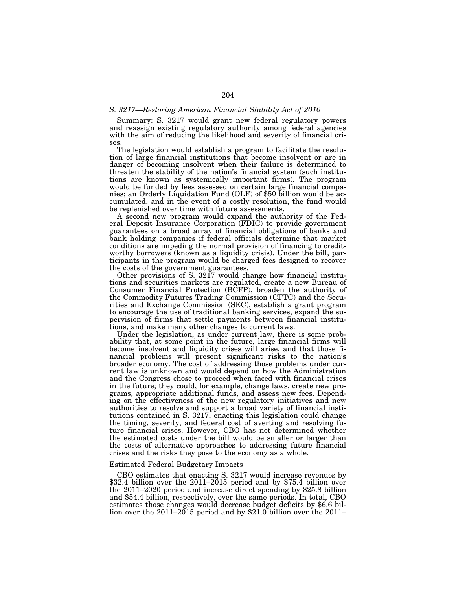#### *S. 3217—Restoring American Financial Stability Act of 2010*

Summary: S. 3217 would grant new federal regulatory powers and reassign existing regulatory authority among federal agencies with the aim of reducing the likelihood and severity of financial crises.

The legislation would establish a program to facilitate the resolution of large financial institutions that become insolvent or are in danger of becoming insolvent when their failure is determined to threaten the stability of the nation's financial system (such institutions are known as systemically important firms). The program would be funded by fees assessed on certain large financial companies; an Orderly Liquidation Fund (OLF) of \$50 billion would be accumulated, and in the event of a costly resolution, the fund would be replenished over time with future assessments.

A second new program would expand the authority of the Federal Deposit Insurance Corporation (FDIC) to provide government guarantees on a broad array of financial obligations of banks and bank holding companies if federal officials determine that market conditions are impeding the normal provision of financing to creditworthy borrowers (known as a liquidity crisis). Under the bill, participants in the program would be charged fees designed to recover the costs of the government guarantees.

Other provisions of S. 3217 would change how financial institutions and securities markets are regulated, create a new Bureau of Consumer Financial Protection (BCFP), broaden the authority of the Commodity Futures Trading Commission (CFTC) and the Securities and Exchange Commission (SEC), establish a grant program to encourage the use of traditional banking services, expand the supervision of firms that settle payments between financial institutions, and make many other changes to current laws.

Under the legislation, as under current law, there is some probability that, at some point in the future, large financial firms will become insolvent and liquidity crises will arise, and that those financial problems will present significant risks to the nation's broader economy. The cost of addressing those problems under current law is unknown and would depend on how the Administration and the Congress chose to proceed when faced with financial crises in the future; they could, for example, change laws, create new programs, appropriate additional funds, and assess new fees. Depending on the effectiveness of the new regulatory initiatives and new authorities to resolve and support a broad variety of financial institutions contained in S. 3217, enacting this legislation could change the timing, severity, and federal cost of averting and resolving future financial crises. However, CBO has not determined whether the estimated costs under the bill would be smaller or larger than the costs of alternative approaches to addressing future financial crises and the risks they pose to the economy as a whole.

#### Estimated Federal Budgetary Impacts

CBO estimates that enacting S. 3217 would increase revenues by  $$32.4$  billion over the 2011–2015 period and by \$75.4 billion over the 2011–2020 period and increase direct spending by \$25.8 billion and \$54.4 billion, respectively, over the same periods. In total, CBO estimates those changes would decrease budget deficits by \$6.6 billion over the 2011–2015 period and by \$21.0 billion over the 2011–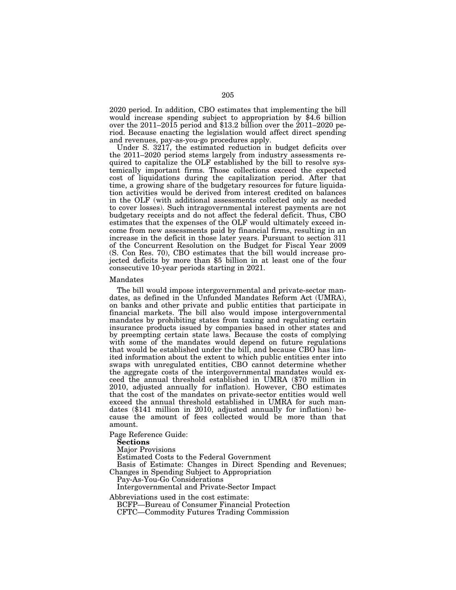2020 period. In addition, CBO estimates that implementing the bill would increase spending subject to appropriation by \$4.6 billion over the 2011–2015 period and \$13.2 billion over the 2011–2020 period. Because enacting the legislation would affect direct spending and revenues, pay-as-you-go procedures apply.

Under S. 3217, the estimated reduction in budget deficits over the 2011–2020 period stems largely from industry assessments required to capitalize the OLF established by the bill to resolve systemically important firms. Those collections exceed the expected cost of liquidations during the capitalization period. After that time, a growing share of the budgetary resources for future liquidation activities would be derived from interest credited on balances in the OLF (with additional assessments collected only as needed to cover losses). Such intragovernmental interest payments are not budgetary receipts and do not affect the federal deficit. Thus, CBO estimates that the expenses of the OLF would ultimately exceed income from new assessments paid by financial firms, resulting in an increase in the deficit in those later years. Pursuant to section 311 of the Concurrent Resolution on the Budget for Fiscal Year 2009 (S. Con Res. 70), CBO estimates that the bill would increase projected deficits by more than \$5 billion in at least one of the four consecutive 10-year periods starting in 2021.

#### Mandates

The bill would impose intergovernmental and private-sector mandates, as defined in the Unfunded Mandates Reform Act (UMRA), on banks and other private and public entities that participate in financial markets. The bill also would impose intergovernmental mandates by prohibiting states from taxing and regulating certain insurance products issued by companies based in other states and by preempting certain state laws. Because the costs of complying with some of the mandates would depend on future regulations that would be established under the bill, and because CBO has limited information about the extent to which public entities enter into swaps with unregulated entities, CBO cannot determine whether the aggregate costs of the intergovernmental mandates would exceed the annual threshold established in UMRA (\$70 million in 2010, adjusted annually for inflation). However, CBO estimates that the cost of the mandates on private-sector entities would well exceed the annual threshold established in UMRA for such mandates (\$141 million in 2010, adjusted annually for inflation) because the amount of fees collected would be more than that amount.

Page Reference Guide:

**Sections** 

Major Provisions

Estimated Costs to the Federal Government

Basis of Estimate: Changes in Direct Spending and Revenues; Changes in Spending Subject to Appropriation

Pay-As-You-Go Considerations

Intergovernmental and Private-Sector Impact

Abbreviations used in the cost estimate:

BCFP—Bureau of Consumer Financial Protection CFTC—Commodity Futures Trading Commission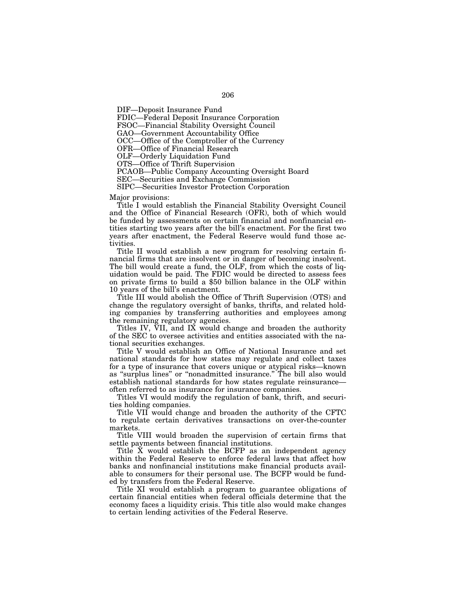DIF—Deposit Insurance Fund

FDIC—Federal Deposit Insurance Corporation

FSOC—Financial Stability Oversight Council

GAO—Government Accountability Office

OCC—Office of the Comptroller of the Currency

OFR—Office of Financial Research

OLF—Orderly Liquidation Fund

OTS—Office of Thrift Supervision

PCAOB—Public Company Accounting Oversight Board

SEC—Securities and Exchange Commission

SIPC—Securities Investor Protection Corporation

Major provisions:

Title I would establish the Financial Stability Oversight Council and the Office of Financial Research (OFR), both of which would be funded by assessments on certain financial and nonfinancial entities starting two years after the bill's enactment. For the first two years after enactment, the Federal Reserve would fund those activities.

Title II would establish a new program for resolving certain financial firms that are insolvent or in danger of becoming insolvent. The bill would create a fund, the OLF, from which the costs of liquidation would be paid. The FDIC would be directed to assess fees on private firms to build a \$50 billion balance in the OLF within 10 years of the bill's enactment.

Title III would abolish the Office of Thrift Supervision (OTS) and change the regulatory oversight of banks, thrifts, and related holding companies by transferring authorities and employees among the remaining regulatory agencies.

Titles IV, VII, and IX would change and broaden the authority of the SEC to oversee activities and entities associated with the national securities exchanges.

Title V would establish an Office of National Insurance and set national standards for how states may regulate and collect taxes for a type of insurance that covers unique or atypical risks—known as ''surplus lines'' or ''nonadmitted insurance.'' The bill also would establish national standards for how states regulate reinsurance often referred to as insurance for insurance companies.

Titles VI would modify the regulation of bank, thrift, and securities holding companies.

Title VII would change and broaden the authority of the CFTC to regulate certain derivatives transactions on over-the-counter markets.

Title VIII would broaden the supervision of certain firms that settle payments between financial institutions.

Title  $\check{X}$  would establish the BCFP as an independent agency within the Federal Reserve to enforce federal laws that affect how banks and nonfinancial institutions make financial products available to consumers for their personal use. The BCFP would be funded by transfers from the Federal Reserve.

Title XI would establish a program to guarantee obligations of certain financial entities when federal officials determine that the economy faces a liquidity crisis. This title also would make changes to certain lending activities of the Federal Reserve.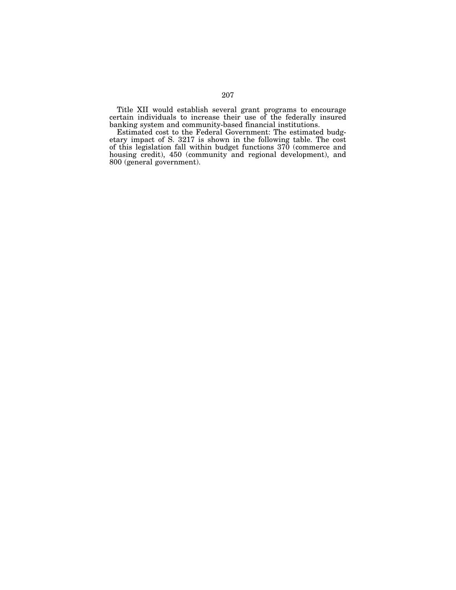Title XII would establish several grant programs to encourage certain individuals to increase their use of the federally insured banking system and community-based financial institutions.

Estimated cost to the Federal Government: The estimated budgetary impact of S. 3217 is shown in the following table. The cost of this legislation fall within budget functions 370 (commerce and housing credit), 450 (community and regional development), and 800 (general government).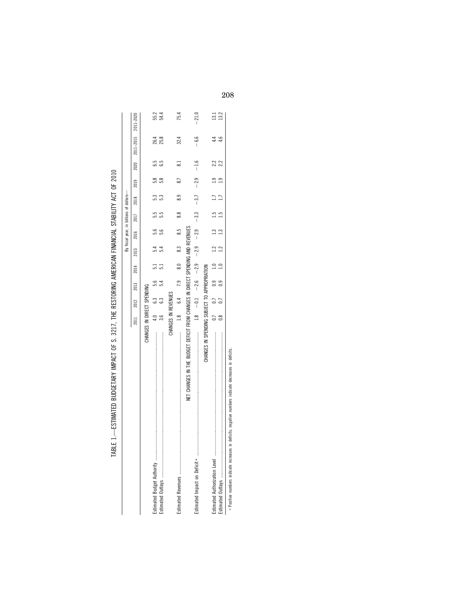| ׇ֚֘֡                  |  |
|-----------------------|--|
|                       |  |
| ׇ֚֓                   |  |
|                       |  |
|                       |  |
|                       |  |
|                       |  |
|                       |  |
|                       |  |
|                       |  |
|                       |  |
| .<br>.<br>.<br>.<br>. |  |
|                       |  |
|                       |  |
|                       |  |
|                       |  |
|                       |  |
|                       |  |
|                       |  |
|                       |  |
|                       |  |
|                       |  |
|                       |  |
|                       |  |
|                       |  |
|                       |  |
|                       |  |
|                       |  |
|                       |  |
|                       |  |
|                       |  |
|                       |  |
|                       |  |
|                       |  |
|                       |  |
|                       |  |
|                       |  |
|                       |  |
|                       |  |
|                       |  |
|                       |  |
|                       |  |
|                       |  |
| i<br> <br>            |  |
|                       |  |
| l                     |  |
| ֠                     |  |
|                       |  |
| <br> <br>             |  |
|                       |  |
|                       |  |
|                       |  |
|                       |  |
|                       |  |
|                       |  |
|                       |  |
|                       |  |
|                       |  |
|                       |  |
|                       |  |
|                       |  |
|                       |  |
|                       |  |
|                       |  |
| ׅ֘֒                   |  |
|                       |  |
|                       |  |
|                       |  |
| i                     |  |
|                       |  |
|                       |  |
|                       |  |
| Ï                     |  |
| i                     |  |
|                       |  |
|                       |  |
|                       |  |
|                       |  |
|                       |  |
|                       |  |
|                       |  |
|                       |  |

|                                                                                                      |                            |            |                                                                |                          |     | By fiscal year, in billions of dollars- |       |        |     |     |                               |                     |
|------------------------------------------------------------------------------------------------------|----------------------------|------------|----------------------------------------------------------------|--------------------------|-----|-----------------------------------------|-------|--------|-----|-----|-------------------------------|---------------------|
|                                                                                                      |                            | 2012 2013  |                                                                | 2014 2015 2016 2017 2018 |     |                                         |       |        |     |     | 2019 2020 2021-2015 2011-2020 |                     |
|                                                                                                      | CHANGES IN DIRECT SPENDING |            |                                                                |                          |     |                                         |       |        |     |     |                               |                     |
|                                                                                                      |                            | 6.3        | 5.6                                                            |                          | 5.4 | 5.6                                     |       | 5.3    | 5.8 | 6.5 |                               |                     |
|                                                                                                      |                            | <b>6.3</b> | 5.4                                                            |                          | 5.4 | 5.6                                     |       |        | 5.8 | 6.5 | 26.4<br>25.8                  | 55.4<br>54.4        |
|                                                                                                      | CHANGES IN REVENUES        |            |                                                                |                          |     |                                         |       |        |     |     |                               |                     |
|                                                                                                      |                            |            | $1.8$ 6.4 7.9                                                  | $\frac{8}{10}$           | 8.3 | $\frac{5}{8}$                           | 88    | .<br>ග | 8.7 | ಪ   | 32.4                          | 75.4                |
| NET CHANGES IN THE BUDGET DEFICIT FROM CHANGES IN DIRECT SPENDING AND REVENUES                       |                            |            |                                                                |                          |     |                                         |       |        |     |     |                               |                     |
| Estimated Impact on Deficit and and an announcement communication and contained and the contained of |                            |            | $-1.8$ $-2.6$ $-2.9$ $-2.9$ $-2.3$ $-3.3$ $-3.7$ $-2.9$ $-1.6$ |                          |     |                                         |       |        |     |     | $-6.6$                        | $-21.0$             |
| CHANGES IN SPENDING SUBJECT TO APPROPRIATION                                                         |                            |            |                                                                |                          |     |                                         |       |        |     |     |                               |                     |
|                                                                                                      |                            |            | $0.7$ $0.9$ $1.0$ $1.2$                                        |                          |     |                                         | $\Xi$ |        | بہ  | 22  |                               | $\frac{13.2}{13.2}$ |
|                                                                                                      |                            |            | $\overline{0.9}$                                               | 1.0                      |     |                                         |       |        |     |     | ݠ                             |                     |
|                                                                                                      |                            |            |                                                                |                          |     |                                         |       |        |     |     |                               |                     |

a Positive numbers indicate increases in deficits; negative numbers indicate decreases in deficits. Positive numbers indicate increases in deficits; negative numbers indicate decreases in deficits.

208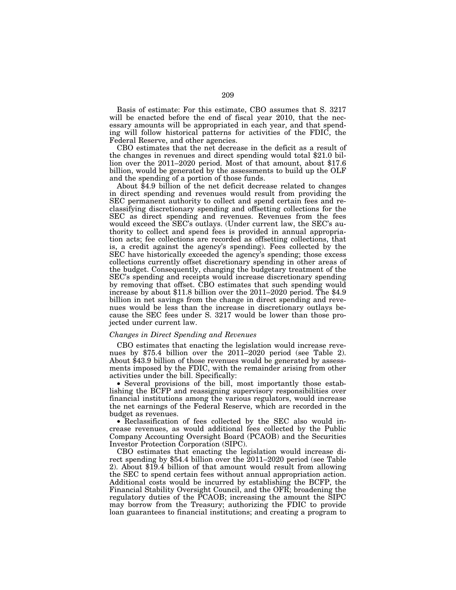Basis of estimate: For this estimate, CBO assumes that S. 3217 will be enacted before the end of fiscal year 2010, that the necessary amounts will be appropriated in each year, and that spending will follow historical patterns for activities of the FDIC, the Federal Reserve, and other agencies.

CBO estimates that the net decrease in the deficit as a result of the changes in revenues and direct spending would total \$21.0 billion over the 2011–2020 period. Most of that amount, about \$17.6 billion, would be generated by the assessments to build up the OLF and the spending of a portion of those funds.

About \$4.9 billion of the net deficit decrease related to changes in direct spending and revenues would result from providing the SEC permanent authority to collect and spend certain fees and reclassifying discretionary spending and offsetting collections for the SEC as direct spending and revenues. Revenues from the fees would exceed the SEC's outlays. (Under current law, the SEC's authority to collect and spend fees is provided in annual appropriation acts; fee collections are recorded as offsetting collections, that is, a credit against the agency's spending). Fees collected by the SEC have historically exceeded the agency's spending; those excess collections currently offset discretionary spending in other areas of the budget. Consequently, changing the budgetary treatment of the SEC's spending and receipts would increase discretionary spending by removing that offset. CBO estimates that such spending would increase by about \$11.8 billion over the 2011–2020 period. The \$4.9 billion in net savings from the change in direct spending and revenues would be less than the increase in discretionary outlays because the SEC fees under S. 3217 would be lower than those projected under current law.

## *Changes in Direct Spending and Revenues*

CBO estimates that enacting the legislation would increase revenues by \$75.4 billion over the 2011–2020 period (see Table 2). About \$43.9 billion of those revenues would be generated by assessments imposed by the FDIC, with the remainder arising from other activities under the bill. Specifically:

• Several provisions of the bill, most importantly those establishing the BCFP and reassigning supervisory responsibilities over financial institutions among the various regulators, would increase the net earnings of the Federal Reserve, which are recorded in the budget as revenues.

• Reclassification of fees collected by the SEC also would increase revenues, as would additional fees collected by the Public Company Accounting Oversight Board (PCAOB) and the Securities Investor Protection Corporation (SIPC).

CBO estimates that enacting the legislation would increase direct spending by \$54.4 billion over the 2011–2020 period (see Table 2). About \$19.4 billion of that amount would result from allowing the SEC to spend certain fees without annual appropriation action. Additional costs would be incurred by establishing the BCFP, the Financial Stability Oversight Council, and the OFR; broadening the regulatory duties of the PCAOB; increasing the amount the SIPC may borrow from the Treasury; authorizing the FDIC to provide loan guarantees to financial institutions; and creating a program to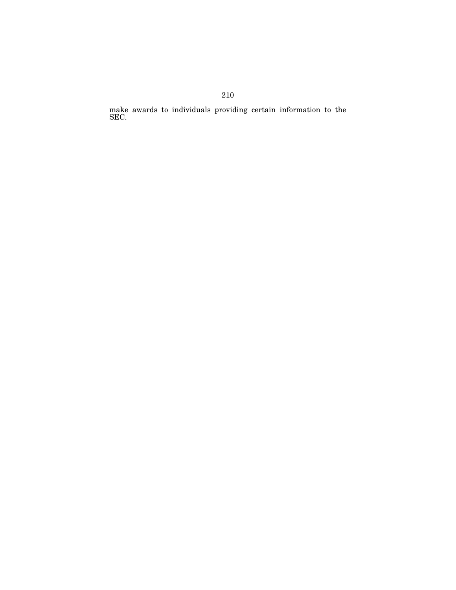make awards to individuals providing certain information to the SEC.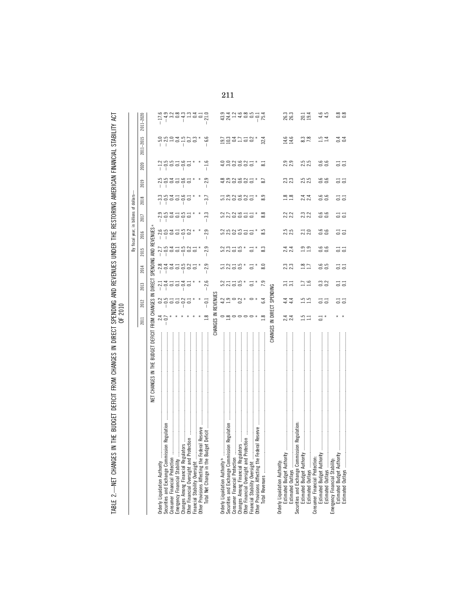| !<br>2)<br>י<br>ק<br>Ξ<br><b>CLASS</b><br>くちこ<br>i<br>!<br>!<br>j<br><b>TARIF</b> | έ<br>₹<br>Ē<br>THE BUDGET DEFICIT FROM CHANGES IN DIRECT SPENDING AND REVENUES UNDER THE RESTORING AMERICAN | $\frac{2}{\text{max}}$<br>By fiscal year, in billions o |
|-----------------------------------------------------------------------------------|-------------------------------------------------------------------------------------------------------------|---------------------------------------------------------|
|-----------------------------------------------------------------------------------|-------------------------------------------------------------------------------------------------------------|---------------------------------------------------------|

|                                                                                    | 2011           | 2012               | 2013                                                         | 2014                                                                                                                                                                                                                                                                                        | 2015                                                                      | 2016              | 2017                                                                                                                                                                                                                                                                                        | 2018   | 2019                                                                           | 2020       | 2011-2015                                                                                                                                                                                                                                                                             | 2011-2020                                                                                                                                                                                                                                                                                                           |
|------------------------------------------------------------------------------------|----------------|--------------------|--------------------------------------------------------------|---------------------------------------------------------------------------------------------------------------------------------------------------------------------------------------------------------------------------------------------------------------------------------------------|---------------------------------------------------------------------------|-------------------|---------------------------------------------------------------------------------------------------------------------------------------------------------------------------------------------------------------------------------------------------------------------------------------------|--------|--------------------------------------------------------------------------------|------------|---------------------------------------------------------------------------------------------------------------------------------------------------------------------------------------------------------------------------------------------------------------------------------------|---------------------------------------------------------------------------------------------------------------------------------------------------------------------------------------------------------------------------------------------------------------------------------------------------------------------|
| NET CHANGES IN THE BUDGET DEFICIT FROM CHANGES IN                                  |                |                    | DIRECT                                                       | SPENDING AND REVENUES                                                                                                                                                                                                                                                                       |                                                                           |                   |                                                                                                                                                                                                                                                                                             |        |                                                                                |            |                                                                                                                                                                                                                                                                                       |                                                                                                                                                                                                                                                                                                                     |
| Orderly Liquidation Authority                                                      |                |                    |                                                              |                                                                                                                                                                                                                                                                                             |                                                                           |                   |                                                                                                                                                                                                                                                                                             |        |                                                                                |            |                                                                                                                                                                                                                                                                                       |                                                                                                                                                                                                                                                                                                                     |
| Regulation<br>Securities and Exchange Commission                                   | $24$<br>$-0.7$ |                    |                                                              |                                                                                                                                                                                                                                                                                             |                                                                           | $-2.5$<br>$-$ 0.5 |                                                                                                                                                                                                                                                                                             |        |                                                                                |            |                                                                                                                                                                                                                                                                                       |                                                                                                                                                                                                                                                                                                                     |
| Consumer Financial Protection                                                      |                |                    |                                                              |                                                                                                                                                                                                                                                                                             |                                                                           |                   |                                                                                                                                                                                                                                                                                             |        |                                                                                |            |                                                                                                                                                                                                                                                                                       |                                                                                                                                                                                                                                                                                                                     |
| Emergency Financial Stability                                                      |                | $\frac{8}{10}$     |                                                              |                                                                                                                                                                                                                                                                                             |                                                                           |                   |                                                                                                                                                                                                                                                                                             |        |                                                                                |            |                                                                                                                                                                                                                                                                                       |                                                                                                                                                                                                                                                                                                                     |
|                                                                                    |                |                    | - 11<br>1100 - 110<br>110 - 110 - 1110 - 1110 - 1110 - 11111 |                                                                                                                                                                                                                                                                                             |                                                                           | $31.5$<br>$-1.5$  |                                                                                                                                                                                                                                                                                             |        |                                                                                |            |                                                                                                                                                                                                                                                                                       |                                                                                                                                                                                                                                                                                                                     |
| Changes Among Financial Regulators<br>Other Financial Oversight and Protecti       |                | $-0.2$             |                                                              | $\begin{array}{c} 0.4411 \\ 0.4411 \\ 0.0000 \\ 0.0000 \\ 0.0000 \\ 0.0000 \\ 0.0000 \\ 0.0000 \\ 0.0000 \\ 0.0000 \\ 0.0000 \\ 0.0000 \\ 0.0000 \\ 0.0000 \\ 0.0000 \\ 0.0000 \\ 0.0000 \\ 0.0000 \\ 0.0000 \\ 0.0000 \\ 0.0000 \\ 0.0000 \\ 0.0000 \\ 0.0000 \\ 0.0000 \\ 0.0000 \\ 0.00$ | $\begin{array}{c} 1.641600 \\ 0.000000 \\ 0.00000 \\ 0.00000 \end{array}$ | 0.2               | $\begin{array}{c} 0.07 & 0.1 \\ 0.07 & 0.00 \\ 0.07 & 0.00 \\ 0.07 & 0.00 \\ 0.07 & 0.00 \\ 0.07 & 0.00 \\ 0.07 & 0.00 \\ 0.07 & 0.00 \\ 0.07 & 0.00 \\ 0.07 & 0.00 \\ 0.07 & 0.00 \\ 0.07 & 0.00 \\ 0.07 & 0.00 \\ 0.07 & 0.00 \\ 0.07 & 0.00 \\ 0.07 & 0.00 \\ 0.07 & 0.00 \\ 0.07 & 0.0$ |        | $\begin{array}{c} 0.074 - 0.073 \\ 0.00000 \\ 0.0000 \\ 0.0000 \\ \end{array}$ |            | $\begin{array}{c} 0.0233 \\ 0.02333 \\ 0.02333 \\ 0.02333 \\ 0.00033 \\ 0.00033 \\ 0.00033 \\ 0.00033 \\ 0.00033 \\ 0.00033 \\ 0.00033 \\ 0.00033 \\ 0.00033 \\ 0.00033 \\ 0.00033 \\ 0.00033 \\ 0.00033 \\ 0.00033 \\ 0.00033 \\ 0.00033 \\ 0.00033 \\ 0.00033 \\ 0.00033 \\ 0.0003$ |                                                                                                                                                                                                                                                                                                                     |
|                                                                                    |                |                    |                                                              |                                                                                                                                                                                                                                                                                             |                                                                           |                   |                                                                                                                                                                                                                                                                                             |        |                                                                                |            |                                                                                                                                                                                                                                                                                       |                                                                                                                                                                                                                                                                                                                     |
| Reserve<br>Financial Stability Oversight<br>Other Provisions Affecting the Federal |                |                    |                                                              |                                                                                                                                                                                                                                                                                             |                                                                           |                   |                                                                                                                                                                                                                                                                                             |        |                                                                                |            |                                                                                                                                                                                                                                                                                       | $\frac{1}{1}$ $\frac{1}{4}$ $\frac{3}{1}$ $\frac{3}{1}$ $\frac{3}{1}$ $\frac{3}{1}$ $\frac{3}{1}$ $\frac{3}{1}$ $\frac{3}{1}$ $\frac{3}{1}$ $\frac{3}{1}$ $\frac{3}{1}$ $\frac{3}{1}$ $\frac{3}{1}$ $\frac{3}{1}$ $\frac{3}{1}$ $\frac{3}{1}$ $\frac{3}{1}$ $\frac{3}{1}$ $\frac{3}{1}$ $\frac{3}{1}$ $\frac{3}{1}$ |
| Deficit<br>Total Net Change in the Budget                                          | $\frac{8}{1}$  | $-0.1$             | $-2.6$                                                       | $-2.9$                                                                                                                                                                                                                                                                                      | $-2.9$                                                                    | $-2.9$            | $-3.3$                                                                                                                                                                                                                                                                                      | $-3.7$ | $-2.9$                                                                         |            | $-6.6$                                                                                                                                                                                                                                                                                |                                                                                                                                                                                                                                                                                                                     |
|                                                                                    | CHANGES IN     | REVENUES           |                                                              |                                                                                                                                                                                                                                                                                             |                                                                           |                   |                                                                                                                                                                                                                                                                                             |        |                                                                                |            |                                                                                                                                                                                                                                                                                       |                                                                                                                                                                                                                                                                                                                     |
| Orderly Liquidation Authority <sup>b</sup>                                         |                |                    |                                                              |                                                                                                                                                                                                                                                                                             |                                                                           |                   |                                                                                                                                                                                                                                                                                             |        |                                                                                |            |                                                                                                                                                                                                                                                                                       |                                                                                                                                                                                                                                                                                                                     |
| Regulation<br>Securities and Exchange Commission                                   |                |                    |                                                              | 5255                                                                                                                                                                                                                                                                                        | 2315<br>2315                                                              |                   |                                                                                                                                                                                                                                                                                             |        |                                                                                | 002921     | badhaa*                                                                                                                                                                                                                                                                               | $3747685774$                                                                                                                                                                                                                                                                                                        |
| Consumer Financial Protection                                                      |                |                    |                                                              |                                                                                                                                                                                                                                                                                             |                                                                           |                   |                                                                                                                                                                                                                                                                                             |        |                                                                                |            |                                                                                                                                                                                                                                                                                       |                                                                                                                                                                                                                                                                                                                     |
|                                                                                    |                | $\approx$          |                                                              |                                                                                                                                                                                                                                                                                             |                                                                           | 351               |                                                                                                                                                                                                                                                                                             | 0.0001 | 3535                                                                           |            |                                                                                                                                                                                                                                                                                       |                                                                                                                                                                                                                                                                                                                     |
|                                                                                    |                |                    |                                                              |                                                                                                                                                                                                                                                                                             |                                                                           |                   |                                                                                                                                                                                                                                                                                             |        |                                                                                |            |                                                                                                                                                                                                                                                                                       |                                                                                                                                                                                                                                                                                                                     |
|                                                                                    |                |                    |                                                              |                                                                                                                                                                                                                                                                                             | 3                                                                         |                   |                                                                                                                                                                                                                                                                                             |        |                                                                                |            |                                                                                                                                                                                                                                                                                       |                                                                                                                                                                                                                                                                                                                     |
| Reserve                                                                            |                |                    |                                                              |                                                                                                                                                                                                                                                                                             |                                                                           |                   |                                                                                                                                                                                                                                                                                             |        |                                                                                |            |                                                                                                                                                                                                                                                                                       |                                                                                                                                                                                                                                                                                                                     |
|                                                                                    | $\frac{8}{10}$ | $^{6.4}$           |                                                              |                                                                                                                                                                                                                                                                                             |                                                                           |                   |                                                                                                                                                                                                                                                                                             |        | $\overline{\infty}$                                                            |            | 32.4                                                                                                                                                                                                                                                                                  |                                                                                                                                                                                                                                                                                                                     |
| CHANGES                                                                            |                | IN DIRECT SPENDING |                                                              |                                                                                                                                                                                                                                                                                             |                                                                           |                   |                                                                                                                                                                                                                                                                                             |        |                                                                                |            |                                                                                                                                                                                                                                                                                       |                                                                                                                                                                                                                                                                                                                     |
| Orderly Liquidation Authority                                                      |                |                    |                                                              |                                                                                                                                                                                                                                                                                             |                                                                           |                   |                                                                                                                                                                                                                                                                                             |        |                                                                                |            |                                                                                                                                                                                                                                                                                       |                                                                                                                                                                                                                                                                                                                     |
| Estimated Budget Authority                                                         |                |                    |                                                              |                                                                                                                                                                                                                                                                                             |                                                                           |                   |                                                                                                                                                                                                                                                                                             |        |                                                                                |            |                                                                                                                                                                                                                                                                                       |                                                                                                                                                                                                                                                                                                                     |
|                                                                                    | $24$<br>24     |                    |                                                              | 21<br>21<br>21                                                                                                                                                                                                                                                                              |                                                                           |                   | 2.2<br>2.2                                                                                                                                                                                                                                                                                  |        |                                                                                | 9<br>2.9   | 14.6<br>14.6                                                                                                                                                                                                                                                                          | 26.3<br>26.3                                                                                                                                                                                                                                                                                                        |
| Regulation:                                                                        |                |                    |                                                              |                                                                                                                                                                                                                                                                                             |                                                                           |                   |                                                                                                                                                                                                                                                                                             |        |                                                                                |            |                                                                                                                                                                                                                                                                                       |                                                                                                                                                                                                                                                                                                                     |
|                                                                                    |                |                    |                                                              |                                                                                                                                                                                                                                                                                             |                                                                           |                   |                                                                                                                                                                                                                                                                                             |        |                                                                                |            | 8.3                                                                                                                                                                                                                                                                                   |                                                                                                                                                                                                                                                                                                                     |
|                                                                                    |                |                    |                                                              |                                                                                                                                                                                                                                                                                             |                                                                           |                   |                                                                                                                                                                                                                                                                                             |        |                                                                                | 2.5        | 7.8                                                                                                                                                                                                                                                                                   | 20.1<br>19.4                                                                                                                                                                                                                                                                                                        |
|                                                                                    |                |                    |                                                              |                                                                                                                                                                                                                                                                                             |                                                                           |                   |                                                                                                                                                                                                                                                                                             |        |                                                                                |            |                                                                                                                                                                                                                                                                                       |                                                                                                                                                                                                                                                                                                                     |
| Estimated Budget Authority                                                         | こ              |                    | 23                                                           |                                                                                                                                                                                                                                                                                             |                                                                           |                   |                                                                                                                                                                                                                                                                                             |        |                                                                                |            |                                                                                                                                                                                                                                                                                       |                                                                                                                                                                                                                                                                                                                     |
|                                                                                    |                |                    |                                                              |                                                                                                                                                                                                                                                                                             |                                                                           |                   |                                                                                                                                                                                                                                                                                             |        |                                                                                | 8.6<br>0.6 | بہ بر<br>باب                                                                                                                                                                                                                                                                          |                                                                                                                                                                                                                                                                                                                     |
| Emergency Financial Stability:                                                     |                |                    |                                                              |                                                                                                                                                                                                                                                                                             |                                                                           |                   |                                                                                                                                                                                                                                                                                             |        |                                                                                |            |                                                                                                                                                                                                                                                                                       |                                                                                                                                                                                                                                                                                                                     |
|                                                                                    |                |                    |                                                              |                                                                                                                                                                                                                                                                                             | $\Xi$ $\Xi$                                                               |                   |                                                                                                                                                                                                                                                                                             |        |                                                                                |            |                                                                                                                                                                                                                                                                                       |                                                                                                                                                                                                                                                                                                                     |
| Estimated Budget Authority<br>Estimated Outlays                                    |                |                    | 5                                                            | 33                                                                                                                                                                                                                                                                                          |                                                                           | 11                | 55                                                                                                                                                                                                                                                                                          |        |                                                                                | 금금         | $\frac{4}{9}$ d                                                                                                                                                                                                                                                                       | $\begin{smallmatrix} 8 & 8 \\ 0 & 8 \end{smallmatrix}$                                                                                                                                                                                                                                                              |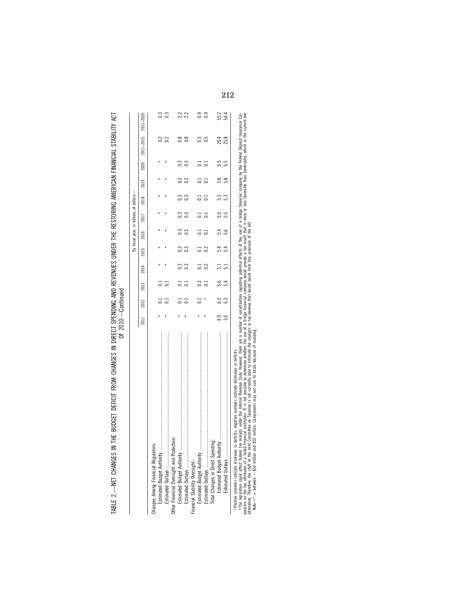| トく ハードこく<br>THE BUDGET BEFIGHT FROM GUANGER IN BIBER BROWNG AND BENENHER UNDER THE BERTOBING AMERICAN FINANC<br>יש באוואוס אוואר אוויר התמינה אדור האמנו אוויר הא<br>5<br>5<br>5<br>5<br>5<br>2<br>2<br>5<br>2<br>5<br>2<br>ilin Donari Dri Ioli I<br> <br> <br> <br> <br>CLASS CLASS TO THE MISSION<br>TADIE 7 | ) 1<br>) 1 |
|-----------------------------------------------------------------------------------------------------------------------------------------------------------------------------------------------------------------------------------------------------------------------------------------------------------------|------------|
|                                                                                                                                                                                                                                                                                                                 |            |

|                                                                                                    |                |      |      |      |      | By fiscal year, in billions of dollars- |      |      |               |      |               |                |
|----------------------------------------------------------------------------------------------------|----------------|------|------|------|------|-----------------------------------------|------|------|---------------|------|---------------|----------------|
|                                                                                                    | $\overline{a}$ | 2012 | 2013 | 2014 | 2015 | 2016                                    | 2017 | 2018 | 2019          | 2020 | $2011 - 2015$ | 2011-2020      |
| Changes Among Financial Regulators:                                                                |                |      |      |      |      |                                         |      |      |               |      |               |                |
|                                                                                                    | $\ast$         |      |      |      |      |                                         |      |      |               |      | $2^{2}$       |                |
|                                                                                                    |                |      |      |      | ¥    |                                         |      | ×    |               | ł    | $\approx$     | ී              |
| Other Financial Oversight and Protection:                                                          |                |      |      |      |      |                                         |      |      |               |      |               |                |
|                                                                                                    | $\star$        |      |      |      |      |                                         |      |      |               |      | $\frac{8}{1}$ | 22             |
|                                                                                                    |                |      |      |      |      |                                         |      |      | $\frac{3}{2}$ | 0.3  | $\frac{8}{2}$ | 2.2            |
| Financial Stability Oversight:                                                                     |                |      |      |      |      |                                         |      |      |               |      |               |                |
|                                                                                                    |                |      |      |      |      |                                         |      |      |               |      | 5.0           | ි              |
|                                                                                                    |                |      |      |      |      |                                         |      |      |               |      | 3             | $\overline{0}$ |
| Total Changes in Direct Spending:                                                                  |                |      |      |      |      |                                         |      |      |               |      |               |                |
| Estimated Budget Authority                                                                         |                |      |      |      |      |                                         |      |      |               |      | 26.4          | 55.2           |
|                                                                                                    |                |      |      |      |      |                                         |      |      | S.S           | 6.5  | 25.8          | 54.4           |
| a Positive numbers indicate increases in deficits; negative numbers indicate decreases in deficits |                |      |      |      |      |                                         |      |      |               |      |               |                |

»The legislation could afted telefal tax reselpts under the lineral Research constantion of a number of uncertainties regarding potential effects of a bridge financial company by the Federal Deposit Insurance Corporation PThe legislation could affect federal tax receipts under the Internal Revenue Code. However, there are a number of uncertainties regarding potential effects of the use of a bridge financial company by the Federal Deposit I poration on the tax attributes of a failed financial institution. It is not possible to determine whether the use of a bridge financial company would provide a tax result that is more or less favorable than bankruptcy, whi

alternative. Therefore, the staff of the Joint Committee on Taxation is not currently able to estimate the changes in tax revenue that would result from this provision of the bill.

Note— $^*$  = between  $-$  \$50 million and \$50 million. Components may not sum to totals because of rounding.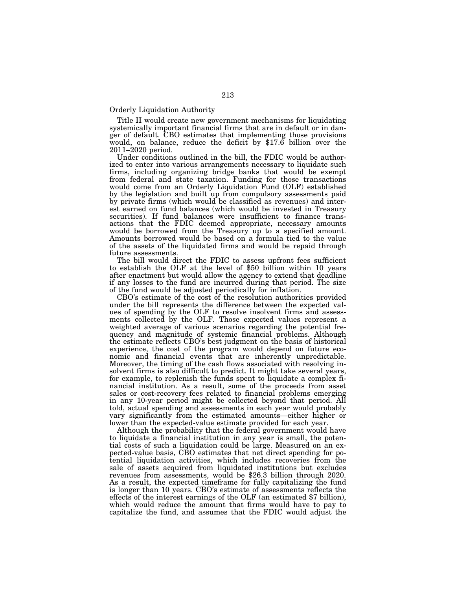## Orderly Liquidation Authority

Title II would create new government mechanisms for liquidating systemically important financial firms that are in default or in danger of default. CBO estimates that implementing those provisions would, on balance, reduce the deficit by \$17.6 billion over the 2011–2020 period.

Under conditions outlined in the bill, the FDIC would be authorized to enter into various arrangements necessary to liquidate such firms, including organizing bridge banks that would be exempt from federal and state taxation. Funding for those transactions would come from an Orderly Liquidation Fund (OLF) established by the legislation and built up from compulsory assessments paid by private firms (which would be classified as revenues) and interest earned on fund balances (which would be invested in Treasury securities). If fund balances were insufficient to finance transactions that the FDIC deemed appropriate, necessary amounts would be borrowed from the Treasury up to a specified amount. Amounts borrowed would be based on a formula tied to the value of the assets of the liquidated firms and would be repaid through future assessments.

The bill would direct the FDIC to assess upfront fees sufficient to establish the OLF at the level of \$50 billion within 10 years after enactment but would allow the agency to extend that deadline if any losses to the fund are incurred during that period. The size of the fund would be adjusted periodically for inflation.

CBO's estimate of the cost of the resolution authorities provided under the bill represents the difference between the expected values of spending by the OLF to resolve insolvent firms and assessments collected by the OLF. Those expected values represent a weighted average of various scenarios regarding the potential frequency and magnitude of systemic financial problems. Although the estimate reflects CBO's best judgment on the basis of historical experience, the cost of the program would depend on future economic and financial events that are inherently unpredictable. Moreover, the timing of the cash flows associated with resolving insolvent firms is also difficult to predict. It might take several years, for example, to replenish the funds spent to liquidate a complex financial institution. As a result, some of the proceeds from asset sales or cost-recovery fees related to financial problems emerging in any 10-year period might be collected beyond that period. All told, actual spending and assessments in each year would probably vary significantly from the estimated amounts—either higher or lower than the expected-value estimate provided for each year.

Although the probability that the federal government would have to liquidate a financial institution in any year is small, the potential costs of such a liquidation could be large. Measured on an expected-value basis, CBO estimates that net direct spending for potential liquidation activities, which includes recoveries from the sale of assets acquired from liquidated institutions but excludes revenues from assessments, would be \$26.3 billion through 2020. As a result, the expected timeframe for fully capitalizing the fund is longer than 10 years. CBO's estimate of assessments reflects the effects of the interest earnings of the OLF (an estimated \$7 billion), which would reduce the amount that firms would have to pay to capitalize the fund, and assumes that the FDIC would adjust the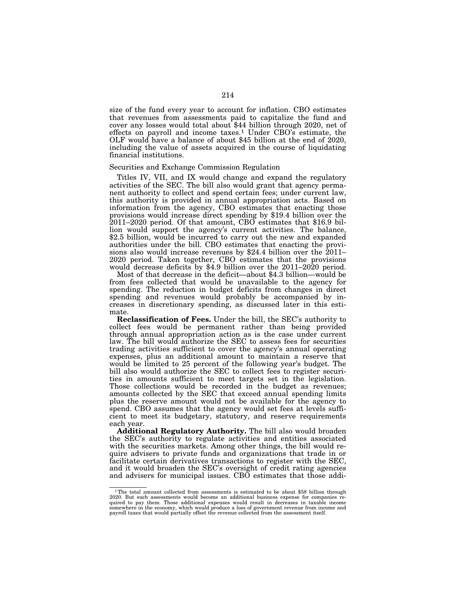size of the fund every year to account for inflation. CBO estimates that revenues from assessments paid to capitalize the fund and cover any losses would total about \$44 billion through 2020, net of effects on payroll and income taxes.1 Under CBO's estimate, the OLF would have a balance of about \$45 billion at the end of 2020, including the value of assets acquired in the course of liquidating financial institutions.

#### Securities and Exchange Commission Regulation

Titles IV, VII, and IX would change and expand the regulatory activities of the SEC. The bill also would grant that agency permanent authority to collect and spend certain fees; under current law, this authority is provided in annual appropriation acts. Based on information from the agency, CBO estimates that enacting those provisions would increase direct spending by \$19.4 billion over the 2011–2020 period. Of that amount, CBO estimates that \$16.9 billion would support the agency's current activities. The balance, \$2.5 billion, would be incurred to carry out the new and expanded authorities under the bill. CBO estimates that enacting the provisions also would increase revenues by \$24.4 billion over the 2011– 2020 period. Taken together, CBO estimates that the provisions would decrease deficits by \$4.9 billion over the 2011–2020 period.

Most of that decrease in the deficit—about \$4.3 billion—would be from fees collected that would be unavailable to the agency for spending. The reduction in budget deficits from changes in direct spending and revenues would probably be accompanied by increases in discretionary spending, as discussed later in this estimate.

**Reclassification of Fees.** Under the bill, the SEC's authority to collect fees would be permanent rather than being provided through annual appropriation action as is the case under current law. The bill would authorize the SEC to assess fees for securities trading activities sufficient to cover the agency's annual operating expenses, plus an additional amount to maintain a reserve that would be limited to 25 percent of the following year's budget. The bill also would authorize the SEC to collect fees to register securities in amounts sufficient to meet targets set in the legislation. Those collections would be recorded in the budget as revenues; amounts collected by the SEC that exceed annual spending limits plus the reserve amount would not be available for the agency to spend. CBO assumes that the agency would set fees at levels sufficient to meet its budgetary, statutory, and reserve requirements each year.

**Additional Regulatory Authority.** The bill also would broaden the SEC's authority to regulate activities and entities associated with the securities markets. Among other things, the bill would require advisers to private funds and organizations that trade in or facilitate certain derivatives transactions to register with the SEC, and it would broaden the SEC's oversight of credit rating agencies and advisers for municipal issues. CBO estimates that those addi-

<sup>&</sup>lt;sup>1</sup>The total amount collected from assessments is estimated to be about \$58 billion through 2020. But such assessments would become an additional business expense for companies required to pay them. Those additional expenses would result in decreases in taxable income<br>somewhere in the economy, which would produce a loss of government revenue from income and<br>payroll taxes that would partially offset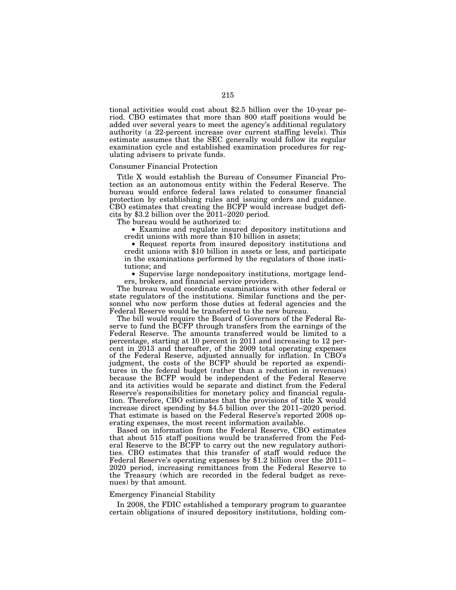tional activities would cost about \$2.5 billion over the 10-year period. CBO estimates that more than 800 staff positions would be added over several years to meet the agency's additional regulatory authority (a 22-percent increase over current staffing levels). This estimate assumes that the SEC generally would follow its regular examination cycle and established examination procedures for regulating advisers to private funds.

#### Consumer Financial Protection

Title X would establish the Bureau of Consumer Financial Protection as an autonomous entity within the Federal Reserve. The bureau would enforce federal laws related to consumer financial protection by establishing rules and issuing orders and guidance. CBO estimates that creating the BCFP would increase budget deficits by \$3.2 billion over the 2011–2020 period.

The bureau would be authorized to:

• Examine and regulate insured depository institutions and credit unions with more than \$10 billion in assets;

• Request reports from insured depository institutions and credit unions with \$10 billion in assets or less, and participate in the examinations performed by the regulators of those institutions; and

• Supervise large nondepository institutions, mortgage lenders, brokers, and financial service providers.

The bureau would coordinate examinations with other federal or state regulators of the institutions. Similar functions and the personnel who now perform those duties at federal agencies and the Federal Reserve would be transferred to the new bureau.

The bill would require the Board of Governors of the Federal Reserve to fund the BCFP through transfers from the earnings of the Federal Reserve. The amounts transferred would be limited to a percentage, starting at 10 percent in 2011 and increasing to 12 percent in 2013 and thereafter, of the 2009 total operating expenses of the Federal Reserve, adjusted annually for inflation. In CBO's judgment, the costs of the BCFP should be reported as expenditures in the federal budget (rather than a reduction in revenues) because the BCFP would be independent of the Federal Reserve and its activities would be separate and distinct from the Federal Reserve's responsibilities for monetary policy and financial regulation. Therefore, CBO estimates that the provisions of title X would increase direct spending by \$4.5 billion over the 2011–2020 period. That estimate is based on the Federal Reserve's reported 2008 operating expenses, the most recent information available.

Based on information from the Federal Reserve, CBO estimates that about 515 staff positions would be transferred from the Federal Reserve to the BCFP to carry out the new regulatory authorities. CBO estimates that this transfer of staff would reduce the Federal Reserve's operating expenses by \$1.2 billion over the 2011– 2020 period, increasing remittances from the Federal Reserve to the Treasury (which are recorded in the federal budget as revenues) by that amount.

# Emergency Financial Stability

In 2008, the FDIC established a temporary program to guarantee certain obligations of insured depository institutions, holding com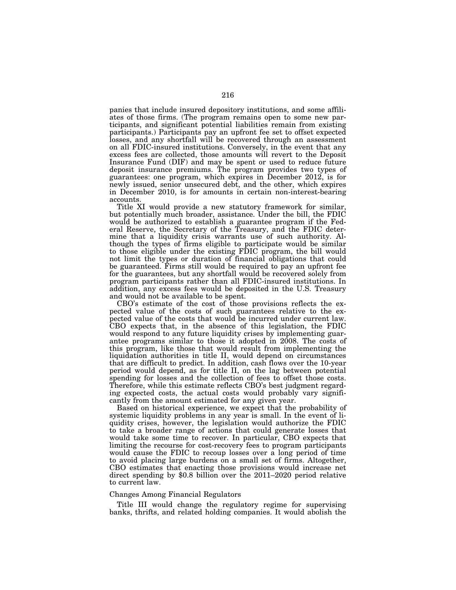panies that include insured depository institutions, and some affiliates of those firms. (The program remains open to some new participants, and significant potential liabilities remain from existing participants.) Participants pay an upfront fee set to offset expected losses, and any shortfall will be recovered through an assessment on all FDIC-insured institutions. Conversely, in the event that any excess fees are collected, those amounts will revert to the Deposit Insurance Fund (DIF) and may be spent or used to reduce future deposit insurance premiums. The program provides two types of guarantees: one program, which expires in December 2012, is for newly issued, senior unsecured debt, and the other, which expires in December 2010, is for amounts in certain non-interest-bearing accounts.

Title XI would provide a new statutory framework for similar, but potentially much broader, assistance. Under the bill, the FDIC would be authorized to establish a guarantee program if the Federal Reserve, the Secretary of the Treasury, and the FDIC determine that a liquidity crisis warrants use of such authority. Although the types of firms eligible to participate would be similar to those eligible under the existing FDIC program, the bill would not limit the types or duration of financial obligations that could be guaranteed. Firms still would be required to pay an upfront fee for the guarantees, but any shortfall would be recovered solely from program participants rather than all FDIC-insured institutions. In addition, any excess fees would be deposited in the U.S. Treasury and would not be available to be spent.

CBO's estimate of the cost of those provisions reflects the expected value of the costs of such guarantees relative to the expected value of the costs that would be incurred under current law. CBO expects that, in the absence of this legislation, the FDIC would respond to any future liquidity crises by implementing guarantee programs similar to those it adopted in 2008. The costs of this program, like those that would result from implementing the liquidation authorities in title II, would depend on circumstances that are difficult to predict. In addition, cash flows over the 10-year period would depend, as for title II, on the lag between potential spending for losses and the collection of fees to offset those costs. Therefore, while this estimate reflects CBO's best judgment regarding expected costs, the actual costs would probably vary significantly from the amount estimated for any given year.

Based on historical experience, we expect that the probability of systemic liquidity problems in any year is small. In the event of liquidity crises, however, the legislation would authorize the FDIC to take a broader range of actions that could generate losses that would take some time to recover. In particular, CBO expects that limiting the recourse for cost-recovery fees to program participants would cause the FDIC to recoup losses over a long period of time to avoid placing large burdens on a small set of firms. Altogether, CBO estimates that enacting those provisions would increase net direct spending by \$0.8 billion over the 2011–2020 period relative to current law.

## Changes Among Financial Regulators

Title III would change the regulatory regime for supervising banks, thrifts, and related holding companies. It would abolish the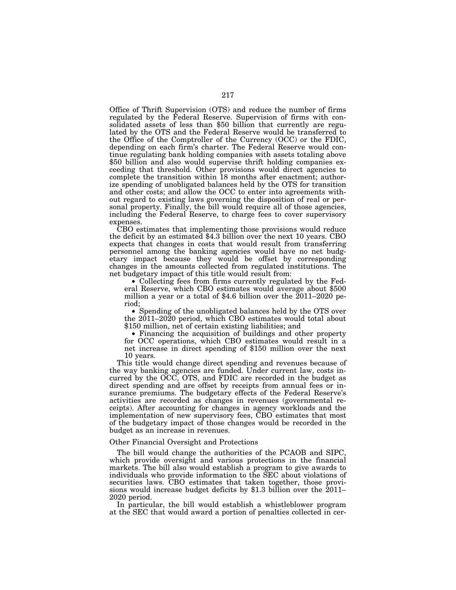Office of Thrift Supervision (OTS) and reduce the number of firms regulated by the Federal Reserve. Supervision of firms with consolidated assets of less than \$50 billion that currently are regulated by the OTS and the Federal Reserve would be transferred to the Office of the Comptroller of the Currency (OCC) or the FDIC, depending on each firm's charter. The Federal Reserve would continue regulating bank holding companies with assets totaling above \$50 billion and also would supervise thrift holding companies exceeding that threshold. Other provisions would direct agencies to complete the transition within 18 months after enactment; authorize spending of unobligated balances held by the OTS for transition and other costs; and allow the OCC to enter into agreements without regard to existing laws governing the disposition of real or personal property. Finally, the bill would require all of those agencies, including the Federal Reserve, to charge fees to cover supervisory expenses.<br>CBO estimates that implementing those provisions would reduce

the deficit by an estimated \$4.3 billion over the next 10 years. CBO expects that changes in costs that would result from transferring personnel among the banking agencies would have no net budgetary impact because they would be offset by corresponding changes in the amounts collected from regulated institutions. The net budgetary impact of this title would result from:

• Collecting fees from firms currently regulated by the Fed- eral Reserve, which CBO estimates would average about \$500 million a year or a total of \$4.6 billion over the 2011–2020 period;

• Spending of the unobligated balances held by the OTS over the 2011–2020 period, which CBO estimates would total about \$150 million, net of certain existing liabilities; and

• Financing the acquisition of buildings and other property for OCC operations, which CBO estimates would result in a net increase in direct spending of \$150 million over the next 10 years.

This title would change direct spending and revenues because of the way banking agencies are funded. Under current law, costs incurred by the OCC, OTS, and FDIC are recorded in the budget as direct spending and are offset by receipts from annual fees or insurance premiums. The budgetary effects of the Federal Reserve's activities are recorded as changes in revenues (governmental receipts). After accounting for changes in agency workloads and the implementation of new supervisory fees, CBO estimates that most of the budgetary impact of those changes would be recorded in the budget as an increase in revenues.

## Other Financial Oversight and Protections

The bill would change the authorities of the PCAOB and SIPC, which provide oversight and various protections in the financial markets. The bill also would establish a program to give awards to individuals who provide information to the SEC about violations of securities laws. CBO estimates that taken together, those provisions would increase budget deficits by \$1.3 billion over the 2011– 2020 period.

In particular, the bill would establish a whistleblower program at the SEC that would award a portion of penalties collected in cer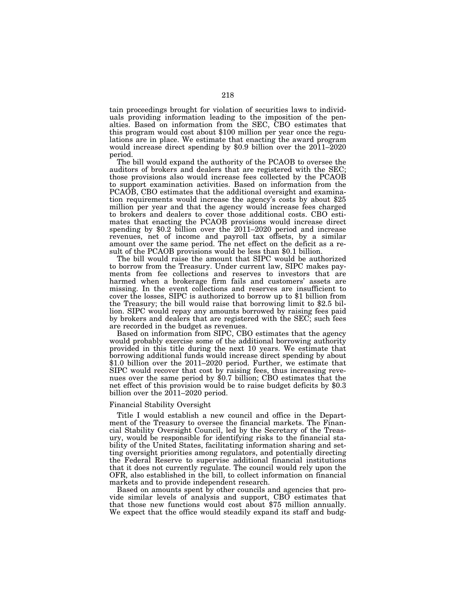tain proceedings brought for violation of securities laws to individuals providing information leading to the imposition of the penalties. Based on information from the SEC, CBO estimates that this program would cost about \$100 million per year once the regulations are in place. We estimate that enacting the award program would increase direct spending by \$0.9 billion over the 2011–2020 period.

The bill would expand the authority of the PCAOB to oversee the auditors of brokers and dealers that are registered with the SEC; those provisions also would increase fees collected by the PCAOB to support examination activities. Based on information from the PCAOB, CBO estimates that the additional oversight and examination requirements would increase the agency's costs by about \$25 million per year and that the agency would increase fees charged to brokers and dealers to cover those additional costs. CBO estimates that enacting the PCAOB provisions would increase direct spending by \$0.2 billion over the 2011–2020 period and increase revenues, net of income and payroll tax offsets, by a similar amount over the same period. The net effect on the deficit as a result of the PCAOB provisions would be less than \$0.1 billion.

The bill would raise the amount that SIPC would be authorized to borrow from the Treasury. Under current law, SIPC makes payments from fee collections and reserves to investors that are harmed when a brokerage firm fails and customers' assets are missing. In the event collections and reserves are insufficient to cover the losses, SIPC is authorized to borrow up to \$1 billion from the Treasury; the bill would raise that borrowing limit to \$2.5 billion. SIPC would repay any amounts borrowed by raising fees paid by brokers and dealers that are registered with the SEC; such fees are recorded in the budget as revenues.

Based on information from SIPC, CBO estimates that the agency would probably exercise some of the additional borrowing authority provided in this title during the next 10 years. We estimate that borrowing additional funds would increase direct spending by about \$1.0 billion over the 2011–2020 period. Further, we estimate that SIPC would recover that cost by raising fees, thus increasing revenues over the same period by \$0.7 billion; CBO estimates that the net effect of this provision would be to raise budget deficits by \$0.3 billion over the  $2011-2020$  period.

## Financial Stability Oversight

Title I would establish a new council and office in the Department of the Treasury to oversee the financial markets. The Financial Stability Oversight Council, led by the Secretary of the Treasury, would be responsible for identifying risks to the financial stability of the United States, facilitating information sharing and setting oversight priorities among regulators, and potentially directing the Federal Reserve to supervise additional financial institutions that it does not currently regulate. The council would rely upon the OFR, also established in the bill, to collect information on financial markets and to provide independent research.

Based on amounts spent by other councils and agencies that provide similar levels of analysis and support, CBO estimates that that those new functions would cost about \$75 million annually. We expect that the office would steadily expand its staff and budg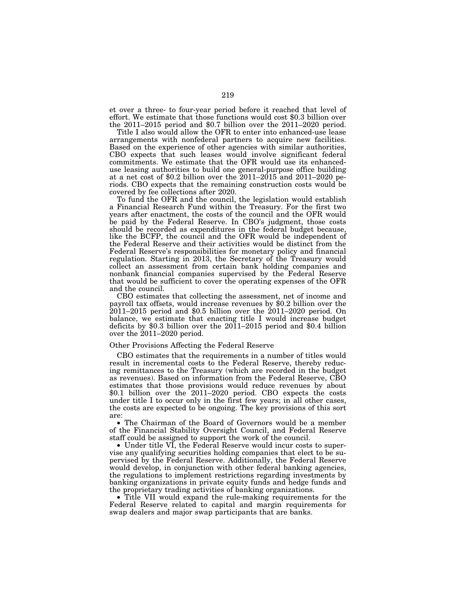et over a three- to four-year period before it reached that level of effort. We estimate that those functions would cost \$0.3 billion over the 2011–2015 period and \$0.7 billion over the 2011–2020 period.

Title I also would allow the OFR to enter into enhanced-use lease arrangements with nonfederal partners to acquire new facilities. Based on the experience of other agencies with similar authorities, CBO expects that such leases would involve significant federal commitments. We estimate that the OFR would use its enhanceduse leasing authorities to build one general-purpose office building at a net cost of \$0.2 billion over the 2011–2015 and 2011–2020 periods. CBO expects that the remaining construction costs would be covered by fee collections after 2020.

To fund the OFR and the council, the legislation would establish a Financial Research Fund within the Treasury. For the first two years after enactment, the costs of the council and the OFR would be paid by the Federal Reserve. In CBO's judgment, those costs should be recorded as expenditures in the federal budget because, like the BCFP, the council and the OFR would be independent of the Federal Reserve and their activities would be distinct from the Federal Reserve's responsibilities for monetary policy and financial regulation. Starting in 2013, the Secretary of the Treasury would collect an assessment from certain bank holding companies and nonbank financial companies supervised by the Federal Reserve that would be sufficient to cover the operating expenses of the OFR and the council.

CBO estimates that collecting the assessment, net of income and payroll tax offsets, would increase revenues by \$0.2 billion over the 2011–2015 period and \$0.5 billion over the 2011–2020 period. On balance, we estimate that enacting title I would increase budget deficits by \$0.3 billion over the 2011–2015 period and \$0.4 billion over the 2011–2020 period.

#### Other Provisions Affecting the Federal Reserve

CBO estimates that the requirements in a number of titles would result in incremental costs to the Federal Reserve, thereby reducing remittances to the Treasury (which are recorded in the budget as revenues). Based on information from the Federal Reserve, CBO estimates that those provisions would reduce revenues by about \$0.1 billion over the 2011–2020 period. CBO expects the costs under title I to occur only in the first few years; in all other cases, the costs are expected to be ongoing. The key provisions of this sort are:

• The Chairman of the Board of Governors would be a member of the Financial Stability Oversight Council, and Federal Reserve staff could be assigned to support the work of the council.

• Under title VI, the Federal Reserve would incur costs to supervise any qualifying securities holding companies that elect to be supervised by the Federal Reserve. Additionally, the Federal Reserve would develop, in conjunction with other federal banking agencies, the regulations to implement restrictions regarding investments by banking organizations in private equity funds and hedge funds and the proprietary trading activities of banking organizations.

• Title VII would expand the rule-making requirements for the Federal Reserve related to capital and margin requirements for swap dealers and major swap participants that are banks.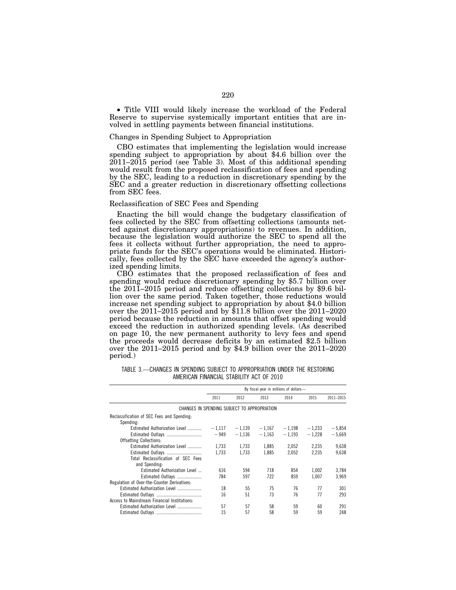• Title VIII would likely increase the workload of the Federal Reserve to supervise systemically important entities that are involved in settling payments between financial institutions.

# Changes in Spending Subject to Appropriation

CBO estimates that implementing the legislation would increase spending subject to appropriation by about \$4.6 billion over the 2011–2015 period (see Table 3). Most of this additional spending would result from the proposed reclassification of fees and spending by the SEC, leading to a reduction in discretionary spending by the SEC and a greater reduction in discretionary offsetting collections from SEC fees.

## Reclassification of SEC Fees and Spending

Enacting the bill would change the budgetary classification of fees collected by the SEC from offsetting collections (amounts netted against discretionary appropriations) to revenues. In addition, because the legislation would authorize the SEC to spend all the fees it collects without further appropriation, the need to appropriate funds for the SEC's operations would be eliminated. Historically, fees collected by the SEC have exceeded the agency's authorized spending limits.<br>CBO estimates that the proposed reclassification of fees and

spending would reduce discretionary spending by \$5.7 billion over the 2011–2015 period and reduce offsetting collections by \$9.6 billion over the same period. Taken together, those reductions would increase net spending subject to appropriation by about \$4.0 billion over the 2011–2015 period and by \$11.8 billion over the 2011–2020 period because the reduction in amounts that offset spending would exceed the reduction in authorized spending levels. (As described on page 10, the new permanent authority to levy fees and spend the proceeds would decrease deficits by an estimated \$2.5 billion over the 2011–2015 period and by \$4.9 billion over the 2011–2020 period.)

| TABLE 3.—CHANGES IN SPENDING SUBJECT TO APPROPRIATION UNDER THE RESTORING |  |
|---------------------------------------------------------------------------|--|
| AMERICAN FINANCIAL STABILITY ACT OF 2010                                  |  |

|                                              | By fiscal year in millions of dollars- |                 |          |          |          |           |  |  |
|----------------------------------------------|----------------------------------------|-----------------|----------|----------|----------|-----------|--|--|
|                                              | 2011                                   | 2012            | 2013     | 2014     | 2015     | 2011-2015 |  |  |
| CHANGES IN SPENDING SUBJECT TO APPROPRIATION |                                        |                 |          |          |          |           |  |  |
| Reclassification of SEC Fees and Spending:   |                                        |                 |          |          |          |           |  |  |
| Spending:                                    |                                        |                 |          |          |          |           |  |  |
| Estimated Authorization Level                |                                        | $-1,117 -1,139$ | $-1.167$ | $-1,198$ | $-1,233$ | $-5,854$  |  |  |
| Estimated Outlays                            | $-949$                                 | $-1.136$        | $-1.163$ | $-1.193$ | $-1.228$ | $-5.669$  |  |  |
| <b>Offsetting Collections:</b>               |                                        |                 |          |          |          |           |  |  |
| Estimated Authorization Level                | 1.733                                  | 1.733           | 1,885    | 2.052    | 2,235    | 9,638     |  |  |
| Estimated Outlays                            | 1,733                                  | 1.733           | 1,885    | 2,052    | 2,235    | 9,638     |  |  |
| Total Reclassification of SEC Fees           |                                        |                 |          |          |          |           |  |  |
| and Spending:                                |                                        |                 |          |          |          |           |  |  |
| Estimated Authorization Level                | 616                                    | 594             | 718      | 854      | 1.002    | 3,784     |  |  |
| Estimated Outlays                            | 784                                    | 597             | 722      | 859      | 1.007    | 3,969     |  |  |
| Regulation of Over-the-Counter Derivatives:  |                                        |                 |          |          |          |           |  |  |
| Estimated Authorization Level                | 18                                     | 55              | 75       | 76       | 77       | 301       |  |  |
|                                              | 16                                     | 51              | 73       | 76       | 77       | 293       |  |  |
| Access to Mainstream Financial Institutions: |                                        |                 |          |          |          |           |  |  |
| Estimated Authorization Level                | 57                                     | 57              | 58       | 59       | 60       | 291       |  |  |
|                                              | 15                                     | 57              | 58       | 59       | 59       | 248       |  |  |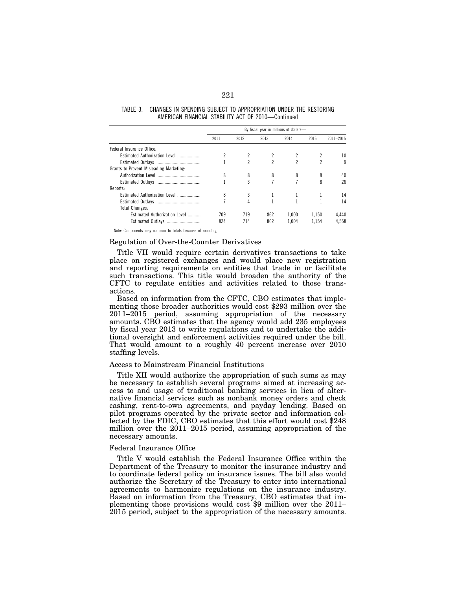|                                         | By fiscal year in millions of dollars- |      |                |                |       |           |  |  |
|-----------------------------------------|----------------------------------------|------|----------------|----------------|-------|-----------|--|--|
|                                         | 2011                                   | 2012 | 2013           | 2014           | 2015  | 2011-2015 |  |  |
| Federal Insurance Office:               |                                        |      |                |                |       |           |  |  |
| Estimated Authorization Level           |                                        |      |                |                |       | 10        |  |  |
|                                         |                                        | 2    | $\mathfrak{p}$ | $\mathfrak{p}$ | 2     | q         |  |  |
| Grants to Prevent Misleading Marketing: |                                        |      |                |                |       |           |  |  |
|                                         | 8                                      | 8    | 8              | 8              | 8     | 40        |  |  |
|                                         |                                        | 3    |                |                | 8     | 26        |  |  |
| Reports:                                |                                        |      |                |                |       |           |  |  |
| Estimated Authorization Level           | 8                                      |      |                |                |       | 14        |  |  |
|                                         |                                        | 4    |                |                |       | 14        |  |  |
| <b>Total Changes:</b>                   |                                        |      |                |                |       |           |  |  |
| Estimated Authorization Level           | 709                                    | 719  | 862            | 1.000          | 1.150 | 4.440     |  |  |
| Estimated Outlays                       | 824                                    | 714  | 862            | 1.004          | 1.154 | 4.558     |  |  |

TABLE 3.—CHANGES IN SPENDING SUBJECT TO APPROPRIATION UNDER THE RESTORING AMERICAN FINANCIAL STABILITY ACT OF 2010—Continued

Note: Components may not sum to totals because of rounding

## Regulation of Over-the-Counter Derivatives

Title VII would require certain derivatives transactions to take place on registered exchanges and would place new registration and reporting requirements on entities that trade in or facilitate such transactions. This title would broaden the authority of the CFTC to regulate entities and activities related to those transactions.

Based on information from the CFTC, CBO estimates that implementing those broader authorities would cost \$293 million over the 2011–2015 period, assuming appropriation of the necessary amounts. CBO estimates that the agency would add 235 employees by fiscal year 2013 to write regulations and to undertake the additional oversight and enforcement activities required under the bill. That would amount to a roughly 40 percent increase over 2010 staffing levels.

## Access to Mainstream Financial Institutions

Title XII would authorize the appropriation of such sums as may be necessary to establish several programs aimed at increasing access to and usage of traditional banking services in lieu of alternative financial services such as nonbank money orders and check cashing, rent-to-own agreements, and payday lending. Based on pilot programs operated by the private sector and information collected by the FDIC, CBO estimates that this effort would cost \$248 million over the 2011–2015 period, assuming appropriation of the necessary amounts.

## Federal Insurance Office

Title V would establish the Federal Insurance Office within the Department of the Treasury to monitor the insurance industry and to coordinate federal policy on insurance issues. The bill also would authorize the Secretary of the Treasury to enter into international agreements to harmonize regulations on the insurance industry. Based on information from the Treasury, CBO estimates that implementing those provisions would cost \$9 million over the 2011– 2015 period, subject to the appropriation of the necessary amounts.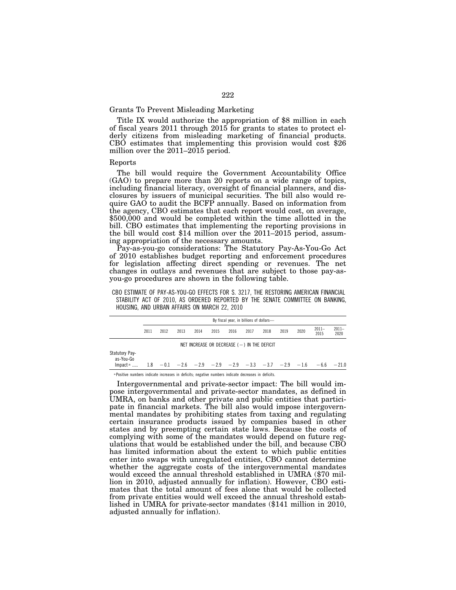# Grants To Prevent Misleading Marketing

Title IX would authorize the appropriation of \$8 million in each of fiscal years 2011 through 2015 for grants to states to protect elderly citizens from misleading marketing of financial products. CBO estimates that implementing this provision would cost \$26 million over the 2011–2015 period.

#### Reports

The bill would require the Government Accountability Office (GAO) to prepare more than 20 reports on a wide range of topics, including financial literacy, oversight of financial planners, and disclosures by issuers of municipal securities. The bill also would require GAO to audit the BCFP annually. Based on information from the agency, CBO estimates that each report would cost, on average, \$500,000 and would be completed within the time allotted in the bill. CBO estimates that implementing the reporting provisions in the bill would cost \$14 million over the 2011–2015 period, assuming appropriation of the necessary amounts.

Pay-as-you-go considerations: The Statutory Pay-As-You-Go Act of 2010 establishes budget reporting and enforcement procedures for legislation affecting direct spending or revenues. The net changes in outlays and revenues that are subject to those pay-asyou-go procedures are shown in the following table.

CBO ESTIMATE OF PAY-AS-YOU-GO EFFECTS FOR S. 3217, THE RESTORING AMERICAN FINANCIAL STABILITY ACT OF 2010, AS ORDERED REPORTED BY THE SENATE COMMITTEE ON BANKING, HOUSING, AND URBAN AFFAIRS ON MARCH 22, 2010

|                                    | By fiscal year, in billions of dollars- |      |      |                                                   |      |      |      |      |      |      |                                                                                     |                  |
|------------------------------------|-----------------------------------------|------|------|---------------------------------------------------|------|------|------|------|------|------|-------------------------------------------------------------------------------------|------------------|
|                                    | 2011                                    | 2012 | 2013 | 2014                                              | 2015 | 2016 | 2017 | 2018 | 2019 | 2020 | $2011-$<br>2015                                                                     | $2011 -$<br>2020 |
|                                    |                                         |      |      | NET INCREASE OR DECREASE $($ - $)$ in the deficit |      |      |      |      |      |      |                                                                                     |                  |
| <b>Statutory Pay-</b><br>as-You-Go |                                         |      |      |                                                   |      |      |      |      |      |      |                                                                                     |                  |
| lmpact <sup>a</sup>                |                                         |      |      |                                                   |      |      |      |      |      |      | $1.8$ $-0.1$ $-2.6$ $-2.9$ $-2.9$ $-2.9$ $-3.3$ $-3.7$ $-2.9$ $-1.6$ $-6.6$ $-21.0$ |                  |

a Positive numbers indicate increases in deficits; negative numbers indicate decreases in deficits.

Intergovernmental and private-sector impact: The bill would impose intergovernmental and private-sector mandates, as defined in UMRA, on banks and other private and public entities that participate in financial markets. The bill also would impose intergovernmental mandates by prohibiting states from taxing and regulating certain insurance products issued by companies based in other states and by preempting certain state laws. Because the costs of complying with some of the mandates would depend on future regulations that would be established under the bill, and because CBO has limited information about the extent to which public entities enter into swaps with unregulated entities, CBO cannot determine whether the aggregate costs of the intergovernmental mandates would exceed the annual threshold established in UMRA (\$70 million in 2010, adjusted annually for inflation). However, CBO estimates that the total amount of fees alone that would be collected from private entities would well exceed the annual threshold established in UMRA for private-sector mandates (\$141 million in 2010, adjusted annually for inflation).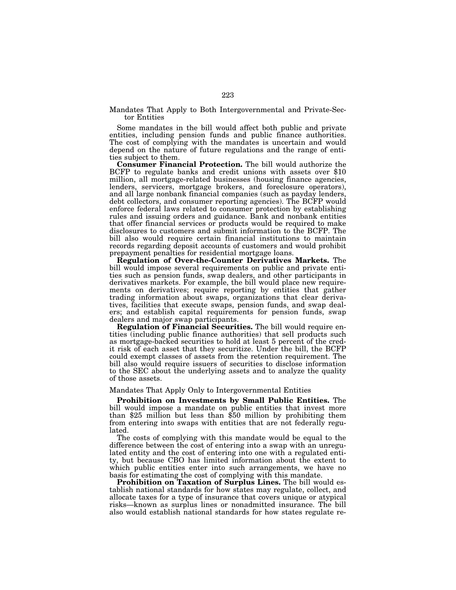Mandates That Apply to Both Intergovernmental and Private-Sector Entities

Some mandates in the bill would affect both public and private entities, including pension funds and public finance authorities. The cost of complying with the mandates is uncertain and would depend on the nature of future regulations and the range of entities subject to them.

**Consumer Financial Protection.** The bill would authorize the BCFP to regulate banks and credit unions with assets over \$10 million, all mortgage-related businesses (housing finance agencies, lenders, servicers, mortgage brokers, and foreclosure operators), and all large nonbank financial companies (such as payday lenders, debt collectors, and consumer reporting agencies). The BCFP would enforce federal laws related to consumer protection by establishing rules and issuing orders and guidance. Bank and nonbank entities that offer financial services or products would be required to make disclosures to customers and submit information to the BCFP. The bill also would require certain financial institutions to maintain records regarding deposit accounts of customers and would prohibit prepayment penalties for residential mortgage loans.

**Regulation of Over-the-Counter Derivatives Markets.** The bill would impose several requirements on public and private entities such as pension funds, swap dealers, and other participants in derivatives markets. For example, the bill would place new requirements on derivatives; require reporting by entities that gather trading information about swaps, organizations that clear derivatives, facilities that execute swaps, pension funds, and swap dealers; and establish capital requirements for pension funds, swap dealers and major swap participants.

**Regulation of Financial Securities.** The bill would require entities (including public finance authorities) that sell products such as mortgage-backed securities to hold at least 5 percent of the credit risk of each asset that they securitize. Under the bill, the BCFP could exempt classes of assets from the retention requirement. The bill also would require issuers of securities to disclose information to the SEC about the underlying assets and to analyze the quality of those assets.

#### Mandates That Apply Only to Intergovernmental Entities

**Prohibition on Investments by Small Public Entities.** The bill would impose a mandate on public entities that invest more than \$25 million but less than \$50 million by prohibiting them from entering into swaps with entities that are not federally regulated.

The costs of complying with this mandate would be equal to the difference between the cost of entering into a swap with an unregulated entity and the cost of entering into one with a regulated entity, but because CBO has limited information about the extent to which public entities enter into such arrangements, we have no basis for estimating the cost of complying with this mandate.

**Prohibition on Taxation of Surplus Lines.** The bill would establish national standards for how states may regulate, collect, and allocate taxes for a type of insurance that covers unique or atypical risks—known as surplus lines or nonadmitted insurance. The bill also would establish national standards for how states regulate re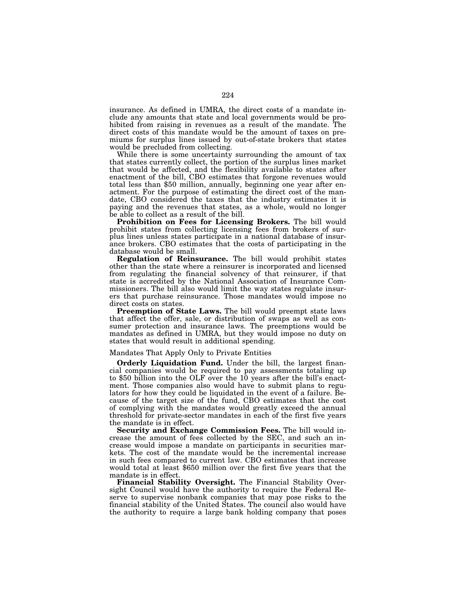insurance. As defined in UMRA, the direct costs of a mandate include any amounts that state and local governments would be prohibited from raising in revenues as a result of the mandate. The direct costs of this mandate would be the amount of taxes on premiums for surplus lines issued by out-of-state brokers that states would be precluded from collecting.

While there is some uncertainty surrounding the amount of tax that states currently collect, the portion of the surplus lines market that would be affected, and the flexibility available to states after enactment of the bill, CBO estimates that forgone revenues would total less than \$50 million, annually, beginning one year after enactment. For the purpose of estimating the direct cost of the mandate, CBO considered the taxes that the industry estimates it is paying and the revenues that states, as a whole, would no longer be able to collect as a result of the bill.

**Prohibition on Fees for Licensing Brokers.** The bill would prohibit states from collecting licensing fees from brokers of surplus lines unless states participate in a national database of insurance brokers. CBO estimates that the costs of participating in the database would be small.

**Regulation of Reinsurance.** The bill would prohibit states other than the state where a reinsurer is incorporated and licensed from regulating the financial solvency of that reinsurer, if that state is accredited by the National Association of Insurance Commissioners. The bill also would limit the way states regulate insurers that purchase reinsurance. Those mandates would impose no direct costs on states.

**Preemption of State Laws.** The bill would preempt state laws that affect the offer, sale, or distribution of swaps as well as consumer protection and insurance laws. The preemptions would be mandates as defined in UMRA, but they would impose no duty on states that would result in additional spending.

## Mandates That Apply Only to Private Entities

**Orderly Liquidation Fund.** Under the bill, the largest financial companies would be required to pay assessments totaling up to \$50 billion into the OLF over the 10 years after the bill's enactment. Those companies also would have to submit plans to regulators for how they could be liquidated in the event of a failure. Because of the target size of the fund, CBO estimates that the cost of complying with the mandates would greatly exceed the annual threshold for private-sector mandates in each of the first five years the mandate is in effect.

**Security and Exchange Commission Fees.** The bill would increase the amount of fees collected by the SEC, and such an increase would impose a mandate on participants in securities markets. The cost of the mandate would be the incremental increase in such fees compared to current law. CBO estimates that increase would total at least \$650 million over the first five years that the mandate is in effect.

**Financial Stability Oversight.** The Financial Stability Oversight Council would have the authority to require the Federal Reserve to supervise nonbank companies that may pose risks to the financial stability of the United States. The council also would have the authority to require a large bank holding company that poses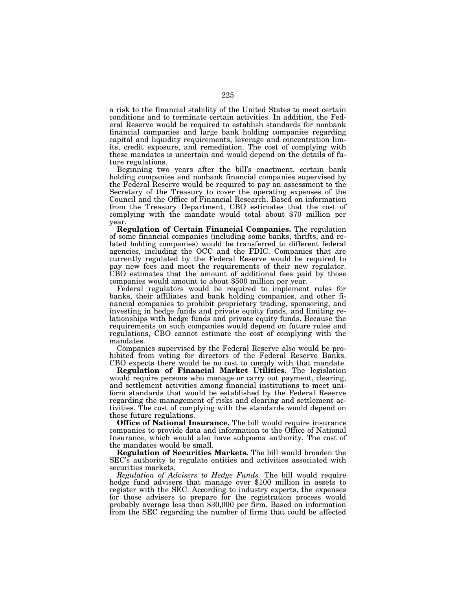a risk to the financial stability of the United States to meet certain conditions and to terminate certain activities. In addition, the Federal Reserve would be required to establish standards for nonbank financial companies and large bank holding companies regarding capital and liquidity requirements, leverage and concentration limits, credit exposure, and remediation. The cost of complying with these mandates is uncertain and would depend on the details of future regulations.

Beginning two years after the bill's enactment, certain bank holding companies and nonbank financial companies supervised by the Federal Reserve would be required to pay an assessment to the Secretary of the Treasury to cover the operating expenses of the Council and the Office of Financial Research. Based on information from the Treasury Department, CBO estimates that the cost of complying with the mandate would total about \$70 million per year.

**Regulation of Certain Financial Companies.** The regulation of some financial companies (including some banks, thrifts, and related holding companies) would be transferred to different federal agencies, including the OCC and the FDIC. Companies that are currently regulated by the Federal Reserve would be required to pay new fees and meet the requirements of their new regulator. CBO estimates that the amount of additional fees paid by those companies would amount to about \$500 million per year.

Federal regulators would be required to implement rules for banks, their affiliates and bank holding companies, and other financial companies to prohibit proprietary trading, sponsoring, and investing in hedge funds and private equity funds, and limiting relationships with hedge funds and private equity funds. Because the requirements on such companies would depend on future rules and regulations, CBO cannot estimate the cost of complying with the mandates.

Companies supervised by the Federal Reserve also would be prohibited from voting for directors of the Federal Reserve Banks. CBO expects there would be no cost to comply with that mandate.

**Regulation of Financial Market Utilities.** The legislation would require persons who manage or carry out payment, clearing, and settlement activities among financial institutions to meet uniform standards that would be established by the Federal Reserve regarding the management of risks and clearing and settlement activities. The cost of complying with the standards would depend on those future regulations.

**Office of National Insurance.** The bill would require insurance companies to provide data and information to the Office of National Insurance, which would also have subpoena authority. The cost of the mandates would be small.

**Regulation of Securities Markets.** The bill would broaden the SEC's authority to regulate entities and activities associated with securities markets.

*Regulation of Advisers to Hedge Funds.* The bill would require hedge fund advisers that manage over \$100 million in assets to register with the SEC. According to industry experts, the expenses for those advisers to prepare for the registration process would probably average less than \$30,000 per firm. Based on information from the SEC regarding the number of firms that could be affected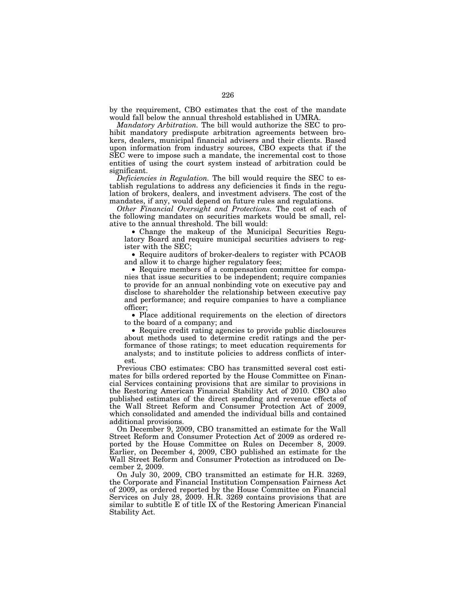by the requirement, CBO estimates that the cost of the mandate would fall below the annual threshold established in UMRA.

*Mandatory Arbitration.* The bill would authorize the SEC to prohibit mandatory predispute arbitration agreements between brokers, dealers, municipal financial advisers and their clients. Based upon information from industry sources, CBO expects that if the SEC were to impose such a mandate, the incremental cost to those entities of using the court system instead of arbitration could be significant.

*Deficiencies in Regulation.* The bill would require the SEC to establish regulations to address any deficiencies it finds in the regulation of brokers, dealers, and investment advisers. The cost of the mandates, if any, would depend on future rules and regulations.

*Other Financial Oversight and Protections.* The cost of each of the following mandates on securities markets would be small, relative to the annual threshold. The bill would:

• Change the makeup of the Municipal Securities Regulatory Board and require municipal securities advisers to register with the SEC;

• Require auditors of broker-dealers to register with PCAOB and allow it to charge higher regulatory fees;

• Require members of a compensation committee for companies that issue securities to be independent; require companies to provide for an annual nonbinding vote on executive pay and disclose to shareholder the relationship between executive pay and performance; and require companies to have a compliance officer;

• Place additional requirements on the election of directors to the board of a company; and

• Require credit rating agencies to provide public disclosures about methods used to determine credit ratings and the performance of those ratings; to meet education requirements for analysts; and to institute policies to address conflicts of interest.

Previous CBO estimates: CBO has transmitted several cost estimates for bills ordered reported by the House Committee on Financial Services containing provisions that are similar to provisions in the Restoring American Financial Stability Act of 2010. CBO also published estimates of the direct spending and revenue effects of the Wall Street Reform and Consumer Protection Act of 2009, which consolidated and amended the individual bills and contained additional provisions.

On December 9, 2009, CBO transmitted an estimate for the Wall Street Reform and Consumer Protection Act of 2009 as ordered reported by the House Committee on Rules on December 8, 2009. Earlier, on December 4, 2009, CBO published an estimate for the Wall Street Reform and Consumer Protection as introduced on December 2, 2009.

On July 30, 2009, CBO transmitted an estimate for H.R. 3269, the Corporate and Financial Institution Compensation Fairness Act of 2009, as ordered reported by the House Committee on Financial Services on July 28, 2009. H.R. 3269 contains provisions that are similar to subtitle E of title IX of the Restoring American Financial Stability Act.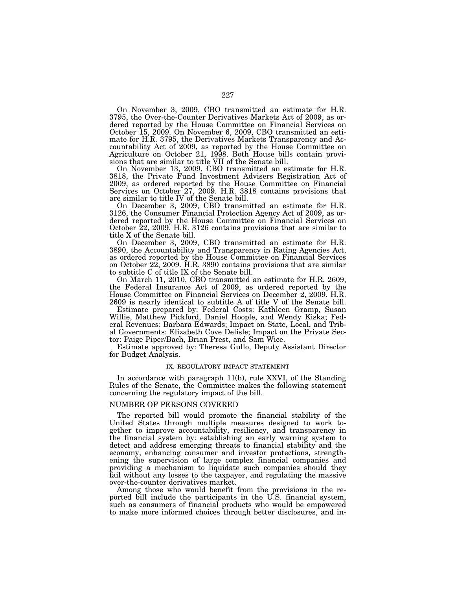On November 3, 2009, CBO transmitted an estimate for H.R. 3795, the Over-the-Counter Derivatives Markets Act of 2009, as ordered reported by the House Committee on Financial Services on October 15, 2009. On November 6, 2009, CBO transmitted an estimate for H.R. 3795, the Derivatives Markets Transparency and Accountability Act of 2009, as reported by the House Committee on Agriculture on October 21, 1998. Both House bills contain provisions that are similar to title VII of the Senate bill.

On November 13, 2009, CBO transmitted an estimate for H.R. 3818, the Private Fund Investment Advisers Registration Act of 2009, as ordered reported by the House Committee on Financial Services on October 27, 2009. H.R. 3818 contains provisions that are similar to title IV of the Senate bill.

On December 3, 2009, CBO transmitted an estimate for H.R. 3126, the Consumer Financial Protection Agency Act of 2009, as ordered reported by the House Committee on Financial Services on October 22, 2009. H.R. 3126 contains provisions that are similar to title X of the Senate bill.

On December 3, 2009, CBO transmitted an estimate for H.R. 3890, the Accountability and Transparency in Rating Agencies Act, as ordered reported by the House Committee on Financial Services on October 22, 2009. H.R. 3890 contains provisions that are similar to subtitle C of title IX of the Senate bill.

On March 11, 2010, CBO transmitted an estimate for H.R. 2609, the Federal Insurance Act of 2009, as ordered reported by the House Committee on Financial Services on December 2, 2009. H.R. 2609 is nearly identical to subtitle A of title V of the Senate bill.

Estimate prepared by: Federal Costs: Kathleen Gramp, Susan Willie, Matthew Pickford, Daniel Hoople, and Wendy Kiska; Federal Revenues: Barbara Edwards; Impact on State, Local, and Tribal Governments: Elizabeth Cove Delisle; Impact on the Private Sector: Paige Piper/Bach, Brian Prest, and Sam Wice.

Estimate approved by: Theresa Gullo, Deputy Assistant Director for Budget Analysis.

#### IX. REGULATORY IMPACT STATEMENT

In accordance with paragraph 11(b), rule XXVI, of the Standing Rules of the Senate, the Committee makes the following statement concerning the regulatory impact of the bill.

## NUMBER OF PERSONS COVERED

The reported bill would promote the financial stability of the United States through multiple measures designed to work together to improve accountability, resiliency, and transparency in the financial system by: establishing an early warning system to detect and address emerging threats to financial stability and the economy, enhancing consumer and investor protections, strengthening the supervision of large complex financial companies and providing a mechanism to liquidate such companies should they fail without any losses to the taxpayer, and regulating the massive over-the-counter derivatives market.

Among those who would benefit from the provisions in the reported bill include the participants in the U.S. financial system, such as consumers of financial products who would be empowered to make more informed choices through better disclosures, and in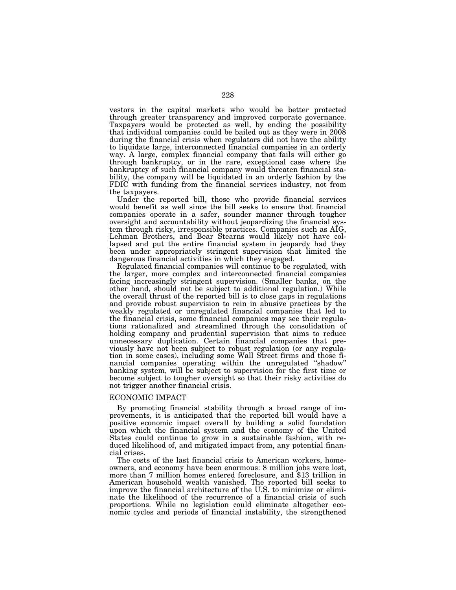vestors in the capital markets who would be better protected through greater transparency and improved corporate governance. Taxpayers would be protected as well, by ending the possibility that individual companies could be bailed out as they were in 2008 during the financial crisis when regulators did not have the ability to liquidate large, interconnected financial companies in an orderly way. A large, complex financial company that fails will either go through bankruptcy, or in the rare, exceptional case where the bankruptcy of such financial company would threaten financial stability, the company will be liquidated in an orderly fashion by the FDIC with funding from the financial services industry, not from the taxpayers.

Under the reported bill, those who provide financial services would benefit as well since the bill seeks to ensure that financial companies operate in a safer, sounder manner through tougher oversight and accountability without jeopardizing the financial system through risky, irresponsible practices. Companies such as AIG, Lehman Brothers, and Bear Stearns would likely not have collapsed and put the entire financial system in jeopardy had they been under appropriately stringent supervision that limited the dangerous financial activities in which they engaged.

Regulated financial companies will continue to be regulated, with the larger, more complex and interconnected financial companies facing increasingly stringent supervision. (Smaller banks, on the other hand, should not be subject to additional regulation.) While the overall thrust of the reported bill is to close gaps in regulations and provide robust supervision to rein in abusive practices by the weakly regulated or unregulated financial companies that led to the financial crisis, some financial companies may see their regulations rationalized and streamlined through the consolidation of holding company and prudential supervision that aims to reduce unnecessary duplication. Certain financial companies that previously have not been subject to robust regulation (or any regulation in some cases), including some Wall Street firms and those financial companies operating within the unregulated ''shadow'' banking system, will be subject to supervision for the first time or become subject to tougher oversight so that their risky activities do not trigger another financial crisis.

## ECONOMIC IMPACT

By promoting financial stability through a broad range of improvements, it is anticipated that the reported bill would have a positive economic impact overall by building a solid foundation upon which the financial system and the economy of the United States could continue to grow in a sustainable fashion, with reduced likelihood of, and mitigated impact from, any potential financial crises.

The costs of the last financial crisis to American workers, homeowners, and economy have been enormous: 8 million jobs were lost, more than 7 million homes entered foreclosure, and \$13 trillion in American household wealth vanished. The reported bill seeks to improve the financial architecture of the U.S. to minimize or eliminate the likelihood of the recurrence of a financial crisis of such proportions. While no legislation could eliminate altogether economic cycles and periods of financial instability, the strengthened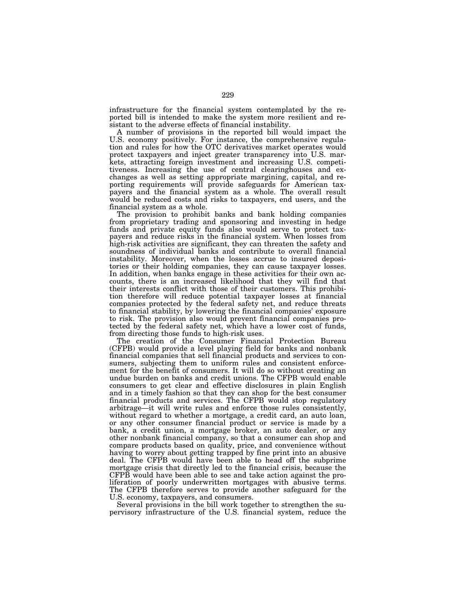infrastructure for the financial system contemplated by the reported bill is intended to make the system more resilient and resistant to the adverse effects of financial instability.

A number of provisions in the reported bill would impact the U.S. economy positively. For instance, the comprehensive regulation and rules for how the OTC derivatives market operates would protect taxpayers and inject greater transparency into U.S. markets, attracting foreign investment and increasing U.S. competitiveness. Increasing the use of central clearinghouses and exchanges as well as setting appropriate margining, capital, and reporting requirements will provide safeguards for American taxpayers and the financial system as a whole. The overall result would be reduced costs and risks to taxpayers, end users, and the financial system as a whole.

The provision to prohibit banks and bank holding companies from proprietary trading and sponsoring and investing in hedge funds and private equity funds also would serve to protect taxpayers and reduce risks in the financial system. When losses from high-risk activities are significant, they can threaten the safety and soundness of individual banks and contribute to overall financial instability. Moreover, when the losses accrue to insured depositories or their holding companies, they can cause taxpayer losses. In addition, when banks engage in these activities for their own accounts, there is an increased likelihood that they will find that their interests conflict with those of their customers. This prohibition therefore will reduce potential taxpayer losses at financial companies protected by the federal safety net, and reduce threats to financial stability, by lowering the financial companies' exposure to risk. The provision also would prevent financial companies protected by the federal safety net, which have a lower cost of funds, from directing those funds to high-risk uses.

The creation of the Consumer Financial Protection Bureau (CFPB) would provide a level playing field for banks and nonbank financial companies that sell financial products and services to consumers, subjecting them to uniform rules and consistent enforcement for the benefit of consumers. It will do so without creating an undue burden on banks and credit unions. The CFPB would enable consumers to get clear and effective disclosures in plain English and in a timely fashion so that they can shop for the best consumer financial products and services. The CFPB would stop regulatory arbitrage—it will write rules and enforce those rules consistently, without regard to whether a mortgage, a credit card, an auto loan, or any other consumer financial product or service is made by a bank, a credit union, a mortgage broker, an auto dealer, or any other nonbank financial company, so that a consumer can shop and compare products based on quality, price, and convenience without having to worry about getting trapped by fine print into an abusive deal. The CFPB would have been able to head off the subprime mortgage crisis that directly led to the financial crisis, because the CFPB would have been able to see and take action against the proliferation of poorly underwritten mortgages with abusive terms. The CFPB therefore serves to provide another safeguard for the U.S. economy, taxpayers, and consumers.

Several provisions in the bill work together to strengthen the supervisory infrastructure of the U.S. financial system, reduce the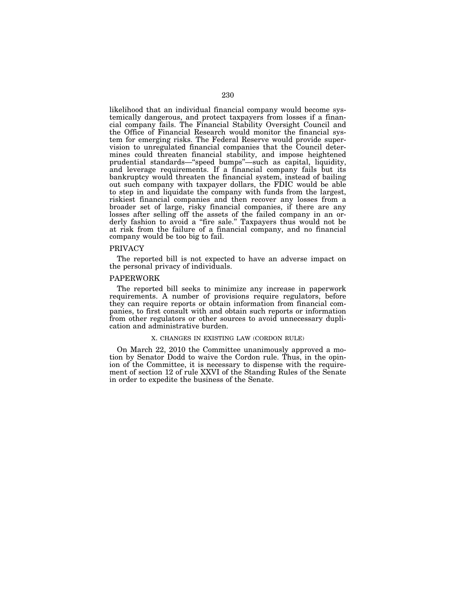likelihood that an individual financial company would become systemically dangerous, and protect taxpayers from losses if a financial company fails. The Financial Stability Oversight Council and the Office of Financial Research would monitor the financial system for emerging risks. The Federal Reserve would provide supervision to unregulated financial companies that the Council determines could threaten financial stability, and impose heightened prudential standards—"speed bumps"—such as capital, liquidity, and leverage requirements. If a financial company fails but its bankruptcy would threaten the financial system, instead of bailing out such company with taxpayer dollars, the FDIC would be able to step in and liquidate the company with funds from the largest, riskiest financial companies and then recover any losses from a broader set of large, risky financial companies, if there are any losses after selling off the assets of the failed company in an orderly fashion to avoid a "fire sale." Taxpayers thus would not be at risk from the failure of a financial company, and no financial company would be too big to fail.

#### PRIVACY

The reported bill is not expected to have an adverse impact on the personal privacy of individuals.

# PAPERWORK

The reported bill seeks to minimize any increase in paperwork requirements. A number of provisions require regulators, before they can require reports or obtain information from financial companies, to first consult with and obtain such reports or information from other regulators or other sources to avoid unnecessary duplication and administrative burden.

#### X. CHANGES IN EXISTING LAW (CORDON RULE)

On March 22, 2010 the Committee unanimously approved a motion by Senator Dodd to waive the Cordon rule. Thus, in the opinion of the Committee, it is necessary to dispense with the requirement of section 12 of rule XXVI of the Standing Rules of the Senate in order to expedite the business of the Senate.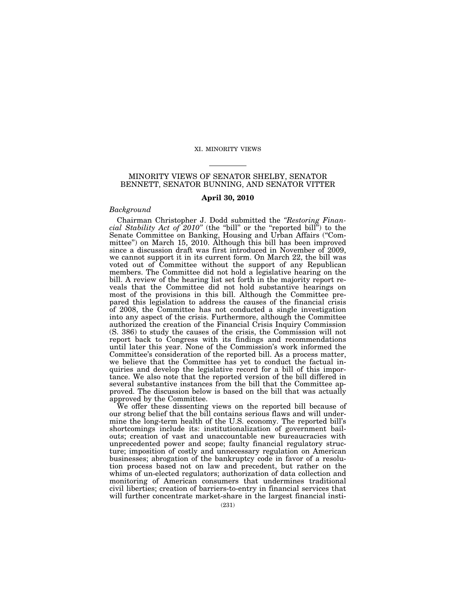## XI. MINORITY VIEWS

# MINORITY VIEWS OF SENATOR SHELBY, SENATOR BENNETT, SENATOR BUNNING, AND SENATOR VITTER

## **April 30, 2010**

## *Background*

Chairman Christopher J. Dodd submitted the *''Restoring Financial Stability Act of 2010''* (the ''bill'' or the ''reported bill'') to the Senate Committee on Banking, Housing and Urban Affairs (''Committee'') on March 15, 2010. Although this bill has been improved since a discussion draft was first introduced in November of 2009, we cannot support it in its current form. On March 22, the bill was voted out of Committee without the support of any Republican members. The Committee did not hold a legislative hearing on the bill. A review of the hearing list set forth in the majority report reveals that the Committee did not hold substantive hearings on most of the provisions in this bill. Although the Committee prepared this legislation to address the causes of the financial crisis of 2008, the Committee has not conducted a single investigation into any aspect of the crisis. Furthermore, although the Committee authorized the creation of the Financial Crisis Inquiry Commission (S. 386) to study the causes of the crisis, the Commission will not report back to Congress with its findings and recommendations until later this year. None of the Commission's work informed the Committee's consideration of the reported bill. As a process matter, we believe that the Committee has yet to conduct the factual inquiries and develop the legislative record for a bill of this importance. We also note that the reported version of the bill differed in several substantive instances from the bill that the Committee approved. The discussion below is based on the bill that was actually approved by the Committee.

We offer these dissenting views on the reported bill because of our strong belief that the bill contains serious flaws and will undermine the long-term health of the U.S. economy. The reported bill's shortcomings include its: institutionalization of government bailouts; creation of vast and unaccountable new bureaucracies with unprecedented power and scope; faulty financial regulatory structure; imposition of costly and unnecessary regulation on American businesses; abrogation of the bankruptcy code in favor of a resolution process based not on law and precedent, but rather on the whims of un-elected regulators; authorization of data collection and monitoring of American consumers that undermines traditional civil liberties; creation of barriers-to-entry in financial services that will further concentrate market-share in the largest financial insti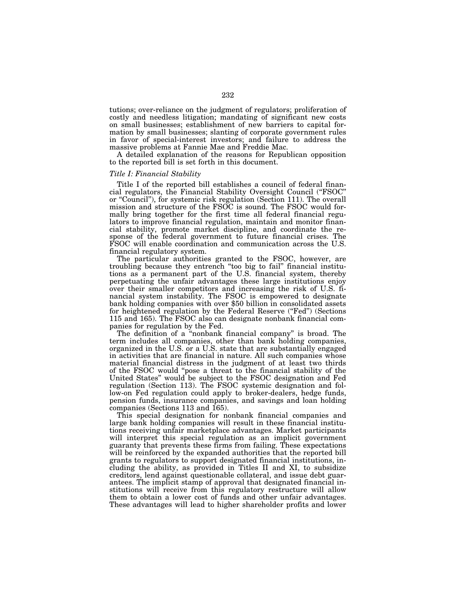tutions; over-reliance on the judgment of regulators; proliferation of costly and needless litigation; mandating of significant new costs on small businesses; establishment of new barriers to capital formation by small businesses; slanting of corporate government rules in favor of special-interest investors; and failure to address the massive problems at Fannie Mae and Freddie Mac.

A detailed explanation of the reasons for Republican opposition to the reported bill is set forth in this document.

# *Title I: Financial Stability*

Title I of the reported bill establishes a council of federal financial regulators, the Financial Stability Oversight Council ("FSOC" or ''Council''), for systemic risk regulation (Section 111). The overall mission and structure of the FSOC is sound. The FSOC would formally bring together for the first time all federal financial regulators to improve financial regulation, maintain and monitor financial stability, promote market discipline, and coordinate the response of the federal government to future financial crises. The FSOC will enable coordination and communication across the U.S. financial regulatory system.

The particular authorities granted to the FSOC, however, are troubling because they entrench ''too big to fail'' financial institutions as a permanent part of the U.S. financial system, thereby perpetuating the unfair advantages these large institutions enjoy over their smaller competitors and increasing the risk of U.S. financial system instability. The FSOC is empowered to designate bank holding companies with over \$50 billion in consolidated assets for heightened regulation by the Federal Reserve ("Fed") (Sections 115 and 165). The FSOC also can designate nonbank financial companies for regulation by the Fed.

The definition of a ''nonbank financial company'' is broad. The term includes all companies, other than bank holding companies, organized in the U.S. or a U.S. state that are substantially engaged in activities that are financial in nature. All such companies whose material financial distress in the judgment of at least two thirds of the FSOC would ''pose a threat to the financial stability of the United States'' would be subject to the FSOC designation and Fed regulation (Section 113). The FSOC systemic designation and follow-on Fed regulation could apply to broker-dealers, hedge funds, pension funds, insurance companies, and savings and loan holding companies (Sections 113 and 165).

This special designation for nonbank financial companies and large bank holding companies will result in these financial institutions receiving unfair marketplace advantages. Market participants will interpret this special regulation as an implicit government guaranty that prevents these firms from failing. These expectations will be reinforced by the expanded authorities that the reported bill grants to regulators to support designated financial institutions, including the ability, as provided in Titles II and XI, to subsidize creditors, lend against questionable collateral, and issue debt guarantees. The implicit stamp of approval that designated financial institutions will receive from this regulatory restructure will allow them to obtain a lower cost of funds and other unfair advantages. These advantages will lead to higher shareholder profits and lower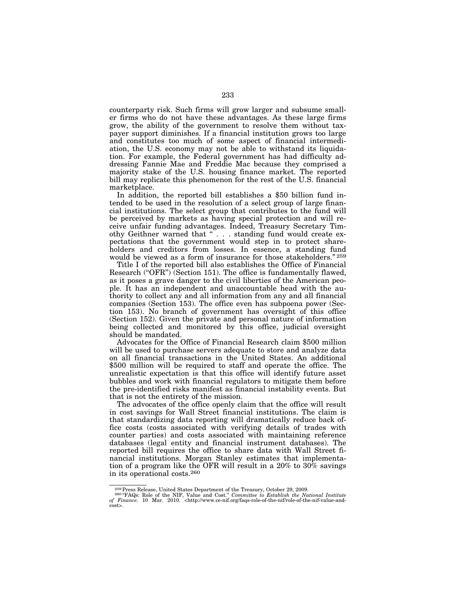counterparty risk. Such firms will grow larger and subsume smaller firms who do not have these advantages. As these large firms grow, the ability of the government to resolve them without taxpayer support diminishes. If a financial institution grows too large and constitutes too much of some aspect of financial intermediation, the U.S. economy may not be able to withstand its liquidation. For example, the Federal government has had difficulty addressing Fannie Mae and Freddie Mac because they comprised a majority stake of the U.S. housing finance market. The reported bill may replicate this phenomenon for the rest of the U.S. financial marketplace.

In addition, the reported bill establishes a \$50 billion fund intended to be used in the resolution of a select group of large financial institutions. The select group that contributes to the fund will be perceived by markets as having special protection and will receive unfair funding advantages. Indeed, Treasury Secretary Timothy Geithner warned that '' . . . standing fund would create expectations that the government would step in to protect shareholders and creditors from losses. In essence, a standing fund would be viewed as a form of insurance for those stakeholders."<sup>259</sup>

Title I of the reported bill also establishes the Office of Financial Research ("OFR") (Section 151). The office is fundamentally flawed, as it poses a grave danger to the civil liberties of the American people. It has an independent and unaccountable head with the authority to collect any and all information from any and all financial companies (Section 153). The office even has subpoena power (Section 153). No branch of government has oversight of this office (Section 152). Given the private and personal nature of information being collected and monitored by this office, judicial oversight should be mandated.

Advocates for the Office of Financial Research claim \$500 million will be used to purchase servers adequate to store and analyze data on all financial transactions in the United States. An additional \$500 million will be required to staff and operate the office. The unrealistic expectation is that this office will identify future asset bubbles and work with financial regulators to mitigate them before the pre-identified risks manifest as financial instability events. But that is not the entirety of the mission.

The advocates of the office openly claim that the office will result in cost savings for Wall Street financial institutions. The claim is that standardizing data reporting will dramatically reduce back office costs (costs associated with verifying details of trades with counter parties) and costs associated with maintaining reference databases (legal entity and financial instrument databases). The reported bill requires the office to share data with Wall Street financial institutions. Morgan Stanley estimates that implementation of a program like the OFR will result in a 20% to  $30\%$  savings in its operational costs.260

<sup>259</sup>Press Release, United States Department of the Treasury, October 29, 2009. 260 ''FAQs: Role of the NIF, Value and Cost.'' *Committee to Establish the National Institute of Finance.* 10 Mar. 2010. <http://www.ce-nif.org/faqs-role-of-the-nif/role-of-the-nif-value-andcost>.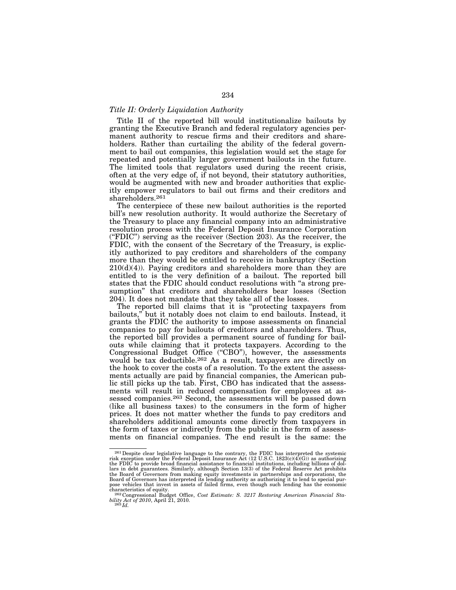# *Title II: Orderly Liquidation Authority*

Title II of the reported bill would institutionalize bailouts by granting the Executive Branch and federal regulatory agencies permanent authority to rescue firms and their creditors and shareholders. Rather than curtailing the ability of the federal government to bail out companies, this legislation would set the stage for repeated and potentially larger government bailouts in the future. The limited tools that regulators used during the recent crisis, often at the very edge of, if not beyond, their statutory authorities, would be augmented with new and broader authorities that explicitly empower regulators to bail out firms and their creditors and shareholders.261

The centerpiece of these new bailout authorities is the reported bill's new resolution authority. It would authorize the Secretary of the Treasury to place any financial company into an administrative resolution process with the Federal Deposit Insurance Corporation (''FDIC'') serving as the receiver (Section 203). As the receiver, the FDIC, with the consent of the Secretary of the Treasury, is explicitly authorized to pay creditors and shareholders of the company more than they would be entitled to receive in bankruptcy (Section  $210(d)(4)$ ). Paying creditors and shareholders more than they are entitled to is the very definition of a bailout. The reported bill states that the FDIC should conduct resolutions with ''a strong presumption'' that creditors and shareholders bear losses (Section 204). It does not mandate that they take all of the losses.

The reported bill claims that it is ''protecting taxpayers from bailouts,'' but it notably does not claim to end bailouts. Instead, it grants the FDIC the authority to impose assessments on financial companies to pay for bailouts of creditors and shareholders. Thus, the reported bill provides a permanent source of funding for bailouts while claiming that it protects taxpayers. According to the Congressional Budget Office ("CBO"), however, the assessments would be tax deductible.262 As a result, taxpayers are directly on the hook to cover the costs of a resolution. To the extent the assessments actually are paid by financial companies, the American public still picks up the tab. First, CBO has indicated that the assessments will result in reduced compensation for employees at assessed companies.<sup>263</sup> Second, the assessments will be passed down (like all business taxes) to the consumers in the form of higher prices. It does not matter whether the funds to pay creditors and shareholders additional amounts come directly from taxpayers in the form of taxes or indirectly from the public in the form of assessments on financial companies. The end result is the same: the

<sup>&</sup>lt;sup>261</sup> Despite clear legislative language to the contrary, the FDIC has interpreted the systemic risk exception under the Federal Deposit Insurance Act (12 U.S.C. 1823(c)(4)(G)) as authorizing the FDIC to provide broad fin lars in debt guarantees. Similarly, although Section 13(3) of the Federal Reserve Act prohibits<br>the Board of Governors from making equity investments in partnerships and corporations, the<br>Board of Governors has interpreted pose vehicles that invest in assets of failed firms, even though such lending has the economic

<sup>&</sup>lt;sup>262</sup> Congressional Budget Office, *Cost Estimate: S. 3217 Restoring American Financial Stability Act of 2010*, April 21, 2010. 263 *Id.*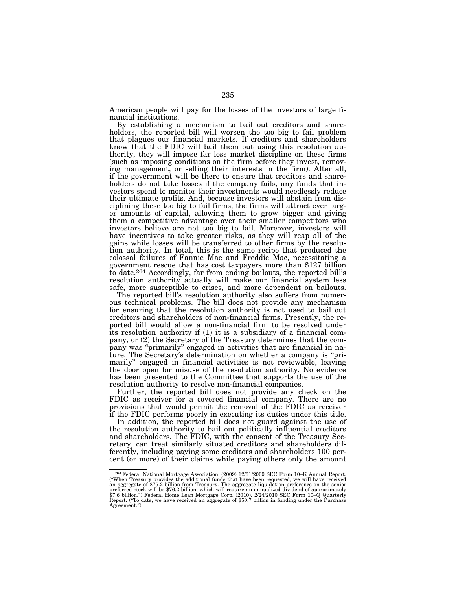American people will pay for the losses of the investors of large financial institutions.

By establishing a mechanism to bail out creditors and shareholders, the reported bill will worsen the too big to fail problem that plagues our financial markets. If creditors and shareholders know that the FDIC will bail them out using this resolution authority, they will impose far less market discipline on these firms (such as imposing conditions on the firm before they invest, removing management, or selling their interests in the firm). After all, if the government will be there to ensure that creditors and shareholders do not take losses if the company fails, any funds that investors spend to monitor their investments would needlessly reduce their ultimate profits. And, because investors will abstain from disciplining these too big to fail firms, the firms will attract ever larger amounts of capital, allowing them to grow bigger and giving them a competitive advantage over their smaller competitors who investors believe are not too big to fail. Moreover, investors will have incentives to take greater risks, as they will reap all of the gains while losses will be transferred to other firms by the resolution authority. In total, this is the same recipe that produced the colossal failures of Fannie Mae and Freddie Mac, necessitating a government rescue that has cost taxpayers more than \$127 billion to date.264 Accordingly, far from ending bailouts, the reported bill's resolution authority actually will make our financial system less safe, more susceptible to crises, and more dependent on bailouts.

The reported bill's resolution authority also suffers from numerous technical problems. The bill does not provide any mechanism for ensuring that the resolution authority is not used to bail out creditors and shareholders of non-financial firms. Presently, the reported bill would allow a non-financial firm to be resolved under its resolution authority if (1) it is a subsidiary of a financial company, or (2) the Secretary of the Treasury determines that the company was ''primarily'' engaged in activities that are financial in nature. The Secretary's determination on whether a company is ''primarily'' engaged in financial activities is not reviewable, leaving the door open for misuse of the resolution authority. No evidence has been presented to the Committee that supports the use of the resolution authority to resolve non-financial companies.

Further, the reported bill does not provide any check on the FDIC as receiver for a covered financial company. There are no provisions that would permit the removal of the FDIC as receiver if the FDIC performs poorly in executing its duties under this title.

In addition, the reported bill does not guard against the use of the resolution authority to bail out politically influential creditors and shareholders. The FDIC, with the consent of the Treasury Secretary, can treat similarly situated creditors and shareholders differently, including paying some creditors and shareholders 100 percent (or more) of their claims while paying others only the amount

<sup>&</sup>lt;sup>264</sup> Federal National Mortgage Association. (2009)  $12/31/2009$  SEC Form 10–K Annual Report. ("When Treasury provides the additional funds that have been requested, we will have received an aggregate of \$75.2 billion from Treasury. The aggregate liquidation preference on the senior<br>preferred stock will be \$76.2 billion, which will require an annualized dividend of approximately<br>\$7.6 billion.") Federal Home Report. (''To date, we have received an aggregate of \$50.7 billion in funding under the Purchase Agreement.'')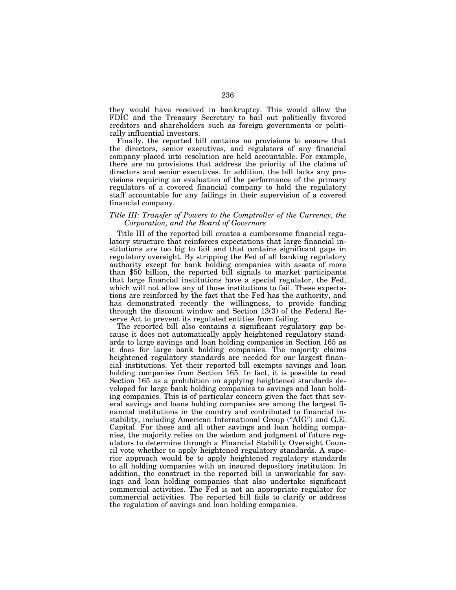they would have received in bankruptcy. This would allow the FDIC and the Treasury Secretary to bail out politically favored creditors and shareholders such as foreign governments or politically influential investors.

Finally, the reported bill contains no provisions to ensure that the directors, senior executives, and regulators of any financial company placed into resolution are held accountable. For example, there are no provisions that address the priority of the claims of directors and senior executives. In addition, the bill lacks any provisions requiring an evaluation of the performance of the primary regulators of a covered financial company to hold the regulatory staff accountable for any failings in their supervision of a covered financial company.

# *Title III: Transfer of Powers to the Comptroller of the Currency, the Corporation, and the Board of Governors*

Title III of the reported bill creates a cumbersome financial regulatory structure that reinforces expectations that large financial institutions are too big to fail and that contains significant gaps in regulatory oversight. By stripping the Fed of all banking regulatory authority except for bank holding companies with assets of more than \$50 billion, the reported bill signals to market participants that large financial institutions have a special regulator, the Fed, which will not allow any of those institutions to fail. These expectations are reinforced by the fact that the Fed has the authority, and has demonstrated recently the willingness, to provide funding through the discount window and Section 13(3) of the Federal Reserve Act to prevent its regulated entities from failing.

The reported bill also contains a significant regulatory gap because it does not automatically apply heightened regulatory standards to large savings and loan holding companies in Section 165 as it does for large bank holding companies. The majority claims heightened regulatory standards are needed for our largest financial institutions. Yet their reported bill exempts savings and loan holding companies from Section 165. In fact, it is possible to read Section 165 as a prohibition on applying heightened standards developed for large bank holding companies to savings and loan holding companies. This is of particular concern given the fact that several savings and loans holding companies are among the largest financial institutions in the country and contributed to financial instability, including American International Group ("AIG") and G.E. Capital. For these and all other savings and loan holding companies, the majority relies on the wisdom and judgment of future regulators to determine through a Financial Stability Oversight Council vote whether to apply heightened regulatory standards. A superior approach would be to apply heightened regulatory standards to all holding companies with an insured depository institution. In addition, the construct in the reported bill is unworkable for savings and loan holding companies that also undertake significant commercial activities. The Fed is not an appropriate regulator for commercial activities. The reported bill fails to clarify or address the regulation of savings and loan holding companies.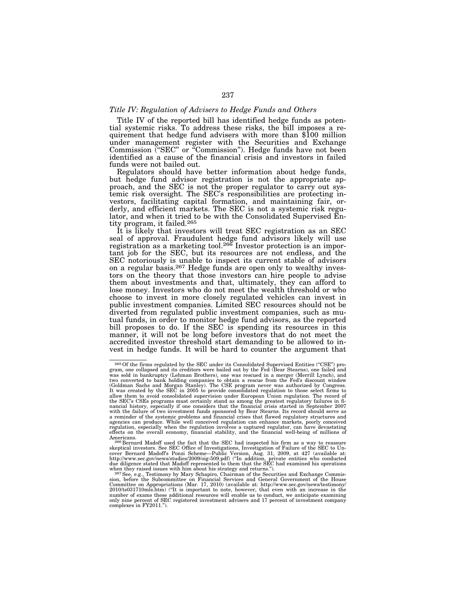## *Title IV: Regulation of Advisers to Hedge Funds and Others*

Title IV of the reported bill has identified hedge funds as potential systemic risks. To address these risks, the bill imposes a requirement that hedge fund advisers with more than \$100 million under management register with the Securities and Exchange Commission ("SEC" or "Commission"). Hedge funds have not been identified as a cause of the financial crisis and investors in failed funds were not bailed out.

Regulators should have better information about hedge funds, but hedge fund advisor registration is not the appropriate approach, and the SEC is not the proper regulator to carry out systemic risk oversight. The SEC's responsibilities are protecting investors, facilitating capital formation, and maintaining fair, orderly, and efficient markets. The SEC is not a systemic risk regulator, and when it tried to be with the Consolidated Supervised Entity program, it failed.265

It is likely that investors will treat SEC registration as an SEC seal of approval. Fraudulent hedge fund advisors likely will use registration as a marketing tool.<sup>266</sup> Investor protection is an important job for the SEC, but its resources are not endless, and the SEC notoriously is unable to inspect its current stable of advisors on a regular basis.267 Hedge funds are open only to wealthy investors on the theory that those investors can hire people to advise them about investments and that, ultimately, they can afford to lose money. Investors who do not meet the wealth threshold or who choose to invest in more closely regulated vehicles can invest in public investment companies. Limited SEC resources should not be diverted from regulated public investment companies, such as mutual funds, in order to monitor hedge fund advisors, as the reported bill proposes to do. If the SEC is spending its resources in this manner, it will not be long before investors that do not meet the accredited investor threshold start demanding to be allowed to invest in hedge funds. It will be hard to counter the argument that

<sup>265</sup>Of the firms regulated by the SEC under its Consolidated Supervised Entities (''CSE'') pro-gram, one collapsed and its creditors were bailed out by the Fed (Bear Stearns), one failed and was sold in bankruptcy (Lehman Brothers), one was rescued in a merger (Merrill Lynch), and<br>two converted to bank holding companies to obtain a rescue from the Fed's discount window<br>(Goldman Sachs and Morgan Stanley). The C nancial history, especially if one considers that the financial crisis started in September 2007<br>with the failure of two investment funds sponsored by Bear Stearns. Its record should serve as<br>a reminder of the systemic pro agencies can produce. While well conceived regulation can enhance markets, poorly conceived<br>regulation, especially when the regulation involves a captured regulator, can have devastating<br>effects on the overall economy, fin

Americans. 266 Bernard Madoff used the fact that the SEC had inspected his firm as a way to reassure skeptical investors. See SEC Office of Investigations, Investigation of Failure of the SEC to Uncover Bernard Madoff's Ponzi Scheme—Public Version, Aug. 31, 2009, at 427 (available at:<br>http://www.sec.gov/news/studies/2009/oig-509.pdf) ("In addition, private entities who conducted<br>due diligence stated that Madoff repr

when they raised issues with him about his strategy and returns.").<br><sup>267</sup> See, e.g., Testimony by Mary Schapiro, Chairman of the Securities and Exchange Commis-<br>sion, before the Subcommittee on Financial Services and Gener Committee on Appropriations (Mar. 17, 2010) (available at: http://www.sec.gov/news/testimony/ 2010/ts031710mls.htm) (''It is important to note, however, that even with an increase in the number of exams these additional resources will enable us to conduct, we anticipate examining only nine percent of SEC registered investment advisers and 17 percent of investment company complexes in FY2011.'').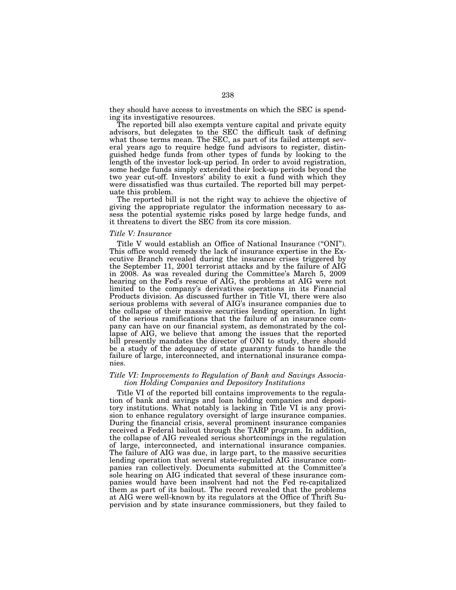they should have access to investments on which the SEC is spending its investigative resources.

The reported bill also exempts venture capital and private equity advisors, but delegates to the SEC the difficult task of defining what those terms mean. The SEC, as part of its failed attempt several years ago to require hedge fund advisors to register, distinguished hedge funds from other types of funds by looking to the length of the investor lock-up period. In order to avoid registration, some hedge funds simply extended their lock-up periods beyond the two year cut-off. Investors' ability to exit a fund with which they were dissatisfied was thus curtailed. The reported bill may perpetuate this problem.

The reported bill is not the right way to achieve the objective of giving the appropriate regulator the information necessary to assess the potential systemic risks posed by large hedge funds, and it threatens to divert the SEC from its core mission.

#### *Title V: Insurance*

Title V would establish an Office of National Insurance (''ONI''). This office would remedy the lack of insurance expertise in the Executive Branch revealed during the insurance crises triggered by the September 11, 2001 terrorist attacks and by the failure of AIG in 2008. As was revealed during the Committee's March 5, 2009 hearing on the Fed's rescue of AIG, the problems at AIG were not limited to the company's derivatives operations in its Financial Products division. As discussed further in Title VI, there were also serious problems with several of AIG's insurance companies due to the collapse of their massive securities lending operation. In light of the serious ramifications that the failure of an insurance company can have on our financial system, as demonstrated by the collapse of AIG, we believe that among the issues that the reported bill presently mandates the director of ONI to study, there should be a study of the adequacy of state guaranty funds to handle the failure of large, interconnected, and international insurance companies.

## *Title VI: Improvements to Regulation of Bank and Savings Association Holding Companies and Depository Institutions*

Title VI of the reported bill contains improvements to the regulation of bank and savings and loan holding companies and depository institutions. What notably is lacking in Title VI is any provision to enhance regulatory oversight of large insurance companies. During the financial crisis, several prominent insurance companies received a Federal bailout through the TARP program. In addition, the collapse of AIG revealed serious shortcomings in the regulation of large, interconnected, and international insurance companies. The failure of AIG was due, in large part, to the massive securities lending operation that several state-regulated AIG insurance companies ran collectively. Documents submitted at the Committee's sole hearing on AIG indicated that several of these insurance companies would have been insolvent had not the Fed re-capitalized them as part of its bailout. The record revealed that the problems at AIG were well-known by its regulators at the Office of Thrift Supervision and by state insurance commissioners, but they failed to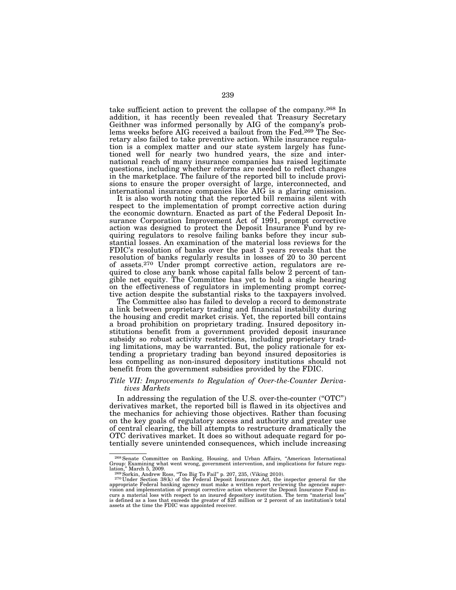take sufficient action to prevent the collapse of the company.268 In addition, it has recently been revealed that Treasury Secretary Geithner was informed personally by AIG of the company's problems weeks before AIG received a bailout from the Fed.<sup>269</sup> The Secretary also failed to take preventive action. While insurance regulation is a complex matter and our state system largely has functioned well for nearly two hundred years, the size and international reach of many insurance companies has raised legitimate questions, including whether reforms are needed to reflect changes in the marketplace. The failure of the reported bill to include provisions to ensure the proper oversight of large, interconnected, and international insurance companies like AIG is a glaring omission.

It is also worth noting that the reported bill remains silent with respect to the implementation of prompt corrective action during the economic downturn. Enacted as part of the Federal Deposit Insurance Corporation Improvement Act of 1991, prompt corrective action was designed to protect the Deposit Insurance Fund by requiring regulators to resolve failing banks before they incur substantial losses. An examination of the material loss reviews for the FDIC's resolution of banks over the past 3 years reveals that the resolution of banks regularly results in losses of 20 to 30 percent of assets.270 Under prompt corrective action, regulators are required to close any bank whose capital falls below 2 percent of tangible net equity. The Committee has yet to hold a single hearing on the effectiveness of regulators in implementing prompt corrective action despite the substantial risks to the taxpayers involved.

The Committee also has failed to develop a record to demonstrate a link between proprietary trading and financial instability during the housing and credit market crisis. Yet, the reported bill contains a broad prohibition on proprietary trading. Insured depository institutions benefit from a government provided deposit insurance subsidy so robust activity restrictions, including proprietary trading limitations, may be warranted. But, the policy rationale for extending a proprietary trading ban beyond insured depositories is less compelling as non-insured depository institutions should not benefit from the government subsidies provided by the FDIC.

# *Title VII: Improvements to Regulation of Over-the-Counter Derivatives Markets*

In addressing the regulation of the U.S. over-the-counter ("OTC") derivatives market, the reported bill is flawed in its objectives and the mechanics for achieving those objectives. Rather than focusing on the key goals of regulatory access and authority and greater use of central clearing, the bill attempts to restructure dramatically the OTC derivatives market. It does so without adequate regard for potentially severe unintended consequences, which include increasing

<sup>&</sup>lt;sup>268</sup> Senate Committee on Banking, Housing, and Urban Affairs, "American International Group: Examining what went wrong, government intervention, and implications for future regulation," March 5, 2009.<br><sup>269</sup> Sorkin, Andrew Ross, "Too Big To Fail" p. 207, 235, (Viking 2010).<br><sup>270</sup> Under Section 38(k) of the Federal Deposit Insurance Act, the inspector general for the

appropriate Federal banking agency must make a written report reviewing the agencies super-<br>vision and implementation of prompt corrective action whenever the Deposit Insurance Fund in-<br>curs a material loss with respect to is defined as a loss that exceeds the greater of \$25 million or 2 percent of an institution's total assets at the time the FDIC was appointed receiver.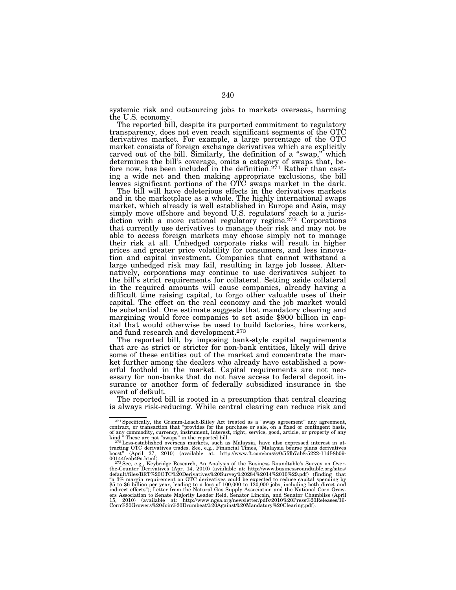systemic risk and outsourcing jobs to markets overseas, harming the U.S. economy.

The reported bill, despite its purported commitment to regulatory transparency, does not even reach significant segments of the OTC derivatives market. For example, a large percentage of the OTC market consists of foreign exchange derivatives which are explicitly carved out of the bill. Similarly, the definition of a "swap," which determines the bill's coverage, omits a category of swaps that, before now, has been included in the definition.<sup>271</sup> Rather than casting a wide net and then making appropriate exclusions, the bill leaves significant portions of the OTC swaps market in the dark.

The bill will have deleterious effects in the derivatives markets and in the marketplace as a whole. The highly international swaps market, which already is well established in Europe and Asia, may simply move offshore and beyond U.S. regulators' reach to a jurisdiction with a more rational regulatory regime.272 Corporations that currently use derivatives to manage their risk and may not be able to access foreign markets may choose simply not to manage their risk at all. Unhedged corporate risks will result in higher prices and greater price volatility for consumers, and less innovation and capital investment. Companies that cannot withstand a large unhedged risk may fail, resulting in large job losses. Alternatively, corporations may continue to use derivatives subject to the bill's strict requirements for collateral. Setting aside collateral in the required amounts will cause companies, already having a difficult time raising capital, to forgo other valuable uses of their capital. The effect on the real economy and the job market would be substantial. One estimate suggests that mandatory clearing and margining would force companies to set aside \$900 billion in capital that would otherwise be used to build factories, hire workers, and fund research and development.273

The reported bill, by imposing bank-style capital requirements that are as strict or stricter for non-bank entities, likely will drive some of these entities out of the market and concentrate the market further among the dealers who already have established a powerful foothold in the market. Capital requirements are not necessary for non-banks that do not have access to federal deposit insurance or another form of federally subsidized insurance in the event of default.

The reported bill is rooted in a presumption that central clearing is always risk-reducing. While central clearing can reduce risk and

<sup>&</sup>lt;sup>271</sup> Specifically, the Gramm-Leach-Bliley Act treated as a "swap agreement" any agreement, contract, or transaction that "provides for the purchase or sale, on a fixed or contingent basis, of any commodity, currency, ins

boost" (April 27, 2010) (available at: http://www.ft.com/cms/s/0/5fdb7ab8-5222-11df-8b09-00144feab49a.html).

<sup>&</sup>lt;sup>273</sup> See, e.g., Keybridge Research, An Analysis of the Business Roundtable's Survey on Overthe-Counter Derivatives (Apr. 14, 2010) (available at: http://www.businessroundtable.org/sites/<br>default/files/BRT%20OTC%20Derivatives%20Survey%20284%2014%2010%29.pdf) (finding that<br>"a 3% margin requirement on OTC derivativ \$5 to \$6 billion per year, leading to a loss of 100,000 to 120,000 jobs, including both direct and<br>indirect effects"); Letter from the Natural Gas Supply Association and the National Corn Grow-<br>ers Association to Senate Ma 15, 2010) (available at: http://www.ngsa.org/newsletter/pdfs/2010%20Press%20Releases/16- Corn%20Growers%20Join%20Drumbeat%20Against%20Mandatory%20Clearing.pdf).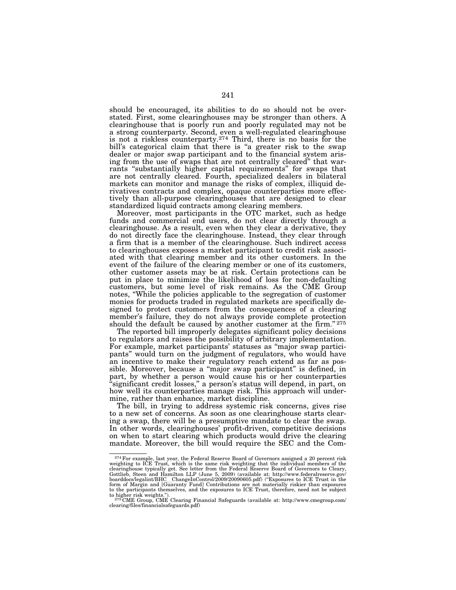should be encouraged, its abilities to do so should not be overstated. First, some clearinghouses may be stronger than others. A clearinghouse that is poorly run and poorly regulated may not be a strong counterparty. Second, even a well-regulated clearinghouse is not a riskless counterparty.274 Third, there is no basis for the bill's categorical claim that there is "a greater risk to the swap dealer or major swap participant and to the financial system arising from the use of swaps that are not centrally cleared'' that warrants ''substantially higher capital requirements'' for swaps that are not centrally cleared. Fourth, specialized dealers in bilateral markets can monitor and manage the risks of complex, illiquid derivatives contracts and complex, opaque counterparties more effectively than all-purpose clearinghouses that are designed to clear standardized liquid contracts among clearing members.

Moreover, most participants in the OTC market, such as hedge funds and commercial end users, do not clear directly through a clearinghouse. As a result, even when they clear a derivative, they do not directly face the clearinghouse. Instead, they clear through a firm that is a member of the clearinghouse. Such indirect access to clearinghouses exposes a market participant to credit risk associated with that clearing member and its other customers. In the event of the failure of the clearing member or one of its customers, other customer assets may be at risk. Certain protections can be put in place to minimize the likelihood of loss for non-defaulting customers, but some level of risk remains. As the CME Group notes, ''While the policies applicable to the segregation of customer monies for products traded in regulated markets are specifically designed to protect customers from the consequences of a clearing member's failure, they do not always provide complete protection should the default be caused by another customer at the firm."275

The reported bill improperly delegates significant policy decisions to regulators and raises the possibility of arbitrary implementation. For example, market participants' statuses as ''major swap participants'' would turn on the judgment of regulators, who would have an incentive to make their regulatory reach extend as far as possible. Moreover, because a ''major swap participant'' is defined, in part, by whether a person would cause his or her counterparties 'significant credit losses," a person's status will depend, in part, on how well its counterparties manage risk. This approach will undermine, rather than enhance, market discipline.

The bill, in trying to address systemic risk concerns, gives rise to a new set of concerns. As soon as one clearinghouse starts clearing a swap, there will be a presumptive mandate to clear the swap. In other words, clearinghouses' profit-driven, competitive decisions on when to start clearing which products would drive the clearing mandate. Moreover, the bill would require the SEC and the Com-

 $^{274}$  For example, last year, the Federal Reserve Board of Governors assigned a 20 percent risk<br>weighting to ICE Trust, which is the same risk weighting that the individual members of the<br>clearinghouse typically get. Se form of Margin and [Guaranty Fund] Contributions are not materially riskier than exposures to the participants themselves, and the exposures to ICE Trust, therefore, need not be subject

to higher risk weights.").<br><sup>275</sup>CME Group, CME Clearing Financial Safeguards (available at: http://www.cmegroup.com/<br>clearing/files/financialsafeguards.pdf)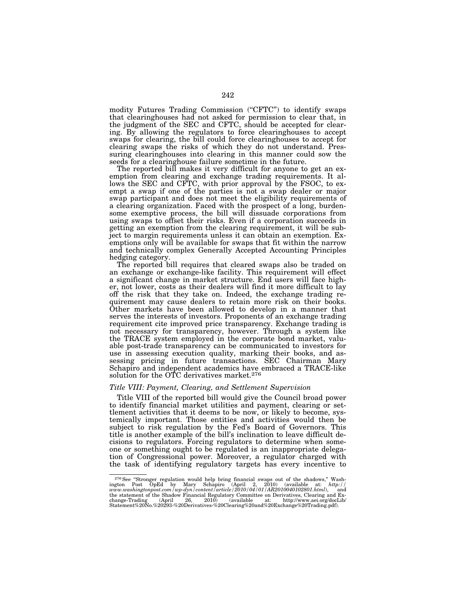modity Futures Trading Commission ("CFTC") to identify swaps that clearinghouses had not asked for permission to clear that, in the judgment of the SEC and CFTC, should be accepted for clearing. By allowing the regulators to force clearinghouses to accept swaps for clearing, the bill could force clearinghouses to accept for clearing swaps the risks of which they do not understand. Pressuring clearinghouses into clearing in this manner could sow the seeds for a clearinghouse failure sometime in the future.

The reported bill makes it very difficult for anyone to get an exemption from clearing and exchange trading requirements. It allows the SEC and CFTC, with prior approval by the FSOC, to exempt a swap if one of the parties is not a swap dealer or major swap participant and does not meet the eligibility requirements of a clearing organization. Faced with the prospect of a long, burdensome exemptive process, the bill will dissuade corporations from using swaps to offset their risks. Even if a corporation succeeds in getting an exemption from the clearing requirement, it will be subject to margin requirements unless it can obtain an exemption. Exemptions only will be available for swaps that fit within the narrow and technically complex Generally Accepted Accounting Principles hedging category.

The reported bill requires that cleared swaps also be traded on an exchange or exchange-like facility. This requirement will effect a significant change in market structure. End users will face higher, not lower, costs as their dealers will find it more difficult to lay off the risk that they take on. Indeed, the exchange trading requirement may cause dealers to retain more risk on their books. Other markets have been allowed to develop in a manner that serves the interests of investors. Proponents of an exchange trading requirement cite improved price transparency. Exchange trading is not necessary for transparency, however. Through a system like the TRACE system employed in the corporate bond market, valuable post-trade transparency can be communicated to investors for use in assessing execution quality, marking their books, and assessing pricing in future transactions. SEC Chairman Mary Schapiro and independent academics have embraced a TRACE-like solution for the OTC derivatives market.<sup>276</sup>

## *Title VIII: Payment, Clearing, and Settlement Supervision*

Title VIII of the reported bill would give the Council broad power to identify financial market utilities and payment, clearing or settlement activities that it deems to be now, or likely to become, systemically important. Those entities and activities would then be subject to risk regulation by the Fed's Board of Governors. This title is another example of the bill's inclination to leave difficult decisions to regulators. Forcing regulators to determine when someone or something ought to be regulated is an inappropriate delegation of Congressional power. Moreover, a regulator charged with the task of identifying regulatory targets has every incentive to

<sup>&</sup>lt;sup>276</sup>See "Stronger regulation would help bring financial swaps out of the shadows," Washington Post OpEd by Mary Schapiro (April 2, 2010) (available at: *http://*<br>www.washingtonpost.com/wp-dyn/content/article/2010/04/01/A the statement of the Shadow Financial Regulatory Committee on Derivatives, Clearing and Exchange-Trading (April 26, 2010) (available at: http://www.aei.org/docLib/ Statement%20No.%20293-%20Derivatives-%20Clearing%20and%20Exchange%20Trading.pdf).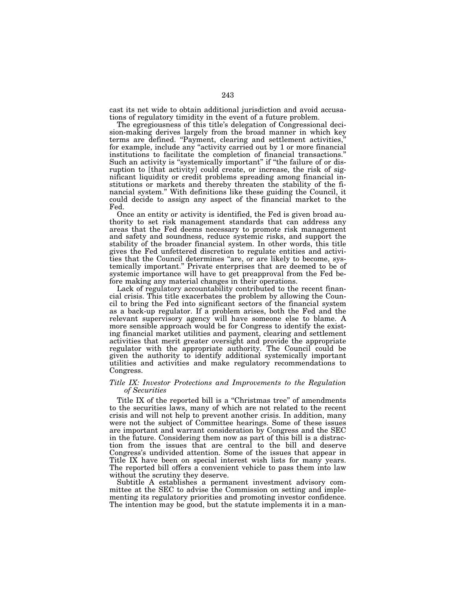cast its net wide to obtain additional jurisdiction and avoid accusations of regulatory timidity in the event of a future problem.

The egregiousness of this title's delegation of Congressional decision-making derives largely from the broad manner in which key terms are defined. "Payment, clearing and settlement activities," for example, include any ''activity carried out by 1 or more financial institutions to facilitate the completion of financial transactions.'' Such an activity is "systemically important" if "the failure of or disruption to [that activity] could create, or increase, the risk of significant liquidity or credit problems spreading among financial institutions or markets and thereby threaten the stability of the financial system." With definitions like these guiding the Council, it could decide to assign any aspect of the financial market to the Fed.

Once an entity or activity is identified, the Fed is given broad authority to set risk management standards that can address any areas that the Fed deems necessary to promote risk management and safety and soundness, reduce systemic risks, and support the stability of the broader financial system. In other words, this title gives the Fed unfettered discretion to regulate entities and activities that the Council determines "are, or are likely to become, systemically important.'' Private enterprises that are deemed to be of systemic importance will have to get preapproval from the Fed before making any material changes in their operations.

Lack of regulatory accountability contributed to the recent financial crisis. This title exacerbates the problem by allowing the Council to bring the Fed into significant sectors of the financial system as a back-up regulator. If a problem arises, both the Fed and the relevant supervisory agency will have someone else to blame. A more sensible approach would be for Congress to identify the existing financial market utilities and payment, clearing and settlement activities that merit greater oversight and provide the appropriate regulator with the appropriate authority. The Council could be given the authority to identify additional systemically important utilities and activities and make regulatory recommendations to Congress.

## *Title IX: Investor Protections and Improvements to the Regulation of Securities*

Title IX of the reported bill is a "Christmas tree" of amendments to the securities laws, many of which are not related to the recent crisis and will not help to prevent another crisis. In addition, many were not the subject of Committee hearings. Some of these issues are important and warrant consideration by Congress and the SEC in the future. Considering them now as part of this bill is a distraction from the issues that are central to the bill and deserve Congress's undivided attention. Some of the issues that appear in Title IX have been on special interest wish lists for many years. The reported bill offers a convenient vehicle to pass them into law without the scrutiny they deserve.

Subtitle A establishes a permanent investment advisory committee at the SEC to advise the Commission on setting and implementing its regulatory priorities and promoting investor confidence. The intention may be good, but the statute implements it in a man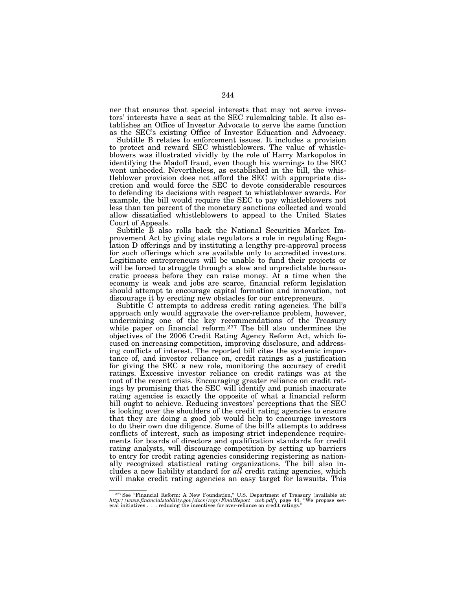ner that ensures that special interests that may not serve investors' interests have a seat at the SEC rulemaking table. It also establishes an Office of Investor Advocate to serve the same function as the SEC's existing Office of Investor Education and Advocacy.

Subtitle B relates to enforcement issues. It includes a provision to protect and reward SEC whistleblowers. The value of whistleblowers was illustrated vividly by the role of Harry Markopolos in identifying the Madoff fraud, even though his warnings to the SEC went unheeded. Nevertheless, as established in the bill, the whistleblower provision does not afford the SEC with appropriate discretion and would force the SEC to devote considerable resources to defending its decisions with respect to whistleblower awards. For example, the bill would require the SEC to pay whistleblowers not less than ten percent of the monetary sanctions collected and would allow dissatisfied whistleblowers to appeal to the United States Court of Appeals.

Subtitle B also rolls back the National Securities Market Improvement Act by giving state regulators a role in regulating Regulation D offerings and by instituting a lengthy pre-approval process for such offerings which are available only to accredited investors. Legitimate entrepreneurs will be unable to fund their projects or will be forced to struggle through a slow and unpredictable bureaucratic process before they can raise money. At a time when the economy is weak and jobs are scarce, financial reform legislation should attempt to encourage capital formation and innovation, not discourage it by erecting new obstacles for our entrepreneurs.

Subtitle C attempts to address credit rating agencies. The bill's approach only would aggravate the over-reliance problem, however, undermining one of the key recommendations of the Treasury white paper on financial reform.<sup>277</sup> The bill also undermines the objectives of the 2006 Credit Rating Agency Reform Act, which focused on increasing competition, improving disclosure, and addressing conflicts of interest. The reported bill cites the systemic importance of, and investor reliance on, credit ratings as a justification for giving the SEC a new role, monitoring the accuracy of credit ratings. Excessive investor reliance on credit ratings was at the root of the recent crisis. Encouraging greater reliance on credit ratings by promising that the SEC will identify and punish inaccurate rating agencies is exactly the opposite of what a financial reform bill ought to achieve. Reducing investors' perceptions that the SEC is looking over the shoulders of the credit rating agencies to ensure that they are doing a good job would help to encourage investors to do their own due diligence. Some of the bill's attempts to address conflicts of interest, such as imposing strict independence requirements for boards of directors and qualification standards for credit rating analysts, will discourage competition by setting up barriers to entry for credit rating agencies considering registering as nationally recognized statistical rating organizations. The bill also includes a new liability standard for *all* credit rating agencies, which will make credit rating agencies an easy target for lawsuits. This

<sup>&</sup>lt;sup>277</sup> See "Financial Reform: A New Foundation," U.S. Department of Treasury (available at: http://www.financialstability.gov/docs/regs/FinalReport*\_web.pdf*), page 44, "We propose sev-<br>eral initiatives . . . reducing the incentives for over-reliance on credit ratings."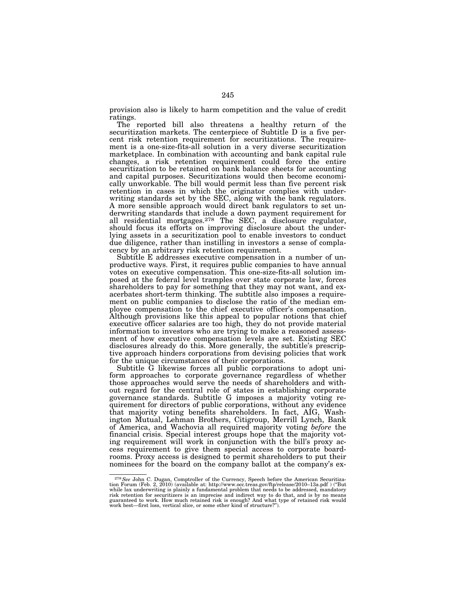provision also is likely to harm competition and the value of credit ratings.

The reported bill also threatens a healthy return of the securitization markets. The centerpiece of Subtitle D is a five percent risk retention requirement for securitizations. The requirement is a one-size-fits-all solution in a very diverse securitization marketplace. In combination with accounting and bank capital rule changes, a risk retention requirement could force the entire securitization to be retained on bank balance sheets for accounting and capital purposes. Securitizations would then become economically unworkable. The bill would permit less than five percent risk retention in cases in which the originator complies with underwriting standards set by the SEC, along with the bank regulators. A more sensible approach would direct bank regulators to set underwriting standards that include a down payment requirement for all residential mortgages.<sup>278</sup> The SEC, a disclosure regulator, should focus its efforts on improving disclosure about the underlying assets in a securitization pool to enable investors to conduct due diligence, rather than instilling in investors a sense of complacency by an arbitrary risk retention requirement.

Subtitle E addresses executive compensation in a number of unproductive ways. First, it requires public companies to have annual votes on executive compensation. This one-size-fits-all solution imposed at the federal level tramples over state corporate law, forces shareholders to pay for something that they may not want, and exacerbates short-term thinking. The subtitle also imposes a requirement on public companies to disclose the ratio of the median employee compensation to the chief executive officer's compensation. Although provisions like this appeal to popular notions that chief executive officer salaries are too high, they do not provide material information to investors who are trying to make a reasoned assessment of how executive compensation levels are set. Existing SEC disclosures already do this. More generally, the subtitle's prescriptive approach hinders corporations from devising policies that work for the unique circumstances of their corporations.

Subtitle G likewise forces all public corporations to adopt uniform approaches to corporate governance regardless of whether those approaches would serve the needs of shareholders and without regard for the central role of states in establishing corporate governance standards. Subtitle G imposes a majority voting requirement for directors of public corporations, without any evidence that majority voting benefits shareholders. In fact, AIG, Washington Mutual, Lehman Brothers, Citigroup, Merrill Lynch, Bank of America, and Wachovia all required majority voting *before* the financial crisis. Special interest groups hope that the majority voting requirement will work in conjunction with the bill's proxy access requirement to give them special access to corporate boardrooms. Proxy access is designed to permit shareholders to put their nominees for the board on the company ballot at the company's ex-

<sup>278</sup>*See* John C. Dugan, Comptroller of the Currency, Speech before the American Securitization Forum (Feb. 2, 2010) (available at: http://www.occ.treas.gov/ftp/release/2010–13a.pdf ) (''But while lax underwriting is plainly a fundamental problem that needs to be addressed, mandatory risk retention for securitizers is an imprecise and indirect way to do that, and is by no means guaranteed to work. How much retained risk is enough? And what type of retained risk would work best—first loss, vertical slice, or some other kind of structure?'').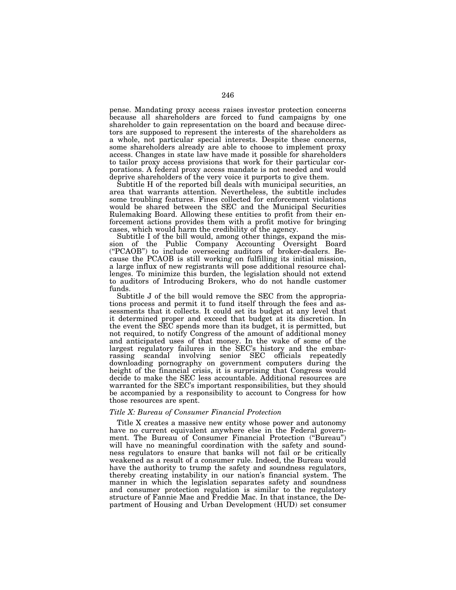pense. Mandating proxy access raises investor protection concerns because all shareholders are forced to fund campaigns by one shareholder to gain representation on the board and because directors are supposed to represent the interests of the shareholders as a whole, not particular special interests. Despite these concerns, some shareholders already are able to choose to implement proxy access. Changes in state law have made it possible for shareholders to tailor proxy access provisions that work for their particular corporations. A federal proxy access mandate is not needed and would deprive shareholders of the very voice it purports to give them.

Subtitle H of the reported bill deals with municipal securities, an area that warrants attention. Nevertheless, the subtitle includes some troubling features. Fines collected for enforcement violations would be shared between the SEC and the Municipal Securities Rulemaking Board. Allowing these entities to profit from their enforcement actions provides them with a profit motive for bringing cases, which would harm the credibility of the agency.

Subtitle I of the bill would, among other things, expand the mission of the Public Company Accounting Oversight Board (''PCAOB'') to include overseeing auditors of broker-dealers. Because the PCAOB is still working on fulfilling its initial mission, a large influx of new registrants will pose additional resource challenges. To minimize this burden, the legislation should not extend to auditors of Introducing Brokers, who do not handle customer funds.

Subtitle J of the bill would remove the SEC from the appropriations process and permit it to fund itself through the fees and assessments that it collects. It could set its budget at any level that it determined proper and exceed that budget at its discretion. In the event the SEC spends more than its budget, it is permitted, but not required, to notify Congress of the amount of additional money and anticipated uses of that money. In the wake of some of the largest regulatory failures in the SEC's history and the embarrassing scandal involving senior SEC officials repeatedly downloading pornography on government computers during the height of the financial crisis, it is surprising that Congress would decide to make the SEC less accountable. Additional resources are warranted for the SEC's important responsibilities, but they should be accompanied by a responsibility to account to Congress for how those resources are spent.

## *Title X: Bureau of Consumer Financial Protection*

Title X creates a massive new entity whose power and autonomy have no current equivalent anywhere else in the Federal government. The Bureau of Consumer Financial Protection (''Bureau'') will have no meaningful coordination with the safety and soundness regulators to ensure that banks will not fail or be critically weakened as a result of a consumer rule. Indeed, the Bureau would have the authority to trump the safety and soundness regulators, thereby creating instability in our nation's financial system. The manner in which the legislation separates safety and soundness and consumer protection regulation is similar to the regulatory structure of Fannie Mae and Freddie Mac. In that instance, the Department of Housing and Urban Development (HUD) set consumer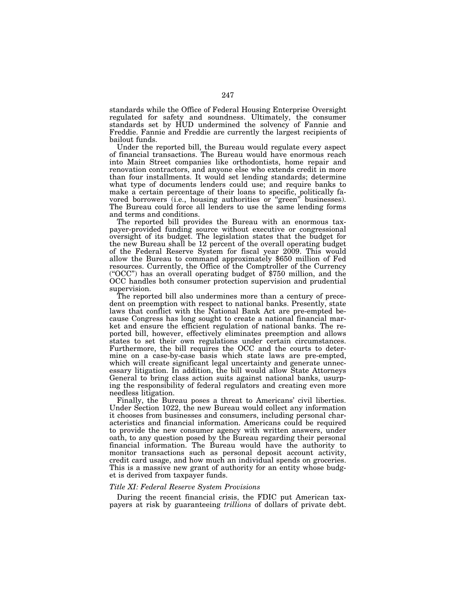standards while the Office of Federal Housing Enterprise Oversight regulated for safety and soundness. Ultimately, the consumer standards set by HUD undermined the solvency of Fannie and Freddie. Fannie and Freddie are currently the largest recipients of bailout funds.

Under the reported bill, the Bureau would regulate every aspect of financial transactions. The Bureau would have enormous reach into Main Street companies like orthodontists, home repair and renovation contractors, and anyone else who extends credit in more than four installments. It would set lending standards; determine what type of documents lenders could use; and require banks to make a certain percentage of their loans to specific, politically favored borrowers (i.e., housing authorities or ''green'' businesses). The Bureau could force all lenders to use the same lending forms and terms and conditions.

The reported bill provides the Bureau with an enormous taxpayer-provided funding source without executive or congressional oversight of its budget. The legislation states that the budget for the new Bureau shall be 12 percent of the overall operating budget of the Federal Reserve System for fiscal year 2009. This would allow the Bureau to command approximately \$650 million of Fed resources. Currently, the Office of the Comptroller of the Currency (''OCC'') has an overall operating budget of \$750 million, and the OCC handles both consumer protection supervision and prudential supervision.

The reported bill also undermines more than a century of precedent on preemption with respect to national banks. Presently, state laws that conflict with the National Bank Act are pre-empted because Congress has long sought to create a national financial market and ensure the efficient regulation of national banks. The reported bill, however, effectively eliminates preemption and allows states to set their own regulations under certain circumstances. Furthermore, the bill requires the OCC and the courts to determine on a case-by-case basis which state laws are pre-empted, which will create significant legal uncertainty and generate unnecessary litigation. In addition, the bill would allow State Attorneys General to bring class action suits against national banks, usurping the responsibility of federal regulators and creating even more needless litigation.

Finally, the Bureau poses a threat to Americans' civil liberties. Under Section 1022, the new Bureau would collect any information it chooses from businesses and consumers, including personal characteristics and financial information. Americans could be required to provide the new consumer agency with written answers, under oath, to any question posed by the Bureau regarding their personal financial information. The Bureau would have the authority to monitor transactions such as personal deposit account activity, credit card usage, and how much an individual spends on groceries. This is a massive new grant of authority for an entity whose budget is derived from taxpayer funds.

## *Title XI: Federal Reserve System Provisions*

During the recent financial crisis, the FDIC put American taxpayers at risk by guaranteeing *trillions* of dollars of private debt.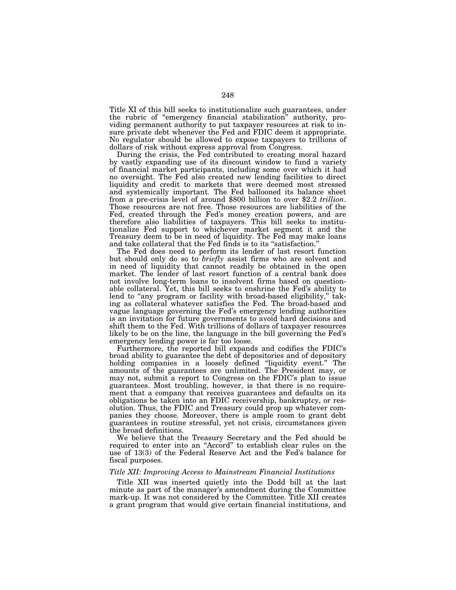Title XI of this bill seeks to institutionalize such guarantees, under the rubric of ''emergency financial stabilization'' authority, providing permanent authority to put taxpayer resources at risk to insure private debt whenever the Fed and FDIC deem it appropriate. No regulator should be allowed to expose taxpayers to trillions of dollars of risk without express approval from Congress.

During the crisis, the Fed contributed to creating moral hazard by vastly expanding use of its discount window to fund a variety of financial market participants, including some over which it had no oversight. The Fed also created new lending facilities to direct liquidity and credit to markets that were deemed most stressed and systemically important. The Fed ballooned its balance sheet from a pre-crisis level of around \$800 billion to over \$2.2 *trillion*. Those resources are not free. Those resources are liabilities of the Fed, created through the Fed's money creation powers, and are therefore also liabilities of taxpayers. This bill seeks to institutionalize Fed support to whichever market segment it and the Treasury deem to be in need of liquidity. The Fed may make loans and take collateral that the Fed finds is to its ''satisfaction.''

The Fed does need to perform its lender of last resort function but should only do so to *briefly* assist firms who are solvent and in need of liquidity that cannot readily be obtained in the open market. The lender of last resort function of a central bank does not involve long-term loans to insolvent firms based on questionable collateral. Yet, this bill seeks to enshrine the Fed's ability to lend to "any program or facility with broad-based eligibility," taking as collateral whatever satisfies the Fed. The broad-based and vague language governing the Fed's emergency lending authorities is an invitation for future governments to avoid hard decisions and shift them to the Fed. With trillions of dollars of taxpayer resources likely to be on the line, the language in the bill governing the Fed's emergency lending power is far too loose.

Furthermore, the reported bill expands and codifies the FDIC's broad ability to guarantee the debt of depositories and of depository holding companies in a loosely defined "liquidity event." The amounts of the guarantees are unlimited. The President may, or may not, submit a report to Congress on the FDIC's plan to issue guarantees. Most troubling, however, is that there is no requirement that a company that receives guarantees and defaults on its obligations be taken into an FDIC receivership, bankruptcy, or resolution. Thus, the FDIC and Treasury could prop up whatever companies they choose. Moreover, there is ample room to grant debt guarantees in routine stressful, yet not crisis, circumstances given the broad definitions.

We believe that the Treasury Secretary and the Fed should be required to enter into an ''Accord'' to establish clear rules on the use of 13(3) of the Federal Reserve Act and the Fed's balance for fiscal purposes.

# *Title XII: Improving Access to Mainstream Financial Institutions*

Title XII was inserted quietly into the Dodd bill at the last minute as part of the manager's amendment during the Committee mark-up. It was not considered by the Committee. Title XII creates a grant program that would give certain financial institutions, and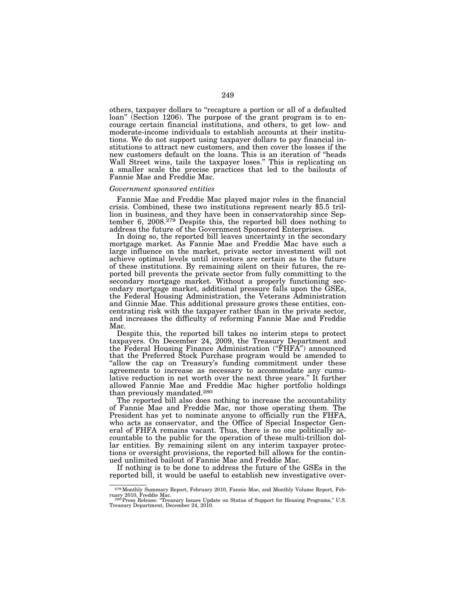others, taxpayer dollars to ''recapture a portion or all of a defaulted loan'' (Section 1206). The purpose of the grant program is to encourage certain financial institutions, and others, to get low- and moderate-income individuals to establish accounts at their institutions. We do not support using taxpayer dollars to pay financial institutions to attract new customers, and then cover the losses if the new customers default on the loans. This is an iteration of ''heads Wall Street wins, tails the taxpayer loses.'' This is replicating on a smaller scale the precise practices that led to the bailouts of Fannie Mae and Freddie Mac.

#### *Government sponsored entities*

Fannie Mae and Freddie Mac played major roles in the financial crisis. Combined, these two institutions represent nearly \$5.5 trillion in business, and they have been in conservatorship since September 6, 2008.279 Despite this, the reported bill does nothing to address the future of the Government Sponsored Enterprises.

In doing so, the reported bill leaves uncertainty in the secondary mortgage market. As Fannie Mae and Freddie Mac have such a large influence on the market, private sector investment will not achieve optimal levels until investors are certain as to the future of these institutions. By remaining silent on their futures, the reported bill prevents the private sector from fully committing to the secondary mortgage market. Without a properly functioning secondary mortgage market, additional pressure falls upon the GSEs, the Federal Housing Administration, the Veterans Administration and Ginnie Mae. This additional pressure grows these entities, concentrating risk with the taxpayer rather than in the private sector, and increases the difficulty of reforming Fannie Mae and Freddie Mac.

Despite this, the reported bill takes no interim steps to protect taxpayers. On December 24, 2009, the Treasury Department and the Federal Housing Finance Administration (''FHFA'') announced that the Preferred Stock Purchase program would be amended to "allow the cap on Treasury's funding commitment under these agreements to increase as necessary to accommodate any cumulative reduction in net worth over the next three years.'' It further allowed Fannie Mae and Freddie Mac higher portfolio holdings than previously mandated.<sup>280</sup>

The reported bill also does nothing to increase the accountability of Fannie Mae and Freddie Mac, nor those operating them. The President has yet to nominate anyone to officially run the FHFA, who acts as conservator, and the Office of Special Inspector General of FHFA remains vacant. Thus, there is no one politically accountable to the public for the operation of these multi-trillion dollar entities. By remaining silent on any interim taxpayer protections or oversight provisions, the reported bill allows for the continued unlimited bailout of Fannie Mae and Freddie Mac.

If nothing is to be done to address the future of the GSEs in the reported bill, it would be useful to establish new investigative over-

<sup>&</sup>lt;sup>279</sup> Monthly Summary Report, February 2010, Fannie Mae, and Monthly Volume Report, February 2010, Freddie Mac.

ruary 2010, Freddie Mac.<br>- <sup>280</sup> Press Release: "Treasury Issues Update on Status of Support for Housing Programs," U.S.<br>Treasury Department, December 24, 2010.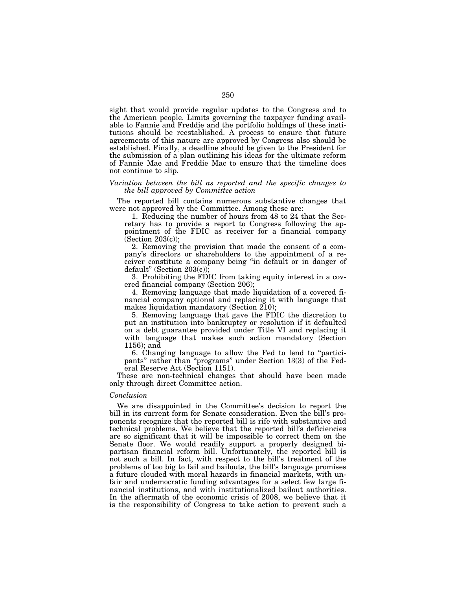sight that would provide regular updates to the Congress and to the American people. Limits governing the taxpayer funding available to Fannie and Freddie and the portfolio holdings of these institutions should be reestablished. A process to ensure that future agreements of this nature are approved by Congress also should be established. Finally, a deadline should be given to the President for the submission of a plan outlining his ideas for the ultimate reform of Fannie Mae and Freddie Mac to ensure that the timeline does not continue to slip.

# *Variation between the bill as reported and the specific changes to the bill approved by Committee action*

The reported bill contains numerous substantive changes that were not approved by the Committee. Among these are:

1. Reducing the number of hours from 48 to 24 that the Secretary has to provide a report to Congress following the appointment of the FDIC as receiver for a financial company  $(Section 203(c))$ ;

2. Removing the provision that made the consent of a company's directors or shareholders to the appointment of a receiver constitute a company being ''in default or in danger of default'' (Section 203(c));

3. Prohibiting the FDIC from taking equity interest in a covered financial company (Section 206);

4. Removing language that made liquidation of a covered financial company optional and replacing it with language that makes liquidation mandatory (Section 210);

5. Removing language that gave the FDIC the discretion to put an institution into bankruptcy or resolution if it defaulted on a debt guarantee provided under Title VI and replacing it with language that makes such action mandatory (Section 1156); and

6. Changing language to allow the Fed to lend to ''participants'' rather than ''programs'' under Section 13(3) of the Federal Reserve Act (Section 1151).

These are non-technical changes that should have been made only through direct Committee action.

#### *Conclusion*

We are disappointed in the Committee's decision to report the bill in its current form for Senate consideration. Even the bill's proponents recognize that the reported bill is rife with substantive and technical problems. We believe that the reported bill's deficiencies are so significant that it will be impossible to correct them on the Senate floor. We would readily support a properly designed bipartisan financial reform bill. Unfortunately, the reported bill is not such a bill. In fact, with respect to the bill's treatment of the problems of too big to fail and bailouts, the bill's language promises a future clouded with moral hazards in financial markets, with unfair and undemocratic funding advantages for a select few large financial institutions, and with institutionalized bailout authorities. In the aftermath of the economic crisis of 2008, we believe that it is the responsibility of Congress to take action to prevent such a